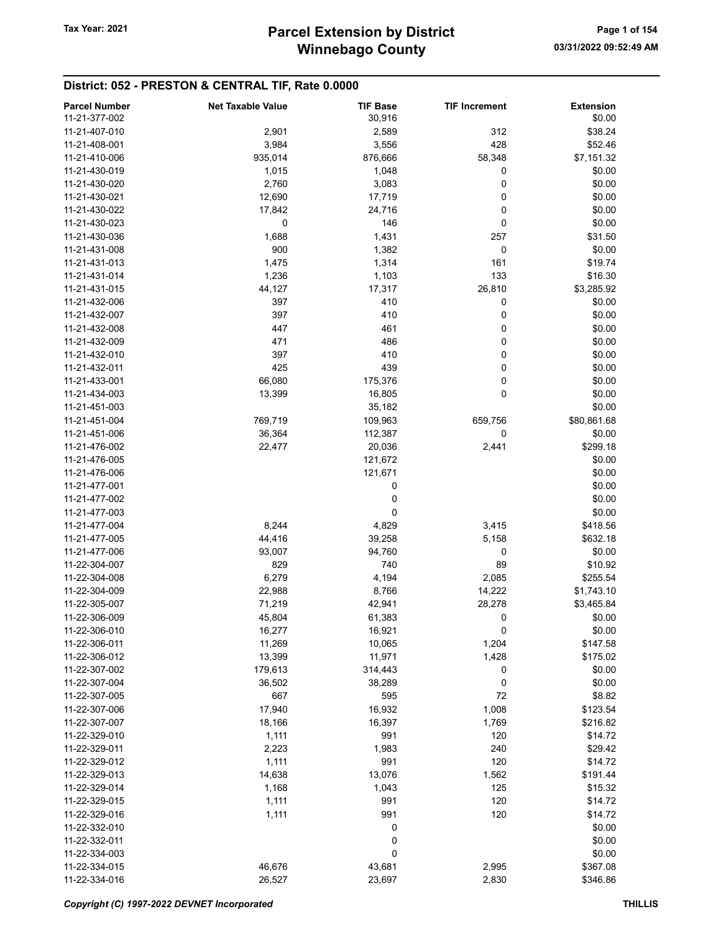# District: 052 - PRESTON & CENTRAL TIF, Rate 0.0000

| <b>Parcel Number</b> | <b>Net Taxable Value</b> | <b>TIF Base</b> | <b>TIF Increment</b> | <b>Extension</b> |
|----------------------|--------------------------|-----------------|----------------------|------------------|
| 11-21-377-002        |                          | 30,916          |                      | \$0.00           |
| 11-21-407-010        | 2,901                    | 2,589           | 312                  | \$38.24          |
|                      |                          |                 |                      |                  |
| 11-21-408-001        | 3,984                    | 3,556           | 428                  | \$52.46          |
| 11-21-410-006        | 935,014                  | 876,666         | 58,348               | \$7,151.32       |
| 11-21-430-019        | 1,015                    | 1,048           | 0                    | \$0.00           |
| 11-21-430-020        | 2,760                    | 3,083           | 0                    | \$0.00           |
| 11-21-430-021        | 12,690                   | 17,719          | 0                    | \$0.00           |
| 11-21-430-022        | 17,842                   | 24,716          | 0                    | \$0.00           |
| 11-21-430-023        | 0                        | 146             | 0                    | \$0.00           |
| 11-21-430-036        | 1,688                    | 1,431           | 257                  | \$31.50          |
| 11-21-431-008        | 900                      | 1,382           | 0                    | \$0.00           |
| 11-21-431-013        | 1,475                    | 1,314           | 161                  | \$19.74          |
| 11-21-431-014        |                          |                 | 133                  | \$16.30          |
|                      | 1,236                    | 1,103           |                      |                  |
| 11-21-431-015        | 44,127                   | 17,317          | 26,810               | \$3,285.92       |
| 11-21-432-006        | 397                      | 410             | 0                    | \$0.00           |
| 11-21-432-007        | 397                      | 410             | 0                    | \$0.00           |
| 11-21-432-008        | 447                      | 461             | 0                    | \$0.00           |
| 11-21-432-009        | 471                      | 486             | 0                    | \$0.00           |
| 11-21-432-010        | 397                      | 410             | 0                    | \$0.00           |
| 11-21-432-011        | 425                      | 439             | 0                    | \$0.00           |
| 11-21-433-001        | 66,080                   | 175,376         | 0                    | \$0.00           |
| 11-21-434-003        | 13,399                   | 16,805          | 0                    | \$0.00           |
|                      |                          |                 |                      |                  |
| 11-21-451-003        |                          | 35,182          |                      | \$0.00           |
| 11-21-451-004        | 769,719                  | 109,963         | 659,756              | \$80,861.68      |
| 11-21-451-006        | 36,364                   | 112,387         | 0                    | \$0.00           |
| 11-21-476-002        | 22,477                   | 20,036          | 2,441                | \$299.18         |
| 11-21-476-005        |                          | 121,672         |                      | \$0.00           |
| 11-21-476-006        |                          | 121,671         |                      | \$0.00           |
| 11-21-477-001        |                          | 0               |                      | \$0.00           |
| 11-21-477-002        |                          | 0               |                      | \$0.00           |
| 11-21-477-003        |                          | 0               |                      | \$0.00           |
| 11-21-477-004        | 8,244                    | 4,829           | 3,415                | \$418.56         |
| 11-21-477-005        | 44,416                   | 39,258          | 5,158                | \$632.18         |
|                      |                          |                 |                      |                  |
| 11-21-477-006        | 93,007                   | 94,760          | 0                    | \$0.00           |
| 11-22-304-007        | 829                      | 740             | 89                   | \$10.92          |
| 11-22-304-008        | 6,279                    | 4,194           | 2,085                | \$255.54         |
| 11-22-304-009        | 22,988                   | 8,766           | 14,222               | \$1,743.10       |
| 11-22-305-007        | 71,219                   | 42,941          | 28,278               | \$3,465.84       |
| 11-22-306-009        | 45,804                   | 61,383          | 0                    | \$0.00           |
| 11-22-306-010        | 16,277                   | 16,921          | 0                    | \$0.00           |
| 11-22-306-011        | 11,269                   | 10,065          | 1,204                | \$147.58         |
| 11-22-306-012        | 13,399                   | 11,971          | 1,428                | \$175.02         |
| 11-22-307-002        | 179,613                  | 314,443         | 0                    | \$0.00           |
| 11-22-307-004        |                          |                 |                      |                  |
|                      | 36,502                   | 38,289          | 0                    | \$0.00           |
| 11-22-307-005        | 667                      | 595             | 72                   | \$8.82           |
| 11-22-307-006        | 17,940                   | 16,932          | 1,008                | \$123.54         |
| 11-22-307-007        | 18,166                   | 16,397          | 1,769                | \$216.82         |
| 11-22-329-010        | 1,111                    | 991             | 120                  | \$14.72          |
| 11-22-329-011        | 2,223                    | 1,983           | 240                  | \$29.42          |
| 11-22-329-012        | 1,111                    | 991             | 120                  | \$14.72          |
| 11-22-329-013        | 14,638                   | 13,076          | 1,562                | \$191.44         |
| 11-22-329-014        | 1,168                    | 1,043           | 125                  | \$15.32          |
| 11-22-329-015        | 1,111                    | 991             | 120                  | \$14.72          |
| 11-22-329-016        | 1,111                    | 991             | 120                  | \$14.72          |
|                      |                          |                 |                      |                  |
| 11-22-332-010        |                          | 0               |                      | \$0.00           |
| 11-22-332-011        |                          | 0               |                      | \$0.00           |
| 11-22-334-003        |                          | 0               |                      | \$0.00           |
| 11-22-334-015        | 46,676                   | 43,681          | 2,995                | \$367.08         |
| 11-22-334-016        | 26,527                   | 23,697          | 2,830                | \$346.86         |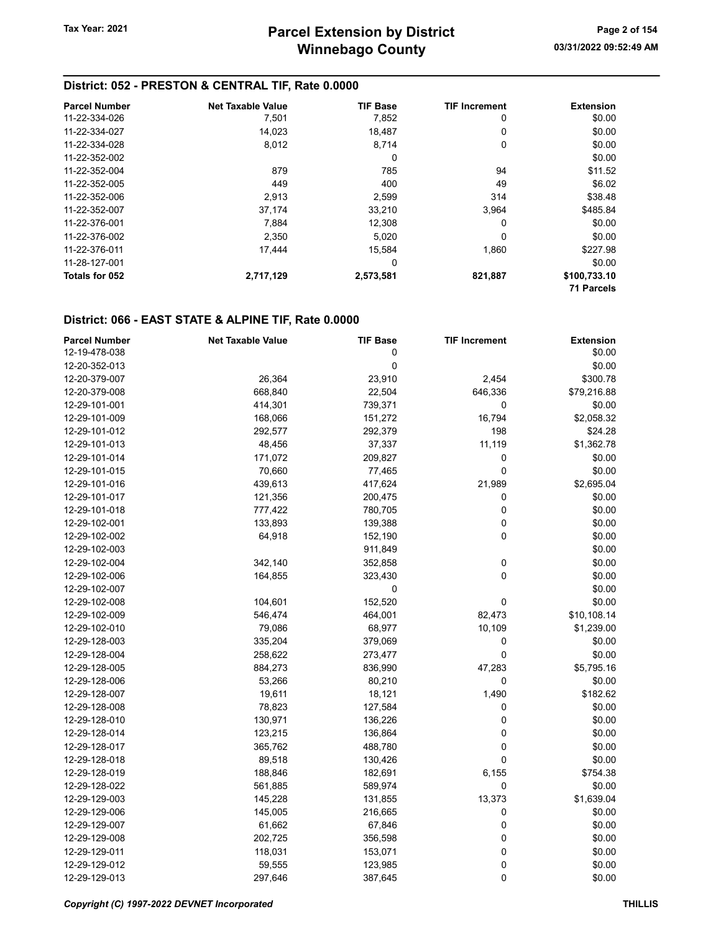#### District: 052 - PRESTON & CENTRAL TIF, Rate 0.0000

| <b>Parcel Number</b> | <b>Net Taxable Value</b> | <b>TIF Base</b> | <b>TIF Increment</b> | <b>Extension</b>  |
|----------------------|--------------------------|-----------------|----------------------|-------------------|
| 11-22-334-026        | 7,501                    | 7,852           | 0                    | \$0.00            |
| 11-22-334-027        | 14,023                   | 18,487          | 0                    | \$0.00            |
| 11-22-334-028        | 8,012                    | 8,714           | 0                    | \$0.00            |
| 11-22-352-002        |                          | 0               |                      | \$0.00            |
| 11-22-352-004        | 879                      | 785             | 94                   | \$11.52           |
| 11-22-352-005        | 449                      | 400             | 49                   | \$6.02            |
| 11-22-352-006        | 2.913                    | 2,599           | 314                  | \$38.48           |
| 11-22-352-007        | 37,174                   | 33,210          | 3,964                | \$485.84          |
| 11-22-376-001        | 7.884                    | 12.308          | 0                    | \$0.00            |
| 11-22-376-002        | 2,350                    | 5,020           | 0                    | \$0.00            |
| 11-22-376-011        | 17.444                   | 15.584          | 1,860                | \$227.98          |
| 11-28-127-001        |                          | 0               |                      | \$0.00            |
| Totals for 052       | 2,717,129                | 2,573,581       | 821,887              | \$100,733.10      |
|                      |                          |                 |                      | <b>71 Parcels</b> |

#### District: 066 - EAST STATE & ALPINE TIF, Rate 0.0000

| <b>Parcel Number</b> | <b>Net Taxable Value</b> | <b>TIF Base</b> | <b>TIF Increment</b> | <b>Extension</b> |
|----------------------|--------------------------|-----------------|----------------------|------------------|
| 12-19-478-038        |                          | 0               |                      | \$0.00           |
| 12-20-352-013        |                          | $\mathbf 0$     |                      | \$0.00           |
| 12-20-379-007        | 26,364                   | 23,910          | 2,454                | \$300.78         |
| 12-20-379-008        | 668,840                  | 22,504          | 646,336              | \$79,216.88      |
| 12-29-101-001        | 414,301                  | 739,371         | 0                    | \$0.00           |
| 12-29-101-009        | 168,066                  | 151,272         | 16,794               | \$2,058.32       |
| 12-29-101-012        | 292,577                  | 292,379         | 198                  | \$24.28          |
| 12-29-101-013        | 48,456                   | 37,337          | 11,119               | \$1,362.78       |
| 12-29-101-014        | 171,072                  | 209,827         | 0                    | \$0.00           |
| 12-29-101-015        | 70,660                   | 77,465          | 0                    | \$0.00           |
| 12-29-101-016        | 439,613                  | 417,624         | 21,989               | \$2,695.04       |
| 12-29-101-017        | 121,356                  | 200,475         | 0                    | \$0.00           |
| 12-29-101-018        | 777,422                  | 780,705         | 0                    | \$0.00           |
| 12-29-102-001        | 133,893                  | 139,388         | 0                    | \$0.00           |
| 12-29-102-002        | 64,918                   | 152,190         | 0                    | \$0.00           |
| 12-29-102-003        |                          | 911,849         |                      | \$0.00           |
| 12-29-102-004        | 342,140                  | 352,858         | 0                    | \$0.00           |
| 12-29-102-006        | 164,855                  | 323,430         | 0                    | \$0.00           |
| 12-29-102-007        |                          | 0               |                      | \$0.00           |
| 12-29-102-008        | 104,601                  | 152,520         | $\pmb{0}$            | \$0.00           |
| 12-29-102-009        | 546,474                  | 464,001         | 82,473               | \$10,108.14      |
| 12-29-102-010        | 79,086                   | 68,977          | 10,109               | \$1,239.00       |
| 12-29-128-003        | 335,204                  | 379,069         | 0                    | \$0.00           |
| 12-29-128-004        | 258,622                  | 273,477         | 0                    | \$0.00           |
| 12-29-128-005        | 884,273                  | 836,990         | 47,283               | \$5,795.16       |
| 12-29-128-006        | 53,266                   | 80,210          | 0                    | \$0.00           |
| 12-29-128-007        | 19,611                   | 18,121          | 1,490                | \$182.62         |
| 12-29-128-008        | 78,823                   | 127,584         | 0                    | \$0.00           |
| 12-29-128-010        | 130,971                  | 136,226         | $\mathbf 0$          | \$0.00           |
| 12-29-128-014        | 123,215                  | 136,864         | 0                    | \$0.00           |
| 12-29-128-017        | 365,762                  | 488,780         | 0                    | \$0.00           |
| 12-29-128-018        | 89,518                   | 130,426         | 0                    | \$0.00           |
| 12-29-128-019        | 188,846                  | 182,691         | 6,155                | \$754.38         |
| 12-29-128-022        | 561,885                  | 589,974         | 0                    | \$0.00           |
| 12-29-129-003        | 145,228                  | 131,855         | 13,373               | \$1,639.04       |
| 12-29-129-006        | 145,005                  | 216,665         | 0                    | \$0.00           |
| 12-29-129-007        | 61,662                   | 67,846          | 0                    | \$0.00           |
| 12-29-129-008        | 202,725                  | 356,598         | 0                    | \$0.00           |
| 12-29-129-011        | 118,031                  | 153,071         | 0                    | \$0.00           |
| 12-29-129-012        | 59,555                   | 123,985         | 0                    | \$0.00           |
| 12-29-129-013        | 297,646                  | 387,645         | 0                    | \$0.00           |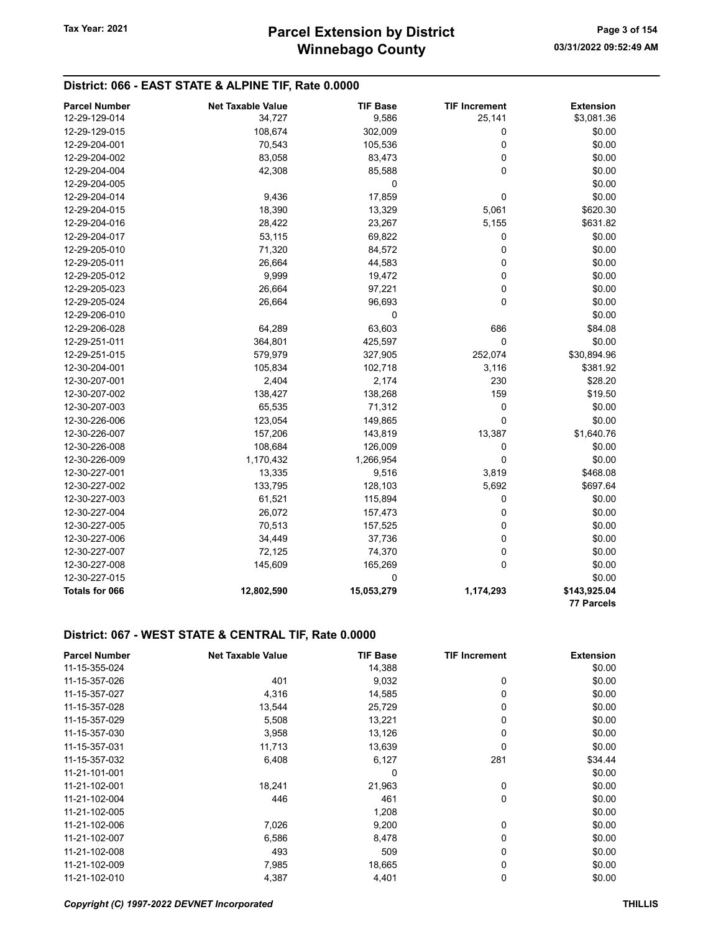#### District: 066 - EAST STATE & ALPINE TIF, Rate 0.0000

| <b>Parcel Number</b>  | <b>Net Taxable Value</b> | <b>TIF Base</b> | <b>TIF Increment</b> | <b>Extension</b>  |
|-----------------------|--------------------------|-----------------|----------------------|-------------------|
| 12-29-129-014         | 34,727                   | 9,586           | 25,141               | \$3,081.36        |
| 12-29-129-015         | 108,674                  | 302,009         | 0                    | \$0.00            |
| 12-29-204-001         | 70,543                   | 105,536         | 0                    | \$0.00            |
| 12-29-204-002         | 83,058                   | 83,473          | 0                    | \$0.00            |
| 12-29-204-004         | 42,308                   | 85,588          | 0                    | \$0.00            |
| 12-29-204-005         |                          | 0               |                      | \$0.00            |
| 12-29-204-014         | 9,436                    | 17,859          | 0                    | \$0.00            |
| 12-29-204-015         | 18,390                   | 13,329          | 5,061                | \$620.30          |
| 12-29-204-016         | 28,422                   | 23,267          | 5,155                | \$631.82          |
| 12-29-204-017         | 53,115                   | 69,822          | 0                    | \$0.00            |
| 12-29-205-010         | 71,320                   | 84,572          | 0                    | \$0.00            |
| 12-29-205-011         | 26,664                   | 44,583          | 0                    | \$0.00            |
| 12-29-205-012         | 9,999                    | 19,472          | 0                    | \$0.00            |
| 12-29-205-023         | 26,664                   | 97,221          | 0                    | \$0.00            |
| 12-29-205-024         | 26,664                   | 96,693          | 0                    | \$0.00            |
| 12-29-206-010         |                          | 0               |                      | \$0.00            |
| 12-29-206-028         | 64,289                   | 63,603          | 686                  | \$84.08           |
| 12-29-251-011         | 364,801                  | 425,597         | $\pmb{0}$            | \$0.00            |
| 12-29-251-015         | 579,979                  | 327,905         | 252,074              | \$30,894.96       |
| 12-30-204-001         | 105,834                  | 102,718         | 3,116                | \$381.92          |
| 12-30-207-001         | 2,404                    | 2,174           | 230                  | \$28.20           |
| 12-30-207-002         | 138,427                  | 138,268         | 159                  | \$19.50           |
| 12-30-207-003         | 65,535                   | 71,312          | 0                    | \$0.00            |
| 12-30-226-006         | 123,054                  | 149,865         | 0                    | \$0.00            |
| 12-30-226-007         | 157,206                  | 143,819         | 13,387               | \$1,640.76        |
| 12-30-226-008         | 108,684                  | 126,009         | 0                    | \$0.00            |
| 12-30-226-009         | 1,170,432                | 1,266,954       | 0                    | \$0.00            |
| 12-30-227-001         | 13,335                   | 9,516           | 3,819                | \$468.08          |
| 12-30-227-002         | 133,795                  | 128,103         | 5,692                | \$697.64          |
| 12-30-227-003         | 61,521                   | 115,894         | 0                    | \$0.00            |
| 12-30-227-004         | 26,072                   | 157,473         | 0                    | \$0.00            |
| 12-30-227-005         | 70,513                   | 157,525         | 0                    | \$0.00            |
| 12-30-227-006         | 34,449                   | 37,736          | 0                    | \$0.00            |
| 12-30-227-007         | 72,125                   | 74,370          | 0                    | \$0.00            |
| 12-30-227-008         | 145,609                  | 165,269         | 0                    | \$0.00            |
| 12-30-227-015         |                          | 0               |                      | \$0.00            |
| <b>Totals for 066</b> | 12,802,590               | 15,053,279      | 1,174,293            | \$143,925.04      |
|                       |                          |                 |                      | <b>77 Parcels</b> |

| <b>Parcel Number</b> | <b>Net Taxable Value</b> | TIF Base | <b>TIF Increment</b> | <b>Extension</b> |
|----------------------|--------------------------|----------|----------------------|------------------|
| 11-15-355-024        |                          | 14,388   |                      | \$0.00           |
| 11-15-357-026        | 401                      | 9,032    | 0                    | \$0.00           |
| 11-15-357-027        | 4,316                    | 14,585   | 0                    | \$0.00           |
| 11-15-357-028        | 13,544                   | 25,729   | $\Omega$             | \$0.00           |
| 11-15-357-029        | 5,508                    | 13,221   | 0                    | \$0.00           |
| 11-15-357-030        | 3,958                    | 13,126   | 0                    | \$0.00           |
| 11-15-357-031        | 11,713                   | 13,639   | 0                    | \$0.00           |
| 11-15-357-032        | 6,408                    | 6,127    | 281                  | \$34.44          |
| 11-21-101-001        |                          | 0        |                      | \$0.00           |
| 11-21-102-001        | 18,241                   | 21,963   | 0                    | \$0.00           |
| 11-21-102-004        | 446                      | 461      | $\Omega$             | \$0.00           |
| 11-21-102-005        |                          | 1,208    |                      | \$0.00           |
| 11-21-102-006        | 7,026                    | 9,200    | 0                    | \$0.00           |
| 11-21-102-007        | 6,586                    | 8,478    | 0                    | \$0.00           |
| 11-21-102-008        | 493                      | 509      | 0                    | \$0.00           |
| 11-21-102-009        | 7,985                    | 18,665   | $\Omega$             | \$0.00           |
| 11-21-102-010        | 4,387                    | 4,401    | 0                    | \$0.00           |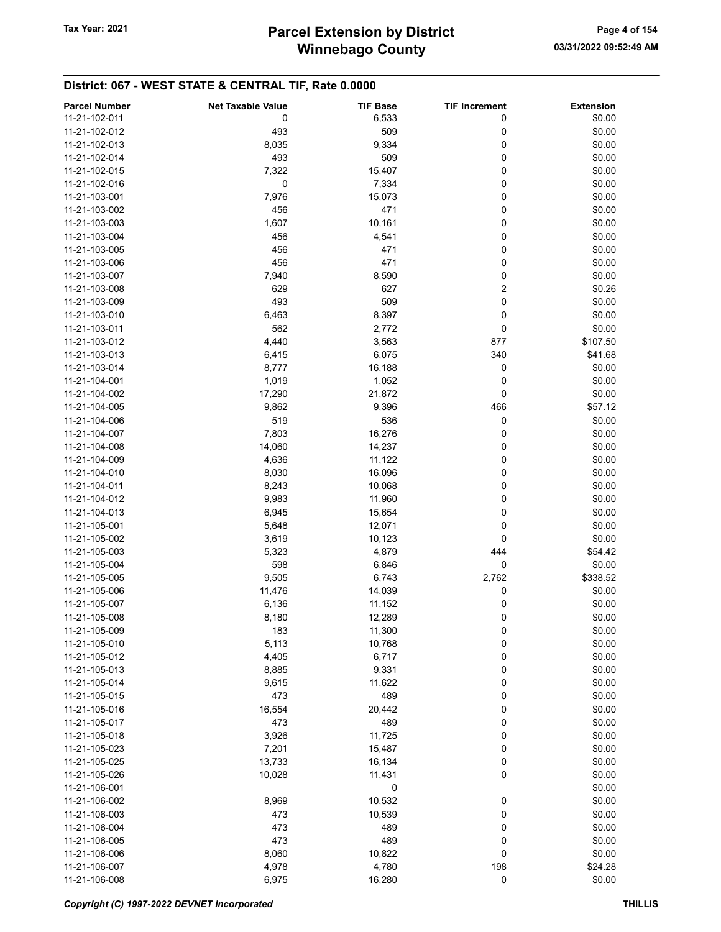| <b>Parcel Number</b> | <b>Net Taxable Value</b> | <b>TIF Base</b> | <b>TIF Increment</b> | <b>Extension</b> |
|----------------------|--------------------------|-----------------|----------------------|------------------|
| 11-21-102-011        | 0                        | 6,533           | 0                    | \$0.00           |
| 11-21-102-012        | 493                      | 509             | 0                    | \$0.00           |
| 11-21-102-013        | 8,035                    | 9,334           | 0                    | \$0.00           |
| 11-21-102-014        | 493                      | 509             | 0                    | \$0.00           |
| 11-21-102-015        |                          | 15,407          | 0                    | \$0.00           |
|                      | 7,322                    |                 |                      |                  |
| 11-21-102-016        | 0                        | 7,334           | 0                    | \$0.00           |
| 11-21-103-001        | 7,976                    | 15,073          | 0                    | \$0.00           |
| 11-21-103-002        | 456                      | 471             | 0                    | \$0.00           |
| 11-21-103-003        | 1,607                    | 10,161          | 0                    | \$0.00           |
| 11-21-103-004        | 456                      | 4,541           | 0                    | \$0.00           |
| 11-21-103-005        | 456                      | 471             | 0                    | \$0.00           |
| 11-21-103-006        | 456                      | 471             | 0                    | \$0.00           |
| 11-21-103-007        | 7,940                    | 8,590           | 0                    | \$0.00           |
| 11-21-103-008        | 629                      | 627             | $\overline{c}$       | \$0.26           |
| 11-21-103-009        | 493                      | 509             | 0                    | \$0.00           |
| 11-21-103-010        | 6,463                    | 8,397           | 0                    | \$0.00           |
| 11-21-103-011        | 562                      | 2,772           | 0                    | \$0.00           |
| 11-21-103-012        | 4,440                    | 3,563           | 877                  | \$107.50         |
| 11-21-103-013        | 6,415                    | 6,075           | 340                  | \$41.68          |
| 11-21-103-014        | 8,777                    | 16,188          | 0                    | \$0.00           |
| 11-21-104-001        | 1,019                    | 1,052           | 0                    | \$0.00           |
| 11-21-104-002        | 17,290                   | 21,872          | 0                    | \$0.00           |
| 11-21-104-005        |                          |                 |                      |                  |
|                      | 9,862                    | 9,396           | 466                  | \$57.12          |
| 11-21-104-006        | 519                      | 536             | 0                    | \$0.00           |
| 11-21-104-007        | 7,803                    | 16,276          | 0                    | \$0.00           |
| 11-21-104-008        | 14,060                   | 14,237          | 0                    | \$0.00           |
| 11-21-104-009        | 4,636                    | 11,122          | 0                    | \$0.00           |
| 11-21-104-010        | 8,030                    | 16,096          | 0                    | \$0.00           |
| 11-21-104-011        | 8,243                    | 10,068          | 0                    | \$0.00           |
| 11-21-104-012        | 9,983                    | 11,960          | 0                    | \$0.00           |
| 11-21-104-013        | 6,945                    | 15,654          | 0                    | \$0.00           |
| 11-21-105-001        | 5,648                    | 12,071          | 0                    | \$0.00           |
| 11-21-105-002        | 3,619                    | 10,123          | 0                    | \$0.00           |
| 11-21-105-003        | 5,323                    | 4,879           | 444                  | \$54.42          |
| 11-21-105-004        | 598                      | 6,846           | 0                    | \$0.00           |
| 11-21-105-005        | 9,505                    | 6,743           | 2,762                | \$338.52         |
| 11-21-105-006        | 11,476                   | 14,039          | 0                    | \$0.00           |
| 11-21-105-007        | 6,136                    | 11,152          | 0                    | \$0.00           |
| 11-21-105-008        | 8,180                    | 12,289          | 0                    | \$0.00           |
| 11-21-105-009        | 183                      | 11,300          | 0                    | \$0.00           |
| 11-21-105-010        | 5,113                    | 10,768          | 0                    | \$0.00           |
| 11-21-105-012        |                          | 6,717           | 0                    | \$0.00           |
|                      | 4,405                    |                 |                      |                  |
| 11-21-105-013        | 8,885                    | 9,331           | 0                    | \$0.00           |
| 11-21-105-014        | 9,615                    | 11,622          | 0                    | \$0.00           |
| 11-21-105-015        | 473                      | 489             | 0                    | \$0.00           |
| 11-21-105-016        | 16,554                   | 20,442          | 0                    | \$0.00           |
| 11-21-105-017        | 473                      | 489             | 0                    | \$0.00           |
| 11-21-105-018        | 3,926                    | 11,725          | 0                    | \$0.00           |
| 11-21-105-023        | 7,201                    | 15,487          | 0                    | \$0.00           |
| 11-21-105-025        | 13,733                   | 16,134          | 0                    | \$0.00           |
| 11-21-105-026        | 10,028                   | 11,431          | 0                    | \$0.00           |
| 11-21-106-001        |                          | 0               |                      | \$0.00           |
| 11-21-106-002        | 8,969                    | 10,532          | 0                    | \$0.00           |
| 11-21-106-003        | 473                      | 10,539          | 0                    | \$0.00           |
| 11-21-106-004        | 473                      | 489             | 0                    | \$0.00           |
| 11-21-106-005        | 473                      | 489             | 0                    | \$0.00           |
| 11-21-106-006        | 8,060                    | 10,822          | 0                    | \$0.00           |
| 11-21-106-007        | 4,978                    | 4,780           | 198                  | \$24.28          |
| 11-21-106-008        | 6,975                    | 16,280          | $\pmb{0}$            | \$0.00           |
|                      |                          |                 |                      |                  |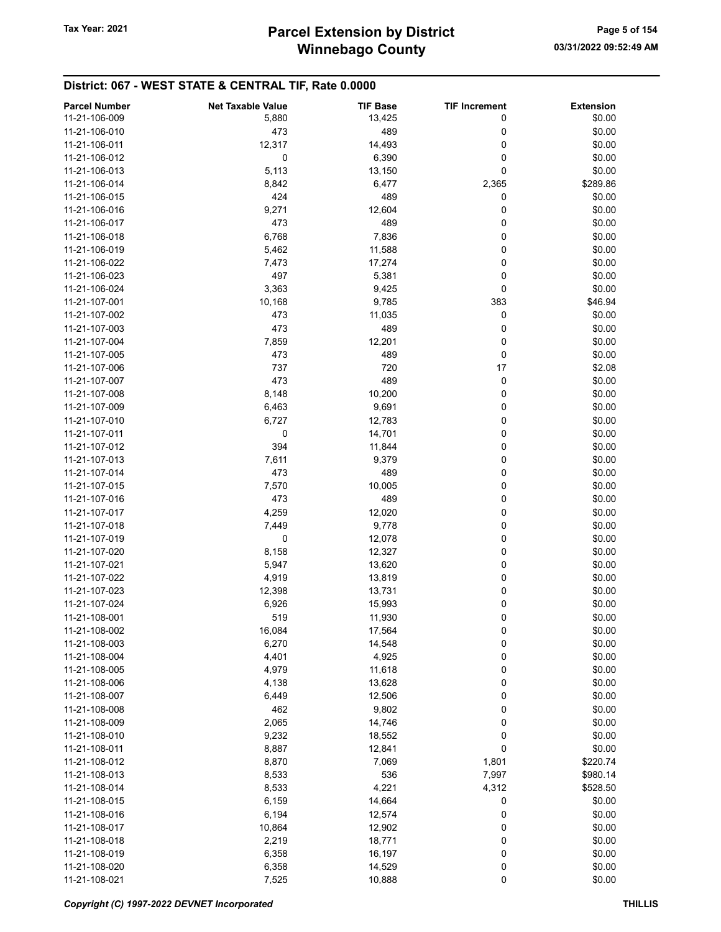| <b>Parcel Number</b> | <b>Net Taxable Value</b> | <b>TIF Base</b> | <b>TIF Increment</b> | <b>Extension</b> |
|----------------------|--------------------------|-----------------|----------------------|------------------|
|                      |                          |                 |                      |                  |
| 11-21-106-009        | 5,880                    | 13,425          | 0                    | \$0.00           |
| 11-21-106-010        | 473                      | 489             | 0                    | \$0.00           |
| 11-21-106-011        | 12,317                   | 14,493          | 0                    | \$0.00           |
| 11-21-106-012        | 0                        | 6,390           | 0                    | \$0.00           |
| 11-21-106-013        | 5,113                    | 13,150          | 0                    | \$0.00           |
| 11-21-106-014        | 8,842                    | 6,477           | 2,365                | \$289.86         |
| 11-21-106-015        | 424                      | 489             | 0                    | \$0.00           |
|                      |                          |                 |                      |                  |
| 11-21-106-016        | 9,271                    | 12,604          | 0                    | \$0.00           |
| 11-21-106-017        | 473                      | 489             | 0                    | \$0.00           |
| 11-21-106-018        | 6,768                    | 7,836           | 0                    | \$0.00           |
| 11-21-106-019        | 5,462                    | 11,588          | 0                    | \$0.00           |
| 11-21-106-022        | 7,473                    | 17,274          | 0                    | \$0.00           |
| 11-21-106-023        | 497                      | 5,381           | 0                    | \$0.00           |
| 11-21-106-024        | 3,363                    | 9,425           | 0                    | \$0.00           |
|                      |                          |                 |                      | \$46.94          |
| 11-21-107-001        | 10,168                   | 9,785           | 383                  |                  |
| 11-21-107-002        | 473                      | 11,035          | 0                    | \$0.00           |
| 11-21-107-003        | 473                      | 489             | 0                    | \$0.00           |
| 11-21-107-004        | 7,859                    | 12,201          | 0                    | \$0.00           |
| 11-21-107-005        | 473                      | 489             | 0                    | \$0.00           |
| 11-21-107-006        | 737                      | 720             | 17                   | \$2.08           |
| 11-21-107-007        | 473                      | 489             | 0                    | \$0.00           |
| 11-21-107-008        | 8,148                    | 10,200          | 0                    | \$0.00           |
|                      |                          |                 |                      |                  |
| 11-21-107-009        | 6,463                    | 9,691           | 0                    | \$0.00           |
| 11-21-107-010        | 6,727                    | 12,783          | 0                    | \$0.00           |
| 11-21-107-011        | 0                        | 14,701          | 0                    | \$0.00           |
| 11-21-107-012        | 394                      | 11,844          | 0                    | \$0.00           |
| 11-21-107-013        | 7,611                    | 9,379           | 0                    | \$0.00           |
| 11-21-107-014        | 473                      | 489             | 0                    | \$0.00           |
| 11-21-107-015        | 7,570                    | 10,005          | 0                    | \$0.00           |
| 11-21-107-016        | 473                      | 489             | 0                    | \$0.00           |
| 11-21-107-017        | 4,259                    | 12,020          | 0                    | \$0.00           |
| 11-21-107-018        | 7,449                    | 9,778           | 0                    | \$0.00           |
|                      |                          |                 |                      |                  |
| 11-21-107-019        | 0                        | 12,078          | 0                    | \$0.00           |
| 11-21-107-020        | 8,158                    | 12,327          | 0                    | \$0.00           |
| 11-21-107-021        | 5,947                    | 13,620          | 0                    | \$0.00           |
| 11-21-107-022        | 4,919                    | 13,819          | 0                    | \$0.00           |
| 11-21-107-023        | 12,398                   | 13,731          | 0                    | \$0.00           |
| 11-21-107-024        | 6,926                    | 15,993          | 0                    | \$0.00           |
| 11-21-108-001        | 519                      | 11,930          | 0                    | \$0.00           |
| 11-21-108-002        | 16,084                   | 17,564          | 0                    | \$0.00           |
| 11-21-108-003        | 6,270                    | 14,548          | 0                    | \$0.00           |
| 11-21-108-004        | 4,401                    | 4,925           | 0                    | \$0.00           |
|                      |                          |                 |                      |                  |
| 11-21-108-005        | 4,979                    | 11,618          | 0                    | \$0.00           |
| 11-21-108-006        | 4,138                    | 13,628          | 0                    | \$0.00           |
| 11-21-108-007        | 6,449                    | 12,506          | 0                    | \$0.00           |
| 11-21-108-008        | 462                      | 9,802           | 0                    | \$0.00           |
| 11-21-108-009        | 2,065                    | 14,746          | 0                    | \$0.00           |
| 11-21-108-010        | 9,232                    | 18,552          | 0                    | \$0.00           |
| 11-21-108-011        | 8,887                    | 12,841          | 0                    | \$0.00           |
| 11-21-108-012        | 8,870                    | 7,069           | 1,801                | \$220.74         |
| 11-21-108-013        | 8,533                    | 536             | 7,997                | \$980.14         |
|                      |                          |                 |                      |                  |
| 11-21-108-014        | 8,533                    | 4,221           | 4,312                | \$528.50         |
| 11-21-108-015        | 6,159                    | 14,664          | 0                    | \$0.00           |
| 11-21-108-016        | 6,194                    | 12,574          | 0                    | \$0.00           |
| 11-21-108-017        | 10,864                   | 12,902          | 0                    | \$0.00           |
| 11-21-108-018        | 2,219                    | 18,771          | 0                    | \$0.00           |
| 11-21-108-019        | 6,358                    | 16,197          | 0                    | \$0.00           |
| 11-21-108-020        | 6,358                    | 14,529          | 0                    | \$0.00           |
| 11-21-108-021        | 7,525                    | 10,888          | 0                    | \$0.00           |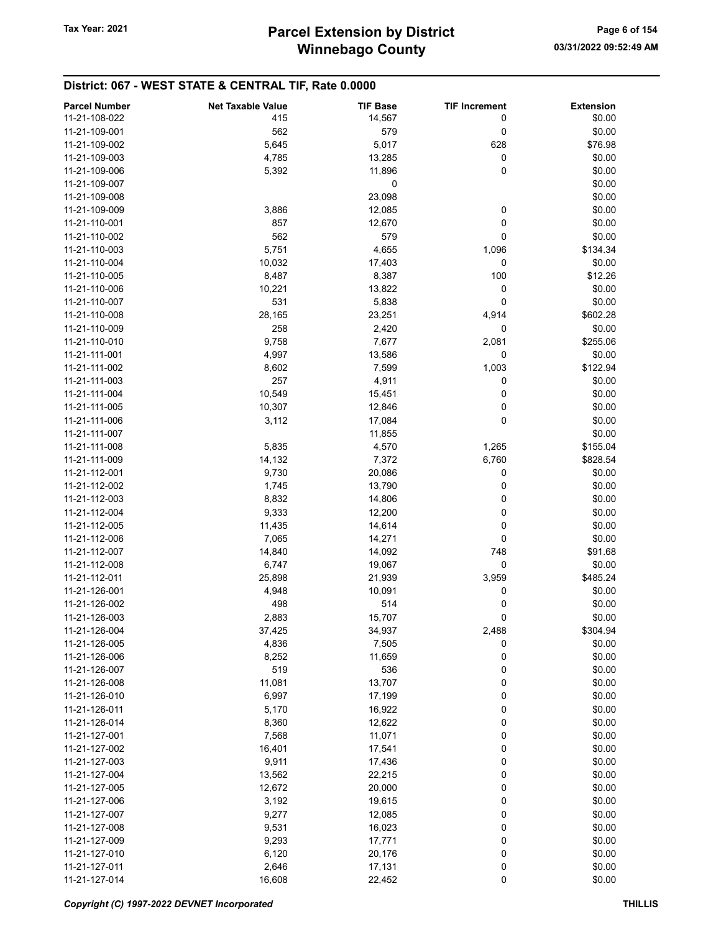| <b>Parcel Number</b> | <b>Net Taxable Value</b> | <b>TIF Base</b> | <b>TIF Increment</b> | <b>Extension</b> |
|----------------------|--------------------------|-----------------|----------------------|------------------|
| 11-21-108-022        | 415                      | 14,567          | 0                    | \$0.00           |
|                      |                          |                 |                      |                  |
| 11-21-109-001        | 562                      | 579             | 0                    | \$0.00           |
| 11-21-109-002        | 5,645                    | 5,017           | 628                  | \$76.98          |
| 11-21-109-003        | 4,785                    | 13,285          | 0                    | \$0.00           |
| 11-21-109-006        | 5,392                    | 11,896          | 0                    | \$0.00           |
| 11-21-109-007        |                          | 0               |                      | \$0.00           |
| 11-21-109-008        |                          | 23,098          |                      | \$0.00           |
| 11-21-109-009        | 3,886                    | 12,085          | 0                    | \$0.00           |
| 11-21-110-001        | 857                      | 12,670          | 0                    | \$0.00           |
| 11-21-110-002        | 562                      | 579             | 0                    | \$0.00           |
| 11-21-110-003        | 5,751                    | 4,655           | 1,096                | \$134.34         |
| 11-21-110-004        | 10,032                   | 17,403          | 0                    | \$0.00           |
| 11-21-110-005        |                          |                 | 100                  |                  |
|                      | 8,487                    | 8,387           |                      | \$12.26          |
| 11-21-110-006        | 10,221                   | 13,822          | 0                    | \$0.00           |
| 11-21-110-007        | 531                      | 5,838           | 0                    | \$0.00           |
| 11-21-110-008        | 28,165                   | 23,251          | 4,914                | \$602.28         |
| 11-21-110-009        | 258                      | 2,420           | 0                    | \$0.00           |
| 11-21-110-010        | 9,758                    | 7,677           | 2,081                | \$255.06         |
| 11-21-111-001        | 4,997                    | 13,586          | 0                    | \$0.00           |
| 11-21-111-002        | 8,602                    | 7,599           | 1,003                | \$122.94         |
| 11-21-111-003        | 257                      | 4,911           | 0                    | \$0.00           |
| 11-21-111-004        | 10,549                   | 15,451          | 0                    | \$0.00           |
| 11-21-111-005        | 10,307                   | 12,846          | 0                    | \$0.00           |
| 11-21-111-006        | 3,112                    | 17,084          | 0                    | \$0.00           |
|                      |                          |                 |                      |                  |
| 11-21-111-007        |                          | 11,855          |                      | \$0.00           |
| 11-21-111-008        | 5,835                    | 4,570           | 1,265                | \$155.04         |
| 11-21-111-009        | 14,132                   | 7,372           | 6,760                | \$828.54         |
| 11-21-112-001        | 9,730                    | 20,086          | 0                    | \$0.00           |
| 11-21-112-002        | 1,745                    | 13,790          | 0                    | \$0.00           |
| 11-21-112-003        | 8,832                    | 14,806          | 0                    | \$0.00           |
| 11-21-112-004        | 9,333                    | 12,200          | 0                    | \$0.00           |
| 11-21-112-005        | 11,435                   | 14,614          | 0                    | \$0.00           |
| 11-21-112-006        | 7,065                    | 14,271          | 0                    | \$0.00           |
| 11-21-112-007        | 14,840                   | 14,092          | 748                  | \$91.68          |
| 11-21-112-008        | 6,747                    | 19,067          | 0                    | \$0.00           |
| 11-21-112-011        | 25,898                   | 21,939          | 3,959                | \$485.24         |
| 11-21-126-001        | 4,948                    | 10,091          | 0                    | \$0.00           |
| 11-21-126-002        | 498                      | 514             | 0                    | \$0.00           |
|                      |                          |                 |                      |                  |
| 11-21-126-003        | 2,883                    | 15,707          | 0                    | \$0.00           |
| 11-21-126-004        | 37,425                   | 34,937          | 2,488                | \$304.94         |
| 11-21-126-005        | 4,836                    | 7,505           | 0                    | \$0.00           |
| 11-21-126-006        | 8,252                    | 11,659          | 0                    | \$0.00           |
| 11-21-126-007        | 519                      | 536             | 0                    | \$0.00           |
| 11-21-126-008        | 11,081                   | 13,707          | 0                    | \$0.00           |
| 11-21-126-010        | 6,997                    | 17,199          | 0                    | \$0.00           |
| 11-21-126-011        | 5,170                    | 16,922          | 0                    | \$0.00           |
| 11-21-126-014        | 8,360                    | 12,622          | 0                    | \$0.00           |
| 11-21-127-001        | 7,568                    | 11,071          | 0                    | \$0.00           |
| 11-21-127-002        | 16,401                   | 17,541          | 0                    | \$0.00           |
| 11-21-127-003        | 9,911                    | 17,436          | 0                    | \$0.00           |
| 11-21-127-004        |                          |                 | 0                    |                  |
|                      | 13,562                   | 22,215          |                      | \$0.00           |
| 11-21-127-005        | 12,672                   | 20,000          | 0                    | \$0.00           |
| 11-21-127-006        | 3,192                    | 19,615          | 0                    | \$0.00           |
| 11-21-127-007        | 9,277                    | 12,085          | 0                    | \$0.00           |
| 11-21-127-008        | 9,531                    | 16,023          | 0                    | \$0.00           |
| 11-21-127-009        | 9,293                    | 17,771          | 0                    | \$0.00           |
| 11-21-127-010        | 6,120                    | 20,176          | 0                    | \$0.00           |
| 11-21-127-011        | 2,646                    | 17,131          | 0                    | \$0.00           |
| 11-21-127-014        | 16,608                   | 22,452          | 0                    | \$0.00           |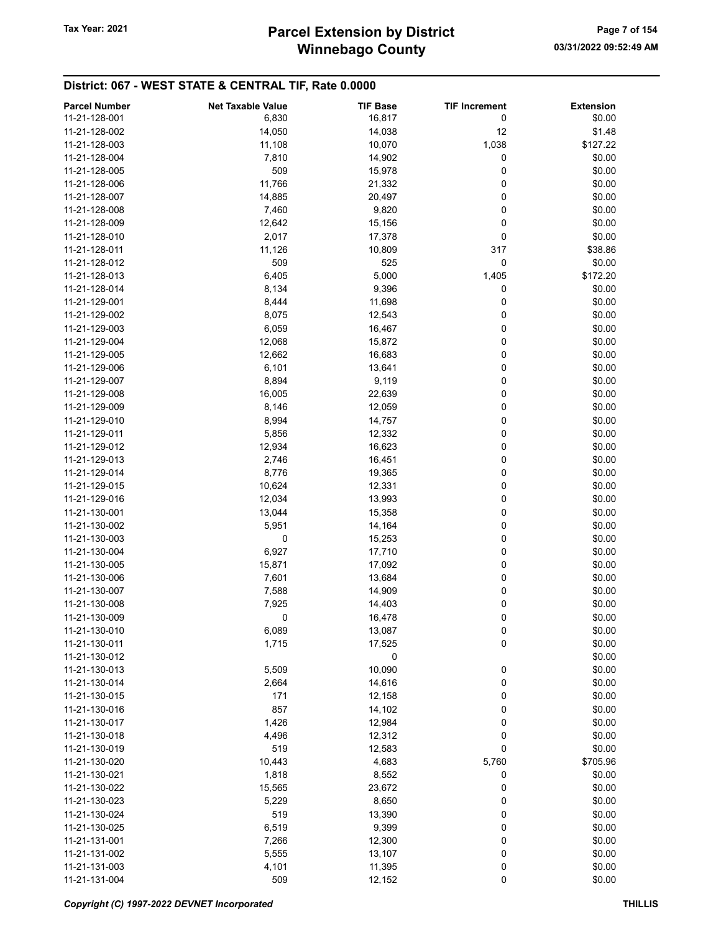## Winnebago County Tax Year: 2021 **Parcel Extension by District** Page 7 of 154

| <b>Parcel Number</b> | <b>Net Taxable Value</b> | <b>TIF Base</b> | <b>TIF Increment</b> | <b>Extension</b> |
|----------------------|--------------------------|-----------------|----------------------|------------------|
| 11-21-128-001        | 6,830                    | 16,817          | 0                    | \$0.00           |
|                      |                          |                 |                      |                  |
| 11-21-128-002        | 14,050                   | 14,038          | 12                   | \$1.48           |
| 11-21-128-003        | 11,108                   | 10,070          | 1,038                | \$127.22         |
| 11-21-128-004        | 7,810                    | 14,902          | 0                    | \$0.00           |
| 11-21-128-005        | 509                      | 15,978          | 0                    | \$0.00           |
| 11-21-128-006        | 11,766                   | 21,332          | 0                    | \$0.00           |
| 11-21-128-007        | 14,885                   | 20,497          | 0                    | \$0.00           |
| 11-21-128-008        | 7,460                    | 9,820           | 0                    | \$0.00           |
| 11-21-128-009        | 12,642                   | 15,156          | 0                    | \$0.00           |
| 11-21-128-010        | 2,017                    | 17,378          | 0                    | \$0.00           |
| 11-21-128-011        | 11,126                   | 10,809          | 317                  | \$38.86          |
| 11-21-128-012        | 509                      | 525             | 0                    | \$0.00           |
| 11-21-128-013        | 6,405                    | 5,000           |                      | \$172.20         |
|                      |                          |                 | 1,405                |                  |
| 11-21-128-014        | 8,134                    | 9,396           | 0                    | \$0.00           |
| 11-21-129-001        | 8,444                    | 11,698          | 0                    | \$0.00           |
| 11-21-129-002        | 8,075                    | 12,543          | 0                    | \$0.00           |
| 11-21-129-003        | 6,059                    | 16,467          | 0                    | \$0.00           |
| 11-21-129-004        | 12,068                   | 15,872          | 0                    | \$0.00           |
| 11-21-129-005        | 12,662                   | 16,683          | 0                    | \$0.00           |
| 11-21-129-006        | 6,101                    | 13,641          | 0                    | \$0.00           |
| 11-21-129-007        | 8,894                    | 9,119           | 0                    | \$0.00           |
| 11-21-129-008        | 16,005                   | 22,639          | 0                    | \$0.00           |
| 11-21-129-009        | 8,146                    | 12,059          | 0                    | \$0.00           |
| 11-21-129-010        | 8,994                    | 14,757          | 0                    | \$0.00           |
|                      |                          |                 |                      |                  |
| 11-21-129-011        | 5,856                    | 12,332          | 0                    | \$0.00           |
| 11-21-129-012        | 12,934                   | 16,623          | 0                    | \$0.00           |
| 11-21-129-013        | 2,746                    | 16,451          | 0                    | \$0.00           |
| 11-21-129-014        | 8,776                    | 19,365          | 0                    | \$0.00           |
| 11-21-129-015        | 10,624                   | 12,331          | 0                    | \$0.00           |
| 11-21-129-016        | 12,034                   | 13,993          | 0                    | \$0.00           |
| 11-21-130-001        | 13,044                   | 15,358          | 0                    | \$0.00           |
| 11-21-130-002        | 5,951                    | 14,164          | 0                    | \$0.00           |
| 11-21-130-003        | 0                        | 15,253          | 0                    | \$0.00           |
| 11-21-130-004        | 6,927                    | 17,710          | 0                    | \$0.00           |
| 11-21-130-005        | 15,871                   | 17,092          | 0                    | \$0.00           |
| 11-21-130-006        | 7,601                    | 13,684          | 0                    | \$0.00           |
| 11-21-130-007        | 7,588                    | 14,909          | 0                    | \$0.00           |
|                      |                          |                 |                      |                  |
| 11-21-130-008        | 7,925                    | 14,403          | 0                    | \$0.00           |
| 11-21-130-009        | 0                        | 16,478          | 0                    | \$0.00           |
| 11-21-130-010        | 6,089                    | 13,087          | 0                    | \$0.00           |
| 11-21-130-011        | 1,715                    | 17,525          | 0                    | \$0.00           |
| 11-21-130-012        |                          | 0               |                      | \$0.00           |
| 11-21-130-013        | 5,509                    | 10,090          | 0                    | \$0.00           |
| 11-21-130-014        | 2,664                    | 14,616          | 0                    | \$0.00           |
| 11-21-130-015        | 171                      | 12,158          | 0                    | \$0.00           |
| 11-21-130-016        | 857                      | 14,102          | 0                    | \$0.00           |
| 11-21-130-017        | 1,426                    | 12,984          | 0                    | \$0.00           |
| 11-21-130-018        | 4,496                    | 12,312          | 0                    | \$0.00           |
| 11-21-130-019        | 519                      | 12,583          | 0                    | \$0.00           |
| 11-21-130-020        | 10,443                   | 4,683           | 5,760                | \$705.96         |
|                      |                          |                 |                      |                  |
| 11-21-130-021        | 1,818                    | 8,552           | 0                    | \$0.00           |
| 11-21-130-022        | 15,565                   | 23,672          | 0                    | \$0.00           |
| 11-21-130-023        | 5,229                    | 8,650           | 0                    | \$0.00           |
| 11-21-130-024        | 519                      | 13,390          | 0                    | \$0.00           |
| 11-21-130-025        | 6,519                    | 9,399           | 0                    | \$0.00           |
| 11-21-131-001        | 7,266                    | 12,300          | 0                    | \$0.00           |
| 11-21-131-002        | 5,555                    | 13,107          | 0                    | \$0.00           |
| 11-21-131-003        | 4,101                    | 11,395          | 0                    | \$0.00           |
| 11-21-131-004        | 509                      | 12,152          | 0                    | \$0.00           |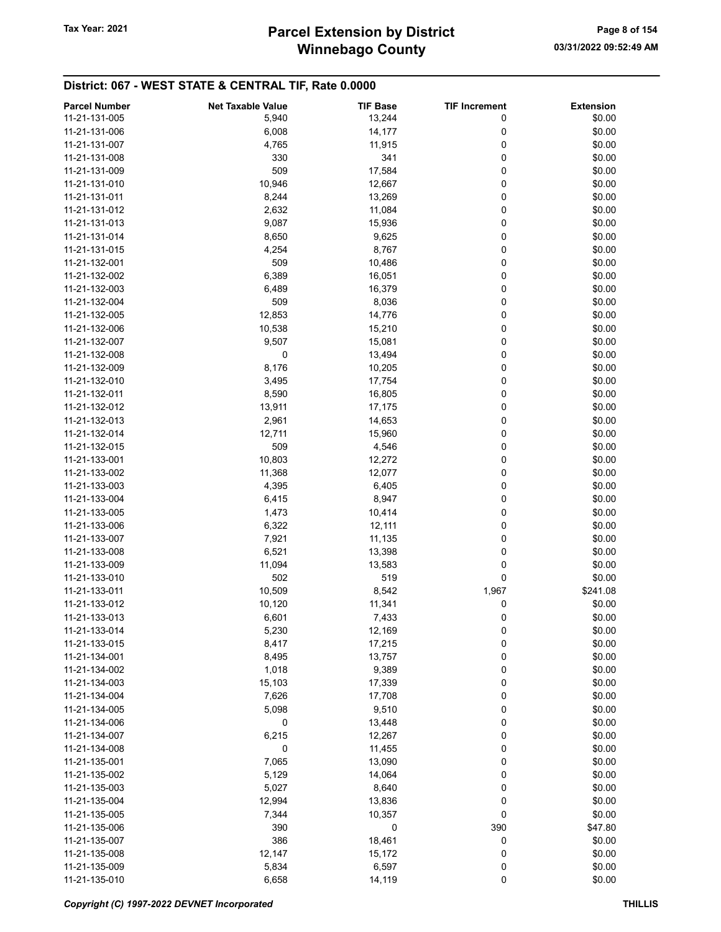## Winnebago County Tax Year: 2021 **Parcel Extension by District** Tax Year: 2021 Page 8 of 154

| <b>Parcel Number</b> | <b>Net Taxable Value</b> | <b>TIF Base</b> | <b>TIF Increment</b> | <b>Extension</b> |
|----------------------|--------------------------|-----------------|----------------------|------------------|
| 11-21-131-005        | 5,940                    | 13,244          | 0                    | \$0.00           |
| 11-21-131-006        | 6,008                    | 14,177          | 0                    | \$0.00           |
| 11-21-131-007        | 4,765                    | 11,915          | 0                    | \$0.00           |
| 11-21-131-008        | 330                      | 341             | 0                    | \$0.00           |
| 11-21-131-009        | 509                      | 17,584          | 0                    | \$0.00           |
| 11-21-131-010        |                          |                 |                      |                  |
|                      | 10,946                   | 12,667          | 0                    | \$0.00           |
| 11-21-131-011        | 8,244                    | 13,269          | 0                    | \$0.00           |
| 11-21-131-012        | 2,632                    | 11,084          | 0                    | \$0.00           |
| 11-21-131-013        | 9,087                    | 15,936          | 0                    | \$0.00           |
| 11-21-131-014        | 8,650                    | 9,625           | 0                    | \$0.00           |
| 11-21-131-015        | 4,254                    | 8,767           | 0                    | \$0.00           |
| 11-21-132-001        | 509                      | 10,486          | 0                    | \$0.00           |
| 11-21-132-002        | 6,389                    | 16,051          | 0                    | \$0.00           |
| 11-21-132-003        | 6,489                    | 16,379          | 0                    | \$0.00           |
| 11-21-132-004        | 509                      | 8,036           | 0                    | \$0.00           |
| 11-21-132-005        | 12,853                   | 14,776          | 0                    | \$0.00           |
| 11-21-132-006        | 10,538                   | 15,210          | 0                    | \$0.00           |
| 11-21-132-007        | 9,507                    | 15,081          | 0                    | \$0.00           |
| 11-21-132-008        | 0                        | 13,494          | 0                    | \$0.00           |
| 11-21-132-009        | 8,176                    | 10,205          | 0                    | \$0.00           |
| 11-21-132-010        | 3,495                    | 17,754          | 0                    | \$0.00           |
| 11-21-132-011        | 8,590                    | 16,805          | 0                    | \$0.00           |
| 11-21-132-012        | 13,911                   | 17,175          | 0                    | \$0.00           |
| 11-21-132-013        | 2,961                    | 14,653          | 0                    | \$0.00           |
| 11-21-132-014        | 12,711                   | 15,960          | 0                    | \$0.00           |
| 11-21-132-015        | 509                      | 4,546           | 0                    | \$0.00           |
| 11-21-133-001        | 10,803                   | 12,272          | 0                    | \$0.00           |
| 11-21-133-002        | 11,368                   | 12,077          | 0                    | \$0.00           |
| 11-21-133-003        |                          |                 | 0                    | \$0.00           |
|                      | 4,395                    | 6,405           |                      |                  |
| 11-21-133-004        | 6,415                    | 8,947           | 0                    | \$0.00           |
| 11-21-133-005        | 1,473                    | 10,414          | 0                    | \$0.00           |
| 11-21-133-006        | 6,322                    | 12,111          | 0                    | \$0.00           |
| 11-21-133-007        | 7,921                    | 11,135          | 0                    | \$0.00           |
| 11-21-133-008        | 6,521                    | 13,398          | 0                    | \$0.00           |
| 11-21-133-009        | 11,094                   | 13,583          | 0                    | \$0.00           |
| 11-21-133-010        | 502                      | 519             | 0                    | \$0.00           |
| 11-21-133-011        | 10,509                   | 8,542           | 1,967                | \$241.08         |
| 11-21-133-012        | 10,120                   | 11,341          | 0                    | \$0.00           |
| 11-21-133-013        | 6,601                    | 7,433           | 0                    | \$0.00           |
| 11-21-133-014        | 5,230                    | 12,169          | 0                    | \$0.00           |
| 11-21-133-015        | 8,417                    | 17,215          | 0                    | \$0.00           |
| 11-21-134-001        | 8,495                    | 13,757          | 0                    | \$0.00           |
| 11-21-134-002        | 1,018                    | 9,389           | 0                    | \$0.00           |
| 11-21-134-003        | 15,103                   | 17,339          | 0                    | \$0.00           |
| 11-21-134-004        | 7,626                    | 17,708          | 0                    | \$0.00           |
| 11-21-134-005        | 5,098                    | 9,510           | 0                    | \$0.00           |
| 11-21-134-006        | 0                        | 13,448          | 0                    | \$0.00           |
| 11-21-134-007        | 6,215                    | 12,267          | 0                    | \$0.00           |
| 11-21-134-008        | 0                        | 11,455          | 0                    | \$0.00           |
| 11-21-135-001        | 7,065                    | 13,090          | 0                    | \$0.00           |
| 11-21-135-002        | 5,129                    | 14,064          | 0                    | \$0.00           |
| 11-21-135-003        | 5,027                    | 8,640           | 0                    | \$0.00           |
| 11-21-135-004        | 12,994                   | 13,836          | 0                    | \$0.00           |
| 11-21-135-005        | 7,344                    | 10,357          | 0                    | \$0.00           |
| 11-21-135-006        | 390                      | 0               | 390                  | \$47.80          |
|                      |                          |                 |                      |                  |
| 11-21-135-007        | 386                      | 18,461          | 0                    | \$0.00           |
| 11-21-135-008        | 12,147                   | 15,172          | 0                    | \$0.00           |
| 11-21-135-009        | 5,834                    | 6,597           | 0                    | \$0.00           |
| 11-21-135-010        | 6,658                    | 14,119          | 0                    | \$0.00           |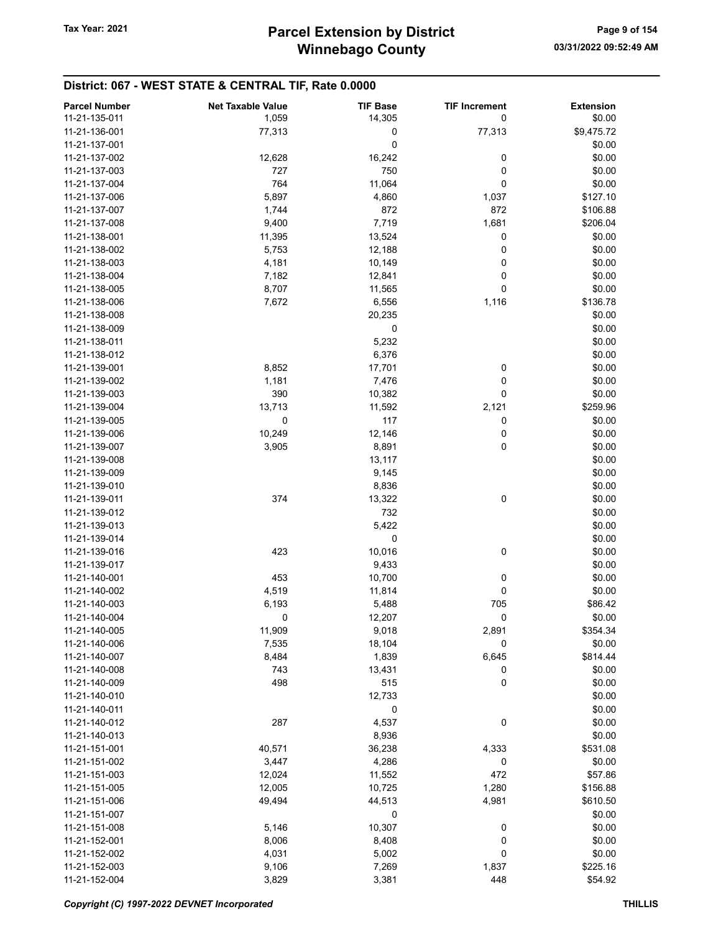| <b>Parcel Number</b> | <b>Net Taxable Value</b> | <b>TIF Base</b> | <b>TIF Increment</b> | <b>Extension</b> |
|----------------------|--------------------------|-----------------|----------------------|------------------|
| 11-21-135-011        | 1,059                    | 14,305          | 0                    | \$0.00           |
| 11-21-136-001        | 77,313                   | 0               | 77,313               | \$9,475.72       |
| 11-21-137-001        |                          | 0               |                      | \$0.00           |
| 11-21-137-002        | 12,628                   | 16,242          | 0                    | \$0.00           |
| 11-21-137-003        | 727                      | 750             | 0                    | \$0.00           |
| 11-21-137-004        | 764                      | 11,064          | 0                    | \$0.00           |
| 11-21-137-006        | 5,897                    | 4,860           | 1,037                | \$127.10         |
| 11-21-137-007        | 1,744                    | 872             | 872                  | \$106.88         |
| 11-21-137-008        | 9,400                    | 7,719           | 1,681                | \$206.04         |
| 11-21-138-001        | 11,395                   | 13,524          | 0                    | \$0.00           |
| 11-21-138-002        | 5,753                    | 12,188          | 0                    | \$0.00           |
| 11-21-138-003        | 4,181                    | 10,149          | 0                    | \$0.00           |
| 11-21-138-004        | 7,182                    | 12,841          | 0                    | \$0.00           |
| 11-21-138-005        | 8,707                    | 11,565          | 0                    | \$0.00           |
| 11-21-138-006        | 7,672                    | 6,556           | 1,116                | \$136.78         |
| 11-21-138-008        |                          | 20,235          |                      | \$0.00           |
| 11-21-138-009        |                          | 0               |                      | \$0.00           |
| 11-21-138-011        |                          | 5,232           |                      | \$0.00           |
| 11-21-138-012        |                          | 6,376           |                      | \$0.00           |
| 11-21-139-001        | 8,852                    | 17,701          | 0                    | \$0.00           |
| 11-21-139-002        | 1,181                    | 7,476           | 0                    | \$0.00           |
| 11-21-139-003        | 390                      | 10,382          | 0                    | \$0.00           |
| 11-21-139-004        | 13,713                   | 11,592          | 2,121                | \$259.96         |
| 11-21-139-005        | 0                        | 117             | 0                    | \$0.00           |
| 11-21-139-006        | 10,249                   | 12,146          | 0                    | \$0.00           |
| 11-21-139-007        | 3,905                    | 8,891           | 0                    | \$0.00           |
| 11-21-139-008        |                          | 13,117          |                      | \$0.00           |
| 11-21-139-009        |                          | 9,145           |                      | \$0.00           |
| 11-21-139-010        |                          | 8,836           |                      | \$0.00           |
| 11-21-139-011        | 374                      | 13,322          | 0                    | \$0.00           |
| 11-21-139-012        |                          | 732             |                      | \$0.00           |
| 11-21-139-013        |                          | 5,422           |                      | \$0.00           |
| 11-21-139-014        |                          | 0               |                      | \$0.00           |
| 11-21-139-016        | 423                      | 10,016          | 0                    | \$0.00           |
| 11-21-139-017        |                          | 9,433           |                      | \$0.00           |
| 11-21-140-001        | 453                      | 10,700          | 0                    | \$0.00           |
| 11-21-140-002        | 4,519                    | 11,814          | 0                    | \$0.00           |
| 11-21-140-003        | 6,193                    | 5,488           | 705                  | \$86.42          |
| 11-21-140-004        | 0                        | 12,207          | 0                    | \$0.00           |
| 11-21-140-005        | 11,909                   | 9,018           | 2,891                | \$354.34         |
| 11-21-140-006        | 7,535                    | 18,104          | 0                    | \$0.00           |
| 11-21-140-007        | 8,484                    | 1,839           | 6,645                | \$814.44         |
| 11-21-140-008        | 743                      | 13,431          | 0                    | \$0.00           |
| 11-21-140-009        | 498                      | 515             | 0                    | \$0.00           |
| 11-21-140-010        |                          | 12,733          |                      | \$0.00           |
| 11-21-140-011        |                          | 0               |                      | \$0.00           |
| 11-21-140-012        | 287                      | 4,537           | 0                    | \$0.00           |
| 11-21-140-013        |                          | 8,936           |                      | \$0.00           |
| 11-21-151-001        | 40,571                   | 36,238          | 4,333                | \$531.08         |
| 11-21-151-002        | 3,447                    | 4,286           | 0                    | \$0.00           |
| 11-21-151-003        | 12,024                   | 11,552          | 472                  | \$57.86          |
| 11-21-151-005        | 12,005                   | 10,725          | 1,280                | \$156.88         |
| 11-21-151-006        | 49,494                   | 44,513          | 4,981                | \$610.50         |
| 11-21-151-007        |                          | 0               |                      | \$0.00           |
| 11-21-151-008        | 5,146                    | 10,307          | 0                    | \$0.00           |
| 11-21-152-001        | 8,006                    | 8,408           | 0                    | \$0.00           |
| 11-21-152-002        | 4,031                    | 5,002           | 0                    | \$0.00           |
| 11-21-152-003        | 9,106                    | 7,269           | 1,837                | \$225.16         |
| 11-21-152-004        | 3,829                    | 3,381           | 448                  | \$54.92          |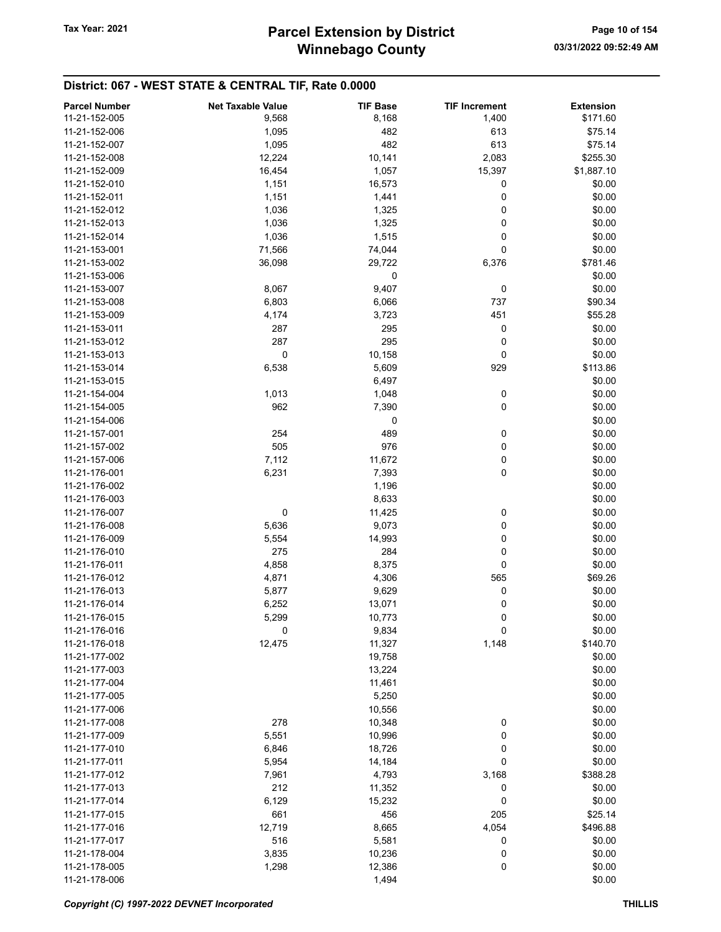| <b>Parcel Number</b> | <b>Net Taxable Value</b> | <b>TIF Base</b> | <b>TIF Increment</b> | <b>Extension</b> |
|----------------------|--------------------------|-----------------|----------------------|------------------|
| 11-21-152-005        | 9,568                    | 8,168           | 1,400                | \$171.60         |
| 11-21-152-006        | 1,095                    | 482             | 613                  | \$75.14          |
| 11-21-152-007        | 1,095                    | 482             | 613                  | \$75.14          |
| 11-21-152-008        | 12,224                   | 10,141          | 2,083                | \$255.30         |
| 11-21-152-009        |                          | 1,057           |                      | \$1,887.10       |
|                      | 16,454                   |                 | 15,397               |                  |
| 11-21-152-010        | 1,151                    | 16,573          | 0                    | \$0.00           |
| 11-21-152-011        | 1,151                    | 1,441           | 0                    | \$0.00           |
| 11-21-152-012        | 1,036                    | 1,325           | 0                    | \$0.00           |
| 11-21-152-013        | 1,036                    | 1,325           | 0                    | \$0.00           |
| 11-21-152-014        | 1,036                    | 1,515           | 0                    | \$0.00           |
| 11-21-153-001        | 71,566                   | 74,044          | 0                    | \$0.00           |
| 11-21-153-002        | 36,098                   | 29,722          | 6,376                | \$781.46         |
| 11-21-153-006        |                          | 0               |                      | \$0.00           |
| 11-21-153-007        | 8,067                    | 9,407           | 0                    | \$0.00           |
| 11-21-153-008        | 6,803                    | 6,066           | 737                  | \$90.34          |
| 11-21-153-009        | 4,174                    | 3,723           | 451                  | \$55.28          |
| 11-21-153-011        | 287                      | 295             | 0                    | \$0.00           |
| 11-21-153-012        | 287                      | 295             | 0                    | \$0.00           |
| 11-21-153-013        | 0                        | 10,158          | 0                    | \$0.00           |
| 11-21-153-014        | 6,538                    | 5,609           | 929                  | \$113.86         |
| 11-21-153-015        |                          | 6,497           |                      | \$0.00           |
| 11-21-154-004        | 1,013                    | 1,048           | 0                    | \$0.00           |
| 11-21-154-005        | 962                      | 7,390           | 0                    | \$0.00           |
| 11-21-154-006        |                          | 0               |                      | \$0.00           |
| 11-21-157-001        | 254                      | 489             | 0                    | \$0.00           |
| 11-21-157-002        | 505                      | 976             | 0                    | \$0.00           |
| 11-21-157-006        | 7,112                    | 11,672          | 0                    | \$0.00           |
| 11-21-176-001        | 6,231                    | 7,393           | 0                    | \$0.00           |
| 11-21-176-002        |                          | 1,196           |                      | \$0.00           |
| 11-21-176-003        |                          | 8,633           |                      | \$0.00           |
| 11-21-176-007        | 0                        | 11,425          | 0                    | \$0.00           |
| 11-21-176-008        | 5,636                    | 9,073           | 0                    | \$0.00           |
| 11-21-176-009        | 5,554                    | 14,993          | 0                    | \$0.00           |
| 11-21-176-010        | 275                      | 284             | 0                    | \$0.00           |
| 11-21-176-011        | 4,858                    | 8,375           | 0                    | \$0.00           |
| 11-21-176-012        | 4,871                    | 4,306           | 565                  | \$69.26          |
| 11-21-176-013        | 5,877                    | 9,629           | 0                    | \$0.00           |
| 11-21-176-014        | 6,252                    | 13,071          | 0                    | \$0.00           |
| 11-21-176-015        | 5,299                    | 10,773          | 0                    | \$0.00           |
| 11-21-176-016        | 0                        | 9,834           | 0                    | \$0.00           |
| 11-21-176-018        | 12,475                   | 11,327          | 1,148                | \$140.70         |
| 11-21-177-002        |                          | 19,758          |                      | \$0.00           |
| 11-21-177-003        |                          | 13,224          |                      | \$0.00           |
| 11-21-177-004        |                          | 11,461          |                      | \$0.00           |
| 11-21-177-005        |                          | 5,250           |                      | \$0.00           |
| 11-21-177-006        |                          | 10,556          |                      | \$0.00           |
| 11-21-177-008        |                          |                 |                      | \$0.00           |
| 11-21-177-009        | 278                      | 10,348          | 0                    |                  |
|                      | 5,551                    | 10,996          | 0                    | \$0.00           |
| 11-21-177-010        | 6,846                    | 18,726          | 0                    | \$0.00           |
| 11-21-177-011        | 5,954                    | 14,184          | 0                    | \$0.00           |
| 11-21-177-012        | 7,961                    | 4,793           | 3,168                | \$388.28         |
| 11-21-177-013        | 212                      | 11,352          | 0                    | \$0.00           |
| 11-21-177-014        | 6,129                    | 15,232          | 0                    | \$0.00           |
| 11-21-177-015        | 661                      | 456             | 205                  | \$25.14          |
| 11-21-177-016        | 12,719                   | 8,665           | 4,054                | \$496.88         |
| 11-21-177-017        | 516                      | 5,581           | 0                    | \$0.00           |
| 11-21-178-004        | 3,835                    | 10,236          | 0                    | \$0.00           |
| 11-21-178-005        | 1,298                    | 12,386          | 0                    | \$0.00           |
| 11-21-178-006        |                          | 1,494           |                      | \$0.00           |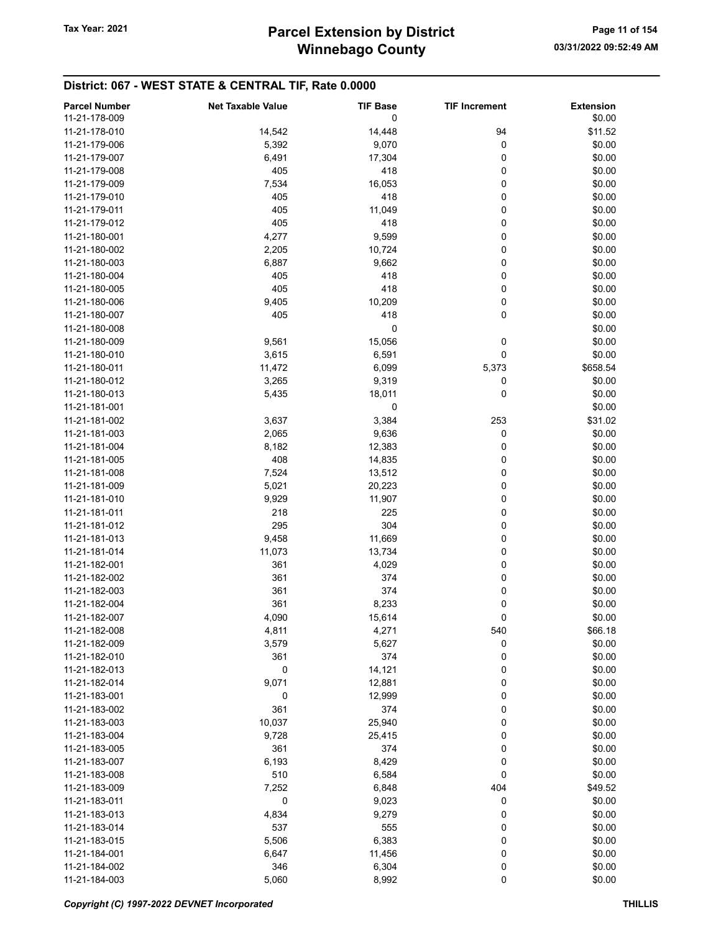| <b>Parcel Number</b><br>11-21-178-009 | <b>Net Taxable Value</b> | <b>TIF Base</b><br>0 | <b>TIF Increment</b> | <b>Extension</b><br>\$0.00 |
|---------------------------------------|--------------------------|----------------------|----------------------|----------------------------|
| 11-21-178-010                         | 14,542                   | 14,448               | 94                   | \$11.52                    |
| 11-21-179-006                         | 5,392                    | 9,070                | 0                    | \$0.00                     |
| 11-21-179-007                         | 6,491                    | 17,304               | 0                    | \$0.00                     |
| 11-21-179-008                         | 405                      | 418                  | 0                    | \$0.00                     |
| 11-21-179-009                         | 7,534                    | 16,053               | 0                    | \$0.00                     |
| 11-21-179-010                         | 405                      | 418                  | 0                    | \$0.00                     |
| 11-21-179-011                         | 405                      | 11,049               | 0                    | \$0.00                     |
| 11-21-179-012                         | 405                      | 418                  | 0                    | \$0.00                     |
| 11-21-180-001                         | 4,277                    | 9,599                | 0                    | \$0.00                     |
| 11-21-180-002                         | 2,205                    | 10,724               | 0                    | \$0.00                     |
| 11-21-180-003                         | 6,887                    | 9,662                | 0                    | \$0.00                     |
| 11-21-180-004                         | 405                      | 418                  | 0                    | \$0.00                     |
| 11-21-180-005                         | 405                      | 418                  | 0                    | \$0.00                     |
| 11-21-180-006                         | 9,405                    | 10,209               | 0                    | \$0.00                     |
| 11-21-180-007                         | 405                      | 418                  | 0                    | \$0.00                     |
| 11-21-180-008                         |                          | 0                    |                      | \$0.00                     |
| 11-21-180-009                         | 9,561                    | 15,056               | 0                    | \$0.00                     |
| 11-21-180-010                         | 3,615                    | 6,591                | 0                    | \$0.00                     |
| 11-21-180-011                         | 11,472                   | 6,099                | 5,373                | \$658.54                   |
| 11-21-180-012                         |                          |                      | 0                    |                            |
|                                       | 3,265                    | 9,319                |                      | \$0.00                     |
| 11-21-180-013                         | 5,435                    | 18,011               | 0                    | \$0.00                     |
| 11-21-181-001                         |                          | 0                    |                      | \$0.00                     |
| 11-21-181-002                         | 3,637                    | 3,384                | 253                  | \$31.02                    |
| 11-21-181-003                         | 2,065                    | 9,636                | 0                    | \$0.00                     |
| 11-21-181-004                         | 8,182                    | 12,383               | 0                    | \$0.00                     |
| 11-21-181-005                         | 408                      | 14,835               | 0                    | \$0.00                     |
| 11-21-181-008                         | 7,524                    | 13,512               | 0                    | \$0.00                     |
| 11-21-181-009                         | 5,021                    | 20,223               | 0                    | \$0.00                     |
| 11-21-181-010                         | 9,929                    | 11,907               | 0                    | \$0.00                     |
| 11-21-181-011                         | 218                      | 225                  | 0                    | \$0.00                     |
| 11-21-181-012                         | 295                      | 304                  | 0                    | \$0.00                     |
| 11-21-181-013                         | 9,458                    | 11,669               | 0                    | \$0.00                     |
| 11-21-181-014                         | 11,073                   | 13,734               | 0                    | \$0.00                     |
| 11-21-182-001                         | 361                      | 4,029                | 0                    | \$0.00                     |
| 11-21-182-002                         | 361                      | 374                  | 0                    | \$0.00                     |
| 11-21-182-003                         | 361                      | 374                  | 0                    | \$0.00                     |
| 11-21-182-004                         | 361                      | 8,233                | 0                    | \$0.00                     |
| 11-21-182-007                         | 4,090                    | 15,614               | 0                    | \$0.00                     |
| 11-21-182-008                         | 4,811                    | 4,271                | 540                  | \$66.18                    |
| 11-21-182-009                         | 3,579                    | 5,627                | 0                    | \$0.00                     |
| 11-21-182-010                         | 361                      | 374                  | 0                    | \$0.00                     |
| 11-21-182-013                         | 0                        | 14,121               | 0                    | \$0.00                     |
| 11-21-182-014                         | 9,071                    | 12,881               | 0                    | \$0.00                     |
| 11-21-183-001                         | 0                        | 12,999               | 0                    | \$0.00                     |
| 11-21-183-002                         | 361                      | 374                  | 0                    | \$0.00                     |
| 11-21-183-003                         | 10,037                   | 25,940               | 0                    | \$0.00                     |
| 11-21-183-004                         | 9,728                    | 25,415               | 0                    | \$0.00                     |
| 11-21-183-005                         | 361                      | 374                  | 0                    | \$0.00                     |
| 11-21-183-007                         | 6,193                    | 8,429                | 0                    | \$0.00                     |
| 11-21-183-008                         | 510                      | 6,584                | 0                    | \$0.00                     |
| 11-21-183-009                         | 7,252                    | 6,848                | 404                  | \$49.52                    |
| 11-21-183-011                         | 0                        | 9,023                | 0                    | \$0.00                     |
| 11-21-183-013                         | 4,834                    | 9,279                | 0                    | \$0.00                     |
| 11-21-183-014                         | 537                      | 555                  | 0                    | \$0.00                     |
| 11-21-183-015                         | 5,506                    | 6,383                | 0                    | \$0.00                     |
| 11-21-184-001                         | 6,647                    | 11,456               | 0                    | \$0.00                     |
| 11-21-184-002                         | 346                      | 6,304                | 0                    | \$0.00                     |
| 11-21-184-003                         | 5,060                    | 8,992                | 0                    | \$0.00                     |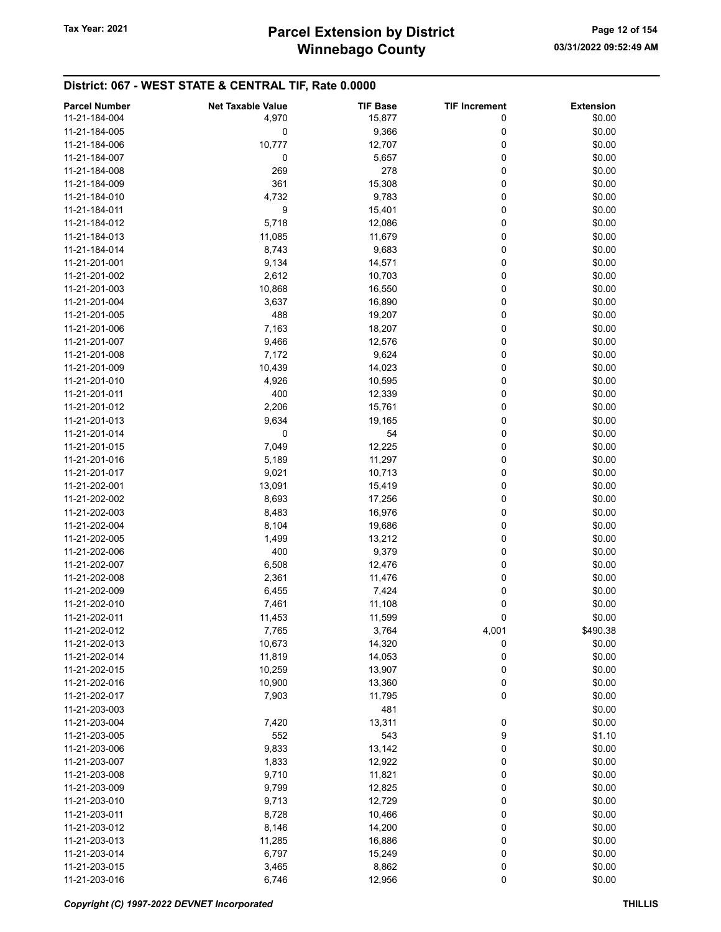| <b>Parcel Number</b> | <b>Net Taxable Value</b> | <b>TIF Base</b> | <b>TIF Increment</b> | <b>Extension</b> |
|----------------------|--------------------------|-----------------|----------------------|------------------|
| 11-21-184-004        | 4,970                    | 15,877          | 0                    | \$0.00           |
|                      |                          |                 |                      |                  |
| 11-21-184-005        | 0                        | 9,366           | 0                    | \$0.00           |
| 11-21-184-006        | 10,777                   | 12,707          | 0                    | \$0.00           |
| 11-21-184-007        | 0                        | 5,657           | 0                    | \$0.00           |
| 11-21-184-008        | 269                      | 278             | 0                    | \$0.00           |
| 11-21-184-009        | 361                      | 15,308          | 0                    | \$0.00           |
| 11-21-184-010        | 4,732                    | 9,783           | 0                    | \$0.00           |
| 11-21-184-011        | 9                        | 15,401          | 0                    | \$0.00           |
| 11-21-184-012        | 5,718                    | 12,086          | 0                    | \$0.00           |
| 11-21-184-013        | 11,085                   | 11,679          | 0                    | \$0.00           |
| 11-21-184-014        | 8,743                    | 9,683           | 0                    | \$0.00           |
| 11-21-201-001        | 9,134                    | 14,571          | 0                    | \$0.00           |
|                      |                          |                 |                      |                  |
| 11-21-201-002        | 2,612                    | 10,703          | 0                    | \$0.00           |
| 11-21-201-003        | 10,868                   | 16,550          | 0                    | \$0.00           |
| 11-21-201-004        | 3,637                    | 16,890          | 0                    | \$0.00           |
| 11-21-201-005        | 488                      | 19,207          | 0                    | \$0.00           |
| 11-21-201-006        | 7,163                    | 18,207          | 0                    | \$0.00           |
| 11-21-201-007        | 9,466                    | 12,576          | 0                    | \$0.00           |
| 11-21-201-008        | 7,172                    | 9,624           | 0                    | \$0.00           |
| 11-21-201-009        | 10,439                   | 14,023          | 0                    | \$0.00           |
| 11-21-201-010        | 4,926                    | 10,595          | 0                    | \$0.00           |
| 11-21-201-011        | 400                      | 12,339          | 0                    | \$0.00           |
| 11-21-201-012        |                          |                 |                      | \$0.00           |
|                      | 2,206                    | 15,761          | 0                    |                  |
| 11-21-201-013        | 9,634                    | 19,165          | 0                    | \$0.00           |
| 11-21-201-014        | 0                        | 54              | 0                    | \$0.00           |
| 11-21-201-015        | 7,049                    | 12,225          | 0                    | \$0.00           |
| 11-21-201-016        | 5,189                    | 11,297          | 0                    | \$0.00           |
| 11-21-201-017        | 9,021                    | 10,713          | 0                    | \$0.00           |
| 11-21-202-001        | 13,091                   | 15,419          | 0                    | \$0.00           |
| 11-21-202-002        | 8,693                    | 17,256          | 0                    | \$0.00           |
| 11-21-202-003        | 8,483                    | 16,976          | 0                    | \$0.00           |
| 11-21-202-004        | 8,104                    | 19,686          | 0                    | \$0.00           |
| 11-21-202-005        | 1,499                    | 13,212          | 0                    | \$0.00           |
| 11-21-202-006        | 400                      | 9,379           | 0                    | \$0.00           |
| 11-21-202-007        | 6,508                    |                 | 0                    | \$0.00           |
|                      |                          | 12,476          |                      |                  |
| 11-21-202-008        | 2,361                    | 11,476          | 0                    | \$0.00           |
| 11-21-202-009        | 6,455                    | 7,424           | 0                    | \$0.00           |
| 11-21-202-010        | 7,461                    | 11,108          | 0                    | \$0.00           |
| 11-21-202-011        | 11,453                   | 11,599          | 0                    | \$0.00           |
| 11-21-202-012        | 7,765                    | 3,764           | 4,001                | \$490.38         |
| 11-21-202-013        | 10,673                   | 14,320          | 0                    | \$0.00           |
| 11-21-202-014        | 11,819                   | 14,053          | 0                    | \$0.00           |
| 11-21-202-015        | 10,259                   | 13,907          | 0                    | \$0.00           |
| 11-21-202-016        | 10,900                   | 13,360          | 0                    | \$0.00           |
| 11-21-202-017        | 7,903                    | 11,795          | 0                    | \$0.00           |
| 11-21-203-003        |                          | 481             |                      | \$0.00           |
| 11-21-203-004        | 7,420                    | 13,311          | 0                    | \$0.00           |
|                      |                          |                 |                      |                  |
| 11-21-203-005        | 552                      | 543             | 9                    | \$1.10           |
| 11-21-203-006        | 9,833                    | 13,142          | 0                    | \$0.00           |
| 11-21-203-007        | 1,833                    | 12,922          | 0                    | \$0.00           |
| 11-21-203-008        | 9,710                    | 11,821          | 0                    | \$0.00           |
| 11-21-203-009        | 9,799                    | 12,825          | 0                    | \$0.00           |
| 11-21-203-010        | 9,713                    | 12,729          | 0                    | \$0.00           |
| 11-21-203-011        | 8,728                    | 10,466          | 0                    | \$0.00           |
| 11-21-203-012        | 8,146                    | 14,200          | 0                    | \$0.00           |
| 11-21-203-013        | 11,285                   | 16,886          | 0                    | \$0.00           |
| 11-21-203-014        | 6,797                    | 15,249          | 0                    | \$0.00           |
| 11-21-203-015        | 3,465                    | 8,862           | 0                    | \$0.00           |
| 11-21-203-016        | 6,746                    | 12,956          | 0                    | \$0.00           |
|                      |                          |                 |                      |                  |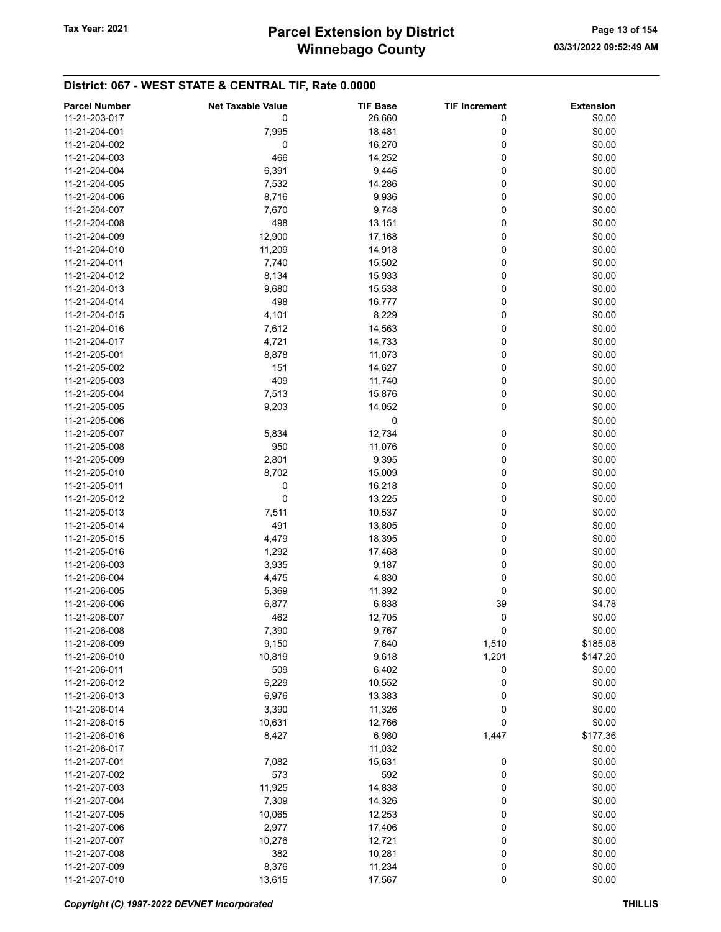| <b>Parcel Number</b> | <b>Net Taxable Value</b> | <b>TIF Base</b> | <b>TIF Increment</b> | <b>Extension</b> |
|----------------------|--------------------------|-----------------|----------------------|------------------|
| 11-21-203-017        | 0                        | 26,660          | 0                    | \$0.00           |
|                      |                          |                 |                      |                  |
| 11-21-204-001        | 7,995                    | 18,481          | 0                    | \$0.00           |
| 11-21-204-002        | 0                        | 16,270          | 0                    | \$0.00           |
| 11-21-204-003        | 466                      | 14,252          | 0                    | \$0.00           |
| 11-21-204-004        | 6,391                    | 9,446           | 0                    | \$0.00           |
| 11-21-204-005        | 7,532                    | 14,286          | 0                    | \$0.00           |
| 11-21-204-006        | 8,716                    | 9,936           | 0                    | \$0.00           |
| 11-21-204-007        | 7,670                    | 9,748           | 0                    | \$0.00           |
| 11-21-204-008        | 498                      | 13,151          | 0                    | \$0.00           |
| 11-21-204-009        | 12,900                   | 17,168          | 0                    | \$0.00           |
| 11-21-204-010        | 11,209                   | 14,918          | 0                    | \$0.00           |
|                      |                          |                 | 0                    |                  |
| 11-21-204-011        | 7,740                    | 15,502          |                      | \$0.00           |
| 11-21-204-012        | 8,134                    | 15,933          | 0                    | \$0.00           |
| 11-21-204-013        | 9,680                    | 15,538          | 0                    | \$0.00           |
| 11-21-204-014        | 498                      | 16,777          | 0                    | \$0.00           |
| 11-21-204-015        | 4,101                    | 8,229           | 0                    | \$0.00           |
| 11-21-204-016        | 7,612                    | 14,563          | 0                    | \$0.00           |
| 11-21-204-017        | 4,721                    | 14,733          | 0                    | \$0.00           |
| 11-21-205-001        | 8,878                    | 11,073          | 0                    | \$0.00           |
| 11-21-205-002        | 151                      | 14,627          | 0                    | \$0.00           |
| 11-21-205-003        | 409                      | 11,740          | 0                    | \$0.00           |
|                      |                          |                 | 0                    | \$0.00           |
| 11-21-205-004        | 7,513                    | 15,876          |                      |                  |
| 11-21-205-005        | 9,203                    | 14,052          | 0                    | \$0.00           |
| 11-21-205-006        |                          | 0               |                      | \$0.00           |
| 11-21-205-007        | 5,834                    | 12,734          | 0                    | \$0.00           |
| 11-21-205-008        | 950                      | 11,076          | 0                    | \$0.00           |
| 11-21-205-009        | 2,801                    | 9,395           | 0                    | \$0.00           |
| 11-21-205-010        | 8,702                    | 15,009          | 0                    | \$0.00           |
| 11-21-205-011        | 0                        | 16,218          | 0                    | \$0.00           |
| 11-21-205-012        | 0                        | 13,225          | 0                    | \$0.00           |
| 11-21-205-013        | 7,511                    | 10,537          | 0                    | \$0.00           |
| 11-21-205-014        | 491                      | 13,805          | 0                    | \$0.00           |
|                      |                          |                 | 0                    | \$0.00           |
| 11-21-205-015        | 4,479                    | 18,395          |                      |                  |
| 11-21-205-016        | 1,292                    | 17,468          | 0                    | \$0.00           |
| 11-21-206-003        | 3,935                    | 9,187           | 0                    | \$0.00           |
| 11-21-206-004        | 4,475                    | 4,830           | 0                    | \$0.00           |
| 11-21-206-005        | 5,369                    | 11,392          | 0                    | \$0.00           |
| 11-21-206-006        | 6,877                    | 6,838           | 39                   | \$4.78           |
| 11-21-206-007        | 462                      | 12,705          | 0                    | \$0.00           |
| 11-21-206-008        | 7,390                    | 9,767           | 0                    | \$0.00           |
| 11-21-206-009        | 9,150                    | 7,640           | 1,510                | \$185.08         |
| 11-21-206-010        | 10,819                   | 9,618           | 1,201                | \$147.20         |
| 11-21-206-011        | 509                      | 6,402           | 0                    | \$0.00           |
| 11-21-206-012        | 6,229                    | 10,552          | 0                    | \$0.00           |
|                      |                          |                 |                      |                  |
| 11-21-206-013        | 6,976                    | 13,383          | 0                    | \$0.00           |
| 11-21-206-014        | 3,390                    | 11,326          | 0                    | \$0.00           |
| 11-21-206-015        | 10,631                   | 12,766          | 0                    | \$0.00           |
| 11-21-206-016        | 8,427                    | 6,980           | 1,447                | \$177.36         |
| 11-21-206-017        |                          | 11,032          |                      | \$0.00           |
| 11-21-207-001        | 7,082                    | 15,631          | 0                    | \$0.00           |
| 11-21-207-002        | 573                      | 592             | 0                    | \$0.00           |
| 11-21-207-003        | 11,925                   | 14,838          | 0                    | \$0.00           |
| 11-21-207-004        | 7,309                    | 14,326          | 0                    | \$0.00           |
| 11-21-207-005        | 10,065                   | 12,253          | 0                    | \$0.00           |
| 11-21-207-006        | 2,977                    | 17,406          | 0                    | \$0.00           |
|                      |                          |                 |                      |                  |
| 11-21-207-007        | 10,276                   | 12,721          | 0                    | \$0.00           |
| 11-21-207-008        | 382                      | 10,281          | 0                    | \$0.00           |
| 11-21-207-009        | 8,376                    | 11,234          | 0                    | \$0.00           |
| 11-21-207-010        | 13,615                   | 17,567          | 0                    | \$0.00           |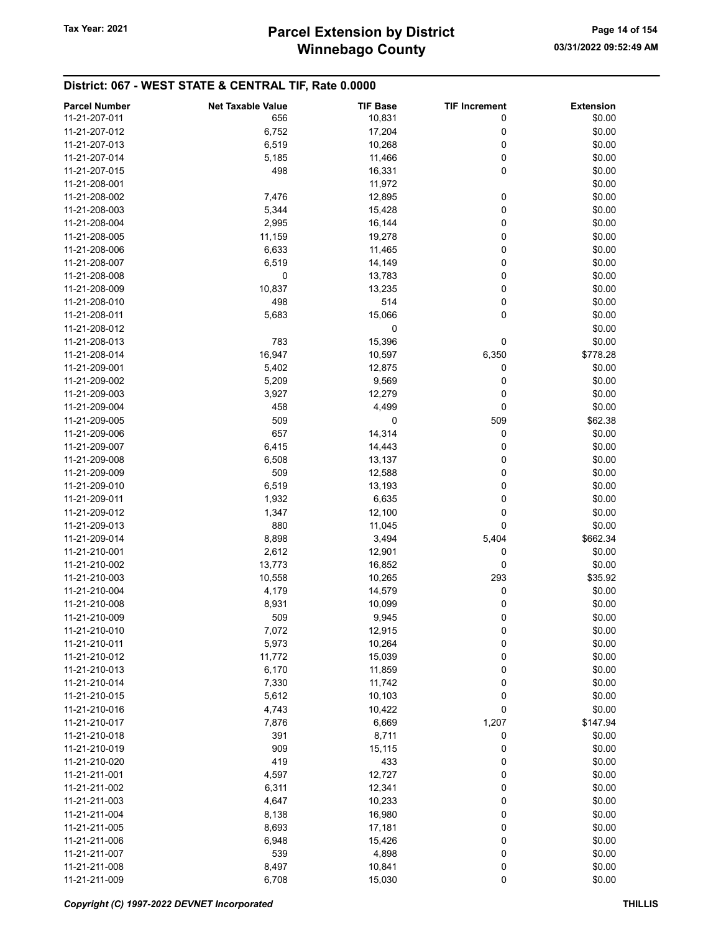| <b>Parcel Number</b> | <b>Net Taxable Value</b> | <b>TIF Base</b> | <b>TIF Increment</b> | <b>Extension</b> |
|----------------------|--------------------------|-----------------|----------------------|------------------|
| 11-21-207-011        | 656                      | 10,831          | 0                    | \$0.00           |
|                      |                          |                 |                      |                  |
| 11-21-207-012        | 6,752                    | 17,204          | 0                    | \$0.00           |
| 11-21-207-013        | 6,519                    | 10,268          | 0                    | \$0.00           |
| 11-21-207-014        | 5,185                    | 11,466          | 0                    | \$0.00           |
| 11-21-207-015        | 498                      | 16,331          | 0                    | \$0.00           |
| 11-21-208-001        |                          | 11,972          |                      | \$0.00           |
| 11-21-208-002        | 7,476                    | 12,895          | 0                    | \$0.00           |
| 11-21-208-003        | 5,344                    | 15,428          | 0                    | \$0.00           |
| 11-21-208-004        | 2,995                    | 16,144          | 0                    | \$0.00           |
| 11-21-208-005        | 11,159                   | 19,278          | 0                    | \$0.00           |
| 11-21-208-006        | 6,633                    | 11,465          | 0                    | \$0.00           |
| 11-21-208-007        | 6,519                    | 14,149          | 0                    | \$0.00           |
|                      |                          |                 |                      |                  |
| 11-21-208-008        | 0                        | 13,783          | 0                    | \$0.00           |
| 11-21-208-009        | 10,837                   | 13,235          | 0                    | \$0.00           |
| 11-21-208-010        | 498                      | 514             | 0                    | \$0.00           |
| 11-21-208-011        | 5,683                    | 15,066          | 0                    | \$0.00           |
| 11-21-208-012        |                          | 0               |                      | \$0.00           |
| 11-21-208-013        | 783                      | 15,396          | 0                    | \$0.00           |
| 11-21-208-014        | 16,947                   | 10,597          | 6,350                | \$778.28         |
| 11-21-209-001        | 5,402                    | 12,875          | 0                    | \$0.00           |
| 11-21-209-002        | 5,209                    | 9,569           | 0                    | \$0.00           |
| 11-21-209-003        | 3,927                    | 12,279          | 0                    | \$0.00           |
| 11-21-209-004        | 458                      | 4,499           | 0                    | \$0.00           |
|                      |                          |                 |                      |                  |
| 11-21-209-005        | 509                      | 0               | 509                  | \$62.38          |
| 11-21-209-006        | 657                      | 14,314          | 0                    | \$0.00           |
| 11-21-209-007        | 6,415                    | 14,443          | 0                    | \$0.00           |
| 11-21-209-008        | 6,508                    | 13,137          | 0                    | \$0.00           |
| 11-21-209-009        | 509                      | 12,588          | 0                    | \$0.00           |
| 11-21-209-010        | 6,519                    | 13,193          | 0                    | \$0.00           |
| 11-21-209-011        | 1,932                    | 6,635           | 0                    | \$0.00           |
| 11-21-209-012        | 1,347                    | 12,100          | 0                    | \$0.00           |
| 11-21-209-013        | 880                      | 11,045          | 0                    | \$0.00           |
| 11-21-209-014        | 8,898                    | 3,494           | 5,404                | \$662.34         |
| 11-21-210-001        | 2,612                    | 12,901          | 0                    | \$0.00           |
|                      |                          |                 |                      |                  |
| 11-21-210-002        | 13,773                   | 16,852          | 0                    | \$0.00           |
| 11-21-210-003        | 10,558                   | 10,265          | 293                  | \$35.92          |
| 11-21-210-004        | 4,179                    | 14,579          | 0                    | \$0.00           |
| 11-21-210-008        | 8,931                    | 10,099          | 0                    | \$0.00           |
| 11-21-210-009        | 509                      | 9,945           | 0                    | \$0.00           |
| 11-21-210-010        | 7,072                    | 12,915          | 0                    | \$0.00           |
| 11-21-210-011        | 5,973                    | 10,264          | 0                    | \$0.00           |
| 11-21-210-012        | 11,772                   | 15,039          | 0                    | \$0.00           |
| 11-21-210-013        | 6,170                    | 11,859          | 0                    | \$0.00           |
| 11-21-210-014        | 7,330                    | 11,742          | 0                    | \$0.00           |
| 11-21-210-015        | 5,612                    | 10,103          | 0                    | \$0.00           |
| 11-21-210-016        | 4,743                    | 10,422          | 0                    | \$0.00           |
|                      |                          |                 |                      |                  |
| 11-21-210-017        | 7,876                    | 6,669           | 1,207                | \$147.94         |
| 11-21-210-018        | 391                      | 8,711           | 0                    | \$0.00           |
| 11-21-210-019        | 909                      | 15,115          | 0                    | \$0.00           |
| 11-21-210-020        | 419                      | 433             | 0                    | \$0.00           |
| 11-21-211-001        | 4,597                    | 12,727          | 0                    | \$0.00           |
| 11-21-211-002        | 6,311                    | 12,341          | 0                    | \$0.00           |
| 11-21-211-003        | 4,647                    | 10,233          | 0                    | \$0.00           |
| 11-21-211-004        | 8,138                    | 16,980          | 0                    | \$0.00           |
| 11-21-211-005        | 8,693                    | 17,181          | 0                    | \$0.00           |
| 11-21-211-006        | 6,948                    | 15,426          | 0                    | \$0.00           |
|                      |                          |                 | 0                    |                  |
| 11-21-211-007        | 539                      | 4,898           |                      | \$0.00           |
| 11-21-211-008        | 8,497                    | 10,841          | 0                    | \$0.00           |
| 11-21-211-009        | 6,708                    | 15,030          | 0                    | \$0.00           |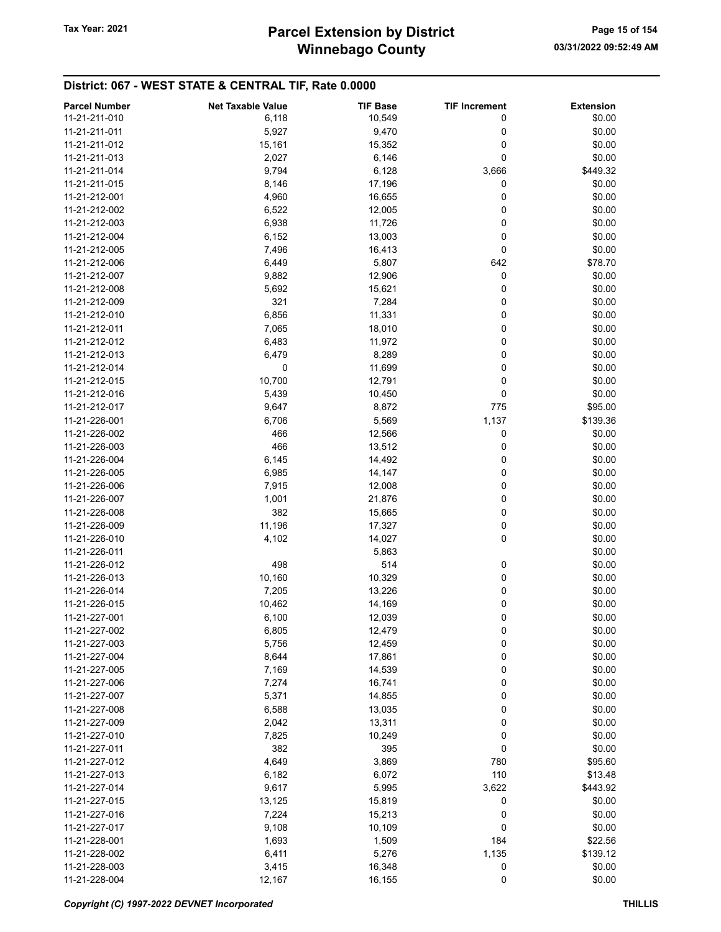| <b>Parcel Number</b> | <b>Net Taxable Value</b> | <b>TIF Base</b> | <b>TIF Increment</b> | <b>Extension</b> |
|----------------------|--------------------------|-----------------|----------------------|------------------|
| 11-21-211-010        | 6,118                    | 10,549          | 0                    | \$0.00           |
| 11-21-211-011        | 5,927                    | 9,470           | 0                    | \$0.00           |
| 11-21-211-012        | 15,161                   | 15,352          | 0                    | \$0.00           |
| 11-21-211-013        | 2,027                    | 6,146           | 0                    | \$0.00           |
| 11-21-211-014        |                          |                 |                      | \$449.32         |
|                      | 9,794                    | 6,128           | 3,666                |                  |
| 11-21-211-015        | 8,146                    | 17,196          | 0                    | \$0.00           |
| 11-21-212-001        | 4,960                    | 16,655          | 0                    | \$0.00           |
| 11-21-212-002        | 6,522                    | 12,005          | 0                    | \$0.00           |
| 11-21-212-003        | 6,938                    | 11,726          | 0                    | \$0.00           |
| 11-21-212-004        | 6,152                    | 13,003          | 0                    | \$0.00           |
| 11-21-212-005        | 7,496                    | 16,413          | 0                    | \$0.00           |
| 11-21-212-006        | 6,449                    | 5,807           | 642                  | \$78.70          |
| 11-21-212-007        | 9,882                    | 12,906          | 0                    | \$0.00           |
| 11-21-212-008        | 5,692                    | 15,621          | 0                    | \$0.00           |
| 11-21-212-009        | 321                      | 7,284           | 0                    | \$0.00           |
| 11-21-212-010        | 6,856                    | 11,331          | 0                    | \$0.00           |
| 11-21-212-011        | 7,065                    | 18,010          | 0                    | \$0.00           |
| 11-21-212-012        | 6,483                    | 11,972          | 0                    | \$0.00           |
| 11-21-212-013        | 6,479                    | 8,289           | 0                    | \$0.00           |
| 11-21-212-014        | 0                        | 11,699          | 0                    | \$0.00           |
| 11-21-212-015        | 10,700                   | 12,791          | 0                    | \$0.00           |
| 11-21-212-016        | 5,439                    | 10,450          | 0                    | \$0.00           |
| 11-21-212-017        | 9,647                    | 8,872           | 775                  | \$95.00          |
| 11-21-226-001        | 6,706                    | 5,569           | 1,137                | \$139.36         |
| 11-21-226-002        | 466                      | 12,566          | 0                    | \$0.00           |
| 11-21-226-003        | 466                      | 13,512          | 0                    | \$0.00           |
| 11-21-226-004        | 6,145                    | 14,492          | 0                    | \$0.00           |
| 11-21-226-005        | 6,985                    | 14,147          | 0                    | \$0.00           |
| 11-21-226-006        | 7,915                    | 12,008          | 0                    | \$0.00           |
| 11-21-226-007        | 1,001                    | 21,876          | 0                    | \$0.00           |
| 11-21-226-008        | 382                      | 15,665          | 0                    | \$0.00           |
| 11-21-226-009        | 11,196                   | 17,327          | 0                    | \$0.00           |
| 11-21-226-010        | 4,102                    | 14,027          | 0                    | \$0.00           |
| 11-21-226-011        |                          | 5,863           |                      | \$0.00           |
| 11-21-226-012        | 498                      | 514             | 0                    | \$0.00           |
| 11-21-226-013        | 10,160                   | 10,329          | 0                    | \$0.00           |
| 11-21-226-014        | 7,205                    | 13,226          | 0                    | \$0.00           |
| 11-21-226-015        | 10,462                   | 14,169          | 0                    | \$0.00           |
| 11-21-227-001        | 6,100                    | 12,039          | 0                    | \$0.00           |
| 11-21-227-002        | 6,805                    | 12,479          | 0                    | \$0.00           |
| 11-21-227-003        | 5,756                    | 12,459          | 0                    | \$0.00           |
| 11-21-227-004        | 8,644                    | 17,861          | 0                    | \$0.00           |
| 11-21-227-005        | 7,169                    | 14,539          | 0                    | \$0.00           |
| 11-21-227-006        | 7,274                    | 16,741          | 0                    | \$0.00           |
| 11-21-227-007        | 5,371                    | 14,855          | 0                    | \$0.00           |
| 11-21-227-008        | 6,588                    | 13,035          | 0                    | \$0.00           |
| 11-21-227-009        | 2,042                    | 13,311          | 0                    | \$0.00           |
| 11-21-227-010        | 7,825                    | 10,249          | 0                    | \$0.00           |
| 11-21-227-011        | 382                      | 395             | 0                    | \$0.00           |
|                      |                          |                 |                      |                  |
| 11-21-227-012        | 4,649                    | 3,869           | 780                  | \$95.60          |
| 11-21-227-013        | 6,182                    | 6,072           | 110                  | \$13.48          |
| 11-21-227-014        | 9,617                    | 5,995           | 3,622                | \$443.92         |
| 11-21-227-015        | 13,125                   | 15,819          | 0                    | \$0.00           |
| 11-21-227-016        | 7,224                    | 15,213          | 0                    | \$0.00           |
| 11-21-227-017        | 9,108                    | 10,109          | 0                    | \$0.00           |
| 11-21-228-001        | 1,693                    | 1,509           | 184                  | \$22.56          |
| 11-21-228-002        | 6,411                    | 5,276           | 1,135                | \$139.12         |
| 11-21-228-003        | 3,415                    | 16,348          | 0                    | \$0.00           |
| 11-21-228-004        | 12,167                   | 16,155          | 0                    | \$0.00           |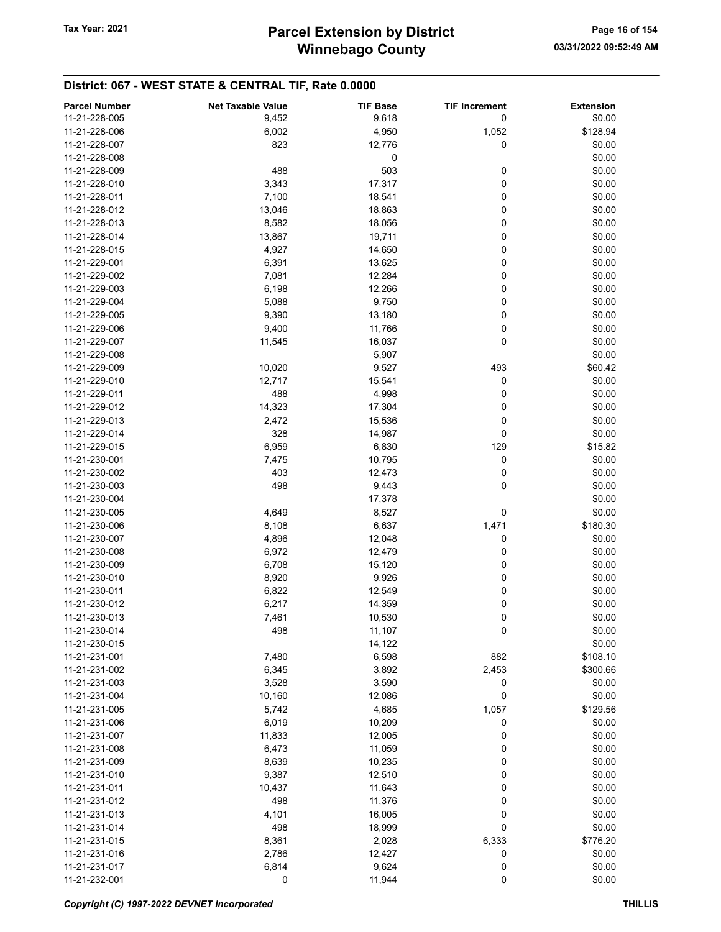| <b>Parcel Number</b> | <b>Net Taxable Value</b> | <b>TIF Base</b> | <b>TIF Increment</b> | <b>Extension</b> |
|----------------------|--------------------------|-----------------|----------------------|------------------|
| 11-21-228-005        | 9,452                    | 9,618           | 0                    | \$0.00           |
| 11-21-228-006        | 6,002                    | 4,950           | 1,052                | \$128.94         |
| 11-21-228-007        | 823                      | 12,776          | 0                    | \$0.00           |
| 11-21-228-008        |                          | 0               |                      | \$0.00           |
| 11-21-228-009        | 488                      | 503             |                      | \$0.00           |
|                      |                          |                 | 0                    |                  |
| 11-21-228-010        | 3,343                    | 17,317          | 0                    | \$0.00           |
| 11-21-228-011        | 7,100                    | 18,541          | 0                    | \$0.00           |
| 11-21-228-012        | 13,046                   | 18,863          | 0                    | \$0.00           |
| 11-21-228-013        | 8,582                    | 18,056          | 0                    | \$0.00           |
| 11-21-228-014        | 13,867                   | 19,711          | 0                    | \$0.00           |
| 11-21-228-015        | 4,927                    | 14,650          | 0                    | \$0.00           |
| 11-21-229-001        | 6,391                    | 13,625          | 0                    | \$0.00           |
| 11-21-229-002        | 7,081                    | 12,284          | 0                    | \$0.00           |
| 11-21-229-003        | 6,198                    | 12,266          | 0                    | \$0.00           |
| 11-21-229-004        | 5,088                    | 9,750           | 0                    | \$0.00           |
| 11-21-229-005        | 9,390                    | 13,180          | 0                    | \$0.00           |
| 11-21-229-006        | 9,400                    | 11,766          | 0                    | \$0.00           |
| 11-21-229-007        | 11,545                   | 16,037          | 0                    | \$0.00           |
| 11-21-229-008        |                          | 5,907           |                      | \$0.00           |
| 11-21-229-009        | 10,020                   | 9,527           | 493                  | \$60.42          |
| 11-21-229-010        | 12,717                   | 15,541          | 0                    | \$0.00           |
| 11-21-229-011        | 488                      | 4,998           | 0                    | \$0.00           |
| 11-21-229-012        | 14,323                   | 17,304          | 0                    | \$0.00           |
| 11-21-229-013        | 2,472                    | 15,536          | 0                    | \$0.00           |
| 11-21-229-014        | 328                      | 14,987          | 0                    | \$0.00           |
| 11-21-229-015        | 6,959                    | 6,830           | 129                  | \$15.82          |
| 11-21-230-001        | 7,475                    | 10,795          | 0                    | \$0.00           |
| 11-21-230-002        | 403                      | 12,473          | 0                    | \$0.00           |
| 11-21-230-003        | 498                      | 9,443           | 0                    | \$0.00           |
| 11-21-230-004        |                          | 17,378          |                      | \$0.00           |
| 11-21-230-005        | 4,649                    | 8,527           | 0                    | \$0.00           |
| 11-21-230-006        | 8,108                    | 6,637           | 1,471                | \$180.30         |
| 11-21-230-007        | 4,896                    | 12,048          | 0                    | \$0.00           |
| 11-21-230-008        | 6,972                    | 12,479          | 0                    | \$0.00           |
| 11-21-230-009        |                          |                 | 0                    | \$0.00           |
|                      | 6,708                    | 15,120          | 0                    |                  |
| 11-21-230-010        | 8,920                    | 9,926           |                      | \$0.00           |
| 11-21-230-011        | 6,822                    | 12,549          | 0                    | \$0.00           |
| 11-21-230-012        | 6,217                    | 14,359          | 0                    | \$0.00           |
| 11-21-230-013        | 7,461                    | 10,530          | 0                    | \$0.00           |
| 11-21-230-014        | 498                      | 11,107          | 0                    | \$0.00           |
| 11-21-230-015        |                          | 14,122          |                      | \$0.00           |
| 11-21-231-001        | 7,480                    | 6,598           | 882                  | \$108.10         |
| 11-21-231-002        | 6,345                    | 3,892           | 2,453                | \$300.66         |
| 11-21-231-003        | 3,528                    | 3,590           | 0                    | \$0.00           |
| 11-21-231-004        | 10,160                   | 12,086          | 0                    | \$0.00           |
| 11-21-231-005        | 5,742                    | 4,685           | 1,057                | \$129.56         |
| 11-21-231-006        | 6,019                    | 10,209          | 0                    | \$0.00           |
| 11-21-231-007        | 11,833                   | 12,005          | 0                    | \$0.00           |
| 11-21-231-008        | 6,473                    | 11,059          | 0                    | \$0.00           |
| 11-21-231-009        | 8,639                    | 10,235          | 0                    | \$0.00           |
| 11-21-231-010        | 9,387                    | 12,510          | 0                    | \$0.00           |
| 11-21-231-011        | 10,437                   | 11,643          | 0                    | \$0.00           |
| 11-21-231-012        | 498                      | 11,376          | 0                    | \$0.00           |
| 11-21-231-013        | 4,101                    | 16,005          | 0                    | \$0.00           |
| 11-21-231-014        | 498                      | 18,999          | 0                    | \$0.00           |
| 11-21-231-015        | 8,361                    | 2,028           | 6,333                | \$776.20         |
| 11-21-231-016        | 2,786                    | 12,427          | 0                    | \$0.00           |
| 11-21-231-017        | 6,814                    | 9,624           | 0                    | \$0.00           |
| 11-21-232-001        | 0                        | 11,944          | 0                    | \$0.00           |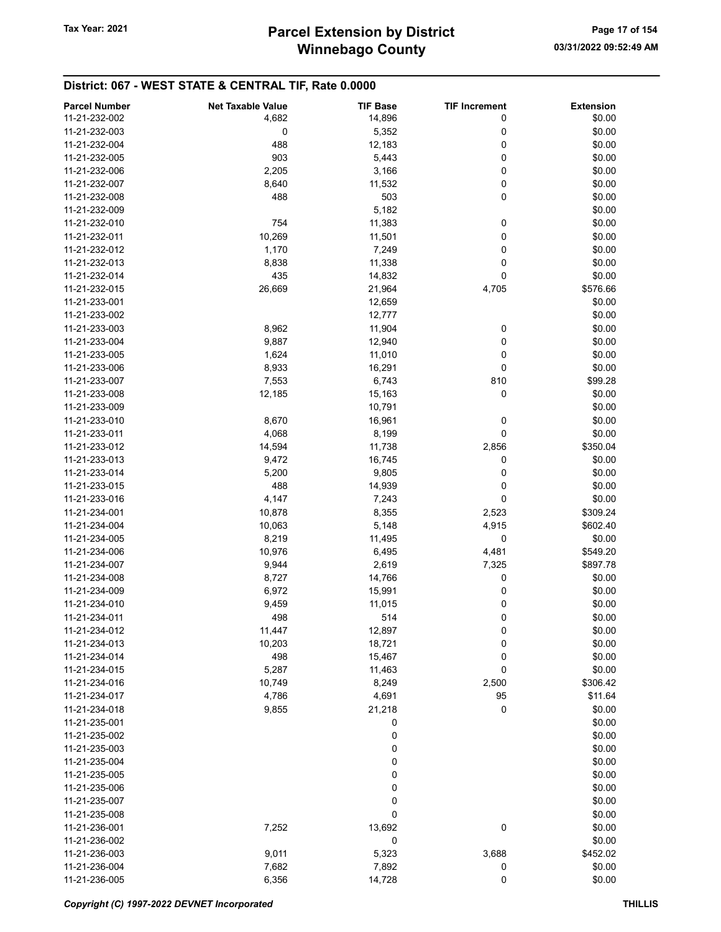| <b>Parcel Number</b> | <b>Net Taxable Value</b> | <b>TIF Base</b> | <b>TIF Increment</b> | <b>Extension</b> |
|----------------------|--------------------------|-----------------|----------------------|------------------|
| 11-21-232-002        | 4,682                    |                 | 0                    | \$0.00           |
|                      |                          | 14,896          |                      |                  |
| 11-21-232-003        | 0                        | 5,352           | 0                    | \$0.00           |
| 11-21-232-004        | 488                      | 12,183          | 0                    | \$0.00           |
| 11-21-232-005        | 903                      | 5,443           | 0                    | \$0.00           |
| 11-21-232-006        | 2,205                    | 3,166           | 0                    | \$0.00           |
| 11-21-232-007        | 8,640                    | 11,532          | 0                    | \$0.00           |
| 11-21-232-008        | 488                      | 503             | 0                    | \$0.00           |
| 11-21-232-009        |                          | 5,182           |                      | \$0.00           |
| 11-21-232-010        | 754                      | 11,383          | 0                    | \$0.00           |
| 11-21-232-011        | 10,269                   | 11,501          | 0                    | \$0.00           |
| 11-21-232-012        | 1,170                    | 7,249           | 0                    | \$0.00           |
| 11-21-232-013        | 8,838                    | 11,338          | 0                    | \$0.00           |
| 11-21-232-014        | 435                      | 14,832          | 0                    | \$0.00           |
| 11-21-232-015        | 26,669                   | 21,964          | 4,705                | \$576.66         |
| 11-21-233-001        |                          | 12,659          |                      | \$0.00           |
|                      |                          |                 |                      |                  |
| 11-21-233-002        |                          | 12,777          |                      | \$0.00           |
| 11-21-233-003        | 8,962                    | 11,904          | 0                    | \$0.00           |
| 11-21-233-004        | 9,887                    | 12,940          | 0                    | \$0.00           |
| 11-21-233-005        | 1,624                    | 11,010          | 0                    | \$0.00           |
| 11-21-233-006        | 8,933                    | 16,291          | 0                    | \$0.00           |
| 11-21-233-007        | 7,553                    | 6,743           | 810                  | \$99.28          |
| 11-21-233-008        | 12,185                   | 15,163          | 0                    | \$0.00           |
| 11-21-233-009        |                          | 10,791          |                      | \$0.00           |
| 11-21-233-010        | 8,670                    | 16,961          | 0                    | \$0.00           |
| 11-21-233-011        | 4,068                    | 8,199           | 0                    | \$0.00           |
| 11-21-233-012        | 14,594                   | 11,738          | 2,856                | \$350.04         |
| 11-21-233-013        | 9,472                    | 16,745          | 0                    | \$0.00           |
| 11-21-233-014        | 5,200                    | 9,805           | 0                    | \$0.00           |
| 11-21-233-015        | 488                      | 14,939          | 0                    | \$0.00           |
| 11-21-233-016        | 4,147                    | 7,243           | 0                    | \$0.00           |
|                      |                          |                 |                      |                  |
| 11-21-234-001        | 10,878                   | 8,355           | 2,523                | \$309.24         |
| 11-21-234-004        | 10,063                   | 5,148           | 4,915                | \$602.40         |
| 11-21-234-005        | 8,219                    | 11,495          | 0                    | \$0.00           |
| 11-21-234-006        | 10,976                   | 6,495           | 4,481                | \$549.20         |
| 11-21-234-007        | 9,944                    | 2,619           | 7,325                | \$897.78         |
| 11-21-234-008        | 8,727                    | 14,766          | 0                    | \$0.00           |
| 11-21-234-009        | 6,972                    | 15,991          | 0                    | \$0.00           |
| 11-21-234-010        | 9,459                    | 11,015          | 0                    | \$0.00           |
| 11-21-234-011        | 498                      | 514             | 0                    | \$0.00           |
| 11-21-234-012        | 11,447                   | 12,897          | 0                    | \$0.00           |
| 11-21-234-013        | 10,203                   | 18,721          | 0                    | \$0.00           |
| 11-21-234-014        | 498                      | 15,467          | 0                    | \$0.00           |
| 11-21-234-015        | 5,287                    | 11,463          | 0                    | \$0.00           |
| 11-21-234-016        | 10,749                   | 8,249           | 2,500                | \$306.42         |
| 11-21-234-017        | 4,786                    | 4,691           | 95                   | \$11.64          |
| 11-21-234-018        | 9,855                    | 21,218          | 0                    | \$0.00           |
| 11-21-235-001        |                          |                 |                      |                  |
|                      |                          | 0               |                      | \$0.00           |
| 11-21-235-002        |                          | 0               |                      | \$0.00           |
| 11-21-235-003        |                          | 0               |                      | \$0.00           |
| 11-21-235-004        |                          | 0               |                      | \$0.00           |
| 11-21-235-005        |                          | 0               |                      | \$0.00           |
| 11-21-235-006        |                          | 0               |                      | \$0.00           |
| 11-21-235-007        |                          | 0               |                      | \$0.00           |
| 11-21-235-008        |                          | 0               |                      | \$0.00           |
| 11-21-236-001        | 7,252                    | 13,692          | 0                    | \$0.00           |
| 11-21-236-002        |                          | 0               |                      | \$0.00           |
| 11-21-236-003        | 9,011                    | 5,323           | 3,688                | \$452.02         |
| 11-21-236-004        | 7,682                    | 7,892           | 0                    | \$0.00           |
| 11-21-236-005        | 6,356                    | 14,728          | 0                    | \$0.00           |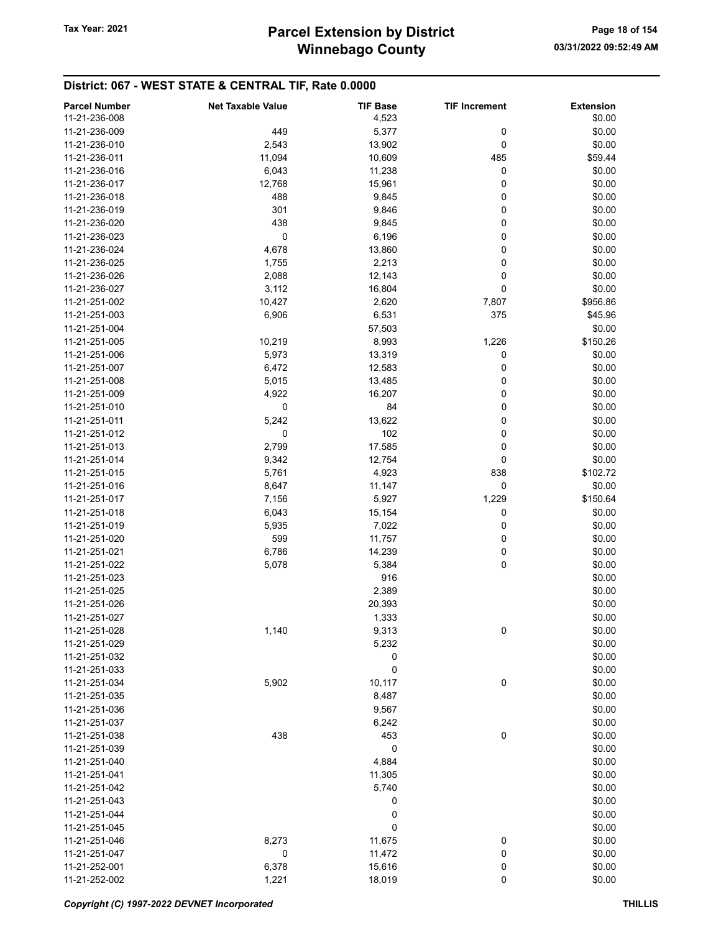| <b>Parcel Number</b> | <b>Net Taxable Value</b> | <b>TIF Base</b> | <b>TIF Increment</b> | <b>Extension</b> |
|----------------------|--------------------------|-----------------|----------------------|------------------|
| 11-21-236-008        |                          | 4,523           |                      | \$0.00           |
| 11-21-236-009        | 449                      | 5,377           | 0                    | \$0.00           |
| 11-21-236-010        | 2,543                    | 13,902          | 0                    | \$0.00           |
| 11-21-236-011        | 11,094                   | 10,609          | 485                  | \$59.44          |
| 11-21-236-016        |                          |                 |                      | \$0.00           |
|                      | 6,043                    | 11,238          | 0                    |                  |
| 11-21-236-017        | 12,768                   | 15,961          | 0                    | \$0.00           |
| 11-21-236-018        | 488                      | 9,845           | 0                    | \$0.00           |
| 11-21-236-019        | 301                      | 9,846           | 0                    | \$0.00           |
| 11-21-236-020        | 438                      | 9,845           | 0                    | \$0.00           |
| 11-21-236-023        | 0                        | 6,196           | 0                    | \$0.00           |
| 11-21-236-024        | 4,678                    | 13,860          | 0                    | \$0.00           |
| 11-21-236-025        | 1,755                    | 2,213           | 0                    | \$0.00           |
| 11-21-236-026        | 2,088                    | 12,143          | 0                    | \$0.00           |
| 11-21-236-027        | 3,112                    | 16,804          | 0                    | \$0.00           |
| 11-21-251-002        | 10,427                   | 2,620           | 7,807                | \$956.86         |
| 11-21-251-003        | 6,906                    | 6,531           | 375                  | \$45.96          |
| 11-21-251-004        |                          | 57,503          |                      | \$0.00           |
| 11-21-251-005        | 10,219                   | 8,993           | 1,226                | \$150.26         |
| 11-21-251-006        | 5,973                    | 13,319          | 0                    | \$0.00           |
|                      |                          |                 | 0                    |                  |
| 11-21-251-007        | 6,472                    | 12,583          |                      | \$0.00           |
| 11-21-251-008        | 5,015                    | 13,485          | 0                    | \$0.00           |
| 11-21-251-009        | 4,922                    | 16,207          | 0                    | \$0.00           |
| 11-21-251-010        | 0                        | 84              | 0                    | \$0.00           |
| 11-21-251-011        | 5,242                    | 13,622          | 0                    | \$0.00           |
| 11-21-251-012        | 0                        | 102             | 0                    | \$0.00           |
| 11-21-251-013        | 2,799                    | 17,585          | 0                    | \$0.00           |
| 11-21-251-014        | 9,342                    | 12,754          | 0                    | \$0.00           |
| 11-21-251-015        | 5,761                    | 4,923           | 838                  | \$102.72         |
| 11-21-251-016        | 8,647                    | 11,147          | 0                    | \$0.00           |
| 11-21-251-017        | 7,156                    | 5,927           | 1,229                | \$150.64         |
| 11-21-251-018        | 6,043                    | 15,154          | 0                    | \$0.00           |
| 11-21-251-019        | 5,935                    | 7,022           | 0                    | \$0.00           |
| 11-21-251-020        | 599                      | 11,757          | 0                    | \$0.00           |
| 11-21-251-021        | 6,786                    | 14,239          | 0                    | \$0.00           |
| 11-21-251-022        | 5,078                    | 5,384           | 0                    | \$0.00           |
| 11-21-251-023        |                          | 916             |                      | \$0.00           |
|                      |                          |                 |                      |                  |
| 11-21-251-025        |                          | 2,389           |                      | \$0.00           |
| 11-21-251-026        |                          | 20,393          |                      | \$0.00           |
| 11-21-251-027        |                          | 1,333           |                      | \$0.00           |
| 11-21-251-028        | 1,140                    | 9,313           | 0                    | \$0.00           |
| 11-21-251-029        |                          | 5,232           |                      | \$0.00           |
| 11-21-251-032        |                          | 0               |                      | \$0.00           |
| 11-21-251-033        |                          | 0               |                      | \$0.00           |
| 11-21-251-034        | 5,902                    | 10,117          | 0                    | \$0.00           |
| 11-21-251-035        |                          | 8,487           |                      | \$0.00           |
| 11-21-251-036        |                          | 9,567           |                      | \$0.00           |
| 11-21-251-037        |                          | 6,242           |                      | \$0.00           |
| 11-21-251-038        | 438                      | 453             | $\pmb{0}$            | \$0.00           |
| 11-21-251-039        |                          | 0               |                      | \$0.00           |
| 11-21-251-040        |                          | 4,884           |                      | \$0.00           |
| 11-21-251-041        |                          | 11,305          |                      | \$0.00           |
| 11-21-251-042        |                          | 5,740           |                      | \$0.00           |
|                      |                          |                 |                      |                  |
| 11-21-251-043        |                          | 0               |                      | \$0.00           |
| 11-21-251-044        |                          | 0               |                      | \$0.00           |
| 11-21-251-045        |                          | 0               |                      | \$0.00           |
| 11-21-251-046        | 8,273                    | 11,675          | 0                    | \$0.00           |
| 11-21-251-047        | $\mathbf 0$              | 11,472          | 0                    | \$0.00           |
| 11-21-252-001        | 6,378                    | 15,616          | 0                    | \$0.00           |
| 11-21-252-002        | 1,221                    | 18,019          | 0                    | \$0.00           |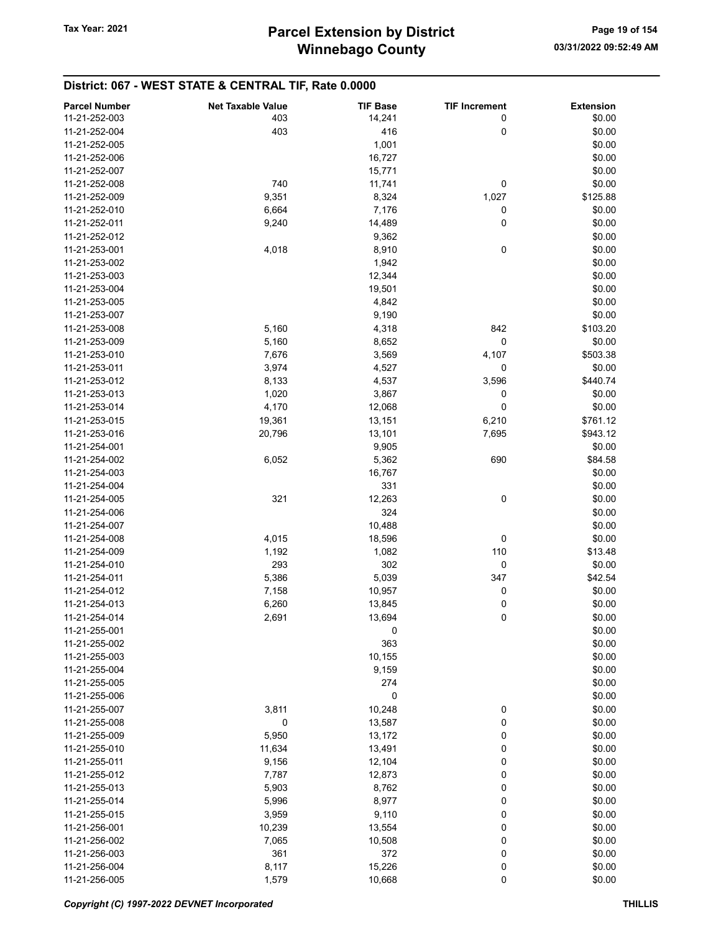| <b>Parcel Number</b> | <b>Net Taxable Value</b> | <b>TIF Base</b> | <b>TIF Increment</b> | <b>Extension</b> |
|----------------------|--------------------------|-----------------|----------------------|------------------|
| 11-21-252-003        | 403                      | 14,241          | 0                    | \$0.00           |
| 11-21-252-004        | 403                      | 416             | 0                    | \$0.00           |
| 11-21-252-005        |                          | 1,001           |                      | \$0.00           |
| 11-21-252-006        |                          | 16,727          |                      | \$0.00           |
| 11-21-252-007        |                          | 15,771          |                      | \$0.00           |
| 11-21-252-008        | 740                      | 11,741          | 0                    | \$0.00           |
| 11-21-252-009        | 9,351                    | 8,324           | 1,027                | \$125.88         |
| 11-21-252-010        | 6,664                    | 7,176           | 0                    | \$0.00           |
| 11-21-252-011        | 9,240                    | 14,489          | 0                    | \$0.00           |
| 11-21-252-012        |                          | 9,362           |                      | \$0.00           |
| 11-21-253-001        | 4,018                    | 8,910           | 0                    | \$0.00           |
| 11-21-253-002        |                          | 1,942           |                      | \$0.00           |
| 11-21-253-003        |                          | 12,344          |                      | \$0.00           |
| 11-21-253-004        |                          | 19,501          |                      | \$0.00           |
| 11-21-253-005        |                          | 4,842           |                      | \$0.00           |
| 11-21-253-007        |                          | 9,190           |                      | \$0.00           |
| 11-21-253-008        | 5,160                    | 4,318           | 842                  | \$103.20         |
| 11-21-253-009        | 5,160                    | 8,652           | 0                    | \$0.00           |
| 11-21-253-010        | 7,676                    | 3,569           | 4,107                | \$503.38         |
| 11-21-253-011        | 3,974                    | 4,527           | 0                    | \$0.00           |
| 11-21-253-012        | 8,133                    | 4,537           | 3,596                | \$440.74         |
| 11-21-253-013        | 1,020                    | 3,867           | 0                    | \$0.00           |
| 11-21-253-014        | 4,170                    | 12,068          | 0                    | \$0.00           |
| 11-21-253-015        | 19,361                   | 13,151          | 6,210                | \$761.12         |
| 11-21-253-016        | 20,796                   | 13,101          | 7,695                | \$943.12         |
| 11-21-254-001        |                          | 9,905           |                      | \$0.00           |
| 11-21-254-002        | 6,052                    | 5,362           | 690                  | \$84.58          |
| 11-21-254-003        |                          | 16,767          |                      | \$0.00           |
| 11-21-254-004        |                          | 331             |                      | \$0.00           |
| 11-21-254-005        | 321                      | 12,263          | 0                    | \$0.00           |
| 11-21-254-006        |                          | 324             |                      | \$0.00           |
| 11-21-254-007        |                          | 10,488          |                      | \$0.00           |
| 11-21-254-008        | 4,015                    | 18,596          | 0                    | \$0.00           |
| 11-21-254-009        | 1,192                    | 1,082           | 110                  | \$13.48          |
| 11-21-254-010        | 293                      | 302             | 0                    | \$0.00           |
| 11-21-254-011        | 5,386                    | 5,039           | 347                  | \$42.54          |
| 11-21-254-012        | 7,158                    | 10,957          | 0                    | \$0.00           |
| 11-21-254-013        | 6,260                    | 13,845          | 0                    | \$0.00           |
| 11-21-254-014        | 2,691                    | 13,694          | 0                    | \$0.00           |
| 11-21-255-001        |                          | $\pmb{0}$       |                      | \$0.00           |
| 11-21-255-002        |                          | 363             |                      | \$0.00           |
| 11-21-255-003        |                          | 10,155          |                      | \$0.00           |
| 11-21-255-004        |                          | 9,159           |                      | \$0.00           |
| 11-21-255-005        |                          | 274             |                      | \$0.00           |
| 11-21-255-006        |                          | 0               |                      | \$0.00           |
| 11-21-255-007        | 3,811                    | 10,248          | 0                    | \$0.00           |
| 11-21-255-008        | 0                        | 13,587          | 0                    | \$0.00           |
| 11-21-255-009        | 5,950                    | 13,172          | 0                    | \$0.00           |
| 11-21-255-010        | 11,634                   | 13,491          | 0                    | \$0.00           |
| 11-21-255-011        | 9,156                    | 12,104          | 0                    | \$0.00           |
| 11-21-255-012        | 7,787                    | 12,873          | 0                    | \$0.00           |
| 11-21-255-013        | 5,903                    | 8,762           | 0                    | \$0.00           |
| 11-21-255-014        | 5,996                    | 8,977           | 0                    | \$0.00           |
| 11-21-255-015        | 3,959                    | 9,110           | 0                    | \$0.00           |
| 11-21-256-001        | 10,239                   | 13,554          | 0                    | \$0.00           |
| 11-21-256-002        | 7,065                    | 10,508          | 0                    | \$0.00           |
| 11-21-256-003        | 361                      | 372             | 0                    | \$0.00           |
| 11-21-256-004        | 8,117                    | 15,226          | 0                    | \$0.00           |
| 11-21-256-005        | 1,579                    | 10,668          | 0                    | \$0.00           |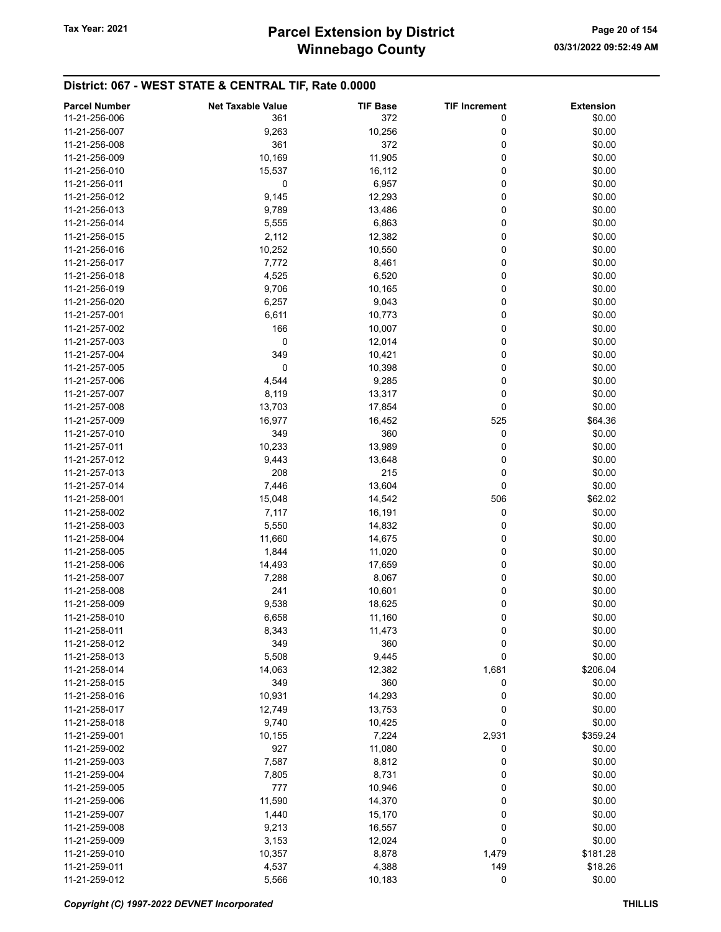| <b>Parcel Number</b> | <b>Net Taxable Value</b> | <b>TIF Base</b> | <b>TIF Increment</b> | <b>Extension</b> |
|----------------------|--------------------------|-----------------|----------------------|------------------|
| 11-21-256-006        | 361                      | 372             | 0                    | \$0.00           |
|                      |                          |                 |                      |                  |
| 11-21-256-007        | 9,263                    | 10,256          | 0                    | \$0.00           |
| 11-21-256-008        | 361                      | 372             | 0                    | \$0.00           |
| 11-21-256-009        | 10,169                   | 11,905          | 0                    | \$0.00           |
| 11-21-256-010        | 15,537                   | 16,112          | 0                    | \$0.00           |
| 11-21-256-011        | 0                        | 6,957           | 0                    | \$0.00           |
| 11-21-256-012        | 9,145                    | 12,293          | 0                    | \$0.00           |
| 11-21-256-013        | 9,789                    | 13,486          | 0                    | \$0.00           |
| 11-21-256-014        | 5,555                    | 6,863           | 0                    | \$0.00           |
| 11-21-256-015        | 2,112                    | 12,382          | 0                    | \$0.00           |
| 11-21-256-016        | 10,252                   | 10,550          | 0                    | \$0.00           |
| 11-21-256-017        | 7,772                    | 8,461           | 0                    | \$0.00           |
| 11-21-256-018        |                          |                 | 0                    | \$0.00           |
|                      | 4,525                    | 6,520           |                      |                  |
| 11-21-256-019        | 9,706                    | 10,165          | 0                    | \$0.00           |
| 11-21-256-020        | 6,257                    | 9,043           | 0                    | \$0.00           |
| 11-21-257-001        | 6,611                    | 10,773          | 0                    | \$0.00           |
| 11-21-257-002        | 166                      | 10,007          | 0                    | \$0.00           |
| 11-21-257-003        | 0                        | 12,014          | 0                    | \$0.00           |
| 11-21-257-004        | 349                      | 10,421          | 0                    | \$0.00           |
| 11-21-257-005        | 0                        | 10,398          | 0                    | \$0.00           |
| 11-21-257-006        | 4,544                    | 9,285           | 0                    | \$0.00           |
| 11-21-257-007        | 8,119                    | 13,317          | 0                    | \$0.00           |
| 11-21-257-008        | 13,703                   | 17,854          | 0                    | \$0.00           |
| 11-21-257-009        | 16,977                   | 16,452          | 525                  | \$64.36          |
|                      |                          |                 |                      |                  |
| 11-21-257-010        | 349                      | 360             | 0                    | \$0.00           |
| 11-21-257-011        | 10,233                   | 13,989          | 0                    | \$0.00           |
| 11-21-257-012        | 9,443                    | 13,648          | 0                    | \$0.00           |
| 11-21-257-013        | 208                      | 215             | 0                    | \$0.00           |
| 11-21-257-014        | 7,446                    | 13,604          | 0                    | \$0.00           |
| 11-21-258-001        | 15,048                   | 14,542          | 506                  | \$62.02          |
| 11-21-258-002        | 7,117                    | 16,191          | 0                    | \$0.00           |
| 11-21-258-003        | 5,550                    | 14,832          | 0                    | \$0.00           |
| 11-21-258-004        | 11,660                   | 14,675          | 0                    | \$0.00           |
| 11-21-258-005        | 1,844                    | 11,020          | 0                    | \$0.00           |
| 11-21-258-006        | 14,493                   | 17,659          | 0                    | \$0.00           |
| 11-21-258-007        | 7,288                    | 8,067           | 0                    | \$0.00           |
| 11-21-258-008        | 241                      |                 | 0                    | \$0.00           |
|                      |                          | 10,601          |                      |                  |
| 11-21-258-009        | 9,538                    | 18,625          | 0                    | \$0.00           |
| 11-21-258-010        | 6,658                    | 11,160          | 0                    | \$0.00           |
| 11-21-258-011        | 8,343                    | 11,473          | 0                    | \$0.00           |
| 11-21-258-012        | 349                      | 360             | 0                    | \$0.00           |
| 11-21-258-013        | 5,508                    | 9,445           | 0                    | \$0.00           |
| 11-21-258-014        | 14,063                   | 12,382          | 1,681                | \$206.04         |
| 11-21-258-015        | 349                      | 360             | 0                    | \$0.00           |
| 11-21-258-016        | 10,931                   | 14,293          | 0                    | \$0.00           |
| 11-21-258-017        | 12,749                   | 13,753          | 0                    | \$0.00           |
| 11-21-258-018        | 9,740                    | 10,425          | 0                    | \$0.00           |
| 11-21-259-001        | 10,155                   | 7,224           | 2,931                | \$359.24         |
| 11-21-259-002        | 927                      | 11,080          | 0                    | \$0.00           |
|                      |                          |                 |                      |                  |
| 11-21-259-003        | 7,587                    | 8,812           | 0                    | \$0.00           |
| 11-21-259-004        | 7,805                    | 8,731           | 0                    | \$0.00           |
| 11-21-259-005        | 777                      | 10,946          | 0                    | \$0.00           |
| 11-21-259-006        | 11,590                   | 14,370          | 0                    | \$0.00           |
| 11-21-259-007        | 1,440                    | 15,170          | 0                    | \$0.00           |
| 11-21-259-008        | 9,213                    | 16,557          | 0                    | \$0.00           |
| 11-21-259-009        | 3,153                    | 12,024          | 0                    | \$0.00           |
| 11-21-259-010        | 10,357                   | 8,878           | 1,479                | \$181.28         |
| 11-21-259-011        | 4,537                    | 4,388           | 149                  | \$18.26          |
| 11-21-259-012        | 5,566                    | 10,183          | 0                    | \$0.00           |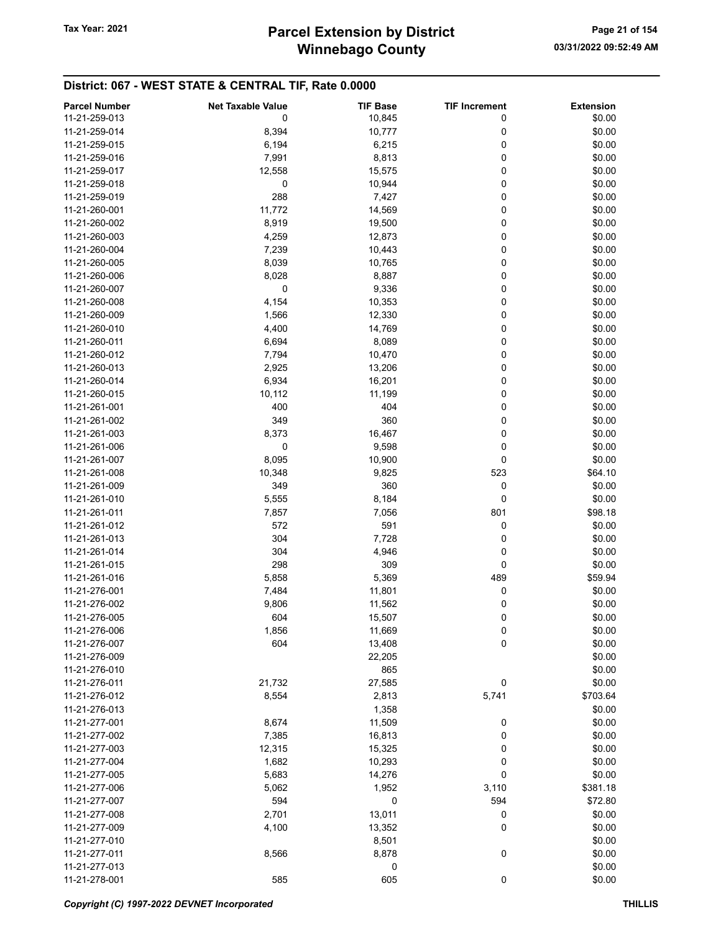| <b>Parcel Number</b> | <b>Net Taxable Value</b> | <b>TIF Base</b> | <b>TIF Increment</b> | <b>Extension</b> |
|----------------------|--------------------------|-----------------|----------------------|------------------|
| 11-21-259-013        | 0                        | 10,845          | 0                    | \$0.00           |
| 11-21-259-014        | 8,394                    | 10,777          | 0                    | \$0.00           |
| 11-21-259-015        | 6,194                    | 6,215           | 0                    | \$0.00           |
| 11-21-259-016        | 7,991                    | 8,813           | 0                    | \$0.00           |
| 11-21-259-017        | 12,558                   | 15,575          | 0                    | \$0.00           |
|                      |                          |                 |                      |                  |
| 11-21-259-018        | 0                        | 10,944          | 0                    | \$0.00           |
| 11-21-259-019        | 288                      | 7,427           | 0                    | \$0.00           |
| 11-21-260-001        | 11,772                   | 14,569          | 0                    | \$0.00           |
| 11-21-260-002        | 8,919                    | 19,500          | 0                    | \$0.00           |
| 11-21-260-003        | 4,259                    | 12,873          | 0                    | \$0.00           |
| 11-21-260-004        | 7,239                    | 10,443          | 0                    | \$0.00           |
| 11-21-260-005        | 8,039                    | 10,765          | 0                    | \$0.00           |
| 11-21-260-006        | 8,028                    | 8,887           | 0                    | \$0.00           |
| 11-21-260-007        | 0                        | 9,336           | 0                    | \$0.00           |
| 11-21-260-008        | 4,154                    | 10,353          | 0                    | \$0.00           |
| 11-21-260-009        | 1,566                    | 12,330          | 0                    | \$0.00           |
| 11-21-260-010        | 4,400                    | 14,769          | 0                    | \$0.00           |
| 11-21-260-011        | 6,694                    | 8,089           | 0                    | \$0.00           |
| 11-21-260-012        | 7,794                    | 10,470          | 0                    | \$0.00           |
| 11-21-260-013        | 2,925                    | 13,206          | 0                    | \$0.00           |
| 11-21-260-014        | 6,934                    | 16,201          | 0                    | \$0.00           |
| 11-21-260-015        | 10,112                   | 11,199          | 0                    | \$0.00           |
| 11-21-261-001        | 400                      | 404             | 0                    | \$0.00           |
| 11-21-261-002        | 349                      | 360             | 0                    | \$0.00           |
| 11-21-261-003        | 8,373                    | 16,467          | 0                    | \$0.00           |
| 11-21-261-006        | 0                        | 9,598           | 0                    | \$0.00           |
| 11-21-261-007        |                          |                 |                      | \$0.00           |
|                      | 8,095                    | 10,900          | 0                    |                  |
| 11-21-261-008        | 10,348                   | 9,825           | 523                  | \$64.10          |
| 11-21-261-009        | 349                      | 360             | 0                    | \$0.00           |
| 11-21-261-010        | 5,555                    | 8,184           | 0                    | \$0.00           |
| 11-21-261-011        | 7,857                    | 7,056           | 801                  | \$98.18          |
| 11-21-261-012        | 572                      | 591             | 0                    | \$0.00           |
| 11-21-261-013        | 304                      | 7,728           | 0                    | \$0.00           |
| 11-21-261-014        | 304                      | 4,946           | 0                    | \$0.00           |
| 11-21-261-015        | 298                      | 309             | 0                    | \$0.00           |
| 11-21-261-016        | 5,858                    | 5,369           | 489                  | \$59.94          |
| 11-21-276-001        | 7,484                    | 11,801          | 0                    | \$0.00           |
| 11-21-276-002        | 9,806                    | 11,562          | 0                    | \$0.00           |
| 11-21-276-005        | 604                      | 15,507          | 0                    | \$0.00           |
| 11-21-276-006        | 1,856                    | 11,669          | 0                    | \$0.00           |
| 11-21-276-007        | 604                      | 13,408          | 0                    | \$0.00           |
| 11-21-276-009        |                          | 22,205          |                      | \$0.00           |
| 11-21-276-010        |                          | 865             |                      | \$0.00           |
| 11-21-276-011        | 21,732                   | 27,585          | 0                    | \$0.00           |
| 11-21-276-012        | 8,554                    | 2,813           | 5,741                | \$703.64         |
| 11-21-276-013        |                          | 1,358           |                      | \$0.00           |
| 11-21-277-001        | 8,674                    | 11,509          | 0                    | \$0.00           |
| 11-21-277-002        | 7,385                    | 16,813          | 0                    | \$0.00           |
| 11-21-277-003        | 12,315                   | 15,325          | 0                    | \$0.00           |
| 11-21-277-004        | 1,682                    | 10,293          | 0                    | \$0.00           |
| 11-21-277-005        |                          |                 | 0                    | \$0.00           |
|                      | 5,683                    | 14,276          |                      |                  |
| 11-21-277-006        | 5,062                    | 1,952           | 3,110                | \$381.18         |
| 11-21-277-007        | 594                      | 0               | 594                  | \$72.80          |
| 11-21-277-008        | 2,701                    | 13,011          | 0                    | \$0.00           |
| 11-21-277-009        | 4,100                    | 13,352          | 0                    | \$0.00           |
| 11-21-277-010        |                          | 8,501           |                      | \$0.00           |
| 11-21-277-011        | 8,566                    | 8,878           | 0                    | \$0.00           |
| 11-21-277-013        |                          | 0               |                      | \$0.00           |
| 11-21-278-001        | 585                      | 605             | 0                    | \$0.00           |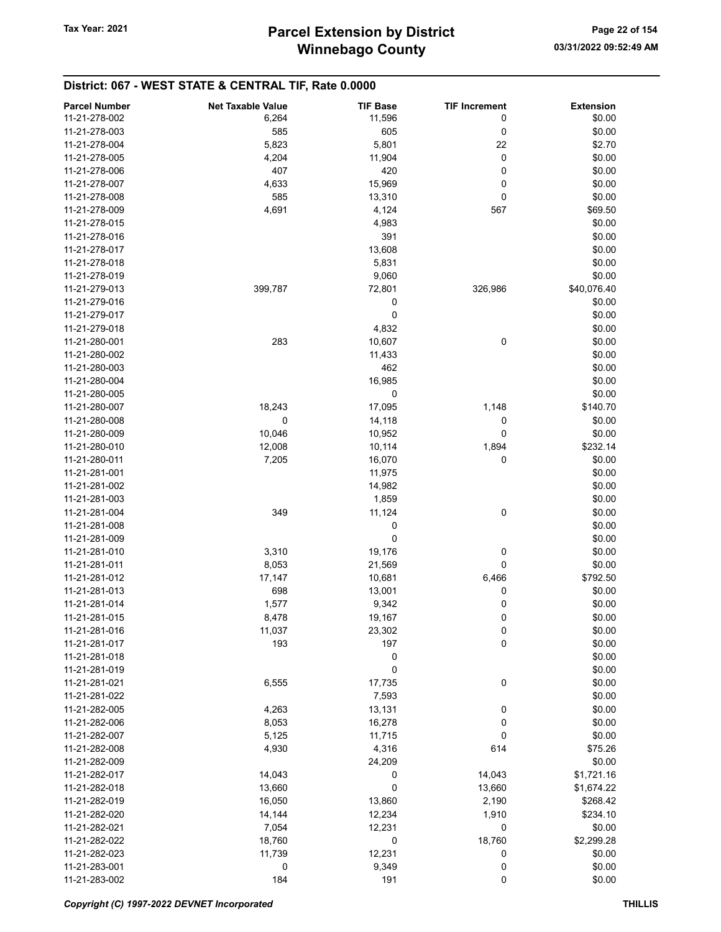| <b>Parcel Number</b> | <b>Net Taxable Value</b> | <b>TIF Base</b> | <b>TIF Increment</b> | <b>Extension</b> |
|----------------------|--------------------------|-----------------|----------------------|------------------|
| 11-21-278-002        | 6,264                    | 11,596          | 0                    | \$0.00           |
| 11-21-278-003        | 585                      | 605             | 0                    | \$0.00           |
| 11-21-278-004        | 5,823                    | 5,801           | 22                   | \$2.70           |
| 11-21-278-005        | 4,204                    | 11,904          | 0                    | \$0.00           |
| 11-21-278-006        | 407                      | 420             | 0                    | \$0.00           |
| 11-21-278-007        | 4,633                    | 15,969          | 0                    | \$0.00           |
| 11-21-278-008        | 585                      | 13,310          | 0                    | \$0.00           |
| 11-21-278-009        | 4,691                    | 4,124           | 567                  | \$69.50          |
| 11-21-278-015        |                          |                 |                      | \$0.00           |
| 11-21-278-016        |                          | 4,983           |                      |                  |
|                      |                          | 391             |                      | \$0.00           |
| 11-21-278-017        |                          | 13,608          |                      | \$0.00           |
| 11-21-278-018        |                          | 5,831           |                      | \$0.00           |
| 11-21-278-019        |                          | 9,060           |                      | \$0.00           |
| 11-21-279-013        | 399,787                  | 72,801          | 326,986              | \$40,076.40      |
| 11-21-279-016        |                          | 0               |                      | \$0.00           |
| 11-21-279-017        |                          | 0               |                      | \$0.00           |
| 11-21-279-018        |                          | 4,832           |                      | \$0.00           |
| 11-21-280-001        | 283                      | 10,607          | 0                    | \$0.00           |
| 11-21-280-002        |                          | 11,433          |                      | \$0.00           |
| 11-21-280-003        |                          | 462             |                      | \$0.00           |
| 11-21-280-004        |                          | 16,985          |                      | \$0.00           |
| 11-21-280-005        |                          | 0               |                      | \$0.00           |
| 11-21-280-007        | 18,243                   | 17,095          | 1,148                | \$140.70         |
| 11-21-280-008        | 0                        | 14,118          | 0                    | \$0.00           |
| 11-21-280-009        | 10,046                   | 10,952          | 0                    | \$0.00           |
| 11-21-280-010        | 12,008                   | 10,114          | 1,894                | \$232.14         |
| 11-21-280-011        | 7,205                    | 16,070          | 0                    | \$0.00           |
| 11-21-281-001        |                          | 11,975          |                      | \$0.00           |
| 11-21-281-002        |                          | 14,982          |                      | \$0.00           |
| 11-21-281-003        |                          | 1,859           |                      | \$0.00           |
| 11-21-281-004        | 349                      | 11,124          | 0                    | \$0.00           |
| 11-21-281-008        |                          | 0               |                      | \$0.00           |
| 11-21-281-009        |                          | 0               |                      | \$0.00           |
| 11-21-281-010        | 3,310                    | 19,176          | 0                    | \$0.00           |
| 11-21-281-011        | 8,053                    | 21,569          | 0                    | \$0.00           |
| 11-21-281-012        | 17,147                   | 10,681          | 6,466                | \$792.50         |
| 11-21-281-013        | 698                      | 13,001          | 0                    | \$0.00           |
| 11-21-281-014        | 1,577                    | 9,342           | 0                    | \$0.00           |
| 11-21-281-015        | 8,478                    | 19,167          | 0                    | \$0.00           |
| 11-21-281-016        | 11,037                   | 23,302          | 0                    | \$0.00           |
| 11-21-281-017        | 193                      | 197             | 0                    | \$0.00           |
| 11-21-281-018        |                          | 0               |                      | \$0.00           |
| 11-21-281-019        |                          |                 |                      |                  |
|                      |                          | 0               |                      | \$0.00           |
| 11-21-281-021        | 6,555                    | 17,735          | 0                    | \$0.00           |
| 11-21-281-022        |                          | 7,593           |                      | \$0.00           |
| 11-21-282-005        | 4,263                    | 13,131          | 0                    | \$0.00           |
| 11-21-282-006        | 8,053                    | 16,278          | 0                    | \$0.00           |
| 11-21-282-007        | 5,125                    | 11,715          | 0                    | \$0.00           |
| 11-21-282-008        | 4,930                    | 4,316           | 614                  | \$75.26          |
| 11-21-282-009        |                          | 24,209          |                      | \$0.00           |
| 11-21-282-017        | 14,043                   | 0               | 14,043               | \$1,721.16       |
| 11-21-282-018        | 13,660                   | 0               | 13,660               | \$1,674.22       |
| 11-21-282-019        | 16,050                   | 13,860          | 2,190                | \$268.42         |
| 11-21-282-020        | 14,144                   | 12,234          | 1,910                | \$234.10         |
| 11-21-282-021        | 7,054                    | 12,231          | 0                    | \$0.00           |
| 11-21-282-022        | 18,760                   | 0               | 18,760               | \$2,299.28       |
| 11-21-282-023        | 11,739                   | 12,231          | 0                    | \$0.00           |
| 11-21-283-001        | 0                        | 9,349           | 0                    | \$0.00           |
| 11-21-283-002        | 184                      | 191             | 0                    | \$0.00           |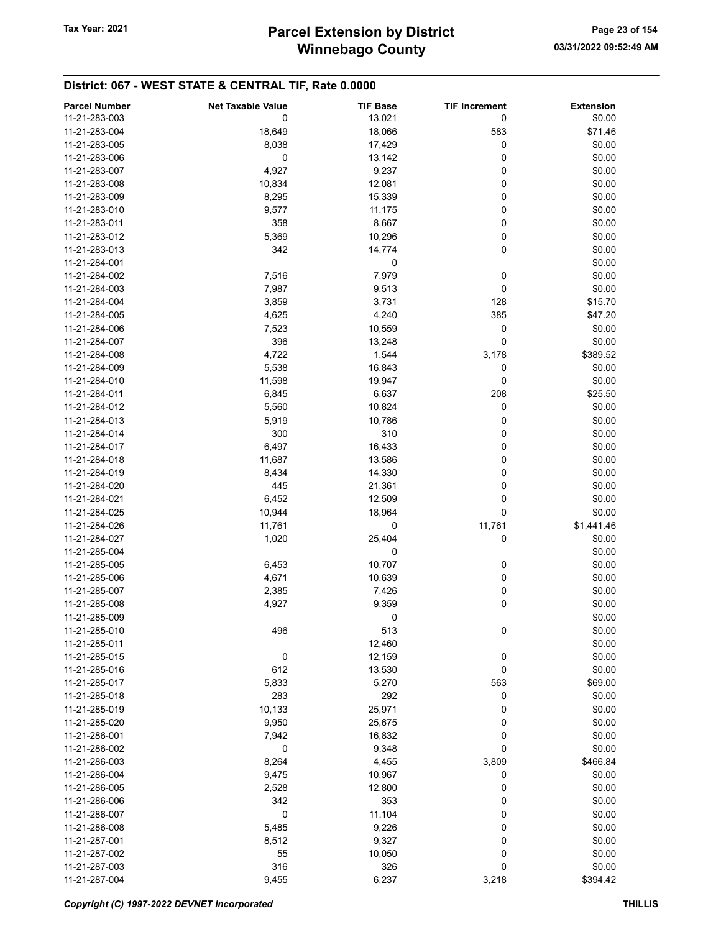| <b>Parcel Number</b> | <b>Net Taxable Value</b> | <b>TIF Base</b> | <b>TIF Increment</b> | <b>Extension</b> |
|----------------------|--------------------------|-----------------|----------------------|------------------|
| 11-21-283-003        | 0                        | 13,021          | 0                    | \$0.00           |
| 11-21-283-004        |                          |                 |                      | \$71.46          |
| 11-21-283-005        | 18,649                   | 18,066          | 583                  |                  |
|                      | 8,038                    | 17,429          | 0                    | \$0.00           |
| 11-21-283-006        | 0                        | 13,142          | 0                    | \$0.00           |
| 11-21-283-007        | 4,927                    | 9,237           | 0                    | \$0.00           |
| 11-21-283-008        | 10,834                   | 12,081          | 0                    | \$0.00           |
| 11-21-283-009        | 8,295                    | 15,339          | 0                    | \$0.00           |
| 11-21-283-010        | 9,577                    | 11,175          | 0                    | \$0.00           |
| 11-21-283-011        | 358                      | 8,667           | 0                    | \$0.00           |
| 11-21-283-012        | 5,369                    | 10,296          | 0                    | \$0.00           |
| 11-21-283-013        | 342                      | 14,774          | 0                    | \$0.00           |
| 11-21-284-001        |                          | 0               |                      | \$0.00           |
| 11-21-284-002        | 7,516                    | 7,979           | 0                    | \$0.00           |
| 11-21-284-003        | 7,987                    | 9,513           | 0                    | \$0.00           |
| 11-21-284-004        | 3,859                    | 3,731           | 128                  | \$15.70          |
| 11-21-284-005        | 4,625                    | 4,240           | 385                  | \$47.20          |
| 11-21-284-006        | 7,523                    | 10,559          | 0                    | \$0.00           |
| 11-21-284-007        | 396                      | 13,248          | 0                    | \$0.00           |
| 11-21-284-008        | 4,722                    | 1,544           | 3,178                | \$389.52         |
| 11-21-284-009        | 5,538                    | 16,843          | 0                    | \$0.00           |
|                      |                          |                 |                      |                  |
| 11-21-284-010        | 11,598                   | 19,947          | 0                    | \$0.00           |
| 11-21-284-011        | 6,845                    | 6,637           | 208                  | \$25.50          |
| 11-21-284-012        | 5,560                    | 10,824          | 0                    | \$0.00           |
| 11-21-284-013        | 5,919                    | 10,786          | 0                    | \$0.00           |
| 11-21-284-014        | 300                      | 310             | 0                    | \$0.00           |
| 11-21-284-017        | 6,497                    | 16,433          | 0                    | \$0.00           |
| 11-21-284-018        | 11,687                   | 13,586          | 0                    | \$0.00           |
| 11-21-284-019        | 8,434                    | 14,330          | 0                    | \$0.00           |
| 11-21-284-020        | 445                      | 21,361          | 0                    | \$0.00           |
| 11-21-284-021        | 6,452                    | 12,509          | 0                    | \$0.00           |
| 11-21-284-025        | 10,944                   | 18,964          | 0                    | \$0.00           |
| 11-21-284-026        | 11,761                   | 0               | 11,761               | \$1,441.46       |
| 11-21-284-027        | 1,020                    | 25,404          | 0                    | \$0.00           |
| 11-21-285-004        |                          | 0               |                      | \$0.00           |
| 11-21-285-005        | 6,453                    | 10,707          | 0                    | \$0.00           |
| 11-21-285-006        | 4,671                    | 10,639          | 0                    | \$0.00           |
| 11-21-285-007        |                          | 7,426           | 0                    | \$0.00           |
|                      | 2,385                    |                 |                      |                  |
| 11-21-285-008        | 4,927                    | 9,359           | 0                    | \$0.00           |
| 11-21-285-009        |                          | 0               |                      | \$0.00           |
| 11-21-285-010        | 496                      | 513             | 0                    | \$0.00           |
| 11-21-285-011        |                          | 12,460          |                      | \$0.00           |
| 11-21-285-015        | 0                        | 12,159          | 0                    | \$0.00           |
| 11-21-285-016        | 612                      | 13,530          | 0                    | \$0.00           |
| 11-21-285-017        | 5,833                    | 5,270           | 563                  | \$69.00          |
| 11-21-285-018        | 283                      | 292             | 0                    | \$0.00           |
| 11-21-285-019        | 10,133                   | 25,971          | 0                    | \$0.00           |
| 11-21-285-020        | 9,950                    | 25,675          | 0                    | \$0.00           |
| 11-21-286-001        | 7,942                    | 16,832          | 0                    | \$0.00           |
| 11-21-286-002        | 0                        | 9,348           | 0                    | \$0.00           |
| 11-21-286-003        | 8,264                    | 4,455           | 3,809                | \$466.84         |
| 11-21-286-004        | 9,475                    | 10,967          | 0                    | \$0.00           |
| 11-21-286-005        | 2,528                    | 12,800          | 0                    | \$0.00           |
| 11-21-286-006        | 342                      | 353             | 0                    | \$0.00           |
|                      |                          |                 |                      |                  |
| 11-21-286-007        | 0                        | 11,104          | 0                    | \$0.00           |
| 11-21-286-008        | 5,485                    | 9,226           | 0                    | \$0.00           |
| 11-21-287-001        | 8,512                    | 9,327           | 0                    | \$0.00           |
| 11-21-287-002        | 55                       | 10,050          | 0                    | \$0.00           |
| 11-21-287-003        | 316                      | 326             | 0                    | \$0.00           |
| 11-21-287-004        | 9,455                    | 6,237           | 3,218                | \$394.42         |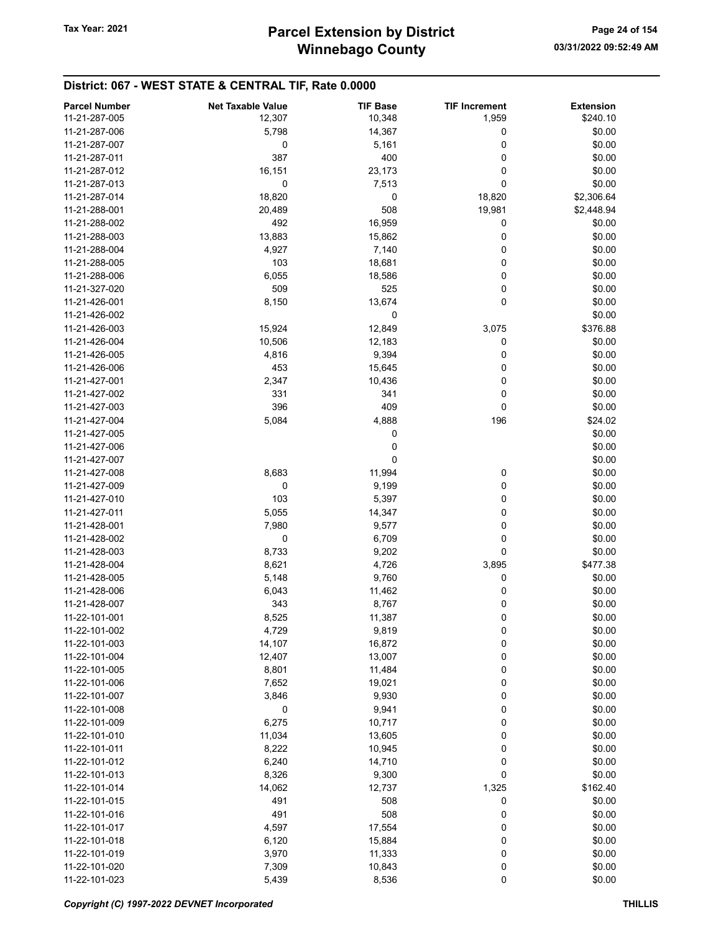| 11-21-287-005<br>12,307<br>10,348<br>1,959<br>\$240.10<br>11-21-287-006<br>5,798<br>14,367<br>\$0.00<br>0<br>0<br>\$0.00<br>11-21-287-007<br>5,161<br>0<br>387<br>400<br>\$0.00<br>11-21-287-011<br>0<br>11-21-287-012<br>16,151<br>\$0.00<br>23,173<br>0<br>0<br>7,513<br>0<br>\$0.00<br>11-21-287-013<br>18,820<br>\$2,306.64<br>11-21-287-014<br>0<br>18,820<br>508<br>20,489<br>19,981<br>\$2,448.94<br>11-21-288-001<br>11-21-288-002<br>492<br>16,959<br>0<br>\$0.00<br>\$0.00<br>11-21-288-003<br>13,883<br>15,862<br>0<br>11-21-288-004<br>4,927<br>7,140<br>0<br>\$0.00<br>11-21-288-005<br>103<br>18,681<br>0<br>\$0.00<br>11-21-288-006<br>6,055<br>18,586<br>0<br>\$0.00<br>525<br>\$0.00<br>509<br>0<br>11-21-327-020<br>0<br>\$0.00<br>11-21-426-001<br>8,150<br>13,674<br>\$0.00<br>11-21-426-002<br>0<br>\$376.88<br>11-21-426-003<br>15,924<br>12,849<br>3,075<br>11-21-426-004<br>10,506<br>12,183<br>0<br>\$0.00<br>9,394<br>\$0.00<br>11-21-426-005<br>4,816<br>0<br>11-21-426-006<br>453<br>15,645<br>0<br>\$0.00<br>\$0.00<br>11-21-427-001<br>2,347<br>10,436<br>0<br>0<br>\$0.00<br>11-21-427-002<br>331<br>341<br>396<br>409<br>\$0.00<br>11-21-427-003<br>0<br>5,084<br>4,888<br>196<br>\$24.02<br>11-21-427-004<br>11-21-427-005<br>0<br>\$0.00<br>0<br>\$0.00<br>11-21-427-006<br>0<br>\$0.00<br>11-21-427-007<br>8,683<br>\$0.00<br>11,994<br>0<br>11-21-427-008<br>0<br>0<br>\$0.00<br>11-21-427-009<br>9,199<br>103<br>\$0.00<br>11-21-427-010<br>5,397<br>0<br>\$0.00<br>11-21-427-011<br>5,055<br>14,347<br>0<br>0<br>\$0.00<br>11-21-428-001<br>7,980<br>9,577<br>0<br>0<br>\$0.00<br>11-21-428-002<br>6,709<br>8,733<br>$\mathbf 0$<br>\$0.00<br>11-21-428-003<br>9,202<br>\$477.38<br>11-21-428-004<br>8,621<br>4,726<br>3,895<br>9,760<br>0<br>\$0.00<br>11-21-428-005<br>5,148<br>11,462<br>\$0.00<br>11-21-428-006<br>6,043<br>0<br>11-21-428-007<br>343<br>8,767<br>0<br>\$0.00<br>8,525<br>11,387<br>0<br>\$0.00<br>11-22-101-001<br>$\pmb{0}$<br>11-22-101-002<br>4,729<br>9,819<br>\$0.00<br>14,107<br>16,872<br>0<br>\$0.00<br>11-22-101-003<br>0<br>\$0.00<br>11-22-101-004<br>12,407<br>13,007<br>0<br>\$0.00<br>11-22-101-005<br>8,801<br>11,484<br>\$0.00<br>11-22-101-006<br>7,652<br>19,021<br>0<br>11-22-101-007<br>3,846<br>9,930<br>0<br>\$0.00<br>\$0.00<br>0<br>9,941<br>0<br>11-22-101-008<br>6,275<br>0<br>11-22-101-009<br>10,717<br>\$0.00<br>\$0.00<br>11-22-101-010<br>11,034<br>13,605<br>0<br>0<br>8,222<br>\$0.00<br>11-22-101-011<br>10,945<br>11-22-101-012<br>6,240<br>14,710<br>0<br>\$0.00<br>\$0.00<br>8,326<br>9,300<br>0<br>11-22-101-013<br>\$162.40<br>11-22-101-014<br>14,062<br>12,737<br>1,325<br>508<br>\$0.00<br>11-22-101-015<br>491<br>0<br>508<br>0<br>11-22-101-016<br>491<br>\$0.00<br>17,554<br>\$0.00<br>11-22-101-017<br>4,597<br>0<br>6,120<br>\$0.00<br>11-22-101-018<br>15,884<br>0<br>0<br>\$0.00<br>11-22-101-019<br>3,970<br>11,333<br>\$0.00<br>11-22-101-020<br>7,309<br>10,843<br>0<br>0<br>11-22-101-023<br>8,536<br>\$0.00<br>5,439 | <b>Parcel Number</b> | <b>Net Taxable Value</b> | <b>TIF Base</b> | <b>TIF Increment</b> | <b>Extension</b> |
|---------------------------------------------------------------------------------------------------------------------------------------------------------------------------------------------------------------------------------------------------------------------------------------------------------------------------------------------------------------------------------------------------------------------------------------------------------------------------------------------------------------------------------------------------------------------------------------------------------------------------------------------------------------------------------------------------------------------------------------------------------------------------------------------------------------------------------------------------------------------------------------------------------------------------------------------------------------------------------------------------------------------------------------------------------------------------------------------------------------------------------------------------------------------------------------------------------------------------------------------------------------------------------------------------------------------------------------------------------------------------------------------------------------------------------------------------------------------------------------------------------------------------------------------------------------------------------------------------------------------------------------------------------------------------------------------------------------------------------------------------------------------------------------------------------------------------------------------------------------------------------------------------------------------------------------------------------------------------------------------------------------------------------------------------------------------------------------------------------------------------------------------------------------------------------------------------------------------------------------------------------------------------------------------------------------------------------------------------------------------------------------------------------------------------------------------------------------------------------------------------------------------------------------------------------------------------------------------------------------------------------------------------------------------------------------------------------------------------------------------------------------------------------------------------------------------------------------------------------------------------------------------------------------------------------------------------------------------------------------------------------------------------------------|----------------------|--------------------------|-----------------|----------------------|------------------|
|                                                                                                                                                                                                                                                                                                                                                                                                                                                                                                                                                                                                                                                                                                                                                                                                                                                                                                                                                                                                                                                                                                                                                                                                                                                                                                                                                                                                                                                                                                                                                                                                                                                                                                                                                                                                                                                                                                                                                                                                                                                                                                                                                                                                                                                                                                                                                                                                                                                                                                                                                                                                                                                                                                                                                                                                                                                                                                                                                                                                                                       |                      |                          |                 |                      |                  |
|                                                                                                                                                                                                                                                                                                                                                                                                                                                                                                                                                                                                                                                                                                                                                                                                                                                                                                                                                                                                                                                                                                                                                                                                                                                                                                                                                                                                                                                                                                                                                                                                                                                                                                                                                                                                                                                                                                                                                                                                                                                                                                                                                                                                                                                                                                                                                                                                                                                                                                                                                                                                                                                                                                                                                                                                                                                                                                                                                                                                                                       |                      |                          |                 |                      |                  |
|                                                                                                                                                                                                                                                                                                                                                                                                                                                                                                                                                                                                                                                                                                                                                                                                                                                                                                                                                                                                                                                                                                                                                                                                                                                                                                                                                                                                                                                                                                                                                                                                                                                                                                                                                                                                                                                                                                                                                                                                                                                                                                                                                                                                                                                                                                                                                                                                                                                                                                                                                                                                                                                                                                                                                                                                                                                                                                                                                                                                                                       |                      |                          |                 |                      |                  |
|                                                                                                                                                                                                                                                                                                                                                                                                                                                                                                                                                                                                                                                                                                                                                                                                                                                                                                                                                                                                                                                                                                                                                                                                                                                                                                                                                                                                                                                                                                                                                                                                                                                                                                                                                                                                                                                                                                                                                                                                                                                                                                                                                                                                                                                                                                                                                                                                                                                                                                                                                                                                                                                                                                                                                                                                                                                                                                                                                                                                                                       |                      |                          |                 |                      |                  |
|                                                                                                                                                                                                                                                                                                                                                                                                                                                                                                                                                                                                                                                                                                                                                                                                                                                                                                                                                                                                                                                                                                                                                                                                                                                                                                                                                                                                                                                                                                                                                                                                                                                                                                                                                                                                                                                                                                                                                                                                                                                                                                                                                                                                                                                                                                                                                                                                                                                                                                                                                                                                                                                                                                                                                                                                                                                                                                                                                                                                                                       |                      |                          |                 |                      |                  |
|                                                                                                                                                                                                                                                                                                                                                                                                                                                                                                                                                                                                                                                                                                                                                                                                                                                                                                                                                                                                                                                                                                                                                                                                                                                                                                                                                                                                                                                                                                                                                                                                                                                                                                                                                                                                                                                                                                                                                                                                                                                                                                                                                                                                                                                                                                                                                                                                                                                                                                                                                                                                                                                                                                                                                                                                                                                                                                                                                                                                                                       |                      |                          |                 |                      |                  |
|                                                                                                                                                                                                                                                                                                                                                                                                                                                                                                                                                                                                                                                                                                                                                                                                                                                                                                                                                                                                                                                                                                                                                                                                                                                                                                                                                                                                                                                                                                                                                                                                                                                                                                                                                                                                                                                                                                                                                                                                                                                                                                                                                                                                                                                                                                                                                                                                                                                                                                                                                                                                                                                                                                                                                                                                                                                                                                                                                                                                                                       |                      |                          |                 |                      |                  |
|                                                                                                                                                                                                                                                                                                                                                                                                                                                                                                                                                                                                                                                                                                                                                                                                                                                                                                                                                                                                                                                                                                                                                                                                                                                                                                                                                                                                                                                                                                                                                                                                                                                                                                                                                                                                                                                                                                                                                                                                                                                                                                                                                                                                                                                                                                                                                                                                                                                                                                                                                                                                                                                                                                                                                                                                                                                                                                                                                                                                                                       |                      |                          |                 |                      |                  |
|                                                                                                                                                                                                                                                                                                                                                                                                                                                                                                                                                                                                                                                                                                                                                                                                                                                                                                                                                                                                                                                                                                                                                                                                                                                                                                                                                                                                                                                                                                                                                                                                                                                                                                                                                                                                                                                                                                                                                                                                                                                                                                                                                                                                                                                                                                                                                                                                                                                                                                                                                                                                                                                                                                                                                                                                                                                                                                                                                                                                                                       |                      |                          |                 |                      |                  |
|                                                                                                                                                                                                                                                                                                                                                                                                                                                                                                                                                                                                                                                                                                                                                                                                                                                                                                                                                                                                                                                                                                                                                                                                                                                                                                                                                                                                                                                                                                                                                                                                                                                                                                                                                                                                                                                                                                                                                                                                                                                                                                                                                                                                                                                                                                                                                                                                                                                                                                                                                                                                                                                                                                                                                                                                                                                                                                                                                                                                                                       |                      |                          |                 |                      |                  |
|                                                                                                                                                                                                                                                                                                                                                                                                                                                                                                                                                                                                                                                                                                                                                                                                                                                                                                                                                                                                                                                                                                                                                                                                                                                                                                                                                                                                                                                                                                                                                                                                                                                                                                                                                                                                                                                                                                                                                                                                                                                                                                                                                                                                                                                                                                                                                                                                                                                                                                                                                                                                                                                                                                                                                                                                                                                                                                                                                                                                                                       |                      |                          |                 |                      |                  |
|                                                                                                                                                                                                                                                                                                                                                                                                                                                                                                                                                                                                                                                                                                                                                                                                                                                                                                                                                                                                                                                                                                                                                                                                                                                                                                                                                                                                                                                                                                                                                                                                                                                                                                                                                                                                                                                                                                                                                                                                                                                                                                                                                                                                                                                                                                                                                                                                                                                                                                                                                                                                                                                                                                                                                                                                                                                                                                                                                                                                                                       |                      |                          |                 |                      |                  |
|                                                                                                                                                                                                                                                                                                                                                                                                                                                                                                                                                                                                                                                                                                                                                                                                                                                                                                                                                                                                                                                                                                                                                                                                                                                                                                                                                                                                                                                                                                                                                                                                                                                                                                                                                                                                                                                                                                                                                                                                                                                                                                                                                                                                                                                                                                                                                                                                                                                                                                                                                                                                                                                                                                                                                                                                                                                                                                                                                                                                                                       |                      |                          |                 |                      |                  |
|                                                                                                                                                                                                                                                                                                                                                                                                                                                                                                                                                                                                                                                                                                                                                                                                                                                                                                                                                                                                                                                                                                                                                                                                                                                                                                                                                                                                                                                                                                                                                                                                                                                                                                                                                                                                                                                                                                                                                                                                                                                                                                                                                                                                                                                                                                                                                                                                                                                                                                                                                                                                                                                                                                                                                                                                                                                                                                                                                                                                                                       |                      |                          |                 |                      |                  |
|                                                                                                                                                                                                                                                                                                                                                                                                                                                                                                                                                                                                                                                                                                                                                                                                                                                                                                                                                                                                                                                                                                                                                                                                                                                                                                                                                                                                                                                                                                                                                                                                                                                                                                                                                                                                                                                                                                                                                                                                                                                                                                                                                                                                                                                                                                                                                                                                                                                                                                                                                                                                                                                                                                                                                                                                                                                                                                                                                                                                                                       |                      |                          |                 |                      |                  |
|                                                                                                                                                                                                                                                                                                                                                                                                                                                                                                                                                                                                                                                                                                                                                                                                                                                                                                                                                                                                                                                                                                                                                                                                                                                                                                                                                                                                                                                                                                                                                                                                                                                                                                                                                                                                                                                                                                                                                                                                                                                                                                                                                                                                                                                                                                                                                                                                                                                                                                                                                                                                                                                                                                                                                                                                                                                                                                                                                                                                                                       |                      |                          |                 |                      |                  |
|                                                                                                                                                                                                                                                                                                                                                                                                                                                                                                                                                                                                                                                                                                                                                                                                                                                                                                                                                                                                                                                                                                                                                                                                                                                                                                                                                                                                                                                                                                                                                                                                                                                                                                                                                                                                                                                                                                                                                                                                                                                                                                                                                                                                                                                                                                                                                                                                                                                                                                                                                                                                                                                                                                                                                                                                                                                                                                                                                                                                                                       |                      |                          |                 |                      |                  |
|                                                                                                                                                                                                                                                                                                                                                                                                                                                                                                                                                                                                                                                                                                                                                                                                                                                                                                                                                                                                                                                                                                                                                                                                                                                                                                                                                                                                                                                                                                                                                                                                                                                                                                                                                                                                                                                                                                                                                                                                                                                                                                                                                                                                                                                                                                                                                                                                                                                                                                                                                                                                                                                                                                                                                                                                                                                                                                                                                                                                                                       |                      |                          |                 |                      |                  |
|                                                                                                                                                                                                                                                                                                                                                                                                                                                                                                                                                                                                                                                                                                                                                                                                                                                                                                                                                                                                                                                                                                                                                                                                                                                                                                                                                                                                                                                                                                                                                                                                                                                                                                                                                                                                                                                                                                                                                                                                                                                                                                                                                                                                                                                                                                                                                                                                                                                                                                                                                                                                                                                                                                                                                                                                                                                                                                                                                                                                                                       |                      |                          |                 |                      |                  |
|                                                                                                                                                                                                                                                                                                                                                                                                                                                                                                                                                                                                                                                                                                                                                                                                                                                                                                                                                                                                                                                                                                                                                                                                                                                                                                                                                                                                                                                                                                                                                                                                                                                                                                                                                                                                                                                                                                                                                                                                                                                                                                                                                                                                                                                                                                                                                                                                                                                                                                                                                                                                                                                                                                                                                                                                                                                                                                                                                                                                                                       |                      |                          |                 |                      |                  |
|                                                                                                                                                                                                                                                                                                                                                                                                                                                                                                                                                                                                                                                                                                                                                                                                                                                                                                                                                                                                                                                                                                                                                                                                                                                                                                                                                                                                                                                                                                                                                                                                                                                                                                                                                                                                                                                                                                                                                                                                                                                                                                                                                                                                                                                                                                                                                                                                                                                                                                                                                                                                                                                                                                                                                                                                                                                                                                                                                                                                                                       |                      |                          |                 |                      |                  |
|                                                                                                                                                                                                                                                                                                                                                                                                                                                                                                                                                                                                                                                                                                                                                                                                                                                                                                                                                                                                                                                                                                                                                                                                                                                                                                                                                                                                                                                                                                                                                                                                                                                                                                                                                                                                                                                                                                                                                                                                                                                                                                                                                                                                                                                                                                                                                                                                                                                                                                                                                                                                                                                                                                                                                                                                                                                                                                                                                                                                                                       |                      |                          |                 |                      |                  |
|                                                                                                                                                                                                                                                                                                                                                                                                                                                                                                                                                                                                                                                                                                                                                                                                                                                                                                                                                                                                                                                                                                                                                                                                                                                                                                                                                                                                                                                                                                                                                                                                                                                                                                                                                                                                                                                                                                                                                                                                                                                                                                                                                                                                                                                                                                                                                                                                                                                                                                                                                                                                                                                                                                                                                                                                                                                                                                                                                                                                                                       |                      |                          |                 |                      |                  |
|                                                                                                                                                                                                                                                                                                                                                                                                                                                                                                                                                                                                                                                                                                                                                                                                                                                                                                                                                                                                                                                                                                                                                                                                                                                                                                                                                                                                                                                                                                                                                                                                                                                                                                                                                                                                                                                                                                                                                                                                                                                                                                                                                                                                                                                                                                                                                                                                                                                                                                                                                                                                                                                                                                                                                                                                                                                                                                                                                                                                                                       |                      |                          |                 |                      |                  |
|                                                                                                                                                                                                                                                                                                                                                                                                                                                                                                                                                                                                                                                                                                                                                                                                                                                                                                                                                                                                                                                                                                                                                                                                                                                                                                                                                                                                                                                                                                                                                                                                                                                                                                                                                                                                                                                                                                                                                                                                                                                                                                                                                                                                                                                                                                                                                                                                                                                                                                                                                                                                                                                                                                                                                                                                                                                                                                                                                                                                                                       |                      |                          |                 |                      |                  |
|                                                                                                                                                                                                                                                                                                                                                                                                                                                                                                                                                                                                                                                                                                                                                                                                                                                                                                                                                                                                                                                                                                                                                                                                                                                                                                                                                                                                                                                                                                                                                                                                                                                                                                                                                                                                                                                                                                                                                                                                                                                                                                                                                                                                                                                                                                                                                                                                                                                                                                                                                                                                                                                                                                                                                                                                                                                                                                                                                                                                                                       |                      |                          |                 |                      |                  |
|                                                                                                                                                                                                                                                                                                                                                                                                                                                                                                                                                                                                                                                                                                                                                                                                                                                                                                                                                                                                                                                                                                                                                                                                                                                                                                                                                                                                                                                                                                                                                                                                                                                                                                                                                                                                                                                                                                                                                                                                                                                                                                                                                                                                                                                                                                                                                                                                                                                                                                                                                                                                                                                                                                                                                                                                                                                                                                                                                                                                                                       |                      |                          |                 |                      |                  |
|                                                                                                                                                                                                                                                                                                                                                                                                                                                                                                                                                                                                                                                                                                                                                                                                                                                                                                                                                                                                                                                                                                                                                                                                                                                                                                                                                                                                                                                                                                                                                                                                                                                                                                                                                                                                                                                                                                                                                                                                                                                                                                                                                                                                                                                                                                                                                                                                                                                                                                                                                                                                                                                                                                                                                                                                                                                                                                                                                                                                                                       |                      |                          |                 |                      |                  |
|                                                                                                                                                                                                                                                                                                                                                                                                                                                                                                                                                                                                                                                                                                                                                                                                                                                                                                                                                                                                                                                                                                                                                                                                                                                                                                                                                                                                                                                                                                                                                                                                                                                                                                                                                                                                                                                                                                                                                                                                                                                                                                                                                                                                                                                                                                                                                                                                                                                                                                                                                                                                                                                                                                                                                                                                                                                                                                                                                                                                                                       |                      |                          |                 |                      |                  |
|                                                                                                                                                                                                                                                                                                                                                                                                                                                                                                                                                                                                                                                                                                                                                                                                                                                                                                                                                                                                                                                                                                                                                                                                                                                                                                                                                                                                                                                                                                                                                                                                                                                                                                                                                                                                                                                                                                                                                                                                                                                                                                                                                                                                                                                                                                                                                                                                                                                                                                                                                                                                                                                                                                                                                                                                                                                                                                                                                                                                                                       |                      |                          |                 |                      |                  |
|                                                                                                                                                                                                                                                                                                                                                                                                                                                                                                                                                                                                                                                                                                                                                                                                                                                                                                                                                                                                                                                                                                                                                                                                                                                                                                                                                                                                                                                                                                                                                                                                                                                                                                                                                                                                                                                                                                                                                                                                                                                                                                                                                                                                                                                                                                                                                                                                                                                                                                                                                                                                                                                                                                                                                                                                                                                                                                                                                                                                                                       |                      |                          |                 |                      |                  |
|                                                                                                                                                                                                                                                                                                                                                                                                                                                                                                                                                                                                                                                                                                                                                                                                                                                                                                                                                                                                                                                                                                                                                                                                                                                                                                                                                                                                                                                                                                                                                                                                                                                                                                                                                                                                                                                                                                                                                                                                                                                                                                                                                                                                                                                                                                                                                                                                                                                                                                                                                                                                                                                                                                                                                                                                                                                                                                                                                                                                                                       |                      |                          |                 |                      |                  |
|                                                                                                                                                                                                                                                                                                                                                                                                                                                                                                                                                                                                                                                                                                                                                                                                                                                                                                                                                                                                                                                                                                                                                                                                                                                                                                                                                                                                                                                                                                                                                                                                                                                                                                                                                                                                                                                                                                                                                                                                                                                                                                                                                                                                                                                                                                                                                                                                                                                                                                                                                                                                                                                                                                                                                                                                                                                                                                                                                                                                                                       |                      |                          |                 |                      |                  |
|                                                                                                                                                                                                                                                                                                                                                                                                                                                                                                                                                                                                                                                                                                                                                                                                                                                                                                                                                                                                                                                                                                                                                                                                                                                                                                                                                                                                                                                                                                                                                                                                                                                                                                                                                                                                                                                                                                                                                                                                                                                                                                                                                                                                                                                                                                                                                                                                                                                                                                                                                                                                                                                                                                                                                                                                                                                                                                                                                                                                                                       |                      |                          |                 |                      |                  |
|                                                                                                                                                                                                                                                                                                                                                                                                                                                                                                                                                                                                                                                                                                                                                                                                                                                                                                                                                                                                                                                                                                                                                                                                                                                                                                                                                                                                                                                                                                                                                                                                                                                                                                                                                                                                                                                                                                                                                                                                                                                                                                                                                                                                                                                                                                                                                                                                                                                                                                                                                                                                                                                                                                                                                                                                                                                                                                                                                                                                                                       |                      |                          |                 |                      |                  |
|                                                                                                                                                                                                                                                                                                                                                                                                                                                                                                                                                                                                                                                                                                                                                                                                                                                                                                                                                                                                                                                                                                                                                                                                                                                                                                                                                                                                                                                                                                                                                                                                                                                                                                                                                                                                                                                                                                                                                                                                                                                                                                                                                                                                                                                                                                                                                                                                                                                                                                                                                                                                                                                                                                                                                                                                                                                                                                                                                                                                                                       |                      |                          |                 |                      |                  |
|                                                                                                                                                                                                                                                                                                                                                                                                                                                                                                                                                                                                                                                                                                                                                                                                                                                                                                                                                                                                                                                                                                                                                                                                                                                                                                                                                                                                                                                                                                                                                                                                                                                                                                                                                                                                                                                                                                                                                                                                                                                                                                                                                                                                                                                                                                                                                                                                                                                                                                                                                                                                                                                                                                                                                                                                                                                                                                                                                                                                                                       |                      |                          |                 |                      |                  |
|                                                                                                                                                                                                                                                                                                                                                                                                                                                                                                                                                                                                                                                                                                                                                                                                                                                                                                                                                                                                                                                                                                                                                                                                                                                                                                                                                                                                                                                                                                                                                                                                                                                                                                                                                                                                                                                                                                                                                                                                                                                                                                                                                                                                                                                                                                                                                                                                                                                                                                                                                                                                                                                                                                                                                                                                                                                                                                                                                                                                                                       |                      |                          |                 |                      |                  |
|                                                                                                                                                                                                                                                                                                                                                                                                                                                                                                                                                                                                                                                                                                                                                                                                                                                                                                                                                                                                                                                                                                                                                                                                                                                                                                                                                                                                                                                                                                                                                                                                                                                                                                                                                                                                                                                                                                                                                                                                                                                                                                                                                                                                                                                                                                                                                                                                                                                                                                                                                                                                                                                                                                                                                                                                                                                                                                                                                                                                                                       |                      |                          |                 |                      |                  |
|                                                                                                                                                                                                                                                                                                                                                                                                                                                                                                                                                                                                                                                                                                                                                                                                                                                                                                                                                                                                                                                                                                                                                                                                                                                                                                                                                                                                                                                                                                                                                                                                                                                                                                                                                                                                                                                                                                                                                                                                                                                                                                                                                                                                                                                                                                                                                                                                                                                                                                                                                                                                                                                                                                                                                                                                                                                                                                                                                                                                                                       |                      |                          |                 |                      |                  |
|                                                                                                                                                                                                                                                                                                                                                                                                                                                                                                                                                                                                                                                                                                                                                                                                                                                                                                                                                                                                                                                                                                                                                                                                                                                                                                                                                                                                                                                                                                                                                                                                                                                                                                                                                                                                                                                                                                                                                                                                                                                                                                                                                                                                                                                                                                                                                                                                                                                                                                                                                                                                                                                                                                                                                                                                                                                                                                                                                                                                                                       |                      |                          |                 |                      |                  |
|                                                                                                                                                                                                                                                                                                                                                                                                                                                                                                                                                                                                                                                                                                                                                                                                                                                                                                                                                                                                                                                                                                                                                                                                                                                                                                                                                                                                                                                                                                                                                                                                                                                                                                                                                                                                                                                                                                                                                                                                                                                                                                                                                                                                                                                                                                                                                                                                                                                                                                                                                                                                                                                                                                                                                                                                                                                                                                                                                                                                                                       |                      |                          |                 |                      |                  |
|                                                                                                                                                                                                                                                                                                                                                                                                                                                                                                                                                                                                                                                                                                                                                                                                                                                                                                                                                                                                                                                                                                                                                                                                                                                                                                                                                                                                                                                                                                                                                                                                                                                                                                                                                                                                                                                                                                                                                                                                                                                                                                                                                                                                                                                                                                                                                                                                                                                                                                                                                                                                                                                                                                                                                                                                                                                                                                                                                                                                                                       |                      |                          |                 |                      |                  |
|                                                                                                                                                                                                                                                                                                                                                                                                                                                                                                                                                                                                                                                                                                                                                                                                                                                                                                                                                                                                                                                                                                                                                                                                                                                                                                                                                                                                                                                                                                                                                                                                                                                                                                                                                                                                                                                                                                                                                                                                                                                                                                                                                                                                                                                                                                                                                                                                                                                                                                                                                                                                                                                                                                                                                                                                                                                                                                                                                                                                                                       |                      |                          |                 |                      |                  |
|                                                                                                                                                                                                                                                                                                                                                                                                                                                                                                                                                                                                                                                                                                                                                                                                                                                                                                                                                                                                                                                                                                                                                                                                                                                                                                                                                                                                                                                                                                                                                                                                                                                                                                                                                                                                                                                                                                                                                                                                                                                                                                                                                                                                                                                                                                                                                                                                                                                                                                                                                                                                                                                                                                                                                                                                                                                                                                                                                                                                                                       |                      |                          |                 |                      |                  |
|                                                                                                                                                                                                                                                                                                                                                                                                                                                                                                                                                                                                                                                                                                                                                                                                                                                                                                                                                                                                                                                                                                                                                                                                                                                                                                                                                                                                                                                                                                                                                                                                                                                                                                                                                                                                                                                                                                                                                                                                                                                                                                                                                                                                                                                                                                                                                                                                                                                                                                                                                                                                                                                                                                                                                                                                                                                                                                                                                                                                                                       |                      |                          |                 |                      |                  |
|                                                                                                                                                                                                                                                                                                                                                                                                                                                                                                                                                                                                                                                                                                                                                                                                                                                                                                                                                                                                                                                                                                                                                                                                                                                                                                                                                                                                                                                                                                                                                                                                                                                                                                                                                                                                                                                                                                                                                                                                                                                                                                                                                                                                                                                                                                                                                                                                                                                                                                                                                                                                                                                                                                                                                                                                                                                                                                                                                                                                                                       |                      |                          |                 |                      |                  |
|                                                                                                                                                                                                                                                                                                                                                                                                                                                                                                                                                                                                                                                                                                                                                                                                                                                                                                                                                                                                                                                                                                                                                                                                                                                                                                                                                                                                                                                                                                                                                                                                                                                                                                                                                                                                                                                                                                                                                                                                                                                                                                                                                                                                                                                                                                                                                                                                                                                                                                                                                                                                                                                                                                                                                                                                                                                                                                                                                                                                                                       |                      |                          |                 |                      |                  |
|                                                                                                                                                                                                                                                                                                                                                                                                                                                                                                                                                                                                                                                                                                                                                                                                                                                                                                                                                                                                                                                                                                                                                                                                                                                                                                                                                                                                                                                                                                                                                                                                                                                                                                                                                                                                                                                                                                                                                                                                                                                                                                                                                                                                                                                                                                                                                                                                                                                                                                                                                                                                                                                                                                                                                                                                                                                                                                                                                                                                                                       |                      |                          |                 |                      |                  |
|                                                                                                                                                                                                                                                                                                                                                                                                                                                                                                                                                                                                                                                                                                                                                                                                                                                                                                                                                                                                                                                                                                                                                                                                                                                                                                                                                                                                                                                                                                                                                                                                                                                                                                                                                                                                                                                                                                                                                                                                                                                                                                                                                                                                                                                                                                                                                                                                                                                                                                                                                                                                                                                                                                                                                                                                                                                                                                                                                                                                                                       |                      |                          |                 |                      |                  |
|                                                                                                                                                                                                                                                                                                                                                                                                                                                                                                                                                                                                                                                                                                                                                                                                                                                                                                                                                                                                                                                                                                                                                                                                                                                                                                                                                                                                                                                                                                                                                                                                                                                                                                                                                                                                                                                                                                                                                                                                                                                                                                                                                                                                                                                                                                                                                                                                                                                                                                                                                                                                                                                                                                                                                                                                                                                                                                                                                                                                                                       |                      |                          |                 |                      |                  |
|                                                                                                                                                                                                                                                                                                                                                                                                                                                                                                                                                                                                                                                                                                                                                                                                                                                                                                                                                                                                                                                                                                                                                                                                                                                                                                                                                                                                                                                                                                                                                                                                                                                                                                                                                                                                                                                                                                                                                                                                                                                                                                                                                                                                                                                                                                                                                                                                                                                                                                                                                                                                                                                                                                                                                                                                                                                                                                                                                                                                                                       |                      |                          |                 |                      |                  |
|                                                                                                                                                                                                                                                                                                                                                                                                                                                                                                                                                                                                                                                                                                                                                                                                                                                                                                                                                                                                                                                                                                                                                                                                                                                                                                                                                                                                                                                                                                                                                                                                                                                                                                                                                                                                                                                                                                                                                                                                                                                                                                                                                                                                                                                                                                                                                                                                                                                                                                                                                                                                                                                                                                                                                                                                                                                                                                                                                                                                                                       |                      |                          |                 |                      |                  |
|                                                                                                                                                                                                                                                                                                                                                                                                                                                                                                                                                                                                                                                                                                                                                                                                                                                                                                                                                                                                                                                                                                                                                                                                                                                                                                                                                                                                                                                                                                                                                                                                                                                                                                                                                                                                                                                                                                                                                                                                                                                                                                                                                                                                                                                                                                                                                                                                                                                                                                                                                                                                                                                                                                                                                                                                                                                                                                                                                                                                                                       |                      |                          |                 |                      |                  |
|                                                                                                                                                                                                                                                                                                                                                                                                                                                                                                                                                                                                                                                                                                                                                                                                                                                                                                                                                                                                                                                                                                                                                                                                                                                                                                                                                                                                                                                                                                                                                                                                                                                                                                                                                                                                                                                                                                                                                                                                                                                                                                                                                                                                                                                                                                                                                                                                                                                                                                                                                                                                                                                                                                                                                                                                                                                                                                                                                                                                                                       |                      |                          |                 |                      |                  |
|                                                                                                                                                                                                                                                                                                                                                                                                                                                                                                                                                                                                                                                                                                                                                                                                                                                                                                                                                                                                                                                                                                                                                                                                                                                                                                                                                                                                                                                                                                                                                                                                                                                                                                                                                                                                                                                                                                                                                                                                                                                                                                                                                                                                                                                                                                                                                                                                                                                                                                                                                                                                                                                                                                                                                                                                                                                                                                                                                                                                                                       |                      |                          |                 |                      |                  |
|                                                                                                                                                                                                                                                                                                                                                                                                                                                                                                                                                                                                                                                                                                                                                                                                                                                                                                                                                                                                                                                                                                                                                                                                                                                                                                                                                                                                                                                                                                                                                                                                                                                                                                                                                                                                                                                                                                                                                                                                                                                                                                                                                                                                                                                                                                                                                                                                                                                                                                                                                                                                                                                                                                                                                                                                                                                                                                                                                                                                                                       |                      |                          |                 |                      |                  |
|                                                                                                                                                                                                                                                                                                                                                                                                                                                                                                                                                                                                                                                                                                                                                                                                                                                                                                                                                                                                                                                                                                                                                                                                                                                                                                                                                                                                                                                                                                                                                                                                                                                                                                                                                                                                                                                                                                                                                                                                                                                                                                                                                                                                                                                                                                                                                                                                                                                                                                                                                                                                                                                                                                                                                                                                                                                                                                                                                                                                                                       |                      |                          |                 |                      |                  |
|                                                                                                                                                                                                                                                                                                                                                                                                                                                                                                                                                                                                                                                                                                                                                                                                                                                                                                                                                                                                                                                                                                                                                                                                                                                                                                                                                                                                                                                                                                                                                                                                                                                                                                                                                                                                                                                                                                                                                                                                                                                                                                                                                                                                                                                                                                                                                                                                                                                                                                                                                                                                                                                                                                                                                                                                                                                                                                                                                                                                                                       |                      |                          |                 |                      |                  |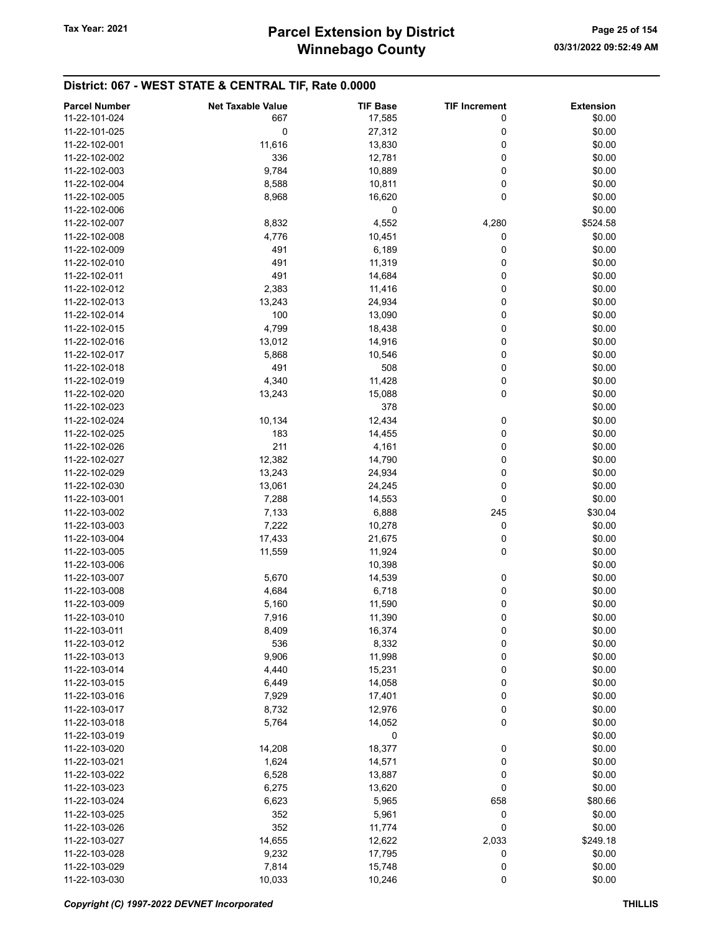| <b>Parcel Number</b> | <b>Net Taxable Value</b> | <b>TIF Base</b> | <b>TIF Increment</b> | <b>Extension</b> |
|----------------------|--------------------------|-----------------|----------------------|------------------|
| 11-22-101-024        | 667                      | 17,585          | 0                    | \$0.00           |
|                      |                          |                 |                      |                  |
| 11-22-101-025        | $\pmb{0}$                | 27,312          | 0                    | \$0.00           |
| 11-22-102-001        | 11,616                   | 13,830          | 0                    | \$0.00           |
| 11-22-102-002        | 336                      | 12,781          | 0                    | \$0.00           |
| 11-22-102-003        | 9,784                    | 10,889          | 0                    | \$0.00           |
| 11-22-102-004        | 8,588                    | 10,811          | 0                    | \$0.00           |
| 11-22-102-005        | 8,968                    | 16,620          | 0                    | \$0.00           |
| 11-22-102-006        |                          | 0               |                      | \$0.00           |
| 11-22-102-007        | 8,832                    | 4,552           | 4,280                | \$524.58         |
| 11-22-102-008        | 4,776                    | 10,451          | 0                    | \$0.00           |
| 11-22-102-009        | 491                      | 6,189           | 0                    | \$0.00           |
| 11-22-102-010        | 491                      | 11,319          | 0                    | \$0.00           |
|                      |                          |                 |                      |                  |
| 11-22-102-011        | 491                      | 14,684          | 0                    | \$0.00           |
| 11-22-102-012        | 2,383                    | 11,416          | 0                    | \$0.00           |
| 11-22-102-013        | 13,243                   | 24,934          | 0                    | \$0.00           |
| 11-22-102-014        | 100                      | 13,090          | 0                    | \$0.00           |
| 11-22-102-015        | 4,799                    | 18,438          | 0                    | \$0.00           |
| 11-22-102-016        | 13,012                   | 14,916          | 0                    | \$0.00           |
| 11-22-102-017        | 5,868                    | 10,546          | 0                    | \$0.00           |
| 11-22-102-018        | 491                      | 508             | 0                    | \$0.00           |
| 11-22-102-019        | 4,340                    | 11,428          | 0                    | \$0.00           |
| 11-22-102-020        | 13,243                   | 15,088          | 0                    | \$0.00           |
| 11-22-102-023        |                          | 378             |                      | \$0.00           |
|                      |                          |                 |                      |                  |
| 11-22-102-024        | 10,134                   | 12,434          | 0                    | \$0.00           |
| 11-22-102-025        | 183                      | 14,455          | 0                    | \$0.00           |
| 11-22-102-026        | 211                      | 4,161           | 0                    | \$0.00           |
| 11-22-102-027        | 12,382                   | 14,790          | 0                    | \$0.00           |
| 11-22-102-029        | 13,243                   | 24,934          | 0                    | \$0.00           |
| 11-22-102-030        | 13,061                   | 24,245          | 0                    | \$0.00           |
| 11-22-103-001        | 7,288                    | 14,553          | 0                    | \$0.00           |
| 11-22-103-002        | 7,133                    | 6,888           | 245                  | \$30.04          |
| 11-22-103-003        | 7,222                    | 10,278          | 0                    | \$0.00           |
| 11-22-103-004        | 17,433                   | 21,675          | 0                    | \$0.00           |
| 11-22-103-005        | 11,559                   | 11,924          | 0                    | \$0.00           |
| 11-22-103-006        |                          |                 |                      | \$0.00           |
|                      |                          | 10,398          |                      |                  |
| 11-22-103-007        | 5,670                    | 14,539          | 0                    | \$0.00           |
| 11-22-103-008        | 4,684                    | 6,718           | 0                    | \$0.00           |
| 11-22-103-009        | 5,160                    | 11,590          | 0                    | \$0.00           |
| 11-22-103-010        | 7,916                    | 11,390          | 0                    | \$0.00           |
| 11-22-103-011        | 8,409                    | 16,374          | 0                    | \$0.00           |
| 11-22-103-012        | 536                      | 8,332           | 0                    | \$0.00           |
| 11-22-103-013        | 9,906                    | 11,998          | 0                    | \$0.00           |
| 11-22-103-014        | 4,440                    | 15,231          | 0                    | \$0.00           |
| 11-22-103-015        | 6,449                    | 14,058          | 0                    | \$0.00           |
| 11-22-103-016        | 7,929                    | 17,401          | 0                    | \$0.00           |
| 11-22-103-017        | 8,732                    | 12,976          | 0                    | \$0.00           |
| 11-22-103-018        |                          |                 | 0                    |                  |
|                      | 5,764                    | 14,052          |                      | \$0.00           |
| 11-22-103-019        |                          | 0               |                      | \$0.00           |
| 11-22-103-020        | 14,208                   | 18,377          | 0                    | \$0.00           |
| 11-22-103-021        | 1,624                    | 14,571          | 0                    | \$0.00           |
| 11-22-103-022        | 6,528                    | 13,887          | 0                    | \$0.00           |
| 11-22-103-023        | 6,275                    | 13,620          | 0                    | \$0.00           |
| 11-22-103-024        | 6,623                    | 5,965           | 658                  | \$80.66          |
| 11-22-103-025        | 352                      | 5,961           | 0                    | \$0.00           |
| 11-22-103-026        | 352                      | 11,774          | 0                    | \$0.00           |
| 11-22-103-027        | 14,655                   | 12,622          | 2,033                | \$249.18         |
| 11-22-103-028        | 9,232                    | 17,795          | 0                    | \$0.00           |
| 11-22-103-029        | 7,814                    | 15,748          | 0                    | \$0.00           |
| 11-22-103-030        | 10,033                   | 10,246          | 0                    | \$0.00           |
|                      |                          |                 |                      |                  |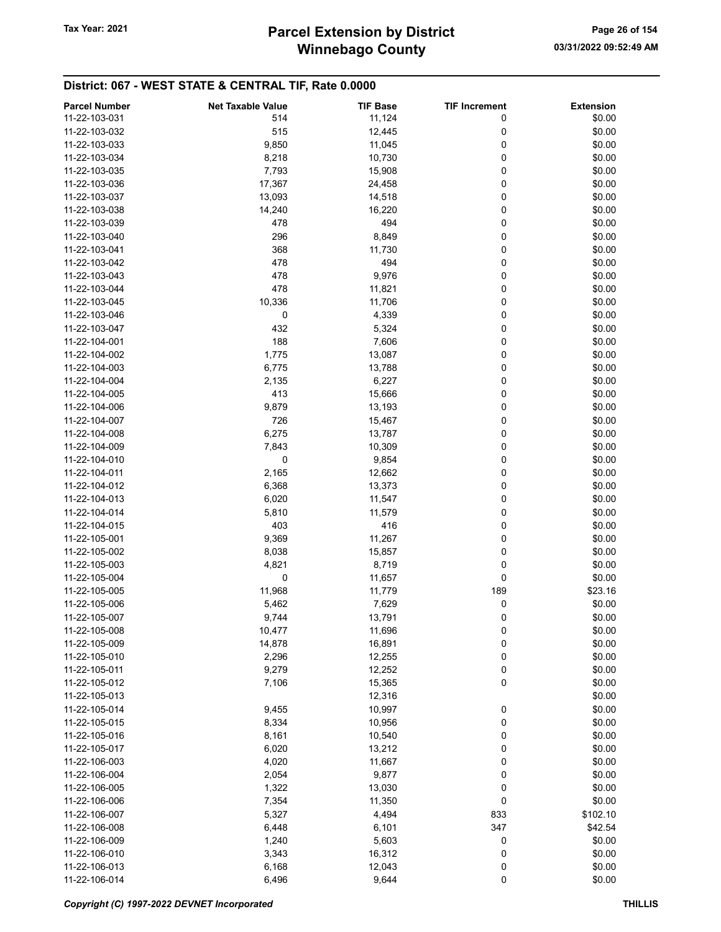| <b>Parcel Number</b> | <b>Net Taxable Value</b> | <b>TIF Base</b> | <b>TIF Increment</b> | <b>Extension</b> |
|----------------------|--------------------------|-----------------|----------------------|------------------|
| 11-22-103-031        | 514                      | 11,124          | 0                    | \$0.00           |
| 11-22-103-032        | 515                      | 12,445          | 0                    | \$0.00           |
| 11-22-103-033        | 9,850                    | 11,045          | 0                    | \$0.00           |
| 11-22-103-034        | 8,218                    | 10,730          | 0                    | \$0.00           |
| 11-22-103-035        |                          |                 | 0                    | \$0.00           |
|                      | 7,793                    | 15,908          |                      |                  |
| 11-22-103-036        | 17,367                   | 24,458          | 0                    | \$0.00           |
| 11-22-103-037        | 13,093                   | 14,518          | 0                    | \$0.00           |
| 11-22-103-038        | 14,240                   | 16,220          | 0                    | \$0.00           |
| 11-22-103-039        | 478                      | 494             | 0                    | \$0.00           |
| 11-22-103-040        | 296                      | 8,849           | 0                    | \$0.00           |
| 11-22-103-041        | 368                      | 11,730          | 0                    | \$0.00           |
| 11-22-103-042        | 478                      | 494             | 0                    | \$0.00           |
| 11-22-103-043        | 478                      | 9,976           | 0                    | \$0.00           |
| 11-22-103-044        | 478                      | 11,821          | 0                    | \$0.00           |
| 11-22-103-045        | 10,336                   | 11,706          | 0                    | \$0.00           |
| 11-22-103-046        | 0                        | 4,339           | 0                    | \$0.00           |
| 11-22-103-047        | 432                      | 5,324           | 0                    | \$0.00           |
| 11-22-104-001        | 188                      | 7,606           | 0                    | \$0.00           |
| 11-22-104-002        | 1,775                    | 13,087          | 0                    | \$0.00           |
| 11-22-104-003        | 6,775                    | 13,788          | 0                    | \$0.00           |
| 11-22-104-004        | 2,135                    | 6,227           | 0                    | \$0.00           |
| 11-22-104-005        | 413                      | 15,666          | 0                    | \$0.00           |
| 11-22-104-006        | 9,879                    | 13,193          | 0                    | \$0.00           |
| 11-22-104-007        | 726                      | 15,467          | 0                    | \$0.00           |
| 11-22-104-008        | 6,275                    | 13,787          | 0                    | \$0.00           |
| 11-22-104-009        |                          |                 | 0                    | \$0.00           |
|                      | 7,843                    | 10,309          |                      |                  |
| 11-22-104-010        | 0                        | 9,854           | 0                    | \$0.00           |
| 11-22-104-011        | 2,165                    | 12,662          | 0                    | \$0.00           |
| 11-22-104-012        | 6,368                    | 13,373          | 0                    | \$0.00           |
| 11-22-104-013        | 6,020                    | 11,547          | 0                    | \$0.00           |
| 11-22-104-014        | 5,810                    | 11,579          | 0                    | \$0.00           |
| 11-22-104-015        | 403                      | 416             | 0                    | \$0.00           |
| 11-22-105-001        | 9,369                    | 11,267          | 0                    | \$0.00           |
| 11-22-105-002        | 8,038                    | 15,857          | 0                    | \$0.00           |
| 11-22-105-003        | 4,821                    | 8,719           | 0                    | \$0.00           |
| 11-22-105-004        | 0                        | 11,657          | 0                    | \$0.00           |
| 11-22-105-005        | 11,968                   | 11,779          | 189                  | \$23.16          |
| 11-22-105-006        | 5,462                    | 7,629           | 0                    | \$0.00           |
| 11-22-105-007        | 9,744                    | 13,791          | 0                    | \$0.00           |
| 11-22-105-008        | 10,477                   | 11,696          | 0                    | \$0.00           |
| 11-22-105-009        | 14,878                   | 16,891          | 0                    | \$0.00           |
| 11-22-105-010        | 2,296                    | 12,255          | 0                    | \$0.00           |
| 11-22-105-011        | 9,279                    | 12,252          | 0                    | \$0.00           |
| 11-22-105-012        | 7,106                    | 15,365          | 0                    | \$0.00           |
| 11-22-105-013        |                          | 12,316          |                      | \$0.00           |
| 11-22-105-014        | 9,455                    | 10,997          | 0                    | \$0.00           |
| 11-22-105-015        | 8,334                    | 10,956          | 0                    | \$0.00           |
| 11-22-105-016        | 8,161                    | 10,540          | 0                    | \$0.00           |
| 11-22-105-017        | 6,020                    | 13,212          | 0                    | \$0.00           |
|                      |                          | 11,667          | 0                    | \$0.00           |
| 11-22-106-003        | 4,020                    |                 |                      |                  |
| 11-22-106-004        | 2,054                    | 9,877           | 0                    | \$0.00           |
| 11-22-106-005        | 1,322                    | 13,030          | 0                    | \$0.00           |
| 11-22-106-006        | 7,354                    | 11,350          | 0                    | \$0.00           |
| 11-22-106-007        | 5,327                    | 4,494           | 833                  | \$102.10         |
| 11-22-106-008        | 6,448                    | 6,101           | 347                  | \$42.54          |
| 11-22-106-009        | 1,240                    | 5,603           | 0                    | \$0.00           |
| 11-22-106-010        | 3,343                    | 16,312          | 0                    | \$0.00           |
| 11-22-106-013        | 6,168                    | 12,043          | 0                    | \$0.00           |
| 11-22-106-014        | 6,496                    | 9,644           | 0                    | \$0.00           |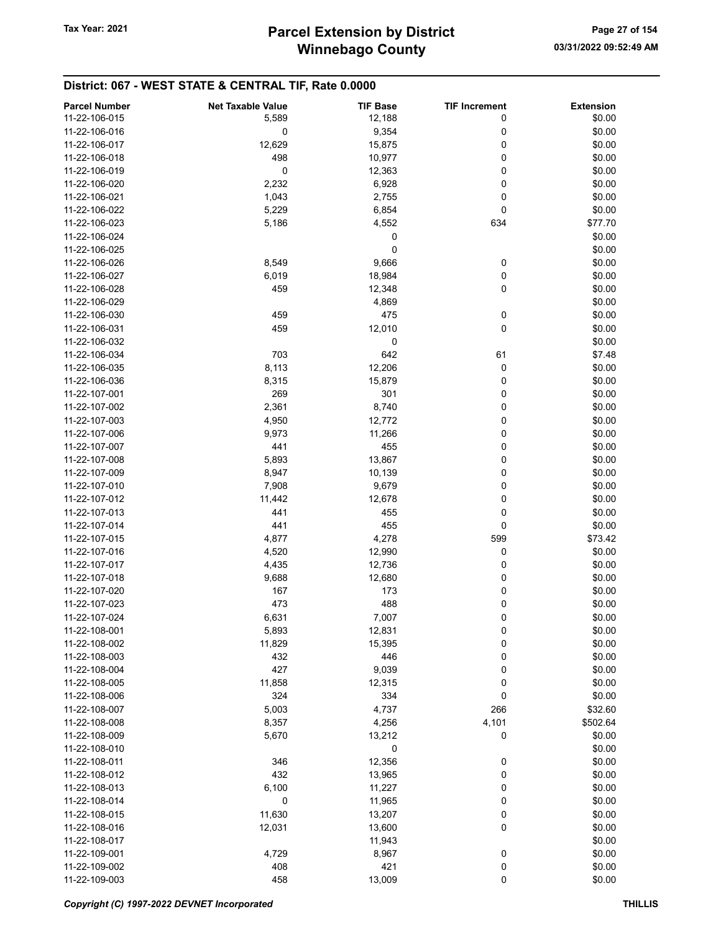| <b>Parcel Number</b> | <b>Net Taxable Value</b> | <b>TIF Base</b> | <b>TIF Increment</b> | <b>Extension</b> |
|----------------------|--------------------------|-----------------|----------------------|------------------|
| 11-22-106-015        | 5,589                    | 12,188          | 0                    | \$0.00           |
| 11-22-106-016        | 0                        | 9,354           | 0                    | \$0.00           |
| 11-22-106-017        | 12,629                   | 15,875          | 0                    | \$0.00           |
| 11-22-106-018        | 498                      | 10,977          | 0                    | \$0.00           |
|                      |                          |                 |                      |                  |
| 11-22-106-019        | 0                        | 12,363          | 0                    | \$0.00           |
| 11-22-106-020        | 2,232                    | 6,928           | 0                    | \$0.00           |
| 11-22-106-021        | 1,043                    | 2,755           | 0                    | \$0.00           |
| 11-22-106-022        | 5,229                    | 6,854           | 0                    | \$0.00           |
| 11-22-106-023        | 5,186                    | 4,552           | 634                  | \$77.70          |
| 11-22-106-024        |                          | 0               |                      | \$0.00           |
| 11-22-106-025        |                          | 0               |                      | \$0.00           |
| 11-22-106-026        | 8,549                    | 9,666           | 0                    | \$0.00           |
| 11-22-106-027        | 6,019                    | 18,984          | 0                    | \$0.00           |
| 11-22-106-028        | 459                      | 12,348          | 0                    | \$0.00           |
| 11-22-106-029        |                          | 4,869           |                      | \$0.00           |
| 11-22-106-030        | 459                      | 475             | 0                    | \$0.00           |
| 11-22-106-031        | 459                      | 12,010          | 0                    | \$0.00           |
| 11-22-106-032        |                          | 0               |                      | \$0.00           |
|                      |                          |                 |                      |                  |
| 11-22-106-034        | 703                      | 642             | 61                   | \$7.48           |
| 11-22-106-035        | 8,113                    | 12,206          | 0                    | \$0.00           |
| 11-22-106-036        | 8,315                    | 15,879          | 0                    | \$0.00           |
| 11-22-107-001        | 269                      | 301             | 0                    | \$0.00           |
| 11-22-107-002        | 2,361                    | 8,740           | 0                    | \$0.00           |
| 11-22-107-003        | 4,950                    | 12,772          | 0                    | \$0.00           |
| 11-22-107-006        | 9,973                    | 11,266          | 0                    | \$0.00           |
| 11-22-107-007        | 441                      | 455             | 0                    | \$0.00           |
| 11-22-107-008        | 5,893                    | 13,867          | 0                    | \$0.00           |
| 11-22-107-009        | 8,947                    | 10,139          | 0                    | \$0.00           |
| 11-22-107-010        | 7,908                    | 9,679           | 0                    | \$0.00           |
| 11-22-107-012        | 11,442                   | 12,678          | 0                    | \$0.00           |
| 11-22-107-013        | 441                      | 455             | 0                    | \$0.00           |
| 11-22-107-014        | 441                      | 455             | 0                    | \$0.00           |
| 11-22-107-015        | 4,877                    | 4,278           | 599                  | \$73.42          |
|                      |                          |                 |                      |                  |
| 11-22-107-016        | 4,520                    | 12,990          | 0                    | \$0.00           |
| 11-22-107-017        | 4,435                    | 12,736          | 0                    | \$0.00           |
| 11-22-107-018        | 9,688                    | 12,680          | 0                    | \$0.00           |
| 11-22-107-020        | 167                      | 173             | 0                    | \$0.00           |
| 11-22-107-023        | 473                      | 488             | 0                    | \$0.00           |
| 11-22-107-024        | 6,631                    | 7,007           | 0                    | \$0.00           |
| 11-22-108-001        | 5,893                    | 12,831          | 0                    | \$0.00           |
| 11-22-108-002        | 11,829                   | 15,395          | 0                    | \$0.00           |
| 11-22-108-003        | 432                      | 446             | 0                    | \$0.00           |
| 11-22-108-004        | 427                      | 9,039           | 0                    | \$0.00           |
| 11-22-108-005        | 11,858                   | 12,315          | 0                    | \$0.00           |
| 11-22-108-006        | 324                      | 334             | 0                    | \$0.00           |
| 11-22-108-007        | 5,003                    | 4,737           | 266                  | \$32.60          |
| 11-22-108-008        | 8,357                    | 4,256           | 4,101                | \$502.64         |
| 11-22-108-009        |                          |                 | 0                    |                  |
|                      | 5,670                    | 13,212          |                      | \$0.00           |
| 11-22-108-010        |                          | 0               |                      | \$0.00           |
| 11-22-108-011        | 346                      | 12,356          | 0                    | \$0.00           |
| 11-22-108-012        | 432                      | 13,965          | 0                    | \$0.00           |
| 11-22-108-013        | 6,100                    | 11,227          | 0                    | \$0.00           |
| 11-22-108-014        | 0                        | 11,965          | 0                    | \$0.00           |
| 11-22-108-015        | 11,630                   | 13,207          | 0                    | \$0.00           |
| 11-22-108-016        | 12,031                   | 13,600          | 0                    | \$0.00           |
| 11-22-108-017        |                          | 11,943          |                      | \$0.00           |
| 11-22-109-001        | 4,729                    | 8,967           | $\boldsymbol{0}$     | \$0.00           |
| 11-22-109-002        | 408                      | 421             | 0                    | \$0.00           |
| 11-22-109-003        | 458                      | 13,009          | $\pmb{0}$            | \$0.00           |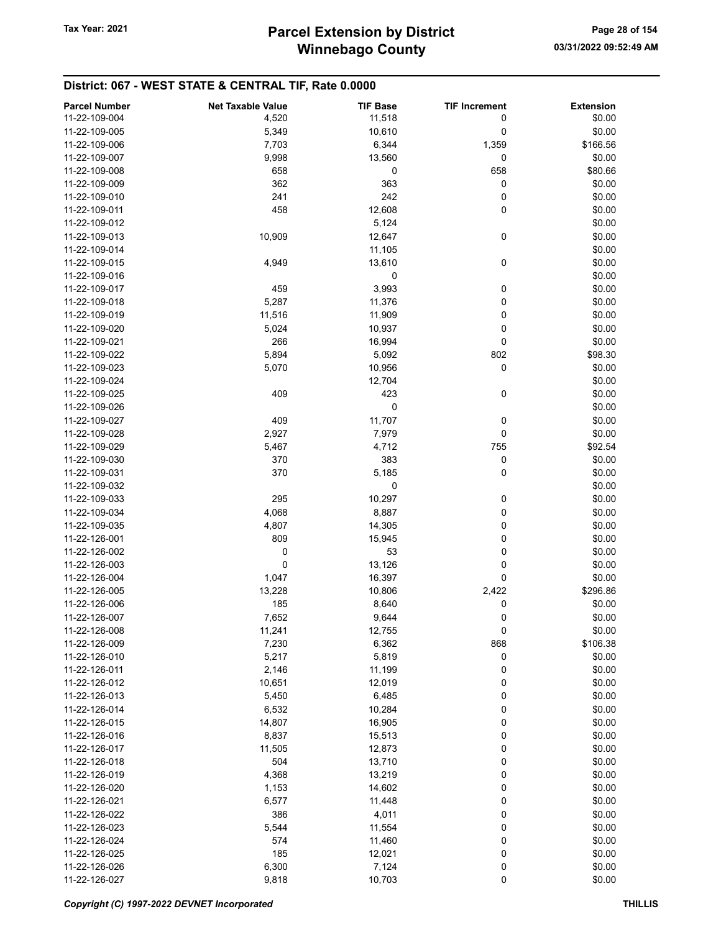| <b>Parcel Number</b> | <b>Net Taxable Value</b> | <b>TIF Base</b> | <b>TIF Increment</b> | <b>Extension</b> |
|----------------------|--------------------------|-----------------|----------------------|------------------|
| 11-22-109-004        | 4,520                    | 11,518          | 0                    | \$0.00           |
|                      |                          |                 |                      |                  |
| 11-22-109-005        | 5,349                    | 10,610          | 0                    | \$0.00           |
| 11-22-109-006        | 7,703                    | 6,344           | 1,359                | \$166.56         |
| 11-22-109-007        | 9,998                    | 13,560          | 0                    | \$0.00           |
| 11-22-109-008        | 658                      | 0               | 658                  | \$80.66          |
| 11-22-109-009        | 362                      | 363             | 0                    | \$0.00           |
| 11-22-109-010        | 241                      | 242             | 0                    | \$0.00           |
| 11-22-109-011        | 458                      | 12,608          | 0                    | \$0.00           |
| 11-22-109-012        |                          | 5,124           |                      | \$0.00           |
| 11-22-109-013        | 10,909                   | 12,647          | 0                    | \$0.00           |
| 11-22-109-014        |                          | 11,105          |                      | \$0.00           |
| 11-22-109-015        | 4,949                    | 13,610          | 0                    | \$0.00           |
| 11-22-109-016        |                          | 0               |                      | \$0.00           |
|                      |                          |                 |                      |                  |
| 11-22-109-017        | 459                      | 3,993           | 0                    | \$0.00           |
| 11-22-109-018        | 5,287                    | 11,376          | 0                    | \$0.00           |
| 11-22-109-019        | 11,516                   | 11,909          | 0                    | \$0.00           |
| 11-22-109-020        | 5,024                    | 10,937          | 0                    | \$0.00           |
| 11-22-109-021        | 266                      | 16,994          | 0                    | \$0.00           |
| 11-22-109-022        | 5,894                    | 5,092           | 802                  | \$98.30          |
| 11-22-109-023        | 5,070                    | 10,956          | 0                    | \$0.00           |
| 11-22-109-024        |                          | 12,704          |                      | \$0.00           |
| 11-22-109-025        | 409                      | 423             | 0                    | \$0.00           |
| 11-22-109-026        |                          | 0               |                      | \$0.00           |
| 11-22-109-027        | 409                      | 11,707          | 0                    | \$0.00           |
|                      |                          |                 |                      |                  |
| 11-22-109-028        | 2,927                    | 7,979           | 0                    | \$0.00           |
| 11-22-109-029        | 5,467                    | 4,712           | 755                  | \$92.54          |
| 11-22-109-030        | 370                      | 383             | 0                    | \$0.00           |
| 11-22-109-031        | 370                      | 5,185           | 0                    | \$0.00           |
| 11-22-109-032        |                          | 0               |                      | \$0.00           |
| 11-22-109-033        | 295                      | 10,297          | 0                    | \$0.00           |
| 11-22-109-034        | 4,068                    | 8,887           | 0                    | \$0.00           |
| 11-22-109-035        | 4,807                    | 14,305          | 0                    | \$0.00           |
| 11-22-126-001        | 809                      | 15,945          | 0                    | \$0.00           |
| 11-22-126-002        | 0                        | 53              | 0                    | \$0.00           |
| 11-22-126-003        | 0                        | 13,126          | 0                    | \$0.00           |
| 11-22-126-004        | 1,047                    | 16,397          | 0                    | \$0.00           |
| 11-22-126-005        | 13,228                   | 10,806          | 2,422                | \$296.86         |
|                      |                          |                 |                      |                  |
| 11-22-126-006        | 185                      | 8,640           | 0                    | \$0.00           |
| 11-22-126-007        | 7,652                    | 9,644           | 0                    | \$0.00           |
| 11-22-126-008        | 11,241                   | 12,755          | 0                    | \$0.00           |
| 11-22-126-009        | 7,230                    | 6,362           | 868                  | \$106.38         |
| 11-22-126-010        | 5,217                    | 5,819           | 0                    | \$0.00           |
| 11-22-126-011        | 2,146                    | 11,199          | 0                    | \$0.00           |
| 11-22-126-012        | 10,651                   | 12,019          | 0                    | \$0.00           |
| 11-22-126-013        | 5,450                    | 6,485           | 0                    | \$0.00           |
| 11-22-126-014        | 6,532                    | 10,284          | 0                    | \$0.00           |
| 11-22-126-015        | 14,807                   | 16,905          | 0                    | \$0.00           |
| 11-22-126-016        | 8,837                    | 15,513          | 0                    | \$0.00           |
| 11-22-126-017        | 11,505                   | 12,873          | 0                    | \$0.00           |
| 11-22-126-018        | 504                      | 13,710          | 0                    | \$0.00           |
|                      |                          |                 |                      |                  |
| 11-22-126-019        | 4,368                    | 13,219          | 0                    | \$0.00           |
| 11-22-126-020        | 1,153                    | 14,602          | 0                    | \$0.00           |
| 11-22-126-021        | 6,577                    | 11,448          | 0                    | \$0.00           |
| 11-22-126-022        | 386                      | 4,011           | 0                    | \$0.00           |
| 11-22-126-023        | 5,544                    | 11,554          | 0                    | \$0.00           |
| 11-22-126-024        | 574                      | 11,460          | 0                    | \$0.00           |
| 11-22-126-025        | 185                      | 12,021          | 0                    | \$0.00           |
| 11-22-126-026        | 6,300                    | 7,124           | 0                    | \$0.00           |
| 11-22-126-027        | 9,818                    | 10,703          | 0                    | \$0.00           |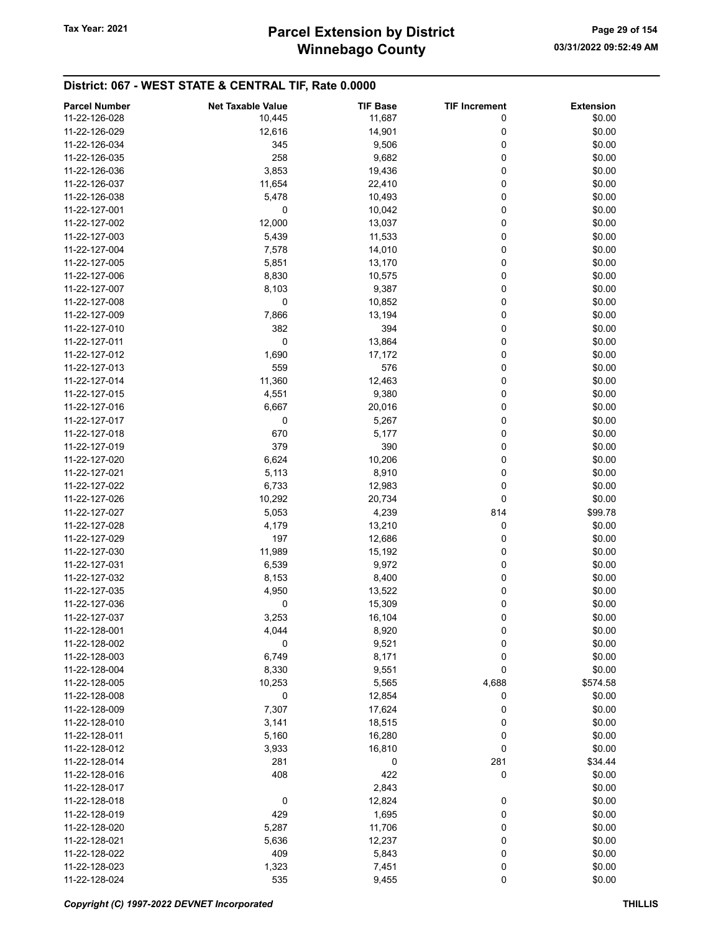| <b>Parcel Number</b> | <b>Net Taxable Value</b> | <b>TIF Base</b> | <b>TIF Increment</b> | <b>Extension</b> |
|----------------------|--------------------------|-----------------|----------------------|------------------|
| 11-22-126-028        | 10,445                   | 11,687          | 0                    | \$0.00           |
| 11-22-126-029        | 12,616                   | 14,901          | 0                    | \$0.00           |
| 11-22-126-034        | 345                      |                 | 0                    | \$0.00           |
|                      |                          | 9,506           |                      |                  |
| 11-22-126-035        | 258                      | 9,682           | 0                    | \$0.00           |
| 11-22-126-036        | 3,853                    | 19,436          | 0                    | \$0.00           |
| 11-22-126-037        | 11,654                   | 22,410          | 0                    | \$0.00           |
| 11-22-126-038        | 5,478                    | 10,493          | 0                    | \$0.00           |
| 11-22-127-001        | 0                        | 10,042          | 0                    | \$0.00           |
| 11-22-127-002        | 12,000                   | 13,037          | 0                    | \$0.00           |
| 11-22-127-003        | 5,439                    | 11,533          | 0                    | \$0.00           |
| 11-22-127-004        | 7,578                    | 14,010          | 0                    | \$0.00           |
| 11-22-127-005        | 5,851                    | 13,170          | 0                    | \$0.00           |
| 11-22-127-006        | 8,830                    | 10,575          | 0                    | \$0.00           |
| 11-22-127-007        |                          | 9,387           | 0                    | \$0.00           |
|                      | 8,103                    |                 |                      |                  |
| 11-22-127-008        | 0                        | 10,852          | 0                    | \$0.00           |
| 11-22-127-009        | 7,866                    | 13,194          | 0                    | \$0.00           |
| 11-22-127-010        | 382                      | 394             | 0                    | \$0.00           |
| 11-22-127-011        | 0                        | 13,864          | 0                    | \$0.00           |
| 11-22-127-012        | 1,690                    | 17,172          | 0                    | \$0.00           |
| 11-22-127-013        | 559                      | 576             | 0                    | \$0.00           |
| 11-22-127-014        | 11,360                   | 12,463          | 0                    | \$0.00           |
| 11-22-127-015        | 4,551                    | 9,380           | 0                    | \$0.00           |
| 11-22-127-016        | 6,667                    | 20,016          | 0                    | \$0.00           |
| 11-22-127-017        | 0                        | 5,267           | 0                    | \$0.00           |
|                      |                          |                 |                      |                  |
| 11-22-127-018        | 670                      | 5,177           | 0                    | \$0.00           |
| 11-22-127-019        | 379                      | 390             | 0                    | \$0.00           |
| 11-22-127-020        | 6,624                    | 10,206          | 0                    | \$0.00           |
| 11-22-127-021        | 5,113                    | 8,910           | 0                    | \$0.00           |
| 11-22-127-022        | 6,733                    | 12,983          | 0                    | \$0.00           |
| 11-22-127-026        | 10,292                   | 20,734          | 0                    | \$0.00           |
| 11-22-127-027        | 5,053                    | 4,239           | 814                  | \$99.78          |
| 11-22-127-028        | 4,179                    | 13,210          | 0                    | \$0.00           |
| 11-22-127-029        | 197                      | 12,686          | 0                    | \$0.00           |
| 11-22-127-030        | 11,989                   | 15,192          | 0                    | \$0.00           |
| 11-22-127-031        | 6,539                    | 9,972           | 0                    | \$0.00           |
| 11-22-127-032        | 8,153                    | 8,400           | 0                    | \$0.00           |
| 11-22-127-035        |                          |                 |                      |                  |
|                      | 4,950                    | 13,522          | 0                    | \$0.00           |
| 11-22-127-036        | 0                        | 15,309          | 0                    | \$0.00           |
| 11-22-127-037        | 3,253                    | 16,104          | 0                    | \$0.00           |
| 11-22-128-001        | 4,044                    | 8,920           | 0                    | \$0.00           |
| 11-22-128-002        | 0                        | 9,521           | 0                    | \$0.00           |
| 11-22-128-003        | 6,749                    | 8,171           | 0                    | \$0.00           |
| 11-22-128-004        | 8,330                    | 9,551           | 0                    | \$0.00           |
| 11-22-128-005        | 10,253                   | 5,565           | 4,688                | \$574.58         |
| 11-22-128-008        | 0                        | 12,854          | 0                    | \$0.00           |
| 11-22-128-009        | 7,307                    | 17,624          | 0                    | \$0.00           |
| 11-22-128-010        | 3,141                    | 18,515          | 0                    | \$0.00           |
| 11-22-128-011        | 5,160                    | 16,280          | 0                    | \$0.00           |
| 11-22-128-012        |                          |                 | 0                    | \$0.00           |
|                      | 3,933                    | 16,810          |                      |                  |
| 11-22-128-014        | 281                      | 0               | 281                  | \$34.44          |
| 11-22-128-016        | 408                      | 422             | 0                    | \$0.00           |
| 11-22-128-017        |                          | 2,843           |                      | \$0.00           |
| 11-22-128-018        | $\pmb{0}$                | 12,824          | 0                    | \$0.00           |
| 11-22-128-019        | 429                      | 1,695           | 0                    | \$0.00           |
| 11-22-128-020        | 5,287                    | 11,706          | 0                    | \$0.00           |
| 11-22-128-021        | 5,636                    | 12,237          | 0                    | \$0.00           |
| 11-22-128-022        | 409                      | 5,843           | 0                    | \$0.00           |
| 11-22-128-023        | 1,323                    | 7,451           | 0                    | \$0.00           |
| 11-22-128-024        | 535                      | 9,455           | 0                    | \$0.00           |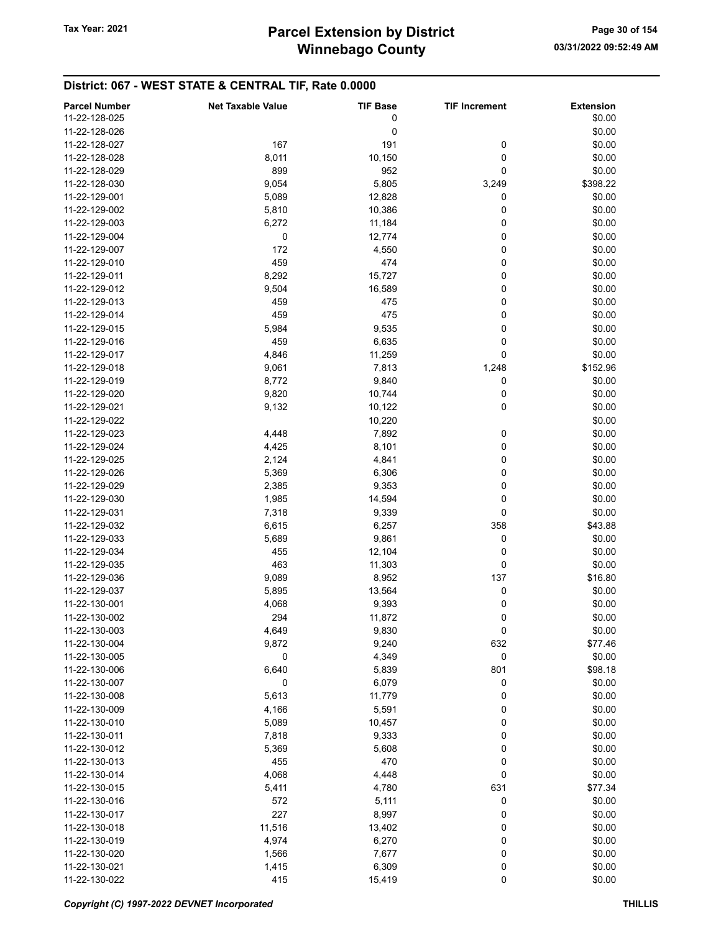| <b>Parcel Number</b> | <b>Net Taxable Value</b> | <b>TIF Base</b> | <b>TIF Increment</b> | <b>Extension</b> |
|----------------------|--------------------------|-----------------|----------------------|------------------|
| 11-22-128-025        |                          | 0               |                      | \$0.00           |
| 11-22-128-026        |                          | 0               |                      | \$0.00           |
| 11-22-128-027        | 167                      | 191             | 0                    | \$0.00           |
| 11-22-128-028        | 8,011                    | 10,150          | 0                    | \$0.00           |
|                      |                          |                 |                      |                  |
| 11-22-128-029        | 899                      | 952             | 0                    | \$0.00           |
| 11-22-128-030        | 9,054                    | 5,805           | 3,249                | \$398.22         |
| 11-22-129-001        | 5,089                    | 12,828          | 0                    | \$0.00           |
| 11-22-129-002        | 5,810                    | 10,386          | 0                    | \$0.00           |
| 11-22-129-003        | 6,272                    | 11,184          | 0                    | \$0.00           |
| 11-22-129-004        | 0                        | 12,774          | 0                    | \$0.00           |
| 11-22-129-007        | 172                      | 4,550           | 0                    | \$0.00           |
| 11-22-129-010        | 459                      | 474             | 0                    | \$0.00           |
| 11-22-129-011        | 8,292                    | 15,727          | 0                    | \$0.00           |
| 11-22-129-012        | 9,504                    | 16,589          | 0                    | \$0.00           |
| 11-22-129-013        | 459                      | 475             | 0                    | \$0.00           |
| 11-22-129-014        | 459                      | 475             | 0                    | \$0.00           |
| 11-22-129-015        | 5,984                    | 9,535           | 0                    | \$0.00           |
| 11-22-129-016        | 459                      | 6,635           | 0                    | \$0.00           |
| 11-22-129-017        |                          |                 | 0                    | \$0.00           |
|                      | 4,846                    | 11,259          |                      |                  |
| 11-22-129-018        | 9,061                    | 7,813           | 1,248                | \$152.96         |
| 11-22-129-019        | 8,772                    | 9,840           | 0                    | \$0.00           |
| 11-22-129-020        | 9,820                    | 10,744          | 0                    | \$0.00           |
| 11-22-129-021        | 9,132                    | 10,122          | 0                    | \$0.00           |
| 11-22-129-022        |                          | 10,220          |                      | \$0.00           |
| 11-22-129-023        | 4,448                    | 7,892           | 0                    | \$0.00           |
| 11-22-129-024        | 4,425                    | 8,101           | 0                    | \$0.00           |
| 11-22-129-025        | 2,124                    | 4,841           | 0                    | \$0.00           |
| 11-22-129-026        | 5,369                    | 6,306           | 0                    | \$0.00           |
| 11-22-129-029        | 2,385                    | 9,353           | 0                    | \$0.00           |
| 11-22-129-030        | 1,985                    | 14,594          | 0                    | \$0.00           |
| 11-22-129-031        | 7,318                    | 9,339           | 0                    | \$0.00           |
| 11-22-129-032        | 6,615                    | 6,257           | 358                  | \$43.88          |
| 11-22-129-033        | 5,689                    | 9,861           | 0                    | \$0.00           |
| 11-22-129-034        | 455                      | 12,104          | 0                    | \$0.00           |
| 11-22-129-035        | 463                      |                 | 0                    | \$0.00           |
|                      |                          | 11,303          | 137                  |                  |
| 11-22-129-036        | 9,089                    | 8,952           |                      | \$16.80          |
| 11-22-129-037        | 5,895                    | 13,564          | 0                    | \$0.00           |
| 11-22-130-001        | 4,068                    | 9,393           | 0                    | \$0.00           |
| 11-22-130-002        | 294                      | 11,872          | 0                    | \$0.00           |
| 11-22-130-003        | 4,649                    | 9,830           | 0                    | \$0.00           |
| 11-22-130-004        | 9,872                    | 9,240           | 632                  | \$77.46          |
| 11-22-130-005        | 0                        | 4,349           | 0                    | \$0.00           |
| 11-22-130-006        | 6,640                    | 5,839           | 801                  | \$98.18          |
| 11-22-130-007        | 0                        | 6,079           | 0                    | \$0.00           |
| 11-22-130-008        | 5,613                    | 11,779          | 0                    | \$0.00           |
| 11-22-130-009        | 4,166                    | 5,591           | 0                    | \$0.00           |
| 11-22-130-010        | 5,089                    | 10,457          | 0                    | \$0.00           |
| 11-22-130-011        | 7,818                    | 9,333           | 0                    | \$0.00           |
| 11-22-130-012        | 5,369                    | 5,608           | 0                    | \$0.00           |
| 11-22-130-013        | 455                      | 470             | 0                    | \$0.00           |
| 11-22-130-014        | 4,068                    | 4,448           | 0                    | \$0.00           |
|                      |                          |                 |                      |                  |
| 11-22-130-015        | 5,411                    | 4,780           | 631                  | \$77.34          |
| 11-22-130-016        | 572                      | 5,111           | 0                    | \$0.00           |
| 11-22-130-017        | 227                      | 8,997           | 0                    | \$0.00           |
| 11-22-130-018        | 11,516                   | 13,402          | 0                    | \$0.00           |
| 11-22-130-019        | 4,974                    | 6,270           | 0                    | \$0.00           |
| 11-22-130-020        | 1,566                    | 7,677           | 0                    | \$0.00           |
| 11-22-130-021        | 1,415                    | 6,309           | 0                    | \$0.00           |
| 11-22-130-022        | 415                      | 15,419          | $\pmb{0}$            | \$0.00           |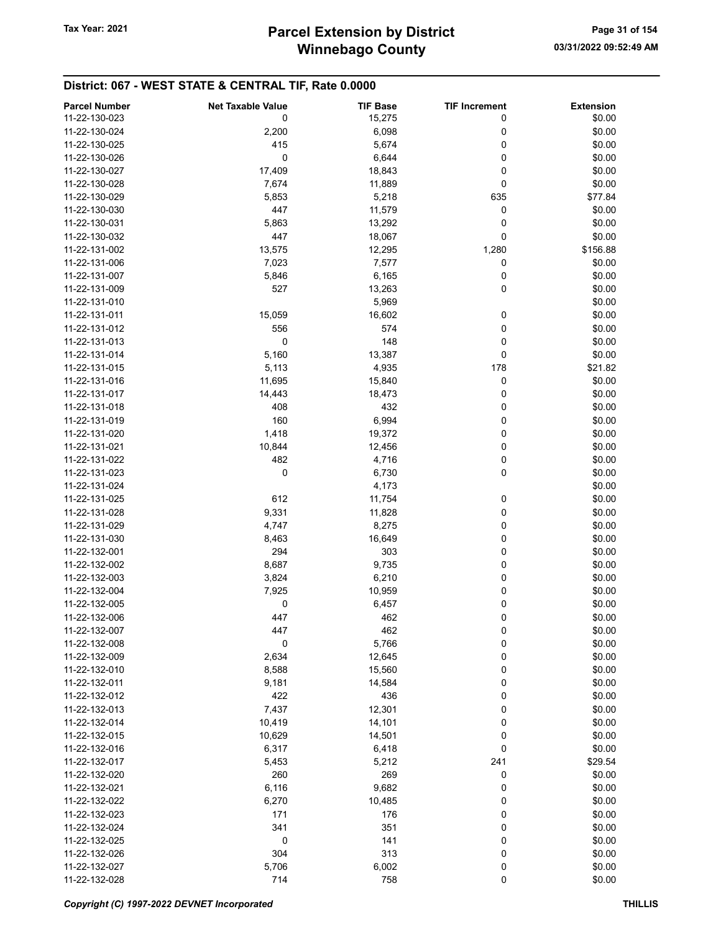| <b>Parcel Number</b> | <b>Net Taxable Value</b> | <b>TIF Base</b> | <b>TIF Increment</b> | <b>Extension</b> |
|----------------------|--------------------------|-----------------|----------------------|------------------|
| 11-22-130-023        | 0                        | 15,275          | 0                    | \$0.00           |
| 11-22-130-024        |                          |                 |                      | \$0.00           |
|                      | 2,200                    | 6,098           | 0                    |                  |
| 11-22-130-025        | 415                      | 5,674           | 0                    | \$0.00           |
| 11-22-130-026        | 0                        | 6,644           | 0                    | \$0.00           |
| 11-22-130-027        | 17,409                   | 18,843          | 0                    | \$0.00           |
| 11-22-130-028        | 7,674                    | 11,889          | 0                    | \$0.00           |
| 11-22-130-029        | 5,853                    | 5,218           | 635                  | \$77.84          |
| 11-22-130-030        | 447                      | 11,579          | 0                    | \$0.00           |
| 11-22-130-031        | 5,863                    | 13,292          | 0                    | \$0.00           |
| 11-22-130-032        | 447                      | 18,067          | 0                    | \$0.00           |
| 11-22-131-002        | 13,575                   | 12,295          | 1,280                | \$156.88         |
| 11-22-131-006        | 7,023                    | 7,577           | 0                    | \$0.00           |
| 11-22-131-007        | 5,846                    | 6,165           | 0                    | \$0.00           |
| 11-22-131-009        | 527                      | 13,263          | 0                    | \$0.00           |
| 11-22-131-010        |                          | 5,969           |                      | \$0.00           |
| 11-22-131-011        | 15,059                   | 16,602          | 0                    | \$0.00           |
| 11-22-131-012        | 556                      | 574             | 0                    | \$0.00           |
| 11-22-131-013        | 0                        | 148             | 0                    | \$0.00           |
| 11-22-131-014        | 5,160                    | 13,387          | 0                    | \$0.00           |
| 11-22-131-015        | 5,113                    | 4,935           | 178                  | \$21.82          |
|                      |                          |                 |                      |                  |
| 11-22-131-016        | 11,695                   | 15,840          | 0                    | \$0.00           |
| 11-22-131-017        | 14,443                   | 18,473          | 0                    | \$0.00           |
| 11-22-131-018        | 408                      | 432             | 0                    | \$0.00           |
| 11-22-131-019        | 160                      | 6,994           | 0                    | \$0.00           |
| 11-22-131-020        | 1,418                    | 19,372          | 0                    | \$0.00           |
| 11-22-131-021        | 10,844                   | 12,456          | 0                    | \$0.00           |
| 11-22-131-022        | 482                      | 4,716           | 0                    | \$0.00           |
| 11-22-131-023        | 0                        | 6,730           | 0                    | \$0.00           |
| 11-22-131-024        |                          | 4,173           |                      | \$0.00           |
| 11-22-131-025        | 612                      | 11,754          | 0                    | \$0.00           |
| 11-22-131-028        | 9,331                    | 11,828          | 0                    | \$0.00           |
| 11-22-131-029        | 4,747                    | 8,275           | 0                    | \$0.00           |
| 11-22-131-030        | 8,463                    | 16,649          | 0                    | \$0.00           |
| 11-22-132-001        | 294                      | 303             | 0                    | \$0.00           |
| 11-22-132-002        | 8,687                    | 9,735           | 0                    | \$0.00           |
| 11-22-132-003        | 3,824                    | 6,210           | 0                    | \$0.00           |
| 11-22-132-004        | 7,925                    | 10,959          | 0                    | \$0.00           |
| 11-22-132-005        | 0                        | 6,457           | 0                    | \$0.00           |
| 11-22-132-006        | 447                      | 462             | 0                    | \$0.00           |
| 11-22-132-007        | 447                      | 462             | 0                    | \$0.00           |
|                      |                          |                 |                      |                  |
| 11-22-132-008        | 0                        | 5,766           | 0                    | \$0.00           |
| 11-22-132-009        | 2,634                    | 12,645          | 0                    | \$0.00           |
| 11-22-132-010        | 8,588                    | 15,560          | 0                    | \$0.00           |
| 11-22-132-011        | 9,181                    | 14,584          | 0                    | \$0.00           |
| 11-22-132-012        | 422                      | 436             | 0                    | \$0.00           |
| 11-22-132-013        | 7,437                    | 12,301          | 0                    | \$0.00           |
| 11-22-132-014        | 10,419                   | 14,101          | 0                    | \$0.00           |
| 11-22-132-015        | 10,629                   | 14,501          | 0                    | \$0.00           |
| 11-22-132-016        | 6,317                    | 6,418           | 0                    | \$0.00           |
| 11-22-132-017        | 5,453                    | 5,212           | 241                  | \$29.54          |
| 11-22-132-020        | 260                      | 269             | 0                    | \$0.00           |
| 11-22-132-021        | 6,116                    | 9,682           | 0                    | \$0.00           |
| 11-22-132-022        | 6,270                    | 10,485          | 0                    | \$0.00           |
| 11-22-132-023        | 171                      | 176             | 0                    | \$0.00           |
| 11-22-132-024        | 341                      | 351             | 0                    | \$0.00           |
| 11-22-132-025        | 0                        | 141             | 0                    | \$0.00           |
| 11-22-132-026        | 304                      | 313             | 0                    | \$0.00           |
| 11-22-132-027        | 5,706                    | 6,002           | 0                    | \$0.00           |
| 11-22-132-028        | 714                      | 758             | $\pmb{0}$            | \$0.00           |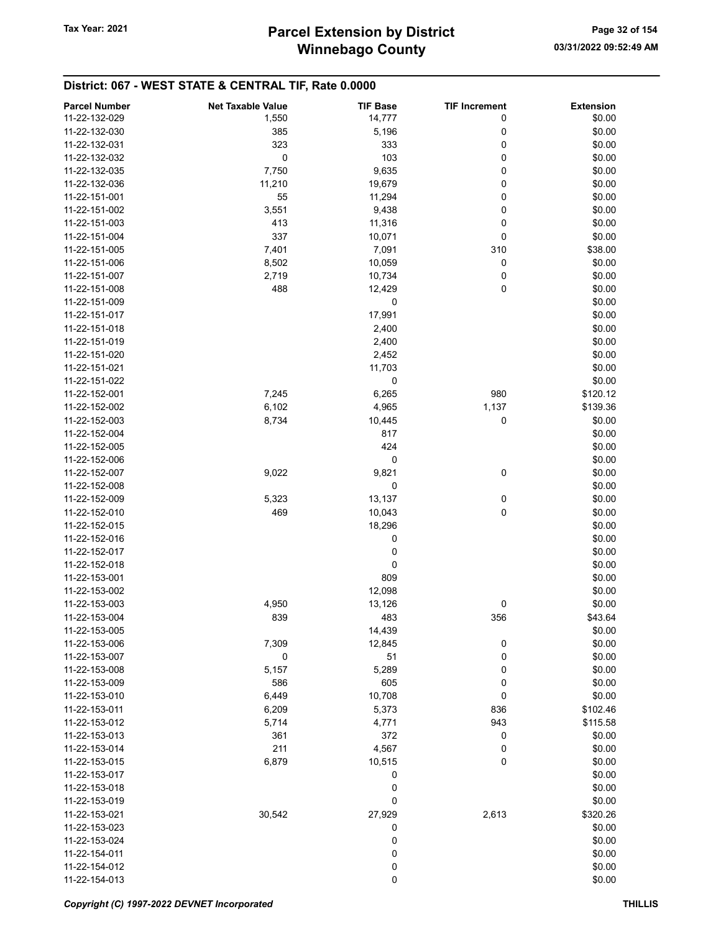| 11-22-132-029<br>14,777<br>\$0.00<br>1,550<br>0<br>11-22-132-030<br>0<br>\$0.00<br>385<br>5,196<br>323<br>333<br>0<br>\$0.00<br>11-22-132-031<br>0<br>103<br>0<br>\$0.00<br>11-22-132-032<br>0<br>\$0.00<br>11-22-132-035<br>7,750<br>9,635<br>11,210<br>19,679<br>\$0.00<br>11-22-132-036<br>0<br>0<br>55<br>\$0.00<br>11-22-151-001<br>11,294<br>0<br>\$0.00<br>11-22-151-002<br>3,551<br>9,438<br>0<br>\$0.00<br>11-22-151-003<br>413<br>11,316<br>337<br>0<br>\$0.00<br>11-22-151-004<br>10,071<br>\$38.00<br>11-22-151-005<br>7,401<br>7,091<br>310<br>0<br>\$0.00<br>11-22-151-006<br>8,502<br>10,059<br>\$0.00<br>11-22-151-007<br>2,719<br>10,734<br>0<br>0<br>\$0.00<br>11-22-151-008<br>488<br>12,429<br>\$0.00<br>11-22-151-009<br>0<br>17,991<br>\$0.00<br>11-22-151-017<br>\$0.00<br>11-22-151-018<br>2,400<br>\$0.00<br>11-22-151-019<br>2,400<br>2,452<br>\$0.00<br>11-22-151-020<br>11,703<br>\$0.00<br>11-22-151-021<br>11-22-151-022<br>0<br>\$0.00<br>7,245<br>980<br>11-22-152-001<br>6,265<br>\$120.12<br>1,137<br>11-22-152-002<br>6,102<br>4,965<br>\$139.36<br>0<br>11-22-152-003<br>8,734<br>10,445<br>\$0.00<br>11-22-152-004<br>817<br>\$0.00<br>424<br>\$0.00<br>11-22-152-005<br>0<br>\$0.00<br>11-22-152-006<br>0<br>\$0.00<br>11-22-152-007<br>9,022<br>9,821<br>\$0.00<br>11-22-152-008<br>0<br>13,137<br>0<br>\$0.00<br>11-22-152-009<br>5,323<br>469<br>0<br>\$0.00<br>11-22-152-010<br>10,043<br>\$0.00<br>18,296<br>11-22-152-015<br>0<br>\$0.00<br>11-22-152-016<br>\$0.00<br>11-22-152-017<br>0<br>\$0.00<br>11-22-152-018<br>0<br>809<br>\$0.00<br>11-22-153-001<br>11-22-153-002<br>12,098<br>\$0.00<br>4,950<br>13,126<br>\$0.00<br>11-22-153-003<br>0<br>839<br>483<br>11-22-153-004<br>356<br>\$43.64<br>\$0.00<br>11-22-153-005<br>14,439<br>\$0.00<br>11-22-153-006<br>7,309<br>12,845<br>0<br>\$0.00<br>11-22-153-007<br>0<br>51<br>0<br>\$0.00<br>11-22-153-008<br>5,157<br>5,289<br>0<br>605<br>0<br>\$0.00<br>11-22-153-009<br>586<br>0<br>\$0.00<br>11-22-153-010<br>6,449<br>10,708<br>11-22-153-011<br>6,209<br>5,373<br>836<br>\$102.46<br>943<br>\$115.58<br>11-22-153-012<br>5,714<br>4,771<br>11-22-153-013<br>361<br>372<br>0<br>\$0.00<br>\$0.00<br>11-22-153-014<br>211<br>4,567<br>0<br>\$0.00<br>6,879<br>10,515<br>0<br>11-22-153-015<br>\$0.00<br>11-22-153-017<br>0<br>0<br>\$0.00<br>11-22-153-018<br>0<br>\$0.00<br>11-22-153-019<br>30,542<br>27,929<br>2,613<br>\$320.26<br>11-22-153-021<br>0<br>\$0.00<br>11-22-153-023<br>0<br>\$0.00<br>11-22-153-024<br>0<br>11-22-154-011<br>\$0.00 | <b>Parcel Number</b> | <b>Net Taxable Value</b> | <b>TIF Base</b> | <b>TIF Increment</b> | <b>Extension</b> |
|---------------------------------------------------------------------------------------------------------------------------------------------------------------------------------------------------------------------------------------------------------------------------------------------------------------------------------------------------------------------------------------------------------------------------------------------------------------------------------------------------------------------------------------------------------------------------------------------------------------------------------------------------------------------------------------------------------------------------------------------------------------------------------------------------------------------------------------------------------------------------------------------------------------------------------------------------------------------------------------------------------------------------------------------------------------------------------------------------------------------------------------------------------------------------------------------------------------------------------------------------------------------------------------------------------------------------------------------------------------------------------------------------------------------------------------------------------------------------------------------------------------------------------------------------------------------------------------------------------------------------------------------------------------------------------------------------------------------------------------------------------------------------------------------------------------------------------------------------------------------------------------------------------------------------------------------------------------------------------------------------------------------------------------------------------------------------------------------------------------------------------------------------------------------------------------------------------------------------------------------------------------------------------------------------------------------------------------------------------------------------------------------------------------------------------------------------------------------------------------------------------------------------------------------------------------|----------------------|--------------------------|-----------------|----------------------|------------------|
|                                                                                                                                                                                                                                                                                                                                                                                                                                                                                                                                                                                                                                                                                                                                                                                                                                                                                                                                                                                                                                                                                                                                                                                                                                                                                                                                                                                                                                                                                                                                                                                                                                                                                                                                                                                                                                                                                                                                                                                                                                                                                                                                                                                                                                                                                                                                                                                                                                                                                                                                                               |                      |                          |                 |                      |                  |
|                                                                                                                                                                                                                                                                                                                                                                                                                                                                                                                                                                                                                                                                                                                                                                                                                                                                                                                                                                                                                                                                                                                                                                                                                                                                                                                                                                                                                                                                                                                                                                                                                                                                                                                                                                                                                                                                                                                                                                                                                                                                                                                                                                                                                                                                                                                                                                                                                                                                                                                                                               |                      |                          |                 |                      |                  |
|                                                                                                                                                                                                                                                                                                                                                                                                                                                                                                                                                                                                                                                                                                                                                                                                                                                                                                                                                                                                                                                                                                                                                                                                                                                                                                                                                                                                                                                                                                                                                                                                                                                                                                                                                                                                                                                                                                                                                                                                                                                                                                                                                                                                                                                                                                                                                                                                                                                                                                                                                               |                      |                          |                 |                      |                  |
|                                                                                                                                                                                                                                                                                                                                                                                                                                                                                                                                                                                                                                                                                                                                                                                                                                                                                                                                                                                                                                                                                                                                                                                                                                                                                                                                                                                                                                                                                                                                                                                                                                                                                                                                                                                                                                                                                                                                                                                                                                                                                                                                                                                                                                                                                                                                                                                                                                                                                                                                                               |                      |                          |                 |                      |                  |
|                                                                                                                                                                                                                                                                                                                                                                                                                                                                                                                                                                                                                                                                                                                                                                                                                                                                                                                                                                                                                                                                                                                                                                                                                                                                                                                                                                                                                                                                                                                                                                                                                                                                                                                                                                                                                                                                                                                                                                                                                                                                                                                                                                                                                                                                                                                                                                                                                                                                                                                                                               |                      |                          |                 |                      |                  |
|                                                                                                                                                                                                                                                                                                                                                                                                                                                                                                                                                                                                                                                                                                                                                                                                                                                                                                                                                                                                                                                                                                                                                                                                                                                                                                                                                                                                                                                                                                                                                                                                                                                                                                                                                                                                                                                                                                                                                                                                                                                                                                                                                                                                                                                                                                                                                                                                                                                                                                                                                               |                      |                          |                 |                      |                  |
|                                                                                                                                                                                                                                                                                                                                                                                                                                                                                                                                                                                                                                                                                                                                                                                                                                                                                                                                                                                                                                                                                                                                                                                                                                                                                                                                                                                                                                                                                                                                                                                                                                                                                                                                                                                                                                                                                                                                                                                                                                                                                                                                                                                                                                                                                                                                                                                                                                                                                                                                                               |                      |                          |                 |                      |                  |
|                                                                                                                                                                                                                                                                                                                                                                                                                                                                                                                                                                                                                                                                                                                                                                                                                                                                                                                                                                                                                                                                                                                                                                                                                                                                                                                                                                                                                                                                                                                                                                                                                                                                                                                                                                                                                                                                                                                                                                                                                                                                                                                                                                                                                                                                                                                                                                                                                                                                                                                                                               |                      |                          |                 |                      |                  |
|                                                                                                                                                                                                                                                                                                                                                                                                                                                                                                                                                                                                                                                                                                                                                                                                                                                                                                                                                                                                                                                                                                                                                                                                                                                                                                                                                                                                                                                                                                                                                                                                                                                                                                                                                                                                                                                                                                                                                                                                                                                                                                                                                                                                                                                                                                                                                                                                                                                                                                                                                               |                      |                          |                 |                      |                  |
|                                                                                                                                                                                                                                                                                                                                                                                                                                                                                                                                                                                                                                                                                                                                                                                                                                                                                                                                                                                                                                                                                                                                                                                                                                                                                                                                                                                                                                                                                                                                                                                                                                                                                                                                                                                                                                                                                                                                                                                                                                                                                                                                                                                                                                                                                                                                                                                                                                                                                                                                                               |                      |                          |                 |                      |                  |
|                                                                                                                                                                                                                                                                                                                                                                                                                                                                                                                                                                                                                                                                                                                                                                                                                                                                                                                                                                                                                                                                                                                                                                                                                                                                                                                                                                                                                                                                                                                                                                                                                                                                                                                                                                                                                                                                                                                                                                                                                                                                                                                                                                                                                                                                                                                                                                                                                                                                                                                                                               |                      |                          |                 |                      |                  |
|                                                                                                                                                                                                                                                                                                                                                                                                                                                                                                                                                                                                                                                                                                                                                                                                                                                                                                                                                                                                                                                                                                                                                                                                                                                                                                                                                                                                                                                                                                                                                                                                                                                                                                                                                                                                                                                                                                                                                                                                                                                                                                                                                                                                                                                                                                                                                                                                                                                                                                                                                               |                      |                          |                 |                      |                  |
|                                                                                                                                                                                                                                                                                                                                                                                                                                                                                                                                                                                                                                                                                                                                                                                                                                                                                                                                                                                                                                                                                                                                                                                                                                                                                                                                                                                                                                                                                                                                                                                                                                                                                                                                                                                                                                                                                                                                                                                                                                                                                                                                                                                                                                                                                                                                                                                                                                                                                                                                                               |                      |                          |                 |                      |                  |
|                                                                                                                                                                                                                                                                                                                                                                                                                                                                                                                                                                                                                                                                                                                                                                                                                                                                                                                                                                                                                                                                                                                                                                                                                                                                                                                                                                                                                                                                                                                                                                                                                                                                                                                                                                                                                                                                                                                                                                                                                                                                                                                                                                                                                                                                                                                                                                                                                                                                                                                                                               |                      |                          |                 |                      |                  |
|                                                                                                                                                                                                                                                                                                                                                                                                                                                                                                                                                                                                                                                                                                                                                                                                                                                                                                                                                                                                                                                                                                                                                                                                                                                                                                                                                                                                                                                                                                                                                                                                                                                                                                                                                                                                                                                                                                                                                                                                                                                                                                                                                                                                                                                                                                                                                                                                                                                                                                                                                               |                      |                          |                 |                      |                  |
|                                                                                                                                                                                                                                                                                                                                                                                                                                                                                                                                                                                                                                                                                                                                                                                                                                                                                                                                                                                                                                                                                                                                                                                                                                                                                                                                                                                                                                                                                                                                                                                                                                                                                                                                                                                                                                                                                                                                                                                                                                                                                                                                                                                                                                                                                                                                                                                                                                                                                                                                                               |                      |                          |                 |                      |                  |
|                                                                                                                                                                                                                                                                                                                                                                                                                                                                                                                                                                                                                                                                                                                                                                                                                                                                                                                                                                                                                                                                                                                                                                                                                                                                                                                                                                                                                                                                                                                                                                                                                                                                                                                                                                                                                                                                                                                                                                                                                                                                                                                                                                                                                                                                                                                                                                                                                                                                                                                                                               |                      |                          |                 |                      |                  |
|                                                                                                                                                                                                                                                                                                                                                                                                                                                                                                                                                                                                                                                                                                                                                                                                                                                                                                                                                                                                                                                                                                                                                                                                                                                                                                                                                                                                                                                                                                                                                                                                                                                                                                                                                                                                                                                                                                                                                                                                                                                                                                                                                                                                                                                                                                                                                                                                                                                                                                                                                               |                      |                          |                 |                      |                  |
|                                                                                                                                                                                                                                                                                                                                                                                                                                                                                                                                                                                                                                                                                                                                                                                                                                                                                                                                                                                                                                                                                                                                                                                                                                                                                                                                                                                                                                                                                                                                                                                                                                                                                                                                                                                                                                                                                                                                                                                                                                                                                                                                                                                                                                                                                                                                                                                                                                                                                                                                                               |                      |                          |                 |                      |                  |
|                                                                                                                                                                                                                                                                                                                                                                                                                                                                                                                                                                                                                                                                                                                                                                                                                                                                                                                                                                                                                                                                                                                                                                                                                                                                                                                                                                                                                                                                                                                                                                                                                                                                                                                                                                                                                                                                                                                                                                                                                                                                                                                                                                                                                                                                                                                                                                                                                                                                                                                                                               |                      |                          |                 |                      |                  |
|                                                                                                                                                                                                                                                                                                                                                                                                                                                                                                                                                                                                                                                                                                                                                                                                                                                                                                                                                                                                                                                                                                                                                                                                                                                                                                                                                                                                                                                                                                                                                                                                                                                                                                                                                                                                                                                                                                                                                                                                                                                                                                                                                                                                                                                                                                                                                                                                                                                                                                                                                               |                      |                          |                 |                      |                  |
|                                                                                                                                                                                                                                                                                                                                                                                                                                                                                                                                                                                                                                                                                                                                                                                                                                                                                                                                                                                                                                                                                                                                                                                                                                                                                                                                                                                                                                                                                                                                                                                                                                                                                                                                                                                                                                                                                                                                                                                                                                                                                                                                                                                                                                                                                                                                                                                                                                                                                                                                                               |                      |                          |                 |                      |                  |
|                                                                                                                                                                                                                                                                                                                                                                                                                                                                                                                                                                                                                                                                                                                                                                                                                                                                                                                                                                                                                                                                                                                                                                                                                                                                                                                                                                                                                                                                                                                                                                                                                                                                                                                                                                                                                                                                                                                                                                                                                                                                                                                                                                                                                                                                                                                                                                                                                                                                                                                                                               |                      |                          |                 |                      |                  |
|                                                                                                                                                                                                                                                                                                                                                                                                                                                                                                                                                                                                                                                                                                                                                                                                                                                                                                                                                                                                                                                                                                                                                                                                                                                                                                                                                                                                                                                                                                                                                                                                                                                                                                                                                                                                                                                                                                                                                                                                                                                                                                                                                                                                                                                                                                                                                                                                                                                                                                                                                               |                      |                          |                 |                      |                  |
|                                                                                                                                                                                                                                                                                                                                                                                                                                                                                                                                                                                                                                                                                                                                                                                                                                                                                                                                                                                                                                                                                                                                                                                                                                                                                                                                                                                                                                                                                                                                                                                                                                                                                                                                                                                                                                                                                                                                                                                                                                                                                                                                                                                                                                                                                                                                                                                                                                                                                                                                                               |                      |                          |                 |                      |                  |
|                                                                                                                                                                                                                                                                                                                                                                                                                                                                                                                                                                                                                                                                                                                                                                                                                                                                                                                                                                                                                                                                                                                                                                                                                                                                                                                                                                                                                                                                                                                                                                                                                                                                                                                                                                                                                                                                                                                                                                                                                                                                                                                                                                                                                                                                                                                                                                                                                                                                                                                                                               |                      |                          |                 |                      |                  |
|                                                                                                                                                                                                                                                                                                                                                                                                                                                                                                                                                                                                                                                                                                                                                                                                                                                                                                                                                                                                                                                                                                                                                                                                                                                                                                                                                                                                                                                                                                                                                                                                                                                                                                                                                                                                                                                                                                                                                                                                                                                                                                                                                                                                                                                                                                                                                                                                                                                                                                                                                               |                      |                          |                 |                      |                  |
|                                                                                                                                                                                                                                                                                                                                                                                                                                                                                                                                                                                                                                                                                                                                                                                                                                                                                                                                                                                                                                                                                                                                                                                                                                                                                                                                                                                                                                                                                                                                                                                                                                                                                                                                                                                                                                                                                                                                                                                                                                                                                                                                                                                                                                                                                                                                                                                                                                                                                                                                                               |                      |                          |                 |                      |                  |
|                                                                                                                                                                                                                                                                                                                                                                                                                                                                                                                                                                                                                                                                                                                                                                                                                                                                                                                                                                                                                                                                                                                                                                                                                                                                                                                                                                                                                                                                                                                                                                                                                                                                                                                                                                                                                                                                                                                                                                                                                                                                                                                                                                                                                                                                                                                                                                                                                                                                                                                                                               |                      |                          |                 |                      |                  |
|                                                                                                                                                                                                                                                                                                                                                                                                                                                                                                                                                                                                                                                                                                                                                                                                                                                                                                                                                                                                                                                                                                                                                                                                                                                                                                                                                                                                                                                                                                                                                                                                                                                                                                                                                                                                                                                                                                                                                                                                                                                                                                                                                                                                                                                                                                                                                                                                                                                                                                                                                               |                      |                          |                 |                      |                  |
|                                                                                                                                                                                                                                                                                                                                                                                                                                                                                                                                                                                                                                                                                                                                                                                                                                                                                                                                                                                                                                                                                                                                                                                                                                                                                                                                                                                                                                                                                                                                                                                                                                                                                                                                                                                                                                                                                                                                                                                                                                                                                                                                                                                                                                                                                                                                                                                                                                                                                                                                                               |                      |                          |                 |                      |                  |
|                                                                                                                                                                                                                                                                                                                                                                                                                                                                                                                                                                                                                                                                                                                                                                                                                                                                                                                                                                                                                                                                                                                                                                                                                                                                                                                                                                                                                                                                                                                                                                                                                                                                                                                                                                                                                                                                                                                                                                                                                                                                                                                                                                                                                                                                                                                                                                                                                                                                                                                                                               |                      |                          |                 |                      |                  |
|                                                                                                                                                                                                                                                                                                                                                                                                                                                                                                                                                                                                                                                                                                                                                                                                                                                                                                                                                                                                                                                                                                                                                                                                                                                                                                                                                                                                                                                                                                                                                                                                                                                                                                                                                                                                                                                                                                                                                                                                                                                                                                                                                                                                                                                                                                                                                                                                                                                                                                                                                               |                      |                          |                 |                      |                  |
|                                                                                                                                                                                                                                                                                                                                                                                                                                                                                                                                                                                                                                                                                                                                                                                                                                                                                                                                                                                                                                                                                                                                                                                                                                                                                                                                                                                                                                                                                                                                                                                                                                                                                                                                                                                                                                                                                                                                                                                                                                                                                                                                                                                                                                                                                                                                                                                                                                                                                                                                                               |                      |                          |                 |                      |                  |
|                                                                                                                                                                                                                                                                                                                                                                                                                                                                                                                                                                                                                                                                                                                                                                                                                                                                                                                                                                                                                                                                                                                                                                                                                                                                                                                                                                                                                                                                                                                                                                                                                                                                                                                                                                                                                                                                                                                                                                                                                                                                                                                                                                                                                                                                                                                                                                                                                                                                                                                                                               |                      |                          |                 |                      |                  |
|                                                                                                                                                                                                                                                                                                                                                                                                                                                                                                                                                                                                                                                                                                                                                                                                                                                                                                                                                                                                                                                                                                                                                                                                                                                                                                                                                                                                                                                                                                                                                                                                                                                                                                                                                                                                                                                                                                                                                                                                                                                                                                                                                                                                                                                                                                                                                                                                                                                                                                                                                               |                      |                          |                 |                      |                  |
|                                                                                                                                                                                                                                                                                                                                                                                                                                                                                                                                                                                                                                                                                                                                                                                                                                                                                                                                                                                                                                                                                                                                                                                                                                                                                                                                                                                                                                                                                                                                                                                                                                                                                                                                                                                                                                                                                                                                                                                                                                                                                                                                                                                                                                                                                                                                                                                                                                                                                                                                                               |                      |                          |                 |                      |                  |
|                                                                                                                                                                                                                                                                                                                                                                                                                                                                                                                                                                                                                                                                                                                                                                                                                                                                                                                                                                                                                                                                                                                                                                                                                                                                                                                                                                                                                                                                                                                                                                                                                                                                                                                                                                                                                                                                                                                                                                                                                                                                                                                                                                                                                                                                                                                                                                                                                                                                                                                                                               |                      |                          |                 |                      |                  |
|                                                                                                                                                                                                                                                                                                                                                                                                                                                                                                                                                                                                                                                                                                                                                                                                                                                                                                                                                                                                                                                                                                                                                                                                                                                                                                                                                                                                                                                                                                                                                                                                                                                                                                                                                                                                                                                                                                                                                                                                                                                                                                                                                                                                                                                                                                                                                                                                                                                                                                                                                               |                      |                          |                 |                      |                  |
|                                                                                                                                                                                                                                                                                                                                                                                                                                                                                                                                                                                                                                                                                                                                                                                                                                                                                                                                                                                                                                                                                                                                                                                                                                                                                                                                                                                                                                                                                                                                                                                                                                                                                                                                                                                                                                                                                                                                                                                                                                                                                                                                                                                                                                                                                                                                                                                                                                                                                                                                                               |                      |                          |                 |                      |                  |
|                                                                                                                                                                                                                                                                                                                                                                                                                                                                                                                                                                                                                                                                                                                                                                                                                                                                                                                                                                                                                                                                                                                                                                                                                                                                                                                                                                                                                                                                                                                                                                                                                                                                                                                                                                                                                                                                                                                                                                                                                                                                                                                                                                                                                                                                                                                                                                                                                                                                                                                                                               |                      |                          |                 |                      |                  |
|                                                                                                                                                                                                                                                                                                                                                                                                                                                                                                                                                                                                                                                                                                                                                                                                                                                                                                                                                                                                                                                                                                                                                                                                                                                                                                                                                                                                                                                                                                                                                                                                                                                                                                                                                                                                                                                                                                                                                                                                                                                                                                                                                                                                                                                                                                                                                                                                                                                                                                                                                               |                      |                          |                 |                      |                  |
|                                                                                                                                                                                                                                                                                                                                                                                                                                                                                                                                                                                                                                                                                                                                                                                                                                                                                                                                                                                                                                                                                                                                                                                                                                                                                                                                                                                                                                                                                                                                                                                                                                                                                                                                                                                                                                                                                                                                                                                                                                                                                                                                                                                                                                                                                                                                                                                                                                                                                                                                                               |                      |                          |                 |                      |                  |
|                                                                                                                                                                                                                                                                                                                                                                                                                                                                                                                                                                                                                                                                                                                                                                                                                                                                                                                                                                                                                                                                                                                                                                                                                                                                                                                                                                                                                                                                                                                                                                                                                                                                                                                                                                                                                                                                                                                                                                                                                                                                                                                                                                                                                                                                                                                                                                                                                                                                                                                                                               |                      |                          |                 |                      |                  |
|                                                                                                                                                                                                                                                                                                                                                                                                                                                                                                                                                                                                                                                                                                                                                                                                                                                                                                                                                                                                                                                                                                                                                                                                                                                                                                                                                                                                                                                                                                                                                                                                                                                                                                                                                                                                                                                                                                                                                                                                                                                                                                                                                                                                                                                                                                                                                                                                                                                                                                                                                               |                      |                          |                 |                      |                  |
|                                                                                                                                                                                                                                                                                                                                                                                                                                                                                                                                                                                                                                                                                                                                                                                                                                                                                                                                                                                                                                                                                                                                                                                                                                                                                                                                                                                                                                                                                                                                                                                                                                                                                                                                                                                                                                                                                                                                                                                                                                                                                                                                                                                                                                                                                                                                                                                                                                                                                                                                                               |                      |                          |                 |                      |                  |
|                                                                                                                                                                                                                                                                                                                                                                                                                                                                                                                                                                                                                                                                                                                                                                                                                                                                                                                                                                                                                                                                                                                                                                                                                                                                                                                                                                                                                                                                                                                                                                                                                                                                                                                                                                                                                                                                                                                                                                                                                                                                                                                                                                                                                                                                                                                                                                                                                                                                                                                                                               |                      |                          |                 |                      |                  |
|                                                                                                                                                                                                                                                                                                                                                                                                                                                                                                                                                                                                                                                                                                                                                                                                                                                                                                                                                                                                                                                                                                                                                                                                                                                                                                                                                                                                                                                                                                                                                                                                                                                                                                                                                                                                                                                                                                                                                                                                                                                                                                                                                                                                                                                                                                                                                                                                                                                                                                                                                               |                      |                          |                 |                      |                  |
|                                                                                                                                                                                                                                                                                                                                                                                                                                                                                                                                                                                                                                                                                                                                                                                                                                                                                                                                                                                                                                                                                                                                                                                                                                                                                                                                                                                                                                                                                                                                                                                                                                                                                                                                                                                                                                                                                                                                                                                                                                                                                                                                                                                                                                                                                                                                                                                                                                                                                                                                                               |                      |                          |                 |                      |                  |
|                                                                                                                                                                                                                                                                                                                                                                                                                                                                                                                                                                                                                                                                                                                                                                                                                                                                                                                                                                                                                                                                                                                                                                                                                                                                                                                                                                                                                                                                                                                                                                                                                                                                                                                                                                                                                                                                                                                                                                                                                                                                                                                                                                                                                                                                                                                                                                                                                                                                                                                                                               |                      |                          |                 |                      |                  |
|                                                                                                                                                                                                                                                                                                                                                                                                                                                                                                                                                                                                                                                                                                                                                                                                                                                                                                                                                                                                                                                                                                                                                                                                                                                                                                                                                                                                                                                                                                                                                                                                                                                                                                                                                                                                                                                                                                                                                                                                                                                                                                                                                                                                                                                                                                                                                                                                                                                                                                                                                               |                      |                          |                 |                      |                  |
|                                                                                                                                                                                                                                                                                                                                                                                                                                                                                                                                                                                                                                                                                                                                                                                                                                                                                                                                                                                                                                                                                                                                                                                                                                                                                                                                                                                                                                                                                                                                                                                                                                                                                                                                                                                                                                                                                                                                                                                                                                                                                                                                                                                                                                                                                                                                                                                                                                                                                                                                                               |                      |                          |                 |                      |                  |
|                                                                                                                                                                                                                                                                                                                                                                                                                                                                                                                                                                                                                                                                                                                                                                                                                                                                                                                                                                                                                                                                                                                                                                                                                                                                                                                                                                                                                                                                                                                                                                                                                                                                                                                                                                                                                                                                                                                                                                                                                                                                                                                                                                                                                                                                                                                                                                                                                                                                                                                                                               |                      |                          |                 |                      |                  |
|                                                                                                                                                                                                                                                                                                                                                                                                                                                                                                                                                                                                                                                                                                                                                                                                                                                                                                                                                                                                                                                                                                                                                                                                                                                                                                                                                                                                                                                                                                                                                                                                                                                                                                                                                                                                                                                                                                                                                                                                                                                                                                                                                                                                                                                                                                                                                                                                                                                                                                                                                               |                      |                          |                 |                      |                  |
|                                                                                                                                                                                                                                                                                                                                                                                                                                                                                                                                                                                                                                                                                                                                                                                                                                                                                                                                                                                                                                                                                                                                                                                                                                                                                                                                                                                                                                                                                                                                                                                                                                                                                                                                                                                                                                                                                                                                                                                                                                                                                                                                                                                                                                                                                                                                                                                                                                                                                                                                                               |                      |                          |                 |                      |                  |
|                                                                                                                                                                                                                                                                                                                                                                                                                                                                                                                                                                                                                                                                                                                                                                                                                                                                                                                                                                                                                                                                                                                                                                                                                                                                                                                                                                                                                                                                                                                                                                                                                                                                                                                                                                                                                                                                                                                                                                                                                                                                                                                                                                                                                                                                                                                                                                                                                                                                                                                                                               |                      |                          |                 |                      |                  |
|                                                                                                                                                                                                                                                                                                                                                                                                                                                                                                                                                                                                                                                                                                                                                                                                                                                                                                                                                                                                                                                                                                                                                                                                                                                                                                                                                                                                                                                                                                                                                                                                                                                                                                                                                                                                                                                                                                                                                                                                                                                                                                                                                                                                                                                                                                                                                                                                                                                                                                                                                               |                      |                          |                 |                      |                  |
|                                                                                                                                                                                                                                                                                                                                                                                                                                                                                                                                                                                                                                                                                                                                                                                                                                                                                                                                                                                                                                                                                                                                                                                                                                                                                                                                                                                                                                                                                                                                                                                                                                                                                                                                                                                                                                                                                                                                                                                                                                                                                                                                                                                                                                                                                                                                                                                                                                                                                                                                                               |                      |                          |                 |                      |                  |
|                                                                                                                                                                                                                                                                                                                                                                                                                                                                                                                                                                                                                                                                                                                                                                                                                                                                                                                                                                                                                                                                                                                                                                                                                                                                                                                                                                                                                                                                                                                                                                                                                                                                                                                                                                                                                                                                                                                                                                                                                                                                                                                                                                                                                                                                                                                                                                                                                                                                                                                                                               |                      |                          |                 |                      |                  |
|                                                                                                                                                                                                                                                                                                                                                                                                                                                                                                                                                                                                                                                                                                                                                                                                                                                                                                                                                                                                                                                                                                                                                                                                                                                                                                                                                                                                                                                                                                                                                                                                                                                                                                                                                                                                                                                                                                                                                                                                                                                                                                                                                                                                                                                                                                                                                                                                                                                                                                                                                               |                      |                          |                 |                      |                  |
|                                                                                                                                                                                                                                                                                                                                                                                                                                                                                                                                                                                                                                                                                                                                                                                                                                                                                                                                                                                                                                                                                                                                                                                                                                                                                                                                                                                                                                                                                                                                                                                                                                                                                                                                                                                                                                                                                                                                                                                                                                                                                                                                                                                                                                                                                                                                                                                                                                                                                                                                                               |                      |                          |                 |                      |                  |
|                                                                                                                                                                                                                                                                                                                                                                                                                                                                                                                                                                                                                                                                                                                                                                                                                                                                                                                                                                                                                                                                                                                                                                                                                                                                                                                                                                                                                                                                                                                                                                                                                                                                                                                                                                                                                                                                                                                                                                                                                                                                                                                                                                                                                                                                                                                                                                                                                                                                                                                                                               |                      |                          |                 |                      |                  |
|                                                                                                                                                                                                                                                                                                                                                                                                                                                                                                                                                                                                                                                                                                                                                                                                                                                                                                                                                                                                                                                                                                                                                                                                                                                                                                                                                                                                                                                                                                                                                                                                                                                                                                                                                                                                                                                                                                                                                                                                                                                                                                                                                                                                                                                                                                                                                                                                                                                                                                                                                               | 11-22-154-012        |                          | 0               |                      | \$0.00           |
| 0<br>11-22-154-013<br>\$0.00                                                                                                                                                                                                                                                                                                                                                                                                                                                                                                                                                                                                                                                                                                                                                                                                                                                                                                                                                                                                                                                                                                                                                                                                                                                                                                                                                                                                                                                                                                                                                                                                                                                                                                                                                                                                                                                                                                                                                                                                                                                                                                                                                                                                                                                                                                                                                                                                                                                                                                                                  |                      |                          |                 |                      |                  |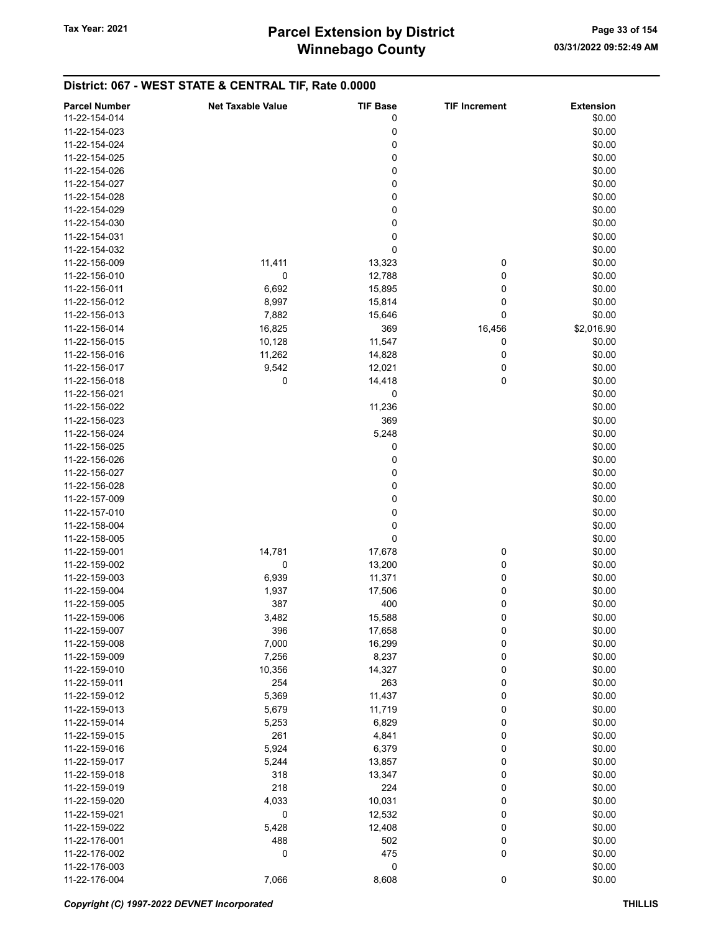| <b>Parcel Number</b> | <b>Net Taxable Value</b> | <b>TIF Base</b> | <b>TIF Increment</b> | <b>Extension</b> |
|----------------------|--------------------------|-----------------|----------------------|------------------|
| 11-22-154-014        |                          | 0               |                      | \$0.00           |
|                      |                          |                 |                      |                  |
| 11-22-154-023        |                          | 0               |                      | \$0.00           |
| 11-22-154-024        |                          | 0               |                      | \$0.00           |
| 11-22-154-025        |                          | 0               |                      | \$0.00           |
| 11-22-154-026        |                          | 0               |                      | \$0.00           |
| 11-22-154-027        |                          | 0               |                      | \$0.00           |
| 11-22-154-028        |                          | 0               |                      | \$0.00           |
| 11-22-154-029        |                          | 0               |                      | \$0.00           |
| 11-22-154-030        |                          | 0               |                      | \$0.00           |
|                      |                          |                 |                      |                  |
| 11-22-154-031        |                          | 0               |                      | \$0.00           |
| 11-22-154-032        |                          | 0               |                      | \$0.00           |
| 11-22-156-009        | 11,411                   | 13,323          | 0                    | \$0.00           |
| 11-22-156-010        | 0                        | 12,788          | 0                    | \$0.00           |
| 11-22-156-011        | 6,692                    | 15,895          | 0                    | \$0.00           |
| 11-22-156-012        | 8,997                    | 15,814          | 0                    | \$0.00           |
| 11-22-156-013        | 7,882                    | 15,646          | 0                    | \$0.00           |
| 11-22-156-014        | 16,825                   | 369             | 16,456               | \$2,016.90       |
| 11-22-156-015        | 10,128                   |                 |                      | \$0.00           |
|                      |                          | 11,547          | 0                    |                  |
| 11-22-156-016        | 11,262                   | 14,828          | 0                    | \$0.00           |
| 11-22-156-017        | 9,542                    | 12,021          | 0                    | \$0.00           |
| 11-22-156-018        | 0                        | 14,418          | 0                    | \$0.00           |
| 11-22-156-021        |                          | 0               |                      | \$0.00           |
| 11-22-156-022        |                          | 11,236          |                      | \$0.00           |
| 11-22-156-023        |                          | 369             |                      | \$0.00           |
| 11-22-156-024        |                          | 5,248           |                      | \$0.00           |
|                      |                          |                 |                      |                  |
| 11-22-156-025        |                          | 0               |                      | \$0.00           |
| 11-22-156-026        |                          | 0               |                      | \$0.00           |
| 11-22-156-027        |                          | 0               |                      | \$0.00           |
| 11-22-156-028        |                          | 0               |                      | \$0.00           |
| 11-22-157-009        |                          | 0               |                      | \$0.00           |
| 11-22-157-010        |                          | 0               |                      | \$0.00           |
| 11-22-158-004        |                          | 0               |                      | \$0.00           |
| 11-22-158-005        |                          | 0               |                      | \$0.00           |
| 11-22-159-001        | 14,781                   | 17,678          | 0                    | \$0.00           |
| 11-22-159-002        |                          |                 |                      |                  |
|                      | 0                        | 13,200          | 0                    | \$0.00           |
| 11-22-159-003        | 6,939                    | 11,371          | 0                    | \$0.00           |
| 11-22-159-004        | 1,937                    | 17,506          | 0                    | \$0.00           |
| 11-22-159-005        | 387                      | 400             | 0                    | \$0.00           |
| 11-22-159-006        | 3,482                    | 15,588          | 0                    | \$0.00           |
| 11-22-159-007        | 396                      | 17,658          | 0                    | \$0.00           |
| 11-22-159-008        | 7,000                    | 16,299          | 0                    | \$0.00           |
| 11-22-159-009        | 7,256                    | 8,237           | 0                    | \$0.00           |
| 11-22-159-010        | 10,356                   | 14,327          | 0                    | \$0.00           |
| 11-22-159-011        | 254                      | 263             |                      |                  |
|                      |                          |                 | 0                    | \$0.00           |
| 11-22-159-012        | 5,369                    | 11,437          | 0                    | \$0.00           |
| 11-22-159-013        | 5,679                    | 11,719          | 0                    | \$0.00           |
| 11-22-159-014        | 5,253                    | 6,829           | 0                    | \$0.00           |
| 11-22-159-015        | 261                      | 4,841           | 0                    | \$0.00           |
| 11-22-159-016        | 5,924                    | 6,379           | 0                    | \$0.00           |
| 11-22-159-017        | 5,244                    | 13,857          | 0                    | \$0.00           |
| 11-22-159-018        | 318                      | 13,347          | 0                    | \$0.00           |
| 11-22-159-019        | 218                      | 224             | 0                    | \$0.00           |
|                      | 4,033                    | 10,031          | 0                    | \$0.00           |
| 11-22-159-020        |                          |                 |                      |                  |
| 11-22-159-021        | 0                        | 12,532          | 0                    | \$0.00           |
| 11-22-159-022        | 5,428                    | 12,408          | 0                    | \$0.00           |
| 11-22-176-001        | 488                      | 502             | 0                    | \$0.00           |
| 11-22-176-002        | 0                        | 475             | 0                    | \$0.00           |
| 11-22-176-003        |                          | 0               |                      | \$0.00           |
| 11-22-176-004        | 7,066                    | 8,608           | $\pmb{0}$            | \$0.00           |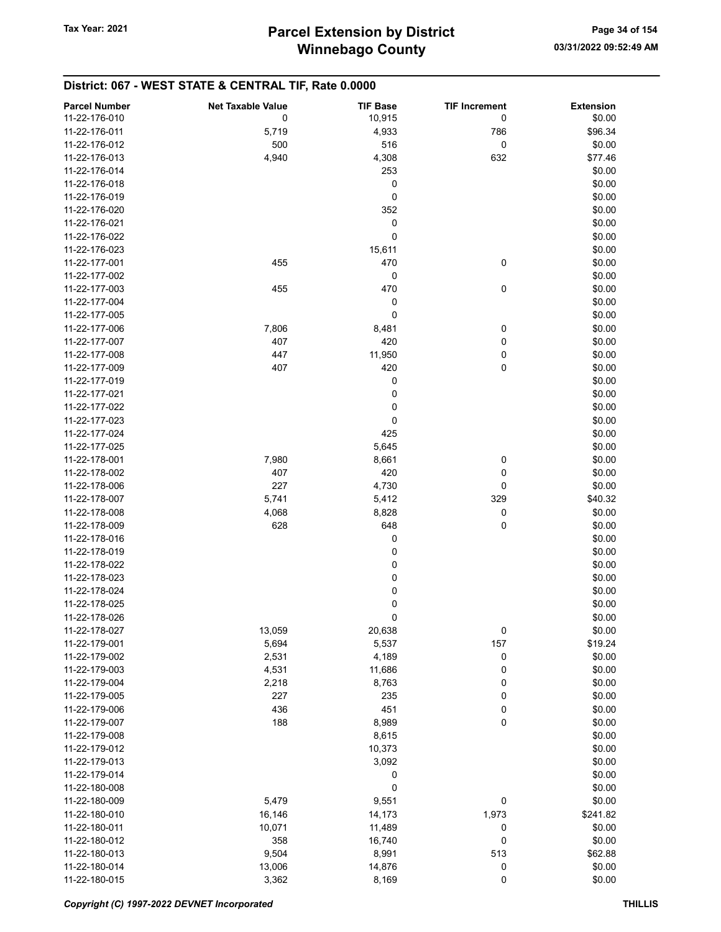| <b>Parcel Number</b>           | <b>Net Taxable Value</b> | <b>TIF Base</b> | <b>TIF Increment</b> | <b>Extension</b> |
|--------------------------------|--------------------------|-----------------|----------------------|------------------|
| 11-22-176-010                  | 0                        | 10,915          | 0                    | \$0.00           |
| 11-22-176-011                  | 5,719                    | 4,933           | 786                  | \$96.34          |
| 11-22-176-012                  | 500                      | 516             | 0                    | \$0.00           |
| 11-22-176-013                  | 4,940                    | 4,308           | 632                  | \$77.46          |
| 11-22-176-014                  |                          | 253             |                      | \$0.00           |
| 11-22-176-018                  |                          | 0               |                      | \$0.00           |
| 11-22-176-019                  |                          | 0               |                      | \$0.00           |
| 11-22-176-020                  |                          | 352             |                      | \$0.00           |
| 11-22-176-021                  |                          | 0               |                      | \$0.00           |
| 11-22-176-022                  |                          | 0               |                      | \$0.00           |
| 11-22-176-023                  |                          | 15,611          |                      | \$0.00           |
| 11-22-177-001                  | 455                      | 470             | 0                    | \$0.00           |
| 11-22-177-002                  |                          | 0               |                      | \$0.00           |
| 11-22-177-003                  | 455                      | 470             | 0                    | \$0.00           |
| 11-22-177-004                  |                          | 0               |                      | \$0.00           |
| 11-22-177-005                  |                          | 0               |                      | \$0.00           |
| 11-22-177-006                  | 7,806                    | 8,481           | 0                    | \$0.00           |
| 11-22-177-007                  | 407                      | 420             | 0                    | \$0.00           |
| 11-22-177-008                  | 447                      | 11,950          | 0                    | \$0.00           |
| 11-22-177-009                  | 407                      | 420             | 0                    | \$0.00           |
| 11-22-177-019                  |                          | 0               |                      | \$0.00           |
|                                |                          |                 |                      |                  |
| 11-22-177-021<br>11-22-177-022 |                          | 0               |                      | \$0.00           |
|                                |                          | 0               |                      | \$0.00           |
| 11-22-177-023                  |                          | 0               |                      | \$0.00           |
| 11-22-177-024                  |                          | 425             |                      | \$0.00           |
| 11-22-177-025                  |                          | 5,645           |                      | \$0.00           |
| 11-22-178-001                  | 7,980                    | 8,661           | 0                    | \$0.00           |
| 11-22-178-002                  | 407                      | 420             | 0                    | \$0.00           |
| 11-22-178-006                  | 227                      | 4,730           | 0                    | \$0.00           |
| 11-22-178-007                  | 5,741                    | 5,412           | 329                  | \$40.32          |
| 11-22-178-008                  | 4,068                    | 8,828           | 0                    | \$0.00           |
| 11-22-178-009                  | 628                      | 648             | 0                    | \$0.00           |
| 11-22-178-016                  |                          | 0               |                      | \$0.00           |
| 11-22-178-019                  |                          | 0               |                      | \$0.00           |
| 11-22-178-022                  |                          | 0               |                      | \$0.00           |
| 11-22-178-023                  |                          | 0               |                      | \$0.00           |
| 11-22-178-024                  |                          | 0               |                      | \$0.00           |
| 11-22-178-025                  |                          | 0               |                      | \$0.00           |
| 11-22-178-026                  |                          | 0               |                      | \$0.00           |
| 11-22-178-027                  | 13,059                   | 20,638          | 0                    | \$0.00           |
| 11-22-179-001                  | 5,694                    | 5,537           | 157                  | \$19.24          |
| 11-22-179-002                  | 2,531                    | 4,189           | 0                    | \$0.00           |
| 11-22-179-003                  | 4,531                    | 11,686          | 0                    | \$0.00           |
| 11-22-179-004                  | 2,218                    | 8,763           | 0                    | \$0.00           |
| 11-22-179-005                  | 227                      | 235             | 0                    | \$0.00           |
| 11-22-179-006                  | 436                      | 451             | 0                    | \$0.00           |
| 11-22-179-007                  | 188                      | 8,989           | 0                    | \$0.00           |
| 11-22-179-008                  |                          | 8,615           |                      | \$0.00           |
| 11-22-179-012                  |                          | 10,373          |                      | \$0.00           |
| 11-22-179-013                  |                          | 3,092           |                      | \$0.00           |
| 11-22-179-014                  |                          | 0               |                      | \$0.00           |
| 11-22-180-008                  |                          | 0               |                      | \$0.00           |
| 11-22-180-009                  | 5,479                    | 9,551           | 0                    | \$0.00           |
| 11-22-180-010                  | 16,146                   | 14,173          | 1,973                | \$241.82         |
| 11-22-180-011                  | 10,071                   | 11,489          | 0                    | \$0.00           |
| 11-22-180-012                  | 358                      | 16,740          | 0                    | \$0.00           |
| 11-22-180-013                  | 9,504                    | 8,991           | 513                  | \$62.88          |
| 11-22-180-014                  | 13,006                   | 14,876          | 0                    | \$0.00           |
| 11-22-180-015                  | 3,362                    | 8,169           | 0                    | \$0.00           |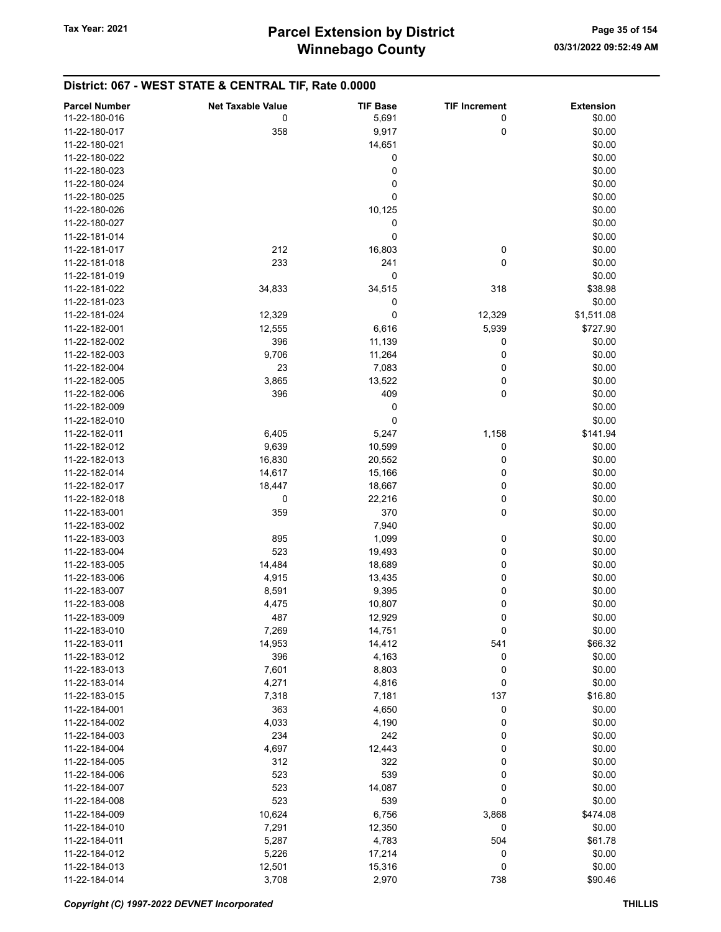#### Parcel Number **Net Taxable Value** TIF Base TIF Increment Extension 11-22-180-016 **11-22-180-016 11-22-180-016 11-22-180-016 11-22-180-016 11-22-180-016** 11-22-180-017 358 9,917 0 \$0.00 11-22-180-021 14,651 \$0.00  $11-22-180-022$  \$0.00  $11-22-180-023$  \$0.00  $11-22-180-024$  \$0.00  $11-22-180-025$  \$0.00 11-22-180-026 10,125 \$0.00  $11-22-180-027$  \$0.00  $11-22-181-014$  \$0.00 11-22-181-017 212 16,803 0 \$0.00 11-22-181-018 233 241 0 \$0.00  $11-22-181-019$  \$0.00 11-22-181-022 34,833 34,833 34,515 318 \$38.98  $11-22-181-023$  \$0.00 11-22-181-024 12,329 0 12,329 \$1,511.08 11-22-182-001 **12,555** 6,616 5,939 \$727.90 11-22-182-002 396 11,139 0 \$0.00 11-22-182-003 9,706 11,264 0 \$0.00 11-22-182-004 23 7,083 0 \$0.00 11-22-182-005 3,865 13,522 0 \$0.00 11-22-182-006 396 409 0 \$0.00  $11-22-182-009$  \$0.00  $11-22-182-010$  \$0.00 11-22-182-011 6,405 5,247 1,158 \$141.94 11-22-182-012 9,639 10,599 \$0.00 11-22-182-013 16,830 20,552 0 \$0.00 11-22-182-014 14,617 15,166 0 \$0.00 11-22-182-017 **18,447** 18,667 0 \$0.00 11-22-182-018 **0** 0 22,216 0 30.00 11-22-183-001 **359** 370 370 0 \$0.00 11-22-183-002 7,940 \$0.00 11-22-183-003 895 1,099 0 \$0.00 11-22-183-004 **523** 523 19,493 0 \$0.00 11-22-183-005 14,484 18,689 0 \$0.00 11-22-183-006 4,915 13,435 0 \$0.00 11-22-183-007 8,591 9,395 0 \$0.00 11-22-183-008 **4,475** 10,807 0 \$0.00 11-22-183-009 **12,929** 0 \$0.00 11-22-183-010 7,269 14,751 0 \$0.00 11-22-183-011 **14,953** 14,412 541 \$66.32 11-22-183-012 **396** 396 4,163 0 \$0.00 11-22-183-013 7,601 8,803 0 \$0.00 11-22-183-014 4,271 4,816 0 \$0.00 11-22-183-015 7,318 7,181 137 \$16.80 11-22-184-001 **363** 363 4,650 0 \$0.00 11-22-184-002 **4,033** 4,033 4,190 0 \$0.00 11-22-184-003 234 242 0 \$0.00 11-22-184-004 **12,443** 0 \$0.00 11-22-184-005 312 322 0 \$0.00 11-22-184-006 523 539 0 \$0.00 11-22-184-007 523 14,087 0 \$0.00 11-22-184-008 523 539 0 \$0.00 11-22-184-009 **10,624** 6,756 3,868 \$474.08 11-22-184-010 **12,291** 12,350 0 \$0.00 11-22-184-011 **5,287** 5,287 4,783 504 561.78 11-22-184-012 5,226 17,214 0 \$0.00 11-22-184-013 12,501 15,316 0 \$0.00

11-22-184-014 **3,708** 2,970 738 \$90.46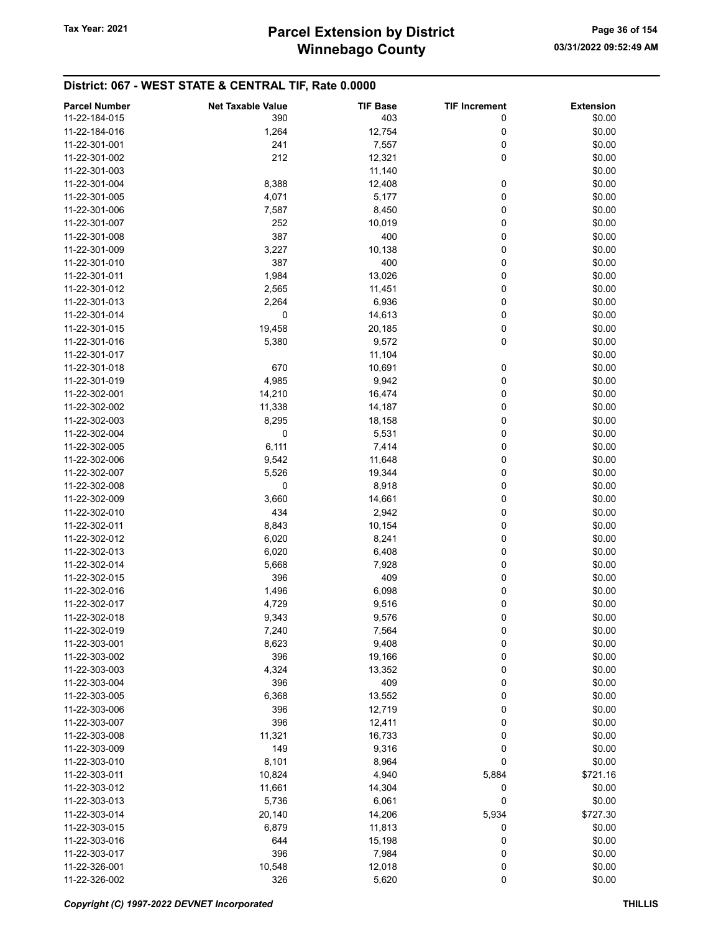| <b>Parcel Number</b> | <b>Net Taxable Value</b> | <b>TIF Base</b> | <b>TIF Increment</b> | <b>Extension</b> |
|----------------------|--------------------------|-----------------|----------------------|------------------|
| 11-22-184-015        | 390                      | 403             | 0                    | \$0.00           |
|                      |                          |                 |                      |                  |
| 11-22-184-016        | 1,264                    | 12,754          | 0                    | \$0.00           |
| 11-22-301-001        | 241                      | 7,557           | 0                    | \$0.00           |
| 11-22-301-002        | 212                      | 12,321          | 0                    | \$0.00           |
| 11-22-301-003        |                          | 11,140          |                      | \$0.00           |
| 11-22-301-004        | 8,388                    | 12,408          | 0                    | \$0.00           |
| 11-22-301-005        | 4,071                    | 5,177           | 0                    | \$0.00           |
| 11-22-301-006        | 7,587                    | 8,450           | 0                    | \$0.00           |
| 11-22-301-007        | 252                      | 10,019          | 0                    | \$0.00           |
| 11-22-301-008        | 387                      | 400             | 0                    | \$0.00           |
| 11-22-301-009        | 3,227                    | 10,138          | 0                    | \$0.00           |
| 11-22-301-010        | 387                      | 400             | 0                    | \$0.00           |
| 11-22-301-011        | 1,984                    | 13,026          | 0                    | \$0.00           |
| 11-22-301-012        | 2,565                    | 11,451          | 0                    | \$0.00           |
| 11-22-301-013        | 2,264                    | 6,936           | 0                    | \$0.00           |
| 11-22-301-014        | 0                        | 14,613          | 0                    | \$0.00           |
| 11-22-301-015        | 19,458                   | 20,185          | 0                    | \$0.00           |
| 11-22-301-016        | 5,380                    | 9,572           | 0                    | \$0.00           |
|                      |                          |                 |                      |                  |
| 11-22-301-017        |                          | 11,104          |                      | \$0.00           |
| 11-22-301-018        | 670                      | 10,691          | 0                    | \$0.00           |
| 11-22-301-019        | 4,985                    | 9,942           | 0                    | \$0.00           |
| 11-22-302-001        | 14,210                   | 16,474          | 0                    | \$0.00           |
| 11-22-302-002        | 11,338                   | 14,187          | 0                    | \$0.00           |
| 11-22-302-003        | 8,295                    | 18,158          | 0                    | \$0.00           |
| 11-22-302-004        | $\mathbf 0$              | 5,531           | 0                    | \$0.00           |
| 11-22-302-005        | 6,111                    | 7,414           | 0                    | \$0.00           |
| 11-22-302-006        | 9,542                    | 11,648          | 0                    | \$0.00           |
| 11-22-302-007        | 5,526                    | 19,344          | 0                    | \$0.00           |
| 11-22-302-008        | 0                        | 8,918           | 0                    | \$0.00           |
| 11-22-302-009        | 3,660                    | 14,661          | 0                    | \$0.00           |
| 11-22-302-010        | 434                      | 2,942           | 0                    | \$0.00           |
| 11-22-302-011        | 8,843                    | 10,154          | 0                    | \$0.00           |
| 11-22-302-012        | 6,020                    | 8,241           | 0                    | \$0.00           |
| 11-22-302-013        | 6,020                    | 6,408           | 0                    | \$0.00           |
| 11-22-302-014        | 5,668                    | 7,928           | 0                    | \$0.00           |
| 11-22-302-015        |                          |                 |                      |                  |
|                      | 396                      | 409             | 0                    | \$0.00           |
| 11-22-302-016        | 1,496                    | 6,098           | 0                    | \$0.00           |
| 11-22-302-017        | 4,729                    | 9,516           | 0                    | \$0.00           |
| 11-22-302-018        | 9,343                    | 9,576           | 0                    | \$0.00           |
| 11-22-302-019        | 7,240                    | 7,564           | 0                    | \$0.00           |
| 11-22-303-001        | 8,623                    | 9,408           | 0                    | \$0.00           |
| 11-22-303-002        | 396                      | 19,166          | 0                    | \$0.00           |
| 11-22-303-003        | 4,324                    | 13,352          | 0                    | \$0.00           |
| 11-22-303-004        | 396                      | 409             | 0                    | \$0.00           |
| 11-22-303-005        | 6,368                    | 13,552          | 0                    | \$0.00           |
| 11-22-303-006        | 396                      | 12,719          | 0                    | \$0.00           |
| 11-22-303-007        | 396                      | 12,411          | 0                    | \$0.00           |
| 11-22-303-008        | 11,321                   | 16,733          | 0                    | \$0.00           |
| 11-22-303-009        | 149                      | 9,316           | 0                    | \$0.00           |
| 11-22-303-010        | 8,101                    | 8,964           | 0                    | \$0.00           |
| 11-22-303-011        | 10,824                   | 4,940           | 5,884                | \$721.16         |
| 11-22-303-012        |                          |                 |                      |                  |
|                      | 11,661                   | 14,304          | 0                    | \$0.00           |
| 11-22-303-013        | 5,736                    | 6,061           | 0                    | \$0.00           |
| 11-22-303-014        | 20,140                   | 14,206          | 5,934                | \$727.30         |
| 11-22-303-015        | 6,879                    | 11,813          | 0                    | \$0.00           |
| 11-22-303-016        | 644                      | 15,198          | 0                    | \$0.00           |
| 11-22-303-017        | 396                      | 7,984           | 0                    | \$0.00           |
| 11-22-326-001        | 10,548                   | 12,018          | 0                    | \$0.00           |
| 11-22-326-002        | 326                      | 5,620           | 0                    | \$0.00           |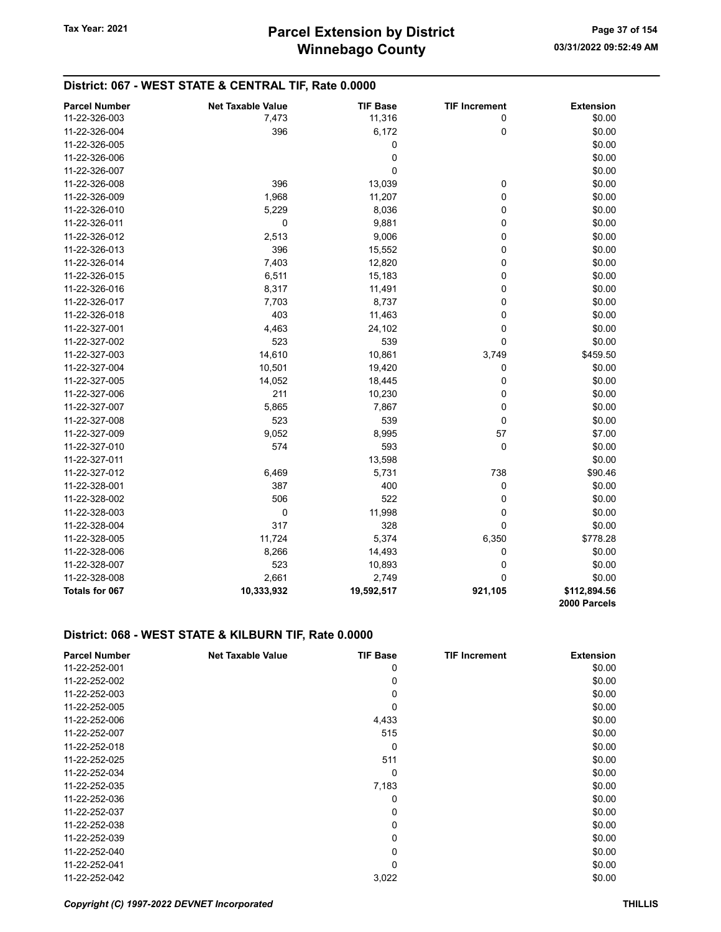#### District: 067 - WEST STATE & CENTRAL TIF, Rate 0.0000 Parcel Number **Net Taxable Value** TIF Base TIF Increment Extension 11-22-326-003 7,473 11,316 0 \$0.00 11-22-326-004 396 6,172 0 \$0.00  $11-22-326-005$  \$0.00  $11-22-326-006$  \$0.00  $11-22-326-007$  \$0.00 11-22-326-008 **396** 396 13,039 0 \$0.00 11-22-326-009 1,968 11,207 0 \$0.00 11-22-326-010 5,229 8,036 0 \$0.00 11-22-326-011 0 9,881 0 \$0.00 11-22-326-012 2,513 9,006 0 \$0.00 11-22-326-013 396 15,552 0 \$0.00 11-22-326-014 7,403 12,820 0 \$0.00 11-22-326-015 6,511 6,511 15,183 0 \$0.00 11-22-326-016 60.00 60.00 60.00 60.00 60.00 60.00 60.00 50.00 11-22-326-017 7,703 8,737 0 \$0.00 11-22-326-018 403 11,463 0 \$0.00 11-22-327-001 **4,463** 24,102 0 \$0.00 11-22-327-002 **523** 523 539 0 \$0.00 11-22-327-003 14,610 10,861 3,749 \$459.50 11-22-327-004 10,501 19,420 0 \$0.00 11-22-327-005 **12-8 12-8 14,052** 18,445 0 \$0.00 11-22-327-006 211 10,230 0 \$0.00 11-22-327-007 5,865 7,867 0 \$0.00 11-22-327-008 523 539 0 \$0.00 11-22-327-009 9,052 8,995 57 \$7.00 11-22-327-010 **574** 574 593 0 \$0.00 11-22-327-011 13,598 \$0.00 11-22-327-012 6,469 5,731 738 \$90.46 11-22-328-001 **387** 387 400 0 \$0.00 11-22-328-002 **506** 522 0 \$0.00 11-22-328-003 0 11,998 0 \$0.00 11-22-328-004 317 328 0 \$0.00 11-22-328-005 11,724 5,374 6,350 \$778.28 11-22-328-006 8,266 14,493 0 \$0.00 11-22-328-007 **523** 10,893 0 \$0.00 11-22-328-008 2,661 2,749 0 \$0.00

### District: 068 - WEST STATE & KILBURN TIF, Rate 0.0000

| <b>Parcel Number</b> | <b>Net Taxable Value</b> | <b>TIF Base</b> | <b>TIF Increment</b> | <b>Extension</b> |
|----------------------|--------------------------|-----------------|----------------------|------------------|
| 11-22-252-001        |                          | 0               |                      | \$0.00           |
| 11-22-252-002        |                          | 0               |                      | \$0.00           |
| 11-22-252-003        |                          | 0               |                      | \$0.00           |
| 11-22-252-005        |                          | 0               |                      | \$0.00           |
| 11-22-252-006        |                          | 4,433           |                      | \$0.00           |
| 11-22-252-007        |                          | 515             |                      | \$0.00           |
| 11-22-252-018        |                          | 0               |                      | \$0.00           |
| 11-22-252-025        |                          | 511             |                      | \$0.00           |
| 11-22-252-034        |                          | 0               |                      | \$0.00           |
| 11-22-252-035        |                          | 7,183           |                      | \$0.00           |
| 11-22-252-036        |                          | 0               |                      | \$0.00           |
| 11-22-252-037        |                          | 0               |                      | \$0.00           |
| 11-22-252-038        |                          | 0               |                      | \$0.00           |
| 11-22-252-039        |                          | 0               |                      | \$0.00           |
| 11-22-252-040        |                          | 0               |                      | \$0.00           |
| 11-22-252-041        |                          | $\Omega$        |                      | \$0.00           |
| 11-22-252-042        |                          | 3,022           |                      | \$0.00           |

Totals for 067 10,333,932 19,592,517 921,105 \$112,894.56

2000 Parcels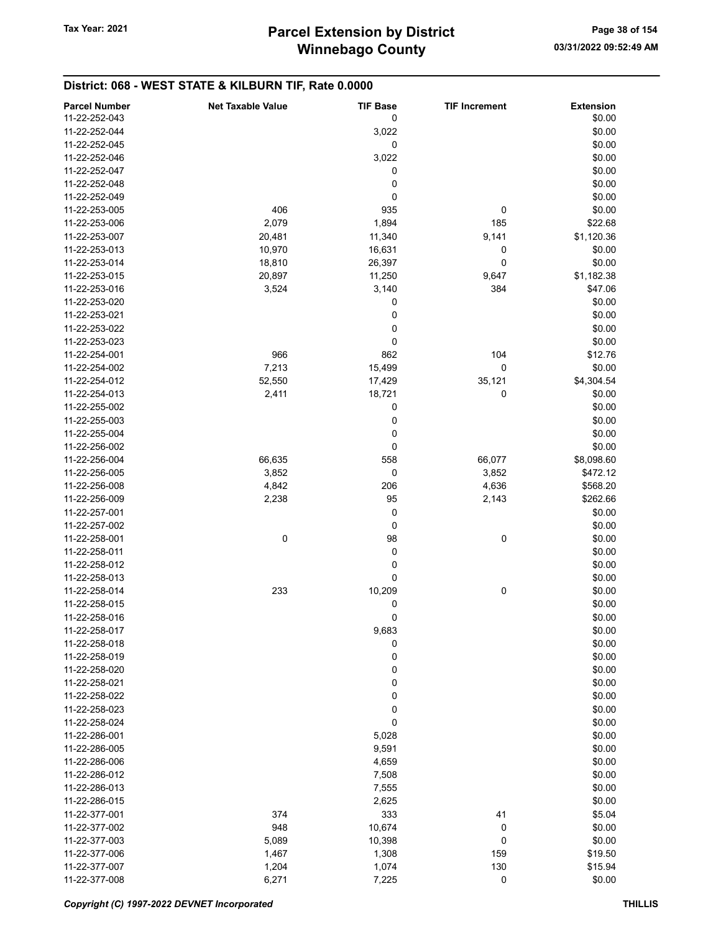# District: 068 - WEST STATE & KILBURN TIF, Rate 0.0000

| <b>Parcel Number</b> | <b>Net Taxable Value</b> | <b>TIF Base</b> | <b>TIF Increment</b> | <b>Extension</b> |
|----------------------|--------------------------|-----------------|----------------------|------------------|
| 11-22-252-043        |                          | 0               |                      | \$0.00           |
| 11-22-252-044        |                          | 3,022           |                      | \$0.00           |
| 11-22-252-045        |                          | 0               |                      | \$0.00           |
| 11-22-252-046        |                          | 3,022           |                      | \$0.00           |
| 11-22-252-047        |                          | 0               |                      | \$0.00           |
| 11-22-252-048        |                          | 0               |                      | \$0.00           |
| 11-22-252-049        |                          | 0               |                      | \$0.00           |
| 11-22-253-005        | 406                      | 935             | 0                    | \$0.00           |
| 11-22-253-006        | 2,079                    | 1,894           | 185                  | \$22.68          |
| 11-22-253-007        | 20,481                   | 11,340          | 9,141                | \$1,120.36       |
| 11-22-253-013        | 10,970                   | 16,631          | 0                    | \$0.00           |
| 11-22-253-014        | 18,810                   | 26,397          | 0                    | \$0.00           |
| 11-22-253-015        | 20,897                   | 11,250          | 9,647                | \$1,182.38       |
| 11-22-253-016        | 3,524                    | 3,140           | 384                  | \$47.06          |
| 11-22-253-020        |                          | 0               |                      | \$0.00           |
| 11-22-253-021        |                          | 0               |                      | \$0.00           |
| 11-22-253-022        |                          | 0               |                      | \$0.00           |
| 11-22-253-023        |                          | 0               |                      | \$0.00           |
| 11-22-254-001        | 966                      | 862             | 104                  | \$12.76          |
| 11-22-254-002        | 7,213                    | 15,499          | 0                    | \$0.00           |
| 11-22-254-012        | 52,550                   | 17,429          | 35,121               | \$4,304.54       |
| 11-22-254-013        | 2,411                    | 18,721          | 0                    | \$0.00           |
| 11-22-255-002        |                          | 0               |                      | \$0.00           |
| 11-22-255-003        |                          | 0               |                      | \$0.00           |
| 11-22-255-004        |                          | 0               |                      | \$0.00           |
| 11-22-256-002        |                          | 0               |                      | \$0.00           |
| 11-22-256-004        | 66,635                   | 558             | 66,077               | \$8,098.60       |
| 11-22-256-005        | 3,852                    | 0               | 3,852                | \$472.12         |
| 11-22-256-008        | 4,842                    | 206             | 4,636                | \$568.20         |
| 11-22-256-009        | 2,238                    | 95              | 2,143                | \$262.66         |
| 11-22-257-001        |                          | 0               |                      | \$0.00           |
| 11-22-257-002        |                          | 0               |                      | \$0.00           |
| 11-22-258-001        | 0                        | 98              | 0                    | \$0.00           |
| 11-22-258-011        |                          | 0               |                      | \$0.00           |
| 11-22-258-012        |                          | 0               |                      | \$0.00           |
| 11-22-258-013        |                          | 0               |                      | \$0.00           |
| 11-22-258-014        | 233                      | 10,209          | 0                    | \$0.00           |
| 11-22-258-015        |                          | 0               |                      | \$0.00           |
| 11-22-258-016        |                          | 0               |                      | \$0.00           |
| 11-22-258-017        |                          | 9,683           |                      | \$0.00           |
| 11-22-258-018        |                          | 0               |                      | \$0.00           |
| 11-22-258-019        |                          | 0               |                      | \$0.00           |
| 11-22-258-020        |                          | 0               |                      | \$0.00           |
| 11-22-258-021        |                          | 0               |                      | \$0.00           |
| 11-22-258-022        |                          | 0               |                      | \$0.00           |
| 11-22-258-023        |                          | 0               |                      | \$0.00           |
| 11-22-258-024        |                          | 0               |                      | \$0.00           |
| 11-22-286-001        |                          | 5,028           |                      | \$0.00           |
| 11-22-286-005        |                          | 9,591           |                      | \$0.00           |
| 11-22-286-006        |                          | 4,659           |                      | \$0.00           |
| 11-22-286-012        |                          | 7,508           |                      | \$0.00           |
| 11-22-286-013        |                          | 7,555           |                      | \$0.00           |
| 11-22-286-015        |                          | 2,625           |                      | \$0.00           |
| 11-22-377-001        | 374                      | 333             | 41                   | \$5.04           |
| 11-22-377-002        | 948                      | 10,674          | 0                    | \$0.00           |
| 11-22-377-003        | 5,089                    | 10,398          | 0                    | \$0.00           |
| 11-22-377-006        | 1,467                    | 1,308           | 159                  | \$19.50          |
| 11-22-377-007        | 1,204                    | 1,074           | 130                  | \$15.94          |
| 11-22-377-008        | 6,271                    | 7,225           | $\pmb{0}$            | \$0.00           |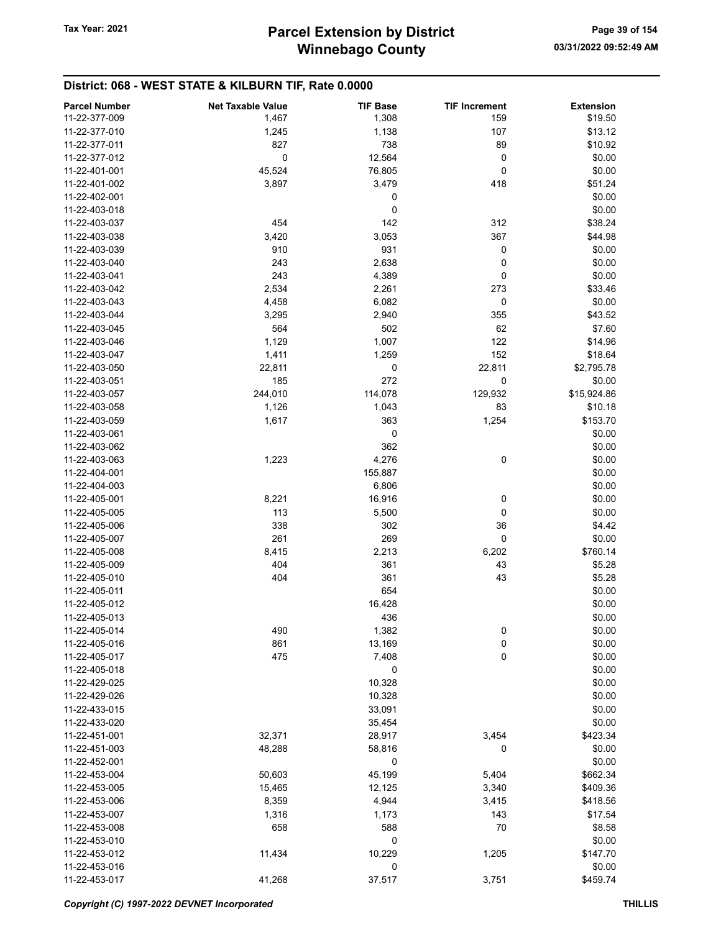# District: 068 - WEST STATE & KILBURN TIF, Rate 0.0000

| <b>Parcel Number</b> | <b>Net Taxable Value</b> | <b>TIF Base</b> | <b>TIF Increment</b> | <b>Extension</b> |
|----------------------|--------------------------|-----------------|----------------------|------------------|
| 11-22-377-009        | 1,467                    | 1,308           | 159                  | \$19.50          |
| 11-22-377-010        | 1,245                    | 1,138           | 107                  | \$13.12          |
| 11-22-377-011        | 827                      | 738             | 89                   | \$10.92          |
| 11-22-377-012        | 0                        | 12,564          | 0                    | \$0.00           |
|                      |                          |                 |                      |                  |
| 11-22-401-001        | 45,524                   | 76,805          | 0                    | \$0.00           |
| 11-22-401-002        | 3,897                    | 3,479           | 418                  | \$51.24          |
| 11-22-402-001        |                          | 0               |                      | \$0.00           |
| 11-22-403-018        |                          | 0               |                      | \$0.00           |
| 11-22-403-037        | 454                      | 142             | 312                  | \$38.24          |
| 11-22-403-038        | 3,420                    | 3,053           | 367                  | \$44.98          |
| 11-22-403-039        | 910                      | 931             | 0                    | \$0.00           |
| 11-22-403-040        | 243                      | 2,638           | 0                    | \$0.00           |
| 11-22-403-041        | 243                      | 4,389           | 0                    | \$0.00           |
| 11-22-403-042        | 2,534                    | 2,261           | 273                  | \$33.46          |
| 11-22-403-043        | 4,458                    | 6,082           | 0                    | \$0.00           |
| 11-22-403-044        | 3,295                    | 2,940           | 355                  | \$43.52          |
| 11-22-403-045        | 564                      | 502             | 62                   | \$7.60           |
| 11-22-403-046        | 1,129                    | 1,007           | 122                  | \$14.96          |
| 11-22-403-047        | 1,411                    | 1,259           | 152                  | \$18.64          |
| 11-22-403-050        | 22,811                   | 0               | 22,811               | \$2,795.78       |
| 11-22-403-051        |                          | 272             |                      |                  |
|                      | 185                      |                 | 0                    | \$0.00           |
| 11-22-403-057        | 244,010                  | 114,078         | 129,932              | \$15,924.86      |
| 11-22-403-058        | 1,126                    | 1,043           | 83                   | \$10.18          |
| 11-22-403-059        | 1,617                    | 363             | 1,254                | \$153.70         |
| 11-22-403-061        |                          | 0               |                      | \$0.00           |
| 11-22-403-062        |                          | 362             |                      | \$0.00           |
| 11-22-403-063        | 1,223                    | 4,276           | 0                    | \$0.00           |
| 11-22-404-001        |                          | 155,887         |                      | \$0.00           |
| 11-22-404-003        |                          | 6,806           |                      | \$0.00           |
| 11-22-405-001        | 8,221                    | 16,916          | 0                    | \$0.00           |
| 11-22-405-005        | 113                      | 5,500           | 0                    | \$0.00           |
| 11-22-405-006        | 338                      | 302             | 36                   | \$4.42           |
| 11-22-405-007        | 261                      | 269             | 0                    | \$0.00           |
| 11-22-405-008        | 8,415                    | 2,213           | 6,202                | \$760.14         |
| 11-22-405-009        | 404                      | 361             | 43                   | \$5.28           |
| 11-22-405-010        | 404                      | 361             | 43                   | \$5.28           |
| 11-22-405-011        |                          | 654             |                      | \$0.00           |
| 11-22-405-012        |                          | 16,428          |                      | \$0.00           |
| 11-22-405-013        |                          | 436             |                      | \$0.00           |
| 11-22-405-014        | 490                      | 1,382           | 0                    | \$0.00           |
| 11-22-405-016        | 861                      | 13,169          | 0                    | \$0.00           |
| 11-22-405-017        |                          |                 |                      |                  |
|                      | 475                      | 7,408           | 0                    | \$0.00           |
| 11-22-405-018        |                          | 0               |                      | \$0.00           |
| 11-22-429-025        |                          | 10,328          |                      | \$0.00           |
| 11-22-429-026        |                          | 10,328          |                      | \$0.00           |
| 11-22-433-015        |                          | 33,091          |                      | \$0.00           |
| 11-22-433-020        |                          | 35,454          |                      | \$0.00           |
| 11-22-451-001        | 32,371                   | 28,917          | 3,454                | \$423.34         |
| 11-22-451-003        | 48,288                   | 58,816          | 0                    | \$0.00           |
| 11-22-452-001        |                          | 0               |                      | \$0.00           |
| 11-22-453-004        | 50,603                   | 45,199          | 5,404                | \$662.34         |
| 11-22-453-005        | 15,465                   | 12,125          | 3,340                | \$409.36         |
| 11-22-453-006        | 8,359                    | 4,944           | 3,415                | \$418.56         |
| 11-22-453-007        | 1,316                    | 1,173           | 143                  | \$17.54          |
| 11-22-453-008        | 658                      | 588             | 70                   | \$8.58           |
| 11-22-453-010        |                          | 0               |                      | \$0.00           |
| 11-22-453-012        | 11,434                   | 10,229          | 1,205                | \$147.70         |
| 11-22-453-016        |                          | 0               |                      | \$0.00           |
|                      |                          |                 |                      |                  |
| 11-22-453-017        | 41,268                   | 37,517          | 3,751                | \$459.74         |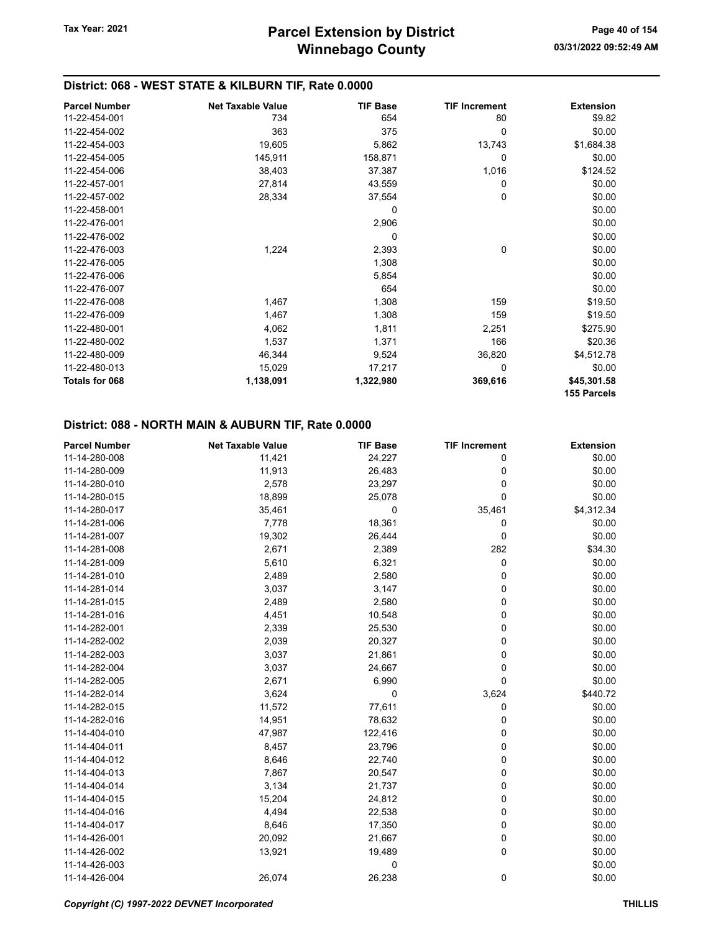## District: 068 - WEST STATE & KILBURN TIF, Rate 0.0000

| <b>Parcel Number</b> | <b>Net Taxable Value</b> | <b>TIF Base</b> | <b>TIF Increment</b> | <b>Extension</b> |
|----------------------|--------------------------|-----------------|----------------------|------------------|
| 11-22-454-001        | 734                      | 654             | 80                   | \$9.82           |
| 11-22-454-002        | 363                      | 375             | 0                    | \$0.00           |
| 11-22-454-003        | 19,605                   | 5,862           | 13,743               | \$1,684.38       |
| 11-22-454-005        | 145,911                  | 158,871         | 0                    | \$0.00           |
| 11-22-454-006        | 38,403                   | 37,387          | 1,016                | \$124.52         |
| 11-22-457-001        | 27,814                   | 43,559          | 0                    | \$0.00           |
| 11-22-457-002        | 28,334                   | 37,554          | 0                    | \$0.00           |
| 11-22-458-001        |                          | 0               |                      | \$0.00           |
| 11-22-476-001        |                          | 2,906           |                      | \$0.00           |
| 11-22-476-002        |                          | 0               |                      | \$0.00           |
| 11-22-476-003        | 1,224                    | 2,393           | 0                    | \$0.00           |
| 11-22-476-005        |                          | 1,308           |                      | \$0.00           |
| 11-22-476-006        |                          | 5,854           |                      | \$0.00           |
| 11-22-476-007        |                          | 654             |                      | \$0.00           |
| 11-22-476-008        | 1,467                    | 1,308           | 159                  | \$19.50          |
| 11-22-476-009        | 1,467                    | 1,308           | 159                  | \$19.50          |
| 11-22-480-001        | 4,062                    | 1,811           | 2,251                | \$275.90         |
| 11-22-480-002        | 1,537                    | 1,371           | 166                  | \$20.36          |
| 11-22-480-009        | 46,344                   | 9,524           | 36,820               | \$4,512.78       |
| 11-22-480-013        | 15,029                   | 17,217          | 0                    | \$0.00           |
| Totals for 068       | 1,138,091                | 1,322,980       | 369,616              | \$45,301.58      |
|                      |                          |                 |                      | 155 Parcels      |

#### District: 088 - NORTH MAIN & AUBURN TIF, Rate 0.0000

| <b>Parcel Number</b> | <b>Net Taxable Value</b> | <b>TIF Base</b> | <b>TIF Increment</b> | <b>Extension</b> |
|----------------------|--------------------------|-----------------|----------------------|------------------|
| 11-14-280-008        | 11,421                   | 24,227          | 0                    | \$0.00           |
| 11-14-280-009        | 11,913                   | 26,483          | 0                    | \$0.00           |
| 11-14-280-010        | 2,578                    | 23,297          | 0                    | \$0.00           |
| 11-14-280-015        | 18,899                   | 25,078          | $\mathbf 0$          | \$0.00           |
| 11-14-280-017        | 35,461                   | 0               | 35,461               | \$4,312.34       |
| 11-14-281-006        | 7,778                    | 18,361          | 0                    | \$0.00           |
| 11-14-281-007        | 19,302                   | 26,444          | 0                    | \$0.00           |
| 11-14-281-008        | 2,671                    | 2,389           | 282                  | \$34.30          |
| 11-14-281-009        | 5,610                    | 6,321           | 0                    | \$0.00           |
| 11-14-281-010        | 2,489                    | 2,580           | 0                    | \$0.00           |
| 11-14-281-014        | 3,037                    | 3,147           | 0                    | \$0.00           |
| 11-14-281-015        | 2,489                    | 2,580           | 0                    | \$0.00           |
| 11-14-281-016        | 4,451                    | 10,548          | 0                    | \$0.00           |
| 11-14-282-001        | 2,339                    | 25,530          | 0                    | \$0.00           |
| 11-14-282-002        | 2,039                    | 20,327          | 0                    | \$0.00           |
| 11-14-282-003        | 3,037                    | 21,861          | 0                    | \$0.00           |
| 11-14-282-004        | 3,037                    | 24,667          | 0                    | \$0.00           |
| 11-14-282-005        | 2,671                    | 6,990           | $\Omega$             | \$0.00           |
| 11-14-282-014        | 3,624                    | 0               | 3,624                | \$440.72         |
| 11-14-282-015        | 11,572                   | 77,611          | 0                    | \$0.00           |
| 11-14-282-016        | 14,951                   | 78,632          | 0                    | \$0.00           |
| 11-14-404-010        | 47,987                   | 122,416         | 0                    | \$0.00           |
| 11-14-404-011        | 8,457                    | 23,796          | 0                    | \$0.00           |
| 11-14-404-012        | 8,646                    | 22,740          | 0                    | \$0.00           |
| 11-14-404-013        | 7,867                    | 20,547          | 0                    | \$0.00           |
| 11-14-404-014        | 3,134                    | 21,737          | 0                    | \$0.00           |
| 11-14-404-015        | 15,204                   | 24,812          | 0                    | \$0.00           |
| 11-14-404-016        | 4,494                    | 22,538          | 0                    | \$0.00           |
| 11-14-404-017        | 8,646                    | 17,350          | 0                    | \$0.00           |
| 11-14-426-001        | 20,092                   | 21,667          | 0                    | \$0.00           |
| 11-14-426-002        | 13,921                   | 19,489          | 0                    | \$0.00           |
| 11-14-426-003        |                          | 0               |                      | \$0.00           |
| 11-14-426-004        | 26,074                   | 26,238          | 0                    | \$0.00           |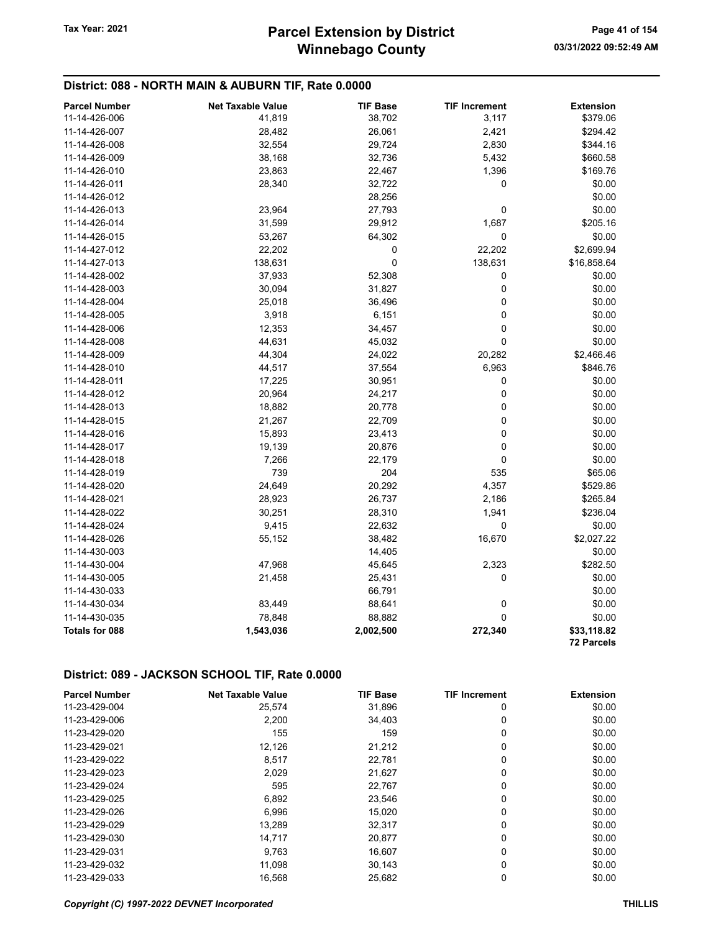### District: 088 - NORTH MAIN & AUBURN TIF, Rate 0.0000

| <b>Parcel Number</b>  | <b>Net Taxable Value</b> | <b>TIF Base</b> | <b>TIF Increment</b> | <b>Extension</b>          |
|-----------------------|--------------------------|-----------------|----------------------|---------------------------|
| 11-14-426-006         | 41,819                   | 38,702          | 3,117                | \$379.06                  |
| 11-14-426-007         | 28,482                   | 26,061          | 2,421                | \$294.42                  |
| 11-14-426-008         | 32,554                   | 29,724          | 2,830                | \$344.16                  |
| 11-14-426-009         | 38,168                   | 32,736          | 5,432                | \$660.58                  |
| 11-14-426-010         | 23,863                   | 22,467          | 1,396                | \$169.76                  |
| 11-14-426-011         | 28,340                   | 32,722          | 0                    | \$0.00                    |
| 11-14-426-012         |                          | 28,256          |                      | \$0.00                    |
| 11-14-426-013         | 23,964                   | 27,793          | 0                    | \$0.00                    |
| 11-14-426-014         | 31,599                   | 29,912          | 1,687                | \$205.16                  |
| 11-14-426-015         | 53,267                   | 64,302          | 0                    | \$0.00                    |
| 11-14-427-012         | 22,202                   | 0               | 22,202               | \$2,699.94                |
| 11-14-427-013         | 138,631                  | 0               | 138,631              | \$16,858.64               |
| 11-14-428-002         | 37,933                   | 52,308          | 0                    | \$0.00                    |
| 11-14-428-003         | 30,094                   | 31,827          | 0                    | \$0.00                    |
| 11-14-428-004         | 25,018                   | 36,496          | 0                    | \$0.00                    |
| 11-14-428-005         | 3,918                    | 6,151           | 0                    | \$0.00                    |
| 11-14-428-006         | 12,353                   | 34,457          | 0                    | \$0.00                    |
| 11-14-428-008         | 44,631                   | 45,032          | $\mathbf 0$          | \$0.00                    |
| 11-14-428-009         | 44,304                   | 24,022          | 20,282               | \$2,466.46                |
| 11-14-428-010         | 44,517                   | 37,554          | 6,963                | \$846.76                  |
| 11-14-428-011         | 17,225                   | 30,951          | 0                    | \$0.00                    |
| 11-14-428-012         | 20,964                   | 24,217          | 0                    | \$0.00                    |
| 11-14-428-013         | 18,882                   | 20,778          | 0                    | \$0.00                    |
| 11-14-428-015         | 21,267                   | 22,709          | 0                    | \$0.00                    |
| 11-14-428-016         | 15,893                   | 23,413          | 0                    | \$0.00                    |
| 11-14-428-017         | 19,139                   | 20,876          | 0                    | \$0.00                    |
| 11-14-428-018         | 7,266                    | 22,179          | 0                    | \$0.00                    |
| 11-14-428-019         | 739                      | 204             | 535                  | \$65.06                   |
| 11-14-428-020         | 24,649                   | 20,292          | 4,357                | \$529.86                  |
| 11-14-428-021         | 28,923                   | 26,737          | 2,186                | \$265.84                  |
| 11-14-428-022         | 30,251                   | 28,310          | 1,941                | \$236.04                  |
| 11-14-428-024         | 9,415                    | 22,632          | 0                    | \$0.00                    |
| 11-14-428-026         | 55,152                   | 38,482          | 16,670               | \$2,027.22                |
| 11-14-430-003         |                          | 14,405          |                      | \$0.00                    |
| 11-14-430-004         | 47,968                   | 45,645          | 2,323                | \$282.50                  |
| 11-14-430-005         | 21,458                   | 25,431          | 0                    | \$0.00                    |
| 11-14-430-033         |                          | 66,791          |                      | \$0.00                    |
| 11-14-430-034         | 83,449                   | 88,641          | 0                    | \$0.00                    |
| 11-14-430-035         | 78,848                   | 88,882          | 0                    | \$0.00                    |
| <b>Totals for 088</b> | 1,543,036                | 2,002,500       | 272,340              | \$33,118.82<br>72 Parcels |

| <b>Parcel Number</b> | <b>Net Taxable Value</b> | <b>TIF Base</b> | <b>TIF Increment</b> | <b>Extension</b> |
|----------------------|--------------------------|-----------------|----------------------|------------------|
| 11-23-429-004        | 25,574                   | 31,896          | 0                    | \$0.00           |
| 11-23-429-006        | 2,200                    | 34.403          | 0                    | \$0.00           |
| 11-23-429-020        | 155                      | 159             | 0                    | \$0.00           |
| 11-23-429-021        | 12,126                   | 21,212          | 0                    | \$0.00           |
| 11-23-429-022        | 8,517                    | 22.781          | 0                    | \$0.00           |
| 11-23-429-023        | 2,029                    | 21,627          | 0                    | \$0.00           |
| 11-23-429-024        | 595                      | 22,767          | 0                    | \$0.00           |
| 11-23-429-025        | 6,892                    | 23,546          | 0                    | \$0.00           |
| 11-23-429-026        | 6,996                    | 15,020          | 0                    | \$0.00           |
| 11-23-429-029        | 13,289                   | 32,317          | 0                    | \$0.00           |
| 11-23-429-030        | 14,717                   | 20,877          | 0                    | \$0.00           |
| 11-23-429-031        | 9,763                    | 16.607          | 0                    | \$0.00           |
| 11-23-429-032        | 11,098                   | 30,143          | 0                    | \$0.00           |
| 11-23-429-033        | 16.568                   | 25,682          | 0                    | \$0.00           |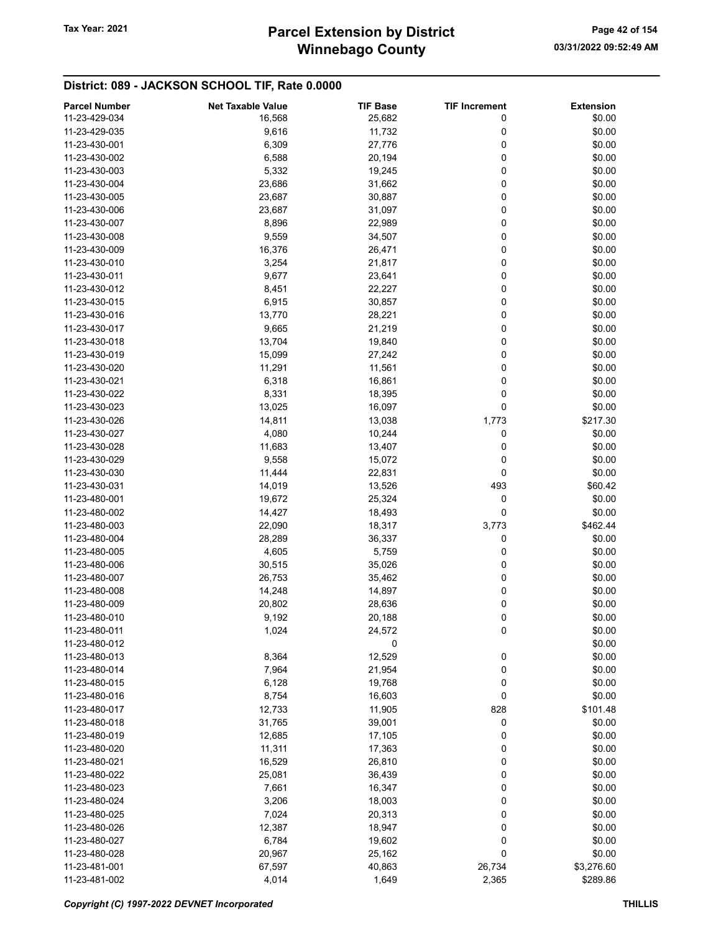# Winnebago County Tax Year: 2021 **Parcel Extension by District** Page 42 of 154

| <b>Parcel Number</b> | <b>Net Taxable Value</b> | <b>TIF Base</b> | <b>TIF Increment</b> | <b>Extension</b> |
|----------------------|--------------------------|-----------------|----------------------|------------------|
| 11-23-429-034        | 16,568                   | 25,682          | 0                    | \$0.00           |
| 11-23-429-035        | 9,616                    | 11,732          | 0                    | \$0.00           |
| 11-23-430-001        | 6,309                    | 27,776          | 0                    | \$0.00           |
| 11-23-430-002        | 6,588                    | 20,194          | 0                    | \$0.00           |
| 11-23-430-003        | 5,332                    | 19,245          | 0                    | \$0.00           |
| 11-23-430-004        | 23,686                   | 31,662          | 0                    | \$0.00           |
| 11-23-430-005        | 23,687                   | 30,887          | 0                    | \$0.00           |
| 11-23-430-006        | 23,687                   | 31,097          | 0                    | \$0.00           |
| 11-23-430-007        | 8,896                    | 22,989          | 0                    | \$0.00           |
| 11-23-430-008        | 9,559                    | 34,507          | 0                    | \$0.00           |
| 11-23-430-009        |                          |                 | 0                    | \$0.00           |
|                      | 16,376                   | 26,471          |                      |                  |
| 11-23-430-010        | 3,254                    | 21,817          | 0                    | \$0.00           |
| 11-23-430-011        | 9,677                    | 23,641          | 0                    | \$0.00           |
| 11-23-430-012        | 8,451                    | 22,227          | 0                    | \$0.00           |
| 11-23-430-015        | 6,915                    | 30,857          | 0                    | \$0.00           |
| 11-23-430-016        | 13,770                   | 28,221          | 0                    | \$0.00           |
| 11-23-430-017        | 9,665                    | 21,219          | 0                    | \$0.00           |
| 11-23-430-018        | 13,704                   | 19,840          | 0                    | \$0.00           |
| 11-23-430-019        | 15,099                   | 27,242          | 0                    | \$0.00           |
| 11-23-430-020        | 11,291                   | 11,561          | 0                    | \$0.00           |
| 11-23-430-021        | 6,318                    | 16,861          | 0                    | \$0.00           |
| 11-23-430-022        | 8,331                    | 18,395          | 0                    | \$0.00           |
| 11-23-430-023        | 13,025                   | 16,097          | 0                    | \$0.00           |
| 11-23-430-026        | 14,811                   | 13,038          | 1,773                | \$217.30         |
| 11-23-430-027        | 4,080                    | 10,244          | 0                    | \$0.00           |
| 11-23-430-028        | 11,683                   | 13,407          | 0                    | \$0.00           |
| 11-23-430-029        | 9,558                    | 15,072          | 0                    | \$0.00           |
| 11-23-430-030        | 11,444                   | 22,831          | 0                    | \$0.00           |
| 11-23-430-031        | 14,019                   | 13,526          | 493                  | \$60.42          |
| 11-23-480-001        | 19,672                   | 25,324          | 0                    | \$0.00           |
| 11-23-480-002        | 14,427                   | 18,493          | 0                    | \$0.00           |
| 11-23-480-003        | 22,090                   | 18,317          | 3,773                | \$462.44         |
| 11-23-480-004        | 28,289                   | 36,337          | 0                    | \$0.00           |
| 11-23-480-005        | 4,605                    | 5,759           | 0                    | \$0.00           |
| 11-23-480-006        | 30,515                   | 35,026          | 0                    | \$0.00           |
| 11-23-480-007        | 26,753                   | 35,462          | 0                    | \$0.00           |
| 11-23-480-008        |                          |                 | 0                    |                  |
|                      | 14,248                   | 14,897          |                      | \$0.00           |
| 11-23-480-009        | 20,802                   | 28,636          | 0                    | \$0.00           |
| 11-23-480-010        | 9,192                    | 20,188          | 0                    | \$0.00           |
| 11-23-480-011        | 1,024                    | 24,572          | 0                    | \$0.00           |
| 11-23-480-012        |                          | 0               |                      | \$0.00           |
| 11-23-480-013        | 8,364                    | 12,529          | 0                    | \$0.00           |
| 11-23-480-014        | 7,964                    | 21,954          | $\mathbf 0$          | \$0.00           |
| 11-23-480-015        | 6,128                    | 19,768          | 0                    | \$0.00           |
| 11-23-480-016        | 8,754                    | 16,603          | 0                    | \$0.00           |
| 11-23-480-017        | 12,733                   | 11,905          | 828                  | \$101.48         |
| 11-23-480-018        | 31,765                   | 39,001          | 0                    | \$0.00           |
| 11-23-480-019        | 12,685                   | 17,105          | 0                    | \$0.00           |
| 11-23-480-020        | 11,311                   | 17,363          | 0                    | \$0.00           |
| 11-23-480-021        | 16,529                   | 26,810          | 0                    | \$0.00           |
| 11-23-480-022        | 25,081                   | 36,439          | 0                    | \$0.00           |
| 11-23-480-023        | 7,661                    | 16,347          | 0                    | \$0.00           |
| 11-23-480-024        | 3,206                    | 18,003          | 0                    | \$0.00           |
| 11-23-480-025        | 7,024                    | 20,313          | 0                    | \$0.00           |
| 11-23-480-026        | 12,387                   | 18,947          | 0                    | \$0.00           |
| 11-23-480-027        | 6,784                    | 19,602          | 0                    | \$0.00           |
| 11-23-480-028        | 20,967                   | 25,162          | 0                    | \$0.00           |
| 11-23-481-001        | 67,597                   | 40,863          | 26,734               | \$3,276.60       |
| 11-23-481-002        | 4,014                    | 1,649           | 2,365                | \$289.86         |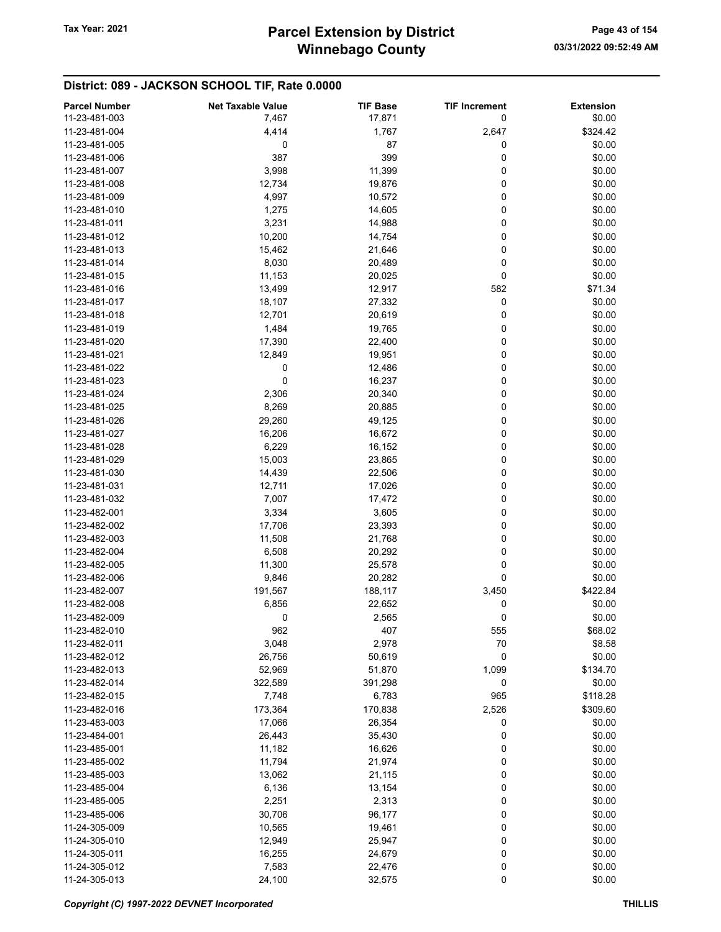| <b>Parcel Number</b> | <b>Net Taxable Value</b> | <b>TIF Base</b> | <b>TIF Increment</b> | <b>Extension</b> |
|----------------------|--------------------------|-----------------|----------------------|------------------|
| 11-23-481-003        | 7,467                    | 17,871          | 0                    | \$0.00           |
| 11-23-481-004        | 4,414                    | 1,767           | 2,647                | \$324.42         |
| 11-23-481-005        | 0                        | 87              | 0                    | \$0.00           |
| 11-23-481-006        | 387                      | 399             | 0                    | \$0.00           |
| 11-23-481-007        | 3,998                    |                 | 0                    | \$0.00           |
|                      |                          | 11,399          |                      |                  |
| 11-23-481-008        | 12,734                   | 19,876          | 0                    | \$0.00           |
| 11-23-481-009        | 4,997                    | 10,572          | 0                    | \$0.00           |
| 11-23-481-010        | 1,275                    | 14,605          | 0                    | \$0.00           |
| 11-23-481-011        | 3,231                    | 14,988          | 0                    | \$0.00           |
| 11-23-481-012        | 10,200                   | 14,754          | 0                    | \$0.00           |
| 11-23-481-013        | 15,462                   | 21,646          | 0                    | \$0.00           |
| 11-23-481-014        | 8,030                    | 20,489          | 0                    | \$0.00           |
| 11-23-481-015        | 11,153                   | 20,025          | 0                    | \$0.00           |
| 11-23-481-016        | 13,499                   | 12,917          | 582                  | \$71.34          |
| 11-23-481-017        | 18,107                   | 27,332          | 0                    | \$0.00           |
| 11-23-481-018        | 12,701                   | 20,619          | 0                    | \$0.00           |
| 11-23-481-019        | 1,484                    | 19,765          | 0                    | \$0.00           |
| 11-23-481-020        | 17,390                   | 22,400          | 0                    | \$0.00           |
| 11-23-481-021        | 12,849                   | 19,951          | 0                    | \$0.00           |
| 11-23-481-022        | 0                        | 12,486          | 0                    | \$0.00           |
| 11-23-481-023        | 0                        | 16,237          | 0                    | \$0.00           |
| 11-23-481-024        | 2,306                    | 20,340          | 0                    | \$0.00           |
| 11-23-481-025        | 8,269                    | 20,885          | 0                    | \$0.00           |
| 11-23-481-026        | 29,260                   | 49,125          | 0                    | \$0.00           |
| 11-23-481-027        | 16,206                   | 16,672          | 0                    | \$0.00           |
| 11-23-481-028        | 6,229                    | 16,152          | 0                    | \$0.00           |
| 11-23-481-029        |                          | 23,865          | 0                    | \$0.00           |
| 11-23-481-030        | 15,003                   |                 | 0                    |                  |
|                      | 14,439                   | 22,506          | 0                    | \$0.00           |
| 11-23-481-031        | 12,711                   | 17,026          |                      | \$0.00           |
| 11-23-481-032        | 7,007                    | 17,472          | $\pmb{0}$            | \$0.00           |
| 11-23-482-001        | 3,334                    | 3,605           | 0                    | \$0.00           |
| 11-23-482-002        | 17,706                   | 23,393          | 0                    | \$0.00           |
| 11-23-482-003        | 11,508                   | 21,768          | 0                    | \$0.00           |
| 11-23-482-004        | 6,508                    | 20,292          | 0                    | \$0.00           |
| 11-23-482-005        | 11,300                   | 25,578          | 0                    | \$0.00           |
| 11-23-482-006        | 9,846                    | 20,282          | 0                    | \$0.00           |
| 11-23-482-007        | 191,567                  | 188,117         | 3,450                | \$422.84         |
| 11-23-482-008        | 6,856                    | 22,652          | 0                    | \$0.00           |
| 11-23-482-009        | 0                        | 2,565           | 0                    | \$0.00           |
| 11-23-482-010        | 962                      | 407             | 555                  | \$68.02          |
| 11-23-482-011        | 3,048                    | 2,978           | 70                   | \$8.58           |
| 11-23-482-012        | 26,756                   | 50,619          | 0                    | \$0.00           |
| 11-23-482-013        | 52,969                   | 51,870          | 1,099                | \$134.70         |
| 11-23-482-014        | 322,589                  | 391,298         | 0                    | \$0.00           |
| 11-23-482-015        | 7,748                    | 6,783           | 965                  | \$118.28         |
| 11-23-482-016        | 173,364                  | 170,838         | 2,526                | \$309.60         |
| 11-23-483-003        | 17,066                   | 26,354          | 0                    | \$0.00           |
| 11-23-484-001        | 26,443                   | 35,430          | 0                    | \$0.00           |
| 11-23-485-001        | 11,182                   | 16,626          | 0                    | \$0.00           |
| 11-23-485-002        | 11,794                   | 21,974          | 0                    | \$0.00           |
| 11-23-485-003        | 13,062                   | 21,115          | 0                    | \$0.00           |
| 11-23-485-004        | 6,136                    | 13,154          | 0                    | \$0.00           |
| 11-23-485-005        | 2,251                    | 2,313           | 0                    | \$0.00           |
| 11-23-485-006        | 30,706                   | 96,177          | 0                    | \$0.00           |
| 11-24-305-009        |                          |                 | 0                    | \$0.00           |
|                      | 10,565                   | 19,461          |                      |                  |
| 11-24-305-010        | 12,949                   | 25,947          | 0                    | \$0.00           |
| 11-24-305-011        | 16,255                   | 24,679          | 0                    | \$0.00           |
| 11-24-305-012        | 7,583                    | 22,476          | 0                    | \$0.00           |
| 11-24-305-013        | 24,100                   | 32,575          | $\pmb{0}$            | \$0.00           |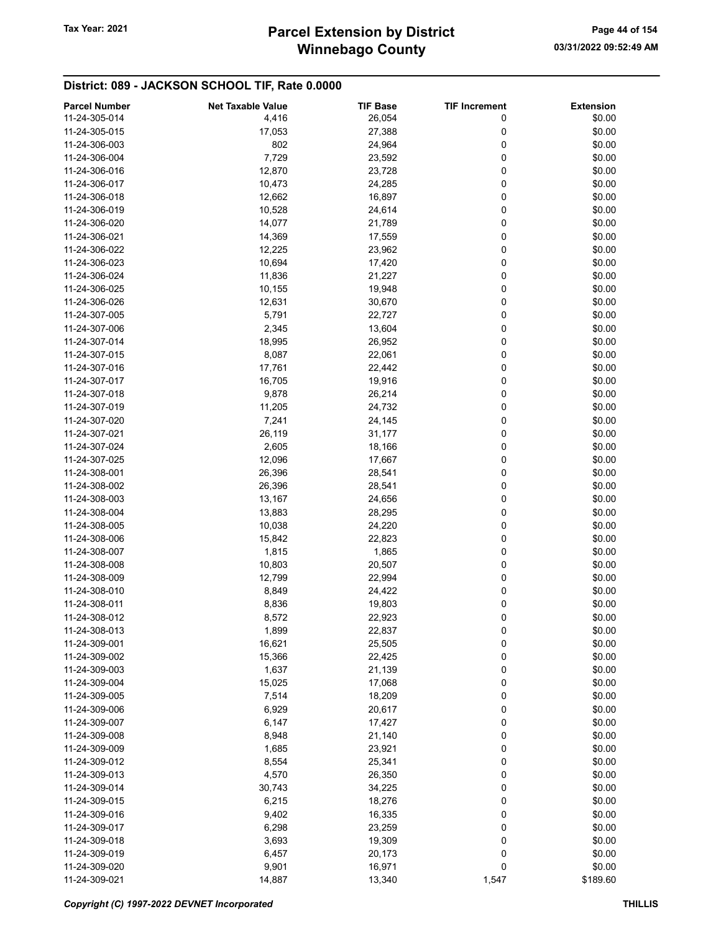# Winnebago County Tax Year: 2021 **Parcel Extension by District** Page 44 of 154

| <b>Parcel Number</b> | <b>Net Taxable Value</b> | <b>TIF Base</b> | <b>TIF Increment</b> | <b>Extension</b> |
|----------------------|--------------------------|-----------------|----------------------|------------------|
| 11-24-305-014        | 4,416                    | 26,054          | 0                    | \$0.00           |
| 11-24-305-015        | 17,053                   | 27,388          | 0                    | \$0.00           |
| 11-24-306-003        | 802                      | 24,964          | 0                    | \$0.00           |
| 11-24-306-004        | 7,729                    | 23,592          | 0                    | \$0.00           |
| 11-24-306-016        | 12,870                   |                 | 0                    | \$0.00           |
|                      |                          | 23,728          |                      |                  |
| 11-24-306-017        | 10,473                   | 24,285          | 0                    | \$0.00           |
| 11-24-306-018        | 12,662                   | 16,897          | 0                    | \$0.00           |
| 11-24-306-019        | 10,528                   | 24,614          | 0                    | \$0.00           |
| 11-24-306-020        | 14,077                   | 21,789          | 0                    | \$0.00           |
| 11-24-306-021        | 14,369                   | 17,559          | 0                    | \$0.00           |
| 11-24-306-022        | 12,225                   | 23,962          | 0                    | \$0.00           |
| 11-24-306-023        | 10,694                   | 17,420          | 0                    | \$0.00           |
| 11-24-306-024        | 11,836                   | 21,227          | 0                    | \$0.00           |
| 11-24-306-025        | 10,155                   | 19,948          | 0                    | \$0.00           |
| 11-24-306-026        | 12,631                   | 30,670          | 0                    | \$0.00           |
| 11-24-307-005        | 5,791                    | 22,727          | 0                    | \$0.00           |
| 11-24-307-006        | 2,345                    | 13,604          | 0                    | \$0.00           |
| 11-24-307-014        | 18,995                   | 26,952          | 0                    | \$0.00           |
| 11-24-307-015        | 8,087                    | 22,061          | 0                    | \$0.00           |
|                      |                          |                 |                      |                  |
| 11-24-307-016        | 17,761                   | 22,442          | 0                    | \$0.00           |
| 11-24-307-017        | 16,705                   | 19,916          | 0                    | \$0.00           |
| 11-24-307-018        | 9,878                    | 26,214          | 0                    | \$0.00           |
| 11-24-307-019        | 11,205                   | 24,732          | 0                    | \$0.00           |
| 11-24-307-020        | 7,241                    | 24,145          | 0                    | \$0.00           |
| 11-24-307-021        | 26,119                   | 31,177          | 0                    | \$0.00           |
| 11-24-307-024        | 2,605                    | 18,166          | 0                    | \$0.00           |
| 11-24-307-025        | 12,096                   | 17,667          | 0                    | \$0.00           |
| 11-24-308-001        | 26,396                   | 28,541          | 0                    | \$0.00           |
| 11-24-308-002        | 26,396                   | 28,541          | 0                    | \$0.00           |
| 11-24-308-003        | 13,167                   | 24,656          | 0                    | \$0.00           |
| 11-24-308-004        | 13,883                   | 28,295          | 0                    | \$0.00           |
| 11-24-308-005        | 10,038                   | 24,220          | 0                    | \$0.00           |
| 11-24-308-006        | 15,842                   | 22,823          | 0                    | \$0.00           |
| 11-24-308-007        | 1,815                    | 1,865           | 0                    | \$0.00           |
| 11-24-308-008        | 10,803                   | 20,507          | 0                    | \$0.00           |
|                      |                          |                 | 0                    | \$0.00           |
| 11-24-308-009        | 12,799                   | 22,994          |                      |                  |
| 11-24-308-010        | 8,849                    | 24,422          | 0                    | \$0.00           |
| 11-24-308-011        | 8,836                    | 19,803          | 0                    | \$0.00           |
| 11-24-308-012        | 8,572                    | 22,923          | 0                    | \$0.00           |
| 11-24-308-013        | 1,899                    | 22,837          | 0                    | \$0.00           |
| 11-24-309-001        | 16,621                   | 25,505          | 0                    | \$0.00           |
| 11-24-309-002        | 15,366                   | 22,425          | 0                    | \$0.00           |
| 11-24-309-003        | 1,637                    | 21,139          | 0                    | \$0.00           |
| 11-24-309-004        | 15,025                   | 17,068          | 0                    | \$0.00           |
| 11-24-309-005        | 7,514                    | 18,209          | 0                    | \$0.00           |
| 11-24-309-006        | 6,929                    | 20,617          | 0                    | \$0.00           |
| 11-24-309-007        | 6,147                    | 17,427          | 0                    | \$0.00           |
| 11-24-309-008        | 8,948                    | 21,140          | 0                    | \$0.00           |
| 11-24-309-009        | 1,685                    | 23,921          | 0                    | \$0.00           |
| 11-24-309-012        | 8,554                    | 25,341          | 0                    | \$0.00           |
| 11-24-309-013        | 4,570                    | 26,350          | 0                    | \$0.00           |
| 11-24-309-014        | 30,743                   | 34,225          | 0                    | \$0.00           |
| 11-24-309-015        | 6,215                    | 18,276          | 0                    | \$0.00           |
|                      |                          |                 |                      |                  |
| 11-24-309-016        | 9,402                    | 16,335          | 0                    | \$0.00           |
| 11-24-309-017        | 6,298                    | 23,259          | 0                    | \$0.00           |
| 11-24-309-018        | 3,693                    | 19,309          | 0                    | \$0.00           |
| 11-24-309-019        | 6,457                    | 20,173          | 0                    | \$0.00           |
| 11-24-309-020        | 9,901                    | 16,971          | 0                    | \$0.00           |
| 11-24-309-021        | 14,887                   | 13,340          | 1,547                | \$189.60         |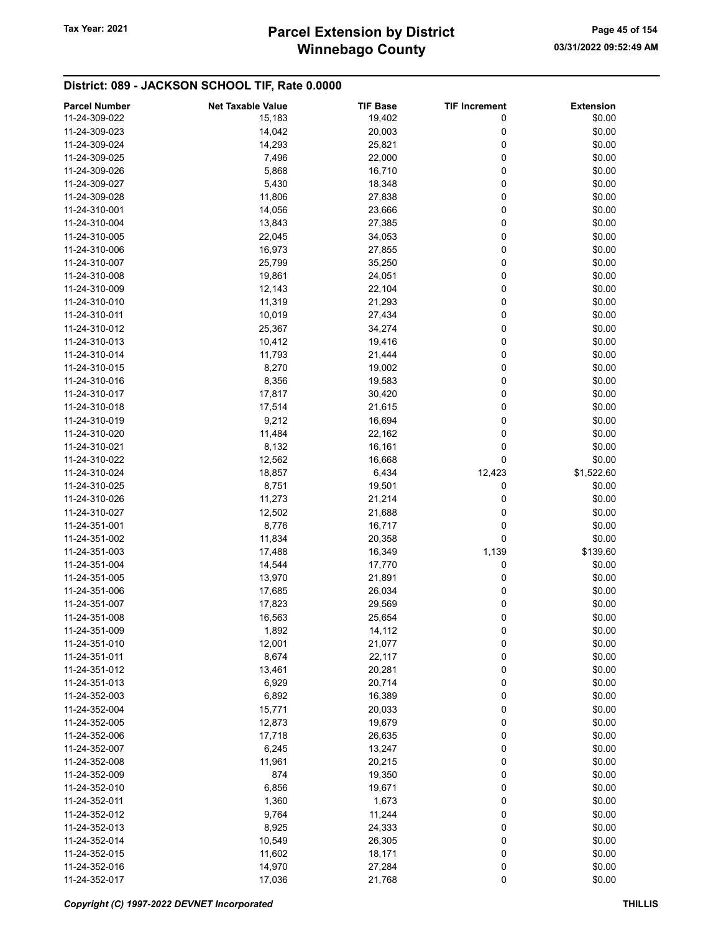# Winnebago County Tax Year: 2021 **Parcel Extension by District** Page 45 of 154

| <b>Parcel Number</b> | <b>Net Taxable Value</b> | <b>TIF Base</b> | <b>TIF Increment</b> | <b>Extension</b> |
|----------------------|--------------------------|-----------------|----------------------|------------------|
| 11-24-309-022        | 15,183                   | 19,402          | 0                    | \$0.00           |
| 11-24-309-023        | 14,042                   | 20,003          | 0                    | \$0.00           |
| 11-24-309-024        | 14,293                   | 25,821          | 0                    | \$0.00           |
| 11-24-309-025        | 7,496                    | 22,000          | 0                    | \$0.00           |
| 11-24-309-026        |                          |                 | 0                    | \$0.00           |
|                      | 5,868                    | 16,710          |                      |                  |
| 11-24-309-027        | 5,430                    | 18,348          | 0                    | \$0.00           |
| 11-24-309-028        | 11,806                   | 27,838          | 0                    | \$0.00           |
| 11-24-310-001        | 14,056                   | 23,666          | 0                    | \$0.00           |
| 11-24-310-004        | 13,843                   | 27,385          | 0                    | \$0.00           |
| 11-24-310-005        | 22,045                   | 34,053          | 0                    | \$0.00           |
| 11-24-310-006        | 16,973                   | 27,855          | 0                    | \$0.00           |
| 11-24-310-007        | 25,799                   | 35,250          | 0                    | \$0.00           |
| 11-24-310-008        | 19,861                   | 24,051          | 0                    | \$0.00           |
| 11-24-310-009        | 12,143                   | 22,104          | 0                    | \$0.00           |
| 11-24-310-010        | 11,319                   | 21,293          | 0                    | \$0.00           |
| 11-24-310-011        | 10,019                   | 27,434          | 0                    | \$0.00           |
| 11-24-310-012        | 25,367                   | 34,274          | 0                    | \$0.00           |
| 11-24-310-013        | 10,412                   | 19,416          | 0                    | \$0.00           |
| 11-24-310-014        | 11,793                   | 21,444          | 0                    | \$0.00           |
|                      |                          |                 | 0                    |                  |
| 11-24-310-015        | 8,270                    | 19,002          |                      | \$0.00           |
| 11-24-310-016        | 8,356                    | 19,583          | 0                    | \$0.00           |
| 11-24-310-017        | 17,817                   | 30,420          | 0                    | \$0.00           |
| 11-24-310-018        | 17,514                   | 21,615          | 0                    | \$0.00           |
| 11-24-310-019        | 9,212                    | 16,694          | 0                    | \$0.00           |
| 11-24-310-020        | 11,484                   | 22,162          | 0                    | \$0.00           |
| 11-24-310-021        | 8,132                    | 16,161          | 0                    | \$0.00           |
| 11-24-310-022        | 12,562                   | 16,668          | 0                    | \$0.00           |
| 11-24-310-024        | 18,857                   | 6,434           | 12,423               | \$1,522.60       |
| 11-24-310-025        | 8,751                    | 19,501          | 0                    | \$0.00           |
| 11-24-310-026        | 11,273                   | 21,214          | 0                    | \$0.00           |
| 11-24-310-027        | 12,502                   | 21,688          | 0                    | \$0.00           |
| 11-24-351-001        | 8,776                    | 16,717          | 0                    | \$0.00           |
| 11-24-351-002        | 11,834                   | 20,358          | 0                    | \$0.00           |
| 11-24-351-003        | 17,488                   | 16,349          | 1,139                | \$139.60         |
| 11-24-351-004        | 14,544                   | 17,770          | 0                    | \$0.00           |
|                      |                          |                 |                      |                  |
| 11-24-351-005        | 13,970                   | 21,891          | 0                    | \$0.00           |
| 11-24-351-006        | 17,685                   | 26,034          | 0                    | \$0.00           |
| 11-24-351-007        | 17,823                   | 29,569          | 0                    | \$0.00           |
| 11-24-351-008        | 16,563                   | 25,654          | 0                    | \$0.00           |
| 11-24-351-009        | 1,892                    | 14,112          | 0                    | \$0.00           |
| 11-24-351-010        | 12,001                   | 21,077          | 0                    | \$0.00           |
| 11-24-351-011        | 8,674                    | 22,117          | 0                    | \$0.00           |
| 11-24-351-012        | 13,461                   | 20,281          | 0                    | \$0.00           |
| 11-24-351-013        | 6,929                    | 20,714          | 0                    | \$0.00           |
| 11-24-352-003        | 6,892                    | 16,389          | 0                    | \$0.00           |
| 11-24-352-004        | 15,771                   | 20,033          | 0                    | \$0.00           |
| 11-24-352-005        | 12,873                   | 19,679          | 0                    | \$0.00           |
| 11-24-352-006        | 17,718                   | 26,635          | 0                    | \$0.00           |
| 11-24-352-007        | 6,245                    | 13,247          | 0                    | \$0.00           |
| 11-24-352-008        | 11,961                   | 20,215          | 0                    | \$0.00           |
| 11-24-352-009        | 874                      |                 |                      | \$0.00           |
|                      |                          | 19,350          | 0                    |                  |
| 11-24-352-010        | 6,856                    | 19,671          | 0                    | \$0.00           |
| 11-24-352-011        | 1,360                    | 1,673           | 0                    | \$0.00           |
| 11-24-352-012        | 9,764                    | 11,244          | 0                    | \$0.00           |
| 11-24-352-013        | 8,925                    | 24,333          | 0                    | \$0.00           |
| 11-24-352-014        | 10,549                   | 26,305          | 0                    | \$0.00           |
| 11-24-352-015        | 11,602                   | 18,171          | 0                    | \$0.00           |
| 11-24-352-016        | 14,970                   | 27,284          | 0                    | \$0.00           |
| 11-24-352-017        | 17,036                   | 21,768          | 0                    | \$0.00           |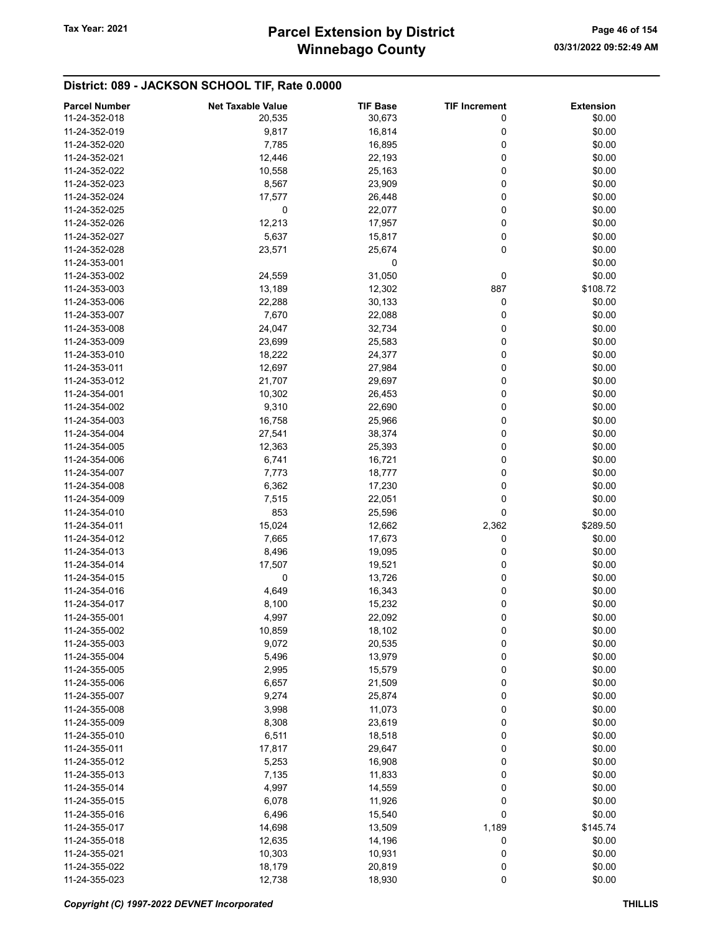# Winnebago County Tax Year: 2021 **Parcel Extension by District** Page 46 of 154

| <b>Parcel Number</b> | <b>Net Taxable Value</b> | <b>TIF Base</b> | <b>TIF Increment</b> | <b>Extension</b> |
|----------------------|--------------------------|-----------------|----------------------|------------------|
| 11-24-352-018        | 20,535                   | 30,673          | 0                    | \$0.00           |
| 11-24-352-019        | 9,817                    | 16,814          | 0                    | \$0.00           |
| 11-24-352-020        | 7,785                    | 16,895          | 0                    | \$0.00           |
| 11-24-352-021        |                          |                 | 0                    | \$0.00           |
|                      | 12,446                   | 22,193          |                      |                  |
| 11-24-352-022        | 10,558                   | 25,163          | 0                    | \$0.00           |
| 11-24-352-023        | 8,567                    | 23,909          | 0                    | \$0.00           |
| 11-24-352-024        | 17,577                   | 26,448          | 0                    | \$0.00           |
| 11-24-352-025        | 0                        | 22,077          | 0                    | \$0.00           |
| 11-24-352-026        | 12,213                   | 17,957          | 0                    | \$0.00           |
| 11-24-352-027        | 5,637                    | 15,817          | 0                    | \$0.00           |
| 11-24-352-028        | 23,571                   | 25,674          | 0                    | \$0.00           |
| 11-24-353-001        |                          | 0               |                      | \$0.00           |
| 11-24-353-002        | 24,559                   | 31,050          | 0                    | \$0.00           |
| 11-24-353-003        | 13,189                   | 12,302          | 887                  | \$108.72         |
| 11-24-353-006        | 22,288                   | 30,133          | 0                    | \$0.00           |
| 11-24-353-007        | 7,670                    | 22,088          | 0                    | \$0.00           |
| 11-24-353-008        | 24,047                   | 32,734          | 0                    | \$0.00           |
| 11-24-353-009        | 23,699                   | 25,583          | 0                    | \$0.00           |
| 11-24-353-010        | 18,222                   | 24,377          | 0                    | \$0.00           |
| 11-24-353-011        | 12,697                   | 27,984          | 0                    | \$0.00           |
|                      |                          |                 |                      |                  |
| 11-24-353-012        | 21,707                   | 29,697          | 0                    | \$0.00           |
| 11-24-354-001        | 10,302                   | 26,453          | 0                    | \$0.00           |
| 11-24-354-002        | 9,310                    | 22,690          | 0                    | \$0.00           |
| 11-24-354-003        | 16,758                   | 25,966          | 0                    | \$0.00           |
| 11-24-354-004        | 27,541                   | 38,374          | 0                    | \$0.00           |
| 11-24-354-005        | 12,363                   | 25,393          | 0                    | \$0.00           |
| 11-24-354-006        | 6,741                    | 16,721          | 0                    | \$0.00           |
| 11-24-354-007        | 7,773                    | 18,777          | 0                    | \$0.00           |
| 11-24-354-008        | 6,362                    | 17,230          | 0                    | \$0.00           |
| 11-24-354-009        | 7,515                    | 22,051          | 0                    | \$0.00           |
| 11-24-354-010        | 853                      | 25,596          | 0                    | \$0.00           |
| 11-24-354-011        | 15,024                   | 12,662          | 2,362                | \$289.50         |
| 11-24-354-012        | 7,665                    | 17,673          | 0                    | \$0.00           |
| 11-24-354-013        | 8,496                    | 19,095          | 0                    | \$0.00           |
| 11-24-354-014        | 17,507                   | 19,521          | 0                    | \$0.00           |
| 11-24-354-015        | 0                        | 13,726          | 0                    | \$0.00           |
| 11-24-354-016        | 4,649                    | 16,343          | 0                    | \$0.00           |
| 11-24-354-017        |                          |                 |                      | \$0.00           |
|                      | 8,100                    | 15,232          | 0                    |                  |
| 11-24-355-001        | 4,997                    | 22,092          | 0                    | \$0.00           |
| 11-24-355-002        | 10,859                   | 18,102          | 0                    | \$0.00           |
| 11-24-355-003        | 9,072                    | 20,535          | 0                    | \$0.00           |
| 11-24-355-004        | 5,496                    | 13,979          | 0                    | \$0.00           |
| 11-24-355-005        | 2,995                    | 15,579          | 0                    | \$0.00           |
| 11-24-355-006        | 6,657                    | 21,509          | 0                    | \$0.00           |
| 11-24-355-007        | 9,274                    | 25,874          | 0                    | \$0.00           |
| 11-24-355-008        | 3,998                    | 11,073          | 0                    | \$0.00           |
| 11-24-355-009        | 8,308                    | 23,619          | 0                    | \$0.00           |
| 11-24-355-010        | 6,511                    | 18,518          | 0                    | \$0.00           |
| 11-24-355-011        | 17,817                   | 29,647          | 0                    | \$0.00           |
| 11-24-355-012        | 5,253                    | 16,908          | 0                    | \$0.00           |
| 11-24-355-013        | 7,135                    | 11,833          | 0                    | \$0.00           |
| 11-24-355-014        | 4,997                    | 14,559          | 0                    | \$0.00           |
| 11-24-355-015        | 6,078                    | 11,926          | 0                    | \$0.00           |
| 11-24-355-016        | 6,496                    | 15,540          | 0                    | \$0.00           |
| 11-24-355-017        | 14,698                   | 13,509          | 1,189                | \$145.74         |
|                      |                          |                 |                      |                  |
| 11-24-355-018        | 12,635                   | 14,196          | 0                    | \$0.00           |
| 11-24-355-021        | 10,303                   | 10,931          | 0                    | \$0.00           |
| 11-24-355-022        | 18,179                   | 20,819          | 0                    | \$0.00           |
| 11-24-355-023        | 12,738                   | 18,930          | 0                    | \$0.00           |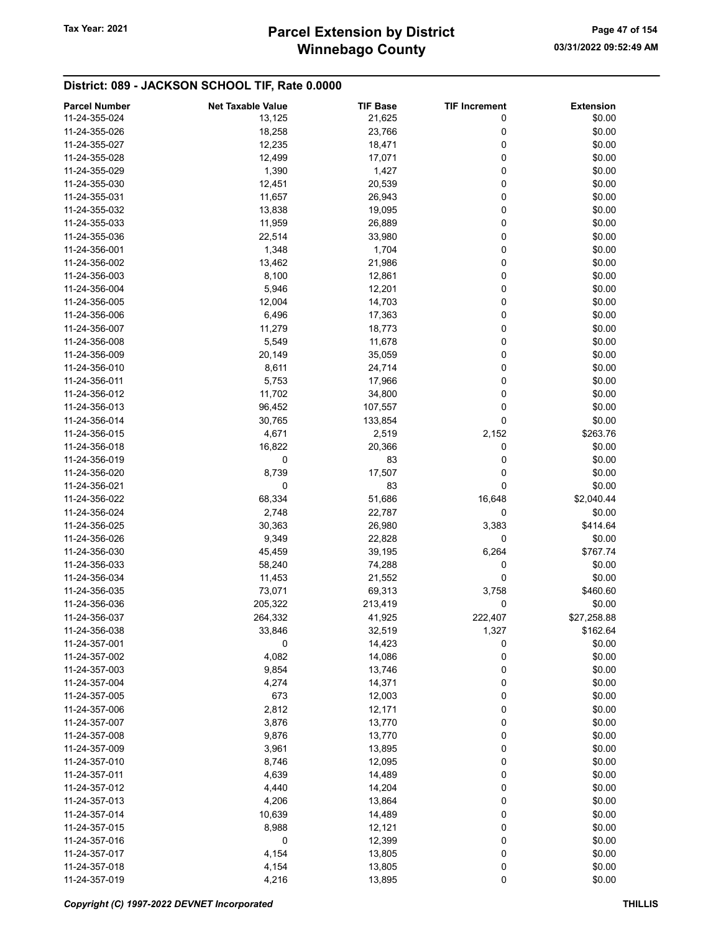# Winnebago County Tax Year: 2021 **Parcel Extension by District** Page 47 of 154

| <b>Parcel Number</b> | <b>Net Taxable Value</b> | <b>TIF Base</b> | <b>TIF Increment</b> | <b>Extension</b> |
|----------------------|--------------------------|-----------------|----------------------|------------------|
| 11-24-355-024        | 13,125                   | 21,625          | 0                    | \$0.00           |
| 11-24-355-026        | 18,258                   | 23,766          | 0                    | \$0.00           |
| 11-24-355-027        | 12,235                   | 18,471          | 0                    | \$0.00           |
| 11-24-355-028        | 12,499                   | 17,071          | 0                    | \$0.00           |
| 11-24-355-029        | 1,390                    | 1,427           | 0                    | \$0.00           |
| 11-24-355-030        |                          |                 | 0                    | \$0.00           |
| 11-24-355-031        | 12,451                   | 20,539          | 0                    | \$0.00           |
|                      | 11,657                   | 26,943          |                      |                  |
| 11-24-355-032        | 13,838                   | 19,095          | 0                    | \$0.00           |
| 11-24-355-033        | 11,959                   | 26,889          | 0                    | \$0.00           |
| 11-24-355-036        | 22,514                   | 33,980          | 0                    | \$0.00           |
| 11-24-356-001        | 1,348                    | 1,704           | 0                    | \$0.00           |
| 11-24-356-002        | 13,462                   | 21,986          | 0                    | \$0.00           |
| 11-24-356-003        | 8,100                    | 12,861          | 0                    | \$0.00           |
| 11-24-356-004        | 5,946                    | 12,201          | 0                    | \$0.00           |
| 11-24-356-005        | 12,004                   | 14,703          | 0                    | \$0.00           |
| 11-24-356-006        | 6,496                    | 17,363          | 0                    | \$0.00           |
| 11-24-356-007        | 11,279                   | 18,773          | 0                    | \$0.00           |
| 11-24-356-008        | 5,549                    | 11,678          | 0                    | \$0.00           |
| 11-24-356-009        | 20,149                   | 35,059          | 0                    | \$0.00           |
| 11-24-356-010        | 8,611                    | 24,714          | 0                    | \$0.00           |
| 11-24-356-011        | 5,753                    | 17,966          | 0                    | \$0.00           |
| 11-24-356-012        | 11,702                   | 34,800          | 0                    | \$0.00           |
| 11-24-356-013        | 96,452                   | 107,557         | 0                    | \$0.00           |
| 11-24-356-014        | 30,765                   | 133,854         | 0                    | \$0.00           |
| 11-24-356-015        | 4,671                    | 2,519           | 2,152                | \$263.76         |
| 11-24-356-018        | 16,822                   | 20,366          | 0                    | \$0.00           |
| 11-24-356-019        | 0                        | 83              | 0                    | \$0.00           |
| 11-24-356-020        | 8,739                    | 17,507          | 0                    | \$0.00           |
| 11-24-356-021        | 0                        | 83              | 0                    | \$0.00           |
| 11-24-356-022        | 68,334                   |                 |                      | \$2,040.44       |
|                      |                          | 51,686          | 16,648               |                  |
| 11-24-356-024        | 2,748                    | 22,787          | 0                    | \$0.00           |
| 11-24-356-025        | 30,363                   | 26,980          | 3,383                | \$414.64         |
| 11-24-356-026        | 9,349                    | 22,828          | 0                    | \$0.00           |
| 11-24-356-030        | 45,459                   | 39,195          | 6,264                | \$767.74         |
| 11-24-356-033        | 58,240                   | 74,288          | 0                    | \$0.00           |
| 11-24-356-034        | 11,453                   | 21,552          | 0                    | \$0.00           |
| 11-24-356-035        | 73,071                   | 69,313          | 3,758                | \$460.60         |
| 11-24-356-036        | 205,322                  | 213,419         | 0                    | \$0.00           |
| 11-24-356-037        | 264,332                  | 41,925          | 222,407              | \$27,258.88      |
| 11-24-356-038        | 33,846                   | 32,519          | 1,327                | \$162.64         |
| 11-24-357-001        | 0                        | 14,423          | 0                    | \$0.00           |
| 11-24-357-002        | 4,082                    | 14,086          | 0                    | \$0.00           |
| 11-24-357-003        | 9,854                    | 13,746          | 0                    | \$0.00           |
| 11-24-357-004        | 4,274                    | 14,371          | 0                    | \$0.00           |
| 11-24-357-005        | 673                      | 12,003          | 0                    | \$0.00           |
| 11-24-357-006        | 2,812                    | 12,171          | 0                    | \$0.00           |
| 11-24-357-007        | 3,876                    | 13,770          | 0                    | \$0.00           |
| 11-24-357-008        | 9,876                    | 13,770          | 0                    | \$0.00           |
| 11-24-357-009        | 3,961                    | 13,895          | 0                    | \$0.00           |
| 11-24-357-010        | 8,746                    | 12,095          | 0                    | \$0.00           |
| 11-24-357-011        | 4,639                    | 14,489          | 0                    | \$0.00           |
| 11-24-357-012        | 4,440                    | 14,204          | 0                    | \$0.00           |
| 11-24-357-013        | 4,206                    | 13,864          | 0                    | \$0.00           |
| 11-24-357-014        | 10,639                   | 14,489          | 0                    | \$0.00           |
| 11-24-357-015        | 8,988                    | 12,121          | 0                    | \$0.00           |
| 11-24-357-016        | 0                        | 12,399          | 0                    | \$0.00           |
| 11-24-357-017        |                          |                 | 0                    | \$0.00           |
|                      | 4,154                    | 13,805          |                      |                  |
| 11-24-357-018        | 4,154                    | 13,805          | 0                    | \$0.00           |
| 11-24-357-019        | 4,216                    | 13,895          | 0                    | \$0.00           |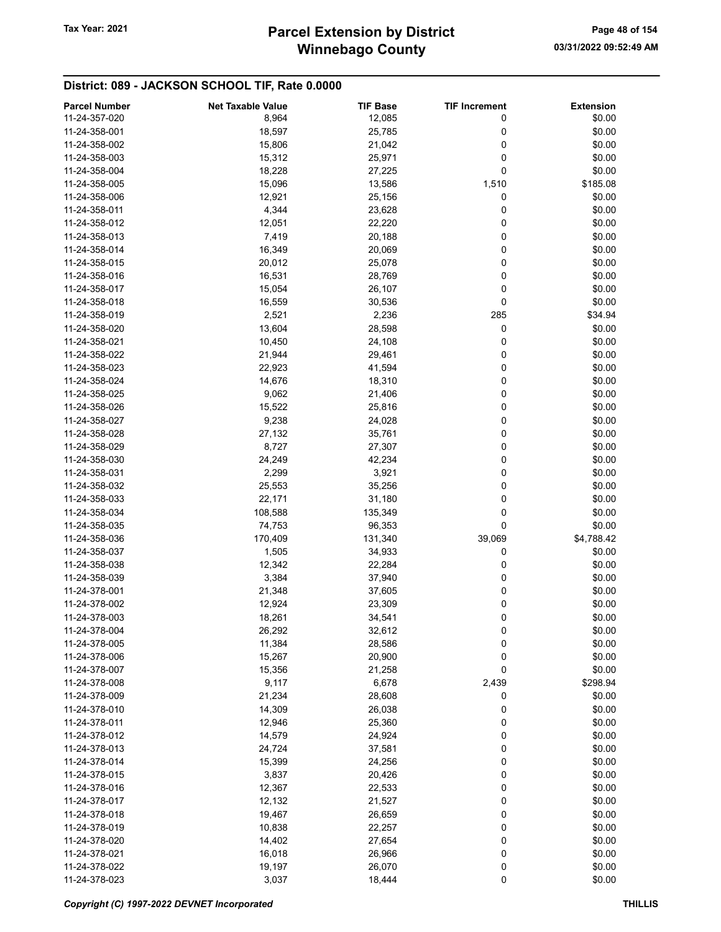| <b>Parcel Number</b> | <b>Net Taxable Value</b> | <b>TIF Base</b> | <b>TIF Increment</b> | <b>Extension</b> |
|----------------------|--------------------------|-----------------|----------------------|------------------|
| 11-24-357-020        | 8,964                    | 12,085          | 0                    | \$0.00           |
| 11-24-358-001        | 18,597                   | 25,785          | 0                    | \$0.00           |
| 11-24-358-002        | 15,806                   | 21,042          | 0                    | \$0.00           |
|                      |                          |                 |                      |                  |
| 11-24-358-003        | 15,312                   | 25,971          | 0                    | \$0.00           |
| 11-24-358-004        | 18,228                   | 27,225          | 0                    | \$0.00           |
| 11-24-358-005        | 15,096                   | 13,586          | 1,510                | \$185.08         |
| 11-24-358-006        | 12,921                   | 25,156          | 0                    | \$0.00           |
| 11-24-358-011        | 4,344                    | 23,628          | 0                    | \$0.00           |
| 11-24-358-012        | 12,051                   | 22,220          | 0                    | \$0.00           |
| 11-24-358-013        | 7,419                    | 20,188          | 0                    | \$0.00           |
| 11-24-358-014        | 16,349                   | 20,069          | 0                    | \$0.00           |
| 11-24-358-015        | 20,012                   | 25,078          | 0                    | \$0.00           |
| 11-24-358-016        | 16,531                   | 28,769          | 0                    | \$0.00           |
| 11-24-358-017        |                          |                 | 0                    | \$0.00           |
|                      | 15,054                   | 26,107          |                      |                  |
| 11-24-358-018        | 16,559                   | 30,536          | 0                    | \$0.00           |
| 11-24-358-019        | 2,521                    | 2,236           | 285                  | \$34.94          |
| 11-24-358-020        | 13,604                   | 28,598          | 0                    | \$0.00           |
| 11-24-358-021        | 10,450                   | 24,108          | 0                    | \$0.00           |
| 11-24-358-022        | 21,944                   | 29,461          | 0                    | \$0.00           |
| 11-24-358-023        | 22,923                   | 41,594          | 0                    | \$0.00           |
| 11-24-358-024        | 14,676                   | 18,310          | 0                    | \$0.00           |
| 11-24-358-025        | 9,062                    | 21,406          | 0                    | \$0.00           |
| 11-24-358-026        | 15,522                   | 25,816          | 0                    | \$0.00           |
| 11-24-358-027        | 9,238                    | 24,028          | 0                    | \$0.00           |
|                      |                          |                 |                      |                  |
| 11-24-358-028        | 27,132                   | 35,761          | 0                    | \$0.00           |
| 11-24-358-029        | 8,727                    | 27,307          | 0                    | \$0.00           |
| 11-24-358-030        | 24,249                   | 42,234          | 0                    | \$0.00           |
| 11-24-358-031        | 2,299                    | 3,921           | 0                    | \$0.00           |
| 11-24-358-032        | 25,553                   | 35,256          | 0                    | \$0.00           |
| 11-24-358-033        | 22,171                   | 31,180          | 0                    | \$0.00           |
| 11-24-358-034        | 108,588                  | 135,349         | 0                    | \$0.00           |
| 11-24-358-035        | 74,753                   | 96,353          | 0                    | \$0.00           |
| 11-24-358-036        | 170,409                  | 131,340         | 39,069               | \$4,788.42       |
| 11-24-358-037        | 1,505                    | 34,933          | 0                    | \$0.00           |
| 11-24-358-038        | 12,342                   | 22,284          | 0                    | \$0.00           |
| 11-24-358-039        | 3,384                    | 37,940          | 0                    | \$0.00           |
| 11-24-378-001        |                          |                 |                      |                  |
|                      | 21,348                   | 37,605          | 0                    | \$0.00           |
| 11-24-378-002        | 12,924                   | 23,309          | 0                    | \$0.00           |
| 11-24-378-003        | 18,261                   | 34,541          | 0                    | \$0.00           |
| 11-24-378-004        | 26,292                   | 32,612          | 0                    | \$0.00           |
| 11-24-378-005        | 11,384                   | 28,586          | 0                    | \$0.00           |
| 11-24-378-006        | 15,267                   | 20,900          | 0                    | \$0.00           |
| 11-24-378-007        | 15,356                   | 21,258          | 0                    | \$0.00           |
| 11-24-378-008        | 9,117                    | 6,678           | 2,439                | \$298.94         |
| 11-24-378-009        | 21,234                   | 28,608          | 0                    | \$0.00           |
| 11-24-378-010        | 14,309                   | 26,038          | 0                    | \$0.00           |
| 11-24-378-011        | 12,946                   | 25,360          | 0                    | \$0.00           |
| 11-24-378-012        | 14,579                   | 24,924          | 0                    | \$0.00           |
|                      |                          |                 | 0                    |                  |
| 11-24-378-013        | 24,724                   | 37,581          |                      | \$0.00           |
| 11-24-378-014        | 15,399                   | 24,256          | 0                    | \$0.00           |
| 11-24-378-015        | 3,837                    | 20,426          | 0                    | \$0.00           |
| 11-24-378-016        | 12,367                   | 22,533          | 0                    | \$0.00           |
| 11-24-378-017        | 12,132                   | 21,527          | 0                    | \$0.00           |
| 11-24-378-018        | 19,467                   | 26,659          | 0                    | \$0.00           |
| 11-24-378-019        | 10,838                   | 22,257          | 0                    | \$0.00           |
| 11-24-378-020        | 14,402                   | 27,654          | 0                    | \$0.00           |
| 11-24-378-021        | 16,018                   | 26,966          | 0                    | \$0.00           |
| 11-24-378-022        | 19,197                   | 26,070          | 0                    | \$0.00           |
| 11-24-378-023        | 3,037                    | 18,444          | 0                    | \$0.00           |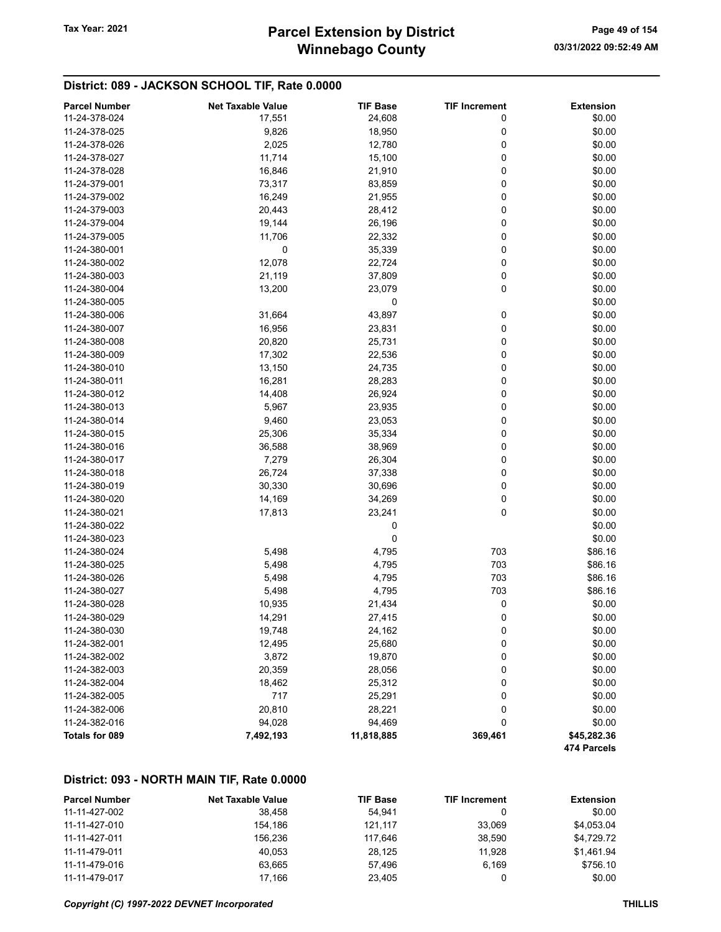# Winnebago County Tax Year: 2021 **Parcel Extension by District** Page 49 of 154

## District: 089 - JACKSON SCHOOL TIF, Rate 0.0000

| <b>Parcel Number</b>  | <b>Net Taxable Value</b> | <b>TIF Base</b> | <b>TIF Increment</b> | <b>Extension</b>           |
|-----------------------|--------------------------|-----------------|----------------------|----------------------------|
| 11-24-378-024         | 17,551                   | 24,608          | 0                    | \$0.00                     |
| 11-24-378-025         | 9,826                    | 18,950          | 0                    | \$0.00                     |
| 11-24-378-026         | 2,025                    | 12,780          | 0                    | \$0.00                     |
| 11-24-378-027         | 11,714                   | 15,100          | 0                    | \$0.00                     |
| 11-24-378-028         | 16,846                   | 21,910          | 0                    | \$0.00                     |
| 11-24-379-001         | 73,317                   | 83,859          | 0                    | \$0.00                     |
| 11-24-379-002         | 16,249                   | 21,955          | 0                    | \$0.00                     |
| 11-24-379-003         | 20,443                   | 28,412          | 0                    | \$0.00                     |
| 11-24-379-004         | 19,144                   | 26,196          | 0                    | \$0.00                     |
| 11-24-379-005         | 11,706                   | 22,332          | 0                    | \$0.00                     |
| 11-24-380-001         | 0                        | 35,339          | 0                    | \$0.00                     |
| 11-24-380-002         | 12,078                   | 22,724          | 0                    | \$0.00                     |
| 11-24-380-003         | 21,119                   | 37,809          | 0                    | \$0.00                     |
| 11-24-380-004         | 13,200                   | 23,079          | 0                    | \$0.00                     |
| 11-24-380-005         |                          | 0               |                      | \$0.00                     |
| 11-24-380-006         | 31,664                   | 43,897          | 0                    | \$0.00                     |
| 11-24-380-007         | 16,956                   | 23,831          | 0                    | \$0.00                     |
| 11-24-380-008         | 20,820                   | 25,731          | 0                    | \$0.00                     |
| 11-24-380-009         | 17,302                   | 22,536          | 0                    | \$0.00                     |
| 11-24-380-010         | 13,150                   | 24,735          | 0                    | \$0.00                     |
| 11-24-380-011         | 16,281                   | 28,283          | 0                    | \$0.00                     |
| 11-24-380-012         | 14,408                   | 26,924          | 0                    | \$0.00                     |
| 11-24-380-013         | 5,967                    | 23,935          | 0                    | \$0.00                     |
| 11-24-380-014         | 9,460                    | 23,053          | 0                    | \$0.00                     |
| 11-24-380-015         | 25,306                   | 35,334          | 0                    | \$0.00                     |
| 11-24-380-016         | 36,588                   | 38,969          | 0                    | \$0.00                     |
| 11-24-380-017         | 7,279                    | 26,304          | 0                    | \$0.00                     |
| 11-24-380-018         | 26,724                   | 37,338          | 0                    | \$0.00                     |
| 11-24-380-019         | 30,330                   | 30,696          | 0                    | \$0.00                     |
| 11-24-380-020         | 14,169                   | 34,269          | 0                    | \$0.00                     |
| 11-24-380-021         | 17,813                   | 23,241          | $\mathbf 0$          | \$0.00                     |
| 11-24-380-022         |                          | 0               |                      | \$0.00                     |
| 11-24-380-023         |                          | 0               |                      | \$0.00                     |
| 11-24-380-024         | 5,498                    | 4,795           | 703                  | \$86.16                    |
| 11-24-380-025         | 5,498                    | 4,795           | 703                  | \$86.16                    |
| 11-24-380-026         | 5,498                    | 4,795           | 703                  | \$86.16                    |
| 11-24-380-027         | 5,498                    | 4,795           | 703                  | \$86.16                    |
| 11-24-380-028         | 10,935                   | 21,434          | 0                    | \$0.00                     |
| 11-24-380-029         | 14,291                   | 27,415          | 0                    | \$0.00                     |
| 11-24-380-030         | 19,748                   | 24,162          | 0                    | \$0.00                     |
| 11-24-382-001         | 12,495                   | 25,680          | 0                    | \$0.00                     |
| 11-24-382-002         | 3,872                    | 19,870          | 0                    | \$0.00                     |
| 11-24-382-003         | 20,359                   | 28,056          | 0                    | \$0.00                     |
| 11-24-382-004         | 18,462                   | 25,312          | 0                    | \$0.00                     |
| 11-24-382-005         | 717                      | 25,291          | 0                    | \$0.00                     |
| 11-24-382-006         | 20,810                   | 28,221          | 0                    | \$0.00                     |
| 11-24-382-016         | 94,028                   | 94,469          | 0                    | \$0.00                     |
| <b>Totals for 089</b> | 7,492,193                | 11,818,885      | 369,461              | \$45,282.36<br>474 Parcels |

#### District: 093 - NORTH MAIN TIF, Rate 0.0000

| <b>Parcel Number</b> | <b>Net Taxable Value</b> | <b>TIF Base</b> | <b>TIF Increment</b> | <b>Extension</b> |
|----------------------|--------------------------|-----------------|----------------------|------------------|
| 11-11-427-002        | 38.458                   | 54.941          |                      | \$0.00           |
| 11-11-427-010        | 154.186                  | 121.117         | 33.069               | \$4,053.04       |
| 11-11-427-011        | 156,236                  | 117.646         | 38.590               | \$4,729.72       |
| 11-11-479-011        | 40.053                   | 28.125          | 11.928               | \$1,461.94       |
| 11-11-479-016        | 63.665                   | 57.496          | 6.169                | \$756.10         |
| 11-11-479-017        | 17.166                   | 23.405          |                      | \$0.00           |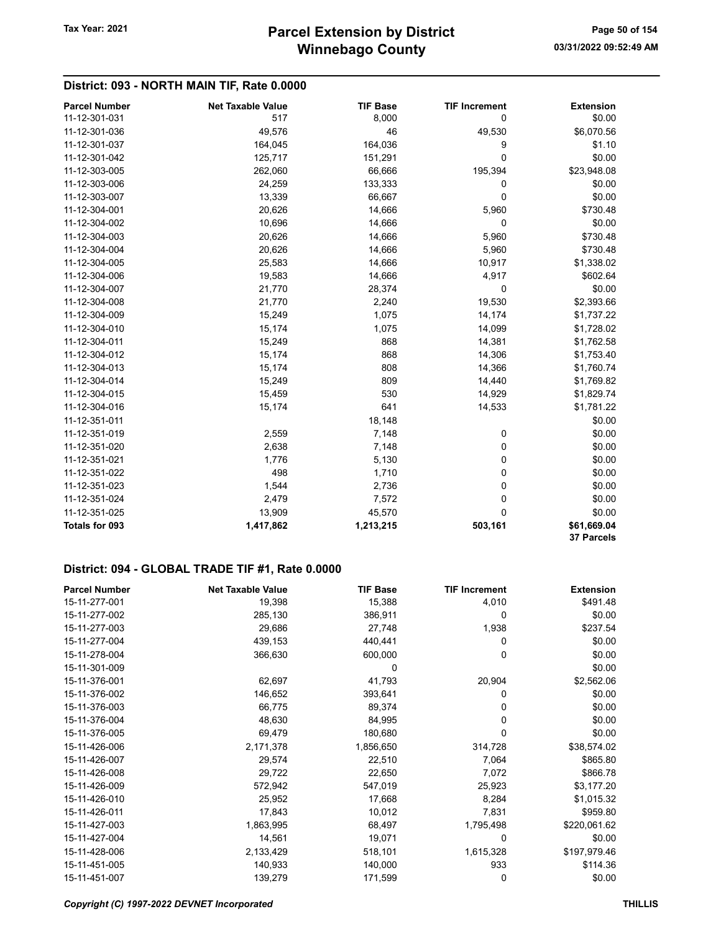## District: 093 - NORTH MAIN TIF, Rate 0.0000

| <b>Parcel Number</b> | <b>Net Taxable Value</b> | <b>TIF Base</b> | <b>TIF Increment</b> | <b>Extension</b> |
|----------------------|--------------------------|-----------------|----------------------|------------------|
| 11-12-301-031        | 517                      | 8,000           | 0                    | \$0.00           |
| 11-12-301-036        | 49,576                   | 46              | 49,530               | \$6,070.56       |
| 11-12-301-037        | 164,045                  | 164,036         | 9                    | \$1.10           |
| 11-12-301-042        | 125,717                  | 151,291         | 0                    | \$0.00           |
| 11-12-303-005        | 262,060                  | 66,666          | 195,394              | \$23,948.08      |
| 11-12-303-006        | 24,259                   | 133,333         | 0                    | \$0.00           |
| 11-12-303-007        | 13,339                   | 66,667          | 0                    | \$0.00           |
| 11-12-304-001        | 20,626                   | 14,666          | 5,960                | \$730.48         |
| 11-12-304-002        | 10,696                   | 14,666          | 0                    | \$0.00           |
| 11-12-304-003        | 20,626                   | 14,666          | 5,960                | \$730.48         |
| 11-12-304-004        | 20,626                   | 14,666          | 5,960                | \$730.48         |
| 11-12-304-005        | 25,583                   | 14,666          | 10,917               | \$1,338.02       |
| 11-12-304-006        | 19,583                   | 14,666          | 4,917                | \$602.64         |
| 11-12-304-007        | 21,770                   | 28,374          | 0                    | \$0.00           |
| 11-12-304-008        | 21,770                   | 2,240           | 19,530               | \$2,393.66       |
| 11-12-304-009        | 15,249                   | 1,075           | 14,174               | \$1,737.22       |
| 11-12-304-010        | 15,174                   | 1,075           | 14,099               | \$1,728.02       |
| 11-12-304-011        | 15,249                   | 868             | 14,381               | \$1,762.58       |
| 11-12-304-012        | 15,174                   | 868             | 14,306               | \$1,753.40       |
| 11-12-304-013        | 15,174                   | 808             | 14,366               | \$1,760.74       |
| 11-12-304-014        | 15,249                   | 809             | 14,440               | \$1,769.82       |
| 11-12-304-015        | 15,459                   | 530             | 14,929               | \$1,829.74       |
| 11-12-304-016        | 15,174                   | 641             | 14,533               | \$1,781.22       |
| 11-12-351-011        |                          | 18,148          |                      | \$0.00           |
| 11-12-351-019        | 2,559                    | 7,148           | 0                    | \$0.00           |
| 11-12-351-020        | 2,638                    | 7,148           | 0                    | \$0.00           |
| 11-12-351-021        | 1,776                    | 5,130           | 0                    | \$0.00           |
| 11-12-351-022        | 498                      | 1,710           | $\Omega$             | \$0.00           |
| 11-12-351-023        | 1,544                    | 2,736           | 0                    | \$0.00           |
| 11-12-351-024        | 2,479                    | 7,572           | 0                    | \$0.00           |
| 11-12-351-025        | 13,909                   | 45,570          | 0                    | \$0.00           |
| Totals for 093       | 1,417,862                | 1,213,215       | 503,161              | \$61,669.04      |
|                      |                          |                 |                      | 37 Parcels       |

| <b>Parcel Number</b> | <b>Net Taxable Value</b> | <b>TIF Base</b> | <b>TIF Increment</b> | <b>Extension</b> |
|----------------------|--------------------------|-----------------|----------------------|------------------|
| 15-11-277-001        | 19,398                   | 15,388          | 4,010                | \$491.48         |
| 15-11-277-002        | 285,130                  | 386,911         | 0                    | \$0.00           |
| 15-11-277-003        | 29,686                   | 27,748          | 1,938                | \$237.54         |
| 15-11-277-004        | 439,153                  | 440,441         | 0                    | \$0.00           |
| 15-11-278-004        | 366,630                  | 600,000         | 0                    | \$0.00           |
| 15-11-301-009        |                          | 0               |                      | \$0.00           |
| 15-11-376-001        | 62,697                   | 41,793          | 20,904               | \$2,562.06       |
| 15-11-376-002        | 146,652                  | 393,641         | 0                    | \$0.00           |
| 15-11-376-003        | 66,775                   | 89,374          | 0                    | \$0.00           |
| 15-11-376-004        | 48,630                   | 84,995          | 0                    | \$0.00           |
| 15-11-376-005        | 69,479                   | 180,680         | 0                    | \$0.00           |
| 15-11-426-006        | 2,171,378                | 1,856,650       | 314,728              | \$38,574.02      |
| 15-11-426-007        | 29,574                   | 22,510          | 7,064                | \$865.80         |
| 15-11-426-008        | 29,722                   | 22,650          | 7,072                | \$866.78         |
| 15-11-426-009        | 572,942                  | 547,019         | 25,923               | \$3,177.20       |
| 15-11-426-010        | 25,952                   | 17,668          | 8,284                | \$1,015.32       |
| 15-11-426-011        | 17,843                   | 10,012          | 7,831                | \$959.80         |
| 15-11-427-003        | 1,863,995                | 68,497          | 1,795,498            | \$220,061.62     |
| 15-11-427-004        | 14,561                   | 19,071          | 0                    | \$0.00           |
| 15-11-428-006        | 2,133,429                | 518,101         | 1,615,328            | \$197,979.46     |
| 15-11-451-005        | 140,933                  | 140,000         | 933                  | \$114.36         |
| 15-11-451-007        | 139,279                  | 171,599         | 0                    | \$0.00           |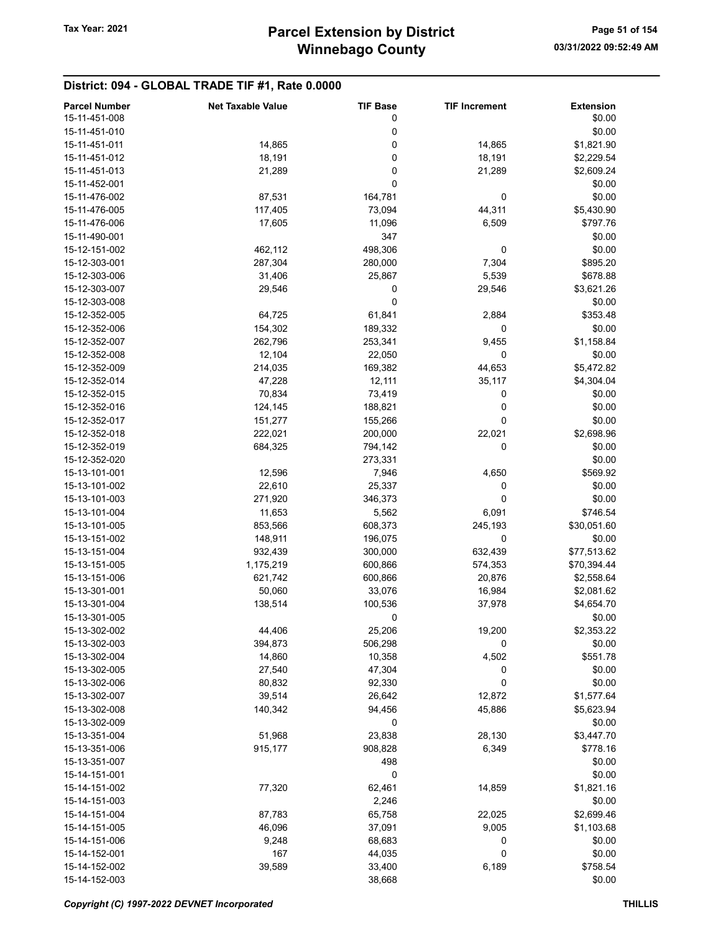| <b>Parcel Number</b> | <b>Net Taxable Value</b> | <b>TIF Base</b> | <b>TIF Increment</b> | <b>Extension</b> |
|----------------------|--------------------------|-----------------|----------------------|------------------|
| 15-11-451-008        |                          | 0               |                      | \$0.00           |
| 15-11-451-010        |                          | 0               |                      | \$0.00           |
| 15-11-451-011        | 14,865                   | 0               | 14,865               | \$1,821.90       |
| 15-11-451-012        | 18,191                   | 0               | 18,191               | \$2,229.54       |
|                      |                          |                 |                      |                  |
| 15-11-451-013        | 21,289                   | 0               | 21,289               | \$2,609.24       |
| 15-11-452-001        |                          | 0               |                      | \$0.00           |
| 15-11-476-002        | 87,531                   | 164,781         | 0                    | \$0.00           |
| 15-11-476-005        | 117,405                  | 73,094          | 44,311               | \$5,430.90       |
| 15-11-476-006        | 17,605                   | 11,096          | 6,509                | \$797.76         |
| 15-11-490-001        |                          | 347             |                      | \$0.00           |
| 15-12-151-002        | 462,112                  | 498,306         | 0                    | \$0.00           |
| 15-12-303-001        | 287,304                  | 280,000         | 7,304                | \$895.20         |
| 15-12-303-006        | 31,406                   | 25,867          | 5,539                | \$678.88         |
| 15-12-303-007        | 29,546                   | 0               | 29,546               | \$3,621.26       |
|                      |                          | 0               |                      |                  |
| 15-12-303-008        |                          |                 |                      | \$0.00           |
| 15-12-352-005        | 64,725                   | 61,841          | 2,884                | \$353.48         |
| 15-12-352-006        | 154,302                  | 189,332         | 0                    | \$0.00           |
| 15-12-352-007        | 262,796                  | 253,341         | 9,455                | \$1,158.84       |
| 15-12-352-008        | 12,104                   | 22,050          | 0                    | \$0.00           |
| 15-12-352-009        | 214,035                  | 169,382         | 44,653               | \$5,472.82       |
| 15-12-352-014        | 47,228                   | 12,111          | 35,117               | \$4,304.04       |
| 15-12-352-015        | 70,834                   | 73,419          | 0                    | \$0.00           |
| 15-12-352-016        | 124,145                  | 188,821         | 0                    | \$0.00           |
| 15-12-352-017        | 151,277                  | 155,266         | 0                    | \$0.00           |
|                      | 222,021                  |                 |                      |                  |
| 15-12-352-018        |                          | 200,000         | 22,021               | \$2,698.96       |
| 15-12-352-019        | 684,325                  | 794,142         | 0                    | \$0.00           |
| 15-12-352-020        |                          | 273,331         |                      | \$0.00           |
| 15-13-101-001        | 12,596                   | 7,946           | 4,650                | \$569.92         |
| 15-13-101-002        | 22,610                   | 25,337          | 0                    | \$0.00           |
| 15-13-101-003        | 271,920                  | 346,373         | 0                    | \$0.00           |
| 15-13-101-004        | 11,653                   | 5,562           | 6,091                | \$746.54         |
| 15-13-101-005        | 853,566                  | 608,373         | 245,193              | \$30,051.60      |
| 15-13-151-002        | 148,911                  | 196,075         | 0                    | \$0.00           |
| 15-13-151-004        | 932,439                  | 300,000         | 632,439              | \$77,513.62      |
| 15-13-151-005        | 1,175,219                | 600,866         | 574,353              | \$70,394.44      |
|                      |                          | 600,866         |                      |                  |
| 15-13-151-006        | 621,742                  |                 | 20,876               | \$2,558.64       |
| 15-13-301-001        | 50,060                   | 33,076          | 16,984               | \$2,081.62       |
| 15-13-301-004        | 138,514                  | 100,536         | 37,978               | \$4,654.70       |
| 15-13-301-005        |                          | 0               |                      | \$0.00           |
| 15-13-302-002        | 44,406                   | 25,206          | 19,200               | \$2,353.22       |
| 15-13-302-003        | 394,873                  | 506,298         | 0                    | \$0.00           |
| 15-13-302-004        | 14,860                   | 10,358          | 4,502                | \$551.78         |
| 15-13-302-005        | 27,540                   | 47,304          | 0                    | \$0.00           |
| 15-13-302-006        | 80,832                   | 92,330          | 0                    | \$0.00           |
| 15-13-302-007        | 39,514                   | 26,642          | 12,872               | \$1,577.64       |
| 15-13-302-008        | 140,342                  | 94,456          | 45,886               | \$5,623.94       |
| 15-13-302-009        |                          |                 |                      |                  |
|                      |                          | 0               |                      | \$0.00           |
| 15-13-351-004        | 51,968                   | 23,838          | 28,130               | \$3,447.70       |
| 15-13-351-006        | 915,177                  | 908,828         | 6,349                | \$778.16         |
| 15-13-351-007        |                          | 498             |                      | \$0.00           |
| 15-14-151-001        |                          | 0               |                      | \$0.00           |
| 15-14-151-002        | 77,320                   | 62,461          | 14,859               | \$1,821.16       |
| 15-14-151-003        |                          | 2,246           |                      | \$0.00           |
| 15-14-151-004        | 87,783                   | 65,758          | 22,025               | \$2,699.46       |
| 15-14-151-005        | 46,096                   | 37,091          | 9,005                | \$1,103.68       |
| 15-14-151-006        | 9,248                    | 68,683          | 0                    | \$0.00           |
| 15-14-152-001        | 167                      | 44,035          | 0                    | \$0.00           |
|                      |                          |                 |                      |                  |
| 15-14-152-002        | 39,589                   | 33,400          | 6,189                | \$758.54         |
| 15-14-152-003        |                          | 38,668          |                      | \$0.00           |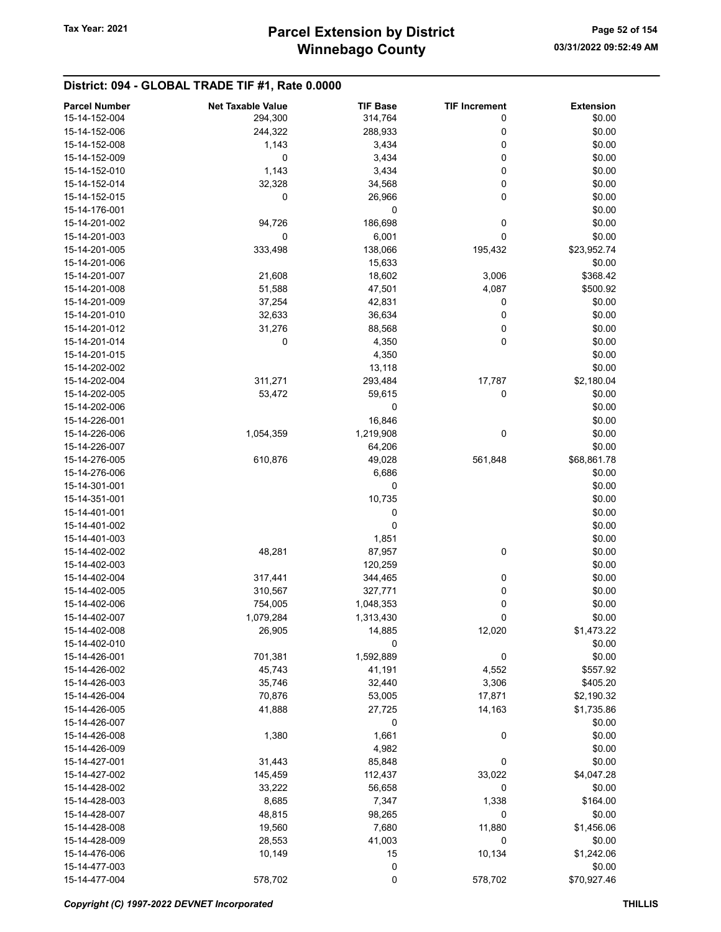| <b>Parcel Number</b> | <b>Net Taxable Value</b> | <b>TIF Base</b> | <b>TIF Increment</b> | <b>Extension</b> |
|----------------------|--------------------------|-----------------|----------------------|------------------|
| 15-14-152-004        | 294,300                  | 314,764         | 0                    | \$0.00           |
| 15-14-152-006        | 244,322                  | 288,933         | 0                    | \$0.00           |
| 15-14-152-008        | 1,143                    | 3,434           | 0                    | \$0.00           |
| 15-14-152-009        | 0                        | 3,434           | 0                    | \$0.00           |
| 15-14-152-010        | 1,143                    | 3,434           | 0                    | \$0.00           |
| 15-14-152-014        | 32,328                   | 34,568          | 0                    | \$0.00           |
| 15-14-152-015        | 0                        | 26,966          | 0                    | \$0.00           |
|                      |                          |                 |                      |                  |
| 15-14-176-001        |                          | 0               |                      | \$0.00           |
| 15-14-201-002        | 94,726                   | 186,698         | 0                    | \$0.00           |
| 15-14-201-003        | 0                        | 6,001           | 0                    | \$0.00           |
| 15-14-201-005        | 333,498                  | 138,066         | 195,432              | \$23,952.74      |
| 15-14-201-006        |                          | 15,633          |                      | \$0.00           |
| 15-14-201-007        | 21,608                   | 18,602          | 3,006                | \$368.42         |
| 15-14-201-008        | 51,588                   | 47,501          | 4,087                | \$500.92         |
| 15-14-201-009        | 37,254                   | 42,831          | 0                    | \$0.00           |
| 15-14-201-010        | 32,633                   | 36,634          | 0                    | \$0.00           |
| 15-14-201-012        | 31,276                   | 88,568          | 0                    | \$0.00           |
| 15-14-201-014        | 0                        | 4,350           | 0                    | \$0.00           |
| 15-14-201-015        |                          | 4,350           |                      | \$0.00           |
| 15-14-202-002        |                          | 13,118          |                      | \$0.00           |
| 15-14-202-004        | 311,271                  | 293,484         | 17,787               | \$2,180.04       |
| 15-14-202-005        | 53,472                   | 59,615          | 0                    | \$0.00           |
| 15-14-202-006        |                          | 0               |                      | \$0.00           |
| 15-14-226-001        |                          | 16,846          |                      | \$0.00           |
| 15-14-226-006        | 1,054,359                | 1,219,908       | 0                    | \$0.00           |
| 15-14-226-007        |                          | 64,206          |                      | \$0.00           |
| 15-14-276-005        | 610,876                  | 49,028          | 561,848              | \$68,861.78      |
| 15-14-276-006        |                          | 6,686           |                      | \$0.00           |
| 15-14-301-001        |                          | 0               |                      | \$0.00           |
| 15-14-351-001        |                          | 10,735          |                      | \$0.00           |
|                      |                          |                 |                      |                  |
| 15-14-401-001        |                          | 0<br>0          |                      | \$0.00           |
| 15-14-401-002        |                          |                 |                      | \$0.00           |
| 15-14-401-003        |                          | 1,851           |                      | \$0.00           |
| 15-14-402-002        | 48,281                   | 87,957          | 0                    | \$0.00           |
| 15-14-402-003        |                          | 120,259         |                      | \$0.00           |
| 15-14-402-004        | 317,441                  | 344,465         | 0                    | \$0.00           |
| 15-14-402-005        | 310,567                  | 327,771         | 0                    | \$0.00           |
| 15-14-402-006        | 754,005                  | 1,048,353       | 0                    | \$0.00           |
| 15-14-402-007        | 1,079,284                | 1,313,430       | 0                    | \$0.00           |
| 15-14-402-008        | 26,905                   | 14,885          | 12,020               | \$1,473.22       |
| 15-14-402-010        |                          | 0               |                      | \$0.00           |
| 15-14-426-001        | 701,381                  | 1,592,889       | 0                    | \$0.00           |
| 15-14-426-002        | 45,743                   | 41,191          | 4,552                | \$557.92         |
| 15-14-426-003        | 35,746                   | 32,440          | 3,306                | \$405.20         |
| 15-14-426-004        | 70,876                   | 53,005          | 17,871               | \$2,190.32       |
| 15-14-426-005        | 41,888                   | 27,725          | 14,163               | \$1,735.86       |
| 15-14-426-007        |                          | 0               |                      | \$0.00           |
| 15-14-426-008        | 1,380                    | 1,661           | 0                    | \$0.00           |
| 15-14-426-009        |                          | 4,982           |                      | \$0.00           |
| 15-14-427-001        | 31,443                   | 85,848          | 0                    | \$0.00           |
| 15-14-427-002        | 145,459                  | 112,437         | 33,022               | \$4,047.28       |
| 15-14-428-002        | 33,222                   | 56,658          | 0                    | \$0.00           |
| 15-14-428-003        | 8,685                    | 7,347           | 1,338                | \$164.00         |
|                      |                          |                 |                      |                  |
| 15-14-428-007        | 48,815                   | 98,265          | 0                    | \$0.00           |
| 15-14-428-008        | 19,560                   | 7,680           | 11,880               | \$1,456.06       |
| 15-14-428-009        | 28,553                   | 41,003          | 0                    | \$0.00           |
| 15-14-476-006        | 10,149                   | 15              | 10,134               | \$1,242.06       |
| 15-14-477-003        |                          | 0               |                      | \$0.00           |
| 15-14-477-004        | 578,702                  | 0               | 578,702              | \$70,927.46      |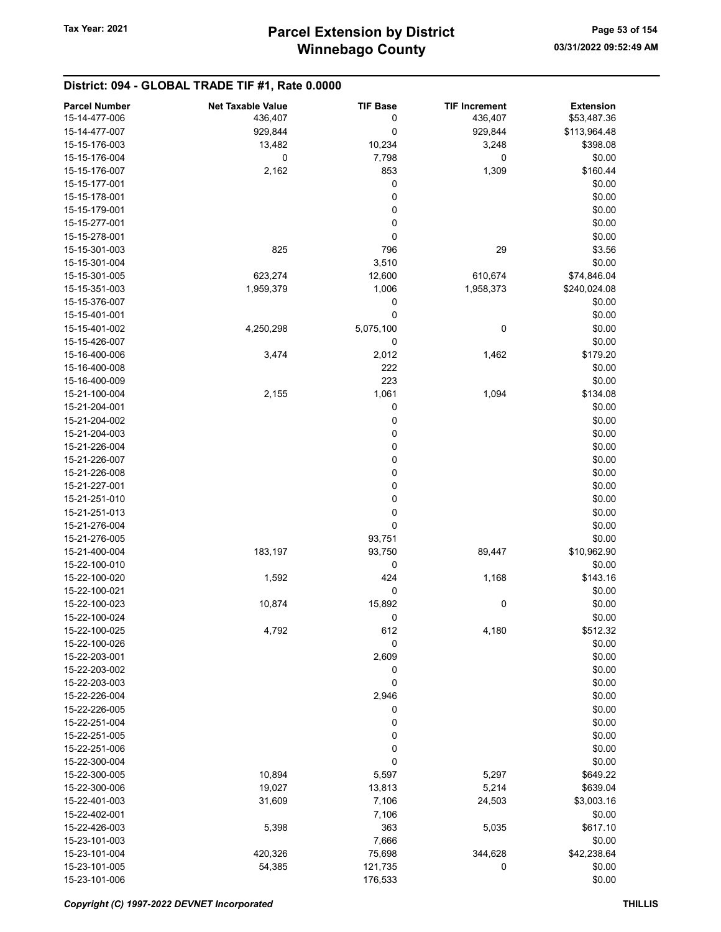| <b>Parcel Number</b> | <b>Net Taxable Value</b> | <b>TIF Base</b> | <b>TIF Increment</b> | <b>Extension</b> |
|----------------------|--------------------------|-----------------|----------------------|------------------|
| 15-14-477-006        | 436,407                  | 0               | 436,407              | \$53,487.36      |
| 15-14-477-007        | 929,844                  | 0               | 929,844              | \$113,964.48     |
| 15-15-176-003        | 13,482                   | 10,234          | 3,248                | \$398.08         |
| 15-15-176-004        | $\mathbf 0$              | 7,798           | 0                    | \$0.00           |
| 15-15-176-007        | 2,162                    | 853             | 1,309                | \$160.44         |
| 15-15-177-001        |                          | 0               |                      | \$0.00           |
| 15-15-178-001        |                          | 0               |                      | \$0.00           |
| 15-15-179-001        |                          | 0               |                      | \$0.00           |
| 15-15-277-001        |                          | 0               |                      | \$0.00           |
| 15-15-278-001        |                          | 0               |                      | \$0.00           |
| 15-15-301-003        | 825                      | 796             | 29                   | \$3.56           |
| 15-15-301-004        |                          | 3,510           |                      | \$0.00           |
| 15-15-301-005        | 623,274                  | 12,600          | 610,674              | \$74,846.04      |
| 15-15-351-003        | 1,959,379                | 1,006           | 1,958,373            | \$240,024.08     |
| 15-15-376-007        |                          | 0               |                      | \$0.00           |
| 15-15-401-001        |                          | 0               |                      | \$0.00           |
| 15-15-401-002        | 4,250,298                | 5,075,100       | 0                    | \$0.00           |
| 15-15-426-007        |                          | 0               |                      | \$0.00           |
| 15-16-400-006        | 3,474                    | 2,012           | 1,462                | \$179.20         |
| 15-16-400-008        |                          | 222             |                      | \$0.00           |
| 15-16-400-009        |                          | 223             |                      | \$0.00           |
| 15-21-100-004        | 2,155                    | 1,061           | 1,094                | \$134.08         |
| 15-21-204-001        |                          | 0               |                      | \$0.00           |
| 15-21-204-002        |                          | 0               |                      | \$0.00           |
| 15-21-204-003        |                          | 0               |                      | \$0.00           |
| 15-21-226-004        |                          | 0               |                      | \$0.00           |
| 15-21-226-007        |                          | 0               |                      | \$0.00           |
| 15-21-226-008        |                          | 0               |                      | \$0.00           |
| 15-21-227-001        |                          | 0               |                      | \$0.00           |
| 15-21-251-010        |                          | 0               |                      | \$0.00           |
| 15-21-251-013        |                          | 0               |                      | \$0.00           |
| 15-21-276-004        |                          | 0               |                      | \$0.00           |
| 15-21-276-005        |                          | 93,751          |                      | \$0.00           |
| 15-21-400-004        | 183,197                  | 93,750          | 89,447               | \$10,962.90      |
| 15-22-100-010        |                          | 0               |                      | \$0.00           |
| 15-22-100-020        | 1,592                    | 424             | 1,168                | \$143.16         |
| 15-22-100-021        |                          | 0               |                      | \$0.00           |
| 15-22-100-023        | 10,874                   | 15,892          | 0                    | \$0.00           |
| 15-22-100-024        |                          | 0               |                      | \$0.00           |
| 15-22-100-025        | 4,792                    | 612             | 4,180                | \$512.32         |
| 15-22-100-026        |                          | 0               |                      | \$0.00           |
| 15-22-203-001        |                          | 2,609           |                      | \$0.00           |
| 15-22-203-002        |                          | 0               |                      | \$0.00           |
| 15-22-203-003        |                          | 0               |                      | \$0.00           |
| 15-22-226-004        |                          | 2,946           |                      | \$0.00           |
| 15-22-226-005        |                          | 0               |                      | \$0.00           |
| 15-22-251-004        |                          | 0               |                      | \$0.00           |
| 15-22-251-005        |                          | 0               |                      | \$0.00           |
| 15-22-251-006        |                          | 0               |                      | \$0.00           |
| 15-22-300-004        |                          | 0               |                      | \$0.00           |
| 15-22-300-005        | 10,894                   | 5,597           | 5,297                | \$649.22         |
| 15-22-300-006        | 19,027                   | 13,813          | 5,214                | \$639.04         |
| 15-22-401-003        | 31,609                   | 7,106           | 24,503               | \$3,003.16       |
| 15-22-402-001        |                          | 7,106           |                      | \$0.00           |
| 15-22-426-003        | 5,398                    | 363             | 5,035                | \$617.10         |
| 15-23-101-003        |                          | 7,666           |                      | \$0.00           |
| 15-23-101-004        | 420,326                  | 75,698          | 344,628              | \$42,238.64      |
| 15-23-101-005        | 54,385                   | 121,735         | 0                    | \$0.00           |
| 15-23-101-006        |                          | 176,533         |                      | \$0.00           |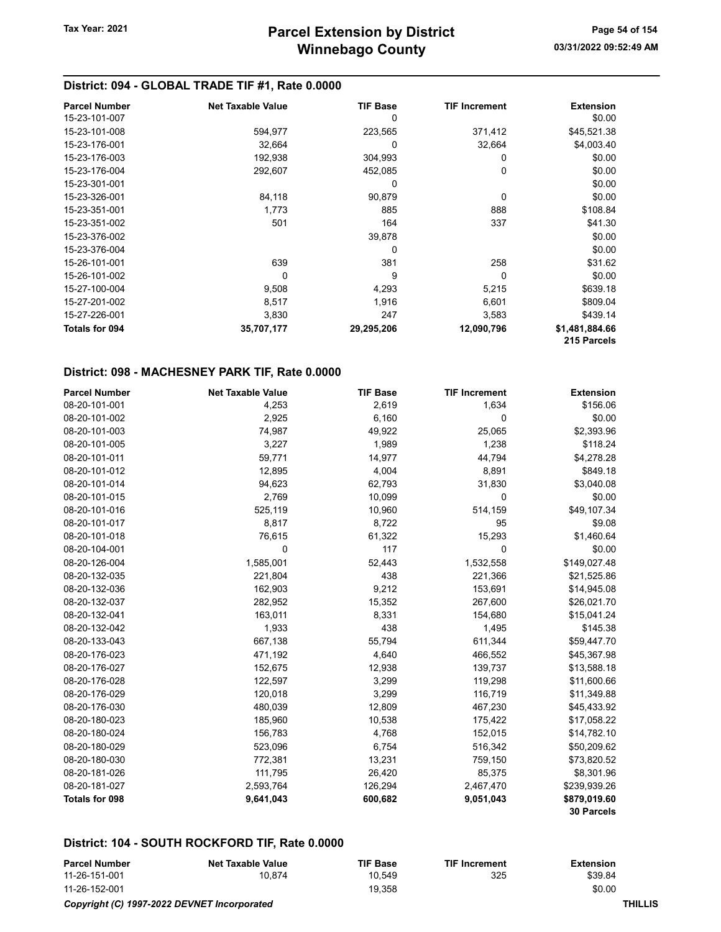| <b>Parcel Number</b>  | <b>Net Taxable Value</b> | <b>TIF Base</b> | <b>TIF Increment</b> | <b>Extension</b> |
|-----------------------|--------------------------|-----------------|----------------------|------------------|
| 15-23-101-007         |                          | 0               |                      | \$0.00           |
| 15-23-101-008         | 594,977                  | 223,565         | 371,412              | \$45,521.38      |
| 15-23-176-001         | 32,664                   | 0               | 32,664               | \$4,003.40       |
| 15-23-176-003         | 192,938                  | 304,993         | 0                    | \$0.00           |
| 15-23-176-004         | 292,607                  | 452,085         | 0                    | \$0.00           |
| 15-23-301-001         |                          | 0               |                      | \$0.00           |
| 15-23-326-001         | 84,118                   | 90,879          | 0                    | \$0.00           |
| 15-23-351-001         | 1,773                    | 885             | 888                  | \$108.84         |
| 15-23-351-002         | 501                      | 164             | 337                  | \$41.30          |
| 15-23-376-002         |                          | 39,878          |                      | \$0.00           |
| 15-23-376-004         |                          | 0               |                      | \$0.00           |
| 15-26-101-001         | 639                      | 381             | 258                  | \$31.62          |
| 15-26-101-002         | $\Omega$                 | 9               | 0                    | \$0.00           |
| 15-27-100-004         | 9,508                    | 4,293           | 5,215                | \$639.18         |
| 15-27-201-002         | 8,517                    | 1,916           | 6,601                | \$809.04         |
| 15-27-226-001         | 3,830                    | 247             | 3,583                | \$439.14         |
| <b>Totals for 094</b> | 35,707,177               | 29,295,206      | 12,090,796           | \$1,481,884.66   |
|                       |                          |                 |                      | 215 Parcels      |

#### District: 098 - MACHESNEY PARK TIF, Rate 0.0000

| <b>Parcel Number</b> | <b>Net Taxable Value</b> | <b>TIF Base</b> | <b>TIF Increment</b> | <b>Extension</b>  |
|----------------------|--------------------------|-----------------|----------------------|-------------------|
| 08-20-101-001        | 4,253                    | 2,619           | 1,634                | \$156.06          |
| 08-20-101-002        | 2,925                    | 6,160           | 0                    | \$0.00            |
| 08-20-101-003        | 74,987                   | 49,922          | 25,065               | \$2,393.96        |
| 08-20-101-005        | 3,227                    | 1,989           | 1,238                | \$118.24          |
| 08-20-101-011        | 59,771                   | 14,977          | 44,794               | \$4,278.28        |
| 08-20-101-012        | 12,895                   | 4,004           | 8,891                | \$849.18          |
| 08-20-101-014        | 94,623                   | 62,793          | 31,830               | \$3,040.08        |
| 08-20-101-015        | 2,769                    | 10,099          | 0                    | \$0.00            |
| 08-20-101-016        | 525,119                  | 10,960          | 514,159              | \$49,107.34       |
| 08-20-101-017        | 8,817                    | 8,722           | 95                   | \$9.08            |
| 08-20-101-018        | 76,615                   | 61,322          | 15,293               | \$1,460.64        |
| 08-20-104-001        | 0                        | 117             | 0                    | \$0.00            |
| 08-20-126-004        | 1,585,001                | 52,443          | 1,532,558            | \$149,027.48      |
| 08-20-132-035        | 221,804                  | 438             | 221,366              | \$21,525.86       |
| 08-20-132-036        | 162,903                  | 9,212           | 153,691              | \$14,945.08       |
| 08-20-132-037        | 282,952                  | 15,352          | 267,600              | \$26,021.70       |
| 08-20-132-041        | 163,011                  | 8,331           | 154,680              | \$15,041.24       |
| 08-20-132-042        | 1,933                    | 438             | 1,495                | \$145.38          |
| 08-20-133-043        | 667,138                  | 55,794          | 611,344              | \$59,447.70       |
| 08-20-176-023        | 471,192                  | 4,640           | 466,552              | \$45,367.98       |
| 08-20-176-027        | 152,675                  | 12,938          | 139,737              | \$13,588.18       |
| 08-20-176-028        | 122,597                  | 3,299           | 119,298              | \$11,600.66       |
| 08-20-176-029        | 120,018                  | 3,299           | 116,719              | \$11,349.88       |
| 08-20-176-030        | 480,039                  | 12,809          | 467,230              | \$45,433.92       |
| 08-20-180-023        | 185,960                  | 10,538          | 175,422              | \$17,058.22       |
| 08-20-180-024        | 156,783                  | 4,768           | 152,015              | \$14,782.10       |
| 08-20-180-029        | 523,096                  | 6,754           | 516,342              | \$50,209.62       |
| 08-20-180-030        | 772,381                  | 13,231          | 759,150              | \$73,820.52       |
| 08-20-181-026        | 111,795                  | 26,420          | 85,375               | \$8,301.96        |
| 08-20-181-027        | 2,593,764                | 126,294         | 2,467,470            | \$239,939.26      |
| Totals for 098       | 9,641,043                | 600,682         | 9,051,043            | \$879,019.60      |
|                      |                          |                 |                      | <b>30 Parcels</b> |

#### District: 104 - SOUTH ROCKFORD TIF, Rate 0.0000

| <b>Parcel Number</b>            | <b>Net Taxable Value</b> | <b>TIF Base</b> | <b>TIF Increment</b> | Extension |
|---------------------------------|--------------------------|-----------------|----------------------|-----------|
| 11-26-151-001                   | 10.874                   | 10.549          | 325                  | \$39.84   |
| 11-26-152-001                   |                          | 19.358          |                      | \$0.00    |
| ____<br>. <b>.</b> <del>.</del> |                          |                 |                      | _____     |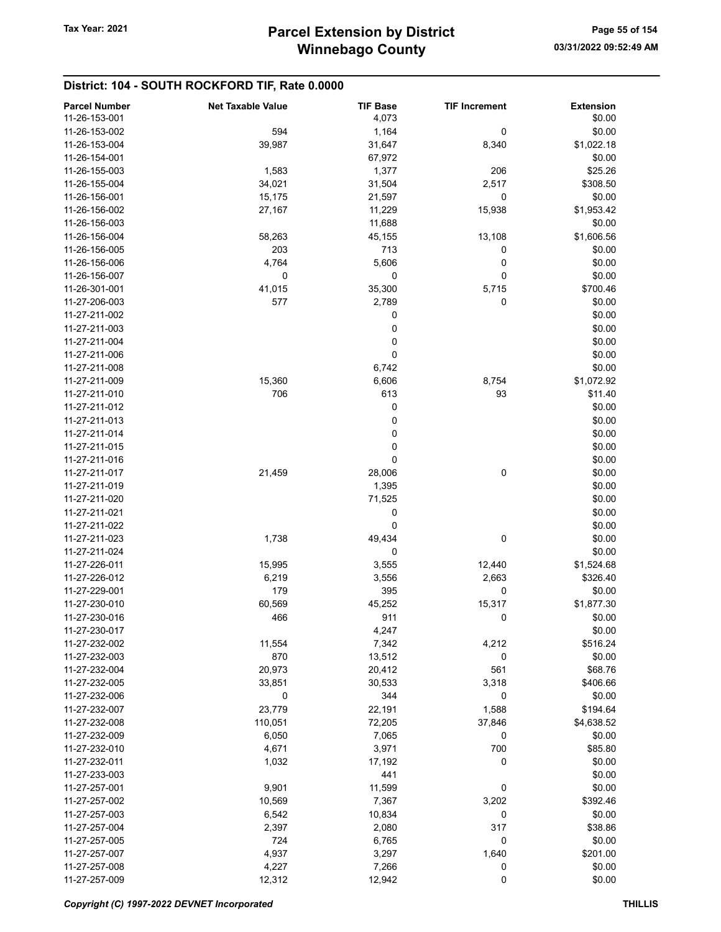## District: 104 - SOUTH ROCKFORD TIF, Rate 0.0000

| <b>Parcel Number</b> | <b>Net Taxable Value</b> | <b>TIF Base</b> | <b>TIF Increment</b> | <b>Extension</b> |
|----------------------|--------------------------|-----------------|----------------------|------------------|
| 11-26-153-001        |                          | 4,073           |                      | \$0.00           |
| 11-26-153-002        | 594                      | 1,164           | 0                    | \$0.00           |
| 11-26-153-004        | 39,987                   | 31,647          | 8,340                | \$1,022.18       |
| 11-26-154-001        |                          | 67,972          |                      | \$0.00           |
| 11-26-155-003        | 1,583                    | 1,377           | 206                  | \$25.26          |
|                      |                          |                 |                      |                  |
| 11-26-155-004        | 34,021                   | 31,504          | 2,517                | \$308.50         |
| 11-26-156-001        | 15,175                   | 21,597          | 0                    | \$0.00           |
| 11-26-156-002        | 27,167                   | 11,229          | 15,938               | \$1,953.42       |
| 11-26-156-003        |                          | 11,688          |                      | \$0.00           |
| 11-26-156-004        | 58,263                   | 45,155          | 13,108               | \$1,606.56       |
| 11-26-156-005        | 203                      | 713             | 0                    | \$0.00           |
| 11-26-156-006        | 4,764                    | 5,606           | 0                    | \$0.00           |
| 11-26-156-007        | 0                        | 0               | 0                    | \$0.00           |
| 11-26-301-001        | 41,015                   | 35,300          | 5,715                | \$700.46         |
| 11-27-206-003        | 577                      | 2,789           | 0                    | \$0.00           |
| 11-27-211-002        |                          | 0               |                      | \$0.00           |
| 11-27-211-003        |                          | 0               |                      | \$0.00           |
| 11-27-211-004        |                          | 0               |                      | \$0.00           |
| 11-27-211-006        |                          | 0               |                      | \$0.00           |
| 11-27-211-008        |                          | 6,742           |                      | \$0.00           |
|                      |                          |                 |                      |                  |
| 11-27-211-009        | 15,360                   | 6,606           | 8,754                | \$1,072.92       |
| 11-27-211-010        | 706                      | 613             | 93                   | \$11.40          |
| 11-27-211-012        |                          | 0               |                      | \$0.00           |
| 11-27-211-013        |                          | 0               |                      | \$0.00           |
| 11-27-211-014        |                          | 0               |                      | \$0.00           |
| 11-27-211-015        |                          | 0               |                      | \$0.00           |
| 11-27-211-016        |                          | 0               |                      | \$0.00           |
| 11-27-211-017        | 21,459                   | 28,006          | 0                    | \$0.00           |
| 11-27-211-019        |                          | 1,395           |                      | \$0.00           |
| 11-27-211-020        |                          | 71,525          |                      | \$0.00           |
| 11-27-211-021        |                          | 0               |                      | \$0.00           |
| 11-27-211-022        |                          | 0               |                      | \$0.00           |
| 11-27-211-023        | 1,738                    | 49,434          | 0                    | \$0.00           |
| 11-27-211-024        |                          | 0               |                      | \$0.00           |
| 11-27-226-011        | 15,995                   | 3,555           | 12,440               | \$1,524.68       |
| 11-27-226-012        | 6,219                    | 3,556           | 2,663                | \$326.40         |
| 11-27-229-001        | 179                      | 395             | 0                    |                  |
|                      |                          |                 |                      | \$0.00           |
| 11-27-230-010        | 60,569                   | 45,252          | 15,317               | \$1,877.30       |
| 11-27-230-016        | 466                      | 911             | 0                    | \$0.00           |
| 11-27-230-017        |                          | 4,247           |                      | \$0.00           |
| 11-27-232-002        | 11,554                   | 7,342           | 4,212                | \$516.24         |
| 11-27-232-003        | 870                      | 13,512          | 0                    | \$0.00           |
| 11-27-232-004        | 20,973                   | 20,412          | 561                  | \$68.76          |
| 11-27-232-005        | 33,851                   | 30,533          | 3,318                | \$406.66         |
| 11-27-232-006        | 0                        | 344             | 0                    | \$0.00           |
| 11-27-232-007        | 23,779                   | 22,191          | 1,588                | \$194.64         |
| 11-27-232-008        | 110,051                  | 72,205          | 37,846               | \$4,638.52       |
| 11-27-232-009        | 6,050                    | 7,065           | 0                    | \$0.00           |
| 11-27-232-010        | 4,671                    | 3,971           | 700                  | \$85.80          |
| 11-27-232-011        | 1,032                    | 17,192          | 0                    | \$0.00           |
| 11-27-233-003        |                          | 441             |                      | \$0.00           |
| 11-27-257-001        | 9,901                    | 11,599          | 0                    | \$0.00           |
| 11-27-257-002        | 10,569                   | 7,367           | 3,202                | \$392.46         |
|                      |                          |                 |                      |                  |
| 11-27-257-003        | 6,542                    | 10,834          | 0                    | \$0.00           |
| 11-27-257-004        | 2,397                    | 2,080           | 317                  | \$38.86          |
| 11-27-257-005        | 724                      | 6,765           | 0                    | \$0.00           |
| 11-27-257-007        | 4,937                    | 3,297           | 1,640                | \$201.00         |
| 11-27-257-008        | 4,227                    | 7,266           | 0                    | \$0.00           |
| 11-27-257-009        | 12,312                   | 12,942          | 0                    | \$0.00           |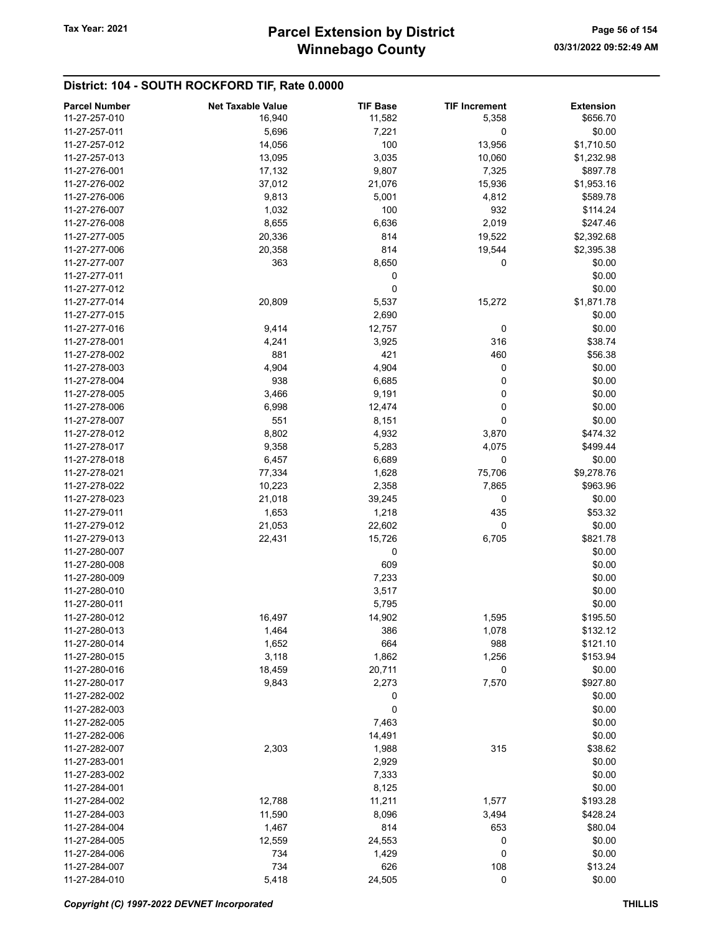## District: 104 - SOUTH ROCKFORD TIF, Rate 0.0000

| <b>Parcel Number</b> | <b>Net Taxable Value</b> | <b>TIF Base</b> | <b>TIF Increment</b> | <b>Extension</b> |
|----------------------|--------------------------|-----------------|----------------------|------------------|
| 11-27-257-010        | 16,940                   | 11,582          | 5,358                | \$656.70         |
| 11-27-257-011        | 5,696                    | 7,221           | 0                    | \$0.00           |
| 11-27-257-012        | 14,056                   | 100             | 13,956               | \$1,710.50       |
| 11-27-257-013        | 13,095                   | 3,035           | 10,060               | \$1,232.98       |
| 11-27-276-001        |                          | 9,807           |                      | \$897.78         |
|                      | 17,132                   |                 | 7,325                |                  |
| 11-27-276-002        | 37,012                   | 21,076          | 15,936               | \$1,953.16       |
| 11-27-276-006        | 9,813                    | 5,001           | 4,812                | \$589.78         |
| 11-27-276-007        | 1,032                    | 100             | 932                  | \$114.24         |
| 11-27-276-008        | 8,655                    | 6,636           | 2,019                | \$247.46         |
| 11-27-277-005        | 20,336                   | 814             | 19,522               | \$2,392.68       |
| 11-27-277-006        | 20,358                   | 814             | 19,544               | \$2,395.38       |
| 11-27-277-007        | 363                      | 8,650           | 0                    | \$0.00           |
| 11-27-277-011        |                          | 0               |                      | \$0.00           |
| 11-27-277-012        |                          | 0               |                      | \$0.00           |
| 11-27-277-014        | 20,809                   | 5,537           | 15,272               | \$1,871.78       |
| 11-27-277-015        |                          | 2,690           |                      | \$0.00           |
| 11-27-277-016        | 9,414                    | 12,757          | 0                    | \$0.00           |
| 11-27-278-001        |                          | 3,925           | 316                  | \$38.74          |
|                      | 4,241                    |                 |                      |                  |
| 11-27-278-002        | 881                      | 421             | 460                  | \$56.38          |
| 11-27-278-003        | 4,904                    | 4,904           | 0                    | \$0.00           |
| 11-27-278-004        | 938                      | 6,685           | 0                    | \$0.00           |
| 11-27-278-005        | 3,466                    | 9,191           | 0                    | \$0.00           |
| 11-27-278-006        | 6,998                    | 12,474          | 0                    | \$0.00           |
| 11-27-278-007        | 551                      | 8,151           | 0                    | \$0.00           |
| 11-27-278-012        | 8,802                    | 4,932           | 3,870                | \$474.32         |
| 11-27-278-017        | 9,358                    | 5,283           | 4,075                | \$499.44         |
| 11-27-278-018        | 6,457                    | 6,689           | 0                    | \$0.00           |
| 11-27-278-021        | 77,334                   | 1,628           | 75,706               | \$9,278.76       |
| 11-27-278-022        | 10,223                   | 2,358           | 7,865                | \$963.96         |
| 11-27-278-023        | 21,018                   | 39,245          | 0                    | \$0.00           |
|                      |                          |                 |                      |                  |
| 11-27-279-011        | 1,653                    | 1,218           | 435                  | \$53.32          |
| 11-27-279-012        | 21,053                   | 22,602          | 0                    | \$0.00           |
| 11-27-279-013        | 22,431                   | 15,726          | 6,705                | \$821.78         |
| 11-27-280-007        |                          | 0               |                      | \$0.00           |
| 11-27-280-008        |                          | 609             |                      | \$0.00           |
| 11-27-280-009        |                          | 7,233           |                      | \$0.00           |
| 11-27-280-010        |                          | 3,517           |                      | \$0.00           |
| 11-27-280-011        |                          | 5,795           |                      | \$0.00           |
| 11-27-280-012        | 16,497                   | 14,902          | 1,595                | \$195.50         |
| 11-27-280-013        | 1,464                    | 386             | 1,078                | \$132.12         |
| 11-27-280-014        | 1,652                    | 664             | 988                  | \$121.10         |
| 11-27-280-015        | 3,118                    | 1,862           | 1,256                | \$153.94         |
| 11-27-280-016        | 18,459                   | 20,711          | 0                    | \$0.00           |
| 11-27-280-017        | 9,843                    | 2,273           | 7,570                | \$927.80         |
| 11-27-282-002        |                          | 0               |                      | \$0.00           |
| 11-27-282-003        |                          | 0               |                      |                  |
|                      |                          |                 |                      | \$0.00           |
| 11-27-282-005        |                          | 7,463           |                      | \$0.00           |
| 11-27-282-006        |                          | 14,491          |                      | \$0.00           |
| 11-27-282-007        | 2,303                    | 1,988           | 315                  | \$38.62          |
| 11-27-283-001        |                          | 2,929           |                      | \$0.00           |
| 11-27-283-002        |                          | 7,333           |                      | \$0.00           |
| 11-27-284-001        |                          | 8,125           |                      | \$0.00           |
| 11-27-284-002        | 12,788                   | 11,211          | 1,577                | \$193.28         |
| 11-27-284-003        | 11,590                   | 8,096           | 3,494                | \$428.24         |
| 11-27-284-004        | 1,467                    | 814             | 653                  | \$80.04          |
| 11-27-284-005        | 12,559                   | 24,553          | 0                    | \$0.00           |
| 11-27-284-006        | 734                      | 1,429           | 0                    | \$0.00           |
| 11-27-284-007        | 734                      | 626             | 108                  | \$13.24          |
| 11-27-284-010        | 5,418                    | 24,505          | $\pmb{0}$            | \$0.00           |
|                      |                          |                 |                      |                  |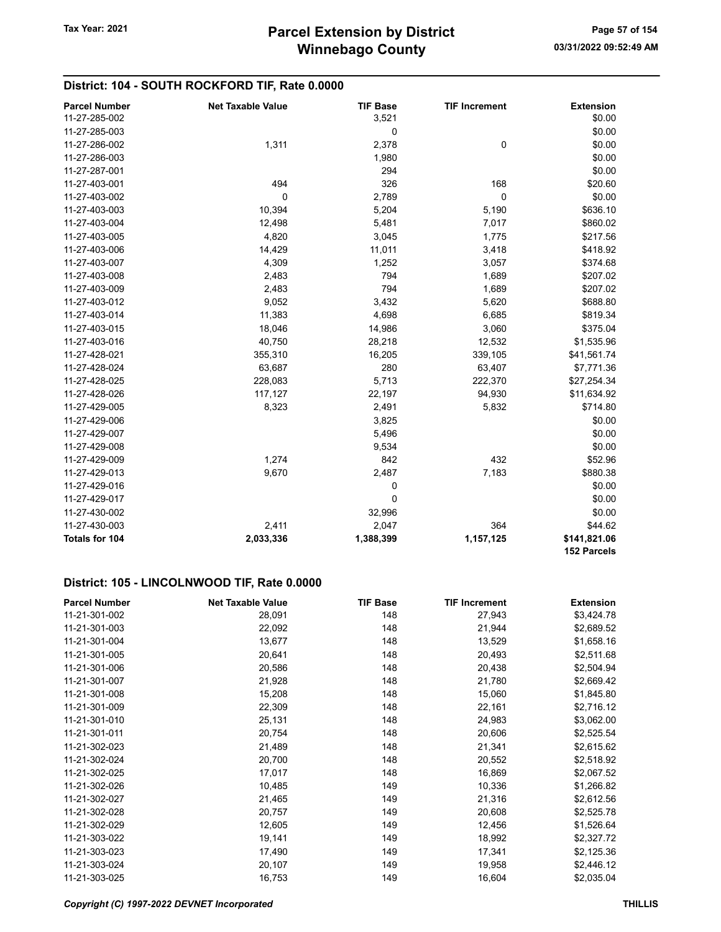## District: 104 - SOUTH ROCKFORD TIF, Rate 0.0000

| <b>Parcel Number</b> | <b>Net Taxable Value</b> | <b>TIF Base</b> | <b>TIF Increment</b> | <b>Extension</b>            |
|----------------------|--------------------------|-----------------|----------------------|-----------------------------|
| 11-27-285-002        |                          | 3,521           |                      | \$0.00                      |
| 11-27-285-003        |                          | 0               |                      | \$0.00                      |
| 11-27-286-002        | 1,311                    | 2,378           | $\mathbf 0$          | \$0.00                      |
| 11-27-286-003        |                          | 1,980           |                      | \$0.00                      |
| 11-27-287-001        |                          | 294             |                      | \$0.00                      |
| 11-27-403-001        | 494                      | 326             | 168                  | \$20.60                     |
| 11-27-403-002        | $\mathbf 0$              | 2,789           | $\mathbf 0$          | \$0.00                      |
| 11-27-403-003        | 10,394                   | 5,204           | 5,190                | \$636.10                    |
| 11-27-403-004        | 12,498                   | 5,481           | 7,017                | \$860.02                    |
| 11-27-403-005        | 4,820                    | 3,045           | 1,775                | \$217.56                    |
| 11-27-403-006        | 14,429                   | 11,011          | 3,418                | \$418.92                    |
| 11-27-403-007        | 4,309                    | 1,252           | 3,057                | \$374.68                    |
| 11-27-403-008        | 2,483                    | 794             | 1,689                | \$207.02                    |
| 11-27-403-009        | 2,483                    | 794             | 1,689                | \$207.02                    |
| 11-27-403-012        | 9,052                    | 3,432           | 5,620                | \$688.80                    |
| 11-27-403-014        | 11,383                   | 4,698           | 6,685                | \$819.34                    |
| 11-27-403-015        | 18,046                   | 14,986          | 3,060                | \$375.04                    |
| 11-27-403-016        | 40,750                   | 28,218          | 12,532               | \$1,535.96                  |
| 11-27-428-021        | 355,310                  | 16,205          | 339,105              | \$41,561.74                 |
| 11-27-428-024        | 63,687                   | 280             | 63,407               | \$7,771.36                  |
| 11-27-428-025        | 228,083                  | 5,713           | 222,370              | \$27,254.34                 |
| 11-27-428-026        | 117,127                  | 22,197          | 94,930               | \$11,634.92                 |
| 11-27-429-005        | 8,323                    | 2,491           | 5,832                | \$714.80                    |
| 11-27-429-006        |                          | 3,825           |                      | \$0.00                      |
| 11-27-429-007        |                          | 5,496           |                      | \$0.00                      |
| 11-27-429-008        |                          | 9,534           |                      | \$0.00                      |
| 11-27-429-009        | 1,274                    | 842             | 432                  | \$52.96                     |
| 11-27-429-013        | 9,670                    | 2,487           | 7,183                | \$880.38                    |
| 11-27-429-016        |                          | 0               |                      | \$0.00                      |
| 11-27-429-017        |                          | $\mathbf 0$     |                      | \$0.00                      |
| 11-27-430-002        |                          | 32,996          |                      | \$0.00                      |
| 11-27-430-003        | 2,411                    | 2,047           | 364                  | \$44.62                     |
| Totals for 104       | 2,033,336                | 1,388,399       | 1,157,125            | \$141,821.06<br>152 Parcels |

### District: 105 - LINCOLNWOOD TIF, Rate 0.0000

| <b>Parcel Number</b> | <b>Net Taxable Value</b> | <b>TIF Base</b> | <b>TIF Increment</b> | <b>Extension</b> |
|----------------------|--------------------------|-----------------|----------------------|------------------|
| 11-21-301-002        | 28,091                   | 148             | 27,943               | \$3,424.78       |
| 11-21-301-003        | 22,092                   | 148             | 21,944               | \$2,689.52       |
| 11-21-301-004        | 13,677                   | 148             | 13,529               | \$1,658.16       |
| 11-21-301-005        | 20,641                   | 148             | 20,493               | \$2,511.68       |
| 11-21-301-006        | 20,586                   | 148             | 20,438               | \$2,504.94       |
| 11-21-301-007        | 21,928                   | 148             | 21,780               | \$2,669.42       |
| 11-21-301-008        | 15,208                   | 148             | 15,060               | \$1,845.80       |
| 11-21-301-009        | 22,309                   | 148             | 22,161               | \$2,716.12       |
| 11-21-301-010        | 25,131                   | 148             | 24,983               | \$3,062.00       |
| 11-21-301-011        | 20,754                   | 148             | 20,606               | \$2,525.54       |
| 11-21-302-023        | 21,489                   | 148             | 21,341               | \$2,615.62       |
| 11-21-302-024        | 20,700                   | 148             | 20,552               | \$2,518.92       |
| 11-21-302-025        | 17,017                   | 148             | 16,869               | \$2,067.52       |
| 11-21-302-026        | 10,485                   | 149             | 10,336               | \$1,266.82       |
| 11-21-302-027        | 21,465                   | 149             | 21,316               | \$2,612.56       |
| 11-21-302-028        | 20,757                   | 149             | 20,608               | \$2,525.78       |
| 11-21-302-029        | 12,605                   | 149             | 12,456               | \$1,526.64       |
| 11-21-303-022        | 19,141                   | 149             | 18,992               | \$2,327.72       |
| 11-21-303-023        | 17,490                   | 149             | 17,341               | \$2,125.36       |
| 11-21-303-024        | 20,107                   | 149             | 19,958               | \$2,446.12       |
| 11-21-303-025        | 16,753                   | 149             | 16,604               | \$2,035.04       |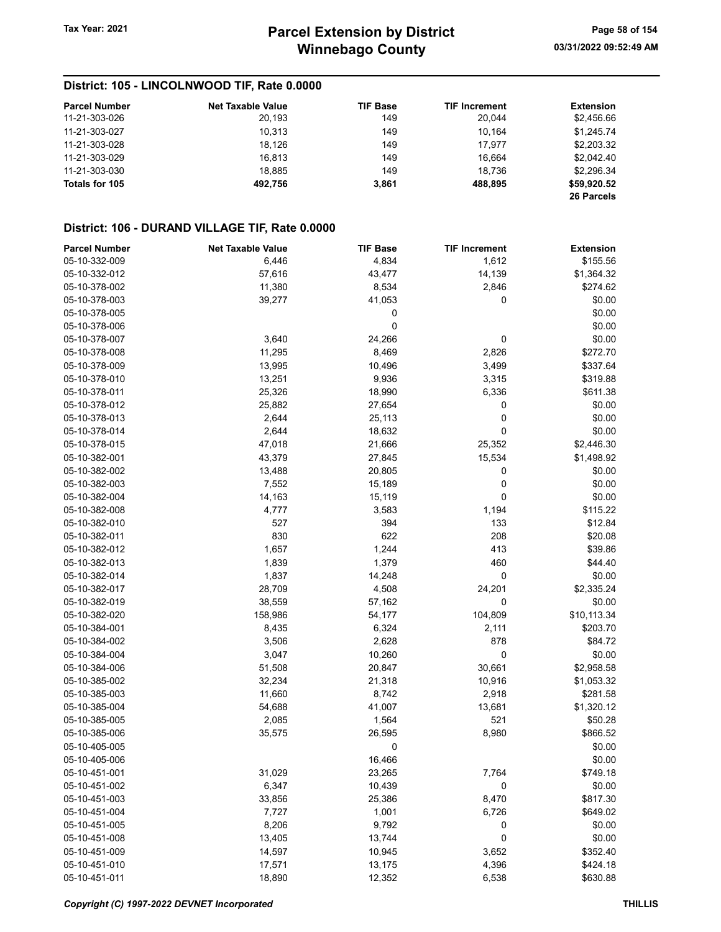## District: 105 - LINCOLNWOOD TIF, Rate 0.0000

| <b>Parcel Number</b> | <b>Net Taxable Value</b> | <b>TIF Base</b> | <b>TIF Increment</b> | <b>Extension</b> |
|----------------------|--------------------------|-----------------|----------------------|------------------|
| 11-21-303-026        | 20.193                   | 149             | 20.044               | \$2,456.66       |
| 11-21-303-027        | 10.313                   | 149             | 10.164               | \$1.245.74       |
| 11-21-303-028        | 18.126                   | 149             | 17.977               | \$2,203.32       |
| 11-21-303-029        | 16.813                   | 149             | 16.664               | \$2.042.40       |
| 11-21-303-030        | 18.885                   | 149             | 18.736               | \$2,296.34       |
| Totals for 105       | 492.756                  | 3,861           | 488.895              | \$59,920.52      |
|                      |                          |                 |                      | 26 Parcels       |

## District: 106 - DURAND VILLAGE TIF, Rate 0.0000

| <b>Parcel Number</b> | <b>Net Taxable Value</b> | <b>TIF Base</b> | <b>TIF Increment</b> | <b>Extension</b> |
|----------------------|--------------------------|-----------------|----------------------|------------------|
| 05-10-332-009        | 6,446                    | 4,834           | 1,612                | \$155.56         |
| 05-10-332-012        | 57,616                   | 43,477          | 14,139               | \$1,364.32       |
| 05-10-378-002        | 11,380                   | 8,534           | 2,846                | \$274.62         |
| 05-10-378-003        | 39,277                   | 41,053          | 0                    | \$0.00           |
| 05-10-378-005        |                          | 0               |                      | \$0.00           |
| 05-10-378-006        |                          | 0               |                      | \$0.00           |
| 05-10-378-007        | 3,640                    | 24,266          | 0                    | \$0.00           |
| 05-10-378-008        | 11,295                   | 8,469           | 2,826                | \$272.70         |
| 05-10-378-009        | 13,995                   | 10,496          | 3,499                | \$337.64         |
| 05-10-378-010        | 13,251                   | 9,936           | 3,315                | \$319.88         |
| 05-10-378-011        | 25,326                   | 18,990          | 6,336                | \$611.38         |
| 05-10-378-012        | 25,882                   | 27,654          | 0                    | \$0.00           |
| 05-10-378-013        | 2,644                    | 25,113          | 0                    | \$0.00           |
| 05-10-378-014        | 2,644                    | 18,632          | 0                    | \$0.00           |
| 05-10-378-015        | 47,018                   | 21,666          | 25,352               | \$2,446.30       |
| 05-10-382-001        | 43,379                   | 27,845          | 15,534               | \$1,498.92       |
| 05-10-382-002        | 13,488                   | 20,805          | 0                    | \$0.00           |
| 05-10-382-003        | 7,552                    | 15,189          | 0                    | \$0.00           |
| 05-10-382-004        | 14,163                   | 15,119          | 0                    | \$0.00           |
| 05-10-382-008        | 4,777                    | 3,583           | 1,194                | \$115.22         |
| 05-10-382-010        | 527                      | 394             | 133                  | \$12.84          |
| 05-10-382-011        | 830                      | 622             | 208                  | \$20.08          |
| 05-10-382-012        | 1,657                    | 1,244           | 413                  | \$39.86          |
| 05-10-382-013        | 1,839                    | 1,379           | 460                  | \$44.40          |
| 05-10-382-014        | 1,837                    | 14,248          | 0                    | \$0.00           |
| 05-10-382-017        | 28,709                   | 4,508           | 24,201               | \$2,335.24       |
| 05-10-382-019        | 38,559                   | 57,162          | 0                    | \$0.00           |
| 05-10-382-020        | 158,986                  | 54,177          | 104,809              | \$10,113.34      |
| 05-10-384-001        | 8,435                    | 6,324           | 2,111                | \$203.70         |
| 05-10-384-002        | 3,506                    | 2,628           | 878                  | \$84.72          |
| 05-10-384-004        | 3,047                    | 10,260          | 0                    | \$0.00           |
| 05-10-384-006        | 51,508                   | 20,847          | 30,661               | \$2,958.58       |
| 05-10-385-002        | 32,234                   | 21,318          | 10,916               | \$1,053.32       |
| 05-10-385-003        | 11,660                   | 8,742           | 2,918                | \$281.58         |
| 05-10-385-004        | 54,688                   | 41,007          | 13,681               | \$1,320.12       |
| 05-10-385-005        | 2,085                    | 1,564           | 521                  | \$50.28          |
| 05-10-385-006        | 35,575                   | 26,595          | 8,980                | \$866.52         |
| 05-10-405-005        |                          | 0               |                      | \$0.00           |
| 05-10-405-006        |                          | 16,466          |                      | \$0.00           |
| 05-10-451-001        | 31,029                   | 23,265          | 7,764                | \$749.18         |
| 05-10-451-002        | 6,347                    | 10,439          | 0                    | \$0.00           |
| 05-10-451-003        | 33,856                   | 25,386          | 8,470                | \$817.30         |
| 05-10-451-004        | 7,727                    | 1,001           | 6,726                | \$649.02         |
| 05-10-451-005        | 8,206                    | 9,792           | 0                    | \$0.00           |
| 05-10-451-008        | 13,405                   | 13,744          | $\pmb{0}$            | \$0.00           |
| 05-10-451-009        | 14,597                   | 10,945          | 3,652                | \$352.40         |
| 05-10-451-010        | 17,571                   | 13,175          | 4,396                | \$424.18         |
| 05-10-451-011        | 18,890                   | 12,352          | 6,538                | \$630.88         |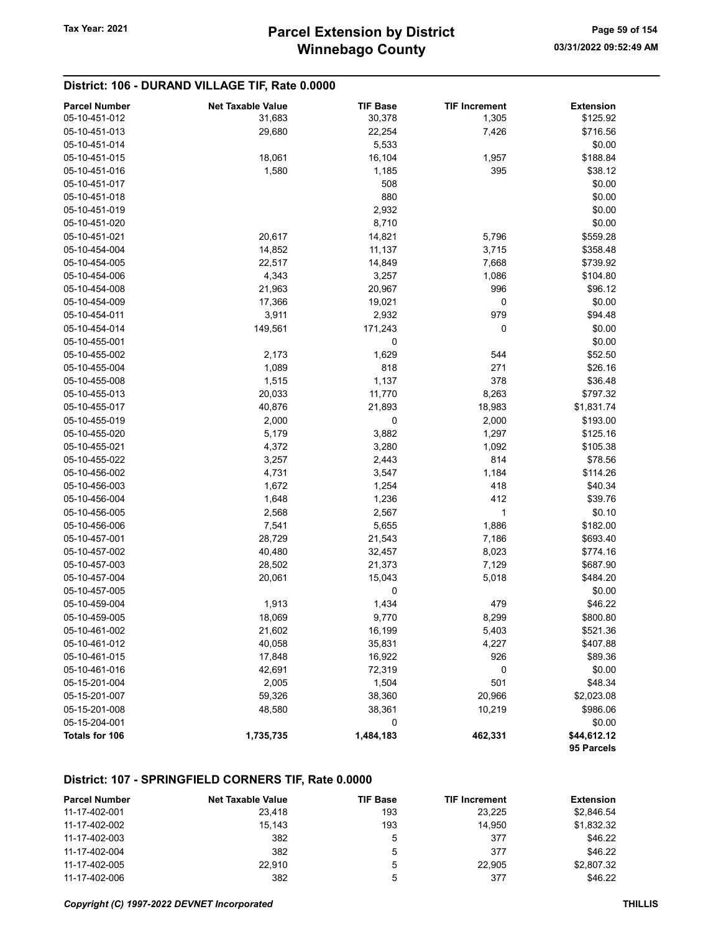## District: 106 - DURAND VILLAGE TIF, Rate 0.0000

| <b>Parcel Number</b> | <b>Net Taxable Value</b> | <b>TIF Base</b> | <b>TIF Increment</b> | <b>Extension</b>          |
|----------------------|--------------------------|-----------------|----------------------|---------------------------|
| 05-10-451-012        | 31,683                   | 30,378          | 1,305                | \$125.92                  |
| 05-10-451-013        | 29,680                   | 22,254          | 7,426                | \$716.56                  |
| 05-10-451-014        |                          | 5,533           |                      | \$0.00                    |
| 05-10-451-015        | 18,061                   | 16,104          | 1,957                | \$188.84                  |
| 05-10-451-016        | 1,580                    | 1,185           | 395                  | \$38.12                   |
| 05-10-451-017        |                          | 508             |                      | \$0.00                    |
| 05-10-451-018        |                          | 880             |                      | \$0.00                    |
| 05-10-451-019        |                          | 2,932           |                      | \$0.00                    |
| 05-10-451-020        |                          | 8,710           |                      | \$0.00                    |
| 05-10-451-021        | 20,617                   | 14,821          | 5,796                | \$559.28                  |
| 05-10-454-004        | 14,852                   | 11,137          | 3,715                | \$358.48                  |
| 05-10-454-005        | 22,517                   | 14,849          | 7,668                | \$739.92                  |
| 05-10-454-006        | 4,343                    | 3,257           | 1,086                | \$104.80                  |
| 05-10-454-008        | 21,963                   | 20,967          | 996                  | \$96.12                   |
| 05-10-454-009        | 17,366                   | 19,021          | 0                    | \$0.00                    |
| 05-10-454-011        | 3,911                    | 2,932           | 979                  | \$94.48                   |
| 05-10-454-014        | 149,561                  | 171,243         | 0                    | \$0.00                    |
| 05-10-455-001        |                          | 0               |                      | \$0.00                    |
| 05-10-455-002        | 2,173                    | 1,629           | 544                  | \$52.50                   |
| 05-10-455-004        | 1,089                    | 818             | 271                  | \$26.16                   |
| 05-10-455-008        | 1,515                    | 1,137           | 378                  | \$36.48                   |
| 05-10-455-013        | 20,033                   | 11,770          | 8,263                | \$797.32                  |
| 05-10-455-017        | 40,876                   | 21,893          | 18,983               | \$1,831.74                |
| 05-10-455-019        | 2,000                    | 0               | 2,000                | \$193.00                  |
| 05-10-455-020        | 5,179                    | 3,882           | 1,297                | \$125.16                  |
| 05-10-455-021        | 4,372                    | 3,280           | 1,092                | \$105.38                  |
| 05-10-455-022        | 3,257                    | 2,443           | 814                  | \$78.56                   |
| 05-10-456-002        | 4,731                    | 3,547           | 1,184                | \$114.26                  |
| 05-10-456-003        | 1,672                    | 1,254           | 418                  | \$40.34                   |
| 05-10-456-004        | 1,648                    | 1,236           | 412                  | \$39.76                   |
| 05-10-456-005        | 2,568                    | 2,567           | 1                    | \$0.10                    |
| 05-10-456-006        | 7,541                    | 5,655           | 1,886                | \$182.00                  |
| 05-10-457-001        |                          |                 |                      |                           |
| 05-10-457-002        | 28,729                   | 21,543          | 7,186                | \$693.40                  |
|                      | 40,480                   | 32,457          | 8,023                | \$774.16                  |
| 05-10-457-003        | 28,502                   | 21,373          | 7,129                | \$687.90                  |
| 05-10-457-004        | 20,061                   | 15,043          | 5,018                | \$484.20                  |
| 05-10-457-005        |                          | 0               |                      | \$0.00                    |
| 05-10-459-004        | 1,913                    | 1,434           | 479                  | \$46.22                   |
| 05-10-459-005        | 18,069                   | 9,770           | 8,299                | \$800.80                  |
| 05-10-461-002        | 21,602                   | 16,199          | 5,403                | \$521.36                  |
| 05-10-461-012        | 40,058                   | 35,831          | 4,227                | \$407.88                  |
| 05-10-461-015        | 17,848                   | 16,922          | 926                  | \$89.36                   |
| 05-10-461-016        | 42,691                   | 72,319          | 0                    | \$0.00                    |
| 05-15-201-004        | 2,005                    | 1,504           | 501                  | \$48.34                   |
| 05-15-201-007        | 59,326                   | 38,360          | 20,966               | \$2,023.08                |
| 05-15-201-008        | 48,580                   | 38,361          | 10,219               | \$986.06                  |
| 05-15-204-001        |                          | 0               |                      | \$0.00                    |
| Totals for 106       | 1,735,735                | 1,484,183       | 462,331              | \$44,612.12<br>95 Parcels |

#### District: 107 - SPRINGFIELD CORNERS TIF, Rate 0.0000

| <b>Parcel Number</b> | <b>Net Taxable Value</b> | <b>TIF Base</b> | <b>TIF Increment</b> | <b>Extension</b> |
|----------------------|--------------------------|-----------------|----------------------|------------------|
| 11-17-402-001        | 23.418                   | 193             | 23.225               | \$2,846.54       |
| 11-17-402-002        | 15.143                   | 193             | 14.950               | \$1,832.32       |
| 11-17-402-003        | 382                      | ა               | 377                  | \$46.22          |
| 11-17-402-004        | 382                      | 5               | 377                  | \$46.22          |
| 11-17-402-005        | 22.910                   | ა               | 22.905               | \$2,807.32       |
| 11-17-402-006        | 382                      | 5               | 377                  | \$46.22          |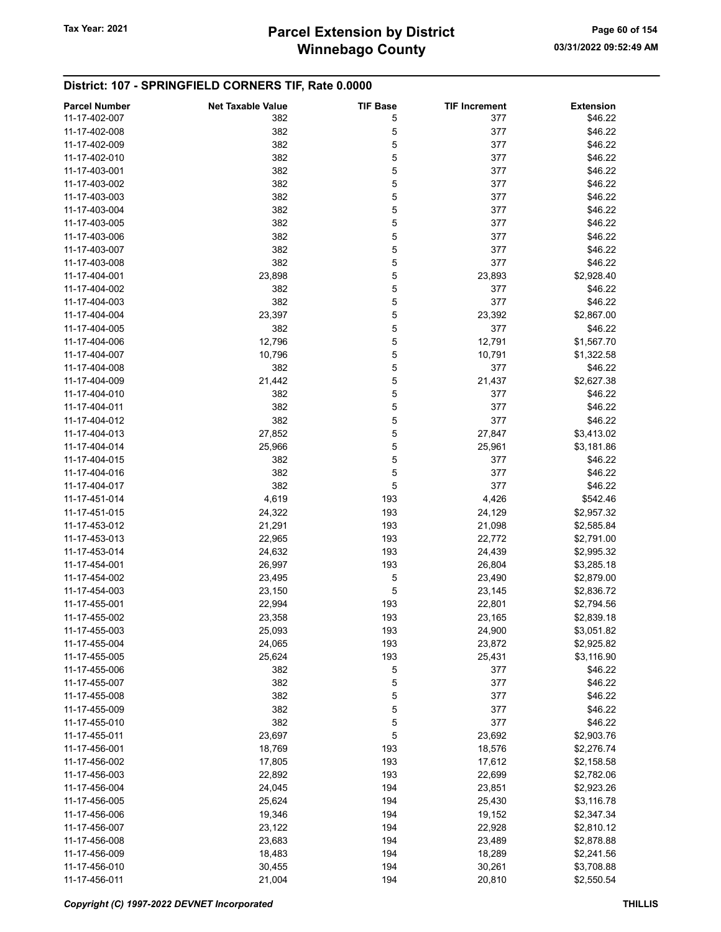## District: 107 - SPRINGFIELD CORNERS TIF, Rate 0.0000

| <b>Parcel Number</b> | <b>Net Taxable Value</b> | <b>TIF Base</b> | <b>TIF Increment</b> | <b>Extension</b> |
|----------------------|--------------------------|-----------------|----------------------|------------------|
| 11-17-402-007        | 382                      | 5               | 377                  | \$46.22          |
| 11-17-402-008        | 382                      | 5               | 377                  | \$46.22          |
| 11-17-402-009        | 382                      | 5               | 377                  | \$46.22          |
| 11-17-402-010        | 382                      | 5               | 377                  | \$46.22          |
| 11-17-403-001        | 382                      | 5               | 377                  | \$46.22          |
| 11-17-403-002        | 382                      | 5               | 377                  | \$46.22          |
| 11-17-403-003        | 382                      | 5               | 377                  | \$46.22          |
|                      |                          |                 |                      | \$46.22          |
| 11-17-403-004        | 382                      | 5               | 377                  |                  |
| 11-17-403-005        | 382                      | 5               | 377                  | \$46.22          |
| 11-17-403-006        | 382                      | 5               | 377                  | \$46.22          |
| 11-17-403-007        | 382                      | 5               | 377                  | \$46.22          |
| 11-17-403-008        | 382                      | 5               | 377                  | \$46.22          |
| 11-17-404-001        | 23,898                   | 5               | 23,893               | \$2,928.40       |
| 11-17-404-002        | 382                      | 5               | 377                  | \$46.22          |
| 11-17-404-003        | 382                      | 5               | 377                  | \$46.22          |
| 11-17-404-004        | 23,397                   | 5               | 23,392               | \$2,867.00       |
| 11-17-404-005        | 382                      | 5               | 377                  | \$46.22          |
| 11-17-404-006        | 12,796                   | 5               | 12,791               | \$1,567.70       |
| 11-17-404-007        | 10,796                   | 5               | 10,791               | \$1,322.58       |
| 11-17-404-008        | 382                      | 5               | 377                  | \$46.22          |
|                      |                          |                 |                      |                  |
| 11-17-404-009        | 21,442                   | 5               | 21,437               | \$2,627.38       |
| 11-17-404-010        | 382                      | 5               | 377                  | \$46.22          |
| 11-17-404-011        | 382                      | 5               | 377                  | \$46.22          |
| 11-17-404-012        | 382                      | 5               | 377                  | \$46.22          |
| 11-17-404-013        | 27,852                   | 5               | 27,847               | \$3,413.02       |
| 11-17-404-014        | 25,966                   | 5               | 25,961               | \$3,181.86       |
| 11-17-404-015        | 382                      | 5               | 377                  | \$46.22          |
| 11-17-404-016        | 382                      | 5               | 377                  | \$46.22          |
| 11-17-404-017        | 382                      | 5               | 377                  | \$46.22          |
| 11-17-451-014        | 4,619                    | 193             | 4,426                | \$542.46         |
| 11-17-451-015        | 24,322                   | 193             | 24,129               | \$2,957.32       |
| 11-17-453-012        | 21,291                   | 193             | 21,098               | \$2,585.84       |
| 11-17-453-013        | 22,965                   | 193             | 22,772               | \$2,791.00       |
| 11-17-453-014        |                          | 193             |                      |                  |
|                      | 24,632                   |                 | 24,439               | \$2,995.32       |
| 11-17-454-001        | 26,997                   | 193             | 26,804               | \$3,285.18       |
| 11-17-454-002        | 23,495                   | 5               | 23,490               | \$2,879.00       |
| 11-17-454-003        | 23,150                   | 5               | 23,145               | \$2,836.72       |
| 11-17-455-001        | 22,994                   | 193             | 22,801               | \$2,794.56       |
| 11-17-455-002        | 23,358                   | 193             | 23,165               | \$2,839.18       |
| 11-17-455-003        | 25,093                   | 193             | 24,900               | \$3,051.82       |
| 11-17-455-004        | 24,065                   | 193             | 23,872               | \$2,925.82       |
| 11-17-455-005        | 25,624                   | 193             | 25,431               | \$3,116.90       |
| 11-17-455-006        | 382                      | 5               | 377                  | \$46.22          |
| 11-17-455-007        | 382                      | 5               | 377                  | \$46.22          |
| 11-17-455-008        | 382                      | 5               | 377                  | \$46.22          |
| 11-17-455-009        | 382                      | 5               | 377                  | \$46.22          |
| 11-17-455-010        | 382                      | 5               | 377                  | \$46.22          |
| 11-17-455-011        | 23,697                   | 5               | 23,692               | \$2,903.76       |
| 11-17-456-001        |                          | 193             |                      |                  |
|                      | 18,769                   |                 | 18,576               | \$2,276.74       |
| 11-17-456-002        | 17,805                   | 193             | 17,612               | \$2,158.58       |
| 11-17-456-003        | 22,892                   | 193             | 22,699               | \$2,782.06       |
| 11-17-456-004        | 24,045                   | 194             | 23,851               | \$2,923.26       |
| 11-17-456-005        | 25,624                   | 194             | 25,430               | \$3,116.78       |
| 11-17-456-006        | 19,346                   | 194             | 19,152               | \$2,347.34       |
| 11-17-456-007        | 23,122                   | 194             | 22,928               | \$2,810.12       |
| 11-17-456-008        | 23,683                   | 194             | 23,489               | \$2,878.88       |
| 11-17-456-009        | 18,483                   | 194             | 18,289               | \$2,241.56       |
| 11-17-456-010        | 30,455                   | 194             | 30,261               | \$3,708.88       |
| 11-17-456-011        | 21,004                   | 194             | 20,810               | \$2,550.54       |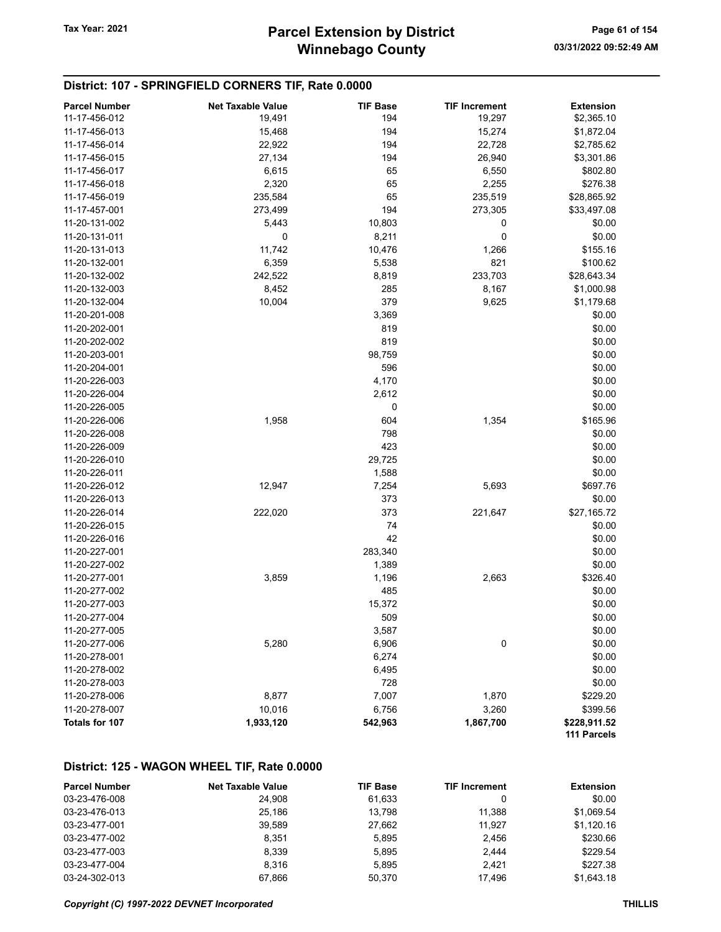# Winnebago County Tax Year: 2021 **Parcel Extension by District** Page 61 of 154

#### District: 107 - SPRINGFIELD CORNERS TIF, Rate 0.0000

| <b>Parcel Number</b> | <b>Net Taxable Value</b> | <b>TIF Base</b> | <b>TIF Increment</b> | <b>Extension</b> |
|----------------------|--------------------------|-----------------|----------------------|------------------|
| 11-17-456-012        | 19,491                   | 194             | 19,297               | \$2,365.10       |
| 11-17-456-013        | 15,468                   | 194             | 15,274               | \$1,872.04       |
| 11-17-456-014        | 22,922                   | 194             | 22,728               | \$2,785.62       |
| 11-17-456-015        | 27,134                   | 194             | 26,940               | \$3,301.86       |
| 11-17-456-017        | 6,615                    | 65              | 6,550                | \$802.80         |
| 11-17-456-018        | 2,320                    | 65              | 2,255                | \$276.38         |
| 11-17-456-019        | 235,584                  | 65              | 235,519              | \$28,865.92      |
| 11-17-457-001        | 273,499                  | 194             | 273,305              | \$33,497.08      |
| 11-20-131-002        | 5,443                    | 10,803          | 0                    | \$0.00           |
| 11-20-131-011        | 0                        | 8,211           | $\pmb{0}$            | \$0.00           |
| 11-20-131-013        | 11,742                   | 10,476          | 1,266                | \$155.16         |
| 11-20-132-001        | 6,359                    | 5,538           | 821                  | \$100.62         |
| 11-20-132-002        | 242,522                  | 8,819           | 233,703              | \$28,643.34      |
| 11-20-132-003        | 8,452                    | 285             | 8,167                | \$1,000.98       |
| 11-20-132-004        | 10,004                   | 379             | 9,625                | \$1,179.68       |
| 11-20-201-008        |                          | 3,369           |                      | \$0.00           |
| 11-20-202-001        |                          | 819             |                      | \$0.00           |
| 11-20-202-002        |                          | 819             |                      | \$0.00           |
| 11-20-203-001        |                          | 98,759          |                      | \$0.00           |
| 11-20-204-001        |                          | 596             |                      | \$0.00           |
| 11-20-226-003        |                          | 4,170           |                      | \$0.00           |
| 11-20-226-004        |                          | 2,612           |                      | \$0.00           |
| 11-20-226-005        |                          | 0               |                      | \$0.00           |
| 11-20-226-006        | 1,958                    | 604             | 1,354                | \$165.96         |
| 11-20-226-008        |                          | 798             |                      | \$0.00           |
| 11-20-226-009        |                          | 423             |                      | \$0.00           |
| 11-20-226-010        |                          | 29,725          |                      | \$0.00           |
| 11-20-226-011        |                          | 1,588           |                      | \$0.00           |
| 11-20-226-012        | 12,947                   | 7,254           | 5,693                | \$697.76         |
| 11-20-226-013        |                          | 373             |                      | \$0.00           |
| 11-20-226-014        | 222,020                  | 373             | 221,647              | \$27,165.72      |
| 11-20-226-015        |                          | 74              |                      | \$0.00           |
| 11-20-226-016        |                          | 42              |                      | \$0.00           |
| 11-20-227-001        |                          | 283,340         |                      | \$0.00           |
| 11-20-227-002        |                          | 1,389           |                      | \$0.00           |
| 11-20-277-001        | 3,859                    | 1,196           | 2,663                | \$326.40         |
| 11-20-277-002        |                          | 485             |                      | \$0.00           |
| 11-20-277-003        |                          | 15,372          |                      | \$0.00           |
| 11-20-277-004        |                          | 509             |                      | \$0.00           |
| 11-20-277-005        |                          | 3,587           |                      | \$0.00           |
| 11-20-277-006        | 5,280                    | 6,906           | 0                    | \$0.00           |
| 11-20-278-001        |                          | 6,274           |                      | \$0.00           |
| 11-20-278-002        |                          | 6,495           |                      | \$0.00           |
| 11-20-278-003        |                          | 728             |                      | \$0.00           |
| 11-20-278-006        | 8,877                    | 7,007           | 1,870                | \$229.20         |
| 11-20-278-007        | 10,016                   | 6,756           | 3,260                | \$399.56         |
| Totals for 107       | 1,933,120                | 542,963         | 1,867,700            | \$228,911.52     |
|                      |                          |                 |                      | 111 Parcels      |

## District: 125 - WAGON WHEEL TIF, Rate 0.0000

| <b>Parcel Number</b> | <b>Net Taxable Value</b> | <b>TIF Base</b> | <b>TIF Increment</b> | <b>Extension</b> |
|----------------------|--------------------------|-----------------|----------------------|------------------|
| 03-23-476-008        | 24.908                   | 61.633          |                      | \$0.00           |
| 03-23-476-013        | 25.186                   | 13.798          | 11.388               | \$1.069.54       |
| 03-23-477-001        | 39.589                   | 27.662          | 11.927               | \$1.120.16       |
| 03-23-477-002        | 8.351                    | 5.895           | 2.456                | \$230.66         |
| 03-23-477-003        | 8.339                    | 5.895           | 2,444                | \$229.54         |
| 03-23-477-004        | 8.316                    | 5.895           | 2.421                | \$227.38         |
| 03-24-302-013        | 67.866                   | 50.370          | 17.496               | \$1.643.18       |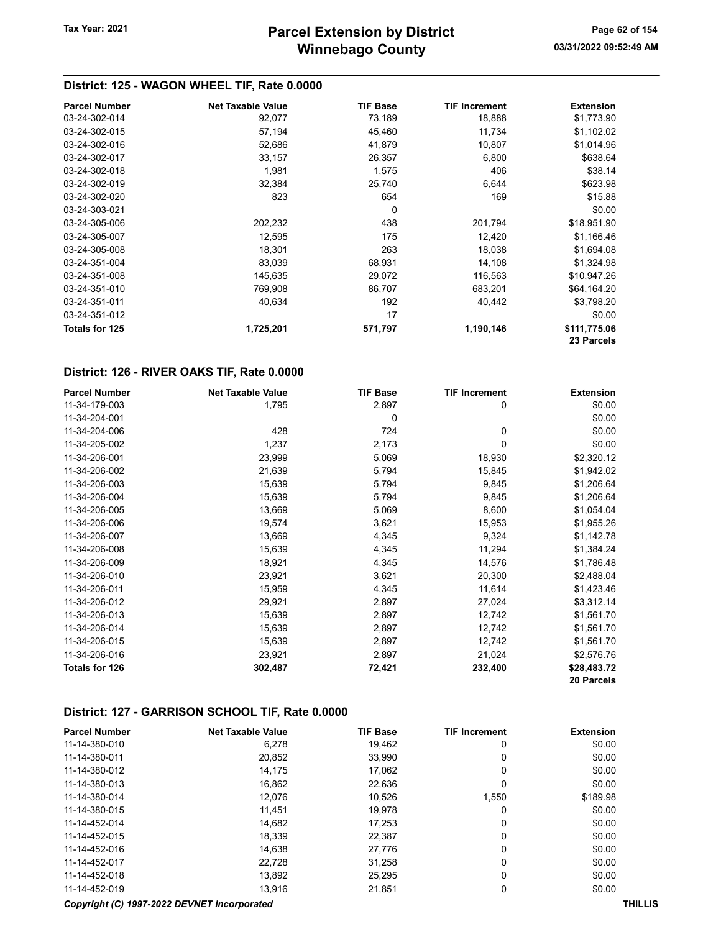## District: 125 - WAGON WHEEL TIF, Rate 0.0000

| <b>Parcel Number</b>  | <b>Net Taxable Value</b> | <b>TIF Base</b> | <b>TIF Increment</b> | <b>Extension</b> |
|-----------------------|--------------------------|-----------------|----------------------|------------------|
| 03-24-302-014         | 92,077                   | 73,189          | 18,888               | \$1,773.90       |
| 03-24-302-015         | 57,194                   | 45,460          | 11,734               | \$1,102.02       |
| 03-24-302-016         | 52,686                   | 41,879          | 10,807               | \$1,014.96       |
| 03-24-302-017         | 33,157                   | 26,357          | 6,800                | \$638.64         |
| 03-24-302-018         | 1,981                    | 1,575           | 406                  | \$38.14          |
| 03-24-302-019         | 32,384                   | 25,740          | 6,644                | \$623.98         |
| 03-24-302-020         | 823                      | 654             | 169                  | \$15.88          |
| 03-24-303-021         |                          | 0               |                      | \$0.00           |
| 03-24-305-006         | 202,232                  | 438             | 201,794              | \$18,951.90      |
| 03-24-305-007         | 12,595                   | 175             | 12,420               | \$1,166.46       |
| 03-24-305-008         | 18,301                   | 263             | 18,038               | \$1,694.08       |
| 03-24-351-004         | 83,039                   | 68,931          | 14,108               | \$1,324.98       |
| 03-24-351-008         | 145,635                  | 29,072          | 116,563              | \$10,947.26      |
| 03-24-351-010         | 769,908                  | 86,707          | 683.201              | \$64,164.20      |
| 03-24-351-011         | 40,634                   | 192             | 40,442               | \$3,798.20       |
| 03-24-351-012         |                          | 17              |                      | \$0.00           |
| <b>Totals for 125</b> | 1,725,201                | 571,797         | 1,190,146            | \$111,775.06     |
|                       |                          |                 |                      | 23 Parcels       |

#### District: 126 - RIVER OAKS TIF, Rate 0.0000

| <b>Parcel Number</b> | <b>Net Taxable Value</b> | <b>TIF Base</b> | <b>TIF Increment</b> | <b>Extension</b> |
|----------------------|--------------------------|-----------------|----------------------|------------------|
| 11-34-179-003        | 1,795                    | 2,897           | 0                    | \$0.00           |
| 11-34-204-001        |                          | 0               |                      | \$0.00           |
| 11-34-204-006        | 428                      | 724             | 0                    | \$0.00           |
| 11-34-205-002        | 1,237                    | 2,173           | 0                    | \$0.00           |
| 11-34-206-001        | 23,999                   | 5,069           | 18,930               | \$2,320.12       |
| 11-34-206-002        | 21,639                   | 5,794           | 15,845               | \$1,942.02       |
| 11-34-206-003        | 15,639                   | 5,794           | 9,845                | \$1,206.64       |
| 11-34-206-004        | 15,639                   | 5,794           | 9,845                | \$1,206.64       |
| 11-34-206-005        | 13,669                   | 5,069           | 8,600                | \$1,054.04       |
| 11-34-206-006        | 19,574                   | 3,621           | 15,953               | \$1,955.26       |
| 11-34-206-007        | 13,669                   | 4,345           | 9,324                | \$1,142.78       |
| 11-34-206-008        | 15,639                   | 4,345           | 11,294               | \$1,384.24       |
| 11-34-206-009        | 18,921                   | 4,345           | 14,576               | \$1,786.48       |
| 11-34-206-010        | 23,921                   | 3,621           | 20,300               | \$2,488.04       |
| 11-34-206-011        | 15,959                   | 4,345           | 11,614               | \$1,423.46       |
| 11-34-206-012        | 29,921                   | 2,897           | 27,024               | \$3,312.14       |
| 11-34-206-013        | 15,639                   | 2,897           | 12,742               | \$1,561.70       |
| 11-34-206-014        | 15,639                   | 2,897           | 12,742               | \$1,561.70       |
| 11-34-206-015        | 15,639                   | 2,897           | 12,742               | \$1,561.70       |
| 11-34-206-016        | 23,921                   | 2,897           | 21,024               | \$2,576.76       |
| Totals for 126       | 302,487                  | 72,421          | 232,400              | \$28,483.72      |
|                      |                          |                 |                      | 20 Parcels       |

#### District: 127 - GARRISON SCHOOL TIF, Rate 0.0000

| <b>Parcel Number</b> | <b>Net Taxable Value</b> | <b>TIF Base</b> | <b>TIF Increment</b> | <b>Extension</b> |
|----------------------|--------------------------|-----------------|----------------------|------------------|
| 11-14-380-010        | 6.278                    | 19.462          | 0                    | \$0.00           |
| 11-14-380-011        | 20,852                   | 33,990          | 0                    | \$0.00           |
| 11-14-380-012        | 14.175                   | 17.062          | 0                    | \$0.00           |
| 11-14-380-013        | 16,862                   | 22,636          | 0                    | \$0.00           |
| 11-14-380-014        | 12.076                   | 10.526          | 1.550                | \$189.98         |
| 11-14-380-015        | 11.451                   | 19.978          | 0                    | \$0.00           |
| 11-14-452-014        | 14.682                   | 17.253          | 0                    | \$0.00           |
| 11-14-452-015        | 18.339                   | 22.387          | 0                    | \$0.00           |
| 11-14-452-016        | 14.638                   | 27,776          | 0                    | \$0.00           |
| 11-14-452-017        | 22.728                   | 31.258          | 0                    | \$0.00           |
| 11-14-452-018        | 13,892                   | 25,295          | 0                    | \$0.00           |
| 11-14-452-019        | 13.916                   | 21.851          | 0                    | \$0.00           |
|                      |                          |                 |                      |                  |

#### Copyright (C) 1997-2022 DEVNET Incorporated THILLIS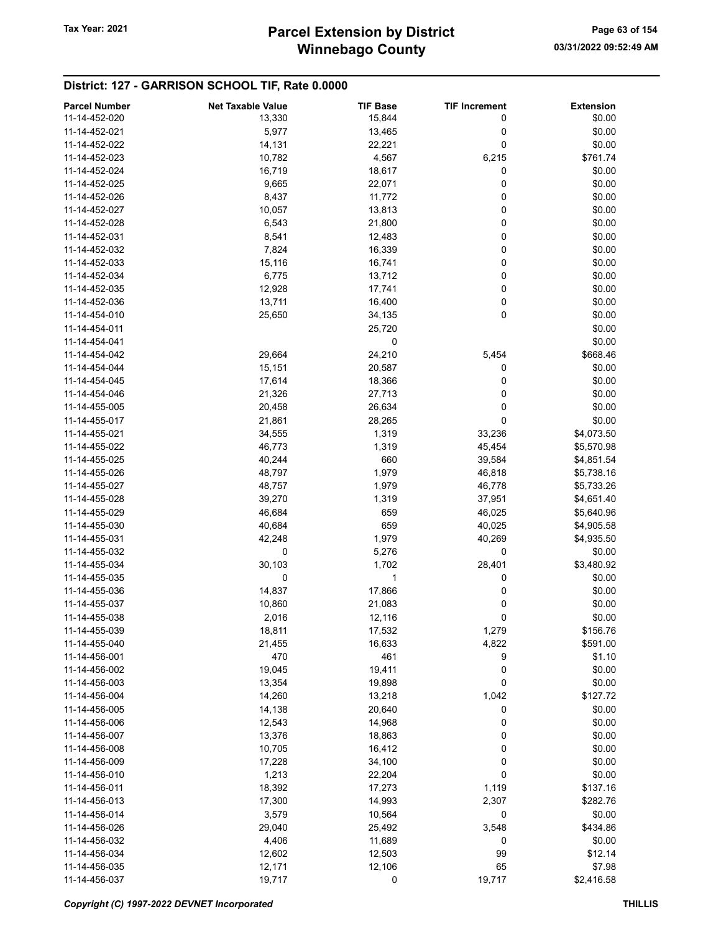#### District: 127 - GARRISON SCHOOL TIF, Rate 0.0000

| <b>Parcel Number</b> | <b>Net Taxable Value</b> | <b>TIF Base</b> | <b>TIF Increment</b> | <b>Extension</b> |
|----------------------|--------------------------|-----------------|----------------------|------------------|
| 11-14-452-020        | 13,330                   | 15,844          | 0                    | \$0.00           |
|                      |                          |                 |                      |                  |
| 11-14-452-021        | 5,977                    | 13,465          | 0                    | \$0.00           |
| 11-14-452-022        | 14,131                   | 22,221          | 0                    | \$0.00           |
| 11-14-452-023        | 10,782                   | 4,567           | 6,215                | \$761.74         |
| 11-14-452-024        | 16,719                   | 18,617          | 0                    | \$0.00           |
| 11-14-452-025        | 9,665                    | 22,071          | 0                    | \$0.00           |
| 11-14-452-026        | 8,437                    | 11,772          | 0                    | \$0.00           |
| 11-14-452-027        | 10,057                   | 13,813          | 0                    | \$0.00           |
| 11-14-452-028        | 6,543                    | 21,800          | 0                    | \$0.00           |
| 11-14-452-031        | 8,541                    | 12,483          | 0                    | \$0.00           |
| 11-14-452-032        | 7,824                    | 16,339          | 0                    | \$0.00           |
| 11-14-452-033        | 15,116                   | 16,741          | 0                    | \$0.00           |
|                      |                          |                 |                      |                  |
| 11-14-452-034        | 6,775                    | 13,712          | 0                    | \$0.00           |
| 11-14-452-035        | 12,928                   | 17,741          | 0                    | \$0.00           |
| 11-14-452-036        | 13,711                   | 16,400          | 0                    | \$0.00           |
| 11-14-454-010        | 25,650                   | 34,135          | 0                    | \$0.00           |
| 11-14-454-011        |                          | 25,720          |                      | \$0.00           |
| 11-14-454-041        |                          | 0               |                      | \$0.00           |
| 11-14-454-042        | 29,664                   | 24,210          | 5,454                | \$668.46         |
| 11-14-454-044        | 15,151                   | 20,587          | 0                    | \$0.00           |
| 11-14-454-045        | 17,614                   | 18,366          | 0                    | \$0.00           |
| 11-14-454-046        | 21,326                   | 27,713          | 0                    | \$0.00           |
| 11-14-455-005        |                          |                 | 0                    | \$0.00           |
|                      | 20,458                   | 26,634          |                      |                  |
| 11-14-455-017        | 21,861                   | 28,265          | 0                    | \$0.00           |
| 11-14-455-021        | 34,555                   | 1,319           | 33,236               | \$4,073.50       |
| 11-14-455-022        | 46,773                   | 1,319           | 45,454               | \$5,570.98       |
| 11-14-455-025        | 40,244                   | 660             | 39,584               | \$4,851.54       |
| 11-14-455-026        | 48,797                   | 1,979           | 46,818               | \$5,738.16       |
| 11-14-455-027        | 48,757                   | 1,979           | 46,778               | \$5,733.26       |
| 11-14-455-028        | 39,270                   | 1,319           | 37,951               | \$4,651.40       |
| 11-14-455-029        | 46,684                   | 659             | 46,025               | \$5,640.96       |
| 11-14-455-030        | 40,684                   | 659             | 40,025               | \$4,905.58       |
| 11-14-455-031        | 42,248                   | 1,979           | 40,269               | \$4,935.50       |
| 11-14-455-032        | 0                        | 5,276           | 0                    | \$0.00           |
|                      |                          |                 |                      |                  |
| 11-14-455-034        | 30,103                   | 1,702           | 28,401               | \$3,480.92       |
| 11-14-455-035        | 0                        | 1               | 0                    | \$0.00           |
| 11-14-455-036        | 14,837                   | 17,866          | 0                    | \$0.00           |
| 11-14-455-037        | 10,860                   | 21,083          | 0                    | \$0.00           |
| 11-14-455-038        | 2,016                    | 12,116          | 0                    | \$0.00           |
| 11-14-455-039        | 18,811                   | 17,532          | 1,279                | \$156.76         |
| 11-14-455-040        | 21,455                   | 16,633          | 4,822                | \$591.00         |
| 11-14-456-001        | 470                      | 461             | 9                    | \$1.10           |
| 11-14-456-002        | 19,045                   | 19,411          | 0                    | \$0.00           |
| 11-14-456-003        | 13,354                   | 19,898          | 0                    | \$0.00           |
| 11-14-456-004        | 14,260                   | 13,218          | 1,042                | \$127.72         |
| 11-14-456-005        | 14,138                   | 20,640          | 0                    | \$0.00           |
| 11-14-456-006        | 12,543                   | 14,968          | 0                    | \$0.00           |
|                      |                          |                 |                      |                  |
| 11-14-456-007        | 13,376                   | 18,863          | 0                    | \$0.00           |
| 11-14-456-008        | 10,705                   | 16,412          | 0                    | \$0.00           |
| 11-14-456-009        | 17,228                   | 34,100          | 0                    | \$0.00           |
| 11-14-456-010        | 1,213                    | 22,204          | 0                    | \$0.00           |
| 11-14-456-011        | 18,392                   | 17,273          | 1,119                | \$137.16         |
| 11-14-456-013        | 17,300                   | 14,993          | 2,307                | \$282.76         |
| 11-14-456-014        | 3,579                    | 10,564          | 0                    | \$0.00           |
| 11-14-456-026        | 29,040                   | 25,492          | 3,548                | \$434.86         |
| 11-14-456-032        | 4,406                    | 11,689          | 0                    | \$0.00           |
| 11-14-456-034        | 12,602                   | 12,503          | 99                   | \$12.14          |
| 11-14-456-035        | 12,171                   | 12,106          | 65                   | \$7.98           |
| 11-14-456-037        | 19,717                   | 0               | 19,717               | \$2,416.58       |
|                      |                          |                 |                      |                  |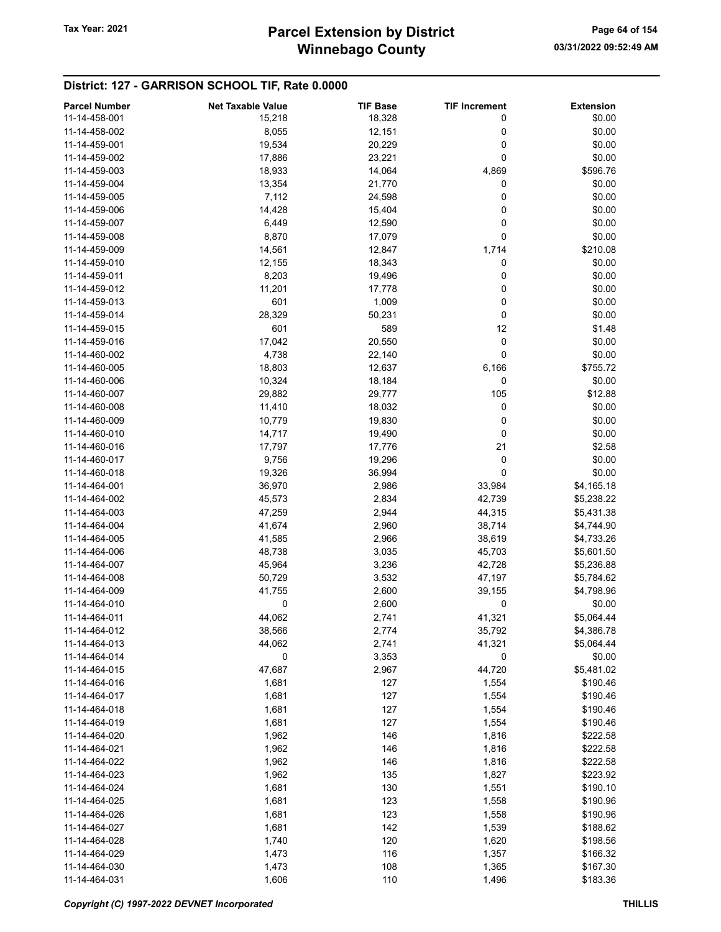#### District: 127 - GARRISON SCHOOL TIF, Rate 0.0000

| <b>Parcel Number</b> | <b>Net Taxable Value</b> | <b>TIF Base</b> | <b>TIF Increment</b> | <b>Extension</b> |
|----------------------|--------------------------|-----------------|----------------------|------------------|
| 11-14-458-001        | 15,218                   | 18,328          | 0                    | \$0.00           |
| 11-14-458-002        | 8,055                    | 12,151          | 0                    | \$0.00           |
| 11-14-459-001        | 19,534                   | 20,229          | 0                    | \$0.00           |
| 11-14-459-002        | 17,886                   | 23,221          | 0                    | \$0.00           |
| 11-14-459-003        | 18,933                   | 14,064          | 4,869                | \$596.76         |
| 11-14-459-004        | 13,354                   | 21,770          | 0                    | \$0.00           |
| 11-14-459-005        | 7,112                    | 24,598          | 0                    | \$0.00           |
| 11-14-459-006        | 14,428                   | 15,404          | 0                    | \$0.00           |
| 11-14-459-007        | 6,449                    | 12,590          | 0                    | \$0.00           |
| 11-14-459-008        |                          |                 | 0                    | \$0.00           |
|                      | 8,870                    | 17,079          |                      |                  |
| 11-14-459-009        | 14,561                   | 12,847          | 1,714                | \$210.08         |
| 11-14-459-010        | 12,155                   | 18,343          | 0                    | \$0.00           |
| 11-14-459-011        | 8,203                    | 19,496          | 0                    | \$0.00           |
| 11-14-459-012        | 11,201                   | 17,778          | 0                    | \$0.00           |
| 11-14-459-013        | 601                      | 1,009           | 0                    | \$0.00           |
| 11-14-459-014        | 28,329                   | 50,231          | 0                    | \$0.00           |
| 11-14-459-015        | 601                      | 589             | 12                   | \$1.48           |
| 11-14-459-016        | 17,042                   | 20,550          | 0                    | \$0.00           |
| 11-14-460-002        | 4,738                    | 22,140          | 0                    | \$0.00           |
| 11-14-460-005        | 18,803                   | 12,637          | 6,166                | \$755.72         |
| 11-14-460-006        | 10,324                   | 18,184          | 0                    | \$0.00           |
| 11-14-460-007        | 29,882                   | 29,777          | 105                  | \$12.88          |
| 11-14-460-008        | 11,410                   | 18,032          | 0                    | \$0.00           |
| 11-14-460-009        | 10,779                   | 19,830          | 0                    | \$0.00           |
| 11-14-460-010        | 14,717                   | 19,490          | 0                    | \$0.00           |
| 11-14-460-016        | 17,797                   | 17,776          | 21                   | \$2.58           |
| 11-14-460-017        | 9,756                    | 19,296          | 0                    | \$0.00           |
| 11-14-460-018        | 19,326                   | 36,994          | 0                    | \$0.00           |
| 11-14-464-001        | 36,970                   | 2,986           | 33,984               | \$4,165.18       |
| 11-14-464-002        | 45,573                   | 2,834           | 42,739               | \$5,238.22       |
| 11-14-464-003        | 47,259                   | 2,944           | 44,315               | \$5,431.38       |
| 11-14-464-004        | 41,674                   | 2,960           | 38,714               | \$4,744.90       |
| 11-14-464-005        | 41,585                   | 2,966           | 38,619               | \$4,733.26       |
| 11-14-464-006        | 48,738                   | 3,035           | 45,703               | \$5,601.50       |
| 11-14-464-007        | 45,964                   | 3,236           | 42,728               | \$5,236.88       |
| 11-14-464-008        | 50,729                   | 3,532           | 47,197               | \$5,784.62       |
| 11-14-464-009        | 41,755                   | 2,600           | 39,155               | \$4,798.96       |
| 11-14-464-010        | 0                        | 2,600           | 0                    | \$0.00           |
| 11-14-464-011        | 44,062                   |                 |                      | \$5,064.44       |
| 11-14-464-012        |                          | 2,741           | 41,321               |                  |
|                      | 38,566                   | 2,774           | 35,792               | \$4,386.78       |
| 11-14-464-013        | 44,062                   | 2,741           | 41,321               | \$5,064.44       |
| 11-14-464-014        | 0                        | 3,353           | 0                    | \$0.00           |
| 11-14-464-015        | 47,687                   | 2,967           | 44,720               | \$5,481.02       |
| 11-14-464-016        | 1,681                    | 127             | 1,554                | \$190.46         |
| 11-14-464-017        | 1,681                    | 127             | 1,554                | \$190.46         |
| 11-14-464-018        | 1,681                    | 127             | 1,554                | \$190.46         |
| 11-14-464-019        | 1,681                    | 127             | 1,554                | \$190.46         |
| 11-14-464-020        | 1,962                    | 146             | 1,816                | \$222.58         |
| 11-14-464-021        | 1,962                    | 146             | 1,816                | \$222.58         |
| 11-14-464-022        | 1,962                    | 146             | 1,816                | \$222.58         |
| 11-14-464-023        | 1,962                    | 135             | 1,827                | \$223.92         |
| 11-14-464-024        | 1,681                    | 130             | 1,551                | \$190.10         |
| 11-14-464-025        | 1,681                    | 123             | 1,558                | \$190.96         |
| 11-14-464-026        | 1,681                    | 123             | 1,558                | \$190.96         |
| 11-14-464-027        | 1,681                    | 142             | 1,539                | \$188.62         |
| 11-14-464-028        | 1,740                    | 120             | 1,620                | \$198.56         |
| 11-14-464-029        | 1,473                    | 116             | 1,357                | \$166.32         |
| 11-14-464-030        | 1,473                    | 108             | 1,365                | \$167.30         |
| 11-14-464-031        | 1,606                    | 110             | 1,496                | \$183.36         |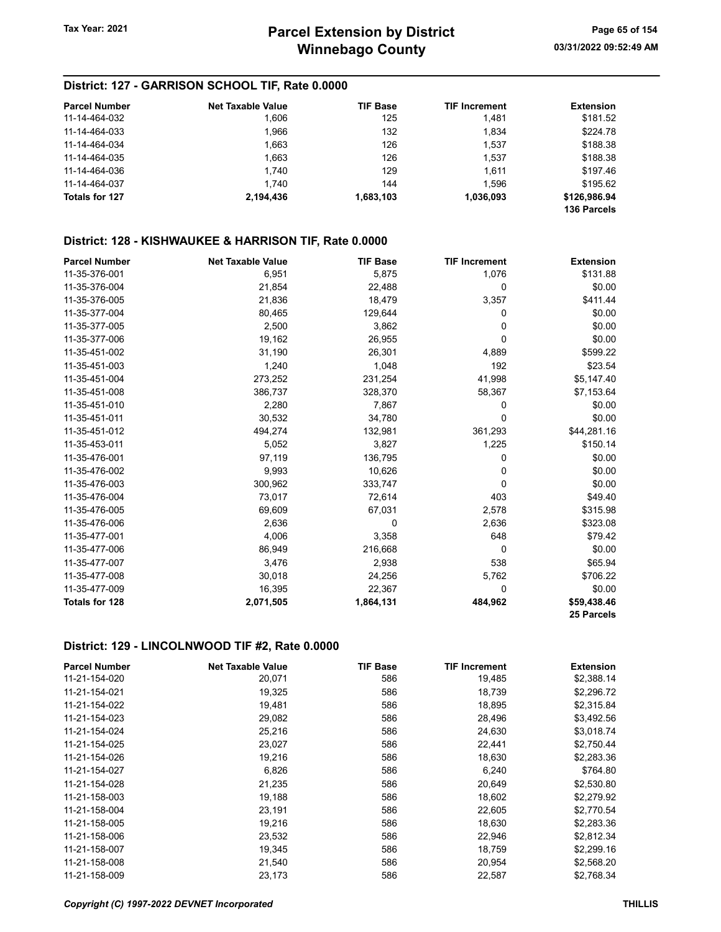#### District: 127 - GARRISON SCHOOL TIF, Rate 0.0000

| <b>Parcel Number</b>  | <b>Net Taxable Value</b> | <b>TIF Base</b> | <b>TIF Increment</b> | <b>Extension</b> |
|-----------------------|--------------------------|-----------------|----------------------|------------------|
| 11-14-464-032         | 1.606                    | 125             | 1.481                | \$181.52         |
| 11-14-464-033         | 1.966                    | 132             | 1.834                | \$224.78         |
| 11-14-464-034         | 1.663                    | 126             | 1.537                | \$188.38         |
| 11-14-464-035         | 1.663                    | 126             | 1,537                | \$188.38         |
| 11-14-464-036         | 1.740                    | 129             | 1.611                | \$197.46         |
| 11-14-464-037         | 1.740                    | 144             | 1.596                | \$195.62         |
| <b>Totals for 127</b> | 2.194.436                | 1,683,103       | 1,036,093            | \$126,986.94     |
|                       |                          |                 |                      | 136 Parcels      |

## District: 128 - KISHWAUKEE & HARRISON TIF, Rate 0.0000

| <b>Parcel Number</b>  | <b>Net Taxable Value</b> | <b>TIF Base</b> | <b>TIF Increment</b> | <b>Extension</b> |
|-----------------------|--------------------------|-----------------|----------------------|------------------|
| 11-35-376-001         | 6,951                    | 5,875           | 1,076                | \$131.88         |
| 11-35-376-004         | 21,854                   | 22,488          | 0                    | \$0.00           |
| 11-35-376-005         | 21,836                   | 18,479          | 3,357                | \$411.44         |
| 11-35-377-004         | 80,465                   | 129,644         | 0                    | \$0.00           |
| 11-35-377-005         | 2,500                    | 3,862           | 0                    | \$0.00           |
| 11-35-377-006         | 19,162                   | 26,955          | 0                    | \$0.00           |
| 11-35-451-002         | 31,190                   | 26,301          | 4,889                | \$599.22         |
| 11-35-451-003         | 1,240                    | 1,048           | 192                  | \$23.54          |
| 11-35-451-004         | 273,252                  | 231,254         | 41,998               | \$5,147.40       |
| 11-35-451-008         | 386,737                  | 328,370         | 58,367               | \$7,153.64       |
| 11-35-451-010         | 2,280                    | 7,867           | 0                    | \$0.00           |
| 11-35-451-011         | 30,532                   | 34,780          | 0                    | \$0.00           |
| 11-35-451-012         | 494,274                  | 132,981         | 361,293              | \$44,281.16      |
| 11-35-453-011         | 5,052                    | 3,827           | 1,225                | \$150.14         |
| 11-35-476-001         | 97,119                   | 136,795         | 0                    | \$0.00           |
| 11-35-476-002         | 9,993                    | 10,626          | 0                    | \$0.00           |
| 11-35-476-003         | 300,962                  | 333,747         | 0                    | \$0.00           |
| 11-35-476-004         | 73,017                   | 72,614          | 403                  | \$49.40          |
| 11-35-476-005         | 69,609                   | 67,031          | 2,578                | \$315.98         |
| 11-35-476-006         | 2,636                    | 0               | 2,636                | \$323.08         |
| 11-35-477-001         | 4,006                    | 3,358           | 648                  | \$79.42          |
| 11-35-477-006         | 86,949                   | 216,668         | 0                    | \$0.00           |
| 11-35-477-007         | 3,476                    | 2,938           | 538                  | \$65.94          |
| 11-35-477-008         | 30,018                   | 24,256          | 5,762                | \$706.22         |
| 11-35-477-009         | 16,395                   | 22,367          | 0                    | \$0.00           |
| <b>Totals for 128</b> | 2,071,505                | 1,864,131       | 484,962              | \$59,438.46      |
|                       |                          |                 |                      | 25 Parcels       |

#### District: 129 - LINCOLNWOOD TIF #2, Rate 0.0000

| <b>Parcel Number</b> | <b>Net Taxable Value</b> | <b>TIF Base</b> | <b>TIF Increment</b> | <b>Extension</b> |
|----------------------|--------------------------|-----------------|----------------------|------------------|
| 11-21-154-020        | 20,071                   | 586             | 19,485               | \$2,388.14       |
| 11-21-154-021        | 19,325                   | 586             | 18,739               | \$2,296.72       |
| 11-21-154-022        | 19,481                   | 586             | 18,895               | \$2,315.84       |
| 11-21-154-023        | 29,082                   | 586             | 28,496               | \$3,492.56       |
| 11-21-154-024        | 25,216                   | 586             | 24,630               | \$3,018.74       |
| 11-21-154-025        | 23,027                   | 586             | 22,441               | \$2,750.44       |
| 11-21-154-026        | 19,216                   | 586             | 18,630               | \$2,283.36       |
| 11-21-154-027        | 6,826                    | 586             | 6,240                | \$764.80         |
| 11-21-154-028        | 21,235                   | 586             | 20,649               | \$2,530.80       |
| 11-21-158-003        | 19,188                   | 586             | 18,602               | \$2,279.92       |
| 11-21-158-004        | 23,191                   | 586             | 22,605               | \$2,770.54       |
| 11-21-158-005        | 19,216                   | 586             | 18,630               | \$2,283.36       |
| 11-21-158-006        | 23,532                   | 586             | 22,946               | \$2,812.34       |
| 11-21-158-007        | 19,345                   | 586             | 18,759               | \$2,299.16       |
| 11-21-158-008        | 21,540                   | 586             | 20,954               | \$2,568.20       |
| 11-21-158-009        | 23,173                   | 586             | 22,587               | \$2,768.34       |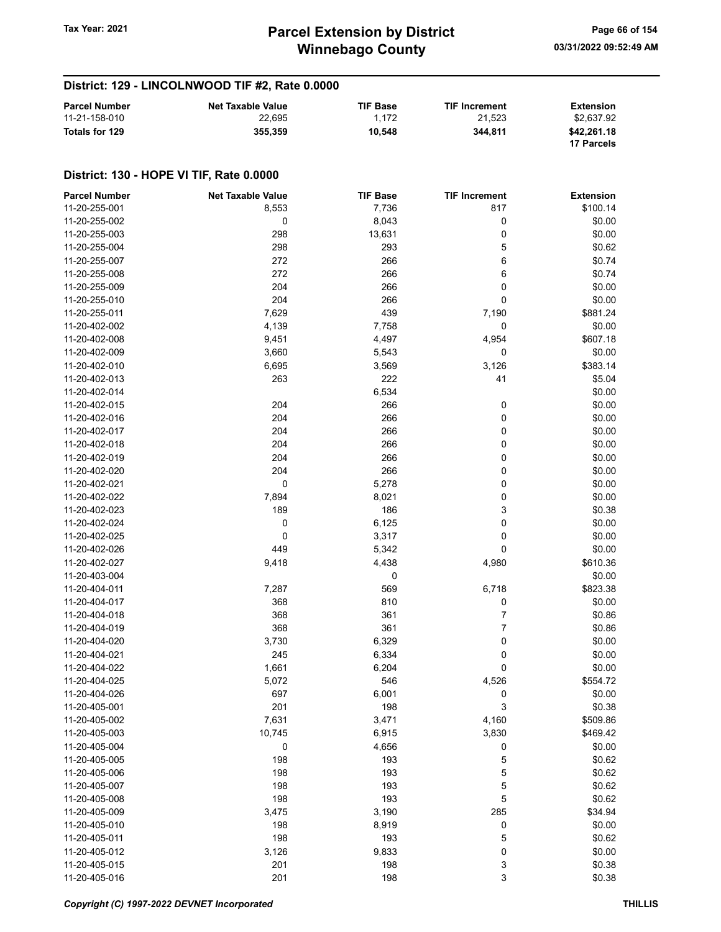## District: 129 - LINCOLNWOOD TIF #2, Rate 0.0000

| <b>Parcel Number</b> | <b>Net Taxable Value</b> | <b>TIF Base</b> | <b>TIF Increment</b> | <b>Extension</b> |
|----------------------|--------------------------|-----------------|----------------------|------------------|
| 11-21-158-010        | 22.695                   | 1.172           | 21.523               | \$2.637.92       |
| Totals for 129       | 355,359                  | 10.548          | 344.811              | \$42,261.18      |
|                      |                          |                 |                      | 17 Parcels       |

| <b>Parcel Number</b> | <b>Net Taxable Value</b> | <b>TIF Base</b> | <b>TIF Increment</b> | <b>Extension</b> |
|----------------------|--------------------------|-----------------|----------------------|------------------|
| 11-20-255-001        | 8,553                    | 7,736           | 817                  | \$100.14         |
| 11-20-255-002        | 0                        | 8,043           | 0                    | \$0.00           |
| 11-20-255-003        | 298                      | 13,631          | 0                    | \$0.00           |
| 11-20-255-004        | 298                      | 293             | 5                    | \$0.62           |
| 11-20-255-007        | 272                      | 266             | 6                    | \$0.74           |
| 11-20-255-008        | 272                      | 266             | 6                    | \$0.74           |
| 11-20-255-009        | 204                      | 266             | 0                    | \$0.00           |
| 11-20-255-010        | 204                      | 266             | 0                    | \$0.00           |
| 11-20-255-011        | 7,629                    | 439             | 7,190                | \$881.24         |
|                      |                          |                 |                      | \$0.00           |
| 11-20-402-002        | 4,139                    | 7,758           | 0                    |                  |
| 11-20-402-008        | 9,451                    | 4,497           | 4,954                | \$607.18         |
| 11-20-402-009        | 3,660                    | 5,543           | 0                    | \$0.00           |
| 11-20-402-010        | 6,695                    | 3,569           | 3,126                | \$383.14         |
| 11-20-402-013        | 263                      | 222             | 41                   | \$5.04           |
| 11-20-402-014        |                          | 6,534           |                      | \$0.00           |
| 11-20-402-015        | 204                      | 266             | 0                    | \$0.00           |
| 11-20-402-016        | 204                      | 266             | 0                    | \$0.00           |
| 11-20-402-017        | 204                      | 266             | 0                    | \$0.00           |
| 11-20-402-018        | 204                      | 266             | 0                    | \$0.00           |
| 11-20-402-019        | 204                      | 266             | 0                    | \$0.00           |
| 11-20-402-020        | 204                      | 266             | 0                    | \$0.00           |
| 11-20-402-021        | 0                        | 5,278           | 0                    | \$0.00           |
| 11-20-402-022        | 7,894                    | 8,021           | 0                    | \$0.00           |
| 11-20-402-023        | 189                      | 186             | 3                    | \$0.38           |
| 11-20-402-024        | 0                        | 6,125           | 0                    | \$0.00           |
| 11-20-402-025        | 0                        | 3,317           | 0                    | \$0.00           |
| 11-20-402-026        | 449                      | 5,342           | 0                    | \$0.00           |
| 11-20-402-027        | 9,418                    | 4,438           | 4,980                | \$610.36         |
| 11-20-403-004        |                          | 0               |                      | \$0.00           |
| 11-20-404-011        | 7,287                    | 569             | 6,718                | \$823.38         |
| 11-20-404-017        | 368                      | 810             | 0                    | \$0.00           |
| 11-20-404-018        | 368                      | 361             | 7                    | \$0.86           |
| 11-20-404-019        | 368                      | 361             | 7                    | \$0.86           |
|                      |                          |                 |                      |                  |
| 11-20-404-020        | 3,730                    | 6,329           | 0                    | \$0.00           |
| 11-20-404-021        | 245                      | 6,334           | 0                    | \$0.00           |
| 11-20-404-022        | 1,661                    | 6,204           | 0                    | \$0.00           |
| 11-20-404-025        | 5,072                    | 546             | 4,526                | \$554.72         |
| 11-20-404-026        | 697                      | 6,001           | 0                    | \$0.00           |
| 11-20-405-001        | 201                      | 198             | 3                    | \$0.38           |
| 11-20-405-002        | 7,631                    | 3,471           | 4,160                | \$509.86         |
| 11-20-405-003        | 10,745                   | 6,915           | 3,830                | \$469.42         |
| 11-20-405-004        | $\pmb{0}$                | 4,656           | 0                    | \$0.00           |
| 11-20-405-005        | 198                      | 193             | 5                    | \$0.62           |
| 11-20-405-006        | 198                      | 193             | 5                    | \$0.62           |
| 11-20-405-007        | 198                      | 193             | 5                    | \$0.62           |
| 11-20-405-008        | 198                      | 193             | 5                    | \$0.62           |
| 11-20-405-009        | 3,475                    | 3,190           | 285                  | \$34.94          |
| 11-20-405-010        | 198                      | 8,919           | 0                    | \$0.00           |
| 11-20-405-011        | 198                      | 193             | 5                    | \$0.62           |
| 11-20-405-012        | 3,126                    | 9,833           | 0                    | \$0.00           |
| 11-20-405-015        | 201                      | 198             | 3                    | \$0.38           |
| 11-20-405-016        | 201                      | 198             | 3                    | \$0.38           |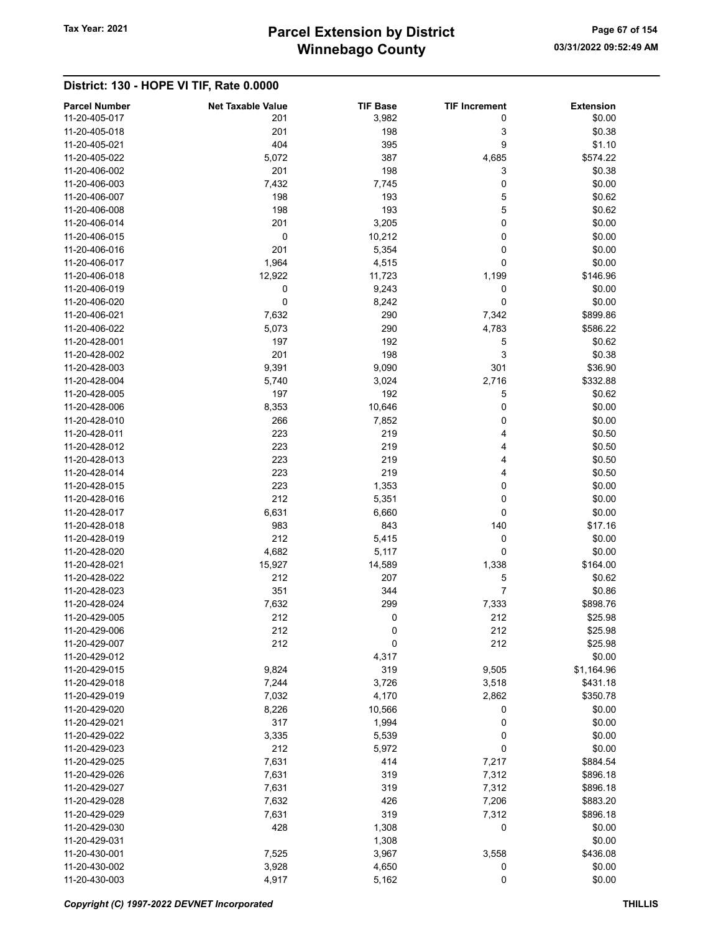| <b>Parcel Number</b> | <b>Net Taxable Value</b> | <b>TIF Base</b> | <b>TIF Increment</b> | <b>Extension</b> |
|----------------------|--------------------------|-----------------|----------------------|------------------|
| 11-20-405-017        | 201                      | 3,982           | 0                    | \$0.00           |
| 11-20-405-018        | 201                      | 198             | 3                    | \$0.38           |
| 11-20-405-021        | 404                      | 395             | 9                    | \$1.10           |
| 11-20-405-022        | 5,072                    | 387             | 4,685                | \$574.22         |
| 11-20-406-002        | 201                      | 198             | 3                    | \$0.38           |
| 11-20-406-003        | 7,432                    | 7,745           | 0                    | \$0.00           |
| 11-20-406-007        | 198                      | 193             | 5                    | \$0.62           |
| 11-20-406-008        | 198                      | 193             | 5                    | \$0.62           |
| 11-20-406-014        | 201                      | 3,205           | 0                    | \$0.00           |
| 11-20-406-015        | 0                        | 10,212          | 0                    | \$0.00           |
| 11-20-406-016        | 201                      | 5,354           | 0                    | \$0.00           |
| 11-20-406-017        | 1,964                    | 4,515           | 0                    | \$0.00           |
| 11-20-406-018        | 12,922                   | 11,723          | 1,199                | \$146.96         |
| 11-20-406-019        | 0                        | 9,243           | 0                    | \$0.00           |
| 11-20-406-020        | 0                        | 8,242           | 0                    | \$0.00           |
| 11-20-406-021        | 7,632                    | 290             | 7,342                | \$899.86         |
| 11-20-406-022        | 5,073                    | 290             | 4,783                | \$586.22         |
| 11-20-428-001        | 197                      | 192             | 5                    | \$0.62           |
| 11-20-428-002        | 201                      | 198             | 3                    | \$0.38           |
| 11-20-428-003        | 9,391                    | 9,090           | 301                  | \$36.90          |
| 11-20-428-004        | 5,740                    | 3,024           | 2,716                | \$332.88         |
| 11-20-428-005        | 197                      | 192             | 5                    | \$0.62           |
| 11-20-428-006        | 8,353                    | 10,646          | 0                    | \$0.00           |
| 11-20-428-010        | 266                      | 7,852           | 0                    | \$0.00           |
| 11-20-428-011        | 223                      | 219             | 4                    | \$0.50           |
| 11-20-428-012        | 223                      | 219             |                      |                  |
|                      |                          |                 | 4                    | \$0.50           |
| 11-20-428-013        | 223                      | 219             | 4                    | \$0.50           |
| 11-20-428-014        | 223                      | 219             | 4                    | \$0.50           |
| 11-20-428-015        | 223                      | 1,353           | 0                    | \$0.00           |
| 11-20-428-016        | 212                      | 5,351           | 0                    | \$0.00           |
| 11-20-428-017        | 6,631                    | 6,660           | 0                    | \$0.00           |
| 11-20-428-018        | 983                      | 843             | 140                  | \$17.16          |
| 11-20-428-019        | 212                      | 5,415           | 0                    | \$0.00           |
| 11-20-428-020        | 4,682                    | 5,117           | 0                    | \$0.00           |
| 11-20-428-021        | 15,927                   | 14,589          | 1,338                | \$164.00         |
| 11-20-428-022        | 212                      | 207             | 5                    | \$0.62           |
| 11-20-428-023        | 351                      | 344             | 7                    | \$0.86           |
| 11-20-428-024        | 7,632                    | 299             | 7,333                | \$898.76         |
| 11-20-429-005        | 212                      | 0               | 212                  | \$25.98          |
| 11-20-429-006        | 212                      | 0               | 212                  | \$25.98          |
| 11-20-429-007        | 212                      | 0               | 212                  | \$25.98          |
| 11-20-429-012        |                          | 4,317           |                      | \$0.00           |
| 11-20-429-015        | 9,824                    | 319             | 9,505                | \$1,164.96       |
| 11-20-429-018        | 7,244                    | 3,726           | 3,518                | \$431.18         |
| 11-20-429-019        | 7,032                    | 4,170           | 2,862                | \$350.78         |
| 11-20-429-020        | 8,226                    | 10,566          | 0                    | \$0.00           |
| 11-20-429-021        | 317                      | 1,994           | 0                    | \$0.00           |
| 11-20-429-022        | 3,335                    | 5,539           | 0                    | \$0.00           |
| 11-20-429-023        | 212                      | 5,972           | 0                    | \$0.00           |
| 11-20-429-025        | 7,631                    | 414             | 7,217                | \$884.54         |
| 11-20-429-026        | 7,631                    | 319             | 7,312                | \$896.18         |
| 11-20-429-027        | 7,631                    | 319             | 7,312                | \$896.18         |
| 11-20-429-028        | 7,632                    | 426             | 7,206                | \$883.20         |
| 11-20-429-029        | 7,631                    | 319             | 7,312                | \$896.18         |
| 11-20-429-030        | 428                      | 1,308           | 0                    | \$0.00           |
| 11-20-429-031        |                          | 1,308           |                      | \$0.00           |
| 11-20-430-001        | 7,525                    | 3,967           | 3,558                | \$436.08         |
| 11-20-430-002        | 3,928                    | 4,650           | 0                    | \$0.00           |
| 11-20-430-003        | 4,917                    | 5,162           | 0                    | \$0.00           |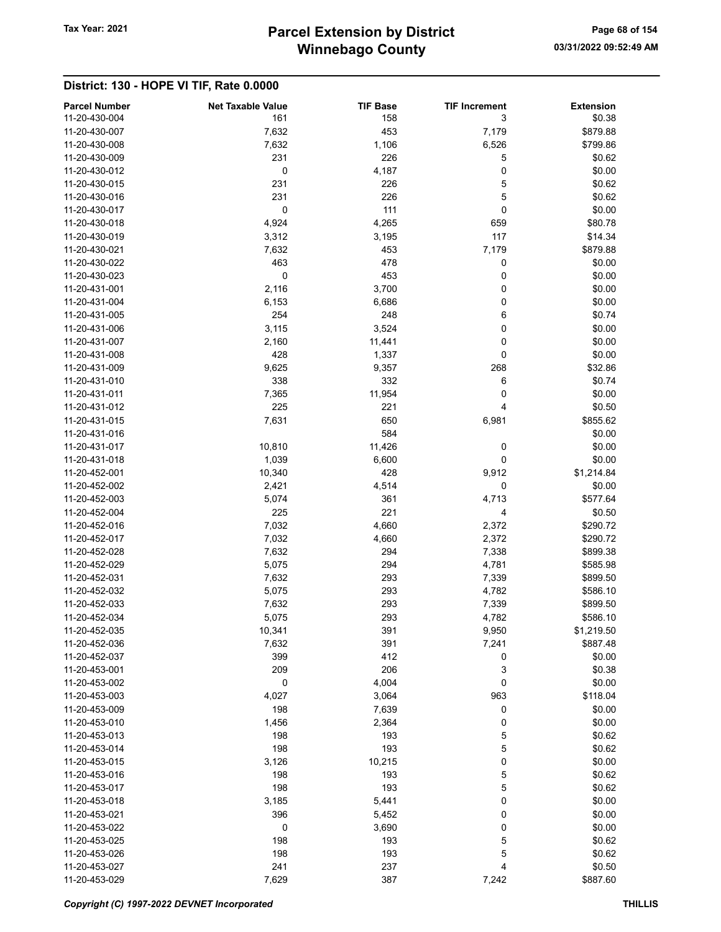# Winnebago County Tax Year: 2021 **Parcel Extension by District** Page 68 of 154

| <b>Parcel Number</b><br>11-20-430-004 | <b>Net Taxable Value</b><br>161 | <b>TIF Base</b><br>158 | <b>TIF Increment</b><br>3 | <b>Extension</b><br>\$0.38 |
|---------------------------------------|---------------------------------|------------------------|---------------------------|----------------------------|
| 11-20-430-007                         | 7,632                           | 453                    | 7,179                     | \$879.88                   |
| 11-20-430-008                         | 7,632                           | 1,106                  | 6,526                     | \$799.86                   |
| 11-20-430-009                         | 231                             | 226                    | 5                         | \$0.62                     |
| 11-20-430-012                         | 0                               | 4,187                  | 0                         | \$0.00                     |
| 11-20-430-015                         | 231                             | 226                    | 5                         | \$0.62                     |
| 11-20-430-016                         | 231                             | 226                    | 5                         | \$0.62                     |
| 11-20-430-017                         | 0                               | 111                    | 0                         | \$0.00                     |
| 11-20-430-018                         | 4,924                           | 4,265                  | 659                       | \$80.78                    |
| 11-20-430-019                         | 3,312                           | 3,195                  | 117                       | \$14.34                    |
| 11-20-430-021                         | 7,632                           | 453                    | 7,179                     | \$879.88                   |
| 11-20-430-022                         | 463                             | 478                    | 0                         | \$0.00                     |
| 11-20-430-023                         | 0                               | 453                    | 0                         | \$0.00                     |
| 11-20-431-001                         | 2,116                           | 3,700                  | 0                         | \$0.00                     |
| 11-20-431-004                         | 6,153                           | 6,686                  | 0                         | \$0.00                     |
| 11-20-431-005                         | 254                             | 248                    | 6                         | \$0.74                     |
| 11-20-431-006                         | 3,115                           | 3,524                  | 0                         | \$0.00                     |
| 11-20-431-007                         | 2,160                           | 11,441                 | 0                         | \$0.00                     |
| 11-20-431-008                         | 428                             | 1,337                  | 0                         | \$0.00                     |
| 11-20-431-009                         | 9,625                           | 9,357                  | 268                       | \$32.86                    |
| 11-20-431-010                         | 338                             | 332                    | 6                         | \$0.74                     |
| 11-20-431-011                         | 7,365                           | 11,954                 | 0                         | \$0.00                     |
| 11-20-431-012                         | 225                             | 221                    | 4                         | \$0.50                     |
| 11-20-431-015                         | 7,631                           | 650                    | 6,981                     | \$855.62                   |
| 11-20-431-016                         |                                 | 584                    |                           | \$0.00                     |
| 11-20-431-017                         | 10,810                          | 11,426                 | 0                         | \$0.00                     |
| 11-20-431-018                         | 1,039                           | 6,600                  | 0                         | \$0.00                     |
| 11-20-452-001                         | 10,340                          | 428                    | 9,912                     | \$1,214.84                 |
| 11-20-452-002                         | 2,421                           | 4,514                  | 0                         | \$0.00                     |
| 11-20-452-003                         | 5,074                           | 361                    | 4,713                     | \$577.64                   |
| 11-20-452-004                         | 225                             | 221                    | 4                         | \$0.50                     |
| 11-20-452-016                         | 7,032                           | 4,660                  | 2,372                     | \$290.72                   |
| 11-20-452-017                         | 7,032                           | 4,660                  | 2,372                     | \$290.72                   |
| 11-20-452-028                         | 7,632                           | 294                    | 7,338                     | \$899.38                   |
| 11-20-452-029                         | 5,075                           | 294                    | 4,781                     | \$585.98                   |
| 11-20-452-031                         | 7,632                           | 293                    | 7,339                     | \$899.50                   |
| 11-20-452-032                         | 5,075                           | 293                    | 4,782                     | \$586.10                   |
| 11-20-452-033                         | 7,632                           | 293                    | 7,339                     | \$899.50                   |
| 11-20-452-034                         | 5,075                           | 293                    | 4,782                     | \$586.10                   |
| 11-20-452-035                         | 10,341                          | 391                    | 9,950                     | \$1,219.50                 |
| 11-20-452-036                         | 7,632                           | 391                    | 7,241                     | \$887.48                   |
| 11-20-452-037                         | 399                             | 412                    | 0                         | \$0.00                     |
| 11-20-453-001                         | 209                             | 206                    | 3                         | \$0.38                     |
| 11-20-453-002                         | 0                               | 4,004                  | 0                         | \$0.00                     |
| 11-20-453-003                         | 4,027                           | 3,064                  | 963                       | \$118.04                   |
| 11-20-453-009                         | 198                             | 7,639                  | 0                         | \$0.00                     |
| 11-20-453-010                         | 1,456                           | 2,364                  | 0                         | \$0.00                     |
| 11-20-453-013                         | 198                             | 193                    | 5                         | \$0.62                     |
| 11-20-453-014                         | 198                             | 193                    | 5                         | \$0.62                     |
| 11-20-453-015                         | 3,126                           | 10,215                 | 0                         | \$0.00                     |
| 11-20-453-016                         | 198                             | 193                    | 5                         | \$0.62                     |
| 11-20-453-017                         | 198                             | 193                    | 5                         | \$0.62                     |
| 11-20-453-018                         | 3,185                           | 5,441                  | 0                         | \$0.00                     |
| 11-20-453-021                         | 396                             | 5,452                  | 0                         | \$0.00                     |
| 11-20-453-022                         | 0                               | 3,690                  | 0                         | \$0.00                     |
| 11-20-453-025                         | 198                             | 193                    | 5                         | \$0.62                     |
| 11-20-453-026                         | 198                             | 193                    | 5                         | \$0.62                     |
| 11-20-453-027                         | 241                             | 237                    | 4                         | \$0.50                     |
| 11-20-453-029                         | 7,629                           | 387                    | 7,242                     | \$887.60                   |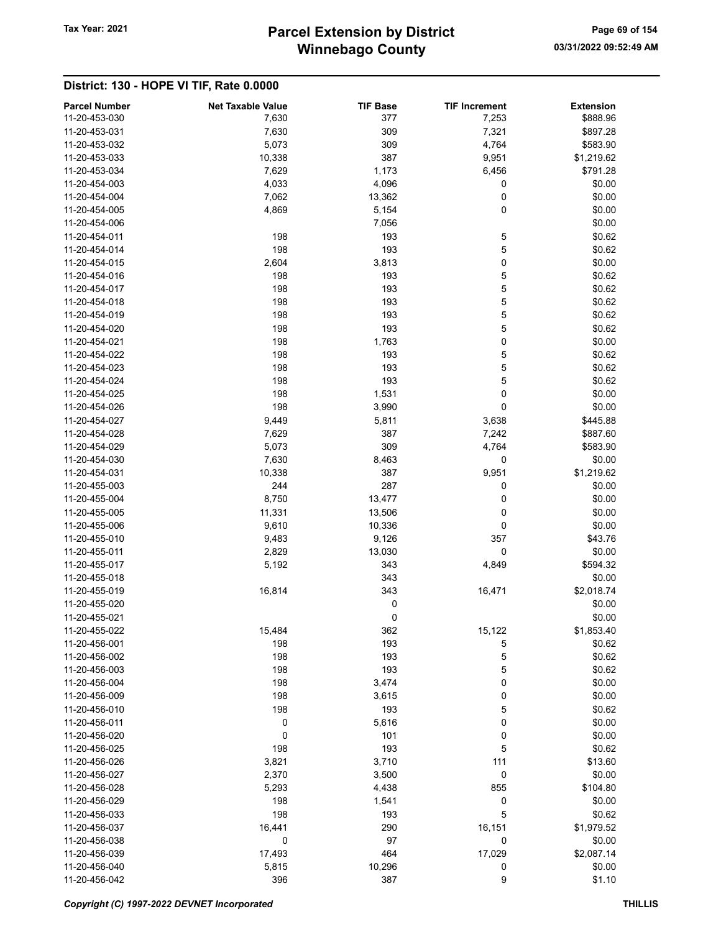# Winnebago County Tax Year: 2021 **Parcel Extension by District** Page 69 of 154

| <b>Parcel Number</b><br>11-20-453-030 | <b>Net Taxable Value</b><br>7,630 | <b>TIF Base</b><br>377 | <b>TIF Increment</b><br>7,253 | <b>Extension</b><br>\$888.96 |
|---------------------------------------|-----------------------------------|------------------------|-------------------------------|------------------------------|
| 11-20-453-031                         | 7,630                             | 309                    | 7,321                         | \$897.28                     |
| 11-20-453-032                         | 5,073                             | 309                    | 4,764                         | \$583.90                     |
| 11-20-453-033                         | 10,338                            | 387                    | 9,951                         | \$1,219.62                   |
| 11-20-453-034                         | 7,629                             | 1,173                  | 6,456                         | \$791.28                     |
| 11-20-454-003                         | 4,033                             | 4,096                  | 0                             | \$0.00                       |
| 11-20-454-004                         | 7,062                             | 13,362                 | 0                             | \$0.00                       |
| 11-20-454-005                         | 4,869                             | 5,154                  | 0                             | \$0.00                       |
| 11-20-454-006                         |                                   | 7,056                  |                               | \$0.00                       |
| 11-20-454-011                         | 198                               | 193                    | 5                             | \$0.62                       |
| 11-20-454-014                         | 198                               | 193                    | 5                             | \$0.62                       |
| 11-20-454-015                         | 2,604                             | 3,813                  | 0                             | \$0.00                       |
| 11-20-454-016                         | 198                               | 193                    | 5                             | \$0.62                       |
| 11-20-454-017                         | 198                               | 193                    | 5                             | \$0.62                       |
| 11-20-454-018                         | 198                               | 193                    | 5                             | \$0.62                       |
| 11-20-454-019                         | 198                               | 193                    | 5                             | \$0.62                       |
| 11-20-454-020                         | 198                               | 193                    | 5                             | \$0.62                       |
| 11-20-454-021                         | 198                               | 1,763                  | 0                             | \$0.00                       |
| 11-20-454-022                         | 198                               | 193                    | 5                             | \$0.62                       |
| 11-20-454-023                         | 198                               | 193                    | 5                             | \$0.62                       |
| 11-20-454-024                         | 198                               | 193                    | 5                             | \$0.62                       |
| 11-20-454-025                         | 198                               | 1,531                  | 0                             | \$0.00                       |
| 11-20-454-026                         | 198                               | 3,990                  | 0                             | \$0.00                       |
| 11-20-454-027                         | 9,449                             | 5,811                  | 3,638                         | \$445.88                     |
| 11-20-454-028                         | 7,629                             | 387                    | 7,242                         | \$887.60                     |
| 11-20-454-029                         | 5,073                             | 309                    | 4,764                         | \$583.90                     |
| 11-20-454-030                         | 7,630                             | 8,463                  | 0                             | \$0.00                       |
| 11-20-454-031                         | 10,338                            | 387                    | 9,951                         | \$1,219.62                   |
| 11-20-455-003                         | 244                               | 287                    | 0                             | \$0.00                       |
| 11-20-455-004                         | 8,750                             | 13,477                 | 0                             | \$0.00                       |
| 11-20-455-005                         | 11,331                            | 13,506                 | 0                             | \$0.00                       |
| 11-20-455-006                         | 9,610                             | 10,336                 | 0                             | \$0.00                       |
| 11-20-455-010                         | 9,483                             | 9,126                  | 357                           | \$43.76                      |
| 11-20-455-011                         | 2,829                             | 13,030                 | 0                             | \$0.00                       |
| 11-20-455-017                         | 5,192                             | 343                    | 4,849                         | \$594.32                     |
| 11-20-455-018                         |                                   | 343                    |                               | \$0.00                       |
| 11-20-455-019                         | 16,814                            | 343                    | 16,471                        | \$2,018.74                   |
| 11-20-455-020                         |                                   | 0                      |                               | \$0.00                       |
| 11-20-455-021                         |                                   | 0                      |                               | \$0.00                       |
| 11-20-455-022                         | 15,484                            | 362                    | 15,122                        | \$1,853.40                   |
| 11-20-456-001                         | 198                               | 193                    | 5                             | \$0.62                       |
| 11-20-456-002                         | 198                               | 193                    | 5                             | \$0.62                       |
| 11-20-456-003                         | 198                               | 193                    | 5                             | \$0.62                       |
| 11-20-456-004                         | 198                               | 3,474                  | 0                             | \$0.00                       |
| 11-20-456-009                         | 198                               | 3,615                  | 0                             | \$0.00                       |
| 11-20-456-010                         | 198                               | 193                    | 5                             | \$0.62                       |
| 11-20-456-011                         | 0                                 | 5,616                  | 0                             | \$0.00                       |
| 11-20-456-020                         | 0                                 | 101                    | 0                             | \$0.00                       |
| 11-20-456-025                         | 198                               | 193                    | 5                             | \$0.62                       |
| 11-20-456-026                         | 3,821                             | 3,710                  | 111                           | \$13.60                      |
| 11-20-456-027                         | 2,370                             | 3,500                  | 0                             | \$0.00                       |
| 11-20-456-028                         | 5,293                             | 4,438                  | 855                           | \$104.80                     |
| 11-20-456-029                         | 198                               | 1,541                  | 0                             | \$0.00                       |
| 11-20-456-033                         | 198                               | 193                    | 5                             | \$0.62                       |
| 11-20-456-037                         | 16,441                            | 290                    | 16,151                        | \$1,979.52                   |
| 11-20-456-038                         | 0                                 | 97                     | 0                             | \$0.00                       |
| 11-20-456-039                         | 17,493                            | 464                    | 17,029                        | \$2,087.14                   |
| 11-20-456-040                         | 5,815                             | 10,296                 | 0                             | \$0.00                       |
| 11-20-456-042                         | 396                               | 387                    | 9                             | \$1.10                       |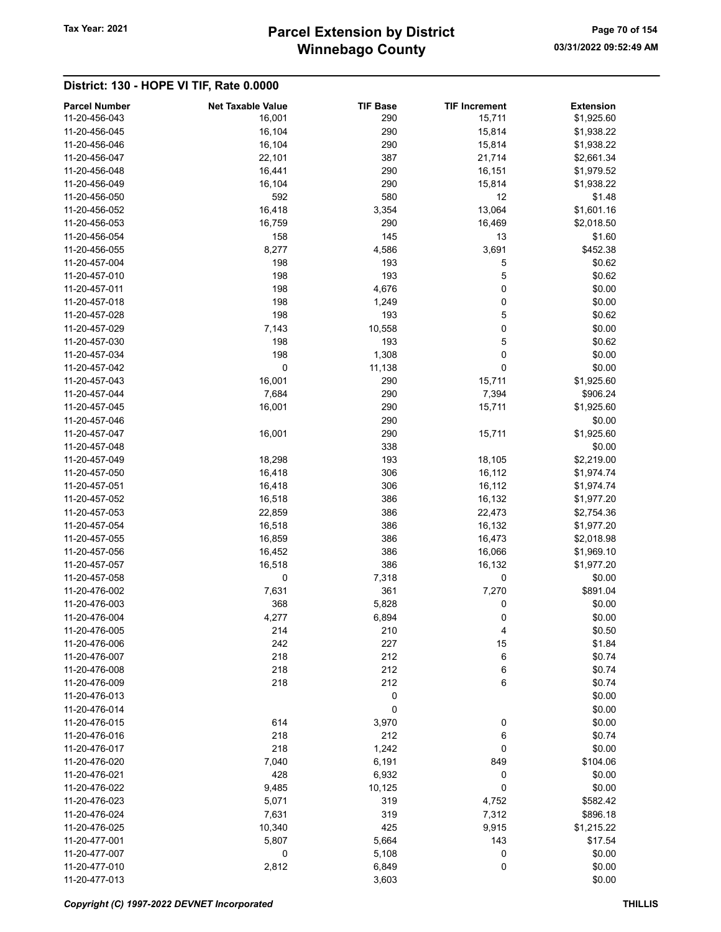# Winnebago County Tax Year: 2021 **Parcel Extension by District** Page 70 of 154

| <b>Parcel Number</b> | <b>Net Taxable Value</b> | <b>TIF Base</b> | <b>TIF Increment</b> | <b>Extension</b> |
|----------------------|--------------------------|-----------------|----------------------|------------------|
| 11-20-456-043        | 16,001                   | 290             | 15,711               | \$1,925.60       |
| 11-20-456-045        | 16,104                   | 290             | 15,814               | \$1,938.22       |
| 11-20-456-046        | 16,104                   | 290             | 15,814               | \$1,938.22       |
| 11-20-456-047        | 22,101                   | 387             | 21,714               | \$2,661.34       |
| 11-20-456-048        | 16,441                   | 290             | 16,151               | \$1,979.52       |
| 11-20-456-049        | 16,104                   | 290             | 15,814               | \$1,938.22       |
| 11-20-456-050        | 592                      | 580             | 12                   | \$1.48           |
| 11-20-456-052        | 16,418                   | 3,354           | 13,064               | \$1,601.16       |
| 11-20-456-053        | 16,759                   | 290             | 16,469               | \$2,018.50       |
| 11-20-456-054        | 158                      | 145             | 13                   | \$1.60           |
| 11-20-456-055        | 8,277                    | 4,586           | 3,691                | \$452.38         |
| 11-20-457-004        | 198                      | 193             | 5                    | \$0.62           |
| 11-20-457-010        | 198                      | 193             | 5                    | \$0.62           |
| 11-20-457-011        | 198                      | 4,676           | 0                    | \$0.00           |
| 11-20-457-018        | 198                      | 1,249           | 0                    | \$0.00           |
| 11-20-457-028        | 198                      | 193             | 5                    | \$0.62           |
| 11-20-457-029        | 7,143                    | 10,558          | 0                    | \$0.00           |
| 11-20-457-030        | 198                      | 193             | 5                    | \$0.62           |
| 11-20-457-034        | 198                      | 1,308           | 0                    | \$0.00           |
| 11-20-457-042        | 0                        | 11,138          | 0                    | \$0.00           |
| 11-20-457-043        | 16,001                   | 290             | 15,711               | \$1,925.60       |
| 11-20-457-044        | 7,684                    | 290             | 7,394                | \$906.24         |
| 11-20-457-045        | 16,001                   | 290             | 15,711               | \$1,925.60       |
| 11-20-457-046        |                          | 290             |                      | \$0.00           |
| 11-20-457-047        | 16,001                   | 290             | 15,711               | \$1,925.60       |
| 11-20-457-048        |                          | 338             |                      | \$0.00           |
| 11-20-457-049        | 18,298                   | 193             | 18,105               | \$2,219.00       |
| 11-20-457-050        | 16,418                   | 306             | 16,112               | \$1,974.74       |
| 11-20-457-051        | 16,418                   | 306             | 16,112               | \$1,974.74       |
| 11-20-457-052        | 16,518                   | 386             | 16,132               | \$1,977.20       |
| 11-20-457-053        | 22,859                   | 386             | 22,473               | \$2,754.36       |
| 11-20-457-054        | 16,518                   | 386             | 16,132               | \$1,977.20       |
| 11-20-457-055        | 16,859                   | 386             | 16,473               | \$2,018.98       |
| 11-20-457-056        | 16,452                   | 386             | 16,066               | \$1,969.10       |
| 11-20-457-057        | 16,518                   | 386             | 16,132               | \$1,977.20       |
| 11-20-457-058        | 0                        | 7,318           | 0                    | \$0.00           |
| 11-20-476-002        | 7,631                    | 361             | 7,270                | \$891.04         |
| 11-20-476-003        | 368                      | 5,828           | 0                    | \$0.00           |
| 11-20-476-004        | 4,277                    | 6,894           | $\Omega$             | \$0.00           |
| 11-20-476-005        | 214                      | 210             | 4                    | \$0.50           |
| 11-20-476-006        | 242                      | 227             | 15                   | \$1.84           |
| 11-20-476-007        | 218                      | 212             | 6                    | \$0.74           |
| 11-20-476-008        | 218                      | 212             | 6                    | \$0.74           |
| 11-20-476-009        | 218                      | 212             | 6                    | \$0.74           |
| 11-20-476-013        |                          | 0               |                      | \$0.00           |
| 11-20-476-014        |                          | 0               |                      | \$0.00           |
| 11-20-476-015        | 614                      | 3,970           | 0                    | \$0.00           |
| 11-20-476-016        | 218                      | 212             | 6                    | \$0.74           |
| 11-20-476-017        | 218                      | 1,242           | 0                    | \$0.00           |
| 11-20-476-020        | 7,040                    | 6,191           | 849                  | \$104.06         |
| 11-20-476-021        | 428                      | 6,932           | 0                    | \$0.00           |
| 11-20-476-022        | 9,485                    | 10,125          | 0                    | \$0.00           |
| 11-20-476-023        | 5,071                    | 319             | 4,752                | \$582.42         |
| 11-20-476-024        | 7,631                    | 319             | 7,312                | \$896.18         |
| 11-20-476-025        | 10,340                   | 425             | 9,915                | \$1,215.22       |
| 11-20-477-001        | 5,807                    | 5,664           | 143                  | \$17.54          |
| 11-20-477-007        | 0                        | 5,108           | 0                    | \$0.00           |
| 11-20-477-010        | 2,812                    | 6,849           | 0                    | \$0.00           |
| 11-20-477-013        |                          | 3,603           |                      | \$0.00           |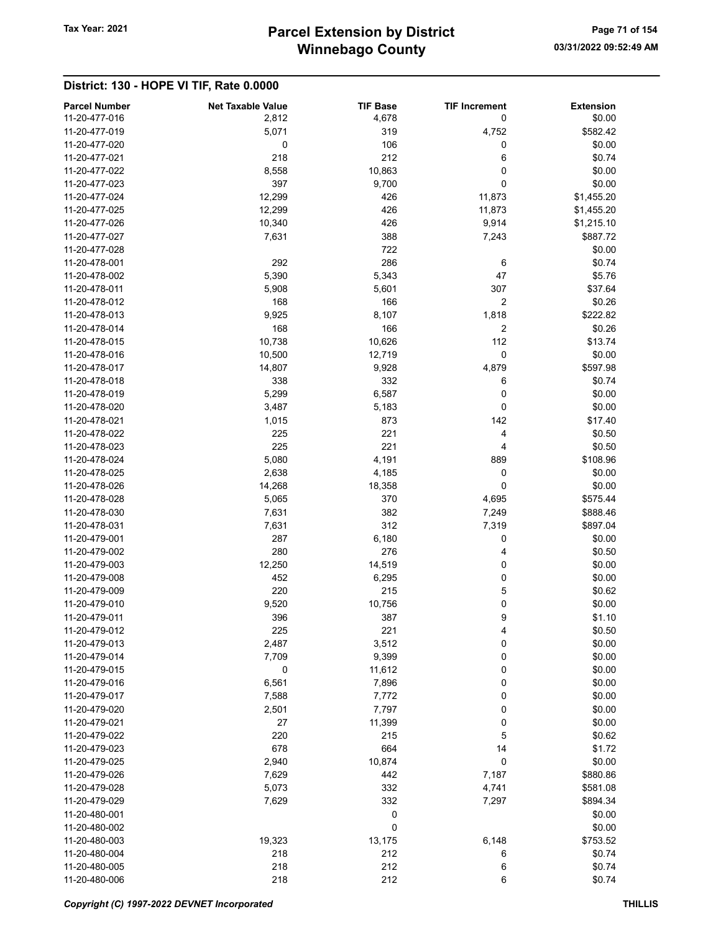| <b>Parcel Number</b><br>11-20-477-016 | <b>Net Taxable Value</b> | <b>TIF Base</b> | <b>TIF Increment</b> | <b>Extension</b>       |
|---------------------------------------|--------------------------|-----------------|----------------------|------------------------|
|                                       | 2,812                    | 4,678           | 0                    | \$0.00                 |
| 11-20-477-019<br>11-20-477-020        | 5,071<br>0               | 319<br>106      | 4,752<br>0           | \$582.42<br>\$0.00     |
| 11-20-477-021                         | 218                      | 212             | 6                    | \$0.74                 |
| 11-20-477-022                         | 8,558                    | 10,863          | 0                    | \$0.00                 |
| 11-20-477-023                         | 397                      |                 | 0                    | \$0.00                 |
| 11-20-477-024                         | 12,299                   | 9,700<br>426    | 11,873               | \$1,455.20             |
| 11-20-477-025                         | 12,299                   | 426             |                      |                        |
| 11-20-477-026                         | 10,340                   | 426             | 11,873<br>9,914      | \$1,455.20             |
| 11-20-477-027                         | 7,631                    | 388             |                      | \$1,215.10<br>\$887.72 |
| 11-20-477-028                         |                          | 722             | 7,243                | \$0.00                 |
| 11-20-478-001                         | 292                      | 286             | 6                    | \$0.74                 |
| 11-20-478-002                         | 5,390                    | 5,343           | 47                   | \$5.76                 |
| 11-20-478-011                         |                          |                 | 307                  | \$37.64                |
| 11-20-478-012                         | 5,908<br>168             | 5,601<br>166    | 2                    | \$0.26                 |
| 11-20-478-013                         | 9,925                    | 8,107           | 1,818                | \$222.82               |
| 11-20-478-014                         | 168                      | 166             | 2                    | \$0.26                 |
| 11-20-478-015                         | 10,738                   | 10,626          | 112                  | \$13.74                |
| 11-20-478-016                         | 10,500                   | 12,719          | 0                    | \$0.00                 |
| 11-20-478-017                         | 14,807                   | 9,928           | 4,879                | \$597.98               |
| 11-20-478-018                         | 338                      | 332             | 6                    | \$0.74                 |
| 11-20-478-019                         | 5,299                    | 6,587           | 0                    | \$0.00                 |
| 11-20-478-020                         | 3,487                    | 5,183           | 0                    | \$0.00                 |
| 11-20-478-021                         | 1,015                    | 873             | 142                  | \$17.40                |
| 11-20-478-022                         | 225                      | 221             | 4                    | \$0.50                 |
| 11-20-478-023                         | 225                      | 221             | 4                    | \$0.50                 |
| 11-20-478-024                         | 5,080                    | 4,191           | 889                  | \$108.96               |
| 11-20-478-025                         | 2,638                    | 4,185           | 0                    | \$0.00                 |
| 11-20-478-026                         | 14,268                   | 18,358          | 0                    | \$0.00                 |
| 11-20-478-028                         | 5,065                    | 370             | 4,695                | \$575.44               |
| 11-20-478-030                         | 7,631                    | 382             | 7,249                | \$888.46               |
| 11-20-478-031                         | 7,631                    | 312             | 7,319                | \$897.04               |
| 11-20-479-001                         | 287                      | 6,180           | 0                    | \$0.00                 |
| 11-20-479-002                         | 280                      | 276             | 4                    | \$0.50                 |
| 11-20-479-003                         | 12,250                   | 14,519          | 0                    | \$0.00                 |
| 11-20-479-008                         | 452                      | 6,295           | 0                    | \$0.00                 |
| 11-20-479-009                         | 220                      | 215             | 5                    | \$0.62                 |
| 11-20-479-010                         | 9,520                    | 10,756          | 0                    | \$0.00                 |
| 11-20-479-011                         | 396                      | 387             | 9                    | \$1.10                 |
| 11-20-479-012                         | 225                      | 221             | 4                    | \$0.50                 |
| 11-20-479-013                         | 2,487                    | 3,512           | 0                    | \$0.00                 |
| 11-20-479-014                         | 7,709                    | 9,399           | 0                    | \$0.00                 |
| 11-20-479-015                         | 0                        | 11,612          | 0                    | \$0.00                 |
| 11-20-479-016                         | 6,561                    | 7,896           | 0                    | \$0.00                 |
| 11-20-479-017                         | 7,588                    | 7,772           | 0                    | \$0.00                 |
| 11-20-479-020                         | 2,501                    | 7,797           | 0                    | \$0.00                 |
| 11-20-479-021                         | 27                       | 11,399          | 0                    | \$0.00                 |
| 11-20-479-022                         | 220                      | 215             | 5                    | \$0.62                 |
| 11-20-479-023                         | 678                      | 664             | 14                   | \$1.72                 |
| 11-20-479-025                         | 2,940                    | 10,874          | 0                    | \$0.00                 |
| 11-20-479-026                         | 7,629                    | 442             | 7,187                | \$880.86               |
| 11-20-479-028                         | 5,073                    | 332             | 4,741                | \$581.08               |
| 11-20-479-029                         | 7,629                    | 332             | 7,297                | \$894.34               |
| 11-20-480-001                         |                          | 0               |                      | \$0.00                 |
| 11-20-480-002                         |                          | 0               |                      | \$0.00                 |
| 11-20-480-003                         | 19,323                   | 13,175          | 6,148                | \$753.52               |
| 11-20-480-004                         | 218                      | 212             | 6                    | \$0.74                 |
| 11-20-480-005                         | 218                      | 212             | 6                    | \$0.74                 |
| 11-20-480-006                         | 218                      | 212             | 6                    | \$0.74                 |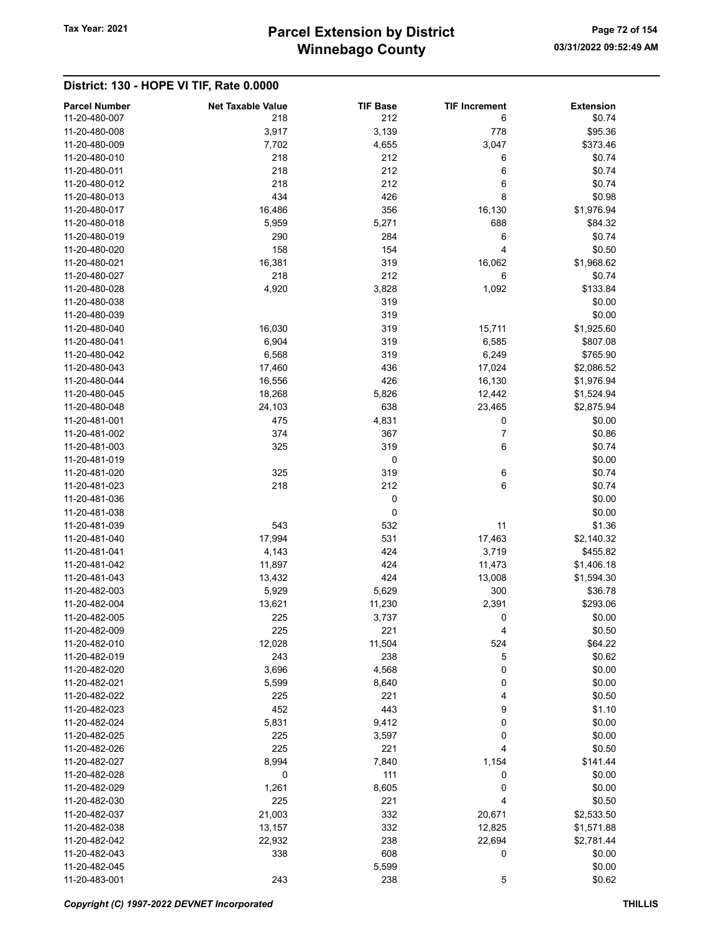# Winnebago County Tax Year: 2021 **Parcel Extension by District** Page 72 of 154

| <b>Parcel Number</b> | <b>Net Taxable Value</b> | <b>TIF Base</b> | <b>TIF Increment</b> | <b>Extension</b> |
|----------------------|--------------------------|-----------------|----------------------|------------------|
| 11-20-480-007        | 218                      | 212             | 6                    | \$0.74           |
| 11-20-480-008        | 3,917                    | 3,139           | 778                  | \$95.36          |
| 11-20-480-009        | 7,702                    | 4,655           | 3,047                | \$373.46         |
| 11-20-480-010        | 218                      | 212             | 6                    | \$0.74           |
| 11-20-480-011        | 218                      | 212             | 6                    | \$0.74           |
| 11-20-480-012        | 218                      | 212             | 6                    | \$0.74           |
| 11-20-480-013        | 434                      | 426             | 8                    | \$0.98           |
| 11-20-480-017        | 16,486                   | 356             | 16,130               | \$1,976.94       |
| 11-20-480-018        | 5,959                    | 5,271           | 688                  | \$84.32          |
| 11-20-480-019        | 290                      | 284             | 6                    | \$0.74           |
| 11-20-480-020        | 158                      | 154             | 4                    | \$0.50           |
| 11-20-480-021        | 16,381                   | 319             | 16,062               | \$1,968.62       |
| 11-20-480-027        | 218                      | 212             | 6                    | \$0.74           |
| 11-20-480-028        | 4,920                    | 3,828           | 1,092                | \$133.84         |
| 11-20-480-038        |                          | 319             |                      | \$0.00           |
| 11-20-480-039        |                          | 319             |                      | \$0.00           |
| 11-20-480-040        | 16,030                   | 319             | 15,711               | \$1,925.60       |
| 11-20-480-041        | 6,904                    | 319             | 6,585                | \$807.08         |
| 11-20-480-042        | 6,568                    | 319             | 6,249                | \$765.90         |
| 11-20-480-043        | 17,460                   | 436             | 17,024               | \$2,086.52       |
| 11-20-480-044        | 16,556                   | 426             | 16,130               | \$1,976.94       |
| 11-20-480-045        | 18,268                   | 5,826           | 12,442               | \$1,524.94       |
| 11-20-480-048        | 24,103                   | 638             | 23,465               | \$2,875.94       |
| 11-20-481-001        | 475                      | 4,831           | 0                    | \$0.00           |
| 11-20-481-002        | 374                      | 367             | 7                    | \$0.86           |
| 11-20-481-003        | 325                      | 319             | 6                    | \$0.74           |
| 11-20-481-019        |                          | $\pmb{0}$       |                      | \$0.00           |
| 11-20-481-020        | 325                      | 319             | 6                    | \$0.74           |
| 11-20-481-023        | 218                      | 212             | 6                    | \$0.74           |
| 11-20-481-036        |                          | 0               |                      | \$0.00           |
| 11-20-481-038        |                          | 0               |                      | \$0.00           |
| 11-20-481-039        | 543                      | 532             | 11                   | \$1.36           |
| 11-20-481-040        | 17,994                   | 531             | 17,463               | \$2,140.32       |
| 11-20-481-041        | 4,143                    | 424             | 3,719                | \$455.82         |
| 11-20-481-042        | 11,897                   | 424             | 11,473               | \$1,406.18       |
| 11-20-481-043        | 13,432                   | 424             | 13,008               | \$1,594.30       |
| 11-20-482-003        | 5,929                    | 5,629           | 300                  | \$36.78          |
| 11-20-482-004        | 13,621                   | 11,230          | 2,391                | \$293.06         |
| 11-20-482-005        | 225                      | 3,737           | 0                    | \$0.00           |
| 11-20-482-009        | 225                      | 221             | 4                    | \$0.50           |
| 11-20-482-010        | 12,028                   | 11,504          | 524                  | \$64.22          |
| 11-20-482-019        | 243                      | 238             | 5                    | \$0.62           |
| 11-20-482-020        | 3,696                    | 4,568           | 0                    | \$0.00           |
| 11-20-482-021        | 5,599                    | 8,640           | 0                    | \$0.00           |
| 11-20-482-022        | 225                      | 221             | 4                    | \$0.50           |
| 11-20-482-023        | 452                      | 443             | 9                    | \$1.10           |
| 11-20-482-024        | 5,831                    | 9,412           | 0                    | \$0.00           |
| 11-20-482-025        | 225                      | 3,597           | 0                    | \$0.00           |
| 11-20-482-026        | 225                      | 221             | 4                    | \$0.50           |
| 11-20-482-027        | 8,994                    | 7,840           | 1,154                | \$141.44         |
| 11-20-482-028        | 0                        | 111             | 0                    | \$0.00           |
| 11-20-482-029        | 1,261                    | 8,605           | 0                    | \$0.00           |
| 11-20-482-030        | 225                      | 221             | 4                    | \$0.50           |
| 11-20-482-037        | 21,003                   | 332             | 20,671               | \$2,533.50       |
| 11-20-482-038        | 13,157                   | 332             | 12,825               | \$1,571.88       |
| 11-20-482-042        | 22,932                   | 238             | 22,694               | \$2,781.44       |
| 11-20-482-043        | 338                      | 608             | 0                    | \$0.00           |
| 11-20-482-045        |                          | 5,599           |                      | \$0.00           |
| 11-20-483-001        | 243                      | 238             | 5                    | \$0.62           |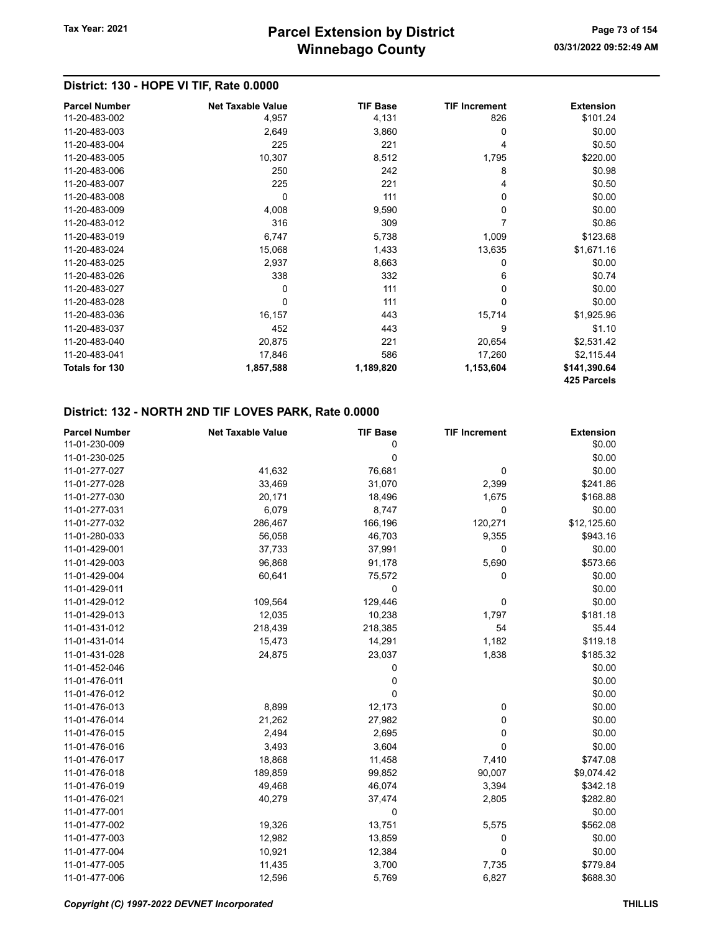# District: 130 - HOPE VI TIF, Rate 0.0000

| <b>Parcel Number</b> | <b>Net Taxable Value</b> | <b>TIF Base</b> | <b>TIF Increment</b> | <b>Extension</b> |
|----------------------|--------------------------|-----------------|----------------------|------------------|
| 11-20-483-002        | 4,957                    | 4,131           | 826                  | \$101.24         |
| 11-20-483-003        | 2,649                    | 3,860           | 0                    | \$0.00           |
| 11-20-483-004        | 225                      | 221             | 4                    | \$0.50           |
| 11-20-483-005        | 10,307                   | 8,512           | 1,795                | \$220.00         |
| 11-20-483-006        | 250                      | 242             | 8                    | \$0.98           |
| 11-20-483-007        | 225                      | 221             | 4                    | \$0.50           |
| 11-20-483-008        | $\mathbf{0}$             | 111             | 0                    | \$0.00           |
| 11-20-483-009        | 4,008                    | 9,590           | 0                    | \$0.00           |
| 11-20-483-012        | 316                      | 309             | 7                    | \$0.86           |
| 11-20-483-019        | 6,747                    | 5,738           | 1,009                | \$123.68         |
| 11-20-483-024        | 15,068                   | 1,433           | 13,635               | \$1,671.16       |
| 11-20-483-025        | 2,937                    | 8,663           | 0                    | \$0.00           |
| 11-20-483-026        | 338                      | 332             | 6                    | \$0.74           |
| 11-20-483-027        | 0                        | 111             | 0                    | \$0.00           |
| 11-20-483-028        | $\Omega$                 | 111             | 0                    | \$0.00           |
| 11-20-483-036        | 16,157                   | 443             | 15,714               | \$1,925.96       |
| 11-20-483-037        | 452                      | 443             | 9                    | \$1.10           |
| 11-20-483-040        | 20,875                   | 221             | 20,654               | \$2,531.42       |
| 11-20-483-041        | 17,846                   | 586             | 17,260               | \$2,115.44       |
| Totals for 130       | 1,857,588                | 1,189,820       | 1,153,604            | \$141,390.64     |
|                      |                          |                 |                      | 425 Parcels      |

| <b>Parcel Number</b> | <b>Net Taxable Value</b> | <b>TIF Base</b> | <b>TIF Increment</b> | <b>Extension</b> |
|----------------------|--------------------------|-----------------|----------------------|------------------|
| 11-01-230-009        |                          | 0               |                      | \$0.00           |
| 11-01-230-025        |                          | 0               |                      | \$0.00           |
| 11-01-277-027        | 41,632                   | 76,681          | 0                    | \$0.00           |
| 11-01-277-028        | 33,469                   | 31,070          | 2,399                | \$241.86         |
| 11-01-277-030        | 20,171                   | 18,496          | 1,675                | \$168.88         |
| 11-01-277-031        | 6,079                    | 8,747           | 0                    | \$0.00           |
| 11-01-277-032        | 286,467                  | 166,196         | 120,271              | \$12,125.60      |
| 11-01-280-033        | 56,058                   | 46,703          | 9,355                | \$943.16         |
| 11-01-429-001        | 37,733                   | 37,991          | 0                    | \$0.00           |
| 11-01-429-003        | 96,868                   | 91,178          | 5,690                | \$573.66         |
| 11-01-429-004        | 60,641                   | 75,572          | 0                    | \$0.00           |
| 11-01-429-011        |                          | 0               |                      | \$0.00           |
| 11-01-429-012        | 109,564                  | 129,446         | 0                    | \$0.00           |
| 11-01-429-013        | 12,035                   | 10,238          | 1,797                | \$181.18         |
| 11-01-431-012        | 218,439                  | 218,385         | 54                   | \$5.44           |
| 11-01-431-014        | 15,473                   | 14,291          | 1,182                | \$119.18         |
| 11-01-431-028        | 24,875                   | 23,037          | 1,838                | \$185.32         |
| 11-01-452-046        |                          | 0               |                      | \$0.00           |
| 11-01-476-011        |                          | 0               |                      | \$0.00           |
| 11-01-476-012        |                          | $\mathbf 0$     |                      | \$0.00           |
| 11-01-476-013        | 8,899                    | 12,173          | 0                    | \$0.00           |
| 11-01-476-014        | 21,262                   | 27,982          | 0                    | \$0.00           |
| 11-01-476-015        | 2,494                    | 2,695           | 0                    | \$0.00           |
| 11-01-476-016        | 3,493                    | 3,604           | 0                    | \$0.00           |
| 11-01-476-017        | 18,868                   | 11,458          | 7,410                | \$747.08         |
| 11-01-476-018        | 189,859                  | 99,852          | 90,007               | \$9,074.42       |
| 11-01-476-019        | 49,468                   | 46,074          | 3,394                | \$342.18         |
| 11-01-476-021        | 40,279                   | 37,474          | 2,805                | \$282.80         |
| 11-01-477-001        |                          | 0               |                      | \$0.00           |
| 11-01-477-002        | 19,326                   | 13,751          | 5,575                | \$562.08         |
| 11-01-477-003        | 12,982                   | 13,859          | 0                    | \$0.00           |
| 11-01-477-004        | 10,921                   | 12,384          | 0                    | \$0.00           |
| 11-01-477-005        | 11,435                   | 3,700           | 7,735                | \$779.84         |
| 11-01-477-006        | 12,596                   | 5,769           | 6,827                | \$688.30         |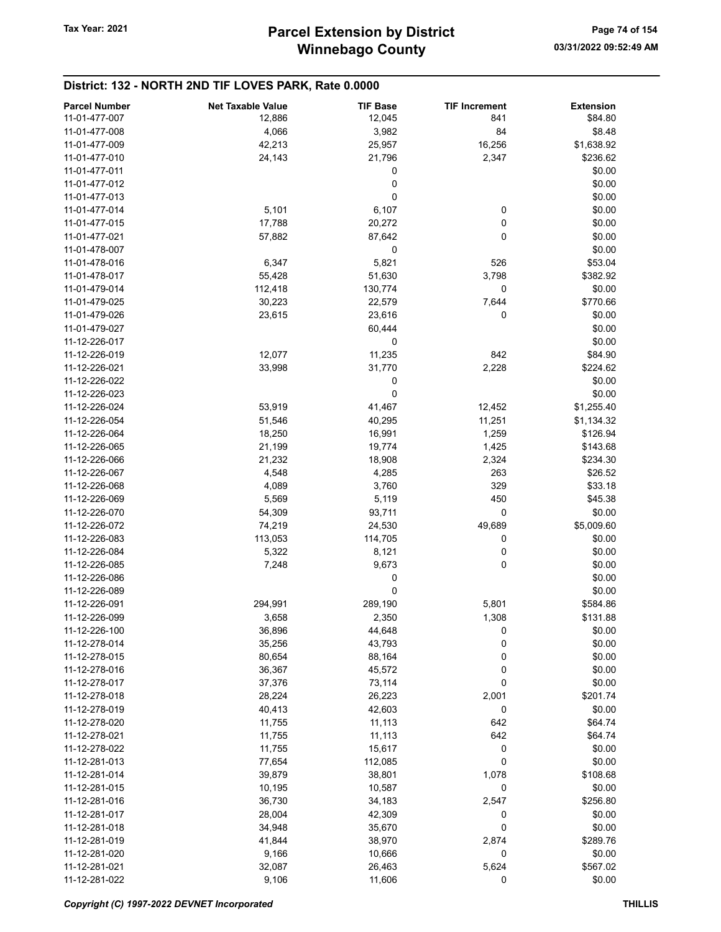| <b>Parcel Number</b> | <b>Net Taxable Value</b> | <b>TIF Base</b> | <b>TIF Increment</b> | <b>Extension</b> |
|----------------------|--------------------------|-----------------|----------------------|------------------|
| 11-01-477-007        | 12,886                   |                 | 841                  | \$84.80          |
|                      |                          | 12,045          |                      |                  |
| 11-01-477-008        | 4,066                    | 3,982           | 84                   | \$8.48           |
| 11-01-477-009        | 42,213                   | 25,957          | 16,256               | \$1,638.92       |
| 11-01-477-010        | 24,143                   | 21,796          | 2,347                | \$236.62         |
| 11-01-477-011        |                          | 0               |                      | \$0.00           |
| 11-01-477-012        |                          | 0               |                      | \$0.00           |
| 11-01-477-013        |                          | 0               |                      | \$0.00           |
| 11-01-477-014        | 5,101                    | 6,107           | 0                    | \$0.00           |
| 11-01-477-015        | 17,788                   | 20,272          | 0                    | \$0.00           |
| 11-01-477-021        | 57,882                   | 87,642          | 0                    | \$0.00           |
| 11-01-478-007        |                          | 0               |                      | \$0.00           |
| 11-01-478-016        | 6,347                    | 5,821           | 526                  | \$53.04          |
| 11-01-478-017        |                          |                 | 3,798                |                  |
|                      | 55,428                   | 51,630          |                      | \$382.92         |
| 11-01-479-014        | 112,418                  | 130,774         | 0                    | \$0.00           |
| 11-01-479-025        | 30,223                   | 22,579          | 7,644                | \$770.66         |
| 11-01-479-026        | 23,615                   | 23,616          | 0                    | \$0.00           |
| 11-01-479-027        |                          | 60,444          |                      | \$0.00           |
| 11-12-226-017        |                          | 0               |                      | \$0.00           |
| 11-12-226-019        | 12,077                   | 11,235          | 842                  | \$84.90          |
| 11-12-226-021        | 33,998                   | 31,770          | 2,228                | \$224.62         |
| 11-12-226-022        |                          | 0               |                      | \$0.00           |
| 11-12-226-023        |                          | 0               |                      | \$0.00           |
| 11-12-226-024        | 53,919                   | 41,467          | 12,452               | \$1,255.40       |
| 11-12-226-054        | 51,546                   | 40,295          | 11,251               | \$1,134.32       |
|                      |                          |                 |                      |                  |
| 11-12-226-064        | 18,250                   | 16,991          | 1,259                | \$126.94         |
| 11-12-226-065        | 21,199                   | 19,774          | 1,425                | \$143.68         |
| 11-12-226-066        | 21,232                   | 18,908          | 2,324                | \$234.30         |
| 11-12-226-067        | 4,548                    | 4,285           | 263                  | \$26.52          |
| 11-12-226-068        | 4,089                    | 3,760           | 329                  | \$33.18          |
| 11-12-226-069        | 5,569                    | 5,119           | 450                  | \$45.38          |
| 11-12-226-070        | 54,309                   | 93,711          | 0                    | \$0.00           |
| 11-12-226-072        | 74,219                   | 24,530          | 49,689               | \$5,009.60       |
| 11-12-226-083        | 113,053                  | 114,705         | 0                    | \$0.00           |
| 11-12-226-084        | 5,322                    | 8,121           | 0                    | \$0.00           |
| 11-12-226-085        | 7,248                    | 9,673           | 0                    | \$0.00           |
| 11-12-226-086        |                          | 0               |                      | \$0.00           |
| 11-12-226-089        |                          | 0               |                      | \$0.00           |
| 11-12-226-091        | 294,991                  | 289,190         | 5,801                | \$584.86         |
| 11-12-226-099        | 3,658                    | 2,350           | 1,308                | \$131.88         |
|                      |                          |                 |                      |                  |
| 11-12-226-100        | 36,896                   | 44,648          | 0                    | \$0.00           |
| 11-12-278-014        | 35,256                   | 43,793          | 0                    | \$0.00           |
| 11-12-278-015        | 80,654                   | 88,164          | 0                    | \$0.00           |
| 11-12-278-016        | 36,367                   | 45,572          | 0                    | \$0.00           |
| 11-12-278-017        | 37,376                   | 73,114          | 0                    | \$0.00           |
| 11-12-278-018        | 28,224                   | 26,223          | 2,001                | \$201.74         |
| 11-12-278-019        | 40,413                   | 42,603          | 0                    | \$0.00           |
| 11-12-278-020        | 11,755                   | 11,113          | 642                  | \$64.74          |
| 11-12-278-021        | 11,755                   | 11,113          | 642                  | \$64.74          |
| 11-12-278-022        | 11,755                   | 15,617          | 0                    | \$0.00           |
| 11-12-281-013        | 77,654                   | 112,085         | 0                    | \$0.00           |
| 11-12-281-014        | 39,879                   | 38,801          | 1,078                | \$108.68         |
| 11-12-281-015        | 10,195                   | 10,587          | 0                    | \$0.00           |
| 11-12-281-016        | 36,730                   | 34,183          | 2,547                | \$256.80         |
| 11-12-281-017        |                          |                 |                      |                  |
|                      | 28,004                   | 42,309          | 0                    | \$0.00           |
| 11-12-281-018        | 34,948                   | 35,670          | 0                    | \$0.00           |
| 11-12-281-019        | 41,844                   | 38,970          | 2,874                | \$289.76         |
| 11-12-281-020        | 9,166                    | 10,666          | 0                    | \$0.00           |
| 11-12-281-021        | 32,087                   | 26,463          | 5,624                | \$567.02         |
| 11-12-281-022        | 9,106                    | 11,606          | 0                    | \$0.00           |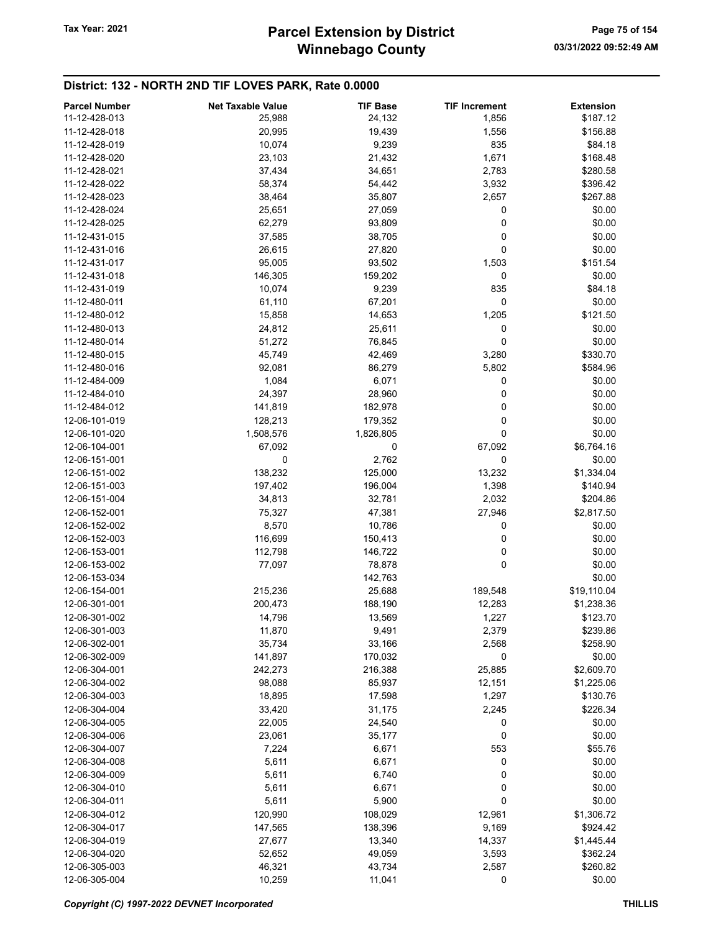# Winnebago County Tax Year: 2021 **Parcel Extension by District** Page 75 of 154

| <b>Parcel Number</b> | <b>Net Taxable Value</b> | <b>TIF Base</b> | <b>TIF Increment</b> | <b>Extension</b>     |
|----------------------|--------------------------|-----------------|----------------------|----------------------|
| 11-12-428-013        | 25,988                   | 24,132          | 1,856                | \$187.12             |
| 11-12-428-018        | 20,995                   | 19,439          | 1,556                | \$156.88             |
| 11-12-428-019        | 10,074                   | 9,239           | 835                  | \$84.18              |
|                      |                          |                 |                      |                      |
| 11-12-428-020        | 23,103                   | 21,432          | 1,671                | \$168.48             |
| 11-12-428-021        | 37,434                   | 34,651          | 2,783                | \$280.58             |
| 11-12-428-022        | 58,374                   | 54,442          | 3,932                | \$396.42             |
| 11-12-428-023        | 38,464                   | 35,807          | 2,657                | \$267.88             |
| 11-12-428-024        | 25,651                   | 27,059          | 0                    | \$0.00               |
| 11-12-428-025        | 62,279                   | 93,809          | 0                    | \$0.00               |
| 11-12-431-015        | 37,585                   | 38,705          | 0                    | \$0.00               |
| 11-12-431-016        | 26,615                   | 27,820          | 0                    | \$0.00               |
| 11-12-431-017        | 95,005                   | 93,502          | 1,503                | \$151.54             |
| 11-12-431-018        | 146,305                  | 159,202         | 0                    | \$0.00               |
| 11-12-431-019        | 10,074                   | 9,239           | 835                  | \$84.18              |
| 11-12-480-011        |                          |                 | 0                    | \$0.00               |
|                      | 61,110                   | 67,201          |                      |                      |
| 11-12-480-012        | 15,858                   | 14,653          | 1,205                | \$121.50             |
| 11-12-480-013        | 24,812                   | 25,611          | 0                    | \$0.00               |
| 11-12-480-014        | 51,272                   | 76,845          | 0                    | \$0.00               |
| 11-12-480-015        | 45,749                   | 42,469          | 3,280                | \$330.70             |
| 11-12-480-016        | 92,081                   | 86,279          | 5,802                | \$584.96             |
| 11-12-484-009        | 1,084                    | 6,071           | 0                    | \$0.00               |
| 11-12-484-010        | 24,397                   | 28,960          | 0                    | \$0.00               |
| 11-12-484-012        | 141,819                  | 182,978         | 0                    | \$0.00               |
| 12-06-101-019        | 128,213                  | 179,352         | 0                    | \$0.00               |
| 12-06-101-020        | 1,508,576                | 1,826,805       | 0                    | \$0.00               |
| 12-06-104-001        | 67,092                   | 0               | 67,092               | \$6,764.16           |
|                      |                          |                 |                      |                      |
| 12-06-151-001        | 0                        | 2,762           | 0                    | \$0.00               |
| 12-06-151-002        | 138,232                  | 125,000         | 13,232               | \$1,334.04           |
| 12-06-151-003        | 197,402                  | 196,004         | 1,398                | \$140.94             |
| 12-06-151-004        | 34,813                   | 32,781          | 2,032                | \$204.86             |
| 12-06-152-001        | 75,327                   | 47,381          | 27,946               | \$2,817.50           |
| 12-06-152-002        | 8,570                    | 10,786          | 0                    | \$0.00               |
| 12-06-152-003        | 116,699                  | 150,413         | 0                    | \$0.00               |
| 12-06-153-001        | 112,798                  | 146,722         | 0                    | \$0.00               |
| 12-06-153-002        | 77,097                   | 78,878          | 0                    | \$0.00               |
| 12-06-153-034        |                          | 142,763         |                      | \$0.00               |
| 12-06-154-001        | 215,236                  | 25,688          | 189,548              | \$19,110.04          |
| 12-06-301-001        | 200,473                  | 188,190         | 12,283               | \$1,238.36           |
| 12-06-301-002        |                          |                 |                      |                      |
| 12-06-301-003        | 14,796                   | 13,569          | 1,227                | \$123.70<br>\$239.86 |
|                      | 11,870                   | 9,491           | 2,379                |                      |
| 12-06-302-001        | 35,734                   | 33,166          | 2,568                | \$258.90             |
| 12-06-302-009        | 141,897                  | 170,032         | 0                    | \$0.00               |
| 12-06-304-001        | 242,273                  | 216,388         | 25,885               | \$2,609.70           |
| 12-06-304-002        | 98,088                   | 85,937          | 12,151               | \$1,225.06           |
| 12-06-304-003        | 18,895                   | 17,598          | 1,297                | \$130.76             |
| 12-06-304-004        | 33,420                   | 31,175          | 2,245                | \$226.34             |
| 12-06-304-005        | 22,005                   | 24,540          | 0                    | \$0.00               |
| 12-06-304-006        | 23,061                   | 35,177          | 0                    | \$0.00               |
| 12-06-304-007        | 7,224                    | 6,671           | 553                  | \$55.76              |
| 12-06-304-008        | 5,611                    | 6,671           | 0                    | \$0.00               |
| 12-06-304-009        | 5,611                    | 6,740           | 0                    | \$0.00               |
| 12-06-304-010        | 5,611                    | 6,671           | 0                    | \$0.00               |
| 12-06-304-011        |                          |                 | 0                    | \$0.00               |
|                      | 5,611                    | 5,900           |                      |                      |
| 12-06-304-012        | 120,990                  | 108,029         | 12,961               | \$1,306.72           |
| 12-06-304-017        | 147,565                  | 138,396         | 9,169                | \$924.42             |
| 12-06-304-019        | 27,677                   | 13,340          | 14,337               | \$1,445.44           |
| 12-06-304-020        | 52,652                   | 49,059          | 3,593                | \$362.24             |
| 12-06-305-003        | 46,321                   | 43,734          | 2,587                | \$260.82             |
| 12-06-305-004        | 10,259                   | 11,041          | 0                    | \$0.00               |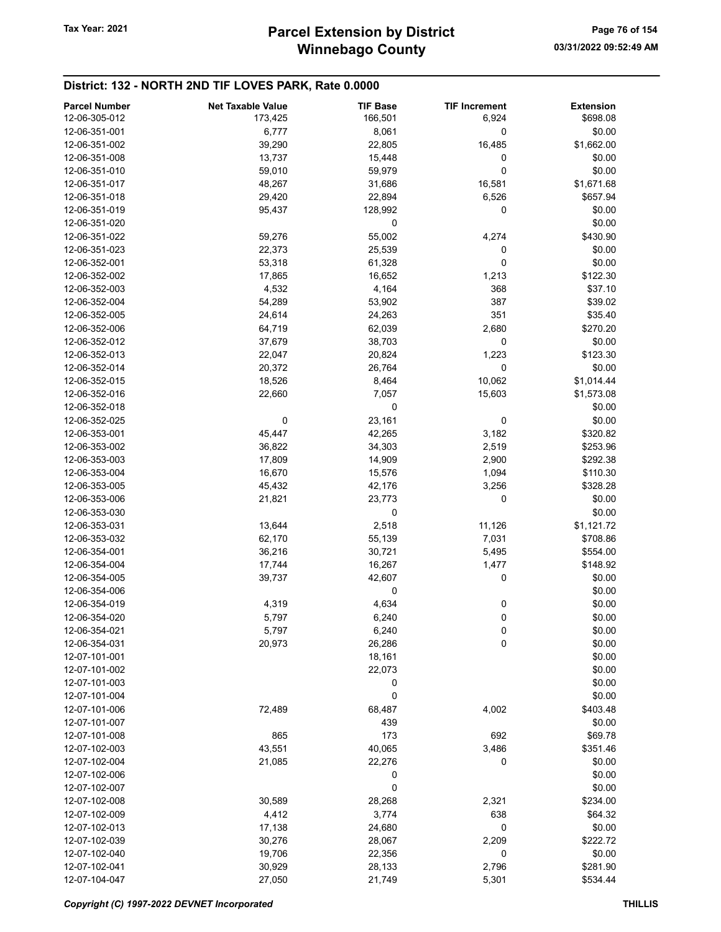| <b>Parcel Number</b> | <b>Net Taxable Value</b> | <b>TIF Base</b> | <b>TIF Increment</b> | <b>Extension</b> |
|----------------------|--------------------------|-----------------|----------------------|------------------|
| 12-06-305-012        | 173,425                  | 166,501         | 6,924                | \$698.08         |
| 12-06-351-001        | 6,777                    | 8,061           | $\pmb{0}$            | \$0.00           |
| 12-06-351-002        | 39,290                   | 22,805          | 16,485               | \$1,662.00       |
| 12-06-351-008        | 13,737                   | 15,448          | 0                    | \$0.00           |
| 12-06-351-010        | 59,010                   | 59,979          | 0                    | \$0.00           |
| 12-06-351-017        | 48,267                   | 31,686          | 16,581               | \$1,671.68       |
| 12-06-351-018        | 29,420                   | 22,894          | 6,526                | \$657.94         |
| 12-06-351-019        |                          |                 | 0                    |                  |
|                      | 95,437                   | 128,992         |                      | \$0.00           |
| 12-06-351-020        |                          | 0               |                      | \$0.00           |
| 12-06-351-022        | 59,276                   | 55,002          | 4,274                | \$430.90         |
| 12-06-351-023        | 22,373                   | 25,539          | 0                    | \$0.00           |
| 12-06-352-001        | 53,318                   | 61,328          | 0                    | \$0.00           |
| 12-06-352-002        | 17,865                   | 16,652          | 1,213                | \$122.30         |
| 12-06-352-003        | 4,532                    | 4,164           | 368                  | \$37.10          |
| 12-06-352-004        | 54,289                   | 53,902          | 387                  | \$39.02          |
| 12-06-352-005        | 24,614                   | 24,263          | 351                  | \$35.40          |
| 12-06-352-006        | 64,719                   | 62,039          | 2,680                | \$270.20         |
| 12-06-352-012        | 37,679                   | 38,703          | 0                    | \$0.00           |
| 12-06-352-013        | 22,047                   | 20,824          | 1,223                | \$123.30         |
| 12-06-352-014        | 20,372                   | 26,764          | 0                    | \$0.00           |
| 12-06-352-015        | 18,526                   | 8,464           | 10,062               | \$1,014.44       |
| 12-06-352-016        | 22,660                   | 7,057           | 15,603               | \$1,573.08       |
| 12-06-352-018        |                          | 0               |                      | \$0.00           |
| 12-06-352-025        | 0                        | 23,161          | 0                    | \$0.00           |
| 12-06-353-001        | 45,447                   | 42,265          | 3,182                | \$320.82         |
| 12-06-353-002        | 36,822                   | 34,303          | 2,519                | \$253.96         |
| 12-06-353-003        | 17,809                   | 14,909          | 2,900                | \$292.38         |
| 12-06-353-004        | 16,670                   | 15,576          | 1,094                | \$110.30         |
| 12-06-353-005        | 45,432                   | 42,176          | 3,256                | \$328.28         |
| 12-06-353-006        | 21,821                   | 23,773          | 0                    | \$0.00           |
| 12-06-353-030        |                          | 0               |                      | \$0.00           |
| 12-06-353-031        | 13,644                   | 2,518           | 11,126               | \$1,121.72       |
| 12-06-353-032        |                          |                 | 7,031                | \$708.86         |
|                      | 62,170                   | 55,139          |                      |                  |
| 12-06-354-001        | 36,216                   | 30,721          | 5,495                | \$554.00         |
| 12-06-354-004        | 17,744                   | 16,267          | 1,477                | \$148.92         |
| 12-06-354-005        | 39,737                   | 42,607          | 0                    | \$0.00           |
| 12-06-354-006        |                          | 0               |                      | \$0.00           |
| 12-06-354-019        | 4,319                    | 4,634           | 0                    | \$0.00           |
| 12-06-354-020        | 5,797                    | 6,240           | 0                    | \$0.00           |
| 12-06-354-021        | 5,797                    | 6,240           | 0                    | \$0.00           |
| 12-06-354-031        | 20,973                   | 26,286          | 0                    | \$0.00           |
| 12-07-101-001        |                          | 18,161          |                      | \$0.00           |
| 12-07-101-002        |                          | 22,073          |                      | \$0.00           |
| 12-07-101-003        |                          | 0               |                      | \$0.00           |
| 12-07-101-004        |                          | 0               |                      | \$0.00           |
| 12-07-101-006        | 72,489                   | 68,487          | 4,002                | \$403.48         |
| 12-07-101-007        |                          | 439             |                      | \$0.00           |
| 12-07-101-008        | 865                      | 173             | 692                  | \$69.78          |
| 12-07-102-003        | 43,551                   | 40,065          | 3,486                | \$351.46         |
| 12-07-102-004        | 21,085                   | 22,276          | 0                    | \$0.00           |
| 12-07-102-006        |                          | 0               |                      | \$0.00           |
| 12-07-102-007        |                          | 0               |                      | \$0.00           |
| 12-07-102-008        | 30,589                   | 28,268          | 2,321                | \$234.00         |
| 12-07-102-009        | 4,412                    | 3,774           | 638                  | \$64.32          |
| 12-07-102-013        | 17,138                   | 24,680          | 0                    | \$0.00           |
| 12-07-102-039        | 30,276                   | 28,067          | 2,209                | \$222.72         |
| 12-07-102-040        | 19,706                   | 22,356          | 0                    | \$0.00           |
| 12-07-102-041        | 30,929                   | 28,133          | 2,796                | \$281.90         |
| 12-07-104-047        |                          |                 |                      | \$534.44         |
|                      | 27,050                   | 21,749          | 5,301                |                  |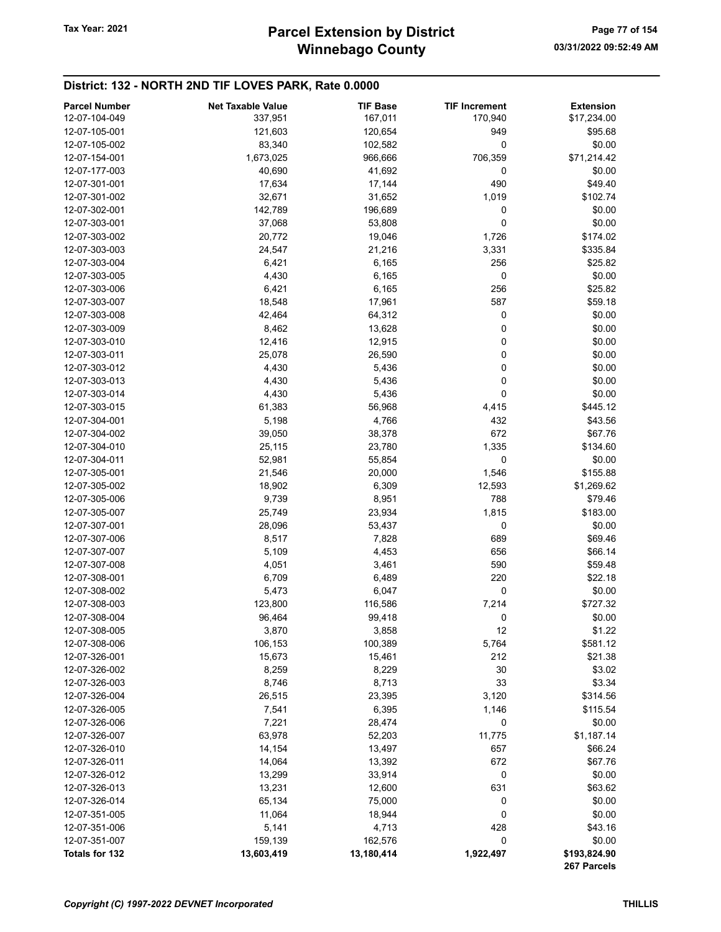# Winnebago County Tax Year: 2021 **Parcel Extension by District** Page 77 of 154

| <b>Parcel Number</b>           | <b>Net Taxable Value</b> | <b>TIF Base</b> | <b>TIF Increment</b> | <b>Extension</b>            |
|--------------------------------|--------------------------|-----------------|----------------------|-----------------------------|
| 12-07-104-049                  | 337,951                  | 167,011         | 170,940              | \$17,234.00                 |
| 12-07-105-001                  | 121,603                  | 120,654         | 949                  | \$95.68                     |
| 12-07-105-002                  | 83,340                   | 102,582         | 0                    | \$0.00                      |
| 12-07-154-001                  | 1,673,025                | 966,666         | 706,359              | \$71,214.42                 |
| 12-07-177-003                  | 40,690                   | 41,692          | 0                    | \$0.00                      |
| 12-07-301-001                  | 17,634                   | 17,144          | 490                  | \$49.40                     |
| 12-07-301-002                  | 32,671                   | 31,652          | 1,019                | \$102.74                    |
| 12-07-302-001                  | 142,789                  | 196,689         | 0                    | \$0.00                      |
| 12-07-303-001                  | 37,068                   | 53,808          | 0                    | \$0.00                      |
| 12-07-303-002                  | 20,772                   | 19,046          | 1,726                | \$174.02                    |
| 12-07-303-003                  | 24,547                   | 21,216          | 3,331                | \$335.84                    |
| 12-07-303-004                  | 6,421                    | 6,165           | 256                  | \$25.82                     |
| 12-07-303-005                  | 4,430                    | 6,165           | 0                    | \$0.00                      |
| 12-07-303-006                  | 6,421                    | 6,165           | 256                  | \$25.82                     |
| 12-07-303-007                  | 18,548                   | 17,961          | 587                  | \$59.18                     |
| 12-07-303-008                  | 42,464                   | 64,312          | 0                    | \$0.00                      |
| 12-07-303-009                  | 8,462                    | 13,628          | 0                    | \$0.00                      |
| 12-07-303-010                  | 12,416                   | 12,915          | 0                    | \$0.00                      |
| 12-07-303-011                  | 25,078                   | 26,590          | 0                    | \$0.00                      |
| 12-07-303-012                  | 4,430                    | 5,436           | 0                    | \$0.00                      |
| 12-07-303-013                  | 4,430                    | 5,436           | 0                    | \$0.00                      |
| 12-07-303-014                  | 4,430                    | 5,436           | 0                    | \$0.00                      |
| 12-07-303-015                  | 61,383                   | 56,968          | 4,415                | \$445.12                    |
| 12-07-304-001                  | 5,198                    | 4,766           | 432                  | \$43.56                     |
| 12-07-304-002                  | 39,050                   | 38,378          | 672                  | \$67.76                     |
| 12-07-304-010                  | 25,115                   | 23,780          | 1,335                | \$134.60                    |
| 12-07-304-011                  | 52,981                   | 55,854          | 0                    | \$0.00                      |
| 12-07-305-001                  | 21,546                   | 20,000          | 1,546                | \$155.88                    |
| 12-07-305-002                  | 18,902                   | 6,309           | 12,593               | \$1,269.62                  |
| 12-07-305-006                  | 9,739                    | 8,951           | 788                  | \$79.46                     |
| 12-07-305-007                  | 25,749                   | 23,934          | 1,815                | \$183.00                    |
| 12-07-307-001                  | 28,096                   | 53,437          | 0                    | \$0.00                      |
| 12-07-307-006                  | 8,517                    | 7,828           | 689                  | \$69.46                     |
| 12-07-307-007                  | 5,109                    | 4,453           | 656                  | \$66.14                     |
| 12-07-307-008                  | 4,051                    | 3,461           | 590                  | \$59.48                     |
| 12-07-308-001                  | 6,709                    | 6,489           | 220                  | \$22.18                     |
| 12-07-308-002                  | 5,473                    | 6,047           | 0                    | \$0.00                      |
| 12-07-308-003                  | 123,800                  | 116,586         | 7,214                | \$727.32                    |
| 12-07-308-004                  | 96,464                   | 99,418          | 0                    | \$0.00                      |
| 12-07-308-005                  | 3,870                    | 3,858           | 12                   | \$1.22                      |
| 12-07-308-006                  | 106,153                  | 100,389         | 5,764                | \$581.12                    |
| 12-07-326-001                  | 15,673                   | 15,461          | 212                  | \$21.38                     |
| 12-07-326-002                  | 8,259                    | 8,229           | 30                   | \$3.02                      |
| 12-07-326-003                  | 8,746                    | 8,713           | 33                   | \$3.34                      |
| 12-07-326-004                  | 26,515                   | 23,395          | 3,120                | \$314.56                    |
| 12-07-326-005                  | 7,541                    | 6,395           | 1,146                | \$115.54                    |
| 12-07-326-006                  | 7,221                    | 28,474          | 0                    | \$0.00                      |
| 12-07-326-007                  | 63,978                   | 52,203          | 11,775               | \$1,187.14                  |
| 12-07-326-010                  | 14,154                   | 13,497          | 657                  | \$66.24                     |
| 12-07-326-011                  | 14,064                   | 13,392          | 672                  | \$67.76                     |
| 12-07-326-012                  | 13,299                   | 33,914          | 0                    | \$0.00                      |
| 12-07-326-013                  |                          |                 | 631                  |                             |
|                                | 13,231                   | 12,600          |                      | \$63.62                     |
| 12-07-326-014<br>12-07-351-005 | 65,134                   | 75,000          | 0                    | \$0.00<br>\$0.00            |
|                                | 11,064                   | 18,944          | 0                    |                             |
| 12-07-351-006                  | 5,141                    | 4,713           | 428                  | \$43.16                     |
| 12-07-351-007                  | 159,139                  | 162,576         | 0                    | \$0.00                      |
| Totals for 132                 | 13,603,419               | 13,180,414      | 1,922,497            | \$193,824.90<br>267 Parcels |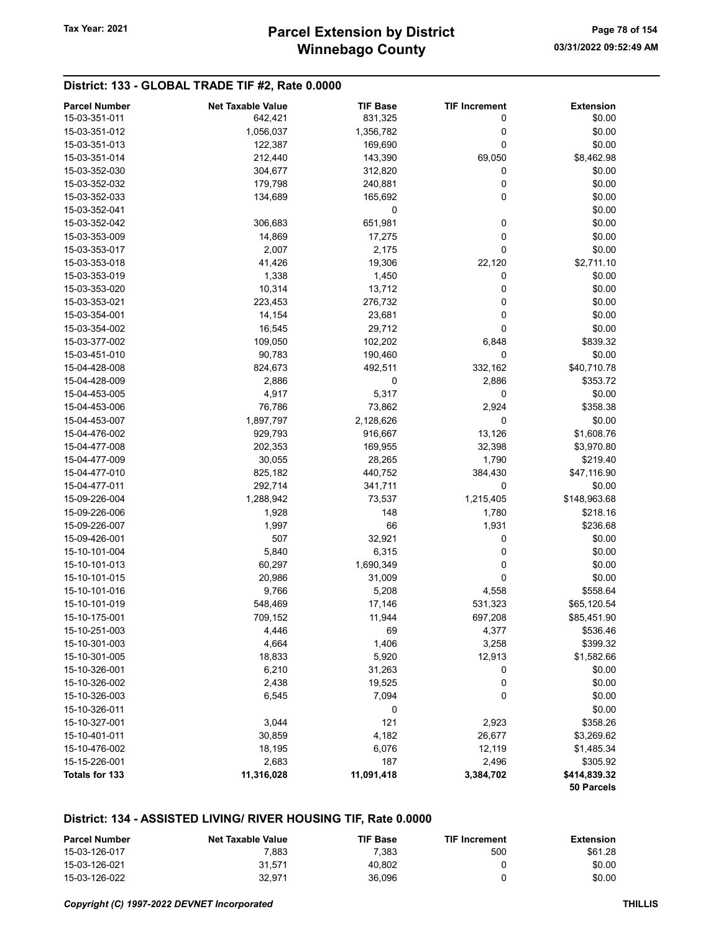# District: 133 - GLOBAL TRADE TIF #2, Rate 0.0000

| <b>Parcel Number</b> | <b>Net Taxable Value</b> | <b>TIF Base</b> | <b>TIF Increment</b> | <b>Extension</b> |
|----------------------|--------------------------|-----------------|----------------------|------------------|
| 15-03-351-011        | 642,421                  | 831,325         | 0                    | \$0.00           |
| 15-03-351-012        | 1,056,037                | 1,356,782       | 0                    | \$0.00           |
| 15-03-351-013        | 122,387                  | 169,690         | 0                    | \$0.00           |
| 15-03-351-014        | 212,440                  | 143,390         | 69,050               | \$8,462.98       |
| 15-03-352-030        | 304,677                  | 312,820         | 0                    | \$0.00           |
| 15-03-352-032        | 179,798                  | 240,881         | 0                    | \$0.00           |
| 15-03-352-033        | 134,689                  | 165,692         | 0                    | \$0.00           |
| 15-03-352-041        |                          | 0               |                      | \$0.00           |
| 15-03-352-042        | 306,683                  | 651,981         | 0                    | \$0.00           |
| 15-03-353-009        | 14,869                   | 17,275          | 0                    | \$0.00           |
| 15-03-353-017        | 2,007                    | 2,175           | 0                    | \$0.00           |
| 15-03-353-018        | 41,426                   | 19,306          | 22,120               | \$2,711.10       |
| 15-03-353-019        | 1,338                    | 1,450           | 0                    | \$0.00           |
| 15-03-353-020        | 10,314                   | 13,712          | 0                    | \$0.00           |
| 15-03-353-021        | 223,453                  | 276,732         | 0                    | \$0.00           |
| 15-03-354-001        | 14,154                   | 23,681          | 0                    | \$0.00           |
| 15-03-354-002        | 16,545                   | 29,712          | 0                    | \$0.00           |
| 15-03-377-002        | 109,050                  | 102,202         | 6,848                | \$839.32         |
| 15-03-451-010        | 90,783                   | 190,460         | 0                    | \$0.00           |
| 15-04-428-008        | 824,673                  | 492,511         | 332,162              | \$40,710.78      |
| 15-04-428-009        | 2,886                    | 0               | 2,886                | \$353.72         |
| 15-04-453-005        | 4,917                    | 5,317           | 0                    | \$0.00           |
| 15-04-453-006        | 76,786                   | 73,862          | 2,924                | \$358.38         |
| 15-04-453-007        | 1,897,797                | 2,128,626       | 0                    | \$0.00           |
| 15-04-476-002        | 929,793                  | 916,667         | 13,126               | \$1,608.76       |
| 15-04-477-008        | 202,353                  | 169,955         | 32,398               | \$3,970.80       |
| 15-04-477-009        | 30,055                   | 28,265          | 1,790                | \$219.40         |
| 15-04-477-010        | 825,182                  | 440,752         | 384,430              | \$47,116.90      |
| 15-04-477-011        | 292,714                  | 341,711         | 0                    | \$0.00           |
| 15-09-226-004        | 1,288,942                | 73,537          | 1,215,405            | \$148,963.68     |
| 15-09-226-006        | 1,928                    | 148             | 1,780                | \$218.16         |
| 15-09-226-007        | 1,997                    | 66              | 1,931                | \$236.68         |
| 15-09-426-001        | 507                      | 32,921          | 0                    | \$0.00           |
| 15-10-101-004        | 5,840                    | 6,315           | 0                    | \$0.00           |
| 15-10-101-013        | 60,297                   | 1,690,349       | 0                    | \$0.00           |
| 15-10-101-015        | 20,986                   | 31,009          | 0                    | \$0.00           |
| 15-10-101-016        | 9,766                    | 5,208           | 4,558                | \$558.64         |
| 15-10-101-019        | 548,469                  | 17,146          | 531,323              | \$65,120.54      |
| 15-10-175-001        | 709,152                  | 11,944          | 697,208              | \$85,451.90      |
| 15-10-251-003        | 4,446                    | 69              | 4,377                | \$536.46         |
| 15-10-301-003        | 4,664                    | 1,406           | 3,258                | \$399.32         |
| 15-10-301-005        | 18,833                   | 5,920           | 12,913               | \$1,582.66       |
| 15-10-326-001        | 6,210                    | 31,263          | 0                    | \$0.00           |
| 15-10-326-002        | 2,438                    | 19,525          | 0                    | \$0.00           |
| 15-10-326-003        | 6,545                    | 7,094           | 0                    | \$0.00           |
| 15-10-326-011        |                          | 0               |                      | \$0.00           |
| 15-10-327-001        | 3,044                    | 121             | 2,923                | \$358.26         |
| 15-10-401-011        | 30,859                   | 4,182           | 26,677               | \$3,269.62       |
| 15-10-476-002        | 18,195                   | 6,076           | 12,119               | \$1,485.34       |
| 15-15-226-001        | 2,683                    | 187             | 2,496                | \$305.92         |
| Totals for 133       | 11,316,028               | 11,091,418      | 3,384,702            | \$414,839.32     |
|                      |                          |                 |                      | 50 Parcels       |

#### District: 134 - ASSISTED LIVING/ RIVER HOUSING TIF, Rate 0.0000

| <b>Parcel Number</b> | Net Taxable Value | TIF Base | <b>TIF Increment</b> | Extension |
|----------------------|-------------------|----------|----------------------|-----------|
| 15-03-126-017        | 7.883             | 7.383    | 500                  | \$61.28   |
| 15-03-126-021        | 31.571            | 40.802   |                      | \$0.00    |
| 15-03-126-022        | 32,971            | 36,096   |                      | \$0.00    |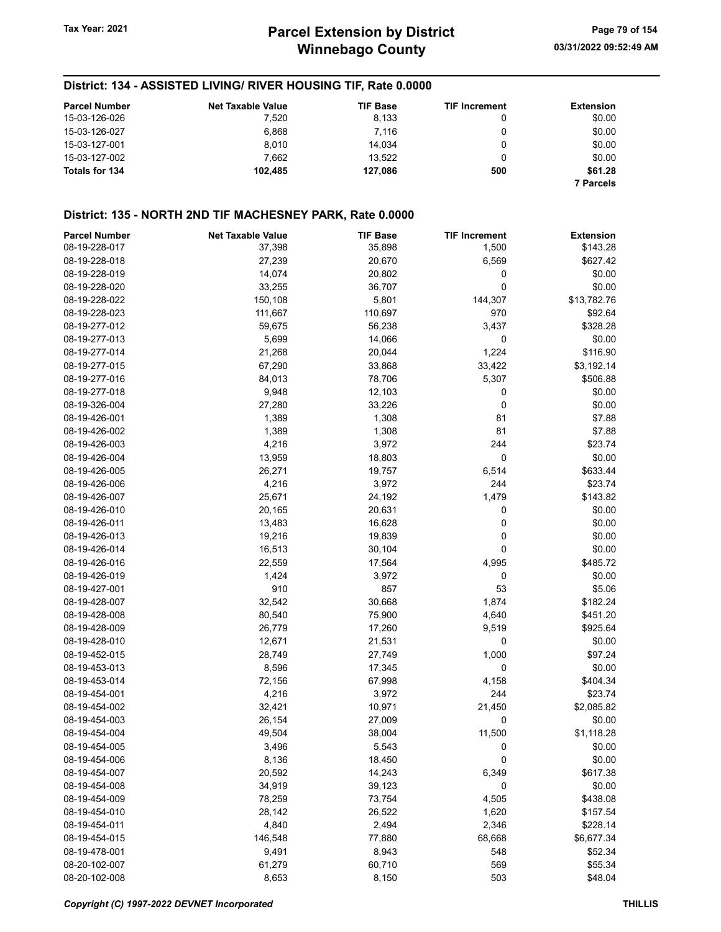# District: 134 - ASSISTED LIVING/ RIVER HOUSING TIF, Rate 0.0000

| <b>Parcel Number</b> | <b>Net Taxable Value</b> | <b>TIF Base</b> | <b>TIF Increment</b> | <b>Extension</b> |
|----------------------|--------------------------|-----------------|----------------------|------------------|
| 15-03-126-026        | 7.520                    | 8,133           |                      | \$0.00           |
| 15-03-126-027        | 6.868                    | 7.116           |                      | \$0.00           |
| 15-03-127-001        | 8.010                    | 14.034          |                      | \$0.00           |
| 15-03-127-002        | 7.662                    | 13.522          |                      | \$0.00           |
| Totals for 134       | 102.485                  | 127.086         | 500                  | \$61.28          |
|                      |                          |                 |                      | <b>7 Parcels</b> |

#### District: 135 - NORTH 2ND TIF MACHESNEY PARK, Rate 0.0000

| <b>Parcel Number</b> | <b>Net Taxable Value</b> | <b>TIF Base</b> | <b>TIF Increment</b> | <b>Extension</b> |
|----------------------|--------------------------|-----------------|----------------------|------------------|
| 08-19-228-017        | 37,398                   | 35,898          | 1,500                | \$143.28         |
| 08-19-228-018        | 27,239                   | 20,670          | 6,569                | \$627.42         |
| 08-19-228-019        | 14,074                   | 20,802          | 0                    | \$0.00           |
| 08-19-228-020        | 33,255                   | 36,707          | 0                    | \$0.00           |
| 08-19-228-022        | 150,108                  | 5,801           | 144,307              | \$13,782.76      |
| 08-19-228-023        | 111,667                  | 110,697         | 970                  | \$92.64          |
| 08-19-277-012        | 59,675                   | 56,238          | 3,437                | \$328.28         |
| 08-19-277-013        | 5,699                    | 14,066          | 0                    | \$0.00           |
| 08-19-277-014        | 21,268                   | 20,044          | 1,224                | \$116.90         |
| 08-19-277-015        | 67,290                   | 33,868          | 33,422               | \$3,192.14       |
| 08-19-277-016        | 84,013                   | 78,706          | 5,307                | \$506.88         |
| 08-19-277-018        | 9,948                    | 12,103          | 0                    | \$0.00           |
| 08-19-326-004        | 27,280                   | 33,226          | 0                    | \$0.00           |
| 08-19-426-001        | 1,389                    | 1,308           | 81                   | \$7.88           |
| 08-19-426-002        | 1,389                    | 1,308           | 81                   | \$7.88           |
| 08-19-426-003        | 4,216                    | 3,972           | 244                  | \$23.74          |
| 08-19-426-004        | 13,959                   | 18,803          | 0                    | \$0.00           |
| 08-19-426-005        | 26,271                   | 19,757          | 6,514                | \$633.44         |
| 08-19-426-006        | 4,216                    | 3,972           | 244                  | \$23.74          |
| 08-19-426-007        | 25,671                   | 24,192          | 1,479                | \$143.82         |
| 08-19-426-010        | 20,165                   | 20,631          | 0                    | \$0.00           |
| 08-19-426-011        | 13,483                   | 16,628          | 0                    | \$0.00           |
| 08-19-426-013        | 19,216                   | 19,839          | 0                    | \$0.00           |
| 08-19-426-014        |                          |                 | 0                    | \$0.00           |
|                      | 16,513                   | 30,104          |                      |                  |
| 08-19-426-016        | 22,559                   | 17,564          | 4,995                | \$485.72         |
| 08-19-426-019        | 1,424                    | 3,972           | 0                    | \$0.00           |
| 08-19-427-001        | 910                      | 857             | 53                   | \$5.06           |
| 08-19-428-007        | 32,542                   | 30,668          | 1,874                | \$182.24         |
| 08-19-428-008        | 80,540                   | 75,900          | 4,640                | \$451.20         |
| 08-19-428-009        | 26,779                   | 17,260          | 9,519                | \$925.64         |
| 08-19-428-010        | 12,671                   | 21,531          | 0                    | \$0.00           |
| 08-19-452-015        | 28,749                   | 27,749          | 1,000                | \$97.24          |
| 08-19-453-013        | 8,596                    | 17,345          | 0                    | \$0.00           |
| 08-19-453-014        | 72,156                   | 67,998          | 4,158                | \$404.34         |
| 08-19-454-001        | 4,216                    | 3,972           | 244                  | \$23.74          |
| 08-19-454-002        | 32,421                   | 10,971          | 21,450               | \$2,085.82       |
| 08-19-454-003        | 26,154                   | 27,009          | 0                    | \$0.00           |
| 08-19-454-004        | 49,504                   | 38,004          | 11,500               | \$1,118.28       |
| 08-19-454-005        | 3,496                    | 5,543           | 0                    | \$0.00           |
| 08-19-454-006        | 8,136                    | 18,450          | 0                    | \$0.00           |
| 08-19-454-007        | 20,592                   | 14,243          | 6,349                | \$617.38         |
| 08-19-454-008        | 34,919                   | 39,123          | 0                    | \$0.00           |
| 08-19-454-009        | 78,259                   | 73,754          | 4,505                | \$438.08         |
| 08-19-454-010        | 28,142                   | 26,522          | 1,620                | \$157.54         |
| 08-19-454-011        | 4,840                    | 2,494           | 2,346                | \$228.14         |
| 08-19-454-015        | 146,548                  | 77,880          | 68,668               | \$6,677.34       |
| 08-19-478-001        | 9,491                    | 8,943           | 548                  | \$52.34          |
| 08-20-102-007        | 61,279                   | 60,710          | 569                  | \$55.34          |
| 08-20-102-008        | 8,653                    | 8,150           | 503                  | \$48.04          |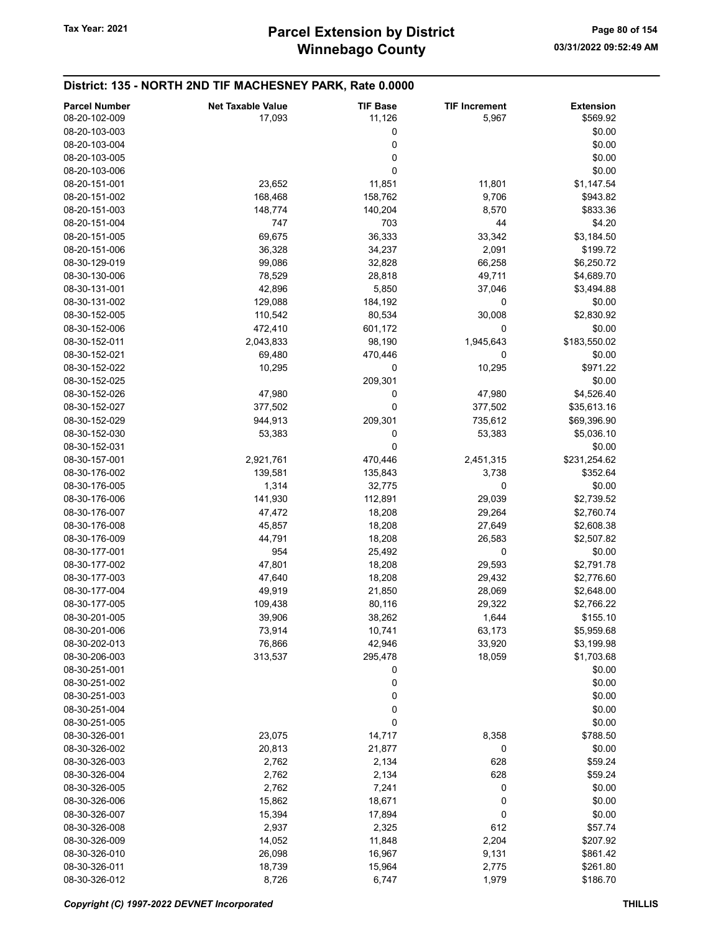#### District: 135 - NORTH 2ND TIF MACHESNEY PARK, Rate 0.0000 Parcel Number **Net Taxable Value** TIF Base TIF Increment Extension 08-20-102-009 **17,093** 17,093 11,126 5,967 \$569.92 08-20-103-003 0 \$0.00 08-20-103-004 0 \$0.00  $08 - 20 - 103 - 005$  \$0.00  $08-20-103-006$  \$0.00 08-20-151-001 **23,652** 11,851 11,801 \$1,147.54 08-20-151-002 168,468 158,762 9,706 \$943.82 08-20-151-003 148,774 140,204 8,570 \$833.36 08-20-151-004 \$4.20 08-20-151-005 69,675 36,333 33,342 \$3,184.50 08-20-151-006 36,328 34,237 2,091 \$199.72 08-30-129-019 99,086 32,828 66,258 \$6,250.72 08-30-130-006 **8000 128,529** 78,529 28,818 49,711 \$4,689.70 08-30-131-001 **5,850** 42,896 5,850 37,046 \$3,494.88 08-30-131-002 129,088 184,192 0 \$0.00 08-30-152-005 110,542 80,534 30,008 \$2,830.92 08-30-152-006 **472,410** 601,172 0 \$0.00 08-30-152-011 2,043,833 98,190 1,945,643 \$183,550.02 08-30-152-021 69,480 470,446 0 \$0.00 08-30-152-022 10,295 0 10,295 \$971.22 08-30-152-025 \$0.00 08-30-152-026 **47,980** 47,980 0 47,980 47,980 47,980 \$4,526.40 08-30-152-027 377,502 0 377,502 \$35,613.16 08-30-152-029 944,913 209,301 735,612 \$69,396.90 08-30-152-030 53,383 0 53,383 \$5,036.10  $0.30 - 152 - 031$  \$0.00 08-30-157-001 2,921,761 470,446 2,451,315 \$231,254.62 08-30-176-002 139,581 135,843 3,738 \$352.64 08-30-176-005 **1,314** 32,775 0 \$0.00 08-30-176-006 141,930 112,891 29,039 \$2,739.52 08-30-176-007 **47,472** 47,472 **18,208** 29,264 \$2,760.74 08-30-176-008 45,857 18,208 27,649 \$2,608.38 08-30-176-009 44,791 18,208 26,583 \$2,507.82 08-30-177-001 **954** 954 25,492 0 98-30-177-001 08-30-177-002 **47,801** 47,801 **18,208** 29,593 \$2,791.78 08-30-177-003 47,640 18,208 29,432 \$2,776.60 08-30-177-004 49,919 21,850 28,069 \$2,648.00 08-30-177-005 **109,438** 109,438 80,116 29,322 \$2,766.22 08-30-201-005 39,906 38,262 1,644 \$155.10 08-30-201-006 73,914 10,741 63,173 \$5,959.68 08-30-202-013 76,866 42,946 33,920 \$3,199.98 08-30-206-003 313,537 295,478 18,059 \$1,703.68  $0.30 - 251 - 001$  \$0.00 08-30-251-002 0 \$0.00 08-30-251-003 0 \$0.00  $08-30-251-004$  \$0.00  $0.30 - 251 - 0.05$  \$0.00 08-30-326-001 23,075 14,717 8,358 \$788.50 08-30-326-002 20,813 21,877 0 \$0.00 08-30-326-003 2,762 2,762 2,134 628 559.24 08-30-326-004 2,762 2,134 628 \$59.24 08-30-326-005 2,762 7,241 0 \$0.00 08-30-326-006 15,862 18,671 0 \$0.00 08-30-326-007 **15,394** 15,394 17,894 0 \$0.00 08-30-326-008 2,937 2,937 2,325 612 \$57.74 08-30-326-009 **14,052** 14,052 11,848 2,204 \$207.92 08-30-326-010 26,098 16,967 9,131 \$861.42 08-30-326-011 18,739 15,964 2,775 \$261.80 08-30-326-012 8,726 6,747 1,979 \$186.70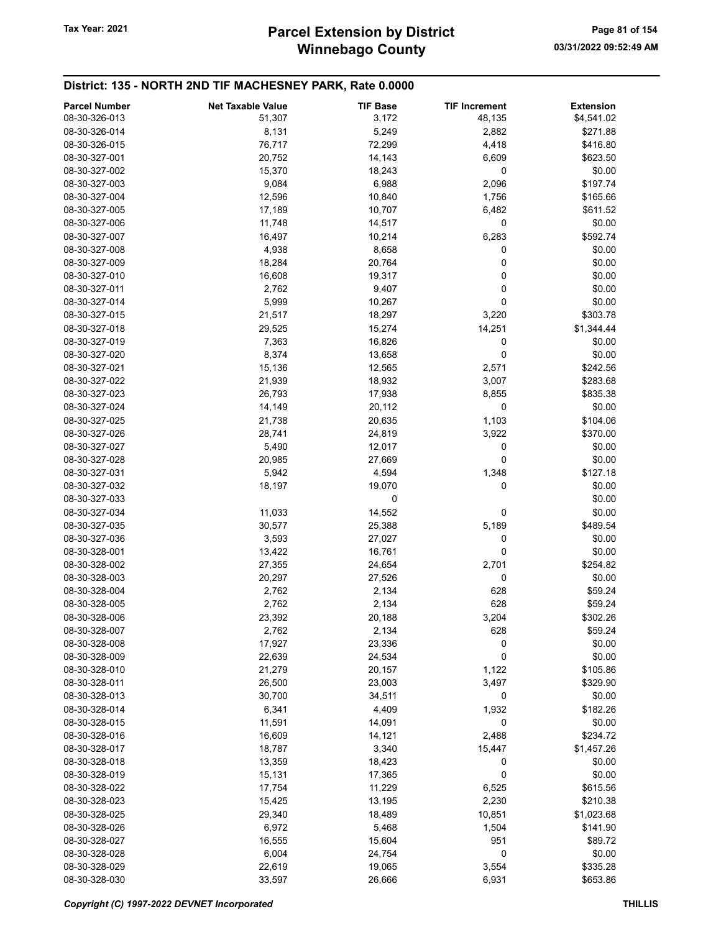# District: 135 - NORTH 2ND TIF MACHESNEY PARK, Rate 0.0000

| 08-30-326-013<br>51,307<br>3,172<br>48,135<br>\$4,541.02<br>8,131<br>5,249<br>2,882<br>08-30-326-014<br>\$271.88<br>08-30-326-015<br>76,717<br>72,299<br>4,418<br>\$416.80<br>08-30-327-001<br>20,752<br>14,143<br>6,609<br>\$623.50<br>0<br>08-30-327-002<br>15,370<br>18,243<br>\$0.00<br>6,988<br>08-30-327-003<br>9,084<br>2,096<br>\$197.74<br>08-30-327-004<br>12,596<br>10,840<br>1,756<br>\$165.66<br>08-30-327-005<br>17,189<br>10,707<br>6,482<br>\$611.52<br>08-30-327-006<br>11,748<br>14,517<br>0<br>\$0.00<br>\$592.74<br>08-30-327-007<br>16,497<br>10,214<br>6,283<br>4,938<br>08-30-327-008<br>8,658<br>0<br>\$0.00<br>0<br>08-30-327-009<br>18,284<br>20,764<br>\$0.00<br>0<br>\$0.00<br>08-30-327-010<br>16,608<br>19,317<br>\$0.00<br>08-30-327-011<br>2,762<br>9,407<br>0<br>5,999<br>\$0.00<br>08-30-327-014<br>10,267<br>0<br>21,517<br>18,297<br>3,220<br>\$303.78<br>08-30-327-015<br>08-30-327-018<br>29,525<br>15,274<br>14,251<br>\$1,344.44<br>7,363<br>08-30-327-019<br>16,826<br>0<br>\$0.00<br>8,374<br>0<br>\$0.00<br>08-30-327-020<br>13,658<br>08-30-327-021<br>15,136<br>12,565<br>\$242.56<br>2,571<br>08-30-327-022<br>21,939<br>18,932<br>3,007<br>\$283.68<br>26,793<br>08-30-327-023<br>17,938<br>8,855<br>\$835.38<br>08-30-327-024<br>14,149<br>20,112<br>0<br>\$0.00<br>08-30-327-025<br>21,738<br>20,635<br>\$104.06<br>1,103<br>08-30-327-026<br>28,741<br>24,819<br>3,922<br>\$370.00<br>08-30-327-027<br>5,490<br>12,017<br>0<br>\$0.00<br>0<br>20,985<br>27,669<br>\$0.00<br>08-30-327-028<br>5,942<br>4,594<br>1,348<br>\$127.18<br>08-30-327-031<br>08-30-327-032<br>18,197<br>19,070<br>0<br>\$0.00<br>08-30-327-033<br>\$0.00<br>0<br>\$0.00<br>08-30-327-034<br>11,033<br>14,552<br>0<br>\$489.54<br>08-30-327-035<br>30,577<br>5,189<br>25,388<br>3,593<br>08-30-327-036<br>27,027<br>0<br>\$0.00<br>0<br>\$0.00<br>08-30-328-001<br>13,422<br>16,761<br>\$254.82<br>08-30-328-002<br>27,355<br>24,654<br>2,701<br>08-30-328-003<br>20,297<br>27,526<br>0<br>\$0.00<br>08-30-328-004<br>2,762<br>2,134<br>628<br>\$59.24<br>628<br>08-30-328-005<br>2,762<br>2,134<br>\$59.24<br>23,392<br>08-30-328-006<br>20,188<br>3,204<br>\$302.26<br>08-30-328-007<br>2,762<br>2,134<br>628<br>\$59.24<br>0<br>08-30-328-008<br>17,927<br>23,336<br>\$0.00<br>0<br>\$0.00<br>08-30-328-009<br>22,639<br>24,534<br>08-30-328-010<br>21,279<br>20,157<br>\$105.86<br>1,122<br>08-30-328-011<br>26,500<br>23,003<br>3,497<br>\$329.90<br>30,700<br>08-30-328-013<br>34,511<br>0<br>\$0.00<br>08-30-328-014<br>6,341<br>4,409<br>1,932<br>\$182.26<br>08-30-328-015<br>11,591<br>14,091<br>0<br>\$0.00<br>08-30-328-016<br>16,609<br>14,121<br>2,488<br>\$234.72<br>08-30-328-017<br>18,787<br>3,340<br>\$1,457.26<br>15,447<br>13,359<br>18,423<br>0<br>\$0.00<br>08-30-328-018<br>0<br>08-30-328-019<br>15,131<br>17,365<br>\$0.00<br>08-30-328-022<br>11,229<br>\$615.56<br>17,754<br>6,525<br>13,195<br>2,230<br>\$210.38<br>08-30-328-023<br>15,425<br>08-30-328-025<br>29,340<br>18,489<br>10,851<br>\$1,023.68<br>08-30-328-026<br>6,972<br>5,468<br>1,504<br>\$141.90<br>08-30-328-027<br>16,555<br>15,604<br>951<br>\$89.72<br>6,004<br>24,754<br>0<br>08-30-328-028<br>\$0.00<br>08-30-328-029<br>22,619<br>19,065<br>3,554<br>\$335.28 | <b>Parcel Number</b> | <b>Net Taxable Value</b> | <b>TIF Base</b> | <b>TIF Increment</b> | <b>Extension</b> |
|--------------------------------------------------------------------------------------------------------------------------------------------------------------------------------------------------------------------------------------------------------------------------------------------------------------------------------------------------------------------------------------------------------------------------------------------------------------------------------------------------------------------------------------------------------------------------------------------------------------------------------------------------------------------------------------------------------------------------------------------------------------------------------------------------------------------------------------------------------------------------------------------------------------------------------------------------------------------------------------------------------------------------------------------------------------------------------------------------------------------------------------------------------------------------------------------------------------------------------------------------------------------------------------------------------------------------------------------------------------------------------------------------------------------------------------------------------------------------------------------------------------------------------------------------------------------------------------------------------------------------------------------------------------------------------------------------------------------------------------------------------------------------------------------------------------------------------------------------------------------------------------------------------------------------------------------------------------------------------------------------------------------------------------------------------------------------------------------------------------------------------------------------------------------------------------------------------------------------------------------------------------------------------------------------------------------------------------------------------------------------------------------------------------------------------------------------------------------------------------------------------------------------------------------------------------------------------------------------------------------------------------------------------------------------------------------------------------------------------------------------------------------------------------------------------------------------------------------------------------------------------------------------------------------------------------------------------------------------------------------------------------------------------------------------------------------------------------------------------------------------------------------------------------------------------------------------------------------------------------------------------------------------------------------|----------------------|--------------------------|-----------------|----------------------|------------------|
|                                                                                                                                                                                                                                                                                                                                                                                                                                                                                                                                                                                                                                                                                                                                                                                                                                                                                                                                                                                                                                                                                                                                                                                                                                                                                                                                                                                                                                                                                                                                                                                                                                                                                                                                                                                                                                                                                                                                                                                                                                                                                                                                                                                                                                                                                                                                                                                                                                                                                                                                                                                                                                                                                                                                                                                                                                                                                                                                                                                                                                                                                                                                                                                                                                                                                            |                      |                          |                 |                      |                  |
|                                                                                                                                                                                                                                                                                                                                                                                                                                                                                                                                                                                                                                                                                                                                                                                                                                                                                                                                                                                                                                                                                                                                                                                                                                                                                                                                                                                                                                                                                                                                                                                                                                                                                                                                                                                                                                                                                                                                                                                                                                                                                                                                                                                                                                                                                                                                                                                                                                                                                                                                                                                                                                                                                                                                                                                                                                                                                                                                                                                                                                                                                                                                                                                                                                                                                            |                      |                          |                 |                      |                  |
|                                                                                                                                                                                                                                                                                                                                                                                                                                                                                                                                                                                                                                                                                                                                                                                                                                                                                                                                                                                                                                                                                                                                                                                                                                                                                                                                                                                                                                                                                                                                                                                                                                                                                                                                                                                                                                                                                                                                                                                                                                                                                                                                                                                                                                                                                                                                                                                                                                                                                                                                                                                                                                                                                                                                                                                                                                                                                                                                                                                                                                                                                                                                                                                                                                                                                            |                      |                          |                 |                      |                  |
|                                                                                                                                                                                                                                                                                                                                                                                                                                                                                                                                                                                                                                                                                                                                                                                                                                                                                                                                                                                                                                                                                                                                                                                                                                                                                                                                                                                                                                                                                                                                                                                                                                                                                                                                                                                                                                                                                                                                                                                                                                                                                                                                                                                                                                                                                                                                                                                                                                                                                                                                                                                                                                                                                                                                                                                                                                                                                                                                                                                                                                                                                                                                                                                                                                                                                            |                      |                          |                 |                      |                  |
|                                                                                                                                                                                                                                                                                                                                                                                                                                                                                                                                                                                                                                                                                                                                                                                                                                                                                                                                                                                                                                                                                                                                                                                                                                                                                                                                                                                                                                                                                                                                                                                                                                                                                                                                                                                                                                                                                                                                                                                                                                                                                                                                                                                                                                                                                                                                                                                                                                                                                                                                                                                                                                                                                                                                                                                                                                                                                                                                                                                                                                                                                                                                                                                                                                                                                            |                      |                          |                 |                      |                  |
|                                                                                                                                                                                                                                                                                                                                                                                                                                                                                                                                                                                                                                                                                                                                                                                                                                                                                                                                                                                                                                                                                                                                                                                                                                                                                                                                                                                                                                                                                                                                                                                                                                                                                                                                                                                                                                                                                                                                                                                                                                                                                                                                                                                                                                                                                                                                                                                                                                                                                                                                                                                                                                                                                                                                                                                                                                                                                                                                                                                                                                                                                                                                                                                                                                                                                            |                      |                          |                 |                      |                  |
|                                                                                                                                                                                                                                                                                                                                                                                                                                                                                                                                                                                                                                                                                                                                                                                                                                                                                                                                                                                                                                                                                                                                                                                                                                                                                                                                                                                                                                                                                                                                                                                                                                                                                                                                                                                                                                                                                                                                                                                                                                                                                                                                                                                                                                                                                                                                                                                                                                                                                                                                                                                                                                                                                                                                                                                                                                                                                                                                                                                                                                                                                                                                                                                                                                                                                            |                      |                          |                 |                      |                  |
|                                                                                                                                                                                                                                                                                                                                                                                                                                                                                                                                                                                                                                                                                                                                                                                                                                                                                                                                                                                                                                                                                                                                                                                                                                                                                                                                                                                                                                                                                                                                                                                                                                                                                                                                                                                                                                                                                                                                                                                                                                                                                                                                                                                                                                                                                                                                                                                                                                                                                                                                                                                                                                                                                                                                                                                                                                                                                                                                                                                                                                                                                                                                                                                                                                                                                            |                      |                          |                 |                      |                  |
|                                                                                                                                                                                                                                                                                                                                                                                                                                                                                                                                                                                                                                                                                                                                                                                                                                                                                                                                                                                                                                                                                                                                                                                                                                                                                                                                                                                                                                                                                                                                                                                                                                                                                                                                                                                                                                                                                                                                                                                                                                                                                                                                                                                                                                                                                                                                                                                                                                                                                                                                                                                                                                                                                                                                                                                                                                                                                                                                                                                                                                                                                                                                                                                                                                                                                            |                      |                          |                 |                      |                  |
|                                                                                                                                                                                                                                                                                                                                                                                                                                                                                                                                                                                                                                                                                                                                                                                                                                                                                                                                                                                                                                                                                                                                                                                                                                                                                                                                                                                                                                                                                                                                                                                                                                                                                                                                                                                                                                                                                                                                                                                                                                                                                                                                                                                                                                                                                                                                                                                                                                                                                                                                                                                                                                                                                                                                                                                                                                                                                                                                                                                                                                                                                                                                                                                                                                                                                            |                      |                          |                 |                      |                  |
|                                                                                                                                                                                                                                                                                                                                                                                                                                                                                                                                                                                                                                                                                                                                                                                                                                                                                                                                                                                                                                                                                                                                                                                                                                                                                                                                                                                                                                                                                                                                                                                                                                                                                                                                                                                                                                                                                                                                                                                                                                                                                                                                                                                                                                                                                                                                                                                                                                                                                                                                                                                                                                                                                                                                                                                                                                                                                                                                                                                                                                                                                                                                                                                                                                                                                            |                      |                          |                 |                      |                  |
|                                                                                                                                                                                                                                                                                                                                                                                                                                                                                                                                                                                                                                                                                                                                                                                                                                                                                                                                                                                                                                                                                                                                                                                                                                                                                                                                                                                                                                                                                                                                                                                                                                                                                                                                                                                                                                                                                                                                                                                                                                                                                                                                                                                                                                                                                                                                                                                                                                                                                                                                                                                                                                                                                                                                                                                                                                                                                                                                                                                                                                                                                                                                                                                                                                                                                            |                      |                          |                 |                      |                  |
|                                                                                                                                                                                                                                                                                                                                                                                                                                                                                                                                                                                                                                                                                                                                                                                                                                                                                                                                                                                                                                                                                                                                                                                                                                                                                                                                                                                                                                                                                                                                                                                                                                                                                                                                                                                                                                                                                                                                                                                                                                                                                                                                                                                                                                                                                                                                                                                                                                                                                                                                                                                                                                                                                                                                                                                                                                                                                                                                                                                                                                                                                                                                                                                                                                                                                            |                      |                          |                 |                      |                  |
|                                                                                                                                                                                                                                                                                                                                                                                                                                                                                                                                                                                                                                                                                                                                                                                                                                                                                                                                                                                                                                                                                                                                                                                                                                                                                                                                                                                                                                                                                                                                                                                                                                                                                                                                                                                                                                                                                                                                                                                                                                                                                                                                                                                                                                                                                                                                                                                                                                                                                                                                                                                                                                                                                                                                                                                                                                                                                                                                                                                                                                                                                                                                                                                                                                                                                            |                      |                          |                 |                      |                  |
|                                                                                                                                                                                                                                                                                                                                                                                                                                                                                                                                                                                                                                                                                                                                                                                                                                                                                                                                                                                                                                                                                                                                                                                                                                                                                                                                                                                                                                                                                                                                                                                                                                                                                                                                                                                                                                                                                                                                                                                                                                                                                                                                                                                                                                                                                                                                                                                                                                                                                                                                                                                                                                                                                                                                                                                                                                                                                                                                                                                                                                                                                                                                                                                                                                                                                            |                      |                          |                 |                      |                  |
|                                                                                                                                                                                                                                                                                                                                                                                                                                                                                                                                                                                                                                                                                                                                                                                                                                                                                                                                                                                                                                                                                                                                                                                                                                                                                                                                                                                                                                                                                                                                                                                                                                                                                                                                                                                                                                                                                                                                                                                                                                                                                                                                                                                                                                                                                                                                                                                                                                                                                                                                                                                                                                                                                                                                                                                                                                                                                                                                                                                                                                                                                                                                                                                                                                                                                            |                      |                          |                 |                      |                  |
|                                                                                                                                                                                                                                                                                                                                                                                                                                                                                                                                                                                                                                                                                                                                                                                                                                                                                                                                                                                                                                                                                                                                                                                                                                                                                                                                                                                                                                                                                                                                                                                                                                                                                                                                                                                                                                                                                                                                                                                                                                                                                                                                                                                                                                                                                                                                                                                                                                                                                                                                                                                                                                                                                                                                                                                                                                                                                                                                                                                                                                                                                                                                                                                                                                                                                            |                      |                          |                 |                      |                  |
|                                                                                                                                                                                                                                                                                                                                                                                                                                                                                                                                                                                                                                                                                                                                                                                                                                                                                                                                                                                                                                                                                                                                                                                                                                                                                                                                                                                                                                                                                                                                                                                                                                                                                                                                                                                                                                                                                                                                                                                                                                                                                                                                                                                                                                                                                                                                                                                                                                                                                                                                                                                                                                                                                                                                                                                                                                                                                                                                                                                                                                                                                                                                                                                                                                                                                            |                      |                          |                 |                      |                  |
|                                                                                                                                                                                                                                                                                                                                                                                                                                                                                                                                                                                                                                                                                                                                                                                                                                                                                                                                                                                                                                                                                                                                                                                                                                                                                                                                                                                                                                                                                                                                                                                                                                                                                                                                                                                                                                                                                                                                                                                                                                                                                                                                                                                                                                                                                                                                                                                                                                                                                                                                                                                                                                                                                                                                                                                                                                                                                                                                                                                                                                                                                                                                                                                                                                                                                            |                      |                          |                 |                      |                  |
|                                                                                                                                                                                                                                                                                                                                                                                                                                                                                                                                                                                                                                                                                                                                                                                                                                                                                                                                                                                                                                                                                                                                                                                                                                                                                                                                                                                                                                                                                                                                                                                                                                                                                                                                                                                                                                                                                                                                                                                                                                                                                                                                                                                                                                                                                                                                                                                                                                                                                                                                                                                                                                                                                                                                                                                                                                                                                                                                                                                                                                                                                                                                                                                                                                                                                            |                      |                          |                 |                      |                  |
|                                                                                                                                                                                                                                                                                                                                                                                                                                                                                                                                                                                                                                                                                                                                                                                                                                                                                                                                                                                                                                                                                                                                                                                                                                                                                                                                                                                                                                                                                                                                                                                                                                                                                                                                                                                                                                                                                                                                                                                                                                                                                                                                                                                                                                                                                                                                                                                                                                                                                                                                                                                                                                                                                                                                                                                                                                                                                                                                                                                                                                                                                                                                                                                                                                                                                            |                      |                          |                 |                      |                  |
|                                                                                                                                                                                                                                                                                                                                                                                                                                                                                                                                                                                                                                                                                                                                                                                                                                                                                                                                                                                                                                                                                                                                                                                                                                                                                                                                                                                                                                                                                                                                                                                                                                                                                                                                                                                                                                                                                                                                                                                                                                                                                                                                                                                                                                                                                                                                                                                                                                                                                                                                                                                                                                                                                                                                                                                                                                                                                                                                                                                                                                                                                                                                                                                                                                                                                            |                      |                          |                 |                      |                  |
|                                                                                                                                                                                                                                                                                                                                                                                                                                                                                                                                                                                                                                                                                                                                                                                                                                                                                                                                                                                                                                                                                                                                                                                                                                                                                                                                                                                                                                                                                                                                                                                                                                                                                                                                                                                                                                                                                                                                                                                                                                                                                                                                                                                                                                                                                                                                                                                                                                                                                                                                                                                                                                                                                                                                                                                                                                                                                                                                                                                                                                                                                                                                                                                                                                                                                            |                      |                          |                 |                      |                  |
|                                                                                                                                                                                                                                                                                                                                                                                                                                                                                                                                                                                                                                                                                                                                                                                                                                                                                                                                                                                                                                                                                                                                                                                                                                                                                                                                                                                                                                                                                                                                                                                                                                                                                                                                                                                                                                                                                                                                                                                                                                                                                                                                                                                                                                                                                                                                                                                                                                                                                                                                                                                                                                                                                                                                                                                                                                                                                                                                                                                                                                                                                                                                                                                                                                                                                            |                      |                          |                 |                      |                  |
|                                                                                                                                                                                                                                                                                                                                                                                                                                                                                                                                                                                                                                                                                                                                                                                                                                                                                                                                                                                                                                                                                                                                                                                                                                                                                                                                                                                                                                                                                                                                                                                                                                                                                                                                                                                                                                                                                                                                                                                                                                                                                                                                                                                                                                                                                                                                                                                                                                                                                                                                                                                                                                                                                                                                                                                                                                                                                                                                                                                                                                                                                                                                                                                                                                                                                            |                      |                          |                 |                      |                  |
|                                                                                                                                                                                                                                                                                                                                                                                                                                                                                                                                                                                                                                                                                                                                                                                                                                                                                                                                                                                                                                                                                                                                                                                                                                                                                                                                                                                                                                                                                                                                                                                                                                                                                                                                                                                                                                                                                                                                                                                                                                                                                                                                                                                                                                                                                                                                                                                                                                                                                                                                                                                                                                                                                                                                                                                                                                                                                                                                                                                                                                                                                                                                                                                                                                                                                            |                      |                          |                 |                      |                  |
|                                                                                                                                                                                                                                                                                                                                                                                                                                                                                                                                                                                                                                                                                                                                                                                                                                                                                                                                                                                                                                                                                                                                                                                                                                                                                                                                                                                                                                                                                                                                                                                                                                                                                                                                                                                                                                                                                                                                                                                                                                                                                                                                                                                                                                                                                                                                                                                                                                                                                                                                                                                                                                                                                                                                                                                                                                                                                                                                                                                                                                                                                                                                                                                                                                                                                            |                      |                          |                 |                      |                  |
|                                                                                                                                                                                                                                                                                                                                                                                                                                                                                                                                                                                                                                                                                                                                                                                                                                                                                                                                                                                                                                                                                                                                                                                                                                                                                                                                                                                                                                                                                                                                                                                                                                                                                                                                                                                                                                                                                                                                                                                                                                                                                                                                                                                                                                                                                                                                                                                                                                                                                                                                                                                                                                                                                                                                                                                                                                                                                                                                                                                                                                                                                                                                                                                                                                                                                            |                      |                          |                 |                      |                  |
|                                                                                                                                                                                                                                                                                                                                                                                                                                                                                                                                                                                                                                                                                                                                                                                                                                                                                                                                                                                                                                                                                                                                                                                                                                                                                                                                                                                                                                                                                                                                                                                                                                                                                                                                                                                                                                                                                                                                                                                                                                                                                                                                                                                                                                                                                                                                                                                                                                                                                                                                                                                                                                                                                                                                                                                                                                                                                                                                                                                                                                                                                                                                                                                                                                                                                            |                      |                          |                 |                      |                  |
|                                                                                                                                                                                                                                                                                                                                                                                                                                                                                                                                                                                                                                                                                                                                                                                                                                                                                                                                                                                                                                                                                                                                                                                                                                                                                                                                                                                                                                                                                                                                                                                                                                                                                                                                                                                                                                                                                                                                                                                                                                                                                                                                                                                                                                                                                                                                                                                                                                                                                                                                                                                                                                                                                                                                                                                                                                                                                                                                                                                                                                                                                                                                                                                                                                                                                            |                      |                          |                 |                      |                  |
|                                                                                                                                                                                                                                                                                                                                                                                                                                                                                                                                                                                                                                                                                                                                                                                                                                                                                                                                                                                                                                                                                                                                                                                                                                                                                                                                                                                                                                                                                                                                                                                                                                                                                                                                                                                                                                                                                                                                                                                                                                                                                                                                                                                                                                                                                                                                                                                                                                                                                                                                                                                                                                                                                                                                                                                                                                                                                                                                                                                                                                                                                                                                                                                                                                                                                            |                      |                          |                 |                      |                  |
|                                                                                                                                                                                                                                                                                                                                                                                                                                                                                                                                                                                                                                                                                                                                                                                                                                                                                                                                                                                                                                                                                                                                                                                                                                                                                                                                                                                                                                                                                                                                                                                                                                                                                                                                                                                                                                                                                                                                                                                                                                                                                                                                                                                                                                                                                                                                                                                                                                                                                                                                                                                                                                                                                                                                                                                                                                                                                                                                                                                                                                                                                                                                                                                                                                                                                            |                      |                          |                 |                      |                  |
|                                                                                                                                                                                                                                                                                                                                                                                                                                                                                                                                                                                                                                                                                                                                                                                                                                                                                                                                                                                                                                                                                                                                                                                                                                                                                                                                                                                                                                                                                                                                                                                                                                                                                                                                                                                                                                                                                                                                                                                                                                                                                                                                                                                                                                                                                                                                                                                                                                                                                                                                                                                                                                                                                                                                                                                                                                                                                                                                                                                                                                                                                                                                                                                                                                                                                            |                      |                          |                 |                      |                  |
|                                                                                                                                                                                                                                                                                                                                                                                                                                                                                                                                                                                                                                                                                                                                                                                                                                                                                                                                                                                                                                                                                                                                                                                                                                                                                                                                                                                                                                                                                                                                                                                                                                                                                                                                                                                                                                                                                                                                                                                                                                                                                                                                                                                                                                                                                                                                                                                                                                                                                                                                                                                                                                                                                                                                                                                                                                                                                                                                                                                                                                                                                                                                                                                                                                                                                            |                      |                          |                 |                      |                  |
|                                                                                                                                                                                                                                                                                                                                                                                                                                                                                                                                                                                                                                                                                                                                                                                                                                                                                                                                                                                                                                                                                                                                                                                                                                                                                                                                                                                                                                                                                                                                                                                                                                                                                                                                                                                                                                                                                                                                                                                                                                                                                                                                                                                                                                                                                                                                                                                                                                                                                                                                                                                                                                                                                                                                                                                                                                                                                                                                                                                                                                                                                                                                                                                                                                                                                            |                      |                          |                 |                      |                  |
|                                                                                                                                                                                                                                                                                                                                                                                                                                                                                                                                                                                                                                                                                                                                                                                                                                                                                                                                                                                                                                                                                                                                                                                                                                                                                                                                                                                                                                                                                                                                                                                                                                                                                                                                                                                                                                                                                                                                                                                                                                                                                                                                                                                                                                                                                                                                                                                                                                                                                                                                                                                                                                                                                                                                                                                                                                                                                                                                                                                                                                                                                                                                                                                                                                                                                            |                      |                          |                 |                      |                  |
|                                                                                                                                                                                                                                                                                                                                                                                                                                                                                                                                                                                                                                                                                                                                                                                                                                                                                                                                                                                                                                                                                                                                                                                                                                                                                                                                                                                                                                                                                                                                                                                                                                                                                                                                                                                                                                                                                                                                                                                                                                                                                                                                                                                                                                                                                                                                                                                                                                                                                                                                                                                                                                                                                                                                                                                                                                                                                                                                                                                                                                                                                                                                                                                                                                                                                            |                      |                          |                 |                      |                  |
|                                                                                                                                                                                                                                                                                                                                                                                                                                                                                                                                                                                                                                                                                                                                                                                                                                                                                                                                                                                                                                                                                                                                                                                                                                                                                                                                                                                                                                                                                                                                                                                                                                                                                                                                                                                                                                                                                                                                                                                                                                                                                                                                                                                                                                                                                                                                                                                                                                                                                                                                                                                                                                                                                                                                                                                                                                                                                                                                                                                                                                                                                                                                                                                                                                                                                            |                      |                          |                 |                      |                  |
|                                                                                                                                                                                                                                                                                                                                                                                                                                                                                                                                                                                                                                                                                                                                                                                                                                                                                                                                                                                                                                                                                                                                                                                                                                                                                                                                                                                                                                                                                                                                                                                                                                                                                                                                                                                                                                                                                                                                                                                                                                                                                                                                                                                                                                                                                                                                                                                                                                                                                                                                                                                                                                                                                                                                                                                                                                                                                                                                                                                                                                                                                                                                                                                                                                                                                            |                      |                          |                 |                      |                  |
|                                                                                                                                                                                                                                                                                                                                                                                                                                                                                                                                                                                                                                                                                                                                                                                                                                                                                                                                                                                                                                                                                                                                                                                                                                                                                                                                                                                                                                                                                                                                                                                                                                                                                                                                                                                                                                                                                                                                                                                                                                                                                                                                                                                                                                                                                                                                                                                                                                                                                                                                                                                                                                                                                                                                                                                                                                                                                                                                                                                                                                                                                                                                                                                                                                                                                            |                      |                          |                 |                      |                  |
|                                                                                                                                                                                                                                                                                                                                                                                                                                                                                                                                                                                                                                                                                                                                                                                                                                                                                                                                                                                                                                                                                                                                                                                                                                                                                                                                                                                                                                                                                                                                                                                                                                                                                                                                                                                                                                                                                                                                                                                                                                                                                                                                                                                                                                                                                                                                                                                                                                                                                                                                                                                                                                                                                                                                                                                                                                                                                                                                                                                                                                                                                                                                                                                                                                                                                            |                      |                          |                 |                      |                  |
|                                                                                                                                                                                                                                                                                                                                                                                                                                                                                                                                                                                                                                                                                                                                                                                                                                                                                                                                                                                                                                                                                                                                                                                                                                                                                                                                                                                                                                                                                                                                                                                                                                                                                                                                                                                                                                                                                                                                                                                                                                                                                                                                                                                                                                                                                                                                                                                                                                                                                                                                                                                                                                                                                                                                                                                                                                                                                                                                                                                                                                                                                                                                                                                                                                                                                            |                      |                          |                 |                      |                  |
|                                                                                                                                                                                                                                                                                                                                                                                                                                                                                                                                                                                                                                                                                                                                                                                                                                                                                                                                                                                                                                                                                                                                                                                                                                                                                                                                                                                                                                                                                                                                                                                                                                                                                                                                                                                                                                                                                                                                                                                                                                                                                                                                                                                                                                                                                                                                                                                                                                                                                                                                                                                                                                                                                                                                                                                                                                                                                                                                                                                                                                                                                                                                                                                                                                                                                            |                      |                          |                 |                      |                  |
|                                                                                                                                                                                                                                                                                                                                                                                                                                                                                                                                                                                                                                                                                                                                                                                                                                                                                                                                                                                                                                                                                                                                                                                                                                                                                                                                                                                                                                                                                                                                                                                                                                                                                                                                                                                                                                                                                                                                                                                                                                                                                                                                                                                                                                                                                                                                                                                                                                                                                                                                                                                                                                                                                                                                                                                                                                                                                                                                                                                                                                                                                                                                                                                                                                                                                            |                      |                          |                 |                      |                  |
|                                                                                                                                                                                                                                                                                                                                                                                                                                                                                                                                                                                                                                                                                                                                                                                                                                                                                                                                                                                                                                                                                                                                                                                                                                                                                                                                                                                                                                                                                                                                                                                                                                                                                                                                                                                                                                                                                                                                                                                                                                                                                                                                                                                                                                                                                                                                                                                                                                                                                                                                                                                                                                                                                                                                                                                                                                                                                                                                                                                                                                                                                                                                                                                                                                                                                            |                      |                          |                 |                      |                  |
|                                                                                                                                                                                                                                                                                                                                                                                                                                                                                                                                                                                                                                                                                                                                                                                                                                                                                                                                                                                                                                                                                                                                                                                                                                                                                                                                                                                                                                                                                                                                                                                                                                                                                                                                                                                                                                                                                                                                                                                                                                                                                                                                                                                                                                                                                                                                                                                                                                                                                                                                                                                                                                                                                                                                                                                                                                                                                                                                                                                                                                                                                                                                                                                                                                                                                            |                      |                          |                 |                      |                  |
|                                                                                                                                                                                                                                                                                                                                                                                                                                                                                                                                                                                                                                                                                                                                                                                                                                                                                                                                                                                                                                                                                                                                                                                                                                                                                                                                                                                                                                                                                                                                                                                                                                                                                                                                                                                                                                                                                                                                                                                                                                                                                                                                                                                                                                                                                                                                                                                                                                                                                                                                                                                                                                                                                                                                                                                                                                                                                                                                                                                                                                                                                                                                                                                                                                                                                            |                      |                          |                 |                      |                  |
|                                                                                                                                                                                                                                                                                                                                                                                                                                                                                                                                                                                                                                                                                                                                                                                                                                                                                                                                                                                                                                                                                                                                                                                                                                                                                                                                                                                                                                                                                                                                                                                                                                                                                                                                                                                                                                                                                                                                                                                                                                                                                                                                                                                                                                                                                                                                                                                                                                                                                                                                                                                                                                                                                                                                                                                                                                                                                                                                                                                                                                                                                                                                                                                                                                                                                            |                      |                          |                 |                      |                  |
|                                                                                                                                                                                                                                                                                                                                                                                                                                                                                                                                                                                                                                                                                                                                                                                                                                                                                                                                                                                                                                                                                                                                                                                                                                                                                                                                                                                                                                                                                                                                                                                                                                                                                                                                                                                                                                                                                                                                                                                                                                                                                                                                                                                                                                                                                                                                                                                                                                                                                                                                                                                                                                                                                                                                                                                                                                                                                                                                                                                                                                                                                                                                                                                                                                                                                            |                      |                          |                 |                      |                  |
|                                                                                                                                                                                                                                                                                                                                                                                                                                                                                                                                                                                                                                                                                                                                                                                                                                                                                                                                                                                                                                                                                                                                                                                                                                                                                                                                                                                                                                                                                                                                                                                                                                                                                                                                                                                                                                                                                                                                                                                                                                                                                                                                                                                                                                                                                                                                                                                                                                                                                                                                                                                                                                                                                                                                                                                                                                                                                                                                                                                                                                                                                                                                                                                                                                                                                            |                      |                          |                 |                      |                  |
|                                                                                                                                                                                                                                                                                                                                                                                                                                                                                                                                                                                                                                                                                                                                                                                                                                                                                                                                                                                                                                                                                                                                                                                                                                                                                                                                                                                                                                                                                                                                                                                                                                                                                                                                                                                                                                                                                                                                                                                                                                                                                                                                                                                                                                                                                                                                                                                                                                                                                                                                                                                                                                                                                                                                                                                                                                                                                                                                                                                                                                                                                                                                                                                                                                                                                            |                      |                          |                 |                      |                  |
|                                                                                                                                                                                                                                                                                                                                                                                                                                                                                                                                                                                                                                                                                                                                                                                                                                                                                                                                                                                                                                                                                                                                                                                                                                                                                                                                                                                                                                                                                                                                                                                                                                                                                                                                                                                                                                                                                                                                                                                                                                                                                                                                                                                                                                                                                                                                                                                                                                                                                                                                                                                                                                                                                                                                                                                                                                                                                                                                                                                                                                                                                                                                                                                                                                                                                            |                      |                          |                 |                      |                  |
|                                                                                                                                                                                                                                                                                                                                                                                                                                                                                                                                                                                                                                                                                                                                                                                                                                                                                                                                                                                                                                                                                                                                                                                                                                                                                                                                                                                                                                                                                                                                                                                                                                                                                                                                                                                                                                                                                                                                                                                                                                                                                                                                                                                                                                                                                                                                                                                                                                                                                                                                                                                                                                                                                                                                                                                                                                                                                                                                                                                                                                                                                                                                                                                                                                                                                            |                      |                          |                 |                      |                  |
|                                                                                                                                                                                                                                                                                                                                                                                                                                                                                                                                                                                                                                                                                                                                                                                                                                                                                                                                                                                                                                                                                                                                                                                                                                                                                                                                                                                                                                                                                                                                                                                                                                                                                                                                                                                                                                                                                                                                                                                                                                                                                                                                                                                                                                                                                                                                                                                                                                                                                                                                                                                                                                                                                                                                                                                                                                                                                                                                                                                                                                                                                                                                                                                                                                                                                            |                      |                          |                 |                      |                  |
|                                                                                                                                                                                                                                                                                                                                                                                                                                                                                                                                                                                                                                                                                                                                                                                                                                                                                                                                                                                                                                                                                                                                                                                                                                                                                                                                                                                                                                                                                                                                                                                                                                                                                                                                                                                                                                                                                                                                                                                                                                                                                                                                                                                                                                                                                                                                                                                                                                                                                                                                                                                                                                                                                                                                                                                                                                                                                                                                                                                                                                                                                                                                                                                                                                                                                            |                      |                          |                 |                      |                  |
|                                                                                                                                                                                                                                                                                                                                                                                                                                                                                                                                                                                                                                                                                                                                                                                                                                                                                                                                                                                                                                                                                                                                                                                                                                                                                                                                                                                                                                                                                                                                                                                                                                                                                                                                                                                                                                                                                                                                                                                                                                                                                                                                                                                                                                                                                                                                                                                                                                                                                                                                                                                                                                                                                                                                                                                                                                                                                                                                                                                                                                                                                                                                                                                                                                                                                            |                      |                          |                 |                      |                  |
|                                                                                                                                                                                                                                                                                                                                                                                                                                                                                                                                                                                                                                                                                                                                                                                                                                                                                                                                                                                                                                                                                                                                                                                                                                                                                                                                                                                                                                                                                                                                                                                                                                                                                                                                                                                                                                                                                                                                                                                                                                                                                                                                                                                                                                                                                                                                                                                                                                                                                                                                                                                                                                                                                                                                                                                                                                                                                                                                                                                                                                                                                                                                                                                                                                                                                            |                      |                          |                 |                      |                  |
|                                                                                                                                                                                                                                                                                                                                                                                                                                                                                                                                                                                                                                                                                                                                                                                                                                                                                                                                                                                                                                                                                                                                                                                                                                                                                                                                                                                                                                                                                                                                                                                                                                                                                                                                                                                                                                                                                                                                                                                                                                                                                                                                                                                                                                                                                                                                                                                                                                                                                                                                                                                                                                                                                                                                                                                                                                                                                                                                                                                                                                                                                                                                                                                                                                                                                            |                      |                          |                 |                      |                  |
|                                                                                                                                                                                                                                                                                                                                                                                                                                                                                                                                                                                                                                                                                                                                                                                                                                                                                                                                                                                                                                                                                                                                                                                                                                                                                                                                                                                                                                                                                                                                                                                                                                                                                                                                                                                                                                                                                                                                                                                                                                                                                                                                                                                                                                                                                                                                                                                                                                                                                                                                                                                                                                                                                                                                                                                                                                                                                                                                                                                                                                                                                                                                                                                                                                                                                            | 08-30-328-030        | 33,597                   | 26,666          | 6,931                | \$653.86         |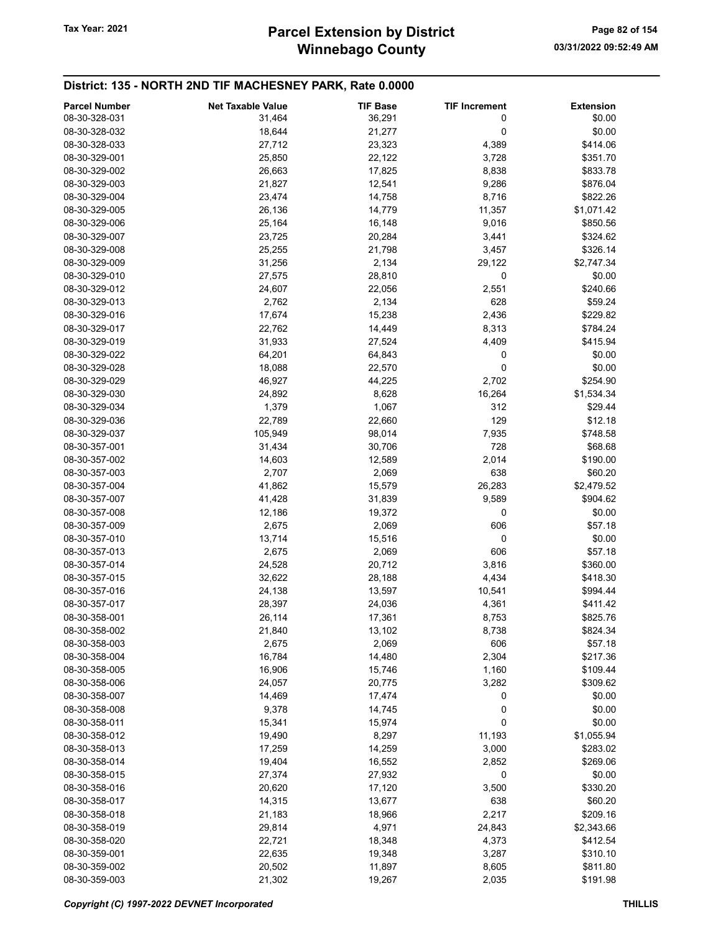# District: 135 - NORTH 2ND TIF MACHESNEY PARK, Rate 0.0000

| <b>Parcel Number</b>           | <b>Net Taxable Value</b> | <b>TIF Base</b> | <b>TIF Increment</b> | <b>Extension</b> |
|--------------------------------|--------------------------|-----------------|----------------------|------------------|
| 08-30-328-031                  | 31,464                   | 36,291          | 0                    | \$0.00           |
| 08-30-328-032                  | 18,644                   | 21,277          | 0                    | \$0.00           |
| 08-30-328-033                  | 27,712                   | 23,323          | 4,389                | \$414.06         |
| 08-30-329-001                  | 25,850                   | 22,122          | 3,728                | \$351.70         |
| 08-30-329-002                  | 26,663                   | 17,825          | 8,838                | \$833.78         |
| 08-30-329-003                  | 21,827                   | 12,541          | 9,286                | \$876.04         |
| 08-30-329-004                  | 23,474                   | 14,758          | 8,716                | \$822.26         |
| 08-30-329-005                  | 26,136                   | 14,779          | 11,357               | \$1,071.42       |
| 08-30-329-006                  | 25,164                   | 16,148          | 9,016                | \$850.56         |
| 08-30-329-007                  | 23,725                   | 20,284          | 3,441                | \$324.62         |
| 08-30-329-008                  | 25,255                   | 21,798          | 3,457                | \$326.14         |
| 08-30-329-009                  | 31,256                   | 2,134           | 29,122               | \$2,747.34       |
| 08-30-329-010                  | 27,575                   | 28,810          | 0                    | \$0.00           |
| 08-30-329-012                  | 24,607                   | 22,056          | 2,551                | \$240.66         |
| 08-30-329-013                  | 2,762                    | 2,134           | 628                  | \$59.24          |
| 08-30-329-016                  | 17,674                   | 15,238          | 2,436                | \$229.82         |
| 08-30-329-017                  | 22,762                   | 14,449          | 8,313                | \$784.24         |
| 08-30-329-019                  | 31,933                   | 27,524          | 4,409                | \$415.94         |
| 08-30-329-022                  | 64,201                   | 64,843          | 0                    | \$0.00           |
| 08-30-329-028                  | 18,088                   | 22,570          | 0                    | \$0.00           |
| 08-30-329-029                  | 46,927                   | 44,225          | 2,702                | \$254.90         |
| 08-30-329-030                  | 24,892                   |                 | 16,264               | \$1,534.34       |
| 08-30-329-034                  |                          | 8,628           | 312                  | \$29.44          |
|                                | 1,379                    | 1,067           | 129                  |                  |
| 08-30-329-036<br>08-30-329-037 | 22,789                   | 22,660          |                      | \$12.18          |
|                                | 105,949                  | 98,014          | 7,935                | \$748.58         |
| 08-30-357-001                  | 31,434                   | 30,706          | 728                  | \$68.68          |
| 08-30-357-002                  | 14,603                   | 12,589          | 2,014                | \$190.00         |
| 08-30-357-003                  | 2,707                    | 2,069           | 638                  | \$60.20          |
| 08-30-357-004                  | 41,862                   | 15,579          | 26,283               | \$2,479.52       |
| 08-30-357-007                  | 41,428                   | 31,839          | 9,589                | \$904.62         |
| 08-30-357-008                  | 12,186                   | 19,372          | 0                    | \$0.00           |
| 08-30-357-009                  | 2,675                    | 2,069           | 606                  | \$57.18          |
| 08-30-357-010                  | 13,714                   | 15,516          | $\pmb{0}$            | \$0.00           |
| 08-30-357-013                  | 2,675                    | 2,069           | 606                  | \$57.18          |
| 08-30-357-014                  | 24,528                   | 20,712          | 3,816                | \$360.00         |
| 08-30-357-015                  | 32,622                   | 28,188          | 4,434                | \$418.30         |
| 08-30-357-016                  | 24,138                   | 13,597          | 10,541               | \$994.44         |
| 08-30-357-017                  | 28,397                   | 24,036          | 4,361                | \$411.42         |
| 08-30-358-001                  | 26,114                   | 17,361          | 8,753                | \$825.76         |
| 08-30-358-002                  | 21,840                   | 13,102          | 8,738                | \$824.34         |
| 08-30-358-003                  | 2,675                    | 2,069           | 606                  | \$57.18          |
| 08-30-358-004                  | 16,784                   | 14,480          | 2,304                | \$217.36         |
| 08-30-358-005                  | 16,906                   | 15,746          | 1,160                | \$109.44         |
| 08-30-358-006                  | 24,057                   | 20,775          | 3,282                | \$309.62         |
| 08-30-358-007                  | 14,469                   | 17,474          | 0                    | \$0.00           |
| 08-30-358-008                  | 9,378                    | 14,745          | 0                    | \$0.00           |
| 08-30-358-011                  | 15,341                   | 15,974          | 0                    | \$0.00           |
| 08-30-358-012                  | 19,490                   | 8,297           | 11,193               | \$1,055.94       |
| 08-30-358-013                  | 17,259                   | 14,259          | 3,000                | \$283.02         |
| 08-30-358-014                  | 19,404                   | 16,552          | 2,852                | \$269.06         |
| 08-30-358-015                  | 27,374                   | 27,932          | 0                    | \$0.00           |
| 08-30-358-016                  | 20,620                   | 17,120          | 3,500                | \$330.20         |
| 08-30-358-017                  | 14,315                   | 13,677          | 638                  | \$60.20          |
| 08-30-358-018                  | 21,183                   | 18,966          | 2,217                | \$209.16         |
| 08-30-358-019                  | 29,814                   | 4,971           | 24,843               | \$2,343.66       |
| 08-30-358-020                  | 22,721                   | 18,348          | 4,373                | \$412.54         |
| 08-30-359-001                  | 22,635                   | 19,348          | 3,287                | \$310.10         |
| 08-30-359-002                  | 20,502                   | 11,897          | 8,605                | \$811.80         |
| 08-30-359-003                  | 21,302                   | 19,267          | 2,035                | \$191.98         |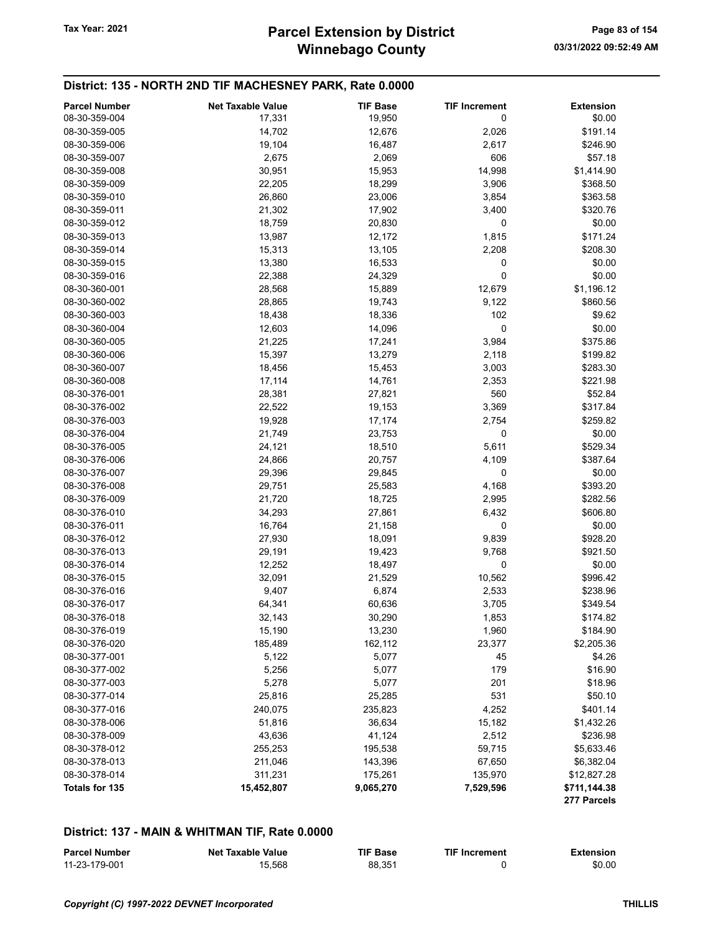### District: 135 - NORTH 2ND TIF MACHESNEY PARK, Rate 0.0000

| <b>Parcel Number</b>           | <b>Net Taxable Value</b> | <b>TIF Base</b> | <b>TIF Increment</b> | <b>Extension</b>            |
|--------------------------------|--------------------------|-----------------|----------------------|-----------------------------|
| 08-30-359-004                  | 17,331                   | 19,950          | 0                    | \$0.00                      |
| 08-30-359-005                  | 14,702                   | 12,676          | 2,026                | \$191.14                    |
| 08-30-359-006                  | 19,104                   | 16,487          | 2,617                | \$246.90                    |
| 08-30-359-007                  | 2,675                    | 2,069           | 606                  | \$57.18                     |
| 08-30-359-008                  | 30,951                   | 15,953          | 14,998               | \$1,414.90                  |
| 08-30-359-009                  | 22,205                   | 18,299          | 3,906                | \$368.50                    |
| 08-30-359-010                  | 26,860                   | 23,006          | 3,854                | \$363.58                    |
| 08-30-359-011                  | 21,302                   | 17,902          | 3,400                | \$320.76                    |
| 08-30-359-012                  | 18,759                   | 20,830          | 0                    | \$0.00                      |
| 08-30-359-013                  | 13,987                   | 12,172          | 1,815                | \$171.24                    |
| 08-30-359-014                  | 15,313                   | 13,105          | 2,208                | \$208.30                    |
| 08-30-359-015                  | 13,380                   | 16,533          | 0                    | \$0.00                      |
| 08-30-359-016                  | 22,388                   | 24,329          | 0                    | \$0.00                      |
| 08-30-360-001                  | 28,568                   | 15,889          | 12,679               | \$1,196.12                  |
| 08-30-360-002                  | 28,865                   | 19,743          | 9,122                | \$860.56                    |
| 08-30-360-003                  | 18,438                   | 18,336          | 102                  | \$9.62                      |
| 08-30-360-004                  | 12,603                   | 14,096          | 0                    | \$0.00                      |
| 08-30-360-005                  | 21,225                   | 17,241          | 3,984                | \$375.86                    |
| 08-30-360-006                  | 15,397                   | 13,279          | 2,118                | \$199.82                    |
| 08-30-360-007                  | 18,456                   | 15,453          | 3,003                | \$283.30                    |
| 08-30-360-008                  | 17,114                   | 14,761          | 2,353                | \$221.98                    |
| 08-30-376-001                  | 28,381                   | 27,821          | 560                  | \$52.84                     |
| 08-30-376-002                  | 22,522                   | 19,153          | 3,369                | \$317.84                    |
| 08-30-376-003                  | 19,928                   | 17,174          | 2,754                | \$259.82                    |
| 08-30-376-004                  | 21,749                   | 23,753          | 0                    | \$0.00                      |
| 08-30-376-005                  | 24,121                   | 18,510          | 5,611                | \$529.34                    |
| 08-30-376-006                  | 24,866                   | 20,757          | 4,109                | \$387.64                    |
| 08-30-376-007                  | 29,396                   | 29,845          | 0                    | \$0.00                      |
| 08-30-376-008                  | 29,751                   | 25,583          | 4,168                | \$393.20                    |
| 08-30-376-009                  | 21,720                   | 18,725          | 2,995                | \$282.56                    |
| 08-30-376-010                  | 34,293                   | 27,861          | 6,432                | \$606.80                    |
| 08-30-376-011                  | 16,764                   | 21,158          | 0                    | \$0.00                      |
| 08-30-376-012                  | 27,930                   | 18,091          | 9,839                | \$928.20                    |
| 08-30-376-013                  | 29,191                   | 19,423          | 9,768                | \$921.50                    |
| 08-30-376-014                  | 12,252                   | 18,497          | 0                    | \$0.00                      |
| 08-30-376-015                  | 32,091                   | 21,529          | 10,562               | \$996.42                    |
| 08-30-376-016                  | 9,407                    | 6,874           | 2,533                | \$238.96                    |
| 08-30-376-017                  | 64,341                   |                 | 3,705                | \$349.54                    |
|                                |                          | 60,636          |                      |                             |
| 08-30-376-018                  | 32,143<br>15,190         | 30,290          | 1,853                | \$174.82                    |
| 08-30-376-019                  |                          | 13,230          | 1,960                | \$184.90                    |
| 08-30-376-020<br>08-30-377-001 | 185,489                  | 162,112         | 23,377<br>45         | \$2,205.36                  |
| 08-30-377-002                  | 5,122                    | 5,077           |                      | \$4.26                      |
|                                | 5,256                    | 5,077           | 179                  | \$16.90                     |
| 08-30-377-003                  | 5,278                    | 5,077           | 201                  | \$18.96                     |
| 08-30-377-014                  | 25,816                   | 25,285          | 531                  | \$50.10                     |
| 08-30-377-016                  | 240,075                  | 235,823         | 4,252                | \$401.14                    |
| 08-30-378-006                  | 51,816                   | 36,634          | 15,182               | \$1,432.26                  |
| 08-30-378-009                  | 43,636                   | 41,124          | 2,512                | \$236.98                    |
| 08-30-378-012                  | 255,253                  | 195,538         | 59,715               | \$5,633.46                  |
| 08-30-378-013                  | 211,046                  | 143,396         | 67,650               | \$6,382.04                  |
| 08-30-378-014                  | 311,231                  | 175,261         | 135,970              | \$12,827.28                 |
| Totals for 135                 | 15,452,807               | 9,065,270       | 7,529,596            | \$711,144.38<br>277 Parcels |

# District: 137 - MAIN & WHITMAN TIF, Rate 0.0000

| <b>Parcel Number</b> | Net Taxable Value | TIF Base | <b>TIF Increment</b> | <b>Extension</b> |
|----------------------|-------------------|----------|----------------------|------------------|
| 11-23-179-001        | 15.568            | 88.351   |                      | \$0.00           |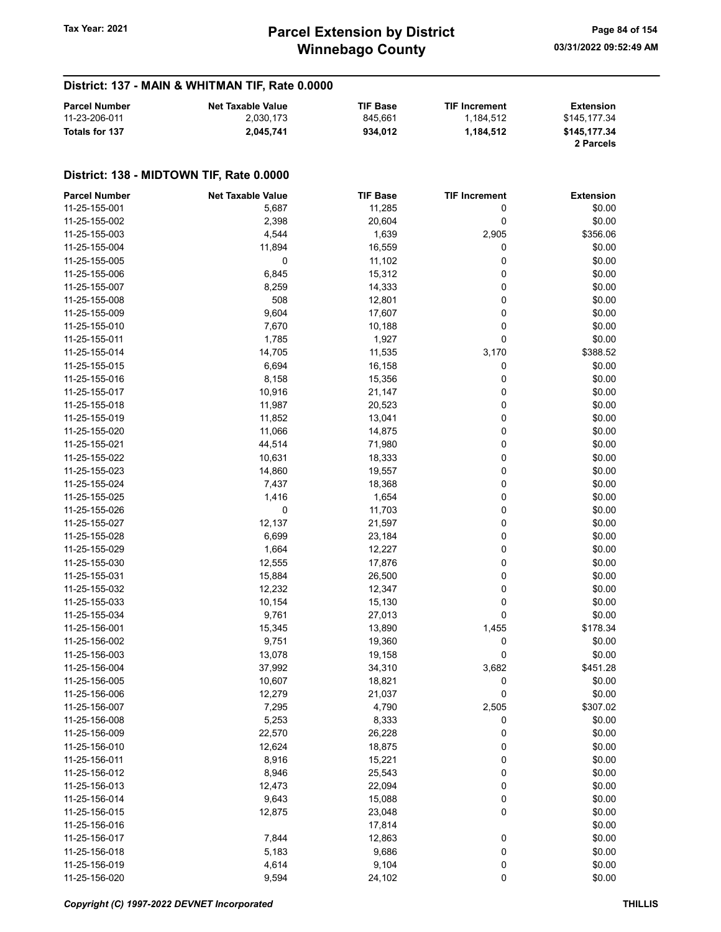# District: 137 - MAIN & WHITMAN TIF, Rate 0.0000

| <b>Parcel Number</b> | <b>Net Taxable Value</b> | <b>TIF Base</b> | <b>TIF Increment</b> | Extension                 |
|----------------------|--------------------------|-----------------|----------------------|---------------------------|
| 11-23-206-011        | 2.030.173                | 845.661         | 1.184.512            | \$145.177.34              |
| Totals for 137       | 2.045.741                | 934.012         | 1.184.512            | \$145,177,34<br>2 Parcels |

| <b>Parcel Number</b> | <b>Net Taxable Value</b> | <b>TIF Base</b> | <b>TIF Increment</b> | <b>Extension</b> |
|----------------------|--------------------------|-----------------|----------------------|------------------|
| 11-25-155-001        | 5,687                    | 11,285          | 0                    | \$0.00           |
| 11-25-155-002        | 2,398                    | 20,604          | 0                    | \$0.00           |
| 11-25-155-003        | 4,544                    | 1,639           | 2,905                | \$356.06         |
| 11-25-155-004        | 11,894                   | 16,559          | 0                    | \$0.00           |
| 11-25-155-005        | 0                        | 11,102          | 0                    | \$0.00           |
| 11-25-155-006        | 6,845                    | 15,312          | 0                    | \$0.00           |
| 11-25-155-007        | 8,259                    | 14,333          | 0                    | \$0.00           |
| 11-25-155-008        | 508                      | 12,801          | 0                    | \$0.00           |
| 11-25-155-009        | 9,604                    | 17,607          | 0                    | \$0.00           |
| 11-25-155-010        | 7,670                    | 10,188          | 0                    | \$0.00           |
| 11-25-155-011        | 1,785                    | 1,927           | 0                    | \$0.00           |
| 11-25-155-014        | 14,705                   | 11,535          | 3,170                | \$388.52         |
| 11-25-155-015        | 6,694                    | 16,158          | 0                    | \$0.00           |
| 11-25-155-016        | 8,158                    | 15,356          | 0                    | \$0.00           |
| 11-25-155-017        | 10,916                   | 21,147          | 0                    | \$0.00           |
| 11-25-155-018        | 11,987                   | 20,523          | 0                    | \$0.00           |
| 11-25-155-019        | 11,852                   | 13,041          | 0                    | \$0.00           |
| 11-25-155-020        | 11,066                   | 14,875          | 0                    | \$0.00           |
| 11-25-155-021        | 44,514                   | 71,980          | 0                    | \$0.00           |
| 11-25-155-022        |                          |                 | 0                    | \$0.00           |
|                      | 10,631                   | 18,333          |                      |                  |
| 11-25-155-023        | 14,860                   | 19,557          | 0                    | \$0.00           |
| 11-25-155-024        | 7,437                    | 18,368          | 0                    | \$0.00           |
| 11-25-155-025        | 1,416                    | 1,654           | 0                    | \$0.00           |
| 11-25-155-026        | 0                        | 11,703          | 0                    | \$0.00           |
| 11-25-155-027        | 12,137                   | 21,597          | 0                    | \$0.00           |
| 11-25-155-028        | 6,699                    | 23,184          | 0                    | \$0.00           |
| 11-25-155-029        | 1,664                    | 12,227          | 0                    | \$0.00           |
| 11-25-155-030        | 12,555                   | 17,876          | 0                    | \$0.00           |
| 11-25-155-031        | 15,884                   | 26,500          | 0                    | \$0.00           |
| 11-25-155-032        | 12,232                   | 12,347          | 0                    | \$0.00           |
| 11-25-155-033        | 10,154                   | 15,130          | 0                    | \$0.00           |
| 11-25-155-034        | 9,761                    | 27,013          | 0                    | \$0.00           |
| 11-25-156-001        | 15,345                   | 13,890          | 1,455                | \$178.34         |
| 11-25-156-002        | 9,751                    | 19,360          | 0                    | \$0.00           |
| 11-25-156-003        | 13,078                   | 19,158          | 0                    | \$0.00           |
| 11-25-156-004        | 37,992                   | 34,310          | 3,682                | \$451.28         |
| 11-25-156-005        | 10,607                   | 18,821          | 0                    | \$0.00           |
| 11-25-156-006        | 12,279                   | 21,037          | 0                    | \$0.00           |
| 11-25-156-007        | 7,295                    | 4,790           | 2,505                | \$307.02         |
| 11-25-156-008        | 5,253                    | 8,333           | 0                    | \$0.00           |
| 11-25-156-009        | 22,570                   | 26,228          | 0                    | \$0.00           |
| 11-25-156-010        | 12,624                   | 18,875          | 0                    | \$0.00           |
| 11-25-156-011        | 8,916                    | 15,221          | 0                    | \$0.00           |
| 11-25-156-012        | 8,946                    | 25,543          | 0                    | \$0.00           |
| 11-25-156-013        | 12,473                   | 22,094          | 0                    | \$0.00           |
| 11-25-156-014        | 9,643                    | 15,088          | 0                    | \$0.00           |
| 11-25-156-015        | 12,875                   | 23,048          | 0                    | \$0.00           |
| 11-25-156-016        |                          | 17,814          |                      | \$0.00           |
| 11-25-156-017        | 7,844                    | 12,863          | $\boldsymbol{0}$     | \$0.00           |
| 11-25-156-018        | 5,183                    | 9,686           | 0                    | \$0.00           |
| 11-25-156-019        | 4,614                    | 9,104           | 0                    | \$0.00           |
| 11-25-156-020        | 9,594                    | 24,102          | 0                    | \$0.00           |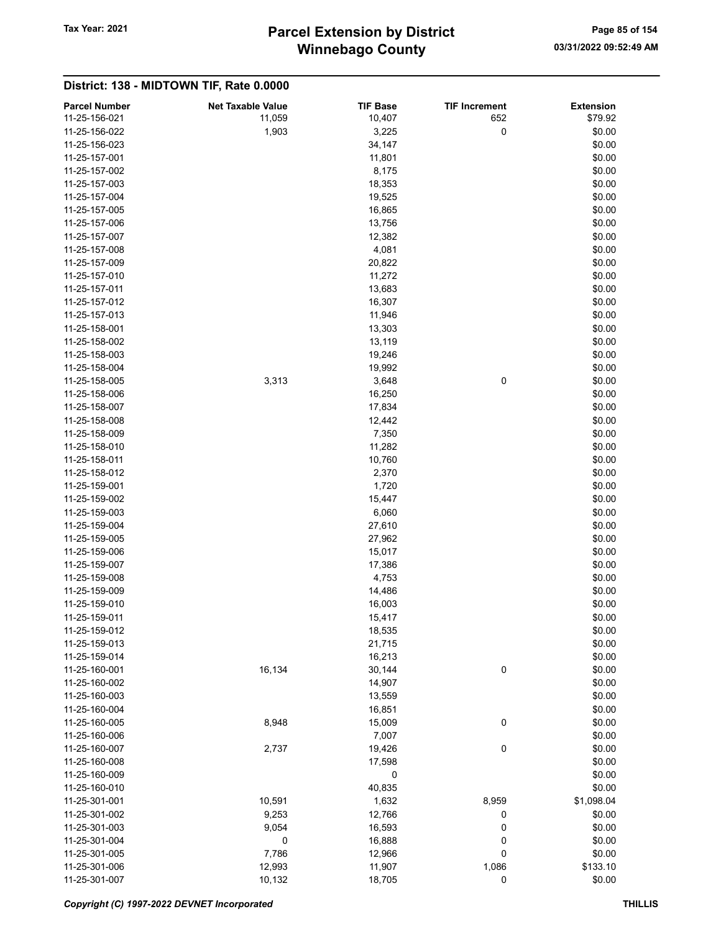# Winnebago County Tax Year: 2021 **Parcel Extension by District** Page 85 of 154

| <b>Parcel Number</b> | <b>Net Taxable Value</b> | <b>TIF Base</b> | <b>TIF Increment</b> | <b>Extension</b> |
|----------------------|--------------------------|-----------------|----------------------|------------------|
| 11-25-156-021        | 11,059                   | 10,407          | 652                  | \$79.92          |
| 11-25-156-022        | 1,903                    | 3,225           | 0                    | \$0.00           |
| 11-25-156-023        |                          | 34,147          |                      | \$0.00           |
| 11-25-157-001        |                          | 11,801          |                      | \$0.00           |
| 11-25-157-002        |                          | 8,175           |                      | \$0.00           |
| 11-25-157-003        |                          | 18,353          |                      | \$0.00           |
| 11-25-157-004        |                          | 19,525          |                      | \$0.00           |
| 11-25-157-005        |                          | 16,865          |                      | \$0.00           |
| 11-25-157-006        |                          | 13,756          |                      | \$0.00           |
| 11-25-157-007        |                          | 12,382          |                      | \$0.00           |
| 11-25-157-008        |                          | 4,081           |                      | \$0.00           |
| 11-25-157-009        |                          | 20,822          |                      | \$0.00           |
| 11-25-157-010        |                          | 11,272          |                      | \$0.00           |
| 11-25-157-011        |                          | 13,683          |                      | \$0.00           |
| 11-25-157-012        |                          | 16,307          |                      | \$0.00           |
| 11-25-157-013        |                          | 11,946          |                      | \$0.00           |
| 11-25-158-001        |                          | 13,303          |                      | \$0.00           |
| 11-25-158-002        |                          | 13,119          |                      | \$0.00           |
| 11-25-158-003        |                          | 19,246          |                      | \$0.00           |
| 11-25-158-004        |                          | 19,992          |                      | \$0.00           |
| 11-25-158-005        | 3,313                    | 3,648           | 0                    | \$0.00           |
| 11-25-158-006        |                          | 16,250          |                      | \$0.00           |
| 11-25-158-007        |                          | 17,834          |                      | \$0.00           |
| 11-25-158-008        |                          | 12,442          |                      | \$0.00           |
| 11-25-158-009        |                          | 7,350           |                      | \$0.00           |
| 11-25-158-010        |                          | 11,282          |                      | \$0.00           |
| 11-25-158-011        |                          | 10,760          |                      | \$0.00           |
| 11-25-158-012        |                          | 2,370           |                      | \$0.00           |
| 11-25-159-001        |                          | 1,720           |                      | \$0.00           |
| 11-25-159-002        |                          | 15,447          |                      | \$0.00           |
| 11-25-159-003        |                          | 6,060           |                      | \$0.00           |
| 11-25-159-004        |                          | 27,610          |                      | \$0.00           |
| 11-25-159-005        |                          | 27,962          |                      | \$0.00           |
| 11-25-159-006        |                          | 15,017          |                      | \$0.00           |
| 11-25-159-007        |                          | 17,386          |                      | \$0.00           |
| 11-25-159-008        |                          | 4,753           |                      | \$0.00           |
| 11-25-159-009        |                          | 14,486          |                      | \$0.00           |
| 11-25-159-010        |                          | 16,003          |                      | \$0.00           |
| 11-25-159-011        |                          | 15,417          |                      | \$0.00           |
| 11-25-159-012        |                          | 18,535          |                      | \$0.00           |
| 11-25-159-013        |                          | 21,715          |                      | \$0.00           |
| 11-25-159-014        |                          | 16,213          |                      | \$0.00           |
| 11-25-160-001        | 16,134                   | 30,144          | 0                    | \$0.00           |
| 11-25-160-002        |                          | 14,907          |                      | \$0.00           |
| 11-25-160-003        |                          | 13,559          |                      | \$0.00           |
| 11-25-160-004        |                          | 16,851          |                      | \$0.00           |
| 11-25-160-005        | 8,948                    | 15,009          | 0                    | \$0.00           |
| 11-25-160-006        |                          | 7,007           |                      | \$0.00           |
| 11-25-160-007        | 2,737                    | 19,426          | 0                    | \$0.00           |
| 11-25-160-008        |                          | 17,598          |                      | \$0.00           |
| 11-25-160-009        |                          | 0               |                      | \$0.00           |
| 11-25-160-010        |                          | 40,835          |                      | \$0.00           |
| 11-25-301-001        | 10,591                   | 1,632           | 8,959                | \$1,098.04       |
| 11-25-301-002        | 9,253                    | 12,766          | 0                    | \$0.00           |
| 11-25-301-003        | 9,054                    | 16,593          | $\bf{0}$             | \$0.00           |
| 11-25-301-004        | 0                        | 16,888          | 0                    | \$0.00           |
| 11-25-301-005        | 7,786                    | 12,966          | 0                    | \$0.00           |
| 11-25-301-006        | 12,993                   | 11,907          | 1,086                | \$133.10         |
| 11-25-301-007        | 10,132                   | 18,705          | 0                    | \$0.00           |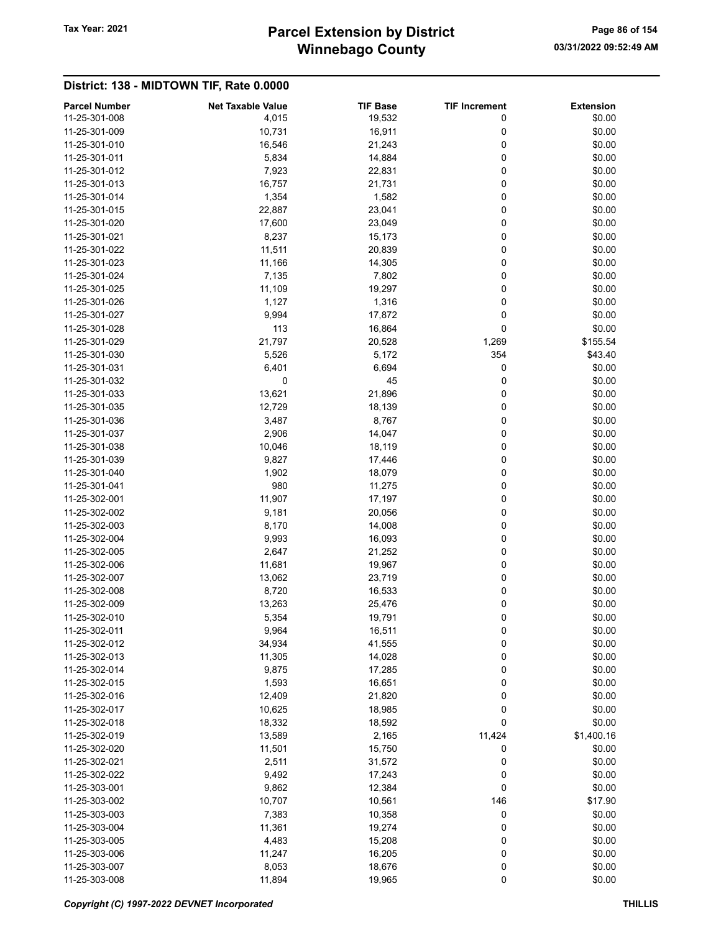# Winnebago County Tax Year: 2021 **Parcel Extension by District** Page 86 of 154

| <b>Parcel Number</b> | <b>Net Taxable Value</b> | <b>TIF Base</b> | <b>TIF Increment</b> | <b>Extension</b> |
|----------------------|--------------------------|-----------------|----------------------|------------------|
| 11-25-301-008        | 4,015                    | 19,532          | 0                    | \$0.00           |
| 11-25-301-009        | 10,731                   | 16,911          | 0                    | \$0.00           |
| 11-25-301-010        | 16,546                   | 21,243          | 0                    | \$0.00           |
| 11-25-301-011        | 5,834                    | 14,884          | 0                    | \$0.00           |
| 11-25-301-012        | 7,923                    | 22,831          | 0                    | \$0.00           |
| 11-25-301-013        | 16,757                   | 21,731          | 0                    | \$0.00           |
| 11-25-301-014        | 1,354                    | 1,582           | 0                    | \$0.00           |
| 11-25-301-015        | 22,887                   | 23,041          | 0                    | \$0.00           |
| 11-25-301-020        | 17,600                   | 23,049          | 0                    | \$0.00           |
| 11-25-301-021        | 8,237                    | 15,173          | 0                    | \$0.00           |
| 11-25-301-022        | 11,511                   | 20,839          | 0                    | \$0.00           |
| 11-25-301-023        | 11,166                   | 14,305          | 0                    | \$0.00           |
| 11-25-301-024        | 7,135                    | 7,802           | 0                    | \$0.00           |
| 11-25-301-025        | 11,109                   | 19,297          | 0                    | \$0.00           |
| 11-25-301-026        | 1,127                    | 1,316           | 0                    | \$0.00           |
| 11-25-301-027        | 9,994                    | 17,872          | 0                    | \$0.00           |
| 11-25-301-028        | 113                      | 16,864          | 0                    | \$0.00           |
| 11-25-301-029        | 21,797                   | 20,528          | 1,269                | \$155.54         |
| 11-25-301-030        | 5,526                    | 5,172           | 354                  | \$43.40          |
| 11-25-301-031        | 6,401                    | 6,694           | 0                    | \$0.00           |
| 11-25-301-032        | 0                        | 45              | 0                    |                  |
|                      |                          |                 |                      | \$0.00           |
| 11-25-301-033        | 13,621                   | 21,896          | 0                    | \$0.00           |
| 11-25-301-035        | 12,729                   | 18,139          | 0                    | \$0.00           |
| 11-25-301-036        | 3,487                    | 8,767           | 0                    | \$0.00           |
| 11-25-301-037        | 2,906                    | 14,047          | 0                    | \$0.00           |
| 11-25-301-038        | 10,046                   | 18,119          | 0                    | \$0.00           |
| 11-25-301-039        | 9,827                    | 17,446          | 0                    | \$0.00           |
| 11-25-301-040        | 1,902                    | 18,079          | 0                    | \$0.00           |
| 11-25-301-041        | 980                      | 11,275          | 0                    | \$0.00           |
| 11-25-302-001        | 11,907                   | 17,197          | 0                    | \$0.00           |
| 11-25-302-002        | 9,181                    | 20,056          | 0                    | \$0.00           |
| 11-25-302-003        | 8,170                    | 14,008          | 0                    | \$0.00           |
| 11-25-302-004        | 9,993                    | 16,093          | 0                    | \$0.00           |
| 11-25-302-005        | 2,647                    | 21,252          | 0                    | \$0.00           |
| 11-25-302-006        | 11,681                   | 19,967          | 0                    | \$0.00           |
| 11-25-302-007        | 13,062                   | 23,719          | 0                    | \$0.00           |
| 11-25-302-008        | 8,720                    | 16,533          | 0                    | \$0.00           |
| 11-25-302-009        | 13,263                   | 25,476          | 0                    | \$0.00           |
| 11-25-302-010        | 5,354                    | 19,791          | 0                    | \$0.00           |
| 11-25-302-011        | 9,964                    | 16,511          | $\pmb{0}$            | \$0.00           |
| 11-25-302-012        | 34,934                   | 41,555          | 0                    | \$0.00           |
| 11-25-302-013        | 11,305                   | 14,028          | 0                    | \$0.00           |
| 11-25-302-014        | 9,875                    | 17,285          | 0                    | \$0.00           |
| 11-25-302-015        | 1,593                    | 16,651          | 0                    | \$0.00           |
| 11-25-302-016        | 12,409                   | 21,820          | 0                    | \$0.00           |
| 11-25-302-017        | 10,625                   | 18,985          | 0                    | \$0.00           |
| 11-25-302-018        | 18,332                   | 18,592          | 0                    | \$0.00           |
| 11-25-302-019        | 13,589                   | 2,165           | 11,424               | \$1,400.16       |
|                      |                          |                 | 0                    |                  |
| 11-25-302-020        | 11,501                   | 15,750          |                      | \$0.00           |
| 11-25-302-021        | 2,511                    | 31,572          | 0                    | \$0.00           |
| 11-25-302-022        | 9,492                    | 17,243          | 0                    | \$0.00           |
| 11-25-303-001        | 9,862                    | 12,384          | 0                    | \$0.00           |
| 11-25-303-002        | 10,707                   | 10,561          | 146                  | \$17.90          |
| 11-25-303-003        | 7,383                    | 10,358          | 0                    | \$0.00           |
| 11-25-303-004        | 11,361                   | 19,274          | 0                    | \$0.00           |
| 11-25-303-005        | 4,483                    | 15,208          | 0                    | \$0.00           |
| 11-25-303-006        | 11,247                   | 16,205          | 0                    | \$0.00           |
| 11-25-303-007        | 8,053                    | 18,676          | $\boldsymbol{0}$     | \$0.00           |
| 11-25-303-008        | 11,894                   | 19,965          | 0                    | \$0.00           |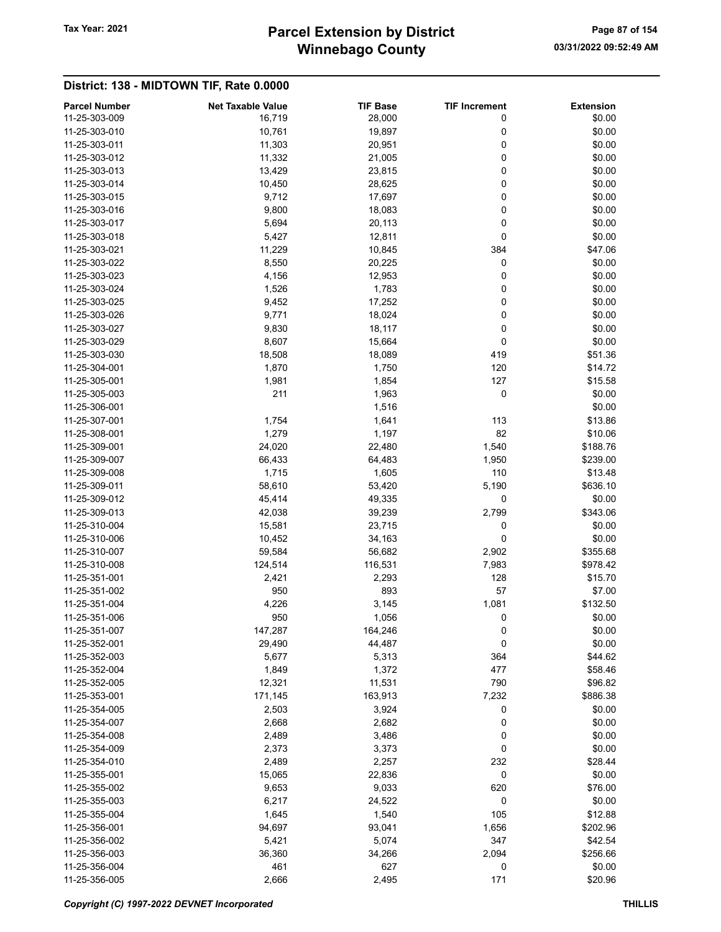# Winnebago County Tax Year: 2021 **Parcel Extension by District** Page 87 of 154

| <b>Parcel Number</b> | <b>Net Taxable Value</b> | <b>TIF Base</b> | <b>TIF Increment</b> | <b>Extension</b> |
|----------------------|--------------------------|-----------------|----------------------|------------------|
| 11-25-303-009        | 16,719                   | 28,000          | 0                    | \$0.00           |
| 11-25-303-010        | 10,761                   | 19,897          | 0                    | \$0.00           |
| 11-25-303-011        | 11,303                   | 20,951          | 0                    | \$0.00           |
| 11-25-303-012        | 11,332                   | 21,005          | 0                    | \$0.00           |
| 11-25-303-013        | 13,429                   | 23,815          | 0                    | \$0.00           |
| 11-25-303-014        | 10,450                   | 28,625          | 0                    | \$0.00           |
| 11-25-303-015        | 9,712                    | 17,697          | 0                    | \$0.00           |
| 11-25-303-016        | 9,800                    | 18,083          | 0                    | \$0.00           |
| 11-25-303-017        | 5,694                    | 20,113          | 0                    | \$0.00           |
| 11-25-303-018        | 5,427                    | 12,811          | 0                    | \$0.00           |
| 11-25-303-021        |                          |                 | 384                  | \$47.06          |
|                      | 11,229                   | 10,845          |                      |                  |
| 11-25-303-022        | 8,550                    | 20,225          | 0                    | \$0.00           |
| 11-25-303-023        | 4,156                    | 12,953          | 0                    | \$0.00           |
| 11-25-303-024        | 1,526                    | 1,783           | 0                    | \$0.00           |
| 11-25-303-025        | 9,452                    | 17,252          | 0                    | \$0.00           |
| 11-25-303-026        | 9,771                    | 18,024          | 0                    | \$0.00           |
| 11-25-303-027        | 9,830                    | 18,117          | 0                    | \$0.00           |
| 11-25-303-029        | 8,607                    | 15,664          | 0                    | \$0.00           |
| 11-25-303-030        | 18,508                   | 18,089          | 419                  | \$51.36          |
| 11-25-304-001        | 1,870                    | 1,750           | 120                  | \$14.72          |
| 11-25-305-001        | 1,981                    | 1,854           | 127                  | \$15.58          |
| 11-25-305-003        | 211                      | 1,963           | 0                    | \$0.00           |
| 11-25-306-001        |                          |                 |                      | \$0.00           |
|                      |                          | 1,516           |                      |                  |
| 11-25-307-001        | 1,754                    | 1,641           | 113                  | \$13.86          |
| 11-25-308-001        | 1,279                    | 1,197           | 82                   | \$10.06          |
| 11-25-309-001        | 24,020                   | 22,480          | 1,540                | \$188.76         |
| 11-25-309-007        | 66,433                   | 64,483          | 1,950                | \$239.00         |
| 11-25-309-008        | 1,715                    | 1,605           | 110                  | \$13.48          |
| 11-25-309-011        | 58,610                   | 53,420          | 5,190                | \$636.10         |
| 11-25-309-012        | 45,414                   | 49,335          | 0                    | \$0.00           |
| 11-25-309-013        | 42,038                   | 39,239          | 2,799                | \$343.06         |
| 11-25-310-004        | 15,581                   | 23,715          | 0                    | \$0.00           |
| 11-25-310-006        | 10,452                   | 34,163          | 0                    | \$0.00           |
| 11-25-310-007        | 59,584                   | 56,682          | 2,902                | \$355.68         |
| 11-25-310-008        | 124,514                  | 116,531         | 7,983                | \$978.42         |
| 11-25-351-001        | 2,421                    | 2,293           | 128                  | \$15.70          |
| 11-25-351-002        | 950                      | 893             | 57                   | \$7.00           |
| 11-25-351-004        | 4,226                    | 3,145           | 1,081                | \$132.50         |
|                      |                          |                 |                      |                  |
| 11-25-351-006        | 950                      | 1,056           | 0                    | \$0.00           |
| 11-25-351-007        | 147,287                  | 164,246         | 0                    | \$0.00           |
| 11-25-352-001        | 29,490                   | 44,487          | $\pmb{0}$            | \$0.00           |
| 11-25-352-003        | 5,677                    | 5,313           | 364                  | \$44.62          |
| 11-25-352-004        | 1,849                    | 1,372           | 477                  | \$58.46          |
| 11-25-352-005        | 12,321                   | 11,531          | 790                  | \$96.82          |
| 11-25-353-001        | 171,145                  | 163,913         | 7,232                | \$886.38         |
| 11-25-354-005        | 2,503                    | 3,924           | 0                    | \$0.00           |
| 11-25-354-007        | 2,668                    | 2,682           | 0                    | \$0.00           |
| 11-25-354-008        | 2,489                    | 3,486           | 0                    | \$0.00           |
| 11-25-354-009        | 2,373                    | 3,373           | 0                    | \$0.00           |
| 11-25-354-010        | 2,489                    | 2,257           | 232                  | \$28.44          |
| 11-25-355-001        | 15,065                   | 22,836          | 0                    | \$0.00           |
| 11-25-355-002        | 9,653                    | 9,033           | 620                  | \$76.00          |
| 11-25-355-003        | 6,217                    | 24,522          | 0                    | \$0.00           |
| 11-25-355-004        |                          |                 | 105                  |                  |
|                      | 1,645                    | 1,540           |                      | \$12.88          |
| 11-25-356-001        | 94,697                   | 93,041          | 1,656                | \$202.96         |
| 11-25-356-002        | 5,421                    | 5,074           | 347                  | \$42.54          |
| 11-25-356-003        | 36,360                   | 34,266          | 2,094                | \$256.66         |
| 11-25-356-004        | 461                      | 627             | 0                    | \$0.00           |
| 11-25-356-005        | 2,666                    | 2,495           | 171                  | \$20.96          |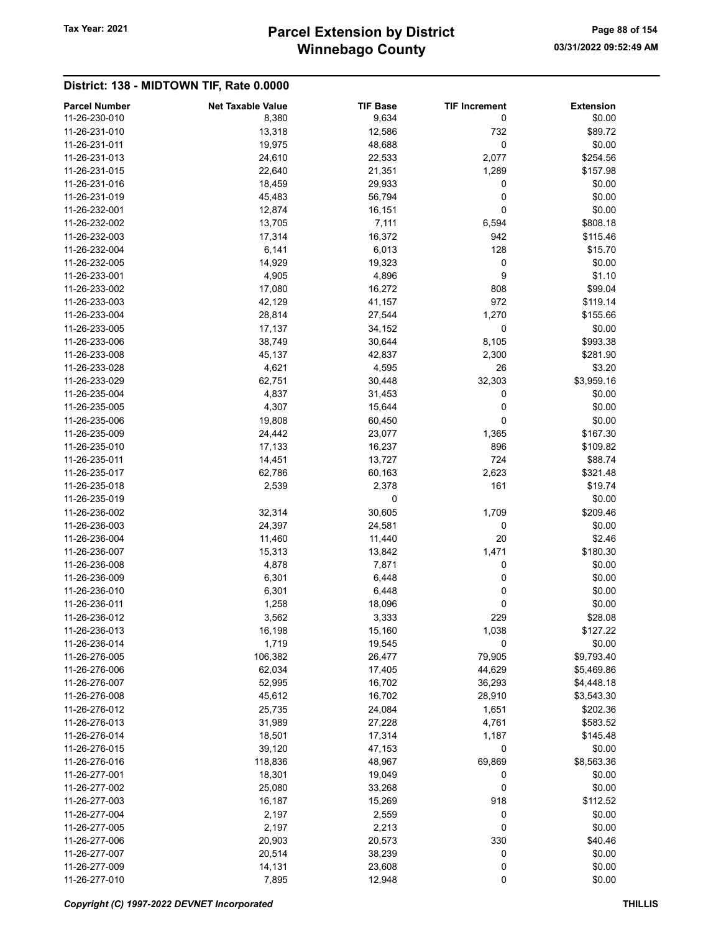# Winnebago County Tax Year: 2021 **Parcel Extension by District** Page 88 of 154

| <b>Parcel Number</b>           | <b>Net Taxable Value</b> | <b>TIF Base</b> | <b>TIF Increment</b> | <b>Extension</b> |
|--------------------------------|--------------------------|-----------------|----------------------|------------------|
| 11-26-230-010                  | 8,380                    | 9,634           | 0                    | \$0.00           |
| 11-26-231-010                  | 13,318                   | 12,586          | 732                  | \$89.72          |
| 11-26-231-011                  | 19,975                   | 48,688          | 0                    | \$0.00           |
| 11-26-231-013                  | 24,610                   | 22,533          | 2,077                | \$254.56         |
| 11-26-231-015                  | 22,640                   | 21,351          | 1,289                | \$157.98         |
| 11-26-231-016                  | 18,459                   | 29,933          | 0                    | \$0.00           |
| 11-26-231-019                  | 45,483                   | 56,794          | 0                    | \$0.00           |
| 11-26-232-001                  | 12,874                   | 16,151          | 0                    | \$0.00           |
| 11-26-232-002                  | 13,705                   | 7,111           | 6,594                | \$808.18         |
| 11-26-232-003                  | 17,314                   | 16,372          | 942                  | \$115.46         |
| 11-26-232-004                  | 6,141                    | 6,013           | 128                  | \$15.70          |
| 11-26-232-005                  | 14,929                   | 19,323          | 0                    | \$0.00           |
| 11-26-233-001                  | 4,905                    | 4,896           | 9                    | \$1.10           |
| 11-26-233-002                  | 17,080                   | 16,272          | 808                  | \$99.04          |
| 11-26-233-003                  | 42,129                   | 41,157          | 972                  | \$119.14         |
| 11-26-233-004                  | 28,814                   | 27,544          | 1,270                | \$155.66         |
| 11-26-233-005                  | 17,137                   | 34,152          | 0                    | \$0.00           |
| 11-26-233-006                  | 38,749                   | 30,644          | 8,105                | \$993.38         |
| 11-26-233-008                  | 45,137                   | 42,837          | 2,300                | \$281.90         |
| 11-26-233-028                  | 4,621                    | 4,595           | 26                   | \$3.20           |
| 11-26-233-029                  | 62,751                   | 30,448          | 32,303               | \$3,959.16       |
| 11-26-235-004                  | 4,837                    | 31,453          | 0                    | \$0.00           |
| 11-26-235-005                  | 4,307                    | 15,644          | 0                    | \$0.00           |
| 11-26-235-006                  | 19,808                   | 60,450          | 0                    | \$0.00           |
| 11-26-235-009                  | 24,442                   | 23,077          | 1,365                | \$167.30         |
| 11-26-235-010                  |                          |                 | 896                  |                  |
|                                | 17,133                   | 16,237          |                      | \$109.82         |
| 11-26-235-011<br>11-26-235-017 | 14,451                   | 13,727          | 724                  | \$88.74          |
|                                | 62,786                   | 60,163          | 2,623                | \$321.48         |
| 11-26-235-018                  | 2,539                    | 2,378           | 161                  | \$19.74          |
| 11-26-235-019                  |                          | 0               |                      | \$0.00           |
| 11-26-236-002                  | 32,314                   | 30,605          | 1,709                | \$209.46         |
| 11-26-236-003                  | 24,397                   | 24,581          | 0                    | \$0.00           |
| 11-26-236-004                  | 11,460                   | 11,440          | 20                   | \$2.46           |
| 11-26-236-007                  | 15,313                   | 13,842          | 1,471                | \$180.30         |
| 11-26-236-008                  | 4,878                    | 7,871           | 0                    | \$0.00           |
| 11-26-236-009                  | 6,301                    | 6,448           | 0                    | \$0.00           |
| 11-26-236-010                  | 6,301                    | 6,448           | 0                    | \$0.00           |
| 11-26-236-011                  | 1,258                    | 18,096          | 0                    | \$0.00           |
| 11-26-236-012                  | 3,562                    | 3,333           | 229                  | \$28.08          |
| 11-26-236-013                  | 16,198                   | 15,160          | 1,038                | \$127.22         |
| 11-26-236-014                  | 1,719                    | 19,545          | 0                    | \$0.00           |
| 11-26-276-005                  | 106,382                  | 26,477          | 79,905               | \$9,793.40       |
| 11-26-276-006                  | 62,034                   | 17,405          | 44,629               | \$5,469.86       |
| 11-26-276-007                  | 52,995                   | 16,702          | 36,293               | \$4,448.18       |
| 11-26-276-008                  | 45,612                   | 16,702          | 28,910               | \$3,543.30       |
| 11-26-276-012                  | 25,735                   | 24,084          | 1,651                | \$202.36         |
| 11-26-276-013                  | 31,989                   | 27,228          | 4,761                | \$583.52         |
| 11-26-276-014                  | 18,501                   | 17,314          | 1,187                | \$145.48         |
| 11-26-276-015                  | 39,120                   | 47,153          | 0                    | \$0.00           |
| 11-26-276-016                  | 118,836                  | 48,967          | 69,869               | \$8,563.36       |
| 11-26-277-001                  | 18,301                   | 19,049          | 0                    | \$0.00           |
| 11-26-277-002                  | 25,080                   | 33,268          | 0                    | \$0.00           |
| 11-26-277-003                  | 16,187                   | 15,269          | 918                  | \$112.52         |
| 11-26-277-004                  | 2,197                    | 2,559           | 0                    | \$0.00           |
| 11-26-277-005                  | 2,197                    | 2,213           | 0                    | \$0.00           |
| 11-26-277-006                  | 20,903                   | 20,573          | 330                  | \$40.46          |
| 11-26-277-007                  | 20,514                   | 38,239          | 0                    | \$0.00           |
| 11-26-277-009                  | 14,131                   | 23,608          | 0                    | \$0.00           |
| 11-26-277-010                  | 7,895                    | 12,948          | 0                    | \$0.00           |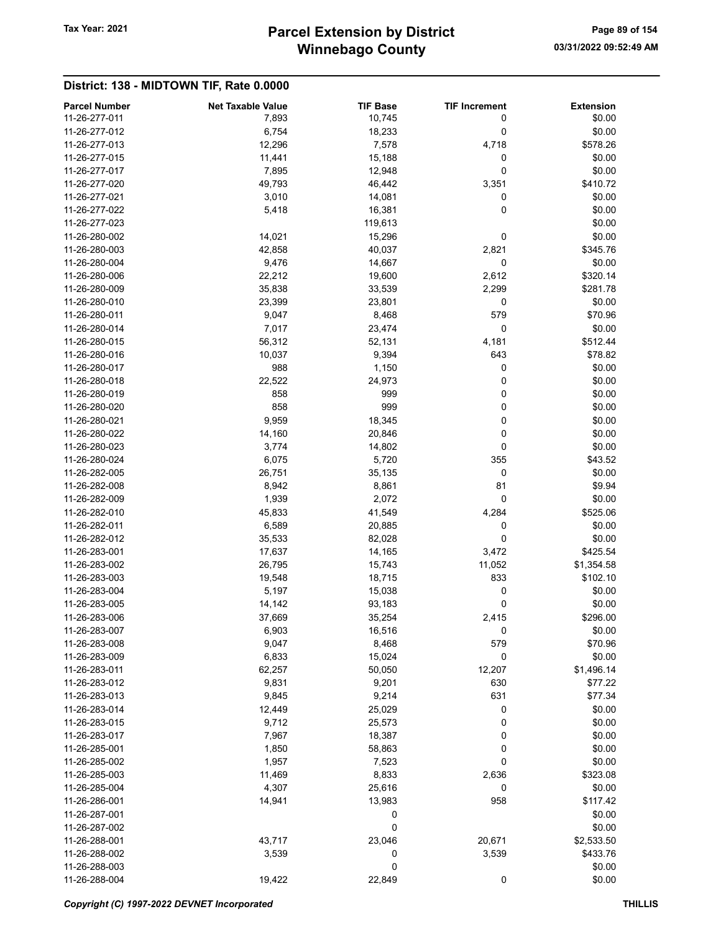# Winnebago County Tax Year: 2021 **Parcel Extension by District** Page 89 of 154

| <b>Parcel Number</b> | <b>Net Taxable Value</b> | <b>TIF Base</b> | <b>TIF Increment</b> | <b>Extension</b> |
|----------------------|--------------------------|-----------------|----------------------|------------------|
| 11-26-277-011        | 7,893                    | 10,745          | 0                    | \$0.00           |
| 11-26-277-012        | 6,754                    | 18,233          | 0                    | \$0.00           |
| 11-26-277-013        | 12,296                   | 7,578           | 4,718                | \$578.26         |
| 11-26-277-015        | 11,441                   | 15,188          | 0                    | \$0.00           |
| 11-26-277-017        | 7,895                    | 12,948          | 0                    | \$0.00           |
| 11-26-277-020        | 49,793                   | 46,442          | 3,351                | \$410.72         |
| 11-26-277-021        | 3,010                    | 14,081          | 0                    | \$0.00           |
| 11-26-277-022        | 5,418                    | 16,381          | $\mathbf 0$          | \$0.00           |
| 11-26-277-023        |                          | 119,613         |                      | \$0.00           |
| 11-26-280-002        | 14,021                   | 15,296          | 0                    | \$0.00           |
| 11-26-280-003        | 42,858                   | 40,037          | 2,821                | \$345.76         |
| 11-26-280-004        | 9,476                    | 14,667          | 0                    | \$0.00           |
| 11-26-280-006        | 22,212                   | 19,600          | 2,612                | \$320.14         |
| 11-26-280-009        | 35,838                   | 33,539          | 2,299                | \$281.78         |
| 11-26-280-010        | 23,399                   | 23,801          | 0                    | \$0.00           |
| 11-26-280-011        | 9,047                    | 8,468           | 579                  | \$70.96          |
| 11-26-280-014        | 7,017                    | 23,474          | 0                    | \$0.00           |
| 11-26-280-015        | 56,312                   | 52,131          | 4,181                | \$512.44         |
| 11-26-280-016        | 10,037                   | 9,394           | 643                  | \$78.82          |
| 11-26-280-017        | 988                      | 1,150           | 0                    | \$0.00           |
| 11-26-280-018        | 22,522                   | 24,973          | 0                    | \$0.00           |
| 11-26-280-019        | 858                      | 999             | 0                    | \$0.00           |
| 11-26-280-020        | 858                      | 999             | 0                    | \$0.00           |
| 11-26-280-021        | 9,959                    | 18,345          | 0                    | \$0.00           |
| 11-26-280-022        | 14,160                   | 20,846          | 0                    | \$0.00           |
| 11-26-280-023        | 3,774                    | 14,802          | 0                    | \$0.00           |
| 11-26-280-024        | 6,075                    | 5,720           | 355                  | \$43.52          |
| 11-26-282-005        | 26,751                   | 35,135          | 0                    | \$0.00           |
| 11-26-282-008        | 8,942                    | 8,861           | 81                   | \$9.94           |
| 11-26-282-009        | 1,939                    | 2,072           | 0                    | \$0.00           |
| 11-26-282-010        | 45,833                   | 41,549          | 4,284                | \$525.06         |
| 11-26-282-011        | 6,589                    | 20,885          | 0                    | \$0.00           |
| 11-26-282-012        | 35,533                   | 82,028          | 0                    | \$0.00           |
| 11-26-283-001        | 17,637                   | 14,165          | 3,472                | \$425.54         |
| 11-26-283-002        | 26,795                   | 15,743          | 11,052               | \$1,354.58       |
| 11-26-283-003        | 19,548                   | 18,715          | 833                  | \$102.10         |
| 11-26-283-004        | 5,197                    | 15,038          | 0                    | \$0.00           |
| 11-26-283-005        | 14,142                   | 93,183          | 0                    | \$0.00           |
| 11-26-283-006        | 37,669                   | 35,254          | 2,415                | \$296.00         |
| 11-26-283-007        | 6,903                    | 16,516          | 0                    | \$0.00           |
| 11-26-283-008        | 9,047                    | 8,468           | 579                  | \$70.96          |
| 11-26-283-009        | 6,833                    | 15,024          | $\mathbf 0$          | \$0.00           |
| 11-26-283-011        | 62,257                   | 50,050          | 12,207               | \$1,496.14       |
| 11-26-283-012        | 9,831                    | 9,201           | 630                  | \$77.22          |
| 11-26-283-013        | 9,845                    | 9,214           | 631                  | \$77.34          |
| 11-26-283-014        | 12,449                   | 25,029          | 0                    | \$0.00           |
| 11-26-283-015        | 9,712                    | 25,573          | 0                    | \$0.00           |
| 11-26-283-017        | 7,967                    | 18,387          | 0                    | \$0.00           |
| 11-26-285-001        | 1,850                    | 58,863          | 0                    | \$0.00           |
| 11-26-285-002        | 1,957                    | 7,523           | 0                    | \$0.00           |
| 11-26-285-003        | 11,469                   | 8,833           | 2,636                | \$323.08         |
| 11-26-285-004        | 4,307                    | 25,616          | 0                    | \$0.00           |
| 11-26-286-001        | 14,941                   | 13,983          | 958                  | \$117.42         |
| 11-26-287-001        |                          | 0               |                      | \$0.00           |
| 11-26-287-002        |                          | 0               |                      | \$0.00           |
| 11-26-288-001        | 43,717                   | 23,046          | 20,671               | \$2,533.50       |
| 11-26-288-002        | 3,539                    | 0               | 3,539                | \$433.76         |
| 11-26-288-003        |                          | 0               |                      | \$0.00           |
| 11-26-288-004        | 19,422                   | 22,849          | $\mathbf 0$          | \$0.00           |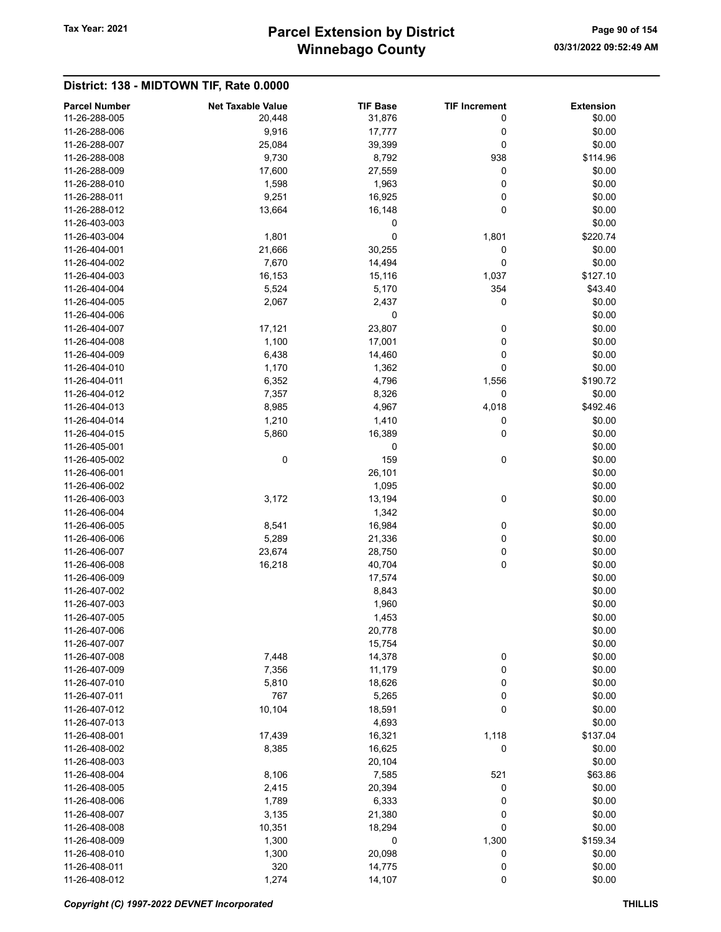# Winnebago County Tax Year: 2021 **Parcel Extension by District** Page 90 of 154

| <b>Parcel Number</b>           | <b>Net Taxable Value</b> | <b>TIF Base</b> | <b>TIF Increment</b> | <b>Extension</b> |
|--------------------------------|--------------------------|-----------------|----------------------|------------------|
| 11-26-288-005                  | 20,448                   | 31,876          | 0                    | \$0.00           |
| 11-26-288-006                  | 9,916                    | 17,777          | 0                    | \$0.00           |
| 11-26-288-007                  | 25,084                   | 39,399          | 0                    | \$0.00           |
| 11-26-288-008                  | 9,730                    | 8,792           | 938                  | \$114.96         |
| 11-26-288-009                  | 17,600                   | 27,559          | 0                    | \$0.00           |
| 11-26-288-010                  | 1,598                    | 1,963           | 0                    | \$0.00           |
| 11-26-288-011                  | 9,251                    | 16,925          | 0                    | \$0.00           |
| 11-26-288-012                  | 13,664                   | 16,148          | 0                    | \$0.00           |
| 11-26-403-003                  |                          | 0               |                      | \$0.00           |
| 11-26-403-004                  | 1,801                    | 0               | 1,801                | \$220.74         |
| 11-26-404-001                  | 21,666                   | 30,255          | 0                    | \$0.00           |
| 11-26-404-002                  | 7,670                    | 14,494          | 0                    | \$0.00           |
| 11-26-404-003                  | 16,153                   | 15,116          | 1,037                | \$127.10         |
| 11-26-404-004                  | 5,524                    | 5,170           | 354                  | \$43.40          |
| 11-26-404-005                  | 2,067                    | 2,437           | 0                    | \$0.00           |
| 11-26-404-006                  |                          | 0               |                      | \$0.00           |
| 11-26-404-007                  | 17,121                   | 23,807          | 0                    | \$0.00           |
| 11-26-404-008                  | 1,100                    | 17,001          | 0                    | \$0.00           |
| 11-26-404-009                  | 6,438                    | 14,460          | 0                    | \$0.00           |
| 11-26-404-010                  | 1,170                    | 1,362           | 0                    | \$0.00           |
| 11-26-404-011                  | 6,352                    | 4,796           | 1,556                | \$190.72         |
| 11-26-404-012                  | 7,357                    | 8,326           | 0                    | \$0.00           |
| 11-26-404-013                  | 8,985                    | 4,967           | 4,018                | \$492.46         |
| 11-26-404-014                  | 1,210                    | 1,410           | 0                    | \$0.00           |
| 11-26-404-015                  | 5,860                    | 16,389          | 0                    | \$0.00           |
| 11-26-405-001                  |                          | 0               |                      | \$0.00           |
| 11-26-405-002                  | 0                        | 159             | 0                    | \$0.00           |
| 11-26-406-001                  |                          | 26,101          |                      | \$0.00           |
| 11-26-406-002                  |                          | 1,095           |                      | \$0.00           |
| 11-26-406-003                  | 3,172                    | 13,194          | 0                    | \$0.00           |
| 11-26-406-004                  |                          | 1,342           |                      | \$0.00           |
| 11-26-406-005                  | 8,541                    | 16,984          | 0                    | \$0.00           |
| 11-26-406-006                  | 5,289                    | 21,336          | 0                    | \$0.00           |
| 11-26-406-007                  | 23,674                   | 28,750          | 0                    | \$0.00           |
| 11-26-406-008                  | 16,218                   | 40,704          | 0                    | \$0.00           |
| 11-26-406-009                  |                          | 17,574          |                      | \$0.00           |
| 11-26-407-002                  |                          | 8,843           |                      | \$0.00           |
| 11-26-407-003                  |                          | 1,960           |                      | \$0.00           |
| 11-26-407-005                  |                          | 1,453           |                      | \$0.00           |
|                                |                          |                 |                      |                  |
| 11-26-407-006                  |                          | 20,778          |                      | \$0.00           |
| 11-26-407-007<br>11-26-407-008 |                          | 15,754          |                      | \$0.00           |
|                                | 7,448                    | 14,378          | $\pmb{0}$            | \$0.00           |
| 11-26-407-009                  | 7,356                    | 11,179          | 0                    | \$0.00           |
| 11-26-407-010                  | 5,810                    | 18,626          | 0                    | \$0.00           |
| 11-26-407-011                  | 767                      | 5,265           | 0                    | \$0.00           |
| 11-26-407-012                  | 10,104                   | 18,591          | 0                    | \$0.00           |
| 11-26-407-013                  |                          | 4,693           |                      | \$0.00           |
| 11-26-408-001                  | 17,439                   | 16,321          | 1,118                | \$137.04         |
| 11-26-408-002                  | 8,385                    | 16,625          | 0                    | \$0.00           |
| 11-26-408-003                  |                          | 20,104          |                      | \$0.00           |
| 11-26-408-004                  | 8,106                    | 7,585           | 521                  | \$63.86          |
| 11-26-408-005                  | 2,415                    | 20,394          | 0                    | \$0.00           |
| 11-26-408-006                  | 1,789                    | 6,333           | 0                    | \$0.00           |
| 11-26-408-007                  | 3,135                    | 21,380          | 0                    | \$0.00           |
| 11-26-408-008                  | 10,351                   | 18,294          | 0                    | \$0.00           |
| 11-26-408-009                  | 1,300                    | $\pmb{0}$       | 1,300                | \$159.34         |
| 11-26-408-010                  | 1,300                    | 20,098          | 0                    | \$0.00           |
| 11-26-408-011                  | 320                      | 14,775          | 0                    | \$0.00           |
| 11-26-408-012                  | 1,274                    | 14,107          | $\pmb{0}$            | \$0.00           |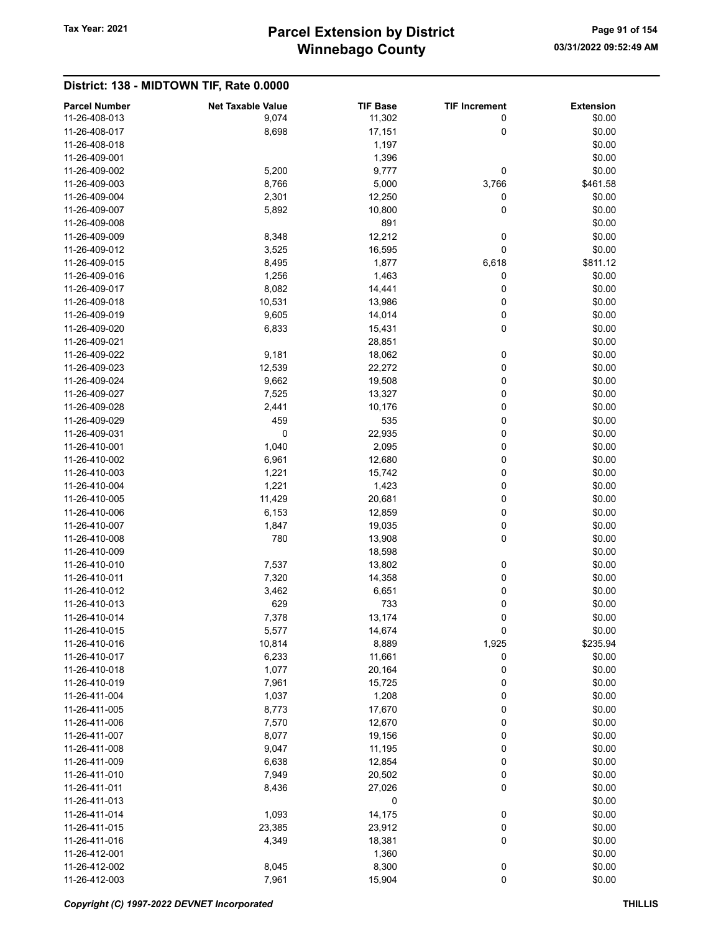District: 138 - MIDTOWN TIF, Rate 0.0000

#### Parcel Number **Net Taxable Value** TIF Base TIF Increment Extension 11-26-408-013 9,074 11,302 0 \$0.00 11-26-408-017 8,698 17,151 0 \$0.00 11-26-408-018 1,197 \$0.00  $11-26-409-001$  \$0.00 11-26-409-002 5,200 9,777 0 \$0.00 11-26-409-003 8,766 5,000 3,766 \$461.58 11-26-409-004 2,301 12,250 0 \$0.00 11-26-409-007 5,892 10,800 0 \$0.00 11-26-409-008 \$0.00 11-26-409-009 8,348 12,212 0 \$0.00 11-26-409-012 3,525 16,595 0 \$0.00 11-26-409-015 8,495 1,877 6,618 \$811.12 11-26-409-016 **1,256** 1,256 1,463 0 \$0.00 11-26-409-017 8,082 14,441 0 \$0.00 11-26-409-018 10,531 13,986 0 \$0.00 11-26-409-019 9,605 14,014 0 \$0.00 11-26-409-020 6,833 6,833 15,431 0 \$0.00 11-26-409-021 \$0.00 11-26-409-022 9,181 18,062 0 \$0.00 11-26-409-023 12,539 22,272 0 \$0.00 11-26-409-024 9,662 9,662 19,508 0 \$0.00 11-26-409-027 7,525 7,525 13,327 0 \$0.00 11-26-409-028 2,441 10,176 0 \$0.00 11-26-409-029 459 535 0 \$0.00 11-26-409-031 0 22,935 0 \$0.00 11-26-410-001 **1,040** 1,040 **2,095** 0 \$0.00 11-26-410-002 6,961 6,961 12,680 0 0 \$0.00 11-26-410-003 1,221 15,742 0 \$0.00 11-26-410-004 **1,221** 1,423 0 \$0.00 11-26-410-005 11,429 20,681 0 \$0.00 11-26-410-006 6,153 6,153 12,859 0 \$0.00 11-26-410-007 1,847 19,035 0 \$0.00 11-26-410-008 780 13,908 0 \$0.00 11-26-410-009 \$0.00 11-26-410-010 **13,602** 13,802 0 \$0.00 11-26-410-011 7,320 14,358 0 \$0.00 11-26-410-012 3,462 6,651 0 \$0.00 11-26-410-013 629 629 733 0 60.00 11-26-410-014 **11-26-410-014** 7,378 13,174 0 \$0.00 11-26-410-015 5,577 14,674 0 \$0.00 11-26-410-016 10,814 8,889 1,925 \$235.94 11-26-410-017 6,233 6,233 11,661 0 \$0.00 11-26-410-018 **1,077** 20,164 0 \$0.00 11-26-410-019 7,961 15,725 0 \$0.00 11-26-411-004 **1,037** 1,208 0 \$0.00 11-26-411-005 8,773 17,670 0 \$0.00 11-26-411-006 7,570 12,670 0 \$0.00 11-26-411-007 **8,077** 19,156 0 \$0.00 11-26-411-008 9,047 11,195 0 \$0.00 11-26-411-009 6,638 6,638 12,854 0 \$0.00 11-26-411-010 **11-26-411-010 11-26-411-010 11-26-411-010 11-26-411-010 120.502 120.502 120.00** 11-26-411-011 8,436 27,026 0 \$0.00  $11-26-411-013$  \$0.00 11-26-411-014 **1,093** 1,093 14,175 0 \$0.00 11-26-411-015 23,385 23,385 23,912 0 \$0.00 11-26-411-016 4,349 18,381 0 \$0.00 11-26-412-001 \$0.00 \$0.00 \$0.00 \$0.00 \$0.00 \$0.00 \$0.00 \$0.00 \$0.00 \$0.00 \$0.00 \$0.00 \$0.00 \$0.00 \$0.00 \$0.00 \$0 11-26-412-002 8,045 8,300 0 \$0.00

11-26-412-003 7,961 15,904 0 \$0.00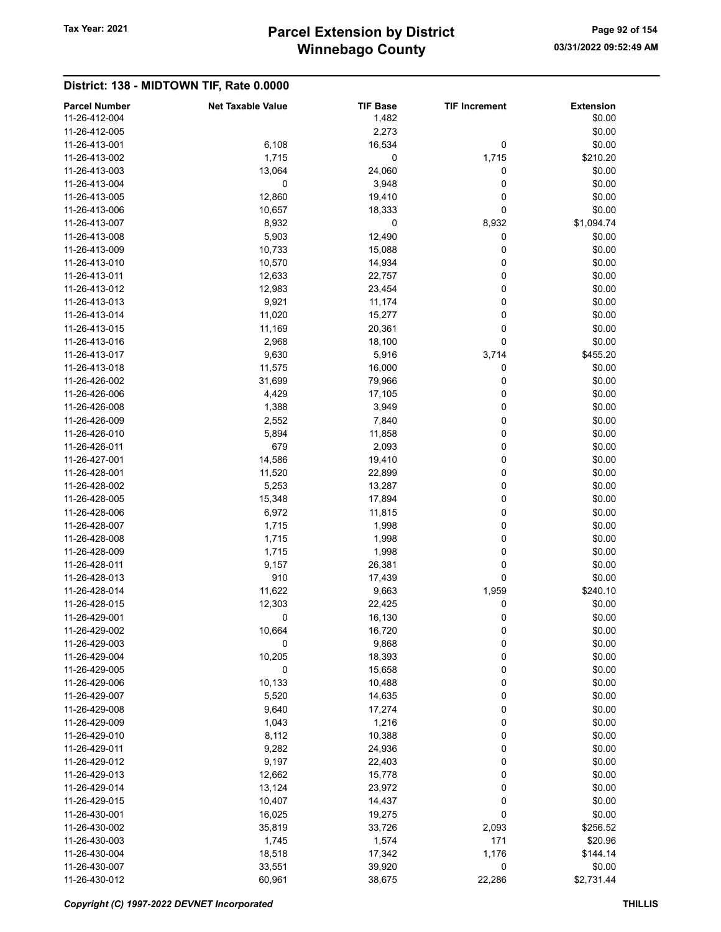# Winnebago County Tax Year: 2021 **Parcel Extension by District** Page 92 of 154

| <b>Parcel Number</b>           | <b>Net Taxable Value</b> | <b>TIF Base</b>  | <b>TIF Increment</b> | <b>Extension</b> |
|--------------------------------|--------------------------|------------------|----------------------|------------------|
| 11-26-412-004                  |                          | 1,482            |                      | \$0.00           |
| 11-26-412-005                  |                          | 2,273            |                      | \$0.00           |
| 11-26-413-001                  | 6,108                    | 16,534           | 0                    | \$0.00           |
| 11-26-413-002                  | 1,715                    | 0                | 1,715                | \$210.20         |
| 11-26-413-003                  | 13,064                   | 24,060           | 0                    | \$0.00           |
| 11-26-413-004                  | 0                        | 3,948            | 0                    | \$0.00           |
| 11-26-413-005                  | 12,860                   | 19,410           | 0                    | \$0.00           |
| 11-26-413-006                  | 10,657                   | 18,333           | 0                    | \$0.00           |
| 11-26-413-007                  | 8,932                    | $\mathbf 0$      | 8,932                | \$1,094.74       |
| 11-26-413-008                  | 5,903                    | 12,490           | 0                    | \$0.00           |
| 11-26-413-009                  | 10,733                   | 15,088           | 0                    | \$0.00           |
| 11-26-413-010                  | 10,570                   | 14,934           | 0                    | \$0.00           |
| 11-26-413-011                  | 12,633                   | 22,757           | 0                    | \$0.00           |
| 11-26-413-012                  | 12,983                   | 23,454           | 0                    | \$0.00           |
| 11-26-413-013                  | 9,921                    | 11,174           | 0                    | \$0.00           |
| 11-26-413-014                  | 11,020                   | 15,277           | 0                    | \$0.00           |
| 11-26-413-015                  | 11,169                   | 20,361           | 0                    | \$0.00           |
| 11-26-413-016                  | 2,968                    | 18,100           | 0                    | \$0.00           |
| 11-26-413-017                  | 9,630                    | 5,916            | 3,714                | \$455.20         |
| 11-26-413-018                  | 11,575                   | 16,000           | 0                    | \$0.00           |
| 11-26-426-002                  | 31,699                   | 79,966           | 0                    | \$0.00           |
| 11-26-426-006                  | 4,429                    | 17,105           | 0                    | \$0.00           |
| 11-26-426-008                  | 1,388                    | 3,949            | 0                    | \$0.00           |
| 11-26-426-009                  | 2,552                    | 7,840            | 0                    | \$0.00           |
| 11-26-426-010                  | 5,894                    | 11,858           | 0                    | \$0.00           |
| 11-26-426-011                  | 679                      | 2,093            | 0                    | \$0.00           |
| 11-26-427-001                  | 14,586                   | 19,410           | 0                    | \$0.00           |
| 11-26-428-001                  | 11,520                   | 22,899           | 0                    | \$0.00           |
| 11-26-428-002                  | 5,253                    | 13,287           | 0                    | \$0.00           |
| 11-26-428-005                  | 15,348                   | 17,894           | 0                    | \$0.00           |
| 11-26-428-006                  | 6,972                    | 11,815           | 0                    | \$0.00           |
| 11-26-428-007                  | 1,715                    | 1,998            | 0                    | \$0.00           |
| 11-26-428-008                  | 1,715                    | 1,998            | 0                    | \$0.00           |
| 11-26-428-009                  | 1,715                    | 1,998            | 0                    | \$0.00           |
| 11-26-428-011                  | 9,157                    | 26,381           | 0                    | \$0.00           |
| 11-26-428-013                  | 910                      | 17,439           | 0                    | \$0.00           |
| 11-26-428-014                  | 11,622                   | 9,663            | 1,959                | \$240.10         |
| 11-26-428-015                  | 12,303                   | 22,425           | 0                    | \$0.00           |
| 11-26-429-001                  | 0                        | 16,130           | 0                    | \$0.00           |
| 11-26-429-002                  | 10,664                   | 16,720           | 0                    | \$0.00           |
| 11-26-429-003                  | 0                        | 9,868            | $\pmb{0}$            | \$0.00           |
| 11-26-429-004                  | 10,205                   | 18,393           | 0                    | \$0.00           |
| 11-26-429-005                  | 0                        | 15,658           | 0                    | \$0.00           |
| 11-26-429-006                  | 10,133                   | 10,488           | 0                    | \$0.00           |
| 11-26-429-007                  | 5,520                    | 14,635           | 0<br>0               | \$0.00           |
| 11-26-429-008<br>11-26-429-009 | 9,640                    | 17,274           | 0                    | \$0.00           |
| 11-26-429-010                  | 1,043                    | 1,216            | 0                    | \$0.00           |
| 11-26-429-011                  | 8,112<br>9,282           | 10,388           | 0                    | \$0.00<br>\$0.00 |
| 11-26-429-012                  | 9,197                    | 24,936<br>22,403 | 0                    | \$0.00           |
| 11-26-429-013                  | 12,662                   | 15,778           | 0                    | \$0.00           |
| 11-26-429-014                  | 13,124                   | 23,972           | 0                    | \$0.00           |
| 11-26-429-015                  | 10,407                   | 14,437           | 0                    | \$0.00           |
| 11-26-430-001                  | 16,025                   | 19,275           | 0                    | \$0.00           |
| 11-26-430-002                  | 35,819                   | 33,726           | 2,093                | \$256.52         |
| 11-26-430-003                  | 1,745                    | 1,574            | 171                  | \$20.96          |
| 11-26-430-004                  | 18,518                   | 17,342           | 1,176                | \$144.14         |
| 11-26-430-007                  | 33,551                   | 39,920           | 0                    | \$0.00           |
| 11-26-430-012                  | 60,961                   | 38,675           | 22,286               | \$2,731.44       |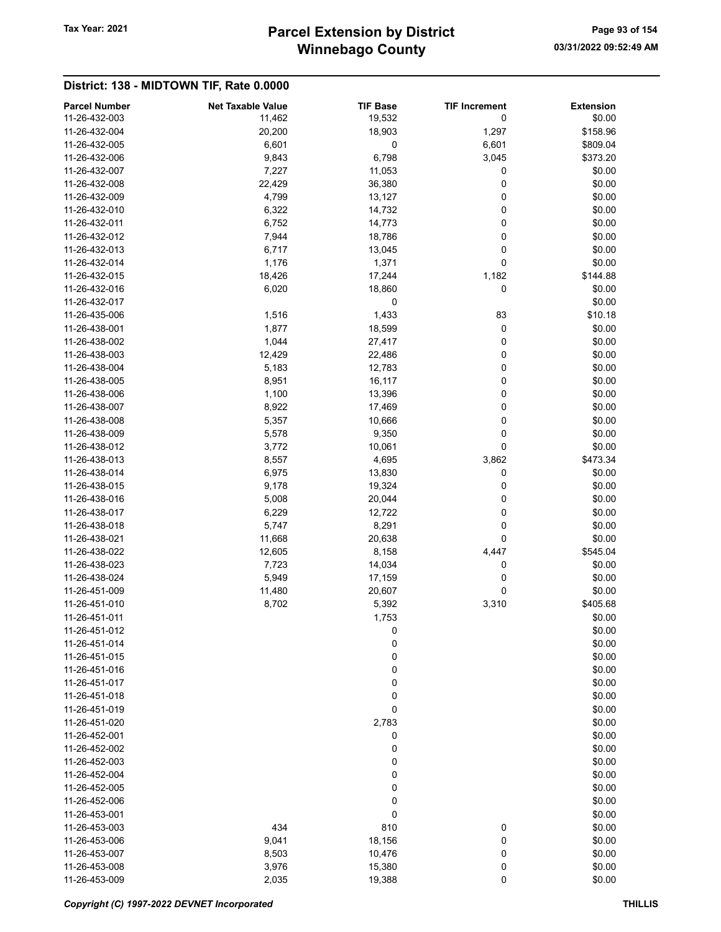# Winnebago County Tax Year: 2021 **Parcel Extension by District** Page 93 of 154

| <b>Parcel Number</b>           | <b>Net Taxable Value</b> | <b>TIF Base</b>  | <b>TIF Increment</b> | <b>Extension</b> |
|--------------------------------|--------------------------|------------------|----------------------|------------------|
| 11-26-432-003                  | 11,462                   | 19,532           | 0                    | \$0.00           |
| 11-26-432-004                  | 20,200                   | 18,903           | 1,297                | \$158.96         |
| 11-26-432-005                  | 6,601                    | 0                | 6,601                | \$809.04         |
| 11-26-432-006                  | 9,843                    | 6,798            | 3,045                | \$373.20         |
| 11-26-432-007                  | 7,227                    | 11,053           | 0                    | \$0.00           |
| 11-26-432-008                  | 22,429                   | 36,380           | 0                    | \$0.00           |
| 11-26-432-009                  | 4,799                    | 13,127           | 0                    | \$0.00           |
| 11-26-432-010                  | 6,322                    | 14,732           | 0                    | \$0.00           |
| 11-26-432-011                  | 6,752                    | 14,773           | 0                    | \$0.00           |
| 11-26-432-012                  | 7,944                    | 18,786           | 0                    | \$0.00           |
| 11-26-432-013                  | 6,717                    | 13,045           | 0                    | \$0.00           |
| 11-26-432-014                  | 1,176                    | 1,371            | 0                    | \$0.00           |
| 11-26-432-015                  | 18,426                   | 17,244           | 1,182                | \$144.88         |
| 11-26-432-016                  | 6,020                    | 18,860           | 0                    | \$0.00           |
| 11-26-432-017                  |                          | 0                |                      | \$0.00           |
| 11-26-435-006                  | 1,516                    | 1,433            | 83                   | \$10.18          |
| 11-26-438-001                  | 1,877                    | 18,599           | 0                    | \$0.00           |
| 11-26-438-002                  | 1,044                    | 27,417           | 0                    | \$0.00           |
| 11-26-438-003                  | 12,429                   | 22,486           | 0                    | \$0.00           |
| 11-26-438-004                  | 5,183                    | 12,783           | 0                    | \$0.00           |
| 11-26-438-005                  | 8,951                    | 16,117           | 0                    | \$0.00           |
| 11-26-438-006                  | 1,100                    | 13,396           | 0                    | \$0.00           |
| 11-26-438-007                  | 8,922                    | 17,469           | 0                    | \$0.00           |
| 11-26-438-008                  | 5,357                    | 10,666           | 0                    | \$0.00           |
| 11-26-438-009                  | 5,578                    | 9,350            | 0                    | \$0.00           |
| 11-26-438-012                  | 3,772                    | 10,061           | 0                    | \$0.00           |
| 11-26-438-013                  | 8,557                    | 4,695            | 3,862                | \$473.34         |
| 11-26-438-014                  | 6,975                    | 13,830           | 0                    | \$0.00           |
| 11-26-438-015                  | 9,178                    | 19,324           | 0                    | \$0.00           |
| 11-26-438-016                  | 5,008                    | 20,044           | 0                    | \$0.00           |
| 11-26-438-017                  | 6,229                    | 12,722           | 0                    | \$0.00           |
| 11-26-438-018                  | 5,747                    | 8,291            | 0                    | \$0.00           |
| 11-26-438-021                  | 11,668                   | 20,638           | 0                    | \$0.00           |
| 11-26-438-022                  | 12,605                   | 8,158            | 4,447                | \$545.04         |
| 11-26-438-023                  |                          |                  | 0                    | \$0.00           |
| 11-26-438-024                  | 7,723<br>5,949           | 14,034<br>17,159 | 0                    | \$0.00           |
| 11-26-451-009                  | 11,480                   |                  | 0                    | \$0.00           |
| 11-26-451-010                  |                          | 20,607           |                      | \$405.68         |
|                                | 8,702                    | 5,392            | 3,310                |                  |
| 11-26-451-011                  |                          | 1,753            |                      | \$0.00<br>\$0.00 |
| 11-26-451-012<br>11-26-451-014 |                          | 0                |                      |                  |
| 11-26-451-015                  |                          | 0                |                      | \$0.00           |
|                                |                          | 0                |                      | \$0.00           |
| 11-26-451-016                  |                          | 0                |                      | \$0.00           |
| 11-26-451-017                  |                          | 0                |                      | \$0.00           |
| 11-26-451-018                  |                          | 0                |                      | \$0.00           |
| 11-26-451-019                  |                          | 0                |                      | \$0.00           |
| 11-26-451-020                  |                          | 2,783            |                      | \$0.00           |
| 11-26-452-001                  |                          | 0                |                      | \$0.00           |
| 11-26-452-002                  |                          | 0                |                      | \$0.00           |
| 11-26-452-003                  |                          | 0                |                      | \$0.00           |
| 11-26-452-004                  |                          | 0                |                      | \$0.00           |
| 11-26-452-005                  |                          | 0                |                      | \$0.00           |
| 11-26-452-006                  |                          | 0                |                      | \$0.00           |
| 11-26-453-001                  |                          | 0                |                      | \$0.00           |
| 11-26-453-003                  | 434                      | 810              | 0                    | \$0.00           |
| 11-26-453-006                  | 9,041                    | 18,156           | 0                    | \$0.00           |
| 11-26-453-007                  | 8,503                    | 10,476           | 0                    | \$0.00           |
| 11-26-453-008                  | 3,976                    | 15,380           | 0                    | \$0.00           |
| 11-26-453-009                  | 2,035                    | 19,388           | 0                    | \$0.00           |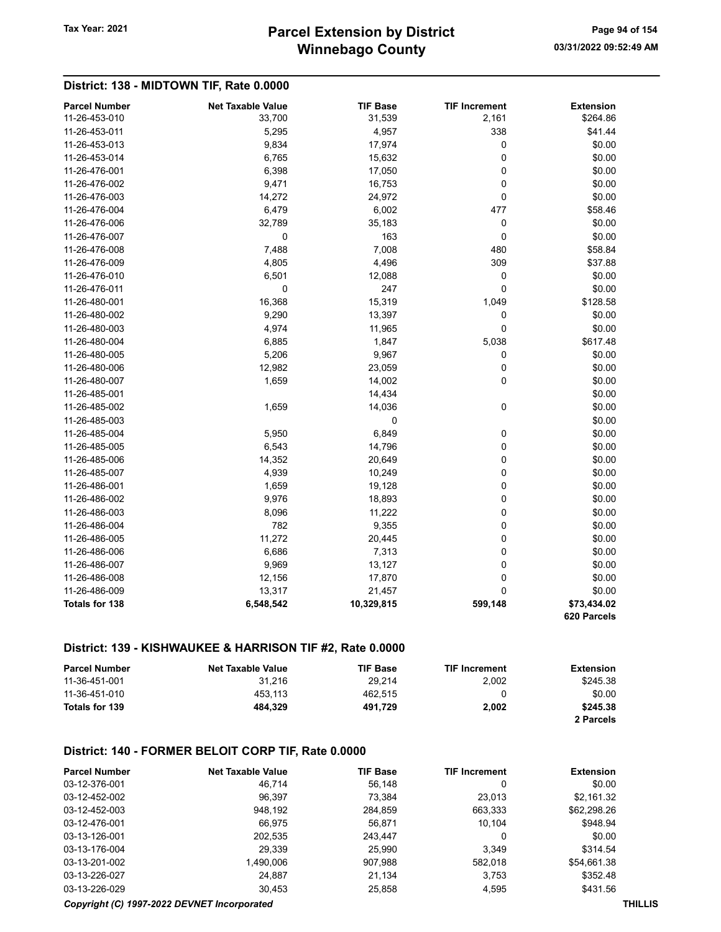# Winnebago County Tax Year: 2021 **Parcel Extension by District** Page 94 of 154

#### District: 138 - MIDTOWN TIF, Rate 0.0000

| <b>Parcel Number</b>  | <b>Net Taxable Value</b> | <b>TIF Base</b> | <b>TIF Increment</b> | <b>Extension</b> |
|-----------------------|--------------------------|-----------------|----------------------|------------------|
| 11-26-453-010         | 33,700                   | 31,539          | 2,161                | \$264.86         |
| 11-26-453-011         | 5,295                    | 4,957           | 338                  | \$41.44          |
| 11-26-453-013         | 9,834                    | 17,974          | 0                    | \$0.00           |
| 11-26-453-014         | 6,765                    | 15,632          | $\mathbf 0$          | \$0.00           |
| 11-26-476-001         | 6,398                    | 17,050          | $\mathbf 0$          | \$0.00           |
| 11-26-476-002         | 9,471                    | 16,753          | $\mathbf 0$          | \$0.00           |
| 11-26-476-003         | 14,272                   | 24,972          | $\mathbf 0$          | \$0.00           |
| 11-26-476-004         | 6,479                    | 6,002           | 477                  | \$58.46          |
| 11-26-476-006         | 32,789                   | 35,183          | 0                    | \$0.00           |
| 11-26-476-007         | $\mathbf 0$              | 163             | $\mathbf 0$          | \$0.00           |
| 11-26-476-008         | 7,488                    | 7,008           | 480                  | \$58.84          |
| 11-26-476-009         | 4,805                    | 4,496           | 309                  | \$37.88          |
| 11-26-476-010         | 6,501                    | 12,088          | 0                    | \$0.00           |
| 11-26-476-011         | 0                        | 247             | $\mathbf 0$          | \$0.00           |
| 11-26-480-001         | 16,368                   | 15,319          | 1,049                | \$128.58         |
| 11-26-480-002         | 9,290                    | 13,397          | 0                    | \$0.00           |
| 11-26-480-003         | 4,974                    | 11,965          | $\mathbf 0$          | \$0.00           |
| 11-26-480-004         | 6,885                    | 1,847           | 5,038                | \$617.48         |
| 11-26-480-005         | 5,206                    | 9,967           | 0                    | \$0.00           |
| 11-26-480-006         | 12,982                   | 23,059          | $\mathbf 0$          | \$0.00           |
| 11-26-480-007         | 1,659                    | 14,002          | $\mathbf 0$          | \$0.00           |
| 11-26-485-001         |                          | 14,434          |                      | \$0.00           |
| 11-26-485-002         | 1,659                    | 14,036          | 0                    | \$0.00           |
| 11-26-485-003         |                          | 0               |                      | \$0.00           |
| 11-26-485-004         | 5,950                    | 6,849           | 0                    | \$0.00           |
| 11-26-485-005         | 6,543                    | 14,796          | $\mathbf 0$          | \$0.00           |
| 11-26-485-006         | 14,352                   | 20,649          | 0                    | \$0.00           |
| 11-26-485-007         | 4,939                    | 10,249          | 0                    | \$0.00           |
| 11-26-486-001         | 1,659                    | 19,128          | $\mathbf 0$          | \$0.00           |
| 11-26-486-002         | 9,976                    | 18,893          | 0                    | \$0.00           |
| 11-26-486-003         | 8,096                    | 11,222          | 0                    | \$0.00           |
| 11-26-486-004         | 782                      | 9,355           | $\mathbf 0$          | \$0.00           |
| 11-26-486-005         | 11,272                   | 20,445          | $\mathbf 0$          | \$0.00           |
| 11-26-486-006         | 6,686                    | 7,313           | $\mathbf 0$          | \$0.00           |
| 11-26-486-007         | 9,969                    | 13,127          | $\mathbf 0$          | \$0.00           |
| 11-26-486-008         | 12,156                   | 17,870          | $\mathbf 0$          | \$0.00           |
| 11-26-486-009         | 13,317                   | 21,457          | $\Omega$             | \$0.00           |
| <b>Totals for 138</b> | 6,548,542                | 10,329,815      | 599,148              | \$73,434.02      |
|                       |                          |                 |                      | 620 Parcels      |

### District: 139 - KISHWAUKEE & HARRISON TIF #2, Rate 0.0000

| <b>Parcel Number</b> | <b>Net Taxable Value</b> | <b>TIF Base</b> | <b>TIF Increment</b> | <b>Extension</b> |
|----------------------|--------------------------|-----------------|----------------------|------------------|
| 11-36-451-001        | 31.216                   | 29.214          | 2.002                | \$245.38         |
| 11-36-451-010        | 453.113                  | 462.515         |                      | \$0.00           |
| Totals for 139       | 484.329                  | 491.729         | 2.002                | \$245.38         |
|                      |                          |                 |                      | 2 Parcels        |

#### District: 140 - FORMER BELOIT CORP TIF, Rate 0.0000

| <b>Parcel Number</b> | <b>Net Taxable Value</b> | <b>TIF Base</b> | <b>TIF Increment</b> | <b>Extension</b> |
|----------------------|--------------------------|-----------------|----------------------|------------------|
| 03-12-376-001        | 46.714                   | 56,148          | 0                    | \$0.00           |
| 03-12-452-002        | 96.397                   | 73.384          | 23,013               | \$2,161.32       |
| 03-12-452-003        | 948.192                  | 284,859         | 663,333              | \$62,298.26      |
| 03-12-476-001        | 66.975                   | 56.871          | 10.104               | \$948.94         |
| 03-13-126-001        | 202,535                  | 243.447         | 0                    | \$0.00           |
| 03-13-176-004        | 29,339                   | 25.990          | 3,349                | \$314.54         |
| 03-13-201-002        | 1.490.006                | 907.988         | 582.018              | \$54,661.38      |
| 03-13-226-027        | 24.887                   | 21.134          | 3.753                | \$352.48         |
| 03-13-226-029        | 30,453                   | 25,858          | 4,595                | \$431.56         |

#### Copyright (C) 1997-2022 DEVNET Incorporated THILLIS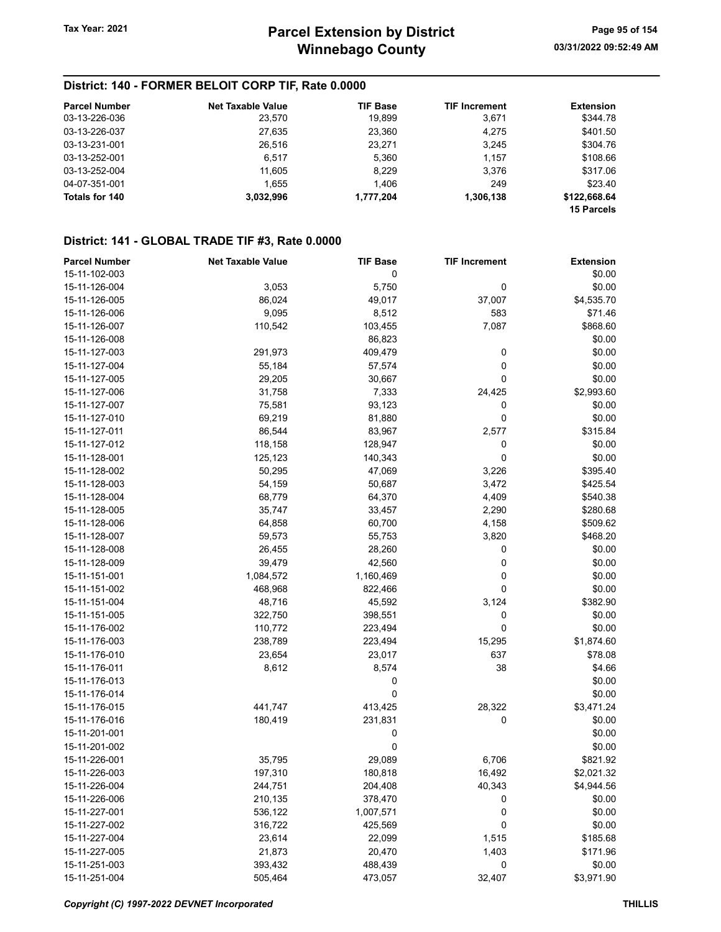# District: 140 - FORMER BELOIT CORP TIF, Rate 0.0000

| <b>Parcel Number</b> | <b>Net Taxable Value</b> | <b>TIF Base</b> | <b>TIF Increment</b> | <b>Extension</b>  |
|----------------------|--------------------------|-----------------|----------------------|-------------------|
| 03-13-226-036        | 23,570                   | 19,899          | 3,671                | \$344.78          |
| 03-13-226-037        | 27,635                   | 23,360          | 4,275                | \$401.50          |
| 03-13-231-001        | 26,516                   | 23,271          | 3,245                | \$304.76          |
| 03-13-252-001        | 6.517                    | 5,360           | 1.157                | \$108.66          |
| 03-13-252-004        | 11.605                   | 8.229           | 3.376                | \$317.06          |
| 04-07-351-001        | 1.655                    | 1.406           | 249                  | \$23.40           |
| Totals for 140       | 3.032.996                | 1,777,204       | 1,306,138            | \$122,668.64      |
|                      |                          |                 |                      | <b>15 Parcels</b> |

#### District: 141 - GLOBAL TRADE TIF #3, Rate 0.0000

| <b>Parcel Number</b> | <b>Net Taxable Value</b> | <b>TIF Base</b> | <b>TIF Increment</b> | <b>Extension</b> |
|----------------------|--------------------------|-----------------|----------------------|------------------|
| 15-11-102-003        |                          | 0               |                      | \$0.00           |
| 15-11-126-004        | 3,053                    | 5,750           | 0                    | \$0.00           |
| 15-11-126-005        | 86,024                   | 49,017          | 37,007               | \$4,535.70       |
| 15-11-126-006        | 9,095                    | 8,512           | 583                  | \$71.46          |
| 15-11-126-007        | 110,542                  | 103,455         | 7,087                | \$868.60         |
| 15-11-126-008        |                          | 86,823          |                      | \$0.00           |
| 15-11-127-003        | 291,973                  | 409,479         | 0                    | \$0.00           |
| 15-11-127-004        | 55,184                   | 57,574          | 0                    | \$0.00           |
| 15-11-127-005        | 29,205                   | 30,667          | 0                    | \$0.00           |
| 15-11-127-006        | 31,758                   | 7,333           | 24,425               | \$2,993.60       |
| 15-11-127-007        | 75,581                   | 93,123          | 0                    | \$0.00           |
| 15-11-127-010        | 69,219                   | 81,880          | 0                    | \$0.00           |
| 15-11-127-011        | 86,544                   | 83,967          | 2,577                | \$315.84         |
| 15-11-127-012        | 118,158                  | 128,947         | 0                    | \$0.00           |
| 15-11-128-001        | 125,123                  | 140,343         | 0                    | \$0.00           |
| 15-11-128-002        | 50,295                   | 47,069          | 3,226                | \$395.40         |
| 15-11-128-003        | 54,159                   | 50,687          | 3,472                | \$425.54         |
| 15-11-128-004        | 68,779                   | 64,370          | 4,409                | \$540.38         |
| 15-11-128-005        | 35,747                   | 33,457          | 2,290                | \$280.68         |
| 15-11-128-006        |                          |                 |                      | \$509.62         |
| 15-11-128-007        | 64,858                   | 60,700          | 4,158                | \$468.20         |
|                      | 59,573                   | 55,753          | 3,820                |                  |
| 15-11-128-008        | 26,455                   | 28,260          | 0                    | \$0.00           |
| 15-11-128-009        | 39,479                   | 42,560          | 0                    | \$0.00           |
| 15-11-151-001        | 1,084,572                | 1,160,469       | 0                    | \$0.00           |
| 15-11-151-002        | 468,968                  | 822,466         | 0                    | \$0.00           |
| 15-11-151-004        | 48,716                   | 45,592          | 3,124                | \$382.90         |
| 15-11-151-005        | 322,750                  | 398,551         | 0                    | \$0.00           |
| 15-11-176-002        | 110,772                  | 223,494         | 0                    | \$0.00           |
| 15-11-176-003        | 238,789                  | 223,494         | 15,295               | \$1,874.60       |
| 15-11-176-010        | 23,654                   | 23,017          | 637                  | \$78.08          |
| 15-11-176-011        | 8,612                    | 8,574           | 38                   | \$4.66           |
| 15-11-176-013        |                          | 0               |                      | \$0.00           |
| 15-11-176-014        |                          | 0               |                      | \$0.00           |
| 15-11-176-015        | 441,747                  | 413,425         | 28,322               | \$3,471.24       |
| 15-11-176-016        | 180,419                  | 231,831         | 0                    | \$0.00           |
| 15-11-201-001        |                          | 0               |                      | \$0.00           |
| 15-11-201-002        |                          | $\mathbf 0$     |                      | \$0.00           |
| 15-11-226-001        | 35,795                   | 29,089          | 6,706                | \$821.92         |
| 15-11-226-003        | 197,310                  | 180,818         | 16,492               | \$2,021.32       |
| 15-11-226-004        | 244,751                  | 204,408         | 40,343               | \$4,944.56       |
| 15-11-226-006        | 210,135                  | 378,470         | 0                    | \$0.00           |
| 15-11-227-001        | 536,122                  | 1,007,571       | 0                    | \$0.00           |
| 15-11-227-002        | 316,722                  | 425,569         | 0                    | \$0.00           |
| 15-11-227-004        | 23,614                   | 22,099          | 1,515                | \$185.68         |
| 15-11-227-005        | 21,873                   | 20,470          | 1,403                | \$171.96         |
| 15-11-251-003        | 393,432                  | 488,439         | 0                    | \$0.00           |
| 15-11-251-004        | 505,464                  | 473,057         | 32,407               | \$3,971.90       |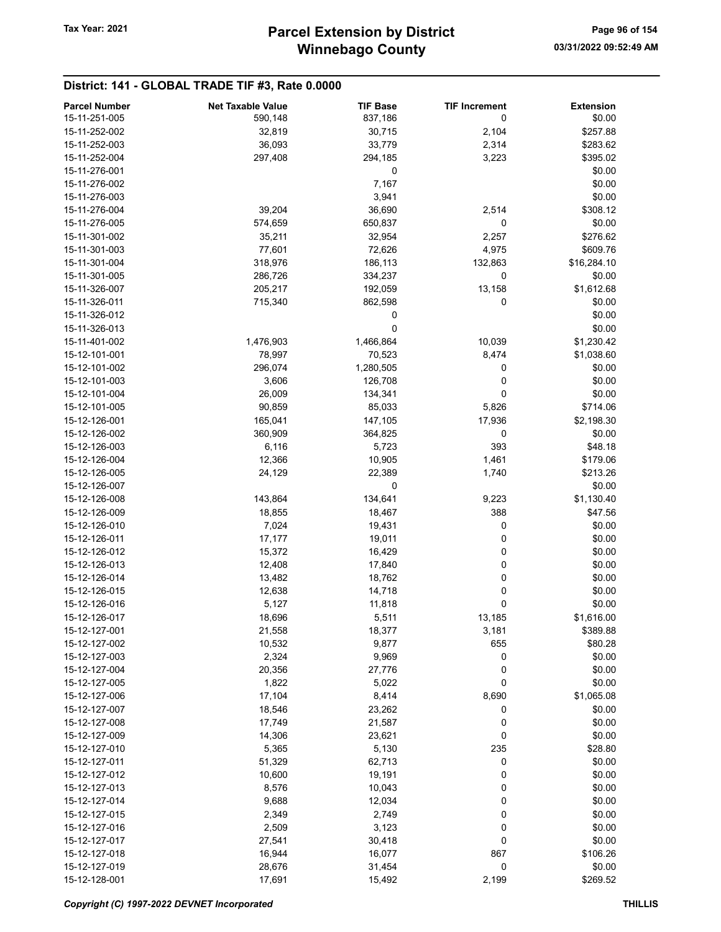# District: 141 - GLOBAL TRADE TIF #3, Rate 0.0000

| <b>Parcel Number</b> | <b>Net Taxable Value</b> | <b>TIF Base</b> | <b>TIF Increment</b> | <b>Extension</b> |
|----------------------|--------------------------|-----------------|----------------------|------------------|
| 15-11-251-005        | 590,148                  | 837,186         | 0                    | \$0.00           |
| 15-11-252-002        | 32,819                   | 30,715          | 2,104                | \$257.88         |
| 15-11-252-003        | 36,093                   | 33,779          | 2,314                | \$283.62         |
| 15-11-252-004        | 297,408                  | 294,185         | 3,223                | \$395.02         |
| 15-11-276-001        |                          | 0               |                      | \$0.00           |
| 15-11-276-002        |                          | 7,167           |                      | \$0.00           |
| 15-11-276-003        |                          | 3,941           |                      | \$0.00           |
| 15-11-276-004        | 39,204                   | 36,690          | 2,514                | \$308.12         |
| 15-11-276-005        | 574,659                  | 650,837         | 0                    | \$0.00           |
| 15-11-301-002        | 35,211                   | 32,954          | 2,257                | \$276.62         |
| 15-11-301-003        | 77,601                   | 72,626          | 4,975                | \$609.76         |
| 15-11-301-004        | 318,976                  | 186,113         | 132,863              | \$16,284.10      |
| 15-11-301-005        | 286,726                  | 334,237         | 0                    | \$0.00           |
| 15-11-326-007        | 205,217                  | 192,059         | 13,158               | \$1,612.68       |
| 15-11-326-011        | 715,340                  | 862,598         | 0                    | \$0.00           |
| 15-11-326-012        |                          | 0               |                      | \$0.00           |
| 15-11-326-013        |                          | 0               |                      | \$0.00           |
| 15-11-401-002        | 1,476,903                | 1,466,864       | 10,039               | \$1,230.42       |
| 15-12-101-001        | 78,997                   | 70,523          | 8,474                | \$1,038.60       |
| 15-12-101-002        | 296,074                  | 1,280,505       | 0                    | \$0.00           |
| 15-12-101-003        | 3,606                    | 126,708         | 0                    | \$0.00           |
| 15-12-101-004        |                          |                 | 0                    | \$0.00           |
|                      | 26,009                   | 134,341         |                      |                  |
| 15-12-101-005        | 90,859                   | 85,033          | 5,826                | \$714.06         |
| 15-12-126-001        | 165,041                  | 147,105         | 17,936               | \$2,198.30       |
| 15-12-126-002        | 360,909                  | 364,825         | 0                    | \$0.00           |
| 15-12-126-003        | 6,116                    | 5,723           | 393                  | \$48.18          |
| 15-12-126-004        | 12,366                   | 10,905          | 1,461                | \$179.06         |
| 15-12-126-005        | 24,129                   | 22,389          | 1,740                | \$213.26         |
| 15-12-126-007        |                          | 0               |                      | \$0.00           |
| 15-12-126-008        | 143,864                  | 134,641         | 9,223                | \$1,130.40       |
| 15-12-126-009        | 18,855                   | 18,467          | 388                  | \$47.56          |
| 15-12-126-010        | 7,024                    | 19,431          | 0                    | \$0.00           |
| 15-12-126-011        | 17,177                   | 19,011          | 0                    | \$0.00           |
| 15-12-126-012        | 15,372                   | 16,429          | 0                    | \$0.00           |
| 15-12-126-013        | 12,408                   | 17,840          | 0                    | \$0.00           |
| 15-12-126-014        | 13,482                   | 18,762          | 0                    | \$0.00           |
| 15-12-126-015        | 12,638                   | 14,718          | 0                    | \$0.00           |
| 15-12-126-016        | 5,127                    | 11,818          | 0                    | \$0.00           |
| 15-12-126-017        | 18,696                   | 5,511           | 13,185               | \$1,616.00       |
| 15-12-127-001        | 21,558                   | 18,377          | 3,181                | \$389.88         |
| 15-12-127-002        | 10,532                   | 9,877           | 655                  | \$80.28          |
| 15-12-127-003        | 2,324                    | 9,969           | 0                    | \$0.00           |
| 15-12-127-004        | 20,356                   | 27,776          | 0                    | \$0.00           |
| 15-12-127-005        | 1,822                    | 5,022           | 0                    | \$0.00           |
| 15-12-127-006        | 17,104                   | 8,414           | 8,690                | \$1,065.08       |
| 15-12-127-007        | 18,546                   | 23,262          | 0                    | \$0.00           |
| 15-12-127-008        | 17,749                   | 21,587          | 0                    | \$0.00           |
| 15-12-127-009        | 14,306                   | 23,621          | 0                    | \$0.00           |
| 15-12-127-010        | 5,365                    | 5,130           | 235                  | \$28.80          |
| 15-12-127-011        | 51,329                   | 62,713          | 0                    | \$0.00           |
| 15-12-127-012        | 10,600                   | 19,191          | 0                    | \$0.00           |
| 15-12-127-013        | 8,576                    | 10,043          | 0                    | \$0.00           |
| 15-12-127-014        | 9,688                    | 12,034          | 0                    | \$0.00           |
| 15-12-127-015        | 2,349                    | 2,749           | 0                    | \$0.00           |
| 15-12-127-016        | 2,509                    | 3,123           | 0                    | \$0.00           |
| 15-12-127-017        | 27,541                   | 30,418          | 0                    | \$0.00           |
| 15-12-127-018        | 16,944                   | 16,077          | 867                  | \$106.26         |
| 15-12-127-019        | 28,676                   | 31,454          | 0                    | \$0.00           |
| 15-12-128-001        | 17,691                   | 15,492          | 2,199                | \$269.52         |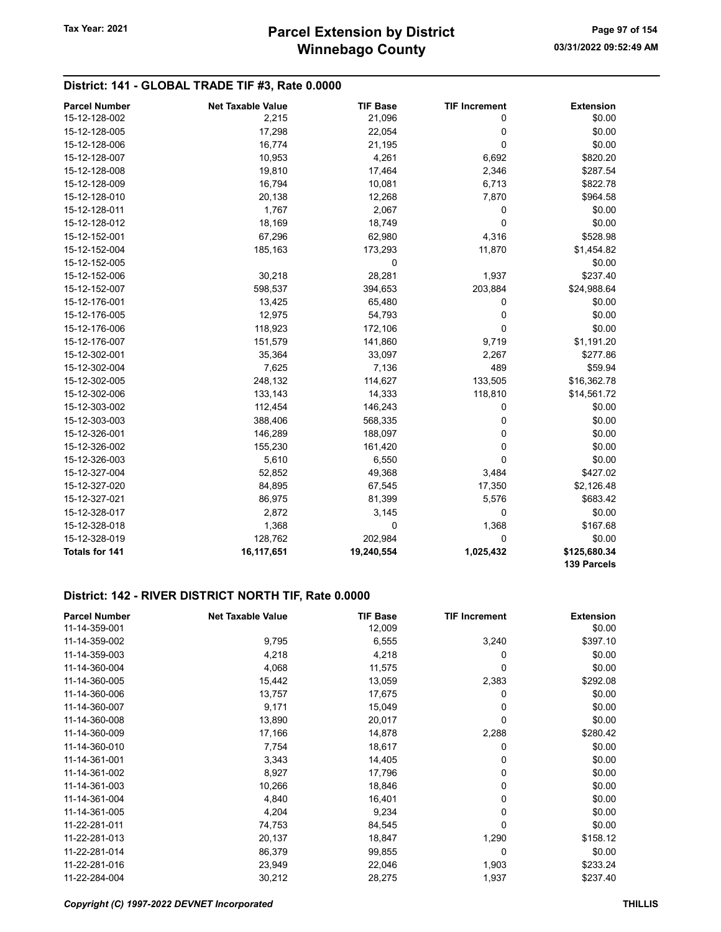# District: 141 - GLOBAL TRADE TIF #3, Rate 0.0000

| <b>Parcel Number</b>  | <b>Net Taxable Value</b> | <b>TIF Base</b> | <b>TIF Increment</b> | <b>Extension</b>            |
|-----------------------|--------------------------|-----------------|----------------------|-----------------------------|
| 15-12-128-002         | 2,215                    | 21,096          | 0                    | \$0.00                      |
| 15-12-128-005         | 17,298                   | 22,054          | 0                    | \$0.00                      |
| 15-12-128-006         | 16,774                   | 21,195          | $\Omega$             | \$0.00                      |
| 15-12-128-007         | 10,953                   | 4,261           | 6,692                | \$820.20                    |
| 15-12-128-008         | 19,810                   | 17,464          | 2,346                | \$287.54                    |
| 15-12-128-009         | 16,794                   | 10,081          | 6,713                | \$822.78                    |
| 15-12-128-010         | 20,138                   | 12,268          | 7,870                | \$964.58                    |
| 15-12-128-011         | 1,767                    | 2,067           | 0                    | \$0.00                      |
| 15-12-128-012         | 18,169                   | 18,749          | 0                    | \$0.00                      |
| 15-12-152-001         | 67,296                   | 62,980          | 4,316                | \$528.98                    |
| 15-12-152-004         | 185,163                  | 173,293         | 11,870               | \$1,454.82                  |
| 15-12-152-005         |                          | 0               |                      | \$0.00                      |
| 15-12-152-006         | 30,218                   | 28,281          | 1,937                | \$237.40                    |
| 15-12-152-007         | 598,537                  | 394,653         | 203,884              | \$24,988.64                 |
| 15-12-176-001         | 13,425                   | 65,480          | 0                    | \$0.00                      |
| 15-12-176-005         | 12,975                   | 54,793          | 0                    | \$0.00                      |
| 15-12-176-006         | 118,923                  | 172,106         | 0                    | \$0.00                      |
| 15-12-176-007         | 151,579                  | 141,860         | 9,719                | \$1,191.20                  |
| 15-12-302-001         | 35,364                   | 33,097          | 2,267                | \$277.86                    |
| 15-12-302-004         | 7,625                    | 7,136           | 489                  | \$59.94                     |
| 15-12-302-005         | 248,132                  | 114,627         | 133,505              | \$16,362.78                 |
| 15-12-302-006         | 133,143                  | 14,333          | 118,810              | \$14,561.72                 |
| 15-12-303-002         | 112,454                  | 146,243         | 0                    | \$0.00                      |
| 15-12-303-003         | 388,406                  | 568,335         | 0                    | \$0.00                      |
| 15-12-326-001         | 146,289                  | 188,097         | 0                    | \$0.00                      |
| 15-12-326-002         | 155,230                  | 161,420         | $\mathbf 0$          | \$0.00                      |
| 15-12-326-003         | 5,610                    | 6,550           | $\mathbf 0$          | \$0.00                      |
| 15-12-327-004         | 52,852                   | 49,368          | 3,484                | \$427.02                    |
| 15-12-327-020         | 84,895                   | 67,545          | 17,350               | \$2,126.48                  |
| 15-12-327-021         | 86,975                   | 81,399          | 5,576                | \$683.42                    |
| 15-12-328-017         | 2,872                    | 3,145           | 0                    | \$0.00                      |
| 15-12-328-018         | 1,368                    | 0               | 1,368                | \$167.68                    |
| 15-12-328-019         | 128,762                  | 202,984         | 0                    | \$0.00                      |
| <b>Totals for 141</b> | 16,117,651               | 19,240,554      | 1,025,432            | \$125,680.34<br>139 Parcels |

| <b>Parcel Number</b> | <b>Net Taxable Value</b> | <b>TIF Base</b> | <b>TIF Increment</b> | <b>Extension</b> |
|----------------------|--------------------------|-----------------|----------------------|------------------|
| 11-14-359-001        |                          | 12,009          |                      | \$0.00           |
| 11-14-359-002        | 9,795                    | 6,555           | 3,240                | \$397.10         |
| 11-14-359-003        | 4,218                    | 4,218           | 0                    | \$0.00           |
| 11-14-360-004        | 4,068                    | 11,575          | 0                    | \$0.00           |
| 11-14-360-005        | 15,442                   | 13,059          | 2,383                | \$292.08         |
| 11-14-360-006        | 13,757                   | 17,675          | 0                    | \$0.00           |
| 11-14-360-007        | 9,171                    | 15,049          | 0                    | \$0.00           |
| 11-14-360-008        | 13,890                   | 20,017          | 0                    | \$0.00           |
| 11-14-360-009        | 17,166                   | 14,878          | 2,288                | \$280.42         |
| 11-14-360-010        | 7,754                    | 18,617          | 0                    | \$0.00           |
| 11-14-361-001        | 3,343                    | 14,405          | 0                    | \$0.00           |
| 11-14-361-002        | 8,927                    | 17,796          | 0                    | \$0.00           |
| 11-14-361-003        | 10,266                   | 18,846          | 0                    | \$0.00           |
| 11-14-361-004        | 4,840                    | 16,401          | 0                    | \$0.00           |
| 11-14-361-005        | 4,204                    | 9,234           | 0                    | \$0.00           |
| 11-22-281-011        | 74,753                   | 84,545          | 0                    | \$0.00           |
| 11-22-281-013        | 20,137                   | 18,847          | 1,290                | \$158.12         |
| 11-22-281-014        | 86,379                   | 99,855          | 0                    | \$0.00           |
| 11-22-281-016        | 23,949                   | 22,046          | 1,903                | \$233.24         |
| 11-22-284-004        | 30,212                   | 28,275          | 1,937                | \$237.40         |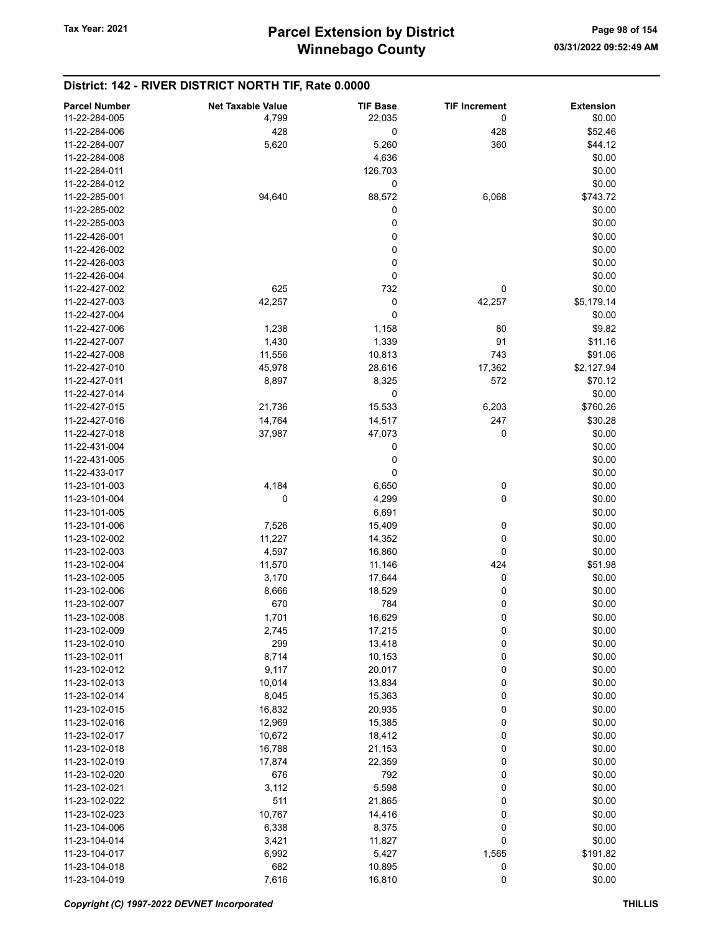| <b>Parcel Number</b> | <b>Net Taxable Value</b> | <b>TIF Base</b> | <b>TIF Increment</b> | <b>Extension</b> |
|----------------------|--------------------------|-----------------|----------------------|------------------|
| 11-22-284-005        | 4,799                    | 22,035          | 0                    | \$0.00           |
| 11-22-284-006        | 428                      | 0               | 428                  | \$52.46          |
|                      |                          |                 |                      |                  |
| 11-22-284-007        | 5,620                    | 5,260           | 360                  | \$44.12          |
| 11-22-284-008        |                          | 4,636           |                      | \$0.00           |
| 11-22-284-011        |                          | 126,703         |                      | \$0.00           |
| 11-22-284-012        |                          | 0               |                      | \$0.00           |
| 11-22-285-001        | 94,640                   | 88,572          | 6,068                | \$743.72         |
| 11-22-285-002        |                          | 0               |                      | \$0.00           |
| 11-22-285-003        |                          | 0               |                      | \$0.00           |
| 11-22-426-001        |                          | 0               |                      | \$0.00           |
| 11-22-426-002        |                          | 0               |                      | \$0.00           |
| 11-22-426-003        |                          | 0               |                      | \$0.00           |
|                      |                          |                 |                      |                  |
| 11-22-426-004        |                          | 0               |                      | \$0.00           |
| 11-22-427-002        | 625                      | 732             | 0                    | \$0.00           |
| 11-22-427-003        | 42,257                   | 0               | 42,257               | \$5,179.14       |
| 11-22-427-004        |                          | 0               |                      | \$0.00           |
| 11-22-427-006        | 1,238                    | 1,158           | 80                   | \$9.82           |
| 11-22-427-007        | 1,430                    | 1,339           | 91                   | \$11.16          |
| 11-22-427-008        | 11,556                   | 10,813          | 743                  | \$91.06          |
| 11-22-427-010        | 45,978                   | 28,616          | 17,362               | \$2,127.94       |
| 11-22-427-011        | 8,897                    | 8,325           | 572                  | \$70.12          |
| 11-22-427-014        |                          | 0               |                      |                  |
|                      |                          |                 |                      | \$0.00           |
| 11-22-427-015        | 21,736                   | 15,533          | 6,203                | \$760.26         |
| 11-22-427-016        | 14,764                   | 14,517          | 247                  | \$30.28          |
| 11-22-427-018        | 37,987                   | 47,073          | 0                    | \$0.00           |
| 11-22-431-004        |                          | 0               |                      | \$0.00           |
| 11-22-431-005        |                          | 0               |                      | \$0.00           |
| 11-22-433-017        |                          | 0               |                      | \$0.00           |
| 11-23-101-003        | 4,184                    | 6,650           | 0                    | \$0.00           |
| 11-23-101-004        | 0                        | 4,299           | 0                    | \$0.00           |
| 11-23-101-005        |                          | 6,691           |                      | \$0.00           |
| 11-23-101-006        | 7,526                    | 15,409          | 0                    | \$0.00           |
| 11-23-102-002        | 11,227                   | 14,352          | 0                    | \$0.00           |
|                      |                          |                 |                      |                  |
| 11-23-102-003        | 4,597                    | 16,860          | 0                    | \$0.00           |
| 11-23-102-004        | 11,570                   | 11,146          | 424                  | \$51.98          |
| 11-23-102-005        | 3,170                    | 17,644          | 0                    | \$0.00           |
| 11-23-102-006        | 8,666                    | 18,529          | 0                    | \$0.00           |
| 11-23-102-007        | 670                      | 784             | 0                    | \$0.00           |
| 11-23-102-008        | 1,701                    | 16,629          | 0                    | \$0.00           |
| 11-23-102-009        | 2,745                    | 17,215          | 0                    | \$0.00           |
| 11-23-102-010        | 299                      | 13,418          | 0                    | \$0.00           |
| 11-23-102-011        | 8,714                    | 10,153          | 0                    | \$0.00           |
| 11-23-102-012        | 9,117                    | 20,017          | 0                    | \$0.00           |
| 11-23-102-013        |                          |                 |                      | \$0.00           |
|                      | 10,014                   | 13,834          | 0                    |                  |
| 11-23-102-014        | 8,045                    | 15,363          | 0                    | \$0.00           |
| 11-23-102-015        | 16,832                   | 20,935          | 0                    | \$0.00           |
| 11-23-102-016        | 12,969                   | 15,385          | 0                    | \$0.00           |
| 11-23-102-017        | 10,672                   | 18,412          | 0                    | \$0.00           |
| 11-23-102-018        | 16,788                   | 21,153          | 0                    | \$0.00           |
| 11-23-102-019        | 17,874                   | 22,359          | 0                    | \$0.00           |
| 11-23-102-020        | 676                      | 792             | 0                    | \$0.00           |
| 11-23-102-021        | 3,112                    | 5,598           | 0                    | \$0.00           |
| 11-23-102-022        | 511                      | 21,865          | 0                    | \$0.00           |
| 11-23-102-023        | 10,767                   | 14,416          | 0                    | \$0.00           |
| 11-23-104-006        |                          |                 | 0                    | \$0.00           |
|                      | 6,338                    | 8,375           |                      |                  |
| 11-23-104-014        | 3,421                    | 11,827          | 0                    | \$0.00           |
| 11-23-104-017        | 6,992                    | 5,427           | 1,565                | \$191.82         |
| 11-23-104-018        | 682                      | 10,895          | 0                    | \$0.00           |
| 11-23-104-019        | 7,616                    | 16,810          | 0                    | \$0.00           |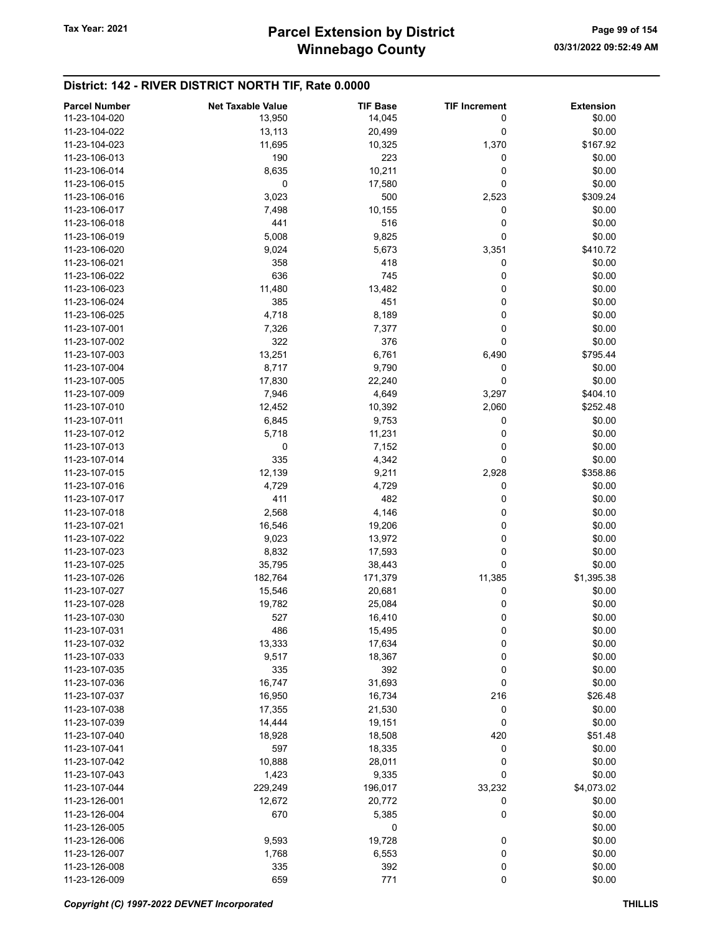| <b>Parcel Number</b> | <b>Net Taxable Value</b> | <b>TIF Base</b> | <b>TIF Increment</b> | <b>Extension</b> |
|----------------------|--------------------------|-----------------|----------------------|------------------|
| 11-23-104-020        | 13,950                   | 14,045          | 0                    | \$0.00           |
| 11-23-104-022        | 13,113                   | 20,499          | 0                    | \$0.00           |
| 11-23-104-023        | 11,695                   | 10,325          | 1,370                | \$167.92         |
| 11-23-106-013        | 190                      | 223             | 0                    | \$0.00           |
| 11-23-106-014        | 8,635                    | 10,211          | 0                    | \$0.00           |
| 11-23-106-015        | 0                        | 17,580          | 0                    | \$0.00           |
| 11-23-106-016        | 3,023                    | 500             | 2,523                | \$309.24         |
| 11-23-106-017        | 7,498                    | 10,155          | 0                    | \$0.00           |
| 11-23-106-018        | 441                      | 516             | 0                    | \$0.00           |
| 11-23-106-019        | 5,008                    |                 | 0                    | \$0.00           |
|                      |                          | 9,825           |                      |                  |
| 11-23-106-020        | 9,024                    | 5,673           | 3,351                | \$410.72         |
| 11-23-106-021        | 358                      | 418             | 0                    | \$0.00           |
| 11-23-106-022        | 636                      | 745             | 0                    | \$0.00           |
| 11-23-106-023        | 11,480                   | 13,482          | 0                    | \$0.00           |
| 11-23-106-024        | 385                      | 451             | 0                    | \$0.00           |
| 11-23-106-025        | 4,718                    | 8,189           | 0                    | \$0.00           |
| 11-23-107-001        | 7,326                    | 7,377           | 0                    | \$0.00           |
| 11-23-107-002        | 322                      | 376             | 0                    | \$0.00           |
| 11-23-107-003        | 13,251                   | 6,761           | 6,490                | \$795.44         |
| 11-23-107-004        | 8,717                    | 9,790           | 0                    | \$0.00           |
| 11-23-107-005        | 17,830                   | 22,240          | 0                    | \$0.00           |
| 11-23-107-009        | 7,946                    | 4,649           | 3,297                | \$404.10         |
| 11-23-107-010        | 12,452                   | 10,392          | 2,060                | \$252.48         |
| 11-23-107-011        | 6,845                    | 9,753           | 0                    | \$0.00           |
| 11-23-107-012        | 5,718                    | 11,231          | 0                    | \$0.00           |
| 11-23-107-013        | 0                        | 7,152           | 0                    | \$0.00           |
| 11-23-107-014        | 335                      | 4,342           | 0                    | \$0.00           |
| 11-23-107-015        | 12,139                   | 9,211           | 2,928                | \$358.86         |
| 11-23-107-016        | 4,729                    | 4,729           | 0                    | \$0.00           |
| 11-23-107-017        | 411                      | 482             | 0                    | \$0.00           |
| 11-23-107-018        | 2,568                    | 4,146           | 0                    | \$0.00           |
| 11-23-107-021        | 16,546                   | 19,206          | 0                    | \$0.00           |
| 11-23-107-022        | 9,023                    | 13,972          | 0                    | \$0.00           |
| 11-23-107-023        | 8,832                    | 17,593          | 0                    | \$0.00           |
| 11-23-107-025        | 35,795                   | 38,443          | 0                    | \$0.00           |
| 11-23-107-026        | 182,764                  | 171,379         | 11,385               | \$1,395.38       |
| 11-23-107-027        | 15,546                   | 20,681          | 0                    | \$0.00           |
| 11-23-107-028        | 19,782                   | 25,084          | 0                    | \$0.00           |
| 11-23-107-030        | 527                      | 16,410          | 0                    | \$0.00           |
| 11-23-107-031        | 486                      | 15,495          | 0                    | \$0.00           |
| 11-23-107-032        | 13,333                   | 17,634          | 0                    | \$0.00           |
| 11-23-107-033        |                          |                 | 0                    | \$0.00           |
|                      | 9,517                    | 18,367          |                      |                  |
| 11-23-107-035        | 335                      | 392             | 0                    | \$0.00           |
| 11-23-107-036        | 16,747                   | 31,693          | 0                    | \$0.00           |
| 11-23-107-037        | 16,950                   | 16,734          | 216                  | \$26.48          |
| 11-23-107-038        | 17,355                   | 21,530          | 0                    | \$0.00           |
| 11-23-107-039        | 14,444                   | 19,151          | 0                    | \$0.00           |
| 11-23-107-040        | 18,928                   | 18,508          | 420                  | \$51.48          |
| 11-23-107-041        | 597                      | 18,335          | 0                    | \$0.00           |
| 11-23-107-042        | 10,888                   | 28,011          | 0                    | \$0.00           |
| 11-23-107-043        | 1,423                    | 9,335           | 0                    | \$0.00           |
| 11-23-107-044        | 229,249                  | 196,017         | 33,232               | \$4,073.02       |
| 11-23-126-001        | 12,672                   | 20,772          | 0                    | \$0.00           |
| 11-23-126-004        | 670                      | 5,385           | 0                    | \$0.00           |
| 11-23-126-005        |                          | 0               |                      | \$0.00           |
| 11-23-126-006        | 9,593                    | 19,728          | 0                    | \$0.00           |
| 11-23-126-007        | 1,768                    | 6,553           | 0                    | \$0.00           |
| 11-23-126-008        | 335                      | 392             | 0                    | \$0.00           |
| 11-23-126-009        | 659                      | 771             | 0                    | \$0.00           |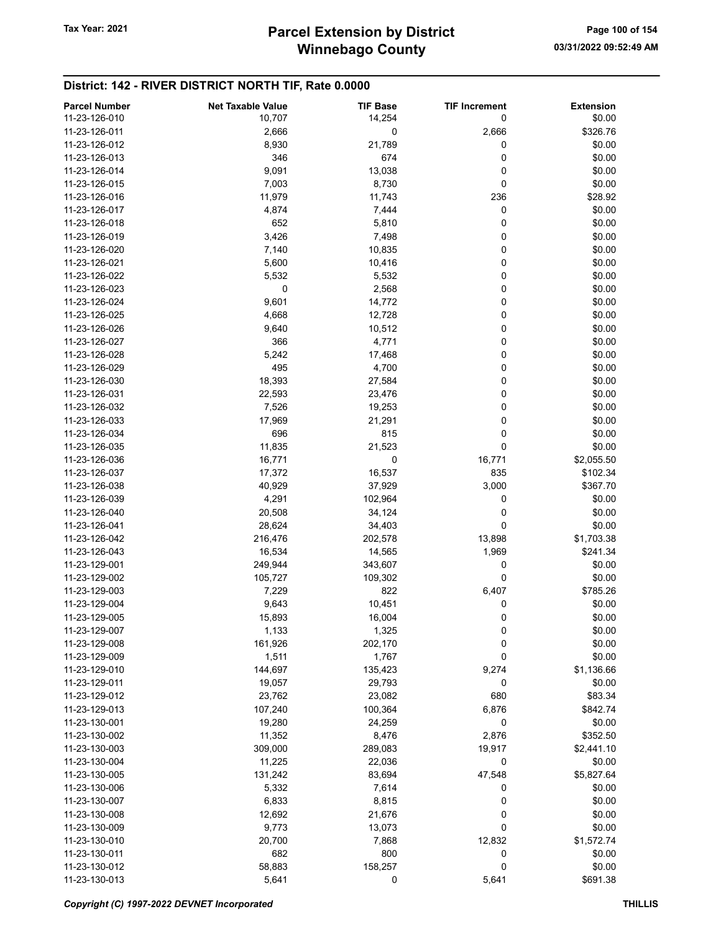| <b>Parcel Number</b> | <b>Net Taxable Value</b> | <b>TIF Base</b> | <b>TIF Increment</b> | <b>Extension</b> |
|----------------------|--------------------------|-----------------|----------------------|------------------|
| 11-23-126-010        | 10,707                   | 14,254          | 0                    | \$0.00           |
| 11-23-126-011        | 2,666                    | 0               | 2,666                | \$326.76         |
| 11-23-126-012        | 8,930                    | 21,789          | 0                    | \$0.00           |
| 11-23-126-013        | 346                      | 674             | 0                    | \$0.00           |
| 11-23-126-014        | 9,091                    | 13,038          | 0                    | \$0.00           |
| 11-23-126-015        | 7,003                    | 8,730           | 0                    | \$0.00           |
| 11-23-126-016        |                          |                 | 236                  |                  |
|                      | 11,979                   | 11,743          |                      | \$28.92          |
| 11-23-126-017        | 4,874                    | 7,444           | 0                    | \$0.00           |
| 11-23-126-018        | 652                      | 5,810           | 0                    | \$0.00           |
| 11-23-126-019        | 3,426                    | 7,498           | 0                    | \$0.00           |
| 11-23-126-020        | 7,140                    | 10,835          | 0                    | \$0.00           |
| 11-23-126-021        | 5,600                    | 10,416          | 0                    | \$0.00           |
| 11-23-126-022        | 5,532                    | 5,532           | 0                    | \$0.00           |
| 11-23-126-023        | 0                        | 2,568           | 0                    | \$0.00           |
| 11-23-126-024        | 9,601                    | 14,772          | 0                    | \$0.00           |
| 11-23-126-025        | 4,668                    | 12,728          | 0                    | \$0.00           |
| 11-23-126-026        | 9,640                    | 10,512          | 0                    | \$0.00           |
| 11-23-126-027        | 366                      | 4,771           | 0                    | \$0.00           |
| 11-23-126-028        | 5,242                    | 17,468          | 0                    | \$0.00           |
| 11-23-126-029        | 495                      | 4,700           | 0                    | \$0.00           |
| 11-23-126-030        | 18,393                   | 27,584          | 0                    | \$0.00           |
| 11-23-126-031        | 22,593                   | 23,476          | 0                    | \$0.00           |
| 11-23-126-032        | 7,526                    | 19,253          | 0                    | \$0.00           |
| 11-23-126-033        | 17,969                   | 21,291          | 0                    | \$0.00           |
| 11-23-126-034        | 696                      | 815             | 0                    | \$0.00           |
| 11-23-126-035        | 11,835                   | 21,523          | 0                    | \$0.00           |
| 11-23-126-036        | 16,771                   | 0               | 16,771               | \$2,055.50       |
| 11-23-126-037        | 17,372                   | 16,537          | 835                  | \$102.34         |
| 11-23-126-038        | 40,929                   | 37,929          | 3,000                | \$367.70         |
| 11-23-126-039        | 4,291                    | 102,964         | 0                    | \$0.00           |
| 11-23-126-040        | 20,508                   | 34,124          | 0                    | \$0.00           |
| 11-23-126-041        | 28,624                   | 34,403          | 0                    | \$0.00           |
| 11-23-126-042        | 216,476                  | 202,578         | 13,898               | \$1,703.38       |
| 11-23-126-043        | 16,534                   | 14,565          | 1,969                | \$241.34         |
| 11-23-129-001        | 249,944                  | 343,607         | 0                    | \$0.00           |
| 11-23-129-002        | 105,727                  | 109,302         | 0                    | \$0.00           |
| 11-23-129-003        | 7,229                    | 822             | 6,407                | \$785.26         |
| 11-23-129-004        | 9,643                    | 10,451          | 0                    | \$0.00           |
| 11-23-129-005        | 15,893                   | 16,004          | 0                    | \$0.00           |
| 11-23-129-007        | 1,133                    | 1,325           | 0                    | \$0.00           |
| 11-23-129-008        | 161,926                  | 202,170         | 0                    | \$0.00           |
| 11-23-129-009        | 1,511                    | 1,767           | 0                    | \$0.00           |
| 11-23-129-010        |                          |                 |                      | \$1,136.66       |
|                      | 144,697                  | 135,423         | 9,274                |                  |
| 11-23-129-011        | 19,057                   | 29,793          | 0                    | \$0.00           |
| 11-23-129-012        | 23,762                   | 23,082          | 680                  | \$83.34          |
| 11-23-129-013        | 107,240                  | 100,364         | 6,876                | \$842.74         |
| 11-23-130-001        | 19,280                   | 24,259          | 0                    | \$0.00           |
| 11-23-130-002        | 11,352                   | 8,476           | 2,876                | \$352.50         |
| 11-23-130-003        | 309,000                  | 289,083         | 19,917               | \$2,441.10       |
| 11-23-130-004        | 11,225                   | 22,036          | 0                    | \$0.00           |
| 11-23-130-005        | 131,242                  | 83,694          | 47,548               | \$5,827.64       |
| 11-23-130-006        | 5,332                    | 7,614           | 0                    | \$0.00           |
| 11-23-130-007        | 6,833                    | 8,815           | 0                    | \$0.00           |
| 11-23-130-008        | 12,692                   | 21,676          | 0                    | \$0.00           |
| 11-23-130-009        | 9,773                    | 13,073          | 0                    | \$0.00           |
| 11-23-130-010        | 20,700                   | 7,868           | 12,832               | \$1,572.74       |
| 11-23-130-011        | 682                      | 800             | 0                    | \$0.00           |
| 11-23-130-012        | 58,883                   | 158,257         | 0                    | \$0.00           |
| 11-23-130-013        | 5,641                    | 0               | 5,641                | \$691.38         |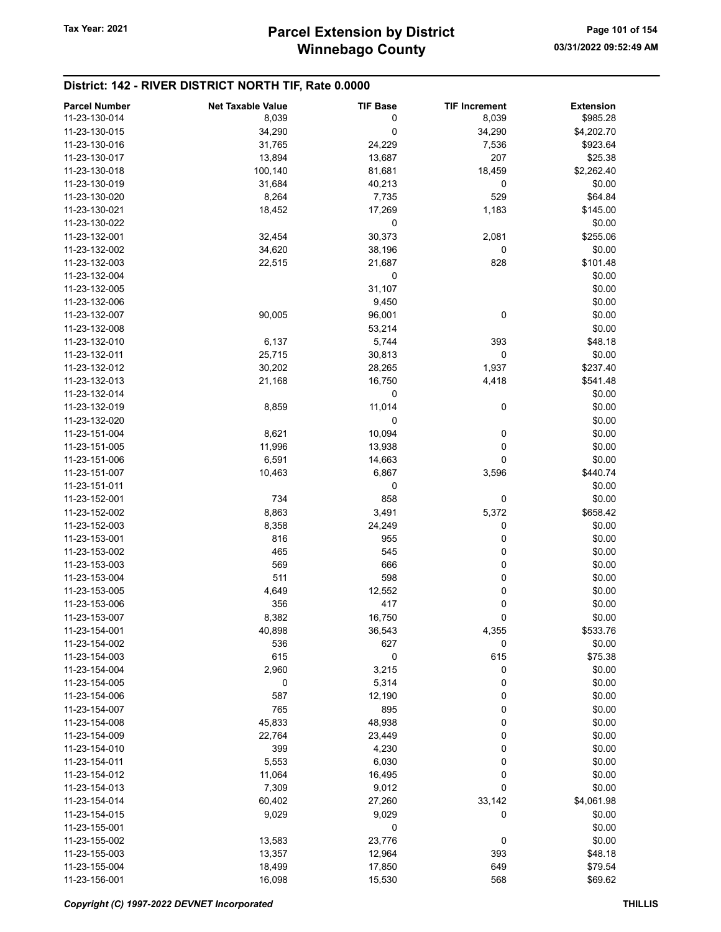# Winnebago County Tax Year: 2021 **Parcel Extension by District** Page 101 of 154

| <b>Parcel Number</b> | <b>Net Taxable Value</b> | <b>TIF Base</b> | <b>TIF Increment</b> | <b>Extension</b> |
|----------------------|--------------------------|-----------------|----------------------|------------------|
| 11-23-130-014        | 8,039                    | 0               | 8,039                | \$985.28         |
| 11-23-130-015        | 34,290                   | 0               | 34,290               | \$4,202.70       |
| 11-23-130-016        | 31,765                   | 24,229          | 7,536                | \$923.64         |
| 11-23-130-017        | 13,894                   | 13,687          | 207                  | \$25.38          |
| 11-23-130-018        | 100,140                  | 81,681          | 18,459               | \$2,262.40       |
| 11-23-130-019        | 31,684                   | 40,213          | 0                    | \$0.00           |
| 11-23-130-020        | 8,264                    | 7,735           | 529                  | \$64.84          |
| 11-23-130-021        | 18,452                   | 17,269          | 1,183                | \$145.00         |
| 11-23-130-022        |                          | 0               |                      | \$0.00           |
| 11-23-132-001        | 32,454                   |                 |                      | \$255.06         |
|                      |                          | 30,373          | 2,081                |                  |
| 11-23-132-002        | 34,620                   | 38,196          | 0                    | \$0.00           |
| 11-23-132-003        | 22,515                   | 21,687          | 828                  | \$101.48         |
| 11-23-132-004        |                          | 0               |                      | \$0.00           |
| 11-23-132-005        |                          | 31,107          |                      | \$0.00           |
| 11-23-132-006        |                          | 9,450           |                      | \$0.00           |
| 11-23-132-007        | 90,005                   | 96,001          | 0                    | \$0.00           |
| 11-23-132-008        |                          | 53,214          |                      | \$0.00           |
| 11-23-132-010        | 6,137                    | 5,744           | 393                  | \$48.18          |
| 11-23-132-011        | 25,715                   | 30,813          | 0                    | \$0.00           |
| 11-23-132-012        | 30,202                   | 28,265          | 1,937                | \$237.40         |
| 11-23-132-013        | 21,168                   | 16,750          | 4,418                | \$541.48         |
| 11-23-132-014        |                          | 0               |                      | \$0.00           |
| 11-23-132-019        | 8,859                    | 11,014          | 0                    | \$0.00           |
| 11-23-132-020        |                          | 0               |                      | \$0.00           |
| 11-23-151-004        | 8,621                    | 10,094          | 0                    | \$0.00           |
| 11-23-151-005        | 11,996                   | 13,938          | 0                    | \$0.00           |
| 11-23-151-006        | 6,591                    | 14,663          | $\mathbf 0$          | \$0.00           |
| 11-23-151-007        | 10,463                   | 6,867           | 3,596                | \$440.74         |
| 11-23-151-011        |                          | 0               |                      | \$0.00           |
| 11-23-152-001        | 734                      | 858             | 0                    | \$0.00           |
| 11-23-152-002        | 8,863                    | 3,491           | 5,372                | \$658.42         |
| 11-23-152-003        | 8,358                    | 24,249          | 0                    | \$0.00           |
| 11-23-153-001        | 816                      | 955             | 0                    | \$0.00           |
| 11-23-153-002        | 465                      | 545             | 0                    | \$0.00           |
| 11-23-153-003        | 569                      | 666             | 0                    | \$0.00           |
| 11-23-153-004        | 511                      | 598             | 0                    | \$0.00           |
| 11-23-153-005        |                          |                 | 0                    |                  |
|                      | 4,649                    | 12,552          |                      | \$0.00           |
| 11-23-153-006        | 356                      | 417             | 0                    | \$0.00           |
| 11-23-153-007        | 8,382                    | 16,750          | 0                    | \$0.00           |
| 11-23-154-001        | 40,898                   | 36,543          | 4,355                | \$533.76         |
| 11-23-154-002        | 536                      | 627             | 0                    | \$0.00           |
| 11-23-154-003        | 615                      | 0               | 615                  | \$75.38          |
| 11-23-154-004        | 2,960                    | 3,215           | 0                    | \$0.00           |
| 11-23-154-005        | 0                        | 5,314           | 0                    | \$0.00           |
| 11-23-154-006        | 587                      | 12,190          | 0                    | \$0.00           |
| 11-23-154-007        | 765                      | 895             | 0                    | \$0.00           |
| 11-23-154-008        | 45,833                   | 48,938          | 0                    | \$0.00           |
| 11-23-154-009        | 22,764                   | 23,449          | 0                    | \$0.00           |
| 11-23-154-010        | 399                      | 4,230           | 0                    | \$0.00           |
| 11-23-154-011        | 5,553                    | 6,030           | 0                    | \$0.00           |
| 11-23-154-012        | 11,064                   | 16,495          | 0                    | \$0.00           |
| 11-23-154-013        | 7,309                    | 9,012           | 0                    | \$0.00           |
| 11-23-154-014        | 60,402                   | 27,260          | 33,142               | \$4,061.98       |
| 11-23-154-015        | 9,029                    | 9,029           | 0                    | \$0.00           |
| 11-23-155-001        |                          | 0               |                      | \$0.00           |
| 11-23-155-002        | 13,583                   | 23,776          | 0                    | \$0.00           |
| 11-23-155-003        | 13,357                   | 12,964          | 393                  | \$48.18          |
| 11-23-155-004        | 18,499                   | 17,850          | 649                  | \$79.54          |
| 11-23-156-001        | 16,098                   | 15,530          | 568                  | \$69.62          |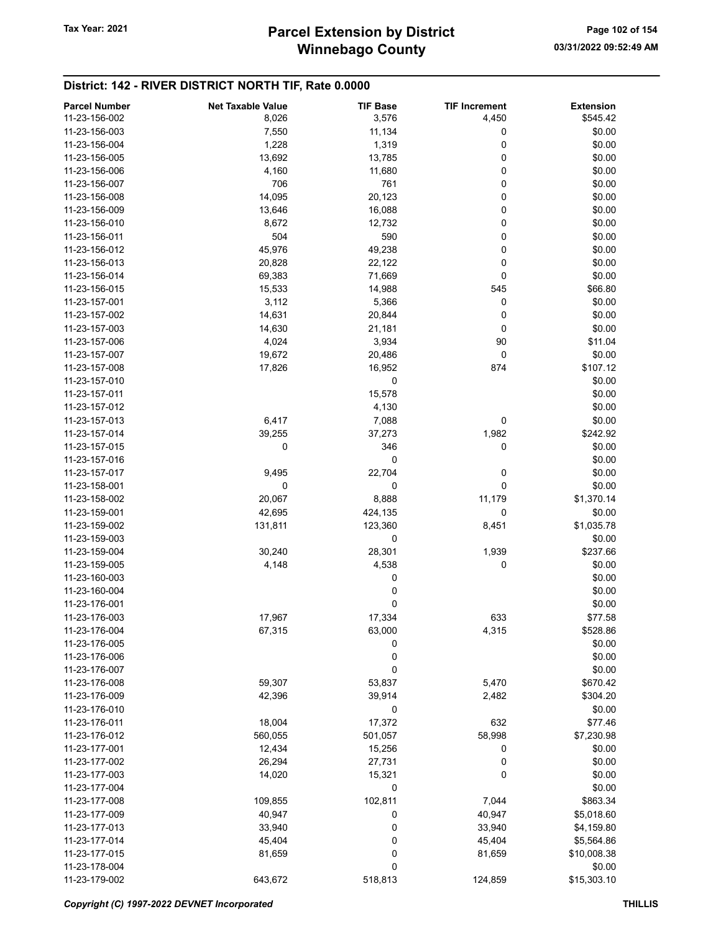| <b>Parcel Number</b> | <b>Net Taxable Value</b> | <b>TIF Base</b> | <b>TIF Increment</b> | <b>Extension</b> |
|----------------------|--------------------------|-----------------|----------------------|------------------|
| 11-23-156-002        | 8,026                    | 3,576           | 4,450                | \$545.42         |
| 11-23-156-003        | 7,550                    | 11,134          | 0                    | \$0.00           |
| 11-23-156-004        | 1,228                    | 1,319           | 0                    | \$0.00           |
| 11-23-156-005        | 13,692                   | 13,785          | 0                    | \$0.00           |
| 11-23-156-006        | 4,160                    | 11,680          | 0                    | \$0.00           |
| 11-23-156-007        | 706                      | 761             | 0                    | \$0.00           |
|                      |                          |                 | 0                    | \$0.00           |
| 11-23-156-008        | 14,095                   | 20,123          |                      |                  |
| 11-23-156-009        | 13,646                   | 16,088          | 0                    | \$0.00           |
| 11-23-156-010        | 8,672                    | 12,732          | 0                    | \$0.00           |
| 11-23-156-011        | 504                      | 590             | 0                    | \$0.00           |
| 11-23-156-012        | 45,976                   | 49,238          | 0                    | \$0.00           |
| 11-23-156-013        | 20,828                   | 22,122          | 0                    | \$0.00           |
| 11-23-156-014        | 69,383                   | 71,669          | 0                    | \$0.00           |
| 11-23-156-015        | 15,533                   | 14,988          | 545                  | \$66.80          |
| 11-23-157-001        | 3,112                    | 5,366           | 0                    | \$0.00           |
| 11-23-157-002        | 14,631                   | 20,844          | 0                    | \$0.00           |
| 11-23-157-003        | 14,630                   | 21,181          | 0                    | \$0.00           |
| 11-23-157-006        | 4,024                    | 3,934           | 90                   | \$11.04          |
| 11-23-157-007        | 19,672                   | 20,486          | 0                    | \$0.00           |
| 11-23-157-008        | 17,826                   | 16,952          | 874                  | \$107.12         |
| 11-23-157-010        |                          | 0               |                      | \$0.00           |
| 11-23-157-011        |                          | 15,578          |                      | \$0.00           |
| 11-23-157-012        |                          | 4,130           |                      | \$0.00           |
| 11-23-157-013        | 6,417                    | 7,088           | 0                    | \$0.00           |
| 11-23-157-014        | 39,255                   | 37,273          | 1,982                | \$242.92         |
| 11-23-157-015        | 0                        | 346             | 0                    | \$0.00           |
| 11-23-157-016        |                          | 0               |                      | \$0.00           |
| 11-23-157-017        | 9,495                    | 22,704          | 0                    | \$0.00           |
| 11-23-158-001        | 0                        | 0               | 0                    | \$0.00           |
| 11-23-158-002        | 20,067                   | 8,888           | 11,179               | \$1,370.14       |
|                      |                          |                 | 0                    |                  |
| 11-23-159-001        | 42,695                   | 424,135         |                      | \$0.00           |
| 11-23-159-002        | 131,811                  | 123,360         | 8,451                | \$1,035.78       |
| 11-23-159-003        |                          | 0               |                      | \$0.00           |
| 11-23-159-004        | 30,240                   | 28,301          | 1,939                | \$237.66         |
| 11-23-159-005        | 4,148                    | 4,538           | 0                    | \$0.00           |
| 11-23-160-003        |                          | 0               |                      | \$0.00           |
| 11-23-160-004        |                          | $\bf{0}$        |                      | \$0.00           |
| 11-23-176-001        |                          | 0               |                      | \$0.00           |
| 11-23-176-003        | 17,967                   | 17,334          | 633                  | \$77.58          |
| 11-23-176-004        | 67,315                   | 63,000          | 4,315                | \$528.86         |
| 11-23-176-005        |                          | 0               |                      | \$0.00           |
| 11-23-176-006        |                          | 0               |                      | \$0.00           |
| 11-23-176-007        |                          | 0               |                      | \$0.00           |
| 11-23-176-008        | 59,307                   | 53,837          | 5,470                | \$670.42         |
| 11-23-176-009        | 42,396                   | 39,914          | 2,482                | \$304.20         |
| 11-23-176-010        |                          | 0               |                      | \$0.00           |
| 11-23-176-011        | 18,004                   | 17,372          | 632                  | \$77.46          |
| 11-23-176-012        | 560,055                  | 501,057         | 58,998               | \$7,230.98       |
| 11-23-177-001        | 12,434                   | 15,256          | 0                    | \$0.00           |
| 11-23-177-002        | 26,294                   | 27,731          | 0                    | \$0.00           |
| 11-23-177-003        | 14,020                   | 15,321          | 0                    | \$0.00           |
| 11-23-177-004        |                          | 0               |                      | \$0.00           |
| 11-23-177-008        | 109,855                  | 102,811         | 7,044                | \$863.34         |
| 11-23-177-009        | 40,947                   | 0               | 40,947               | \$5,018.60       |
| 11-23-177-013        | 33,940                   | 0               | 33,940               | \$4,159.80       |
| 11-23-177-014        | 45,404                   | 0               | 45,404               | \$5,564.86       |
| 11-23-177-015        | 81,659                   | 0               | 81,659               | \$10,008.38      |
| 11-23-178-004        |                          | 0               |                      | \$0.00           |
| 11-23-179-002        | 643,672                  | 518,813         | 124,859              | \$15,303.10      |
|                      |                          |                 |                      |                  |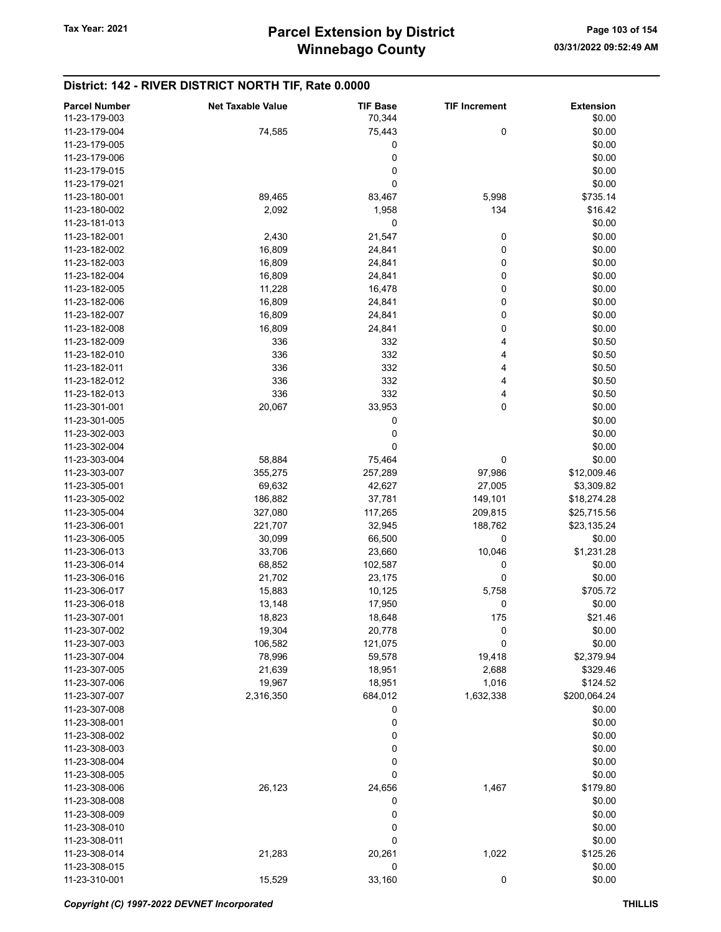| <b>Parcel Number</b> | <b>Net Taxable Value</b> | <b>TIF Base</b> | <b>TIF Increment</b> | <b>Extension</b> |
|----------------------|--------------------------|-----------------|----------------------|------------------|
| 11-23-179-003        |                          | 70,344          |                      | \$0.00           |
| 11-23-179-004        | 74,585                   | 75,443          | 0                    | \$0.00           |
| 11-23-179-005        |                          | 0               |                      | \$0.00           |
|                      |                          |                 |                      |                  |
| 11-23-179-006        |                          | 0               |                      | \$0.00           |
| 11-23-179-015        |                          | 0               |                      | \$0.00           |
| 11-23-179-021        |                          | 0               |                      | \$0.00           |
| 11-23-180-001        | 89,465                   | 83,467          | 5,998                | \$735.14         |
| 11-23-180-002        | 2,092                    | 1,958           | 134                  | \$16.42          |
| 11-23-181-013        |                          | 0               |                      | \$0.00           |
| 11-23-182-001        | 2,430                    | 21,547          | 0                    | \$0.00           |
| 11-23-182-002        | 16,809                   | 24,841          | 0                    | \$0.00           |
| 11-23-182-003        | 16,809                   | 24,841          | 0                    | \$0.00           |
| 11-23-182-004        | 16,809                   | 24,841          | 0                    | \$0.00           |
|                      |                          |                 |                      |                  |
| 11-23-182-005        | 11,228                   | 16,478          | 0                    | \$0.00           |
| 11-23-182-006        | 16,809                   | 24,841          | 0                    | \$0.00           |
| 11-23-182-007        | 16,809                   | 24,841          | 0                    | \$0.00           |
| 11-23-182-008        | 16,809                   | 24,841          | 0                    | \$0.00           |
| 11-23-182-009        | 336                      | 332             | 4                    | \$0.50           |
| 11-23-182-010        | 336                      | 332             | 4                    | \$0.50           |
| 11-23-182-011        | 336                      | 332             | 4                    | \$0.50           |
| 11-23-182-012        | 336                      | 332             | 4                    | \$0.50           |
| 11-23-182-013        | 336                      | 332             | 4                    | \$0.50           |
|                      |                          |                 |                      |                  |
| 11-23-301-001        | 20,067                   | 33,953          | 0                    | \$0.00           |
| 11-23-301-005        |                          | 0               |                      | \$0.00           |
| 11-23-302-003        |                          | 0               |                      | \$0.00           |
| 11-23-302-004        |                          | 0               |                      | \$0.00           |
| 11-23-303-004        | 58,884                   | 75,464          | 0                    | \$0.00           |
| 11-23-303-007        | 355,275                  | 257,289         | 97,986               | \$12,009.46      |
| 11-23-305-001        | 69,632                   | 42,627          | 27,005               | \$3,309.82       |
| 11-23-305-002        | 186,882                  | 37,781          | 149,101              | \$18,274.28      |
| 11-23-305-004        | 327,080                  | 117,265         | 209,815              | \$25,715.56      |
| 11-23-306-001        | 221,707                  | 32,945          | 188,762              | \$23,135.24      |
| 11-23-306-005        | 30,099                   | 66,500          | 0                    | \$0.00           |
|                      |                          |                 |                      |                  |
| 11-23-306-013        | 33,706                   | 23,660          | 10,046               | \$1,231.28       |
| 11-23-306-014        | 68,852                   | 102,587         | 0                    | \$0.00           |
| 11-23-306-016        | 21,702                   | 23,175          | 0                    | \$0.00           |
| 11-23-306-017        | 15,883                   | 10,125          | 5,758                | \$705.72         |
| 11-23-306-018        | 13,148                   | 17,950          | 0                    | \$0.00           |
| 11-23-307-001        | 18,823                   | 18,648          | 175                  | \$21.46          |
| 11-23-307-002        | 19,304                   | 20,778          | 0                    | \$0.00           |
| 11-23-307-003        | 106,582                  | 121,075         | 0                    | \$0.00           |
| 11-23-307-004        | 78,996                   | 59,578          | 19,418               | \$2,379.94       |
| 11-23-307-005        | 21,639                   | 18,951          | 2,688                | \$329.46         |
| 11-23-307-006        |                          |                 |                      |                  |
|                      | 19,967                   | 18,951          | 1,016                | \$124.52         |
| 11-23-307-007        | 2,316,350                | 684,012         | 1,632,338            | \$200,064.24     |
| 11-23-307-008        |                          | 0               |                      | \$0.00           |
| 11-23-308-001        |                          | 0               |                      | \$0.00           |
| 11-23-308-002        |                          | 0               |                      | \$0.00           |
| 11-23-308-003        |                          | 0               |                      | \$0.00           |
| 11-23-308-004        |                          | 0               |                      | \$0.00           |
| 11-23-308-005        |                          | 0               |                      | \$0.00           |
| 11-23-308-006        | 26,123                   | 24,656          | 1,467                | \$179.80         |
| 11-23-308-008        |                          | 0               |                      | \$0.00           |
| 11-23-308-009        |                          | 0               |                      | \$0.00           |
| 11-23-308-010        |                          |                 |                      | \$0.00           |
|                      |                          | 0               |                      |                  |
| 11-23-308-011        |                          | 0               |                      | \$0.00           |
| 11-23-308-014        | 21,283                   | 20,261          | 1,022                | \$125.26         |
| 11-23-308-015        |                          | 0               |                      | \$0.00           |
| 11-23-310-001        | 15,529                   | 33,160          | 0                    | \$0.00           |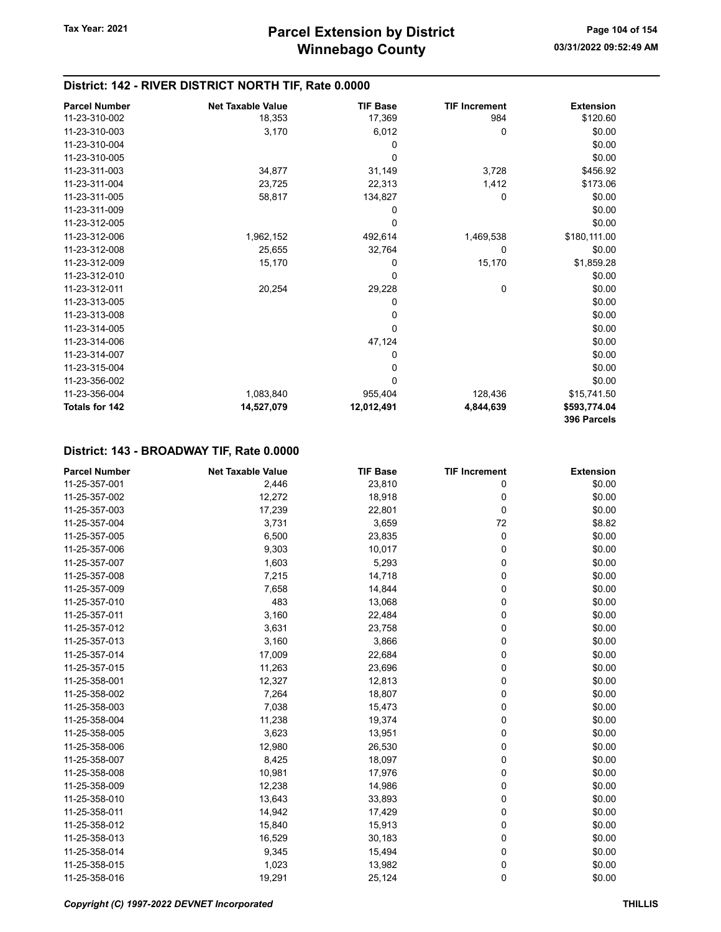| <b>Parcel Number</b>  | <b>Net Taxable Value</b> | <b>TIF Base</b> | <b>TIF Increment</b> | <b>Extension</b>            |
|-----------------------|--------------------------|-----------------|----------------------|-----------------------------|
| 11-23-310-002         | 18,353                   | 17,369          | 984                  | \$120.60                    |
| 11-23-310-003         | 3,170                    | 6,012           | 0                    | \$0.00                      |
| 11-23-310-004         |                          | 0               |                      | \$0.00                      |
| 11-23-310-005         |                          | 0               |                      | \$0.00                      |
| 11-23-311-003         | 34,877                   | 31,149          | 3,728                | \$456.92                    |
| 11-23-311-004         | 23,725                   | 22,313          | 1,412                | \$173.06                    |
| 11-23-311-005         | 58,817                   | 134,827         | 0                    | \$0.00                      |
| 11-23-311-009         |                          | 0               |                      | \$0.00                      |
| 11-23-312-005         |                          | 0               |                      | \$0.00                      |
| 11-23-312-006         | 1,962,152                | 492,614         | 1,469,538            | \$180,111.00                |
| 11-23-312-008         | 25,655                   | 32,764          | 0                    | \$0.00                      |
| 11-23-312-009         | 15,170                   | 0               | 15,170               | \$1,859.28                  |
| 11-23-312-010         |                          | 0               |                      | \$0.00                      |
| 11-23-312-011         | 20,254                   | 29,228          | 0                    | \$0.00                      |
| 11-23-313-005         |                          | 0               |                      | \$0.00                      |
| 11-23-313-008         |                          | 0               |                      | \$0.00                      |
| 11-23-314-005         |                          | 0               |                      | \$0.00                      |
| 11-23-314-006         |                          | 47,124          |                      | \$0.00                      |
| 11-23-314-007         |                          | 0               |                      | \$0.00                      |
| 11-23-315-004         |                          | 0               |                      | \$0.00                      |
| 11-23-356-002         |                          | 0               |                      | \$0.00                      |
| 11-23-356-004         | 1,083,840                | 955,404         | 128,436              | \$15,741.50                 |
| <b>Totals for 142</b> | 14,527,079               | 12,012,491      | 4,844,639            | \$593,774.04<br>396 Parcels |

| <b>Parcel Number</b> | <b>Net Taxable Value</b> | <b>TIF Base</b> | <b>TIF Increment</b> | <b>Extension</b> |
|----------------------|--------------------------|-----------------|----------------------|------------------|
| 11-25-357-001        | 2,446                    | 23,810          | 0                    | \$0.00           |
| 11-25-357-002        | 12,272                   | 18,918          | 0                    | \$0.00           |
| 11-25-357-003        | 17,239                   | 22,801          | 0                    | \$0.00           |
| 11-25-357-004        | 3,731                    | 3,659           | 72                   | \$8.82           |
| 11-25-357-005        | 6,500                    | 23,835          | 0                    | \$0.00           |
| 11-25-357-006        | 9,303                    | 10,017          | 0                    | \$0.00           |
| 11-25-357-007        | 1,603                    | 5,293           | 0                    | \$0.00           |
| 11-25-357-008        | 7,215                    | 14,718          | 0                    | \$0.00           |
| 11-25-357-009        | 7,658                    | 14,844          | 0                    | \$0.00           |
| 11-25-357-010        | 483                      | 13,068          | 0                    | \$0.00           |
| 11-25-357-011        | 3,160                    | 22,484          | 0                    | \$0.00           |
| 11-25-357-012        | 3,631                    | 23,758          | 0                    | \$0.00           |
| 11-25-357-013        | 3,160                    | 3,866           | 0                    | \$0.00           |
| 11-25-357-014        | 17,009                   | 22,684          | 0                    | \$0.00           |
| 11-25-357-015        | 11,263                   | 23,696          | 0                    | \$0.00           |
| 11-25-358-001        | 12,327                   | 12,813          | 0                    | \$0.00           |
| 11-25-358-002        | 7,264                    | 18,807          | 0                    | \$0.00           |
| 11-25-358-003        | 7,038                    | 15,473          | 0                    | \$0.00           |
| 11-25-358-004        | 11,238                   | 19,374          | 0                    | \$0.00           |
| 11-25-358-005        | 3,623                    | 13,951          | 0                    | \$0.00           |
| 11-25-358-006        | 12,980                   | 26,530          | 0                    | \$0.00           |
| 11-25-358-007        | 8,425                    | 18,097          | 0                    | \$0.00           |
| 11-25-358-008        | 10,981                   | 17,976          | 0                    | \$0.00           |
| 11-25-358-009        | 12,238                   | 14,986          | 0                    | \$0.00           |
| 11-25-358-010        | 13,643                   | 33,893          | 0                    | \$0.00           |
| 11-25-358-011        | 14,942                   | 17,429          | 0                    | \$0.00           |
| 11-25-358-012        | 15,840                   | 15,913          | 0                    | \$0.00           |
| 11-25-358-013        | 16,529                   | 30,183          | 0                    | \$0.00           |
| 11-25-358-014        | 9,345                    | 15,494          | 0                    | \$0.00           |
| 11-25-358-015        | 1,023                    | 13,982          | 0                    | \$0.00           |
| 11-25-358-016        | 19,291                   | 25,124          | 0                    | \$0.00           |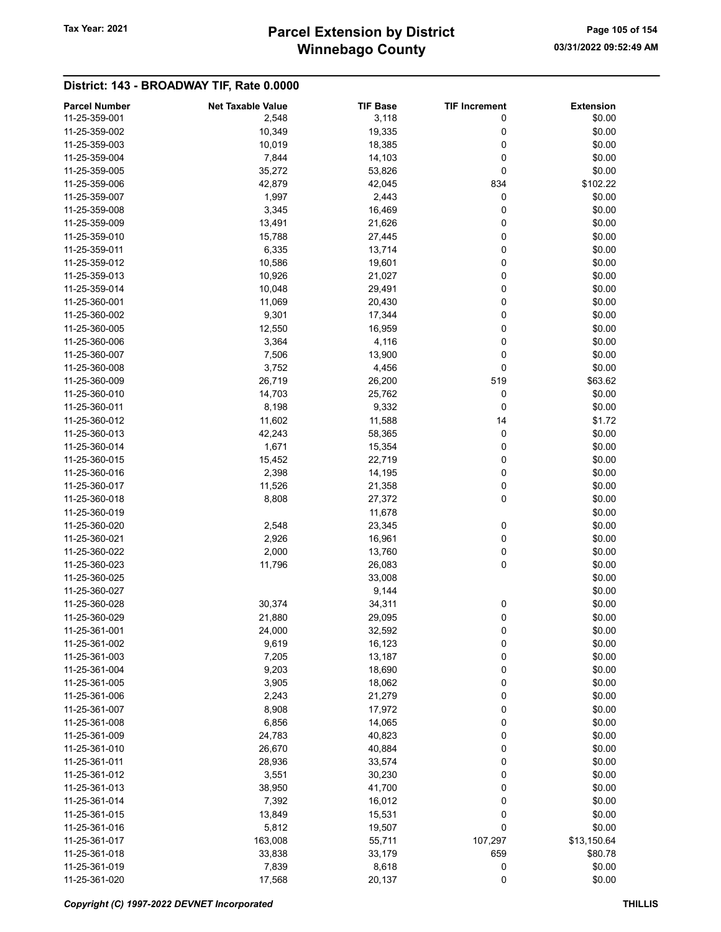# Winnebago County Tax Year: 2021 **Parcel Extension by District** Page 105 of 154

| <b>Parcel Number</b> | <b>Net Taxable Value</b> | <b>TIF Base</b> | <b>TIF Increment</b> | <b>Extension</b> |
|----------------------|--------------------------|-----------------|----------------------|------------------|
| 11-25-359-001        | 2,548                    | 3,118           | 0                    | \$0.00           |
| 11-25-359-002        | 10,349                   | 19,335          | 0                    | \$0.00           |
| 11-25-359-003        | 10,019                   | 18,385          | 0                    | \$0.00           |
| 11-25-359-004        | 7,844                    | 14,103          | 0                    | \$0.00           |
| 11-25-359-005        | 35,272                   | 53,826          | 0                    | \$0.00           |
| 11-25-359-006        |                          |                 | 834                  | \$102.22         |
|                      | 42,879                   | 42,045          |                      |                  |
| 11-25-359-007        | 1,997                    | 2,443           | 0                    | \$0.00           |
| 11-25-359-008        | 3,345                    | 16,469          | 0                    | \$0.00           |
| 11-25-359-009        | 13,491                   | 21,626          | 0                    | \$0.00           |
| 11-25-359-010        | 15,788                   | 27,445          | 0                    | \$0.00           |
| 11-25-359-011        | 6,335                    | 13,714          | 0                    | \$0.00           |
| 11-25-359-012        | 10,586                   | 19,601          | 0                    | \$0.00           |
| 11-25-359-013        | 10,926                   | 21,027          | 0                    | \$0.00           |
| 11-25-359-014        | 10,048                   | 29,491          | 0                    | \$0.00           |
| 11-25-360-001        | 11,069                   | 20,430          | 0                    | \$0.00           |
| 11-25-360-002        | 9,301                    | 17,344          | 0                    | \$0.00           |
| 11-25-360-005        | 12,550                   | 16,959          | 0                    | \$0.00           |
| 11-25-360-006        | 3,364                    | 4,116           | 0                    | \$0.00           |
| 11-25-360-007        | 7,506                    | 13,900          | 0                    | \$0.00           |
| 11-25-360-008        | 3,752                    | 4,456           | 0                    | \$0.00           |
|                      |                          |                 |                      |                  |
| 11-25-360-009        | 26,719                   | 26,200          | 519                  | \$63.62          |
| 11-25-360-010        | 14,703                   | 25,762          | 0                    | \$0.00           |
| 11-25-360-011        | 8,198                    | 9,332           | 0                    | \$0.00           |
| 11-25-360-012        | 11,602                   | 11,588          | 14                   | \$1.72           |
| 11-25-360-013        | 42,243                   | 58,365          | 0                    | \$0.00           |
| 11-25-360-014        | 1,671                    | 15,354          | 0                    | \$0.00           |
| 11-25-360-015        | 15,452                   | 22,719          | 0                    | \$0.00           |
| 11-25-360-016        | 2,398                    | 14,195          | 0                    | \$0.00           |
| 11-25-360-017        | 11,526                   | 21,358          | 0                    | \$0.00           |
| 11-25-360-018        | 8,808                    | 27,372          | 0                    | \$0.00           |
| 11-25-360-019        |                          | 11,678          |                      | \$0.00           |
| 11-25-360-020        | 2,548                    | 23,345          | 0                    | \$0.00           |
| 11-25-360-021        | 2,926                    | 16,961          | 0                    | \$0.00           |
| 11-25-360-022        | 2,000                    | 13,760          | 0                    | \$0.00           |
| 11-25-360-023        | 11,796                   | 26,083          | 0                    | \$0.00           |
| 11-25-360-025        |                          | 33,008          |                      | \$0.00           |
| 11-25-360-027        |                          |                 |                      |                  |
|                      |                          | 9,144           |                      | \$0.00           |
| 11-25-360-028        | 30,374                   | 34,311          | 0                    | \$0.00           |
| 11-25-360-029        | 21,880                   | 29,095          | 0                    | \$0.00           |
| 11-25-361-001        | 24,000                   | 32,592          | 0                    | \$0.00           |
| 11-25-361-002        | 9,619                    | 16,123          | 0                    | \$0.00           |
| 11-25-361-003        | 7,205                    | 13,187          | 0                    | \$0.00           |
| 11-25-361-004        | 9,203                    | 18,690          | $\mathbf 0$          | \$0.00           |
| 11-25-361-005        | 3,905                    | 18,062          | 0                    | \$0.00           |
| 11-25-361-006        | 2,243                    | 21,279          | 0                    | \$0.00           |
| 11-25-361-007        | 8,908                    | 17,972          | 0                    | \$0.00           |
| 11-25-361-008        | 6,856                    | 14,065          | 0                    | \$0.00           |
| 11-25-361-009        | 24,783                   | 40,823          | 0                    | \$0.00           |
| 11-25-361-010        | 26,670                   | 40,884          | 0                    | \$0.00           |
| 11-25-361-011        | 28,936                   | 33,574          | $\mathbf 0$          | \$0.00           |
|                      |                          |                 |                      |                  |
| 11-25-361-012        | 3,551                    | 30,230          | 0                    | \$0.00           |
| 11-25-361-013        | 38,950                   | 41,700          | 0                    | \$0.00           |
| 11-25-361-014        | 7,392                    | 16,012          | 0                    | \$0.00           |
| 11-25-361-015        | 13,849                   | 15,531          | 0                    | \$0.00           |
| 11-25-361-016        | 5,812                    | 19,507          | 0                    | \$0.00           |
| 11-25-361-017        | 163,008                  | 55,711          | 107,297              | \$13,150.64      |
| 11-25-361-018        | 33,838                   | 33,179          | 659                  | \$80.78          |
| 11-25-361-019        | 7,839                    | 8,618           | 0                    | \$0.00           |
| 11-25-361-020        | 17,568                   | 20,137          | $\pmb{0}$            | \$0.00           |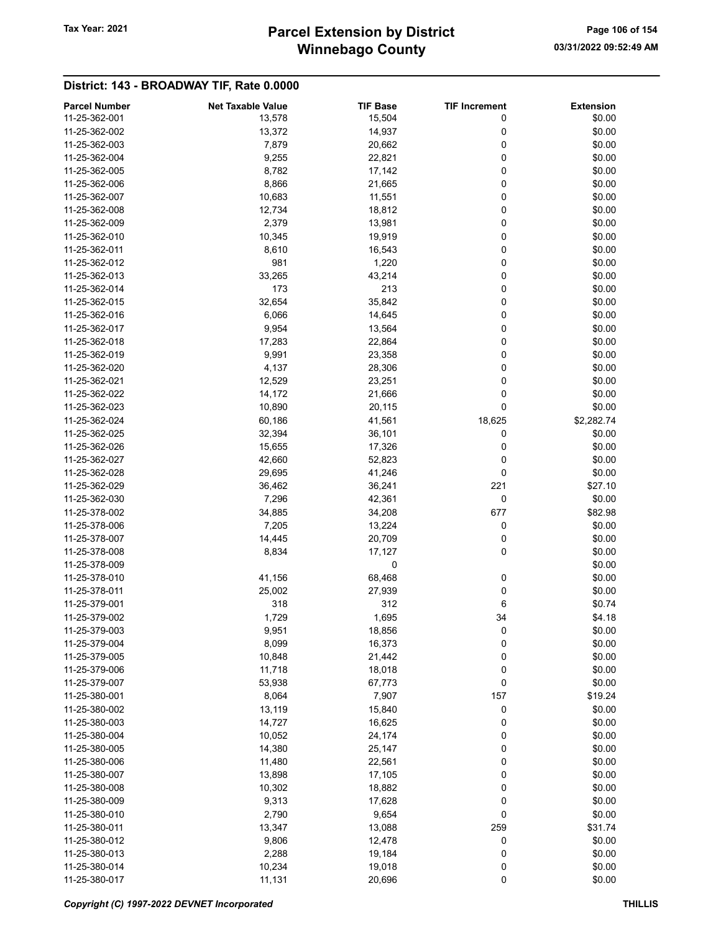# Winnebago County Tax Year: 2021 **Parcel Extension by District** Page 106 of 154

| <b>Parcel Number</b> | <b>Net Taxable Value</b> | <b>TIF Base</b> | <b>TIF Increment</b> | <b>Extension</b> |
|----------------------|--------------------------|-----------------|----------------------|------------------|
| 11-25-362-001        | 13,578                   | 15,504          | 0                    | \$0.00           |
| 11-25-362-002        | 13,372                   | 14,937          | 0                    | \$0.00           |
| 11-25-362-003        | 7,879                    | 20,662          | 0                    | \$0.00           |
| 11-25-362-004        | 9,255                    | 22,821          | 0                    | \$0.00           |
| 11-25-362-005        |                          |                 | 0                    | \$0.00           |
|                      | 8,782                    | 17,142          |                      |                  |
| 11-25-362-006        | 8,866                    | 21,665          | 0                    | \$0.00           |
| 11-25-362-007        | 10,683                   | 11,551          | 0                    | \$0.00           |
| 11-25-362-008        | 12,734                   | 18,812          | 0                    | \$0.00           |
| 11-25-362-009        | 2,379                    | 13,981          | 0                    | \$0.00           |
| 11-25-362-010        | 10,345                   | 19,919          | 0                    | \$0.00           |
| 11-25-362-011        | 8,610                    | 16,543          | 0                    | \$0.00           |
| 11-25-362-012        | 981                      | 1,220           | 0                    | \$0.00           |
| 11-25-362-013        | 33,265                   | 43,214          | 0                    | \$0.00           |
| 11-25-362-014        | 173                      | 213             | 0                    | \$0.00           |
| 11-25-362-015        | 32,654                   | 35,842          | 0                    | \$0.00           |
| 11-25-362-016        | 6,066                    | 14,645          | 0                    | \$0.00           |
| 11-25-362-017        | 9,954                    | 13,564          | 0                    | \$0.00           |
| 11-25-362-018        | 17,283                   |                 | 0                    | \$0.00           |
|                      |                          | 22,864          |                      |                  |
| 11-25-362-019        | 9,991                    | 23,358          | 0                    | \$0.00           |
| 11-25-362-020        | 4,137                    | 28,306          | 0                    | \$0.00           |
| 11-25-362-021        | 12,529                   | 23,251          | 0                    | \$0.00           |
| 11-25-362-022        | 14,172                   | 21,666          | 0                    | \$0.00           |
| 11-25-362-023        | 10,890                   | 20,115          | 0                    | \$0.00           |
| 11-25-362-024        | 60,186                   | 41,561          | 18,625               | \$2,282.74       |
| 11-25-362-025        | 32,394                   | 36,101          | 0                    | \$0.00           |
| 11-25-362-026        | 15,655                   | 17,326          | 0                    | \$0.00           |
| 11-25-362-027        | 42,660                   | 52,823          | 0                    | \$0.00           |
| 11-25-362-028        | 29,695                   | 41,246          | 0                    | \$0.00           |
| 11-25-362-029        | 36,462                   | 36,241          | 221                  | \$27.10          |
| 11-25-362-030        | 7,296                    | 42,361          | 0                    | \$0.00           |
|                      |                          |                 |                      |                  |
| 11-25-378-002        | 34,885                   | 34,208          | 677                  | \$82.98          |
| 11-25-378-006        | 7,205                    | 13,224          | 0                    | \$0.00           |
| 11-25-378-007        | 14,445                   | 20,709          | 0                    | \$0.00           |
| 11-25-378-008        | 8,834                    | 17,127          | 0                    | \$0.00           |
| 11-25-378-009        |                          | 0               |                      | \$0.00           |
| 11-25-378-010        | 41,156                   | 68,468          | 0                    | \$0.00           |
| 11-25-378-011        | 25,002                   | 27,939          | 0                    | \$0.00           |
| 11-25-379-001        | 318                      | 312             | 6                    | \$0.74           |
| 11-25-379-002        | 1,729                    | 1,695           | 34                   | \$4.18           |
| 11-25-379-003        | 9,951                    | 18,856          | 0                    | \$0.00           |
| 11-25-379-004        | 8,099                    | 16,373          | 0                    | \$0.00           |
| 11-25-379-005        | 10,848                   | 21,442          | 0                    | \$0.00           |
| 11-25-379-006        | 11,718                   | 18,018          | 0                    | \$0.00           |
| 11-25-379-007        | 53,938                   | 67,773          | $\mathbf 0$          | \$0.00           |
| 11-25-380-001        | 8,064                    | 7,907           | 157                  | \$19.24          |
| 11-25-380-002        |                          |                 |                      | \$0.00           |
|                      | 13,119                   | 15,840          | 0                    |                  |
| 11-25-380-003        | 14,727                   | 16,625          | 0                    | \$0.00           |
| 11-25-380-004        | 10,052                   | 24,174          | 0                    | \$0.00           |
| 11-25-380-005        | 14,380                   | 25,147          | 0                    | \$0.00           |
| 11-25-380-006        | 11,480                   | 22,561          | 0                    | \$0.00           |
| 11-25-380-007        | 13,898                   | 17,105          | 0                    | \$0.00           |
| 11-25-380-008        | 10,302                   | 18,882          | 0                    | \$0.00           |
| 11-25-380-009        | 9,313                    | 17,628          | 0                    | \$0.00           |
| 11-25-380-010        | 2,790                    | 9,654           | 0                    | \$0.00           |
| 11-25-380-011        | 13,347                   | 13,088          | 259                  | \$31.74          |
| 11-25-380-012        | 9,806                    | 12,478          | 0                    | \$0.00           |
| 11-25-380-013        | 2,288                    | 19,184          | 0                    | \$0.00           |
| 11-25-380-014        | 10,234                   | 19,018          | 0                    | \$0.00           |
| 11-25-380-017        | 11,131                   | 20,696          | 0                    | \$0.00           |
|                      |                          |                 |                      |                  |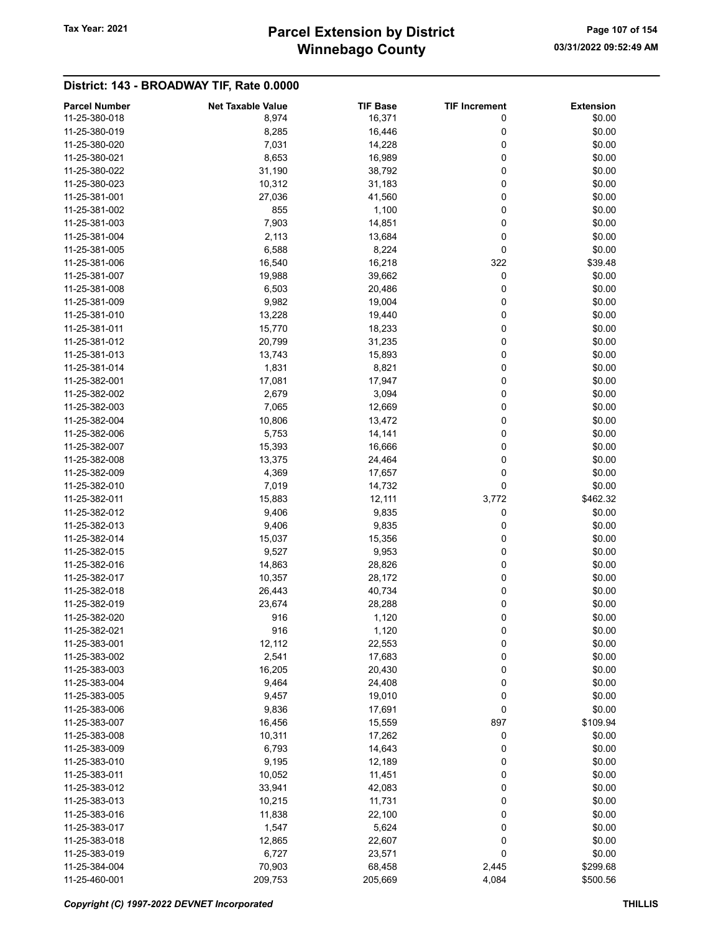# Winnebago County Tax Year: 2021 **Parcel Extension by District** Page 107 of 154

| <b>Parcel Number</b> | <b>Net Taxable Value</b> | <b>TIF Base</b> | <b>TIF Increment</b> | <b>Extension</b> |
|----------------------|--------------------------|-----------------|----------------------|------------------|
| 11-25-380-018        | 8,974                    | 16,371          | 0                    | \$0.00           |
| 11-25-380-019        | 8,285                    | 16,446          | 0                    | \$0.00           |
| 11-25-380-020        | 7,031                    | 14,228          | 0                    | \$0.00           |
| 11-25-380-021        | 8,653                    | 16,989          | 0                    | \$0.00           |
| 11-25-380-022        | 31,190                   | 38,792          | 0                    | \$0.00           |
| 11-25-380-023        | 10,312                   | 31,183          | 0                    | \$0.00           |
| 11-25-381-001        | 27,036                   | 41,560          | 0                    | \$0.00           |
| 11-25-381-002        | 855                      | 1,100           | 0                    | \$0.00           |
|                      |                          |                 | 0                    |                  |
| 11-25-381-003        | 7,903                    | 14,851          |                      | \$0.00           |
| 11-25-381-004        | 2,113                    | 13,684          | 0                    | \$0.00           |
| 11-25-381-005        | 6,588                    | 8,224           | 0                    | \$0.00           |
| 11-25-381-006        | 16,540                   | 16,218          | 322                  | \$39.48          |
| 11-25-381-007        | 19,988                   | 39,662          | 0                    | \$0.00           |
| 11-25-381-008        | 6,503                    | 20,486          | 0                    | \$0.00           |
| 11-25-381-009        | 9,982                    | 19,004          | 0                    | \$0.00           |
| 11-25-381-010        | 13,228                   | 19,440          | 0                    | \$0.00           |
| 11-25-381-011        | 15,770                   | 18,233          | 0                    | \$0.00           |
| 11-25-381-012        | 20,799                   | 31,235          | 0                    | \$0.00           |
| 11-25-381-013        | 13,743                   | 15,893          | 0                    | \$0.00           |
| 11-25-381-014        | 1,831                    | 8,821           | 0                    | \$0.00           |
| 11-25-382-001        | 17,081                   | 17,947          | 0                    | \$0.00           |
| 11-25-382-002        | 2,679                    | 3,094           | 0                    | \$0.00           |
| 11-25-382-003        | 7,065                    | 12,669          | 0                    | \$0.00           |
| 11-25-382-004        | 10,806                   | 13,472          | 0                    | \$0.00           |
| 11-25-382-006        | 5,753                    | 14,141          | 0                    | \$0.00           |
| 11-25-382-007        | 15,393                   | 16,666          | 0                    | \$0.00           |
|                      |                          |                 |                      |                  |
| 11-25-382-008        | 13,375                   | 24,464          | 0                    | \$0.00           |
| 11-25-382-009        | 4,369                    | 17,657          | 0                    | \$0.00           |
| 11-25-382-010        | 7,019                    | 14,732          | 0                    | \$0.00           |
| 11-25-382-011        | 15,883                   | 12,111          | 3,772                | \$462.32         |
| 11-25-382-012        | 9,406                    | 9,835           | 0                    | \$0.00           |
| 11-25-382-013        | 9,406                    | 9,835           | 0                    | \$0.00           |
| 11-25-382-014        | 15,037                   | 15,356          | 0                    | \$0.00           |
| 11-25-382-015        | 9,527                    | 9,953           | 0                    | \$0.00           |
| 11-25-382-016        | 14,863                   | 28,826          | 0                    | \$0.00           |
| 11-25-382-017        | 10,357                   | 28,172          | 0                    | \$0.00           |
| 11-25-382-018        | 26,443                   | 40,734          | 0                    | \$0.00           |
| 11-25-382-019        | 23,674                   | 28,288          | 0                    | \$0.00           |
| 11-25-382-020        | 916                      | 1,120           | 0                    | \$0.00           |
| 11-25-382-021        | 916                      | 1,120           | 0                    | \$0.00           |
| 11-25-383-001        | 12,112                   | 22,553          | 0                    | \$0.00           |
| 11-25-383-002        | 2,541                    | 17,683          | 0                    | \$0.00           |
| 11-25-383-003        | 16,205                   | 20,430          | 0                    | \$0.00           |
| 11-25-383-004        | 9,464                    | 24,408          | 0                    | \$0.00           |
| 11-25-383-005        | 9,457                    | 19,010          | 0                    | \$0.00           |
| 11-25-383-006        | 9,836                    | 17,691          | 0                    | \$0.00           |
|                      |                          |                 |                      |                  |
| 11-25-383-007        | 16,456                   | 15,559          | 897                  | \$109.94         |
| 11-25-383-008        | 10,311                   | 17,262          | 0                    | \$0.00           |
| 11-25-383-009        | 6,793                    | 14,643          | 0                    | \$0.00           |
| 11-25-383-010        | 9,195                    | 12,189          | 0                    | \$0.00           |
| 11-25-383-011        | 10,052                   | 11,451          | 0                    | \$0.00           |
| 11-25-383-012        | 33,941                   | 42,083          | 0                    | \$0.00           |
| 11-25-383-013        | 10,215                   | 11,731          | 0                    | \$0.00           |
| 11-25-383-016        | 11,838                   | 22,100          | 0                    | \$0.00           |
| 11-25-383-017        | 1,547                    | 5,624           | 0                    | \$0.00           |
| 11-25-383-018        | 12,865                   | 22,607          | 0                    | \$0.00           |
| 11-25-383-019        | 6,727                    | 23,571          | 0                    | \$0.00           |
| 11-25-384-004        | 70,903                   | 68,458          | 2,445                | \$299.68         |
| 11-25-460-001        | 209,753                  | 205,669         | 4,084                | \$500.56         |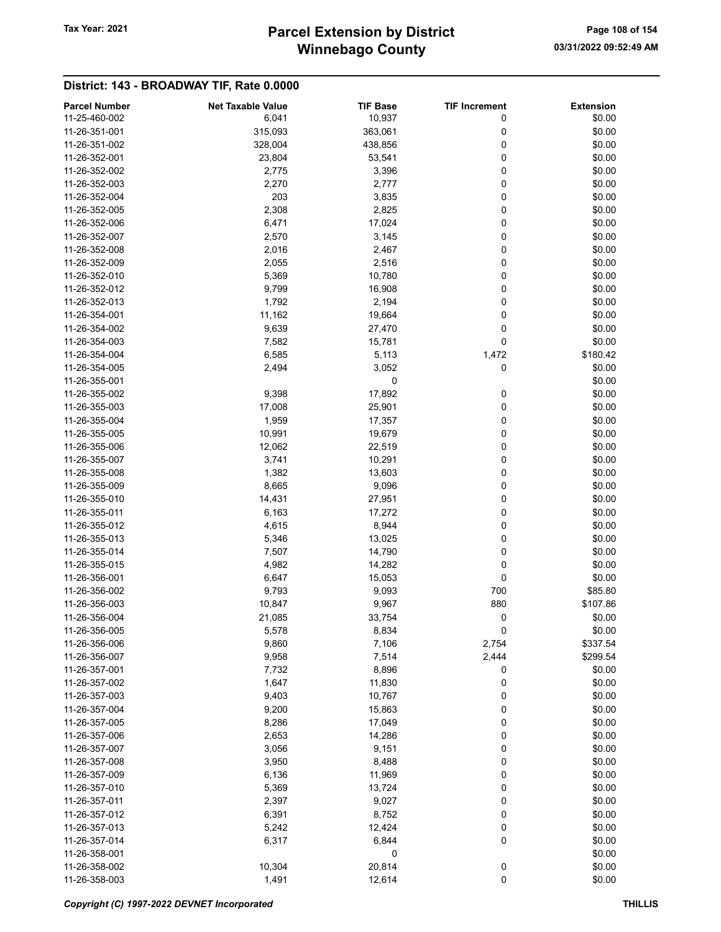# Winnebago County Tax Year: 2021 **Parcel Extension by District** Page 108 of 154

| <b>Parcel Number</b> | <b>Net Taxable Value</b> | <b>TIF Base</b> | <b>TIF Increment</b> | <b>Extension</b> |
|----------------------|--------------------------|-----------------|----------------------|------------------|
| 11-25-460-002        | 6,041                    | 10,937          | 0                    | \$0.00           |
| 11-26-351-001        | 315,093                  | 363,061         | 0                    | \$0.00           |
| 11-26-351-002        | 328,004                  | 438,856         | 0                    | \$0.00           |
| 11-26-352-001        | 23,804                   | 53,541          | 0                    | \$0.00           |
| 11-26-352-002        |                          |                 | 0                    | \$0.00           |
|                      | 2,775                    | 3,396           |                      |                  |
| 11-26-352-003        | 2,270                    | 2,777           | 0                    | \$0.00           |
| 11-26-352-004        | 203                      | 3,835           | 0                    | \$0.00           |
| 11-26-352-005        | 2,308                    | 2,825           | 0                    | \$0.00           |
| 11-26-352-006        | 6,471                    | 17,024          | 0                    | \$0.00           |
| 11-26-352-007        | 2,570                    | 3,145           | 0                    | \$0.00           |
| 11-26-352-008        | 2,016                    | 2,467           | 0                    | \$0.00           |
| 11-26-352-009        | 2,055                    | 2,516           | 0                    | \$0.00           |
| 11-26-352-010        | 5,369                    | 10,780          | 0                    | \$0.00           |
| 11-26-352-012        | 9,799                    | 16,908          | 0                    | \$0.00           |
| 11-26-352-013        | 1,792                    | 2,194           | 0                    | \$0.00           |
| 11-26-354-001        | 11,162                   | 19,664          | 0                    | \$0.00           |
| 11-26-354-002        | 9,639                    | 27,470          | 0                    | \$0.00           |
| 11-26-354-003        | 7,582                    | 15,781          | 0                    | \$0.00           |
| 11-26-354-004        | 6,585                    | 5,113           | 1,472                | \$180.42         |
| 11-26-354-005        | 2,494                    | 3,052           | 0                    | \$0.00           |
| 11-26-355-001        |                          | 0               |                      | \$0.00           |
| 11-26-355-002        | 9,398                    | 17,892          | 0                    | \$0.00           |
| 11-26-355-003        | 17,008                   | 25,901          | 0                    | \$0.00           |
| 11-26-355-004        | 1,959                    | 17,357          | 0                    | \$0.00           |
| 11-26-355-005        | 10,991                   | 19,679          | 0                    | \$0.00           |
| 11-26-355-006        | 12,062                   | 22,519          | 0                    | \$0.00           |
| 11-26-355-007        | 3,741                    | 10,291          | 0                    | \$0.00           |
| 11-26-355-008        | 1,382                    | 13,603          | 0                    | \$0.00           |
| 11-26-355-009        | 8,665                    | 9,096           | 0                    | \$0.00           |
| 11-26-355-010        | 14,431                   |                 | 0                    | \$0.00           |
|                      |                          | 27,951          |                      |                  |
| 11-26-355-011        | 6,163                    | 17,272          | 0                    | \$0.00           |
| 11-26-355-012        | 4,615                    | 8,944           | 0                    | \$0.00           |
| 11-26-355-013        | 5,346                    | 13,025          | 0                    | \$0.00           |
| 11-26-355-014        | 7,507                    | 14,790          | 0                    | \$0.00           |
| 11-26-355-015        | 4,982                    | 14,282          | 0                    | \$0.00           |
| 11-26-356-001        | 6,647                    | 15,053          | 0                    | \$0.00           |
| 11-26-356-002        | 9,793                    | 9,093           | 700                  | \$85.80          |
| 11-26-356-003        | 10,847                   | 9,967           | 880                  | \$107.86         |
| 11-26-356-004        | 21,085                   | 33,754          | 0                    | \$0.00           |
| 11-26-356-005        | 5,578                    | 8,834           | 0                    | \$0.00           |
| 11-26-356-006        | 9,860                    | 7,106           | 2,754                | \$337.54         |
| 11-26-356-007        | 9,958                    | 7,514           | 2,444                | \$299.54         |
| 11-26-357-001        | 7,732                    | 8,896           | 0                    | \$0.00           |
| 11-26-357-002        | 1,647                    | 11,830          | 0                    | \$0.00           |
| 11-26-357-003        | 9,403                    | 10,767          | 0                    | \$0.00           |
| 11-26-357-004        | 9,200                    | 15,863          | 0                    | \$0.00           |
| 11-26-357-005        | 8,286                    | 17,049          | 0                    | \$0.00           |
| 11-26-357-006        | 2,653                    | 14,286          | 0                    | \$0.00           |
| 11-26-357-007        | 3,056                    | 9,151           | 0                    | \$0.00           |
| 11-26-357-008        | 3,950                    | 8,488           | 0                    | \$0.00           |
| 11-26-357-009        | 6,136                    | 11,969          | 0                    | \$0.00           |
| 11-26-357-010        | 5,369                    | 13,724          | 0                    | \$0.00           |
| 11-26-357-011        | 2,397                    | 9,027           | 0                    | \$0.00           |
| 11-26-357-012        | 6,391                    | 8,752           | 0                    | \$0.00           |
| 11-26-357-013        | 5,242                    | 12,424          | 0                    | \$0.00           |
| 11-26-357-014        | 6,317                    | 6,844           | 0                    | \$0.00           |
| 11-26-358-001        |                          | 0               |                      | \$0.00           |
| 11-26-358-002        | 10,304                   | 20,814          | 0                    | \$0.00           |
| 11-26-358-003        | 1,491                    | 12,614          | $\pmb{0}$            | \$0.00           |
|                      |                          |                 |                      |                  |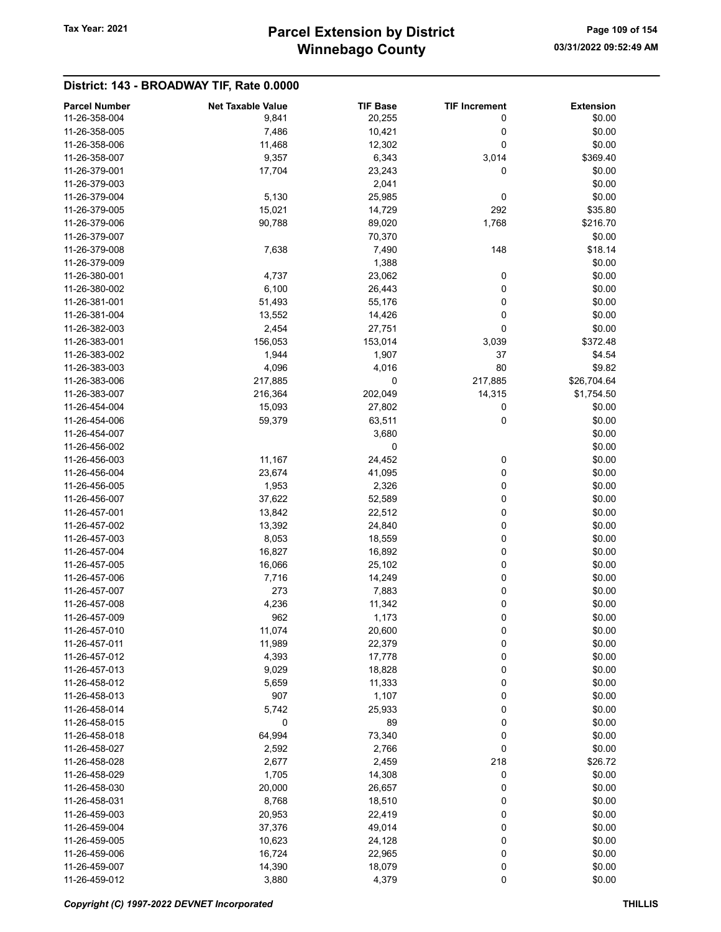## Winnebago County Tax Year: 2021 **Parcel Extension by District** Page 109 of 154

| 11-26-358-004<br>9,841<br>20,255<br>0<br>\$0.00<br>11-26-358-005<br>7,486<br>0<br>\$0.00<br>10,421<br>\$0.00<br>11-26-358-006<br>11,468<br>12,302<br>0<br>6,343<br>11-26-358-007<br>9,357<br>3,014<br>\$369.40<br>\$0.00<br>11-26-379-001<br>17,704<br>23,243<br>0<br>2,041<br>\$0.00<br>11-26-379-003<br>\$0.00<br>11-26-379-004<br>5,130<br>25,985<br>0<br>15,021<br>292<br>\$35.80<br>11-26-379-005<br>14,729<br>11-26-379-006<br>90,788<br>89,020<br>1,768<br>\$216.70<br>11-26-379-007<br>70,370<br>\$0.00<br>11-26-379-008<br>7,638<br>7,490<br>148<br>\$18.14<br>1,388<br>11-26-379-009<br>\$0.00<br>4,737<br>23,062<br>0<br>\$0.00<br>11-26-380-001<br>\$0.00<br>11-26-380-002<br>6,100<br>26,443<br>0<br>11-26-381-001<br>51,493<br>55,176<br>0<br>\$0.00<br>11-26-381-004<br>0<br>\$0.00<br>13,552<br>14,426<br>0<br>\$0.00<br>11-26-382-003<br>2,454<br>27,751<br>11-26-383-001<br>156,053<br>153,014<br>3,039<br>\$372.48<br>11-26-383-002<br>1,907<br>37<br>1,944<br>\$4.54<br>80<br>\$9.82<br>4,096<br>4,016<br>11-26-383-003<br>217,885<br>11-26-383-006<br>217,885<br>0<br>\$26,704.64<br>11-26-383-007<br>216,364<br>202,049<br>14,315<br>\$1,754.50<br>11-26-454-004<br>15,093<br>27,802<br>0<br>\$0.00<br>0<br>\$0.00<br>11-26-454-006<br>59,379<br>63,511<br>11-26-454-007<br>3,680<br>\$0.00<br>0<br>11-26-456-002<br>\$0.00<br>24,452<br>11-26-456-003<br>11,167<br>0<br>\$0.00<br>0<br>\$0.00<br>23,674<br>41,095<br>11-26-456-004<br>0<br>1,953<br>2,326<br>\$0.00<br>11-26-456-005<br>11-26-456-007<br>37,622<br>52,589<br>0<br>\$0.00<br>\$0.00<br>11-26-457-001<br>13,842<br>22,512<br>0<br>0<br>11-26-457-002<br>13,392<br>24,840<br>\$0.00<br>8,053<br>0<br>\$0.00<br>11-26-457-003<br>18,559<br>0<br>\$0.00<br>11-26-457-004<br>16,827<br>16,892<br>0<br>\$0.00<br>11-26-457-005<br>16,066<br>25,102<br>0<br>\$0.00<br>7,716<br>14,249<br>11-26-457-006<br>11-26-457-007<br>273<br>7,883<br>0<br>\$0.00<br>0<br>\$0.00<br>11-26-457-008<br>4,236<br>11,342<br>962<br>0<br>\$0.00<br>11-26-457-009<br>1,173<br>0<br>\$0.00<br>11-26-457-010<br>11,074<br>20,600<br>11,989<br>0<br>11-26-457-011<br>22,379<br>\$0.00<br>4,393<br>0<br>\$0.00<br>11-26-457-012<br>17,778<br>0<br>\$0.00<br>11-26-457-013<br>9,029<br>18,828<br>0<br>\$0.00<br>11-26-458-012<br>5,659<br>11,333<br>11-26-458-013<br>907<br>1,107<br>0<br>\$0.00<br>0<br>11-26-458-014<br>5,742<br>25,933<br>\$0.00<br>0<br>89<br>0<br>11-26-458-015<br>\$0.00<br>64,994<br>73,340<br>0<br>11-26-458-018<br>\$0.00<br>0<br>11-26-458-027<br>2,592<br>2,766<br>\$0.00<br>218<br>11-26-458-028<br>2,677<br>2,459<br>\$26.72<br>0<br>11-26-458-029<br>1,705<br>14,308<br>\$0.00<br>11-26-458-030<br>20,000<br>26,657<br>0<br>\$0.00<br>11-26-458-031<br>8,768<br>18,510<br>0<br>\$0.00<br>0<br>11-26-459-003<br>20,953<br>22,419<br>\$0.00<br>0<br>11-26-459-004<br>37,376<br>49,014<br>\$0.00<br>0<br>\$0.00<br>11-26-459-005<br>10,623<br>24,128<br>0<br>16,724<br>22,965<br>\$0.00<br>11-26-459-006<br>0<br>\$0.00<br>11-26-459-007<br>14,390<br>18,079<br>0<br>11-26-459-012<br>3,880<br>4,379<br>\$0.00 | <b>Parcel Number</b> | <b>Net Taxable Value</b> | <b>TIF Base</b> | <b>TIF Increment</b> | <b>Extension</b> |
|----------------------------------------------------------------------------------------------------------------------------------------------------------------------------------------------------------------------------------------------------------------------------------------------------------------------------------------------------------------------------------------------------------------------------------------------------------------------------------------------------------------------------------------------------------------------------------------------------------------------------------------------------------------------------------------------------------------------------------------------------------------------------------------------------------------------------------------------------------------------------------------------------------------------------------------------------------------------------------------------------------------------------------------------------------------------------------------------------------------------------------------------------------------------------------------------------------------------------------------------------------------------------------------------------------------------------------------------------------------------------------------------------------------------------------------------------------------------------------------------------------------------------------------------------------------------------------------------------------------------------------------------------------------------------------------------------------------------------------------------------------------------------------------------------------------------------------------------------------------------------------------------------------------------------------------------------------------------------------------------------------------------------------------------------------------------------------------------------------------------------------------------------------------------------------------------------------------------------------------------------------------------------------------------------------------------------------------------------------------------------------------------------------------------------------------------------------------------------------------------------------------------------------------------------------------------------------------------------------------------------------------------------------------------------------------------------------------------------------------------------------------------------------------------------------------------------------------------------------------------------------------------------------------------------------------------------------------------------------------------------------------------------------------------------------------------------------------------------|----------------------|--------------------------|-----------------|----------------------|------------------|
|                                                                                                                                                                                                                                                                                                                                                                                                                                                                                                                                                                                                                                                                                                                                                                                                                                                                                                                                                                                                                                                                                                                                                                                                                                                                                                                                                                                                                                                                                                                                                                                                                                                                                                                                                                                                                                                                                                                                                                                                                                                                                                                                                                                                                                                                                                                                                                                                                                                                                                                                                                                                                                                                                                                                                                                                                                                                                                                                                                                                                                                                                                    |                      |                          |                 |                      |                  |
|                                                                                                                                                                                                                                                                                                                                                                                                                                                                                                                                                                                                                                                                                                                                                                                                                                                                                                                                                                                                                                                                                                                                                                                                                                                                                                                                                                                                                                                                                                                                                                                                                                                                                                                                                                                                                                                                                                                                                                                                                                                                                                                                                                                                                                                                                                                                                                                                                                                                                                                                                                                                                                                                                                                                                                                                                                                                                                                                                                                                                                                                                                    |                      |                          |                 |                      |                  |
|                                                                                                                                                                                                                                                                                                                                                                                                                                                                                                                                                                                                                                                                                                                                                                                                                                                                                                                                                                                                                                                                                                                                                                                                                                                                                                                                                                                                                                                                                                                                                                                                                                                                                                                                                                                                                                                                                                                                                                                                                                                                                                                                                                                                                                                                                                                                                                                                                                                                                                                                                                                                                                                                                                                                                                                                                                                                                                                                                                                                                                                                                                    |                      |                          |                 |                      |                  |
|                                                                                                                                                                                                                                                                                                                                                                                                                                                                                                                                                                                                                                                                                                                                                                                                                                                                                                                                                                                                                                                                                                                                                                                                                                                                                                                                                                                                                                                                                                                                                                                                                                                                                                                                                                                                                                                                                                                                                                                                                                                                                                                                                                                                                                                                                                                                                                                                                                                                                                                                                                                                                                                                                                                                                                                                                                                                                                                                                                                                                                                                                                    |                      |                          |                 |                      |                  |
|                                                                                                                                                                                                                                                                                                                                                                                                                                                                                                                                                                                                                                                                                                                                                                                                                                                                                                                                                                                                                                                                                                                                                                                                                                                                                                                                                                                                                                                                                                                                                                                                                                                                                                                                                                                                                                                                                                                                                                                                                                                                                                                                                                                                                                                                                                                                                                                                                                                                                                                                                                                                                                                                                                                                                                                                                                                                                                                                                                                                                                                                                                    |                      |                          |                 |                      |                  |
|                                                                                                                                                                                                                                                                                                                                                                                                                                                                                                                                                                                                                                                                                                                                                                                                                                                                                                                                                                                                                                                                                                                                                                                                                                                                                                                                                                                                                                                                                                                                                                                                                                                                                                                                                                                                                                                                                                                                                                                                                                                                                                                                                                                                                                                                                                                                                                                                                                                                                                                                                                                                                                                                                                                                                                                                                                                                                                                                                                                                                                                                                                    |                      |                          |                 |                      |                  |
|                                                                                                                                                                                                                                                                                                                                                                                                                                                                                                                                                                                                                                                                                                                                                                                                                                                                                                                                                                                                                                                                                                                                                                                                                                                                                                                                                                                                                                                                                                                                                                                                                                                                                                                                                                                                                                                                                                                                                                                                                                                                                                                                                                                                                                                                                                                                                                                                                                                                                                                                                                                                                                                                                                                                                                                                                                                                                                                                                                                                                                                                                                    |                      |                          |                 |                      |                  |
|                                                                                                                                                                                                                                                                                                                                                                                                                                                                                                                                                                                                                                                                                                                                                                                                                                                                                                                                                                                                                                                                                                                                                                                                                                                                                                                                                                                                                                                                                                                                                                                                                                                                                                                                                                                                                                                                                                                                                                                                                                                                                                                                                                                                                                                                                                                                                                                                                                                                                                                                                                                                                                                                                                                                                                                                                                                                                                                                                                                                                                                                                                    |                      |                          |                 |                      |                  |
|                                                                                                                                                                                                                                                                                                                                                                                                                                                                                                                                                                                                                                                                                                                                                                                                                                                                                                                                                                                                                                                                                                                                                                                                                                                                                                                                                                                                                                                                                                                                                                                                                                                                                                                                                                                                                                                                                                                                                                                                                                                                                                                                                                                                                                                                                                                                                                                                                                                                                                                                                                                                                                                                                                                                                                                                                                                                                                                                                                                                                                                                                                    |                      |                          |                 |                      |                  |
|                                                                                                                                                                                                                                                                                                                                                                                                                                                                                                                                                                                                                                                                                                                                                                                                                                                                                                                                                                                                                                                                                                                                                                                                                                                                                                                                                                                                                                                                                                                                                                                                                                                                                                                                                                                                                                                                                                                                                                                                                                                                                                                                                                                                                                                                                                                                                                                                                                                                                                                                                                                                                                                                                                                                                                                                                                                                                                                                                                                                                                                                                                    |                      |                          |                 |                      |                  |
|                                                                                                                                                                                                                                                                                                                                                                                                                                                                                                                                                                                                                                                                                                                                                                                                                                                                                                                                                                                                                                                                                                                                                                                                                                                                                                                                                                                                                                                                                                                                                                                                                                                                                                                                                                                                                                                                                                                                                                                                                                                                                                                                                                                                                                                                                                                                                                                                                                                                                                                                                                                                                                                                                                                                                                                                                                                                                                                                                                                                                                                                                                    |                      |                          |                 |                      |                  |
|                                                                                                                                                                                                                                                                                                                                                                                                                                                                                                                                                                                                                                                                                                                                                                                                                                                                                                                                                                                                                                                                                                                                                                                                                                                                                                                                                                                                                                                                                                                                                                                                                                                                                                                                                                                                                                                                                                                                                                                                                                                                                                                                                                                                                                                                                                                                                                                                                                                                                                                                                                                                                                                                                                                                                                                                                                                                                                                                                                                                                                                                                                    |                      |                          |                 |                      |                  |
|                                                                                                                                                                                                                                                                                                                                                                                                                                                                                                                                                                                                                                                                                                                                                                                                                                                                                                                                                                                                                                                                                                                                                                                                                                                                                                                                                                                                                                                                                                                                                                                                                                                                                                                                                                                                                                                                                                                                                                                                                                                                                                                                                                                                                                                                                                                                                                                                                                                                                                                                                                                                                                                                                                                                                                                                                                                                                                                                                                                                                                                                                                    |                      |                          |                 |                      |                  |
|                                                                                                                                                                                                                                                                                                                                                                                                                                                                                                                                                                                                                                                                                                                                                                                                                                                                                                                                                                                                                                                                                                                                                                                                                                                                                                                                                                                                                                                                                                                                                                                                                                                                                                                                                                                                                                                                                                                                                                                                                                                                                                                                                                                                                                                                                                                                                                                                                                                                                                                                                                                                                                                                                                                                                                                                                                                                                                                                                                                                                                                                                                    |                      |                          |                 |                      |                  |
|                                                                                                                                                                                                                                                                                                                                                                                                                                                                                                                                                                                                                                                                                                                                                                                                                                                                                                                                                                                                                                                                                                                                                                                                                                                                                                                                                                                                                                                                                                                                                                                                                                                                                                                                                                                                                                                                                                                                                                                                                                                                                                                                                                                                                                                                                                                                                                                                                                                                                                                                                                                                                                                                                                                                                                                                                                                                                                                                                                                                                                                                                                    |                      |                          |                 |                      |                  |
|                                                                                                                                                                                                                                                                                                                                                                                                                                                                                                                                                                                                                                                                                                                                                                                                                                                                                                                                                                                                                                                                                                                                                                                                                                                                                                                                                                                                                                                                                                                                                                                                                                                                                                                                                                                                                                                                                                                                                                                                                                                                                                                                                                                                                                                                                                                                                                                                                                                                                                                                                                                                                                                                                                                                                                                                                                                                                                                                                                                                                                                                                                    |                      |                          |                 |                      |                  |
|                                                                                                                                                                                                                                                                                                                                                                                                                                                                                                                                                                                                                                                                                                                                                                                                                                                                                                                                                                                                                                                                                                                                                                                                                                                                                                                                                                                                                                                                                                                                                                                                                                                                                                                                                                                                                                                                                                                                                                                                                                                                                                                                                                                                                                                                                                                                                                                                                                                                                                                                                                                                                                                                                                                                                                                                                                                                                                                                                                                                                                                                                                    |                      |                          |                 |                      |                  |
|                                                                                                                                                                                                                                                                                                                                                                                                                                                                                                                                                                                                                                                                                                                                                                                                                                                                                                                                                                                                                                                                                                                                                                                                                                                                                                                                                                                                                                                                                                                                                                                                                                                                                                                                                                                                                                                                                                                                                                                                                                                                                                                                                                                                                                                                                                                                                                                                                                                                                                                                                                                                                                                                                                                                                                                                                                                                                                                                                                                                                                                                                                    |                      |                          |                 |                      |                  |
|                                                                                                                                                                                                                                                                                                                                                                                                                                                                                                                                                                                                                                                                                                                                                                                                                                                                                                                                                                                                                                                                                                                                                                                                                                                                                                                                                                                                                                                                                                                                                                                                                                                                                                                                                                                                                                                                                                                                                                                                                                                                                                                                                                                                                                                                                                                                                                                                                                                                                                                                                                                                                                                                                                                                                                                                                                                                                                                                                                                                                                                                                                    |                      |                          |                 |                      |                  |
|                                                                                                                                                                                                                                                                                                                                                                                                                                                                                                                                                                                                                                                                                                                                                                                                                                                                                                                                                                                                                                                                                                                                                                                                                                                                                                                                                                                                                                                                                                                                                                                                                                                                                                                                                                                                                                                                                                                                                                                                                                                                                                                                                                                                                                                                                                                                                                                                                                                                                                                                                                                                                                                                                                                                                                                                                                                                                                                                                                                                                                                                                                    |                      |                          |                 |                      |                  |
|                                                                                                                                                                                                                                                                                                                                                                                                                                                                                                                                                                                                                                                                                                                                                                                                                                                                                                                                                                                                                                                                                                                                                                                                                                                                                                                                                                                                                                                                                                                                                                                                                                                                                                                                                                                                                                                                                                                                                                                                                                                                                                                                                                                                                                                                                                                                                                                                                                                                                                                                                                                                                                                                                                                                                                                                                                                                                                                                                                                                                                                                                                    |                      |                          |                 |                      |                  |
|                                                                                                                                                                                                                                                                                                                                                                                                                                                                                                                                                                                                                                                                                                                                                                                                                                                                                                                                                                                                                                                                                                                                                                                                                                                                                                                                                                                                                                                                                                                                                                                                                                                                                                                                                                                                                                                                                                                                                                                                                                                                                                                                                                                                                                                                                                                                                                                                                                                                                                                                                                                                                                                                                                                                                                                                                                                                                                                                                                                                                                                                                                    |                      |                          |                 |                      |                  |
|                                                                                                                                                                                                                                                                                                                                                                                                                                                                                                                                                                                                                                                                                                                                                                                                                                                                                                                                                                                                                                                                                                                                                                                                                                                                                                                                                                                                                                                                                                                                                                                                                                                                                                                                                                                                                                                                                                                                                                                                                                                                                                                                                                                                                                                                                                                                                                                                                                                                                                                                                                                                                                                                                                                                                                                                                                                                                                                                                                                                                                                                                                    |                      |                          |                 |                      |                  |
|                                                                                                                                                                                                                                                                                                                                                                                                                                                                                                                                                                                                                                                                                                                                                                                                                                                                                                                                                                                                                                                                                                                                                                                                                                                                                                                                                                                                                                                                                                                                                                                                                                                                                                                                                                                                                                                                                                                                                                                                                                                                                                                                                                                                                                                                                                                                                                                                                                                                                                                                                                                                                                                                                                                                                                                                                                                                                                                                                                                                                                                                                                    |                      |                          |                 |                      |                  |
|                                                                                                                                                                                                                                                                                                                                                                                                                                                                                                                                                                                                                                                                                                                                                                                                                                                                                                                                                                                                                                                                                                                                                                                                                                                                                                                                                                                                                                                                                                                                                                                                                                                                                                                                                                                                                                                                                                                                                                                                                                                                                                                                                                                                                                                                                                                                                                                                                                                                                                                                                                                                                                                                                                                                                                                                                                                                                                                                                                                                                                                                                                    |                      |                          |                 |                      |                  |
|                                                                                                                                                                                                                                                                                                                                                                                                                                                                                                                                                                                                                                                                                                                                                                                                                                                                                                                                                                                                                                                                                                                                                                                                                                                                                                                                                                                                                                                                                                                                                                                                                                                                                                                                                                                                                                                                                                                                                                                                                                                                                                                                                                                                                                                                                                                                                                                                                                                                                                                                                                                                                                                                                                                                                                                                                                                                                                                                                                                                                                                                                                    |                      |                          |                 |                      |                  |
|                                                                                                                                                                                                                                                                                                                                                                                                                                                                                                                                                                                                                                                                                                                                                                                                                                                                                                                                                                                                                                                                                                                                                                                                                                                                                                                                                                                                                                                                                                                                                                                                                                                                                                                                                                                                                                                                                                                                                                                                                                                                                                                                                                                                                                                                                                                                                                                                                                                                                                                                                                                                                                                                                                                                                                                                                                                                                                                                                                                                                                                                                                    |                      |                          |                 |                      |                  |
|                                                                                                                                                                                                                                                                                                                                                                                                                                                                                                                                                                                                                                                                                                                                                                                                                                                                                                                                                                                                                                                                                                                                                                                                                                                                                                                                                                                                                                                                                                                                                                                                                                                                                                                                                                                                                                                                                                                                                                                                                                                                                                                                                                                                                                                                                                                                                                                                                                                                                                                                                                                                                                                                                                                                                                                                                                                                                                                                                                                                                                                                                                    |                      |                          |                 |                      |                  |
|                                                                                                                                                                                                                                                                                                                                                                                                                                                                                                                                                                                                                                                                                                                                                                                                                                                                                                                                                                                                                                                                                                                                                                                                                                                                                                                                                                                                                                                                                                                                                                                                                                                                                                                                                                                                                                                                                                                                                                                                                                                                                                                                                                                                                                                                                                                                                                                                                                                                                                                                                                                                                                                                                                                                                                                                                                                                                                                                                                                                                                                                                                    |                      |                          |                 |                      |                  |
|                                                                                                                                                                                                                                                                                                                                                                                                                                                                                                                                                                                                                                                                                                                                                                                                                                                                                                                                                                                                                                                                                                                                                                                                                                                                                                                                                                                                                                                                                                                                                                                                                                                                                                                                                                                                                                                                                                                                                                                                                                                                                                                                                                                                                                                                                                                                                                                                                                                                                                                                                                                                                                                                                                                                                                                                                                                                                                                                                                                                                                                                                                    |                      |                          |                 |                      |                  |
|                                                                                                                                                                                                                                                                                                                                                                                                                                                                                                                                                                                                                                                                                                                                                                                                                                                                                                                                                                                                                                                                                                                                                                                                                                                                                                                                                                                                                                                                                                                                                                                                                                                                                                                                                                                                                                                                                                                                                                                                                                                                                                                                                                                                                                                                                                                                                                                                                                                                                                                                                                                                                                                                                                                                                                                                                                                                                                                                                                                                                                                                                                    |                      |                          |                 |                      |                  |
|                                                                                                                                                                                                                                                                                                                                                                                                                                                                                                                                                                                                                                                                                                                                                                                                                                                                                                                                                                                                                                                                                                                                                                                                                                                                                                                                                                                                                                                                                                                                                                                                                                                                                                                                                                                                                                                                                                                                                                                                                                                                                                                                                                                                                                                                                                                                                                                                                                                                                                                                                                                                                                                                                                                                                                                                                                                                                                                                                                                                                                                                                                    |                      |                          |                 |                      |                  |
|                                                                                                                                                                                                                                                                                                                                                                                                                                                                                                                                                                                                                                                                                                                                                                                                                                                                                                                                                                                                                                                                                                                                                                                                                                                                                                                                                                                                                                                                                                                                                                                                                                                                                                                                                                                                                                                                                                                                                                                                                                                                                                                                                                                                                                                                                                                                                                                                                                                                                                                                                                                                                                                                                                                                                                                                                                                                                                                                                                                                                                                                                                    |                      |                          |                 |                      |                  |
|                                                                                                                                                                                                                                                                                                                                                                                                                                                                                                                                                                                                                                                                                                                                                                                                                                                                                                                                                                                                                                                                                                                                                                                                                                                                                                                                                                                                                                                                                                                                                                                                                                                                                                                                                                                                                                                                                                                                                                                                                                                                                                                                                                                                                                                                                                                                                                                                                                                                                                                                                                                                                                                                                                                                                                                                                                                                                                                                                                                                                                                                                                    |                      |                          |                 |                      |                  |
|                                                                                                                                                                                                                                                                                                                                                                                                                                                                                                                                                                                                                                                                                                                                                                                                                                                                                                                                                                                                                                                                                                                                                                                                                                                                                                                                                                                                                                                                                                                                                                                                                                                                                                                                                                                                                                                                                                                                                                                                                                                                                                                                                                                                                                                                                                                                                                                                                                                                                                                                                                                                                                                                                                                                                                                                                                                                                                                                                                                                                                                                                                    |                      |                          |                 |                      |                  |
|                                                                                                                                                                                                                                                                                                                                                                                                                                                                                                                                                                                                                                                                                                                                                                                                                                                                                                                                                                                                                                                                                                                                                                                                                                                                                                                                                                                                                                                                                                                                                                                                                                                                                                                                                                                                                                                                                                                                                                                                                                                                                                                                                                                                                                                                                                                                                                                                                                                                                                                                                                                                                                                                                                                                                                                                                                                                                                                                                                                                                                                                                                    |                      |                          |                 |                      |                  |
|                                                                                                                                                                                                                                                                                                                                                                                                                                                                                                                                                                                                                                                                                                                                                                                                                                                                                                                                                                                                                                                                                                                                                                                                                                                                                                                                                                                                                                                                                                                                                                                                                                                                                                                                                                                                                                                                                                                                                                                                                                                                                                                                                                                                                                                                                                                                                                                                                                                                                                                                                                                                                                                                                                                                                                                                                                                                                                                                                                                                                                                                                                    |                      |                          |                 |                      |                  |
|                                                                                                                                                                                                                                                                                                                                                                                                                                                                                                                                                                                                                                                                                                                                                                                                                                                                                                                                                                                                                                                                                                                                                                                                                                                                                                                                                                                                                                                                                                                                                                                                                                                                                                                                                                                                                                                                                                                                                                                                                                                                                                                                                                                                                                                                                                                                                                                                                                                                                                                                                                                                                                                                                                                                                                                                                                                                                                                                                                                                                                                                                                    |                      |                          |                 |                      |                  |
|                                                                                                                                                                                                                                                                                                                                                                                                                                                                                                                                                                                                                                                                                                                                                                                                                                                                                                                                                                                                                                                                                                                                                                                                                                                                                                                                                                                                                                                                                                                                                                                                                                                                                                                                                                                                                                                                                                                                                                                                                                                                                                                                                                                                                                                                                                                                                                                                                                                                                                                                                                                                                                                                                                                                                                                                                                                                                                                                                                                                                                                                                                    |                      |                          |                 |                      |                  |
|                                                                                                                                                                                                                                                                                                                                                                                                                                                                                                                                                                                                                                                                                                                                                                                                                                                                                                                                                                                                                                                                                                                                                                                                                                                                                                                                                                                                                                                                                                                                                                                                                                                                                                                                                                                                                                                                                                                                                                                                                                                                                                                                                                                                                                                                                                                                                                                                                                                                                                                                                                                                                                                                                                                                                                                                                                                                                                                                                                                                                                                                                                    |                      |                          |                 |                      |                  |
|                                                                                                                                                                                                                                                                                                                                                                                                                                                                                                                                                                                                                                                                                                                                                                                                                                                                                                                                                                                                                                                                                                                                                                                                                                                                                                                                                                                                                                                                                                                                                                                                                                                                                                                                                                                                                                                                                                                                                                                                                                                                                                                                                                                                                                                                                                                                                                                                                                                                                                                                                                                                                                                                                                                                                                                                                                                                                                                                                                                                                                                                                                    |                      |                          |                 |                      |                  |
|                                                                                                                                                                                                                                                                                                                                                                                                                                                                                                                                                                                                                                                                                                                                                                                                                                                                                                                                                                                                                                                                                                                                                                                                                                                                                                                                                                                                                                                                                                                                                                                                                                                                                                                                                                                                                                                                                                                                                                                                                                                                                                                                                                                                                                                                                                                                                                                                                                                                                                                                                                                                                                                                                                                                                                                                                                                                                                                                                                                                                                                                                                    |                      |                          |                 |                      |                  |
|                                                                                                                                                                                                                                                                                                                                                                                                                                                                                                                                                                                                                                                                                                                                                                                                                                                                                                                                                                                                                                                                                                                                                                                                                                                                                                                                                                                                                                                                                                                                                                                                                                                                                                                                                                                                                                                                                                                                                                                                                                                                                                                                                                                                                                                                                                                                                                                                                                                                                                                                                                                                                                                                                                                                                                                                                                                                                                                                                                                                                                                                                                    |                      |                          |                 |                      |                  |
|                                                                                                                                                                                                                                                                                                                                                                                                                                                                                                                                                                                                                                                                                                                                                                                                                                                                                                                                                                                                                                                                                                                                                                                                                                                                                                                                                                                                                                                                                                                                                                                                                                                                                                                                                                                                                                                                                                                                                                                                                                                                                                                                                                                                                                                                                                                                                                                                                                                                                                                                                                                                                                                                                                                                                                                                                                                                                                                                                                                                                                                                                                    |                      |                          |                 |                      |                  |
|                                                                                                                                                                                                                                                                                                                                                                                                                                                                                                                                                                                                                                                                                                                                                                                                                                                                                                                                                                                                                                                                                                                                                                                                                                                                                                                                                                                                                                                                                                                                                                                                                                                                                                                                                                                                                                                                                                                                                                                                                                                                                                                                                                                                                                                                                                                                                                                                                                                                                                                                                                                                                                                                                                                                                                                                                                                                                                                                                                                                                                                                                                    |                      |                          |                 |                      |                  |
|                                                                                                                                                                                                                                                                                                                                                                                                                                                                                                                                                                                                                                                                                                                                                                                                                                                                                                                                                                                                                                                                                                                                                                                                                                                                                                                                                                                                                                                                                                                                                                                                                                                                                                                                                                                                                                                                                                                                                                                                                                                                                                                                                                                                                                                                                                                                                                                                                                                                                                                                                                                                                                                                                                                                                                                                                                                                                                                                                                                                                                                                                                    |                      |                          |                 |                      |                  |
|                                                                                                                                                                                                                                                                                                                                                                                                                                                                                                                                                                                                                                                                                                                                                                                                                                                                                                                                                                                                                                                                                                                                                                                                                                                                                                                                                                                                                                                                                                                                                                                                                                                                                                                                                                                                                                                                                                                                                                                                                                                                                                                                                                                                                                                                                                                                                                                                                                                                                                                                                                                                                                                                                                                                                                                                                                                                                                                                                                                                                                                                                                    |                      |                          |                 |                      |                  |
|                                                                                                                                                                                                                                                                                                                                                                                                                                                                                                                                                                                                                                                                                                                                                                                                                                                                                                                                                                                                                                                                                                                                                                                                                                                                                                                                                                                                                                                                                                                                                                                                                                                                                                                                                                                                                                                                                                                                                                                                                                                                                                                                                                                                                                                                                                                                                                                                                                                                                                                                                                                                                                                                                                                                                                                                                                                                                                                                                                                                                                                                                                    |                      |                          |                 |                      |                  |
|                                                                                                                                                                                                                                                                                                                                                                                                                                                                                                                                                                                                                                                                                                                                                                                                                                                                                                                                                                                                                                                                                                                                                                                                                                                                                                                                                                                                                                                                                                                                                                                                                                                                                                                                                                                                                                                                                                                                                                                                                                                                                                                                                                                                                                                                                                                                                                                                                                                                                                                                                                                                                                                                                                                                                                                                                                                                                                                                                                                                                                                                                                    |                      |                          |                 |                      |                  |
|                                                                                                                                                                                                                                                                                                                                                                                                                                                                                                                                                                                                                                                                                                                                                                                                                                                                                                                                                                                                                                                                                                                                                                                                                                                                                                                                                                                                                                                                                                                                                                                                                                                                                                                                                                                                                                                                                                                                                                                                                                                                                                                                                                                                                                                                                                                                                                                                                                                                                                                                                                                                                                                                                                                                                                                                                                                                                                                                                                                                                                                                                                    |                      |                          |                 |                      |                  |
|                                                                                                                                                                                                                                                                                                                                                                                                                                                                                                                                                                                                                                                                                                                                                                                                                                                                                                                                                                                                                                                                                                                                                                                                                                                                                                                                                                                                                                                                                                                                                                                                                                                                                                                                                                                                                                                                                                                                                                                                                                                                                                                                                                                                                                                                                                                                                                                                                                                                                                                                                                                                                                                                                                                                                                                                                                                                                                                                                                                                                                                                                                    |                      |                          |                 |                      |                  |
|                                                                                                                                                                                                                                                                                                                                                                                                                                                                                                                                                                                                                                                                                                                                                                                                                                                                                                                                                                                                                                                                                                                                                                                                                                                                                                                                                                                                                                                                                                                                                                                                                                                                                                                                                                                                                                                                                                                                                                                                                                                                                                                                                                                                                                                                                                                                                                                                                                                                                                                                                                                                                                                                                                                                                                                                                                                                                                                                                                                                                                                                                                    |                      |                          |                 |                      |                  |
|                                                                                                                                                                                                                                                                                                                                                                                                                                                                                                                                                                                                                                                                                                                                                                                                                                                                                                                                                                                                                                                                                                                                                                                                                                                                                                                                                                                                                                                                                                                                                                                                                                                                                                                                                                                                                                                                                                                                                                                                                                                                                                                                                                                                                                                                                                                                                                                                                                                                                                                                                                                                                                                                                                                                                                                                                                                                                                                                                                                                                                                                                                    |                      |                          |                 |                      |                  |
|                                                                                                                                                                                                                                                                                                                                                                                                                                                                                                                                                                                                                                                                                                                                                                                                                                                                                                                                                                                                                                                                                                                                                                                                                                                                                                                                                                                                                                                                                                                                                                                                                                                                                                                                                                                                                                                                                                                                                                                                                                                                                                                                                                                                                                                                                                                                                                                                                                                                                                                                                                                                                                                                                                                                                                                                                                                                                                                                                                                                                                                                                                    |                      |                          |                 |                      |                  |
|                                                                                                                                                                                                                                                                                                                                                                                                                                                                                                                                                                                                                                                                                                                                                                                                                                                                                                                                                                                                                                                                                                                                                                                                                                                                                                                                                                                                                                                                                                                                                                                                                                                                                                                                                                                                                                                                                                                                                                                                                                                                                                                                                                                                                                                                                                                                                                                                                                                                                                                                                                                                                                                                                                                                                                                                                                                                                                                                                                                                                                                                                                    |                      |                          |                 |                      |                  |
|                                                                                                                                                                                                                                                                                                                                                                                                                                                                                                                                                                                                                                                                                                                                                                                                                                                                                                                                                                                                                                                                                                                                                                                                                                                                                                                                                                                                                                                                                                                                                                                                                                                                                                                                                                                                                                                                                                                                                                                                                                                                                                                                                                                                                                                                                                                                                                                                                                                                                                                                                                                                                                                                                                                                                                                                                                                                                                                                                                                                                                                                                                    |                      |                          |                 |                      |                  |
|                                                                                                                                                                                                                                                                                                                                                                                                                                                                                                                                                                                                                                                                                                                                                                                                                                                                                                                                                                                                                                                                                                                                                                                                                                                                                                                                                                                                                                                                                                                                                                                                                                                                                                                                                                                                                                                                                                                                                                                                                                                                                                                                                                                                                                                                                                                                                                                                                                                                                                                                                                                                                                                                                                                                                                                                                                                                                                                                                                                                                                                                                                    |                      |                          |                 |                      |                  |
|                                                                                                                                                                                                                                                                                                                                                                                                                                                                                                                                                                                                                                                                                                                                                                                                                                                                                                                                                                                                                                                                                                                                                                                                                                                                                                                                                                                                                                                                                                                                                                                                                                                                                                                                                                                                                                                                                                                                                                                                                                                                                                                                                                                                                                                                                                                                                                                                                                                                                                                                                                                                                                                                                                                                                                                                                                                                                                                                                                                                                                                                                                    |                      |                          |                 |                      |                  |
|                                                                                                                                                                                                                                                                                                                                                                                                                                                                                                                                                                                                                                                                                                                                                                                                                                                                                                                                                                                                                                                                                                                                                                                                                                                                                                                                                                                                                                                                                                                                                                                                                                                                                                                                                                                                                                                                                                                                                                                                                                                                                                                                                                                                                                                                                                                                                                                                                                                                                                                                                                                                                                                                                                                                                                                                                                                                                                                                                                                                                                                                                                    |                      |                          |                 |                      |                  |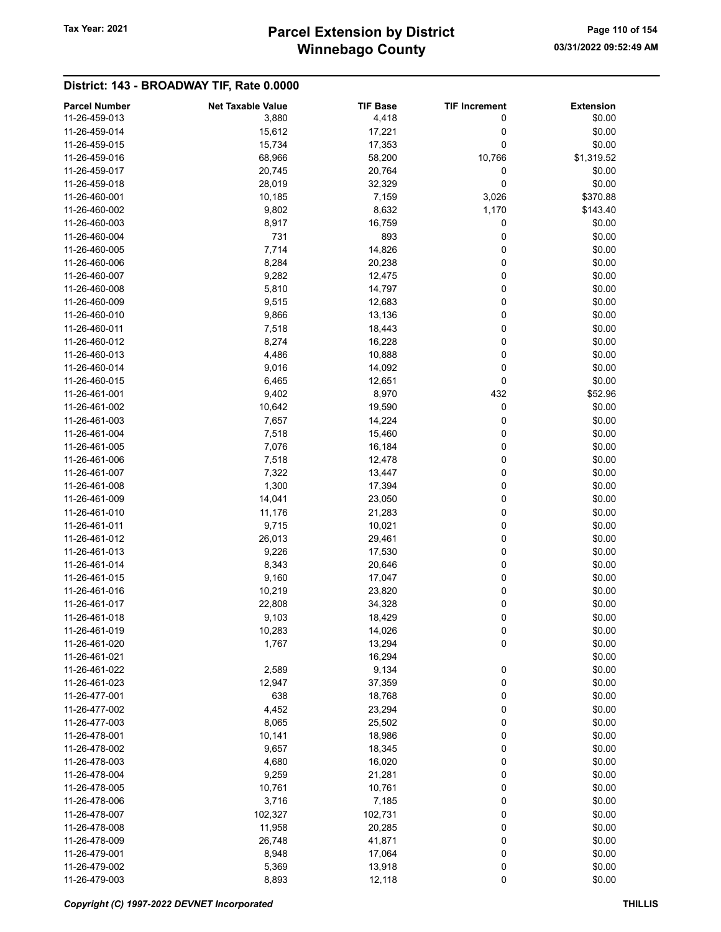## Winnebago County Tax Year: 2021 **Parcel Extension by District** Page 110 of 154

| <b>Parcel Number</b> | <b>Net Taxable Value</b> | <b>TIF Base</b> | <b>TIF Increment</b> | <b>Extension</b> |
|----------------------|--------------------------|-----------------|----------------------|------------------|
| 11-26-459-013        | 3,880                    | 4,418           | 0                    | \$0.00           |
| 11-26-459-014        | 15,612                   | 17,221          | 0                    | \$0.00           |
| 11-26-459-015        | 15,734                   | 17,353          | 0                    | \$0.00           |
| 11-26-459-016        | 68,966                   | 58,200          | 10,766               | \$1,319.52       |
| 11-26-459-017        | 20,745                   | 20,764          | 0                    | \$0.00           |
| 11-26-459-018        |                          |                 |                      | \$0.00           |
|                      | 28,019                   | 32,329          | 0                    |                  |
| 11-26-460-001        | 10,185                   | 7,159           | 3,026                | \$370.88         |
| 11-26-460-002        | 9,802                    | 8,632           | 1,170                | \$143.40         |
| 11-26-460-003        | 8,917                    | 16,759          | 0                    | \$0.00           |
| 11-26-460-004        | 731                      | 893             | 0                    | \$0.00           |
| 11-26-460-005        | 7,714                    | 14,826          | 0                    | \$0.00           |
| 11-26-460-006        | 8,284                    | 20,238          | 0                    | \$0.00           |
| 11-26-460-007        | 9,282                    | 12,475          | 0                    | \$0.00           |
| 11-26-460-008        | 5,810                    | 14,797          | 0                    | \$0.00           |
| 11-26-460-009        | 9,515                    | 12,683          | 0                    | \$0.00           |
| 11-26-460-010        | 9,866                    | 13,136          | 0                    | \$0.00           |
| 11-26-460-011        | 7,518                    | 18,443          | 0                    | \$0.00           |
| 11-26-460-012        | 8,274                    | 16,228          | 0                    | \$0.00           |
| 11-26-460-013        | 4,486                    | 10,888          | 0                    | \$0.00           |
|                      |                          |                 |                      |                  |
| 11-26-460-014        | 9,016                    | 14,092          | 0                    | \$0.00           |
| 11-26-460-015        | 6,465                    | 12,651          | 0                    | \$0.00           |
| 11-26-461-001        | 9,402                    | 8,970           | 432                  | \$52.96          |
| 11-26-461-002        | 10,642                   | 19,590          | 0                    | \$0.00           |
| 11-26-461-003        | 7,657                    | 14,224          | 0                    | \$0.00           |
| 11-26-461-004        | 7,518                    | 15,460          | 0                    | \$0.00           |
| 11-26-461-005        | 7,076                    | 16,184          | 0                    | \$0.00           |
| 11-26-461-006        | 7,518                    | 12,478          | 0                    | \$0.00           |
| 11-26-461-007        | 7,322                    | 13,447          | 0                    | \$0.00           |
| 11-26-461-008        | 1,300                    | 17,394          | 0                    | \$0.00           |
| 11-26-461-009        | 14,041                   | 23,050          | 0                    | \$0.00           |
| 11-26-461-010        | 11,176                   | 21,283          | 0                    | \$0.00           |
| 11-26-461-011        | 9,715                    | 10,021          | 0                    | \$0.00           |
| 11-26-461-012        | 26,013                   | 29,461          | 0                    | \$0.00           |
| 11-26-461-013        |                          |                 |                      |                  |
|                      | 9,226                    | 17,530          | 0                    | \$0.00           |
| 11-26-461-014        | 8,343                    | 20,646          | 0                    | \$0.00           |
| 11-26-461-015        | 9,160                    | 17,047          | 0                    | \$0.00           |
| 11-26-461-016        | 10,219                   | 23,820          | 0                    | \$0.00           |
| 11-26-461-017        | 22,808                   | 34,328          | 0                    | \$0.00           |
| 11-26-461-018        | 9,103                    | 18,429          | 0                    | \$0.00           |
| 11-26-461-019        | 10,283                   | 14,026          | 0                    | \$0.00           |
| 11-26-461-020        | 1,767                    | 13,294          | 0                    | \$0.00           |
| 11-26-461-021        |                          | 16,294          |                      | \$0.00           |
| 11-26-461-022        | 2,589                    | 9,134           | 0                    | \$0.00           |
| 11-26-461-023        | 12,947                   | 37,359          | 0                    | \$0.00           |
| 11-26-477-001        | 638                      | 18,768          | 0                    | \$0.00           |
| 11-26-477-002        | 4,452                    | 23,294          | 0                    | \$0.00           |
| 11-26-477-003        | 8,065                    | 25,502          | 0                    | \$0.00           |
| 11-26-478-001        | 10,141                   | 18,986          | 0                    | \$0.00           |
| 11-26-478-002        |                          |                 |                      | \$0.00           |
|                      | 9,657                    | 18,345          | 0                    |                  |
| 11-26-478-003        | 4,680                    | 16,020          | 0                    | \$0.00           |
| 11-26-478-004        | 9,259                    | 21,281          | 0                    | \$0.00           |
| 11-26-478-005        | 10,761                   | 10,761          | 0                    | \$0.00           |
| 11-26-478-006        | 3,716                    | 7,185           | 0                    | \$0.00           |
| 11-26-478-007        | 102,327                  | 102,731         | 0                    | \$0.00           |
| 11-26-478-008        | 11,958                   | 20,285          | 0                    | \$0.00           |
| 11-26-478-009        | 26,748                   | 41,871          | 0                    | \$0.00           |
| 11-26-479-001        | 8,948                    | 17,064          | 0                    | \$0.00           |
| 11-26-479-002        | 5,369                    | 13,918          | 0                    | \$0.00           |
| 11-26-479-003        | 8,893                    | 12,118          | 0                    | \$0.00           |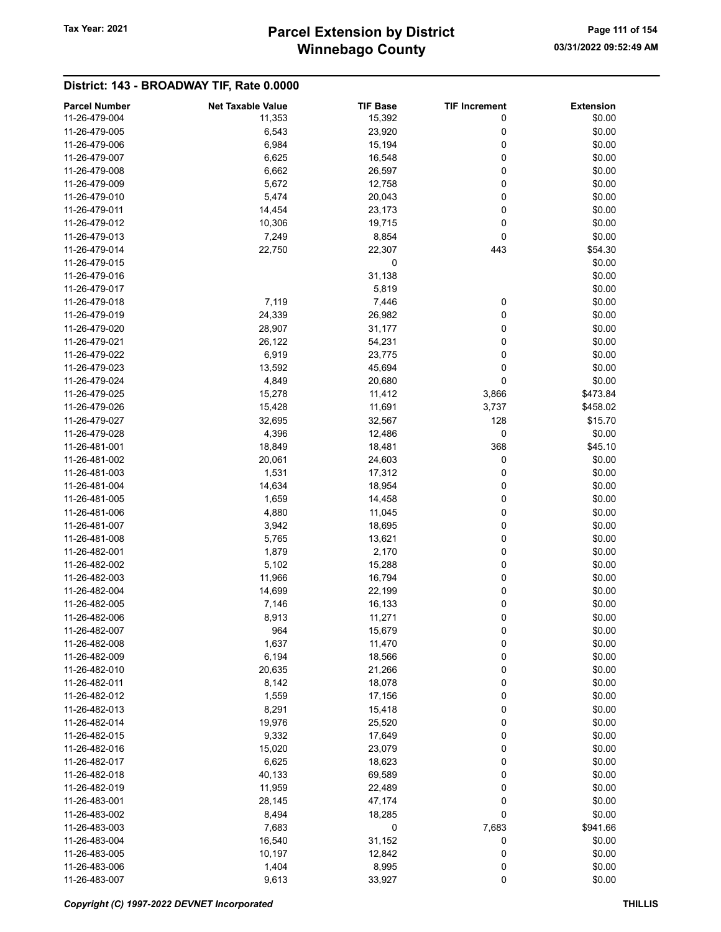## Winnebago County Tax Year: 2021 **Parcel Extension by District** Page 111 of 154

|                      |                          |                 |                      | <b>Extension</b> |
|----------------------|--------------------------|-----------------|----------------------|------------------|
| <b>Parcel Number</b> | <b>Net Taxable Value</b> | <b>TIF Base</b> | <b>TIF Increment</b> |                  |
| 11-26-479-004        | 11,353                   | 15,392          | 0                    | \$0.00           |
| 11-26-479-005        | 6,543                    | 23,920          | 0                    | \$0.00           |
| 11-26-479-006        | 6,984                    | 15,194          | 0                    | \$0.00           |
| 11-26-479-007        | 6,625                    | 16,548          | 0                    | \$0.00           |
| 11-26-479-008        | 6,662                    | 26,597          | 0                    | \$0.00           |
| 11-26-479-009        | 5,672                    | 12,758          | 0                    | \$0.00           |
| 11-26-479-010        | 5,474                    | 20,043          | 0                    | \$0.00           |
| 11-26-479-011        | 14,454                   | 23,173          | 0                    | \$0.00           |
| 11-26-479-012        | 10,306                   | 19,715          | 0                    | \$0.00           |
| 11-26-479-013        | 7,249                    | 8,854           | 0                    | \$0.00           |
| 11-26-479-014        | 22,750                   | 22,307          | 443                  | \$54.30          |
| 11-26-479-015        |                          | 0               |                      | \$0.00           |
|                      |                          |                 |                      |                  |
| 11-26-479-016        |                          | 31,138          |                      | \$0.00           |
| 11-26-479-017        |                          | 5,819           |                      | \$0.00           |
| 11-26-479-018        | 7,119                    | 7,446           | 0                    | \$0.00           |
| 11-26-479-019        | 24,339                   | 26,982          | 0                    | \$0.00           |
| 11-26-479-020        | 28,907                   | 31,177          | 0                    | \$0.00           |
| 11-26-479-021        | 26,122                   | 54,231          | 0                    | \$0.00           |
| 11-26-479-022        | 6,919                    | 23,775          | 0                    | \$0.00           |
| 11-26-479-023        | 13,592                   | 45,694          | 0                    | \$0.00           |
| 11-26-479-024        | 4,849                    | 20,680          | 0                    | \$0.00           |
| 11-26-479-025        | 15,278                   | 11,412          | 3,866                | \$473.84         |
| 11-26-479-026        | 15,428                   | 11,691          | 3,737                | \$458.02         |
| 11-26-479-027        | 32,695                   | 32,567          | 128                  | \$15.70          |
|                      |                          |                 |                      |                  |
| 11-26-479-028        | 4,396                    | 12,486          | 0                    | \$0.00           |
| 11-26-481-001        | 18,849                   | 18,481          | 368                  | \$45.10          |
| 11-26-481-002        | 20,061                   | 24,603          | 0                    | \$0.00           |
| 11-26-481-003        | 1,531                    | 17,312          | 0                    | \$0.00           |
| 11-26-481-004        | 14,634                   | 18,954          | 0                    | \$0.00           |
| 11-26-481-005        | 1,659                    | 14,458          | 0                    | \$0.00           |
| 11-26-481-006        | 4,880                    | 11,045          | 0                    | \$0.00           |
| 11-26-481-007        | 3,942                    | 18,695          | 0                    | \$0.00           |
| 11-26-481-008        | 5,765                    | 13,621          | 0                    | \$0.00           |
| 11-26-482-001        | 1,879                    | 2,170           | 0                    | \$0.00           |
| 11-26-482-002        | 5,102                    | 15,288          | 0                    | \$0.00           |
| 11-26-482-003        | 11,966                   | 16,794          | 0                    | \$0.00           |
| 11-26-482-004        | 14,699                   | 22,199          | 0                    | \$0.00           |
| 11-26-482-005        |                          |                 | 0                    | \$0.00           |
|                      | 7,146                    | 16,133          |                      |                  |
| 11-26-482-006        | 8,913                    | 11,271          | $\mathbf 0$          | \$0.00           |
| 11-26-482-007        | 964                      | 15,679          | 0                    | \$0.00           |
| 11-26-482-008        | 1,637                    | 11,470          | 0                    | \$0.00           |
| 11-26-482-009        | 6,194                    | 18,566          | 0                    | \$0.00           |
| 11-26-482-010        | 20,635                   | 21,266          | 0                    | \$0.00           |
| 11-26-482-011        | 8,142                    | 18,078          | 0                    | \$0.00           |
| 11-26-482-012        | 1,559                    | 17,156          | 0                    | \$0.00           |
| 11-26-482-013        | 8,291                    | 15,418          | 0                    | \$0.00           |
| 11-26-482-014        | 19,976                   | 25,520          | 0                    | \$0.00           |
| 11-26-482-015        | 9,332                    | 17,649          | 0                    | \$0.00           |
| 11-26-482-016        | 15,020                   | 23,079          | 0                    | \$0.00           |
| 11-26-482-017        | 6,625                    | 18,623          | 0                    | \$0.00           |
| 11-26-482-018        | 40,133                   | 69,589          | 0                    | \$0.00           |
| 11-26-482-019        | 11,959                   | 22,489          | 0                    | \$0.00           |
| 11-26-483-001        | 28,145                   | 47,174          | 0                    | \$0.00           |
|                      |                          |                 |                      |                  |
| 11-26-483-002        | 8,494                    | 18,285          | 0                    | \$0.00           |
| 11-26-483-003        | 7,683                    | 0               | 7,683                | \$941.66         |
| 11-26-483-004        | 16,540                   | 31,152          | 0                    | \$0.00           |
| 11-26-483-005        | 10,197                   | 12,842          | 0                    | \$0.00           |
| 11-26-483-006        | 1,404                    | 8,995           | 0                    | \$0.00           |
| 11-26-483-007        | 9,613                    | 33,927          | $\pmb{0}$            | \$0.00           |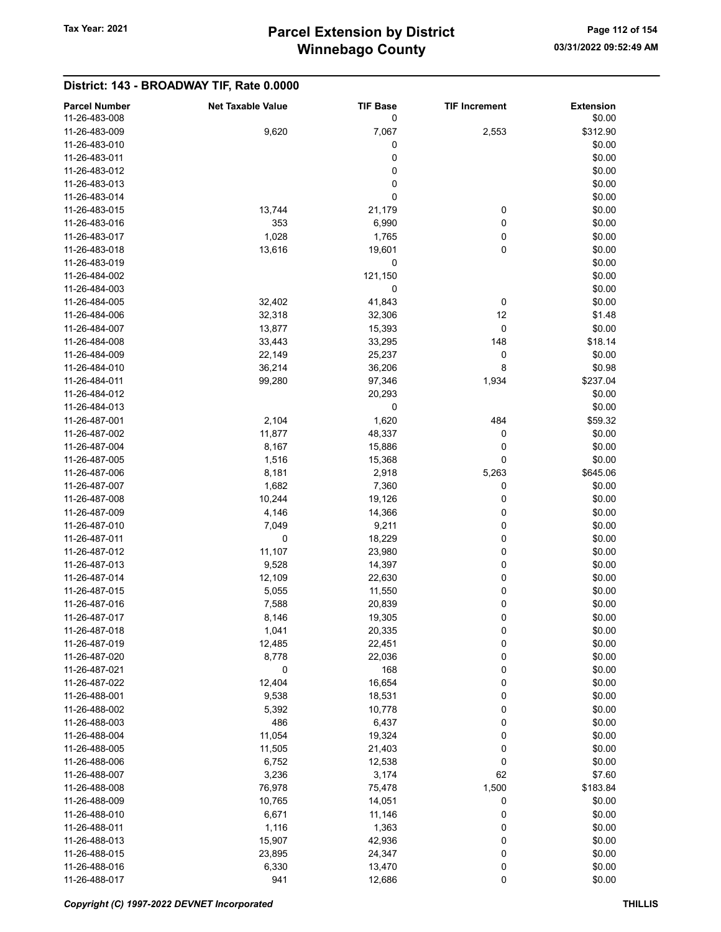| <b>Parcel Number</b><br>11-26-483-008 | <b>Net Taxable Value</b> | <b>TIF Base</b><br>0 | <b>TIF Increment</b> | <b>Extension</b><br>\$0.00 |
|---------------------------------------|--------------------------|----------------------|----------------------|----------------------------|
| 11-26-483-009                         | 9,620                    | 7,067                | 2,553                | \$312.90                   |
| 11-26-483-010                         |                          | 0                    |                      | \$0.00                     |
| 11-26-483-011                         |                          | 0                    |                      | \$0.00                     |
| 11-26-483-012                         |                          | 0                    |                      | \$0.00                     |
| 11-26-483-013                         |                          | $\pmb{0}$            |                      | \$0.00                     |
| 11-26-483-014                         |                          | 0                    |                      | \$0.00                     |
| 11-26-483-015                         | 13,744                   | 21,179               | 0                    | \$0.00                     |
| 11-26-483-016                         | 353                      | 6,990                | 0                    | \$0.00                     |
| 11-26-483-017                         | 1,028                    | 1,765                | 0                    | \$0.00                     |
| 11-26-483-018                         | 13,616                   | 19,601               | 0                    | \$0.00                     |
| 11-26-483-019                         |                          | 0                    |                      | \$0.00                     |
| 11-26-484-002                         |                          | 121,150              |                      | \$0.00                     |
| 11-26-484-003                         |                          | 0                    |                      | \$0.00                     |
| 11-26-484-005                         | 32,402                   | 41,843               | 0                    | \$0.00                     |
| 11-26-484-006                         | 32,318                   | 32,306               | 12                   | \$1.48                     |
| 11-26-484-007                         | 13,877                   |                      | 0                    | \$0.00                     |
| 11-26-484-008                         |                          | 15,393<br>33,295     |                      | \$18.14                    |
|                                       | 33,443                   |                      | 148                  |                            |
| 11-26-484-009<br>11-26-484-010        | 22,149                   | 25,237               | 0                    | \$0.00                     |
|                                       | 36,214                   | 36,206               | 8                    | \$0.98                     |
| 11-26-484-011                         | 99,280                   | 97,346               | 1,934                | \$237.04                   |
| 11-26-484-012                         |                          | 20,293               |                      | \$0.00                     |
| 11-26-484-013                         |                          | 0                    |                      | \$0.00                     |
| 11-26-487-001                         | 2,104                    | 1,620                | 484                  | \$59.32                    |
| 11-26-487-002                         | 11,877                   | 48,337               | 0                    | \$0.00                     |
| 11-26-487-004                         | 8,167                    | 15,886               | 0                    | \$0.00                     |
| 11-26-487-005                         | 1,516                    | 15,368               | 0                    | \$0.00                     |
| 11-26-487-006                         | 8,181                    | 2,918                | 5,263                | \$645.06                   |
| 11-26-487-007                         | 1,682                    | 7,360                | 0                    | \$0.00                     |
| 11-26-487-008                         | 10,244                   | 19,126               | 0                    | \$0.00                     |
| 11-26-487-009                         | 4,146                    | 14,366               | 0                    | \$0.00                     |
| 11-26-487-010                         | 7,049                    | 9,211                | 0                    | \$0.00                     |
| 11-26-487-011                         | 0                        | 18,229               | 0                    | \$0.00                     |
| 11-26-487-012                         | 11,107                   | 23,980               | 0                    | \$0.00                     |
| 11-26-487-013                         | 9,528                    | 14,397               | 0                    | \$0.00                     |
| 11-26-487-014                         | 12,109                   | 22,630               | 0                    | \$0.00                     |
| 11-26-487-015                         | 5,055                    | 11,550               | 0                    | \$0.00                     |
| 11-26-487-016                         | 7,588                    | 20,839               | 0                    | \$0.00                     |
| 11-26-487-017                         | 8,146                    | 19,305               | 0                    | \$0.00                     |
| 11-26-487-018                         | 1,041                    | 20,335               | 0                    | \$0.00                     |
| 11-26-487-019                         | 12,485                   | 22,451               | 0                    | \$0.00                     |
| 11-26-487-020                         | 8,778                    | 22,036               | 0                    | \$0.00                     |
| 11-26-487-021                         | 0                        | 168                  | 0                    | \$0.00                     |
| 11-26-487-022                         | 12,404                   | 16,654               | 0                    | \$0.00                     |
| 11-26-488-001                         | 9,538                    | 18,531               | 0                    | \$0.00                     |
| 11-26-488-002                         | 5,392                    | 10,778               | 0                    | \$0.00                     |
| 11-26-488-003                         | 486                      | 6,437                | 0                    | \$0.00                     |
| 11-26-488-004                         | 11,054                   | 19,324               | 0                    | \$0.00                     |
| 11-26-488-005                         | 11,505                   | 21,403               | 0                    | \$0.00                     |
| 11-26-488-006                         | 6,752                    | 12,538               | 0                    | \$0.00                     |
| 11-26-488-007                         | 3,236                    | 3,174                | 62                   | \$7.60                     |
| 11-26-488-008                         | 76,978                   | 75,478               | 1,500                | \$183.84                   |
| 11-26-488-009                         | 10,765                   | 14,051               | 0                    | \$0.00                     |
| 11-26-488-010                         | 6,671                    | 11,146               | 0                    | \$0.00                     |
| 11-26-488-011                         | 1,116                    | 1,363                | 0                    | \$0.00                     |
| 11-26-488-013                         | 15,907                   | 42,936               | 0                    | \$0.00                     |
| 11-26-488-015                         | 23,895                   | 24,347               | 0                    | \$0.00                     |
| 11-26-488-016                         | 6,330                    | 13,470               | 0                    | \$0.00                     |
| 11-26-488-017                         | 941                      | 12,686               | 0                    | \$0.00                     |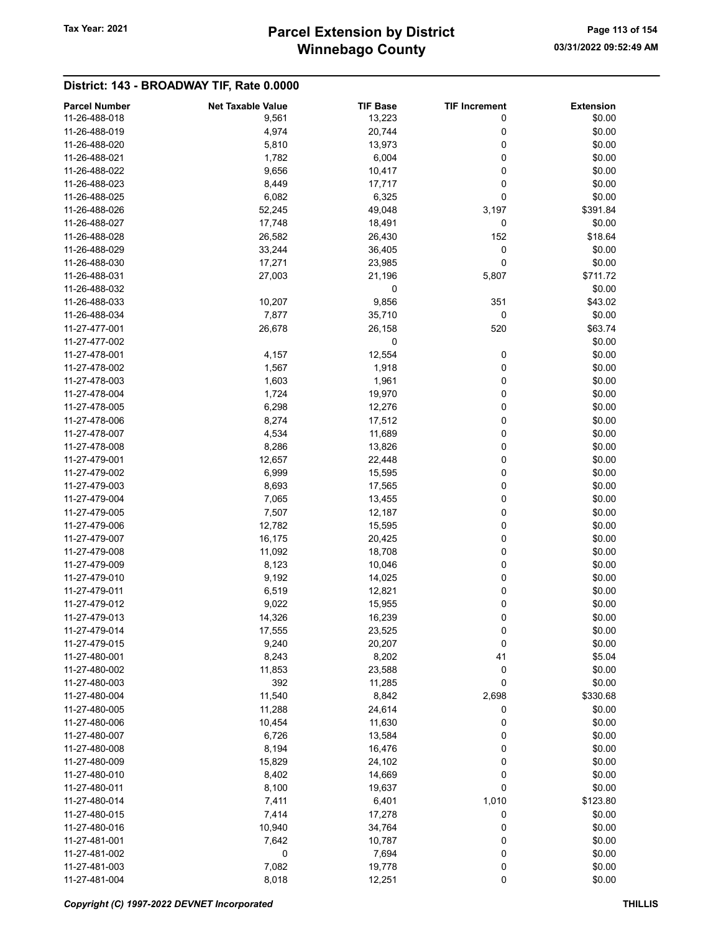## Winnebago County Tax Year: 2021 **Parcel Extension by District** Page 113 of 154

| <b>Parcel Number</b> | <b>Net Taxable Value</b> | <b>TIF Base</b> | <b>TIF Increment</b> | <b>Extension</b> |
|----------------------|--------------------------|-----------------|----------------------|------------------|
| 11-26-488-018        | 9,561                    | 13,223          | 0                    | \$0.00           |
| 11-26-488-019        | 4,974                    | 20,744          | 0                    | \$0.00           |
| 11-26-488-020        | 5,810                    | 13,973          | 0                    | \$0.00           |
| 11-26-488-021        | 1,782                    | 6,004           | 0                    | \$0.00           |
| 11-26-488-022        | 9,656                    | 10,417          | 0                    | \$0.00           |
| 11-26-488-023        | 8,449                    | 17,717          | 0                    | \$0.00           |
| 11-26-488-025        | 6,082                    | 6,325           | 0                    | \$0.00           |
| 11-26-488-026        |                          |                 |                      |                  |
| 11-26-488-027        | 52,245                   | 49,048          | 3,197                | \$391.84         |
|                      | 17,748                   | 18,491          | 0                    | \$0.00           |
| 11-26-488-028        | 26,582                   | 26,430          | 152                  | \$18.64          |
| 11-26-488-029        | 33,244                   | 36,405          | 0                    | \$0.00           |
| 11-26-488-030        | 17,271                   | 23,985          | 0                    | \$0.00           |
| 11-26-488-031        | 27,003                   | 21,196          | 5,807                | \$711.72         |
| 11-26-488-032        |                          | 0               |                      | \$0.00           |
| 11-26-488-033        | 10,207                   | 9,856           | 351                  | \$43.02          |
| 11-26-488-034        | 7,877                    | 35,710          | 0                    | \$0.00           |
| 11-27-477-001        | 26,678                   | 26,158          | 520                  | \$63.74          |
| 11-27-477-002        |                          | 0               |                      | \$0.00           |
| 11-27-478-001        | 4,157                    | 12,554          | 0                    | \$0.00           |
| 11-27-478-002        | 1,567                    | 1,918           | 0                    | \$0.00           |
| 11-27-478-003        | 1,603                    | 1,961           | 0                    | \$0.00           |
| 11-27-478-004        | 1,724                    | 19,970          | 0                    | \$0.00           |
| 11-27-478-005        | 6,298                    | 12,276          | 0                    | \$0.00           |
| 11-27-478-006        | 8,274                    | 17,512          | 0                    | \$0.00           |
| 11-27-478-007        | 4,534                    | 11,689          | 0                    | \$0.00           |
| 11-27-478-008        | 8,286                    | 13,826          | 0                    | \$0.00           |
| 11-27-479-001        | 12,657                   | 22,448          | 0                    | \$0.00           |
| 11-27-479-002        | 6,999                    | 15,595          | 0                    | \$0.00           |
| 11-27-479-003        | 8,693                    | 17,565          | 0                    | \$0.00           |
| 11-27-479-004        | 7,065                    | 13,455          | 0                    | \$0.00           |
| 11-27-479-005        | 7,507                    | 12,187          | 0                    | \$0.00           |
| 11-27-479-006        | 12,782                   | 15,595          | 0                    | \$0.00           |
| 11-27-479-007        | 16,175                   | 20,425          | 0                    | \$0.00           |
| 11-27-479-008        | 11,092                   | 18,708          | 0                    | \$0.00           |
| 11-27-479-009        | 8,123                    | 10,046          | 0                    | \$0.00           |
| 11-27-479-010        | 9,192                    | 14,025          | 0                    | \$0.00           |
| 11-27-479-011        |                          |                 |                      | \$0.00           |
|                      | 6,519                    | 12,821          | 0                    |                  |
| 11-27-479-012        | 9,022                    | 15,955          | 0                    | \$0.00           |
| 11-27-479-013        | 14,326                   | 16,239          | 0                    | \$0.00           |
| 11-27-479-014        | 17,555                   | 23,525          | 0                    | \$0.00           |
| 11-27-479-015        | 9,240                    | 20,207          | 0                    | \$0.00           |
| 11-27-480-001        | 8,243                    | 8,202           | 41                   | \$5.04           |
| 11-27-480-002        | 11,853                   | 23,588          | 0                    | \$0.00           |
| 11-27-480-003        | 392                      | 11,285          | 0                    | \$0.00           |
| 11-27-480-004        | 11,540                   | 8,842           | 2,698                | \$330.68         |
| 11-27-480-005        | 11,288                   | 24,614          | 0                    | \$0.00           |
| 11-27-480-006        | 10,454                   | 11,630          | 0                    | \$0.00           |
| 11-27-480-007        | 6,726                    | 13,584          | 0                    | \$0.00           |
| 11-27-480-008        | 8,194                    | 16,476          | 0                    | \$0.00           |
| 11-27-480-009        | 15,829                   | 24,102          | 0                    | \$0.00           |
| 11-27-480-010        | 8,402                    | 14,669          | 0                    | \$0.00           |
| 11-27-480-011        | 8,100                    | 19,637          | 0                    | \$0.00           |
| 11-27-480-014        | 7,411                    | 6,401           | 1,010                | \$123.80         |
| 11-27-480-015        | 7,414                    | 17,278          | 0                    | \$0.00           |
| 11-27-480-016        | 10,940                   | 34,764          | 0                    | \$0.00           |
| 11-27-481-001        | 7,642                    | 10,787          | 0                    | \$0.00           |
| 11-27-481-002        | 0                        | 7,694           | 0                    | \$0.00           |
| 11-27-481-003        | 7,082                    | 19,778          | 0                    | \$0.00           |
| 11-27-481-004        | 8,018                    | 12,251          | 0                    | \$0.00           |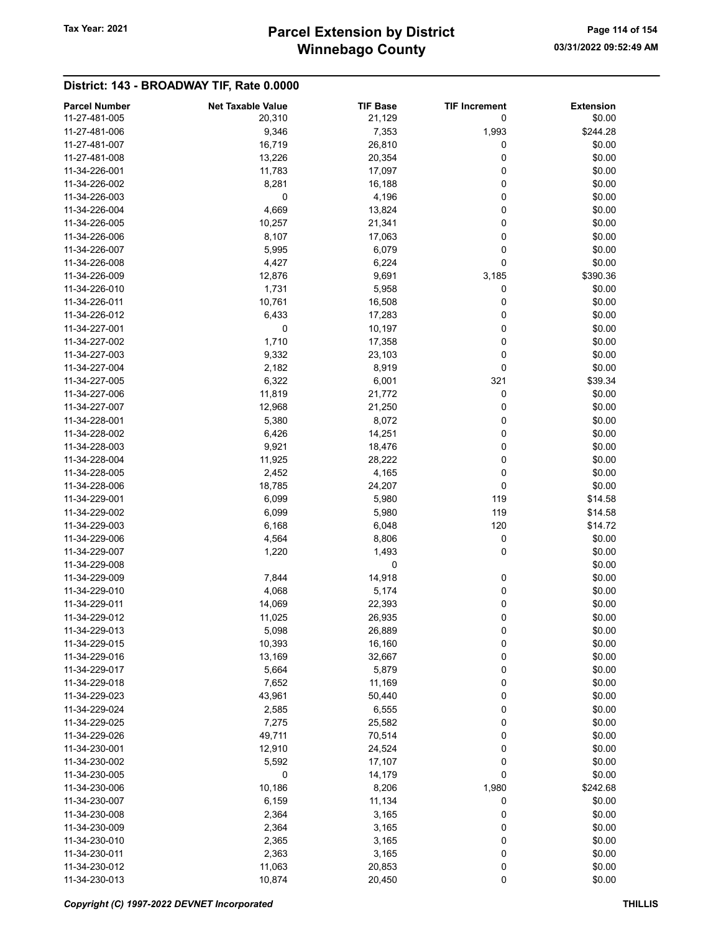## Winnebago County Tax Year: 2021 **Parcel Extension by District** Page 114 of 154

| <b>Parcel Number</b> | <b>Net Taxable Value</b> | <b>TIF Base</b> | <b>TIF Increment</b> | <b>Extension</b> |
|----------------------|--------------------------|-----------------|----------------------|------------------|
| 11-27-481-005        | 20,310                   | 21,129          | 0                    | \$0.00           |
| 11-27-481-006        | 9,346                    | 7,353           | 1,993                | \$244.28         |
| 11-27-481-007        | 16,719                   | 26,810          | 0                    | \$0.00           |
| 11-27-481-008        | 13,226                   | 20,354          | 0                    | \$0.00           |
| 11-34-226-001        | 11,783                   | 17,097          | 0                    | \$0.00           |
| 11-34-226-002        | 8,281                    | 16,188          | 0                    | \$0.00           |
| 11-34-226-003        | 0                        | 4,196           | 0                    | \$0.00           |
| 11-34-226-004        | 4,669                    | 13,824          | 0                    | \$0.00           |
| 11-34-226-005        | 10,257                   | 21,341          | 0                    | \$0.00           |
| 11-34-226-006        | 8,107                    | 17,063          | 0                    | \$0.00           |
| 11-34-226-007        | 5,995                    | 6,079           | 0                    | \$0.00           |
| 11-34-226-008        | 4,427                    | 6,224           | 0                    | \$0.00           |
| 11-34-226-009        | 12,876                   | 9,691           | 3,185                | \$390.36         |
| 11-34-226-010        | 1,731                    | 5,958           | 0                    | \$0.00           |
| 11-34-226-011        | 10,761                   | 16,508          | 0                    | \$0.00           |
| 11-34-226-012        | 6,433                    | 17,283          | 0                    | \$0.00           |
| 11-34-227-001        | 0                        | 10,197          | 0                    | \$0.00           |
| 11-34-227-002        | 1,710                    | 17,358          | 0                    | \$0.00           |
| 11-34-227-003        | 9,332                    | 23,103          | 0                    | \$0.00           |
| 11-34-227-004        | 2,182                    | 8,919           | 0                    | \$0.00           |
| 11-34-227-005        | 6,322                    | 6,001           | 321                  | \$39.34          |
| 11-34-227-006        | 11,819                   | 21,772          | 0                    | \$0.00           |
| 11-34-227-007        | 12,968                   | 21,250          | 0                    | \$0.00           |
| 11-34-228-001        | 5,380                    | 8,072           | 0                    | \$0.00           |
| 11-34-228-002        | 6,426                    | 14,251          | 0                    | \$0.00           |
| 11-34-228-003        | 9,921                    | 18,476          | 0                    | \$0.00           |
| 11-34-228-004        | 11,925                   | 28,222          | 0                    | \$0.00           |
| 11-34-228-005        | 2,452                    | 4,165           | 0                    | \$0.00           |
| 11-34-228-006        | 18,785                   | 24,207          | 0                    | \$0.00           |
| 11-34-229-001        | 6,099                    | 5,980           | 119                  | \$14.58          |
| 11-34-229-002        | 6,099                    | 5,980           | 119                  | \$14.58          |
| 11-34-229-003        | 6,168                    | 6,048           | 120                  | \$14.72          |
| 11-34-229-006        | 4,564                    | 8,806           | 0                    | \$0.00           |
| 11-34-229-007        | 1,220                    | 1,493           | 0                    | \$0.00           |
| 11-34-229-008        |                          | 0               |                      | \$0.00           |
| 11-34-229-009        | 7,844                    | 14,918          | 0                    | \$0.00           |
| 11-34-229-010        | 4,068                    | 5,174           | 0                    | \$0.00           |
| 11-34-229-011        | 14,069                   | 22,393          | 0                    | \$0.00           |
| 11-34-229-012        | 11,025                   | 26,935          | 0                    | \$0.00           |
| 11-34-229-013        | 5,098                    | 26,889          | 0                    | \$0.00           |
| 11-34-229-015        | 10,393                   | 16,160          | 0                    | \$0.00           |
| 11-34-229-016        | 13,169                   | 32,667          | 0                    | \$0.00           |
| 11-34-229-017        | 5,664                    | 5,879           | 0                    | \$0.00           |
| 11-34-229-018        | 7,652                    | 11,169          | 0                    | \$0.00           |
| 11-34-229-023        | 43,961                   | 50,440          | 0                    | \$0.00           |
| 11-34-229-024        | 2,585                    | 6,555           | 0                    | \$0.00           |
| 11-34-229-025        | 7,275                    | 25,582          | 0                    | \$0.00           |
| 11-34-229-026        | 49,711                   | 70,514          | 0                    | \$0.00           |
| 11-34-230-001        | 12,910                   | 24,524          | 0                    | \$0.00           |
| 11-34-230-002        | 5,592                    | 17,107          | 0                    | \$0.00           |
| 11-34-230-005        | 0                        | 14,179          | 0                    | \$0.00           |
| 11-34-230-006        | 10,186                   | 8,206           | 1,980                | \$242.68         |
| 11-34-230-007        | 6,159                    | 11,134          | 0                    | \$0.00           |
| 11-34-230-008        | 2,364                    | 3,165           | 0                    | \$0.00           |
| 11-34-230-009        | 2,364                    | 3,165           | 0                    | \$0.00           |
| 11-34-230-010        | 2,365                    | 3,165           | 0                    | \$0.00           |
| 11-34-230-011        | 2,363                    | 3,165           | 0                    | \$0.00           |
| 11-34-230-012        | 11,063                   | 20,853          | 0                    | \$0.00           |
| 11-34-230-013        | 10,874                   | 20,450          | 0                    | \$0.00           |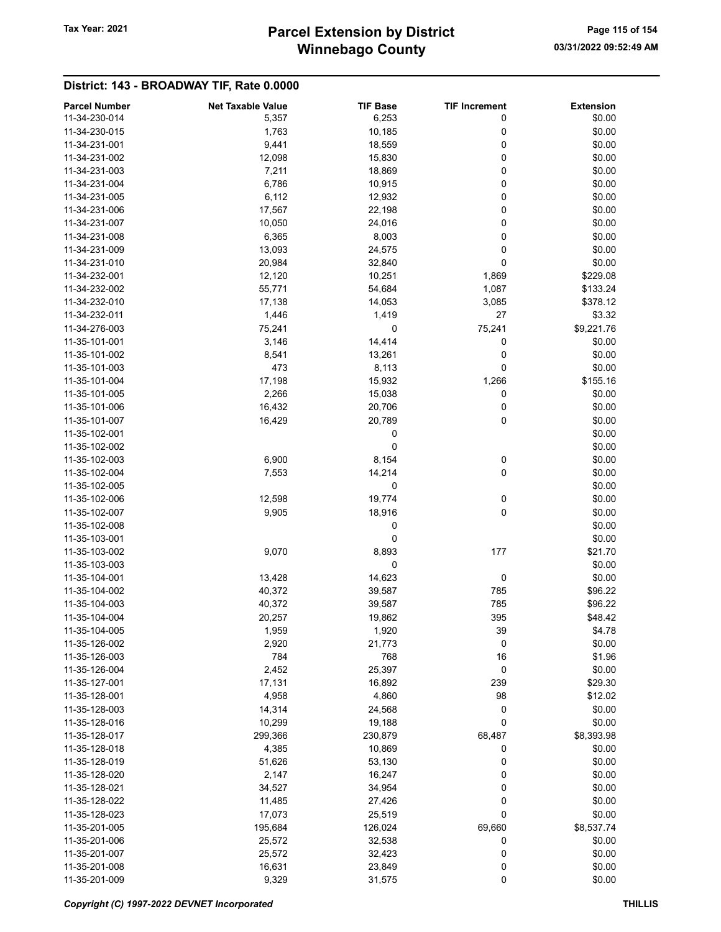## Winnebago County Tax Year: 2021 **Parcel Extension by District** Page 115 of 154

| <b>Parcel Number</b> | <b>Net Taxable Value</b> | <b>TIF Base</b> | <b>TIF Increment</b> | <b>Extension</b> |
|----------------------|--------------------------|-----------------|----------------------|------------------|
| 11-34-230-014        | 5,357                    | 6,253           | 0                    | \$0.00           |
| 11-34-230-015        | 1,763                    | 10,185          | 0                    | \$0.00           |
| 11-34-231-001        | 9,441                    | 18,559          | 0                    | \$0.00           |
| 11-34-231-002        | 12,098                   | 15,830          | 0                    | \$0.00           |
| 11-34-231-003        | 7,211                    | 18,869          | 0                    | \$0.00           |
| 11-34-231-004        | 6,786                    | 10,915          | 0                    | \$0.00           |
| 11-34-231-005        | 6,112                    | 12,932          | 0                    | \$0.00           |
| 11-34-231-006        | 17,567                   | 22,198          | 0                    | \$0.00           |
| 11-34-231-007        |                          |                 | 0                    | \$0.00           |
| 11-34-231-008        | 10,050                   | 24,016          |                      |                  |
|                      | 6,365                    | 8,003           | 0                    | \$0.00           |
| 11-34-231-009        | 13,093                   | 24,575          | 0                    | \$0.00           |
| 11-34-231-010        | 20,984                   | 32,840          | 0                    | \$0.00           |
| 11-34-232-001        | 12,120                   | 10,251          | 1,869                | \$229.08         |
| 11-34-232-002        | 55,771                   | 54,684          | 1,087                | \$133.24         |
| 11-34-232-010        | 17,138                   | 14,053          | 3,085                | \$378.12         |
| 11-34-232-011        | 1,446                    | 1,419           | 27                   | \$3.32           |
| 11-34-276-003        | 75,241                   | 0               | 75,241               | \$9,221.76       |
| 11-35-101-001        | 3,146                    | 14,414          | 0                    | \$0.00           |
| 11-35-101-002        | 8,541                    | 13,261          | 0                    | \$0.00           |
| 11-35-101-003        | 473                      | 8,113           | 0                    | \$0.00           |
| 11-35-101-004        | 17,198                   | 15,932          | 1,266                | \$155.16         |
| 11-35-101-005        | 2,266                    | 15,038          | 0                    | \$0.00           |
| 11-35-101-006        | 16,432                   | 20,706          | 0                    | \$0.00           |
| 11-35-101-007        | 16,429                   | 20,789          | 0                    | \$0.00           |
| 11-35-102-001        |                          | 0               |                      | \$0.00           |
| 11-35-102-002        |                          | 0               |                      | \$0.00           |
| 11-35-102-003        | 6,900                    | 8,154           | 0                    | \$0.00           |
| 11-35-102-004        | 7,553                    | 14,214          | 0                    | \$0.00           |
| 11-35-102-005        |                          | 0               |                      | \$0.00           |
| 11-35-102-006        | 12,598                   | 19,774          | 0                    | \$0.00           |
| 11-35-102-007        | 9,905                    | 18,916          | 0                    | \$0.00           |
| 11-35-102-008        |                          | 0               |                      | \$0.00           |
| 11-35-103-001        |                          | 0               |                      | \$0.00           |
| 11-35-103-002        | 9,070                    | 8,893           | 177                  | \$21.70          |
| 11-35-103-003        |                          | 0               |                      | \$0.00           |
| 11-35-104-001        | 13,428                   | 14,623          | 0                    | \$0.00           |
| 11-35-104-002        | 40,372                   | 39,587          | 785                  | \$96.22          |
| 11-35-104-003        | 40,372                   | 39,587          | 785                  | \$96.22          |
| 11-35-104-004        |                          |                 | 395                  | \$48.42          |
| 11-35-104-005        | 20,257                   | 19,862<br>1,920 |                      |                  |
|                      | 1,959                    |                 | 39                   | \$4.78           |
| 11-35-126-002        | 2,920                    | 21,773          | 0                    | \$0.00           |
| 11-35-126-003        | 784                      | 768             | 16                   | \$1.96           |
| 11-35-126-004        | 2,452                    | 25,397          | 0                    | \$0.00           |
| 11-35-127-001        | 17,131                   | 16,892          | 239                  | \$29.30          |
| 11-35-128-001        | 4,958                    | 4,860           | 98                   | \$12.02          |
| 11-35-128-003        | 14,314                   | 24,568          | 0                    | \$0.00           |
| 11-35-128-016        | 10,299                   | 19,188          | 0                    | \$0.00           |
| 11-35-128-017        | 299,366                  | 230,879         | 68,487               | \$8,393.98       |
| 11-35-128-018        | 4,385                    | 10,869          | 0                    | \$0.00           |
| 11-35-128-019        | 51,626                   | 53,130          | 0                    | \$0.00           |
| 11-35-128-020        | 2,147                    | 16,247          | 0                    | \$0.00           |
| 11-35-128-021        | 34,527                   | 34,954          | 0                    | \$0.00           |
| 11-35-128-022        | 11,485                   | 27,426          | 0                    | \$0.00           |
| 11-35-128-023        | 17,073                   | 25,519          | 0                    | \$0.00           |
| 11-35-201-005        | 195,684                  | 126,024         | 69,660               | \$8,537.74       |
| 11-35-201-006        | 25,572                   | 32,538          | 0                    | \$0.00           |
| 11-35-201-007        | 25,572                   | 32,423          | 0                    | \$0.00           |
| 11-35-201-008        | 16,631                   | 23,849          | 0                    | \$0.00           |
| 11-35-201-009        | 9,329                    | 31,575          | $\pmb{0}$            | \$0.00           |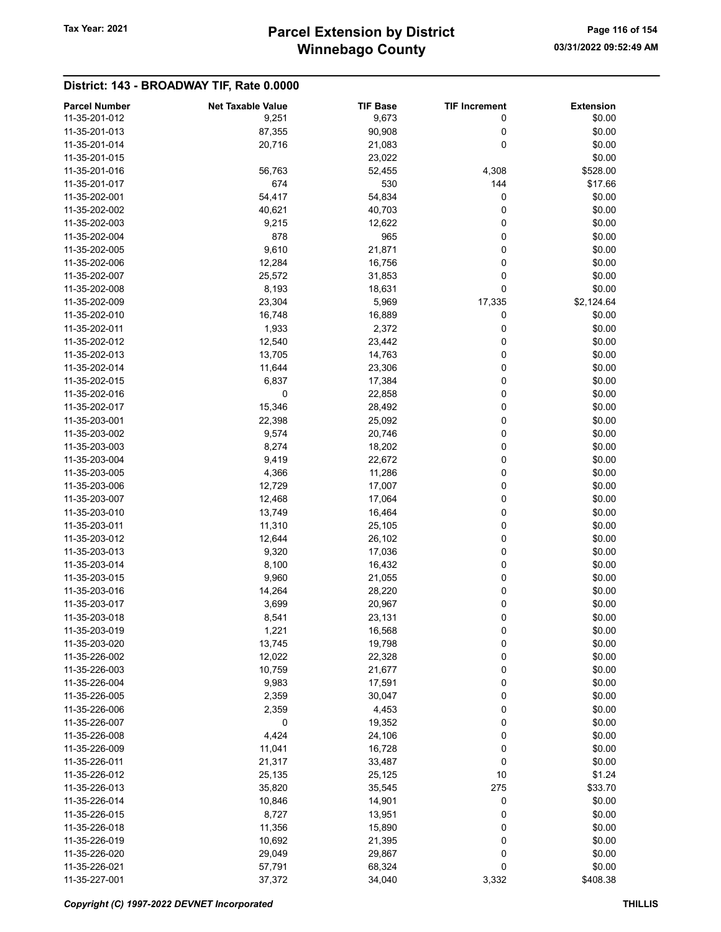| <b>Parcel Number</b>           | <b>Net Taxable Value</b> | <b>TIF Base</b>  | <b>TIF Increment</b> | <b>Extension</b> |
|--------------------------------|--------------------------|------------------|----------------------|------------------|
| 11-35-201-012                  | 9,251                    | 9,673            | 0                    | \$0.00           |
| 11-35-201-013                  | 87,355                   | 90,908           | 0                    | \$0.00           |
| 11-35-201-014                  | 20,716                   | 21,083           | 0                    | \$0.00           |
| 11-35-201-015                  |                          | 23,022           |                      | \$0.00           |
| 11-35-201-016                  | 56,763                   | 52,455           | 4,308                | \$528.00         |
| 11-35-201-017                  | 674                      | 530              | 144                  | \$17.66          |
| 11-35-202-001                  | 54,417                   | 54,834           | 0                    | \$0.00           |
| 11-35-202-002                  | 40,621                   | 40,703           | 0                    | \$0.00           |
| 11-35-202-003                  | 9,215                    | 12,622           | 0                    | \$0.00           |
| 11-35-202-004                  | 878                      | 965              | 0                    | \$0.00           |
| 11-35-202-005                  | 9,610                    | 21,871           | 0                    | \$0.00           |
| 11-35-202-006                  | 12,284                   | 16,756           | 0                    | \$0.00           |
| 11-35-202-007                  | 25,572                   | 31,853           | 0                    | \$0.00           |
| 11-35-202-008                  | 8,193                    | 18,631           | 0                    | \$0.00           |
| 11-35-202-009                  | 23,304                   | 5,969            | 17,335               | \$2,124.64       |
| 11-35-202-010                  | 16,748                   | 16,889           | 0                    | \$0.00           |
| 11-35-202-011                  | 1,933                    | 2,372            | 0                    | \$0.00           |
| 11-35-202-012                  | 12,540                   | 23,442           | 0                    | \$0.00           |
| 11-35-202-013                  | 13,705                   | 14,763           | 0                    | \$0.00           |
| 11-35-202-014                  | 11,644                   | 23,306           | 0                    | \$0.00           |
| 11-35-202-015                  | 6,837                    | 17,384           | 0                    | \$0.00           |
| 11-35-202-016                  | 0                        |                  | 0                    | \$0.00           |
|                                |                          | 22,858           |                      |                  |
| 11-35-202-017                  | 15,346                   | 28,492<br>25,092 | 0<br>0               | \$0.00           |
| 11-35-203-001<br>11-35-203-002 | 22,398                   |                  | 0                    | \$0.00<br>\$0.00 |
| 11-35-203-003                  | 9,574                    | 20,746           | 0                    | \$0.00           |
|                                | 8,274                    | 18,202           |                      |                  |
| 11-35-203-004                  | 9,419                    | 22,672           | 0<br>0               | \$0.00           |
| 11-35-203-005<br>11-35-203-006 | 4,366                    | 11,286           | 0                    | \$0.00           |
|                                | 12,729                   | 17,007           |                      | \$0.00           |
| 11-35-203-007                  | 12,468                   | 17,064           | 0                    | \$0.00           |
| 11-35-203-010<br>11-35-203-011 | 13,749                   | 16,464           | 0<br>0               | \$0.00<br>\$0.00 |
| 11-35-203-012                  | 11,310<br>12,644         | 25,105           | 0                    | \$0.00           |
| 11-35-203-013                  | 9,320                    | 26,102           | 0                    | \$0.00           |
|                                |                          | 17,036           |                      |                  |
| 11-35-203-014                  | 8,100                    | 16,432           | 0                    | \$0.00           |
| 11-35-203-015                  | 9,960                    | 21,055           | 0                    | \$0.00<br>\$0.00 |
| 11-35-203-016                  | 14,264                   | 28,220           | 0                    |                  |
| 11-35-203-017                  | 3,699                    | 20,967           | 0                    | \$0.00           |
| 11-35-203-018                  | 8,541                    | 23,131           | 0                    | \$0.00           |
| 11-35-203-019                  | 1,221                    | 16,568<br>19,798 | 0                    | \$0.00           |
| 11-35-203-020                  | 13,745                   |                  | 0                    | \$0.00           |
| 11-35-226-002                  | 12,022                   | 22,328           | 0                    | \$0.00           |
| 11-35-226-003                  | 10,759                   | 21,677           | 0                    | \$0.00           |
| 11-35-226-004                  | 9,983                    | 17,591           | 0                    | \$0.00           |
| 11-35-226-005                  | 2,359                    | 30,047           | 0                    | \$0.00           |
| 11-35-226-006                  | 2,359                    | 4,453            | 0                    | \$0.00           |
| 11-35-226-007                  | 0                        | 19,352           | 0                    | \$0.00           |
| 11-35-226-008                  | 4,424                    | 24,106           | 0                    | \$0.00           |
| 11-35-226-009                  | 11,041                   | 16,728           | 0                    | \$0.00           |
| 11-35-226-011                  | 21,317                   | 33,487           | 0                    | \$0.00           |
| 11-35-226-012                  | 25,135                   | 25,125           | 10                   | \$1.24           |
| 11-35-226-013                  | 35,820                   | 35,545           | 275                  | \$33.70          |
| 11-35-226-014                  | 10,846                   | 14,901           | 0                    | \$0.00           |
| 11-35-226-015                  | 8,727                    | 13,951           | 0                    | \$0.00           |
| 11-35-226-018                  | 11,356                   | 15,890           | 0                    | \$0.00           |
| 11-35-226-019                  | 10,692                   | 21,395           | 0                    | \$0.00           |
| 11-35-226-020                  | 29,049                   | 29,867           | 0                    | \$0.00           |
| 11-35-226-021                  | 57,791                   | 68,324           | 0                    | \$0.00           |
| 11-35-227-001                  | 37,372                   | 34,040           | 3,332                | \$408.38         |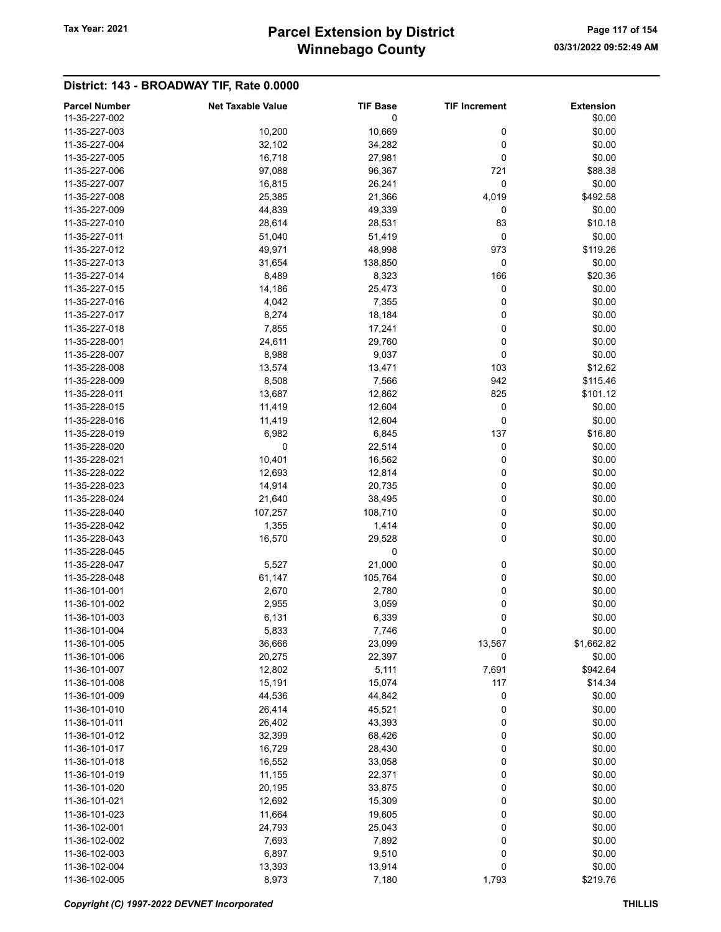| <b>Parcel Number</b> | <b>Net Taxable Value</b> | <b>TIF Base</b> | <b>TIF Increment</b> | <b>Extension</b> |
|----------------------|--------------------------|-----------------|----------------------|------------------|
| 11-35-227-002        |                          | 0               |                      | \$0.00           |
| 11-35-227-003        | 10,200                   | 10,669          | 0                    | \$0.00           |
| 11-35-227-004        | 32,102                   | 34,282          | 0                    | \$0.00           |
| 11-35-227-005        | 16,718                   | 27,981          | 0                    | \$0.00           |
| 11-35-227-006        | 97,088                   | 96,367          | 721                  | \$88.38          |
| 11-35-227-007        |                          |                 |                      |                  |
|                      | 16,815                   | 26,241          | 0                    | \$0.00           |
| 11-35-227-008        | 25,385                   | 21,366          | 4,019                | \$492.58         |
| 11-35-227-009        | 44,839                   | 49,339          | 0                    | \$0.00           |
| 11-35-227-010        | 28,614                   | 28,531          | 83                   | \$10.18          |
| 11-35-227-011        | 51,040                   | 51,419          | 0                    | \$0.00           |
| 11-35-227-012        | 49,971                   | 48,998          | 973                  | \$119.26         |
| 11-35-227-013        | 31,654                   | 138,850         | 0                    | \$0.00           |
| 11-35-227-014        | 8,489                    | 8,323           | 166                  | \$20.36          |
| 11-35-227-015        | 14,186                   | 25,473          | 0                    | \$0.00           |
| 11-35-227-016        | 4,042                    | 7,355           | 0                    | \$0.00           |
| 11-35-227-017        | 8,274                    | 18,184          | 0                    | \$0.00           |
| 11-35-227-018        | 7,855                    | 17,241          | 0                    | \$0.00           |
| 11-35-228-001        | 24,611                   | 29,760          | 0                    | \$0.00           |
| 11-35-228-007        |                          |                 | 0                    | \$0.00           |
|                      | 8,988                    | 9,037           |                      |                  |
| 11-35-228-008        | 13,574                   | 13,471          | 103                  | \$12.62          |
| 11-35-228-009        | 8,508                    | 7,566           | 942                  | \$115.46         |
| 11-35-228-011        | 13,687                   | 12,862          | 825                  | \$101.12         |
| 11-35-228-015        | 11,419                   | 12,604          | 0                    | \$0.00           |
| 11-35-228-016        | 11,419                   | 12,604          | 0                    | \$0.00           |
| 11-35-228-019        | 6,982                    | 6,845           | 137                  | \$16.80          |
| 11-35-228-020        | 0                        | 22,514          | 0                    | \$0.00           |
| 11-35-228-021        | 10,401                   | 16,562          | 0                    | \$0.00           |
| 11-35-228-022        | 12,693                   | 12,814          | 0                    | \$0.00           |
| 11-35-228-023        | 14,914                   | 20,735          | 0                    | \$0.00           |
| 11-35-228-024        | 21,640                   | 38,495          | 0                    | \$0.00           |
| 11-35-228-040        | 107,257                  | 108,710         | 0                    | \$0.00           |
| 11-35-228-042        | 1,355                    | 1,414           | 0                    | \$0.00           |
| 11-35-228-043        | 16,570                   |                 | 0                    | \$0.00           |
|                      |                          | 29,528          |                      |                  |
| 11-35-228-045        |                          | 0               |                      | \$0.00           |
| 11-35-228-047        | 5,527                    | 21,000          | 0                    | \$0.00           |
| 11-35-228-048        | 61,147                   | 105,764         | 0                    | \$0.00           |
| 11-36-101-001        | 2,670                    | 2,780           | 0                    | \$0.00           |
| 11-36-101-002        | 2,955                    | 3,059           | 0                    | \$0.00           |
| 11-36-101-003        | 6,131                    | 6,339           | 0                    | \$0.00           |
| 11-36-101-004        | 5,833                    | 7,746           | 0                    | \$0.00           |
| 11-36-101-005        | 36,666                   | 23,099          | 13,567               | \$1,662.82       |
| 11-36-101-006        | 20,275                   | 22,397          | 0                    | \$0.00           |
| 11-36-101-007        | 12,802                   | 5,111           | 7,691                | \$942.64         |
| 11-36-101-008        | 15,191                   | 15,074          | 117                  | \$14.34          |
| 11-36-101-009        | 44,536                   | 44,842          | 0                    | \$0.00           |
| 11-36-101-010        | 26,414                   | 45,521          | 0                    | \$0.00           |
| 11-36-101-011        | 26,402                   | 43,393          | 0                    | \$0.00           |
| 11-36-101-012        |                          |                 |                      |                  |
|                      | 32,399                   | 68,426          | 0                    | \$0.00           |
| 11-36-101-017        | 16,729                   | 28,430          | 0                    | \$0.00           |
| 11-36-101-018        | 16,552                   | 33,058          | 0                    | \$0.00           |
| 11-36-101-019        | 11,155                   | 22,371          | 0                    | \$0.00           |
| 11-36-101-020        | 20,195                   | 33,875          | 0                    | \$0.00           |
| 11-36-101-021        | 12,692                   | 15,309          | 0                    | \$0.00           |
| 11-36-101-023        | 11,664                   | 19,605          | 0                    | \$0.00           |
| 11-36-102-001        | 24,793                   | 25,043          | 0                    | \$0.00           |
| 11-36-102-002        | 7,693                    | 7,892           | 0                    | \$0.00           |
| 11-36-102-003        | 6,897                    | 9,510           | 0                    | \$0.00           |
| 11-36-102-004        | 13,393                   | 13,914          | 0                    | \$0.00           |
| 11-36-102-005        | 8,973                    | 7,180           | 1,793                | \$219.76         |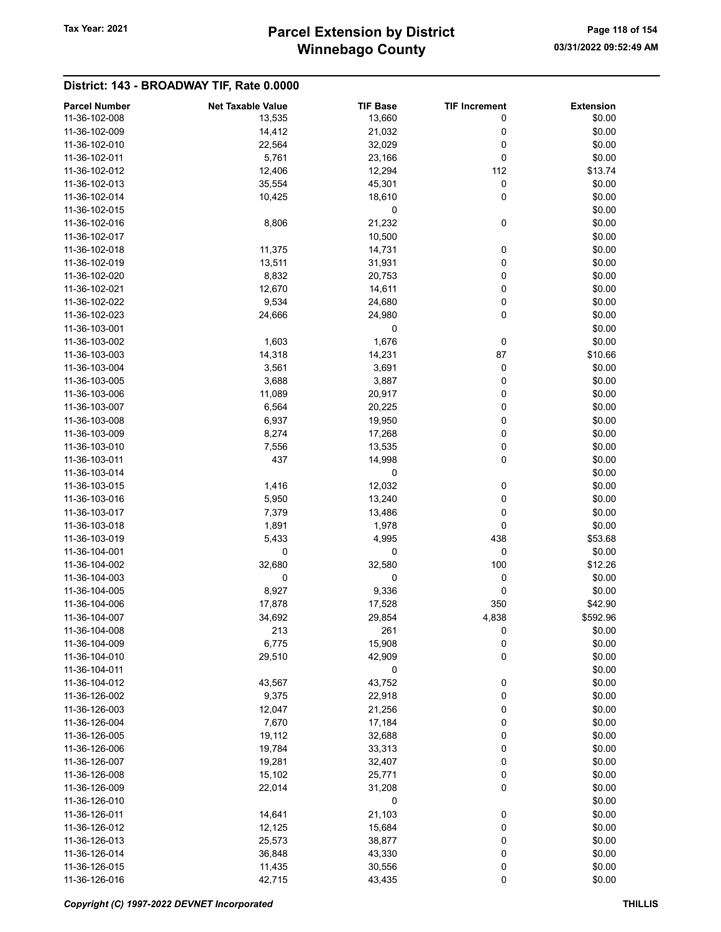## Winnebago County Tax Year: 2021 **Parcel Extension by District** Page 118 of 154

| <b>Parcel Number</b> | <b>Net Taxable Value</b> | <b>TIF Base</b> | <b>TIF Increment</b> | <b>Extension</b> |
|----------------------|--------------------------|-----------------|----------------------|------------------|
| 11-36-102-008        | 13,535                   | 13,660          | 0                    | \$0.00           |
| 11-36-102-009        | 14,412                   | 21,032          | 0                    | \$0.00           |
| 11-36-102-010        | 22,564                   | 32,029          | 0                    | \$0.00           |
| 11-36-102-011        | 5,761                    | 23,166          | 0                    | \$0.00           |
| 11-36-102-012        | 12,406                   | 12,294          | 112                  | \$13.74          |
| 11-36-102-013        | 35,554                   | 45,301          | 0                    | \$0.00           |
| 11-36-102-014        | 10,425                   | 18,610          | 0                    | \$0.00           |
| 11-36-102-015        |                          | 0               |                      | \$0.00           |
| 11-36-102-016        |                          | 21,232          | 0                    |                  |
| 11-36-102-017        | 8,806                    | 10,500          |                      | \$0.00           |
|                      |                          |                 |                      | \$0.00           |
| 11-36-102-018        | 11,375                   | 14,731          | 0                    | \$0.00           |
| 11-36-102-019        | 13,511                   | 31,931          | 0                    | \$0.00           |
| 11-36-102-020        | 8,832                    | 20,753          | 0                    | \$0.00           |
| 11-36-102-021        | 12,670                   | 14,611          | 0                    | \$0.00           |
| 11-36-102-022        | 9,534                    | 24,680          | 0                    | \$0.00           |
| 11-36-102-023        | 24,666                   | 24,980          | 0                    | \$0.00           |
| 11-36-103-001        |                          | 0               |                      | \$0.00           |
| 11-36-103-002        | 1,603                    | 1,676           | 0                    | \$0.00           |
| 11-36-103-003        | 14,318                   | 14,231          | 87                   | \$10.66          |
| 11-36-103-004        | 3,561                    | 3,691           | 0                    | \$0.00           |
| 11-36-103-005        | 3,688                    | 3,887           | 0                    | \$0.00           |
| 11-36-103-006        | 11,089                   | 20,917          | 0                    | \$0.00           |
| 11-36-103-007        | 6,564                    | 20,225          | 0                    | \$0.00           |
| 11-36-103-008        | 6,937                    | 19,950          | 0                    | \$0.00           |
| 11-36-103-009        | 8,274                    | 17,268          | 0                    | \$0.00           |
| 11-36-103-010        | 7,556                    | 13,535          | 0                    | \$0.00           |
| 11-36-103-011        | 437                      | 14,998          | 0                    | \$0.00           |
| 11-36-103-014        |                          | 0               |                      | \$0.00           |
| 11-36-103-015        | 1,416                    | 12,032          | 0                    | \$0.00           |
| 11-36-103-016        | 5,950                    | 13,240          | 0                    | \$0.00           |
| 11-36-103-017        | 7,379                    | 13,486          | 0                    | \$0.00           |
| 11-36-103-018        | 1,891                    | 1,978           | 0                    | \$0.00           |
| 11-36-103-019        | 5,433                    | 4,995           | 438                  | \$53.68          |
| 11-36-104-001        | 0                        | 0               | 0                    | \$0.00           |
| 11-36-104-002        | 32,680                   | 32,580          | 100                  | \$12.26          |
| 11-36-104-003        | 0                        | 0               | 0                    | \$0.00           |
| 11-36-104-005        | 8,927                    | 9,336           | 0                    | \$0.00           |
| 11-36-104-006        |                          |                 | 350                  | \$42.90          |
| 11-36-104-007        | 17,878                   | 17,528          |                      |                  |
|                      | 34,692                   | 29,854          | 4,838                | \$592.96         |
| 11-36-104-008        | 213                      | 261             | 0                    | \$0.00           |
| 11-36-104-009        | 6,775                    | 15,908          | 0                    | \$0.00           |
| 11-36-104-010        | 29,510                   | 42,909          | 0                    | \$0.00           |
| 11-36-104-011        |                          | 0               |                      | \$0.00           |
| 11-36-104-012        | 43,567                   | 43,752          | 0                    | \$0.00           |
| 11-36-126-002        | 9,375                    | 22,918          | 0                    | \$0.00           |
| 11-36-126-003        | 12,047                   | 21,256          | 0                    | \$0.00           |
| 11-36-126-004        | 7,670                    | 17,184          | 0                    | \$0.00           |
| 11-36-126-005        | 19,112                   | 32,688          | 0                    | \$0.00           |
| 11-36-126-006        | 19,784                   | 33,313          | 0                    | \$0.00           |
| 11-36-126-007        | 19,281                   | 32,407          | 0                    | \$0.00           |
| 11-36-126-008        | 15,102                   | 25,771          | 0                    | \$0.00           |
| 11-36-126-009        | 22,014                   | 31,208          | 0                    | \$0.00           |
| 11-36-126-010        |                          | 0               |                      | \$0.00           |
| 11-36-126-011        | 14,641                   | 21,103          | 0                    | \$0.00           |
| 11-36-126-012        | 12,125                   | 15,684          | 0                    | \$0.00           |
| 11-36-126-013        | 25,573                   | 38,877          | 0                    | \$0.00           |
| 11-36-126-014        | 36,848                   | 43,330          | 0                    | \$0.00           |
| 11-36-126-015        | 11,435                   | 30,556          | 0                    | \$0.00           |
| 11-36-126-016        | 42,715                   | 43,435          | $\pmb{0}$            | \$0.00           |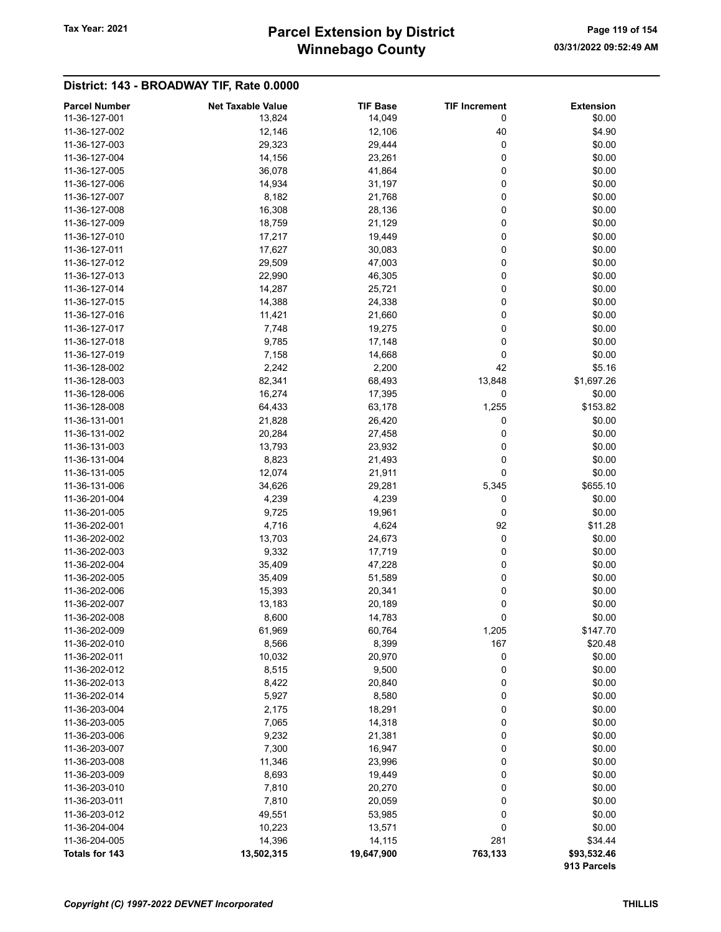## Winnebago County Tax Year: 2021 **Parcel Extension by District** Page 119 of 154

| <b>Parcel Number</b> | <b>Net Taxable Value</b> | <b>TIF Base</b> | <b>TIF Increment</b> | <b>Extension</b> |
|----------------------|--------------------------|-----------------|----------------------|------------------|
| 11-36-127-001        | 13,824                   | 14,049          | 0                    | \$0.00           |
| 11-36-127-002        | 12,146                   | 12,106          | 40                   | \$4.90           |
| 11-36-127-003        | 29,323                   | 29,444          | 0                    | \$0.00           |
| 11-36-127-004        | 14,156                   | 23,261          | 0                    | \$0.00           |
| 11-36-127-005        | 36,078                   | 41,864          | 0                    | \$0.00           |
| 11-36-127-006        | 14,934                   | 31,197          | 0                    | \$0.00           |
| 11-36-127-007        | 8,182                    | 21,768          | 0                    | \$0.00           |
| 11-36-127-008        | 16,308                   | 28,136          | 0                    | \$0.00           |
| 11-36-127-009        | 18,759                   | 21,129          | 0                    | \$0.00           |
| 11-36-127-010        | 17,217                   | 19,449          | 0                    | \$0.00           |
| 11-36-127-011        | 17,627                   | 30,083          | 0                    | \$0.00           |
| 11-36-127-012        | 29,509                   | 47,003          | 0                    | \$0.00           |
| 11-36-127-013        | 22,990                   | 46,305          | 0                    | \$0.00           |
| 11-36-127-014        | 14,287                   | 25,721          | 0                    | \$0.00           |
| 11-36-127-015        | 14,388                   | 24,338          | 0                    | \$0.00           |
| 11-36-127-016        | 11,421                   | 21,660          | 0                    | \$0.00           |
| 11-36-127-017        | 7,748                    | 19,275          | 0                    | \$0.00           |
| 11-36-127-018        | 9,785                    | 17,148          | 0                    | \$0.00           |
| 11-36-127-019        | 7,158                    | 14,668          | 0                    | \$0.00           |
| 11-36-128-002        | 2,242                    | 2,200           | 42                   | \$5.16           |
| 11-36-128-003        | 82,341                   | 68,493          | 13,848               | \$1,697.26       |
| 11-36-128-006        | 16,274                   | 17,395          | 0                    | \$0.00           |
| 11-36-128-008        | 64,433                   | 63,178          | 1,255                | \$153.82         |
| 11-36-131-001        | 21,828                   | 26,420          | 0                    | \$0.00           |
| 11-36-131-002        | 20,284                   | 27,458          | 0                    | \$0.00           |
| 11-36-131-003        | 13,793                   | 23,932          | 0                    | \$0.00           |
| 11-36-131-004        | 8,823                    | 21,493          | 0                    | \$0.00           |
| 11-36-131-005        | 12,074                   | 21,911          | 0                    | \$0.00           |
| 11-36-131-006        | 34,626                   | 29,281          | 5,345                | \$655.10         |
| 11-36-201-004        | 4,239                    | 4,239           | 0                    | \$0.00           |
| 11-36-201-005        | 9,725                    | 19,961          | 0                    | \$0.00           |
| 11-36-202-001        | 4,716                    | 4,624           | 92                   | \$11.28          |
| 11-36-202-002        | 13,703                   | 24,673          | 0                    | \$0.00           |
| 11-36-202-003        | 9,332                    | 17,719          | 0                    | \$0.00           |
| 11-36-202-004        | 35,409                   | 47,228          | 0                    | \$0.00           |
| 11-36-202-005        | 35,409                   | 51,589          | 0                    | \$0.00           |
| 11-36-202-006        | 15,393                   | 20,341          | 0                    | \$0.00           |
| 11-36-202-007        | 13,183                   | 20,189          | 0                    | \$0.00           |
| 11-36-202-008        | 8,600                    | 14,783          | 0                    | \$0.00           |
| 11-36-202-009        | 61,969                   | 60,764          | 1,205                | \$147.70         |
| 11-36-202-010        | 8,566                    | 8,399           | 167                  | \$20.48          |
| 11-36-202-011        | 10,032                   | 20,970          | 0                    | \$0.00           |
| 11-36-202-012        | 8,515                    | 9,500           | 0                    | \$0.00           |
| 11-36-202-013        | 8,422                    | 20,840          | 0                    | \$0.00           |
| 11-36-202-014        | 5,927                    | 8,580           | 0                    | \$0.00           |
| 11-36-203-004        | 2,175                    | 18,291          | 0                    | \$0.00           |
| 11-36-203-005        | 7,065                    | 14,318          | 0                    | \$0.00           |
| 11-36-203-006        | 9,232                    | 21,381          | 0                    | \$0.00           |
| 11-36-203-007        | 7,300                    | 16,947          | 0                    | \$0.00           |
| 11-36-203-008        | 11,346                   | 23,996          | 0                    | \$0.00           |
| 11-36-203-009        | 8,693                    | 19,449          | 0                    | \$0.00           |
| 11-36-203-010        | 7,810                    | 20,270          | 0                    | \$0.00           |
| 11-36-203-011        | 7,810                    | 20,059          | 0                    | \$0.00           |
| 11-36-203-012        | 49,551                   | 53,985          | 0                    | \$0.00           |
| 11-36-204-004        | 10,223                   | 13,571          | 0                    | \$0.00           |
| 11-36-204-005        | 14,396                   | 14,115          | 281                  | \$34.44          |
| Totals for 143       | 13,502,315               | 19,647,900      | 763,133              | \$93,532.46      |
|                      |                          |                 |                      | 913 Parcels      |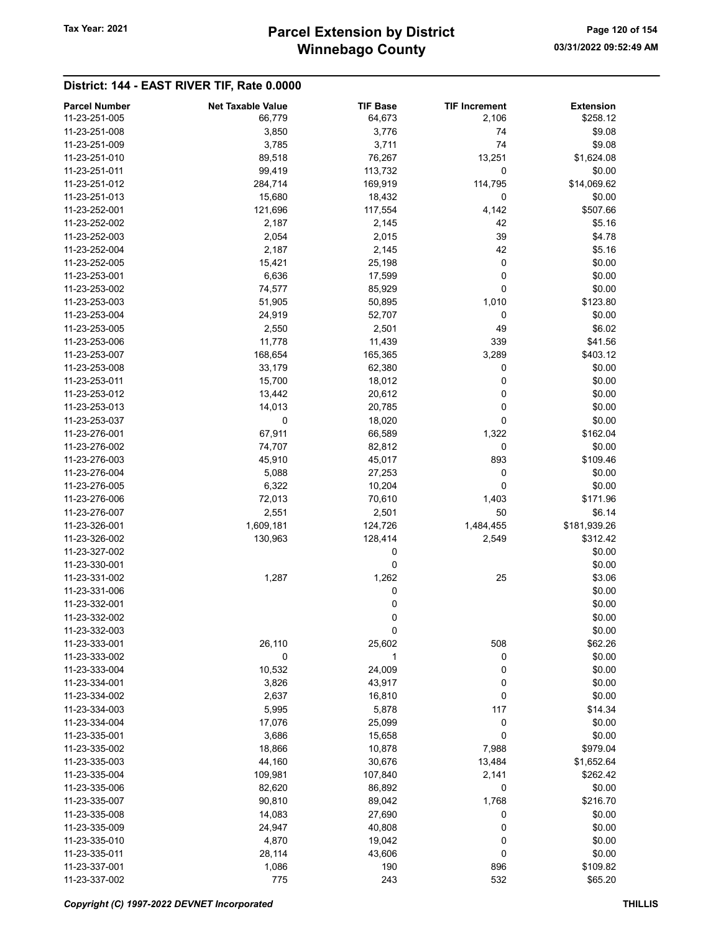## Winnebago County Tax Year: 2021 **Parcel Extension by District** Page 120 of 154

| <b>Parcel Number</b> | <b>Net Taxable Value</b> | <b>TIF Base</b> | <b>TIF Increment</b> | <b>Extension</b> |
|----------------------|--------------------------|-----------------|----------------------|------------------|
| 11-23-251-005        | 66,779                   | 64,673          | 2,106                | \$258.12         |
| 11-23-251-008        | 3,850                    | 3,776           | 74                   | \$9.08           |
| 11-23-251-009        | 3,785                    | 3,711           | 74                   | \$9.08           |
| 11-23-251-010        | 89,518                   | 76,267          | 13,251               | \$1,624.08       |
| 11-23-251-011        | 99,419                   | 113,732         | 0                    | \$0.00           |
| 11-23-251-012        | 284,714                  | 169,919         | 114,795              | \$14,069.62      |
| 11-23-251-013        | 15,680                   | 18,432          | 0                    | \$0.00           |
| 11-23-252-001        | 121,696                  | 117,554         | 4,142                | \$507.66         |
| 11-23-252-002        | 2,187                    | 2,145           | 42                   | \$5.16           |
| 11-23-252-003        |                          |                 | 39                   | \$4.78           |
| 11-23-252-004        | 2,054                    | 2,015           | 42                   | \$5.16           |
|                      | 2,187                    | 2,145           |                      |                  |
| 11-23-252-005        | 15,421                   | 25,198          | 0                    | \$0.00           |
| 11-23-253-001        | 6,636                    | 17,599          | 0                    | \$0.00           |
| 11-23-253-002        | 74,577                   | 85,929          | 0                    | \$0.00           |
| 11-23-253-003        | 51,905                   | 50,895          | 1,010                | \$123.80         |
| 11-23-253-004        | 24,919                   | 52,707          | 0                    | \$0.00           |
| 11-23-253-005        | 2,550                    | 2,501           | 49                   | \$6.02           |
| 11-23-253-006        | 11,778                   | 11,439          | 339                  | \$41.56          |
| 11-23-253-007        | 168,654                  | 165,365         | 3,289                | \$403.12         |
| 11-23-253-008        | 33,179                   | 62,380          | 0                    | \$0.00           |
| 11-23-253-011        | 15,700                   | 18,012          | 0                    | \$0.00           |
| 11-23-253-012        | 13,442                   | 20,612          | 0                    | \$0.00           |
| 11-23-253-013        | 14,013                   | 20,785          | 0                    | \$0.00           |
| 11-23-253-037        | 0                        | 18,020          | 0                    | \$0.00           |
| 11-23-276-001        | 67,911                   | 66,589          | 1,322                | \$162.04         |
| 11-23-276-002        | 74,707                   | 82,812          | 0                    | \$0.00           |
| 11-23-276-003        | 45,910                   | 45,017          | 893                  | \$109.46         |
| 11-23-276-004        | 5,088                    | 27,253          | 0                    | \$0.00           |
| 11-23-276-005        | 6,322                    | 10,204          | 0                    | \$0.00           |
| 11-23-276-006        | 72,013                   | 70,610          | 1,403                | \$171.96         |
| 11-23-276-007        | 2,551                    | 2,501           | 50                   | \$6.14           |
| 11-23-326-001        | 1,609,181                | 124,726         | 1,484,455            | \$181,939.26     |
| 11-23-326-002        | 130,963                  | 128,414         | 2,549                | \$312.42         |
| 11-23-327-002        |                          | 0               |                      | \$0.00           |
| 11-23-330-001        |                          | 0               |                      | \$0.00           |
| 11-23-331-002        | 1,287                    | 1,262           | 25                   | \$3.06           |
| 11-23-331-006        |                          |                 |                      |                  |
|                      |                          | 0               |                      | \$0.00           |
| 11-23-332-001        |                          | 0               |                      | \$0.00           |
| 11-23-332-002        |                          | 0               |                      | \$0.00           |
| 11-23-332-003        |                          | 0               |                      | \$0.00           |
| 11-23-333-001        | 26,110                   | 25,602          | 508                  | \$62.26          |
| 11-23-333-002        | 0                        | 1               | 0                    | \$0.00           |
| 11-23-333-004        | 10,532                   | 24,009          | 0                    | \$0.00           |
| 11-23-334-001        | 3,826                    | 43,917          | 0                    | \$0.00           |
| 11-23-334-002        | 2,637                    | 16,810          | 0                    | \$0.00           |
| 11-23-334-003        | 5,995                    | 5,878           | 117                  | \$14.34          |
| 11-23-334-004        | 17,076                   | 25,099          | 0                    | \$0.00           |
| 11-23-335-001        | 3,686                    | 15,658          | 0                    | \$0.00           |
| 11-23-335-002        | 18,866                   | 10,878          | 7,988                | \$979.04         |
| 11-23-335-003        | 44,160                   | 30,676          | 13,484               | \$1,652.64       |
| 11-23-335-004        | 109,981                  | 107,840         | 2,141                | \$262.42         |
| 11-23-335-006        | 82,620                   | 86,892          | 0                    | \$0.00           |
| 11-23-335-007        | 90,810                   | 89,042          | 1,768                | \$216.70         |
| 11-23-335-008        | 14,083                   | 27,690          | 0                    | \$0.00           |
| 11-23-335-009        | 24,947                   | 40,808          | 0                    | \$0.00           |
| 11-23-335-010        | 4,870                    | 19,042          | 0                    | \$0.00           |
| 11-23-335-011        | 28,114                   | 43,606          | 0                    | \$0.00           |
| 11-23-337-001        | 1,086                    | 190             | 896                  | \$109.82         |
| 11-23-337-002        | 775                      | 243             | 532                  | \$65.20          |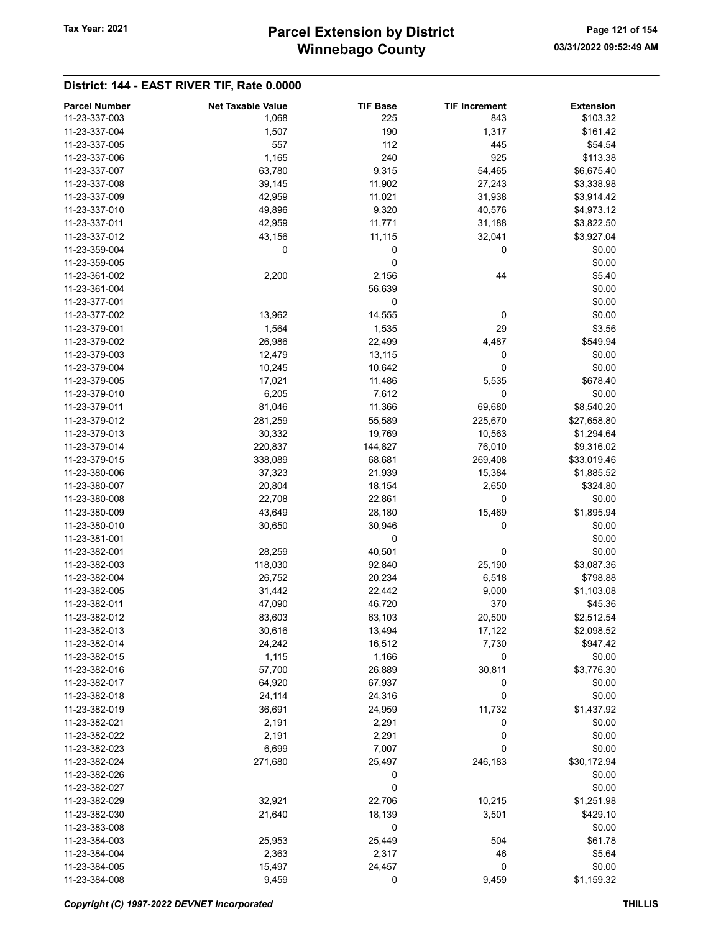| <b>Parcel Number</b> | <b>Net Taxable Value</b> | <b>TIF Base</b> | <b>TIF Increment</b> | <b>Extension</b> |
|----------------------|--------------------------|-----------------|----------------------|------------------|
| 11-23-337-003        | 1,068                    | 225             | 843                  | \$103.32         |
| 11-23-337-004        | 1,507                    | 190             | 1,317                | \$161.42         |
| 11-23-337-005        | 557                      | 112             | 445                  | \$54.54          |
| 11-23-337-006        | 1,165                    | 240             | 925                  | \$113.38         |
| 11-23-337-007        | 63,780                   | 9,315           | 54,465               | \$6,675.40       |
| 11-23-337-008        | 39,145                   | 11,902          | 27,243               | \$3,338.98       |
|                      |                          |                 |                      |                  |
| 11-23-337-009        | 42,959                   | 11,021          | 31,938               | \$3,914.42       |
| 11-23-337-010        | 49,896                   | 9,320           | 40,576               | \$4,973.12       |
| 11-23-337-011        | 42,959                   | 11,771          | 31,188               | \$3,822.50       |
| 11-23-337-012        | 43,156                   | 11,115          | 32,041               | \$3,927.04       |
| 11-23-359-004        | 0                        | 0               | 0                    | \$0.00           |
| 11-23-359-005        |                          | 0               |                      | \$0.00           |
| 11-23-361-002        | 2,200                    | 2,156           | 44                   | \$5.40           |
| 11-23-361-004        |                          | 56,639          |                      | \$0.00           |
| 11-23-377-001        |                          | 0               |                      | \$0.00           |
| 11-23-377-002        | 13,962                   | 14,555          | 0                    | \$0.00           |
| 11-23-379-001        | 1,564                    | 1,535           | 29                   | \$3.56           |
| 11-23-379-002        | 26,986                   | 22,499          | 4,487                | \$549.94         |
| 11-23-379-003        | 12,479                   | 13,115          | 0                    | \$0.00           |
| 11-23-379-004        | 10,245                   | 10,642          | 0                    | \$0.00           |
| 11-23-379-005        | 17,021                   | 11,486          | 5,535                | \$678.40         |
| 11-23-379-010        | 6,205                    | 7,612           | 0                    | \$0.00           |
| 11-23-379-011        | 81,046                   | 11,366          | 69,680               | \$8,540.20       |
| 11-23-379-012        | 281,259                  | 55,589          | 225,670              | \$27,658.80      |
| 11-23-379-013        |                          |                 |                      |                  |
|                      | 30,332                   | 19,769          | 10,563               | \$1,294.64       |
| 11-23-379-014        | 220,837                  | 144,827         | 76,010               | \$9,316.02       |
| 11-23-379-015        | 338,089                  | 68,681          | 269,408              | \$33,019.46      |
| 11-23-380-006        | 37,323                   | 21,939          | 15,384               | \$1,885.52       |
| 11-23-380-007        | 20,804                   | 18,154          | 2,650                | \$324.80         |
| 11-23-380-008        | 22,708                   | 22,861          | 0                    | \$0.00           |
| 11-23-380-009        | 43,649                   | 28,180          | 15,469               | \$1,895.94       |
| 11-23-380-010        | 30,650                   | 30,946          | 0                    | \$0.00           |
| 11-23-381-001        |                          | 0               |                      | \$0.00           |
| 11-23-382-001        | 28,259                   | 40,501          | 0                    | \$0.00           |
| 11-23-382-003        | 118,030                  | 92,840          | 25,190               | \$3,087.36       |
| 11-23-382-004        | 26,752                   | 20,234          | 6,518                | \$798.88         |
| 11-23-382-005        | 31,442                   | 22,442          | 9,000                | \$1,103.08       |
| 11-23-382-011        | 47,090                   | 46,720          | 370                  | \$45.36          |
| 11-23-382-012        | 83,603                   | 63,103          | 20,500               | \$2,512.54       |
| 11-23-382-013        | 30,616                   | 13,494          | 17,122               | \$2,098.52       |
| 11-23-382-014        | 24,242                   | 16,512          | 7,730                | \$947.42         |
| 11-23-382-015        | 1,115                    | 1,166           | 0                    | \$0.00           |
| 11-23-382-016        | 57,700                   | 26,889          | 30,811               | \$3,776.30       |
| 11-23-382-017        | 64,920                   | 67,937          | 0                    | \$0.00           |
| 11-23-382-018        | 24,114                   | 24,316          | 0                    | \$0.00           |
| 11-23-382-019        | 36,691                   | 24,959          | 11,732               | \$1,437.92       |
| 11-23-382-021        |                          |                 |                      | \$0.00           |
|                      | 2,191                    | 2,291           | 0                    |                  |
| 11-23-382-022        | 2,191                    | 2,291           | 0                    | \$0.00           |
| 11-23-382-023        | 6,699                    | 7,007           | 0                    | \$0.00           |
| 11-23-382-024        | 271,680                  | 25,497          | 246,183              | \$30,172.94      |
| 11-23-382-026        |                          | 0               |                      | \$0.00           |
| 11-23-382-027        |                          | 0               |                      | \$0.00           |
| 11-23-382-029        | 32,921                   | 22,706          | 10,215               | \$1,251.98       |
| 11-23-382-030        | 21,640                   | 18,139          | 3,501                | \$429.10         |
| 11-23-383-008        |                          | 0               |                      | \$0.00           |
| 11-23-384-003        | 25,953                   | 25,449          | 504                  | \$61.78          |
| 11-23-384-004        | 2,363                    | 2,317           | 46                   | \$5.64           |
| 11-23-384-005        | 15,497                   | 24,457          | 0                    | \$0.00           |
| 11-23-384-008        | 9,459                    | 0               | 9,459                | \$1,159.32       |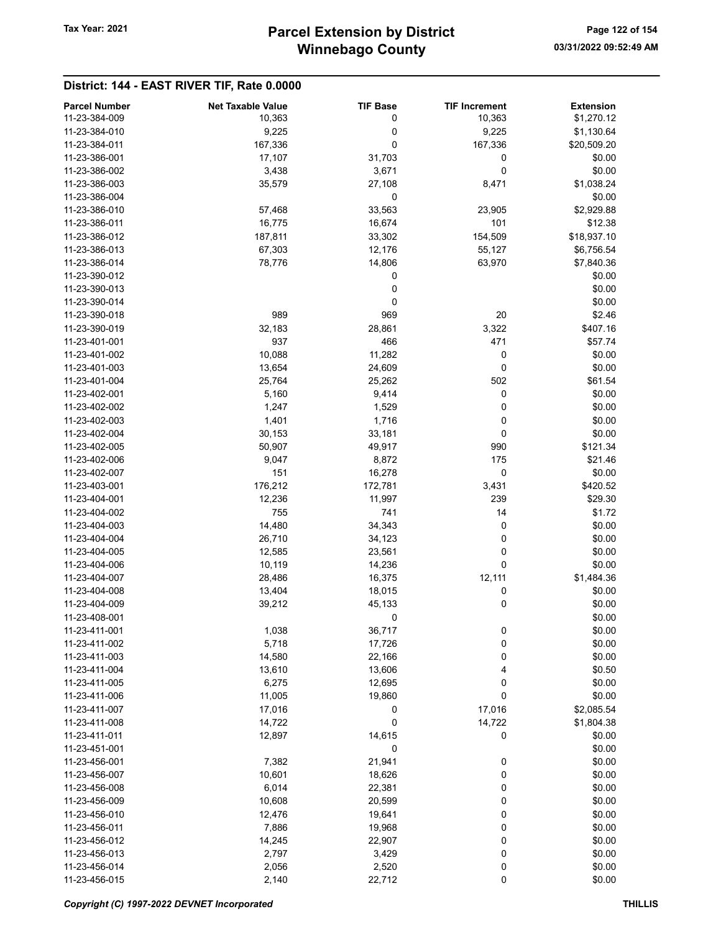| <b>Parcel Number</b> | <b>Net Taxable Value</b> | <b>TIF Base</b> | <b>TIF Increment</b> | <b>Extension</b> |
|----------------------|--------------------------|-----------------|----------------------|------------------|
| 11-23-384-009        | 10,363                   | 0               | 10,363               | \$1,270.12       |
| 11-23-384-010        | 9,225                    | 0               | 9,225                | \$1,130.64       |
| 11-23-384-011        | 167,336                  | 0               | 167,336              | \$20,509.20      |
| 11-23-386-001        | 17,107                   | 31,703          | 0                    | \$0.00           |
| 11-23-386-002        | 3,438                    | 3,671           | 0                    | \$0.00           |
| 11-23-386-003        | 35,579                   | 27,108          | 8,471                | \$1,038.24       |
| 11-23-386-004        |                          | 0               |                      | \$0.00           |
| 11-23-386-010        | 57,468                   | 33,563          | 23,905               | \$2,929.88       |
| 11-23-386-011        | 16,775                   | 16,674          | 101                  | \$12.38          |
| 11-23-386-012        | 187,811                  | 33,302          | 154,509              | \$18,937.10      |
| 11-23-386-013        | 67,303                   | 12,176          | 55,127               | \$6,756.54       |
| 11-23-386-014        | 78,776                   | 14,806          | 63,970               | \$7,840.36       |
| 11-23-390-012        |                          | 0               |                      | \$0.00           |
| 11-23-390-013        |                          | 0               |                      | \$0.00           |
| 11-23-390-014        |                          | 0               |                      | \$0.00           |
| 11-23-390-018        | 989                      | 969             | 20                   | \$2.46           |
| 11-23-390-019        | 32,183                   | 28,861          | 3,322                | \$407.16         |
| 11-23-401-001        | 937                      | 466             | 471                  | \$57.74          |
| 11-23-401-002        | 10,088                   | 11,282          | 0                    | \$0.00           |
| 11-23-401-003        | 13,654                   | 24,609          | 0                    | \$0.00           |
| 11-23-401-004        | 25,764                   | 25,262          | 502                  | \$61.54          |
| 11-23-402-001        | 5,160                    | 9,414           | 0                    | \$0.00           |
| 11-23-402-002        | 1,247                    | 1,529           | 0                    | \$0.00           |
| 11-23-402-003        | 1,401                    | 1,716           | 0                    | \$0.00           |
| 11-23-402-004        | 30,153                   | 33,181          | 0                    | \$0.00           |
| 11-23-402-005        | 50,907                   | 49,917          | 990                  | \$121.34         |
| 11-23-402-006        | 9,047                    | 8,872           | 175                  | \$21.46          |
| 11-23-402-007        | 151                      | 16,278          | 0                    | \$0.00           |
| 11-23-403-001        | 176,212                  | 172,781         | 3,431                | \$420.52         |
| 11-23-404-001        | 12,236                   | 11,997          | 239                  | \$29.30          |
| 11-23-404-002        | 755                      | 741             | 14                   | \$1.72           |
| 11-23-404-003        | 14,480                   | 34,343          | 0                    | \$0.00           |
| 11-23-404-004        | 26,710                   | 34,123          | 0                    | \$0.00           |
| 11-23-404-005        | 12,585                   | 23,561          | 0                    | \$0.00           |
| 11-23-404-006        | 10,119                   | 14,236          | 0                    | \$0.00           |
| 11-23-404-007        | 28,486                   | 16,375          | 12,111               | \$1,484.36       |
| 11-23-404-008        | 13,404                   | 18,015          | 0                    | \$0.00           |
| 11-23-404-009        | 39,212                   | 45,133          | 0                    | \$0.00           |
| 11-23-408-001        |                          | 0               |                      | \$0.00           |
| 11-23-411-001        | 1,038                    | 36,717          | $\boldsymbol{0}$     | \$0.00           |
| 11-23-411-002        | 5,718                    | 17,726          | 0                    | \$0.00           |
| 11-23-411-003        | 14,580                   | 22,166          | 0                    | \$0.00           |
| 11-23-411-004        | 13,610                   | 13,606          | 4                    | \$0.50           |
| 11-23-411-005        | 6,275                    | 12,695          | 0                    | \$0.00           |
| 11-23-411-006        | 11,005                   | 19,860          | 0                    | \$0.00           |
| 11-23-411-007        | 17,016                   | 0               | 17,016               | \$2,085.54       |
| 11-23-411-008        | 14,722                   | 0               | 14,722               | \$1,804.38       |
| 11-23-411-011        | 12,897                   | 14,615          | 0                    | \$0.00           |
| 11-23-451-001        |                          | 0               |                      | \$0.00           |
| 11-23-456-001        | 7,382                    | 21,941          | 0                    | \$0.00           |
| 11-23-456-007        | 10,601                   | 18,626          | 0                    | \$0.00           |
| 11-23-456-008        | 6,014                    | 22,381          | 0                    | \$0.00           |
| 11-23-456-009        | 10,608                   | 20,599          | 0                    | \$0.00           |
| 11-23-456-010        | 12,476                   | 19,641          | 0                    | \$0.00           |
| 11-23-456-011        | 7,886                    | 19,968          | 0                    | \$0.00           |
| 11-23-456-012        | 14,245                   | 22,907          | 0                    | \$0.00           |
| 11-23-456-013        | 2,797                    | 3,429           | 0                    | \$0.00           |
| 11-23-456-014        | 2,056                    | 2,520           | 0                    | \$0.00           |
| 11-23-456-015        | 2,140                    | 22,712          | 0                    | \$0.00           |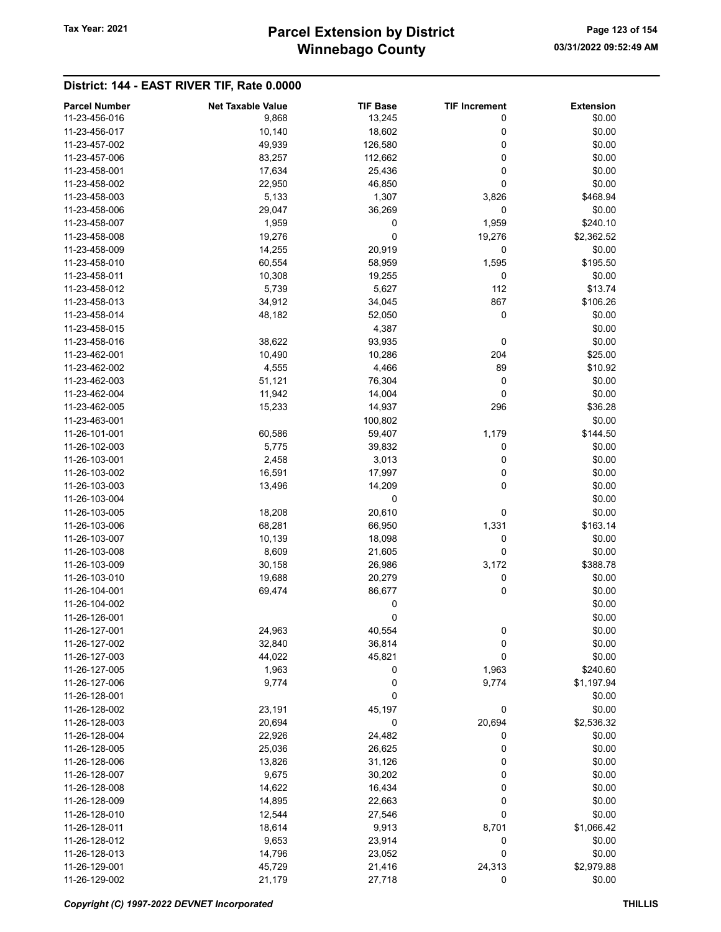## Winnebago County Tax Year: 2021 **Parcel Extension by District** Page 123 of 154

| <b>Parcel Number</b> | <b>Net Taxable Value</b> | <b>TIF Base</b> | <b>TIF Increment</b> | <b>Extension</b> |
|----------------------|--------------------------|-----------------|----------------------|------------------|
| 11-23-456-016        | 9,868                    | 13,245          | 0                    | \$0.00           |
| 11-23-456-017        | 10,140                   | 18,602          | 0                    | \$0.00           |
| 11-23-457-002        | 49,939                   | 126,580         | 0                    | \$0.00           |
| 11-23-457-006        | 83,257                   | 112,662         | 0                    | \$0.00           |
| 11-23-458-001        | 17,634                   | 25,436          | 0                    | \$0.00           |
| 11-23-458-002        | 22,950                   | 46,850          | 0                    | \$0.00           |
| 11-23-458-003        | 5,133                    | 1,307           | 3,826                | \$468.94         |
| 11-23-458-006        | 29,047                   | 36,269          | 0                    | \$0.00           |
| 11-23-458-007        |                          | 0               |                      | \$240.10         |
|                      | 1,959                    |                 | 1,959                |                  |
| 11-23-458-008        | 19,276                   | 0               | 19,276               | \$2,362.52       |
| 11-23-458-009        | 14,255                   | 20,919          | 0                    | \$0.00           |
| 11-23-458-010        | 60,554                   | 58,959          | 1,595                | \$195.50         |
| 11-23-458-011        | 10,308                   | 19,255          | 0                    | \$0.00           |
| 11-23-458-012        | 5,739                    | 5,627           | 112                  | \$13.74          |
| 11-23-458-013        | 34,912                   | 34,045          | 867                  | \$106.26         |
| 11-23-458-014        | 48,182                   | 52,050          | 0                    | \$0.00           |
| 11-23-458-015        |                          | 4,387           |                      | \$0.00           |
| 11-23-458-016        | 38,622                   | 93,935          | 0                    | \$0.00           |
| 11-23-462-001        | 10,490                   | 10,286          | 204                  | \$25.00          |
| 11-23-462-002        | 4,555                    | 4,466           | 89                   | \$10.92          |
| 11-23-462-003        | 51,121                   | 76,304          | 0                    | \$0.00           |
| 11-23-462-004        | 11,942                   | 14,004          | 0                    | \$0.00           |
| 11-23-462-005        | 15,233                   | 14,937          | 296                  | \$36.28          |
| 11-23-463-001        |                          | 100,802         |                      | \$0.00           |
| 11-26-101-001        | 60,586                   | 59,407          | 1,179                | \$144.50         |
| 11-26-102-003        | 5,775                    | 39,832          | 0                    | \$0.00           |
| 11-26-103-001        | 2,458                    |                 | 0                    | \$0.00           |
| 11-26-103-002        |                          | 3,013           |                      | \$0.00           |
|                      | 16,591                   | 17,997          | 0                    |                  |
| 11-26-103-003        | 13,496                   | 14,209          | 0                    | \$0.00           |
| 11-26-103-004        |                          | 0               |                      | \$0.00           |
| 11-26-103-005        | 18,208                   | 20,610          | 0                    | \$0.00           |
| 11-26-103-006        | 68,281                   | 66,950          | 1,331                | \$163.14         |
| 11-26-103-007        | 10,139                   | 18,098          | 0                    | \$0.00           |
| 11-26-103-008        | 8,609                    | 21,605          | 0                    | \$0.00           |
| 11-26-103-009        | 30,158                   | 26,986          | 3,172                | \$388.78         |
| 11-26-103-010        | 19,688                   | 20,279          | 0                    | \$0.00           |
| 11-26-104-001        | 69,474                   | 86,677          | 0                    | \$0.00           |
| 11-26-104-002        |                          | 0               |                      | \$0.00           |
| 11-26-126-001        |                          | 0               |                      | \$0.00           |
| 11-26-127-001        | 24,963                   | 40,554          | 0                    | \$0.00           |
| 11-26-127-002        | 32,840                   | 36,814          | 0                    | \$0.00           |
| 11-26-127-003        | 44,022                   | 45,821          | 0                    | \$0.00           |
| 11-26-127-005        | 1,963                    | 0               | 1,963                | \$240.60         |
| 11-26-127-006        | 9,774                    | 0               | 9,774                | \$1,197.94       |
| 11-26-128-001        |                          | 0               |                      | \$0.00           |
| 11-26-128-002        | 23,191                   | 45,197          | 0                    | \$0.00           |
| 11-26-128-003        | 20,694                   | 0               | 20,694               | \$2,536.32       |
| 11-26-128-004        |                          | 24,482          | 0                    | \$0.00           |
|                      | 22,926                   |                 |                      |                  |
| 11-26-128-005        | 25,036                   | 26,625          | 0                    | \$0.00           |
| 11-26-128-006        | 13,826                   | 31,126          | 0                    | \$0.00           |
| 11-26-128-007        | 9,675                    | 30,202          | 0                    | \$0.00           |
| 11-26-128-008        | 14,622                   | 16,434          | 0                    | \$0.00           |
| 11-26-128-009        | 14,895                   | 22,663          | 0                    | \$0.00           |
| 11-26-128-010        | 12,544                   | 27,546          | 0                    | \$0.00           |
| 11-26-128-011        | 18,614                   | 9,913           | 8,701                | \$1,066.42       |
| 11-26-128-012        | 9,653                    | 23,914          | 0                    | \$0.00           |
| 11-26-128-013        | 14,796                   | 23,052          | 0                    | \$0.00           |
| 11-26-129-001        | 45,729                   | 21,416          | 24,313               | \$2,979.88       |
| 11-26-129-002        | 21,179                   | 27,718          | 0                    | \$0.00           |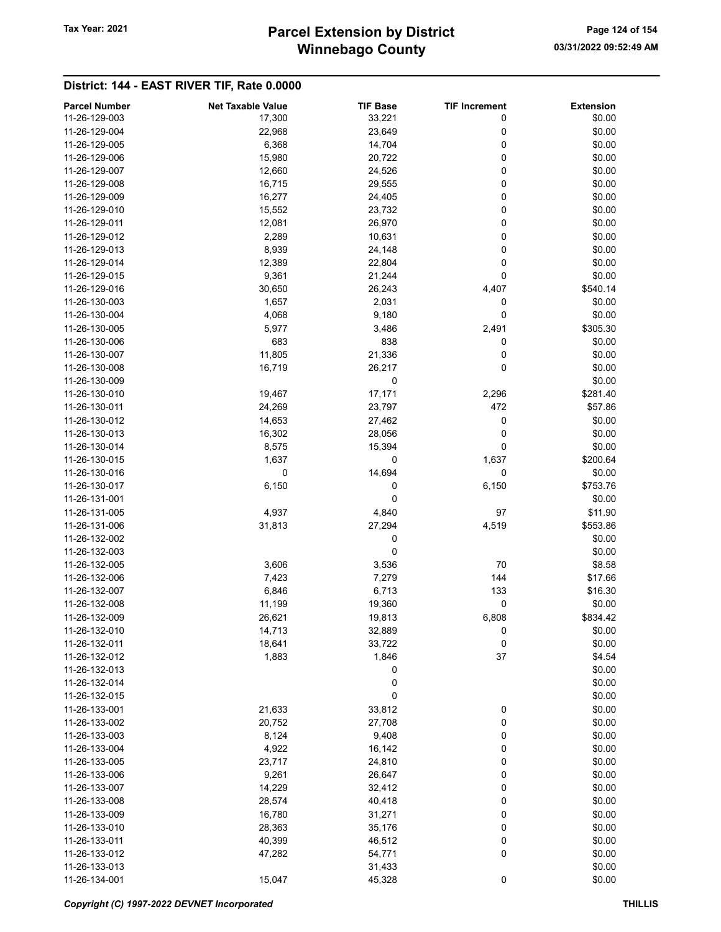## Winnebago County Tax Year: 2021 **Parcel Extension by District** Page 124 of 154

| 11-26-129-003<br>\$0.00<br>17,300<br>33,221<br>0<br>11-26-129-004<br>0<br>\$0.00<br>22,968<br>23,649<br>11-26-129-005<br>6,368<br>0<br>\$0.00<br>14,704<br>11-26-129-006<br>15,980<br>20,722<br>0<br>\$0.00<br>11-26-129-007<br>12,660<br>24,526<br>0<br>\$0.00<br>0<br>11-26-129-008<br>16,715<br>29,555<br>\$0.00<br>16,277<br>24,405<br>0<br>\$0.00<br>11-26-129-009<br>11-26-129-010<br>15,552<br>23,732<br>0<br>\$0.00<br>11-26-129-011<br>12,081<br>26,970<br>0<br>\$0.00<br>11-26-129-012<br>2,289<br>10,631<br>0<br>\$0.00<br>11-26-129-013<br>8,939<br>0<br>\$0.00<br>24,148<br>0<br>11-26-129-014<br>12,389<br>22,804<br>\$0.00<br>9,361<br>21,244<br>0<br>\$0.00<br>11-26-129-015<br>\$540.14<br>11-26-129-016<br>30,650<br>26,243<br>4,407<br>\$0.00<br>11-26-130-003<br>1,657<br>2,031<br>0<br>11-26-130-004<br>4,068<br>9,180<br>0<br>\$0.00<br>11-26-130-005<br>5,977<br>3,486<br>2,491<br>\$305.30<br>11-26-130-006<br>683<br>838<br>\$0.00<br>0<br>11-26-130-007<br>11,805<br>21,336<br>0<br>\$0.00<br>0<br>11-26-130-008<br>16,719<br>26,217<br>\$0.00<br>0<br>11-26-130-009<br>\$0.00<br>17,171<br>11-26-130-010<br>19,467<br>2,296<br>\$281.40<br>472<br>11-26-130-011<br>24,269<br>23,797<br>\$57.86<br>11-26-130-012<br>14,653<br>27,462<br>0<br>\$0.00<br>11-26-130-013<br>\$0.00<br>16,302<br>28,056<br>0<br>0<br>\$0.00<br>11-26-130-014<br>8,575<br>15,394<br>1,637<br>\$200.64<br>11-26-130-015<br>0<br>1,637<br>0<br>14,694<br>0<br>11-26-130-016<br>\$0.00<br>\$753.76<br>11-26-130-017<br>6,150<br>0<br>6,150<br>11-26-131-001<br>0<br>\$0.00<br>11-26-131-005<br>4,937<br>4,840<br>\$11.90<br>97<br>31,813<br>27,294<br>\$553.86<br>11-26-131-006<br>4,519<br>11-26-132-002<br>0<br>\$0.00<br>0<br>11-26-132-003<br>\$0.00<br>11-26-132-005<br>3,606<br>3,536<br>70<br>\$8.58<br>7,423<br>7,279<br>144<br>\$17.66<br>11-26-132-006<br>11-26-132-007<br>6,846<br>6,713<br>133<br>\$16.30<br>0<br>11-26-132-008<br>11,199<br>19,360<br>\$0.00<br>11-26-132-009<br>26,621<br>\$834.42<br>19,813<br>6,808<br>11-26-132-010<br>32,889<br>\$0.00<br>14,713<br>O<br>$\pmb{0}$<br>11-26-132-011<br>18,641<br>33,722<br>\$0.00<br>11-26-132-012<br>1,883<br>1,846<br>37<br>\$4.54<br>0<br>11-26-132-013<br>\$0.00<br>0<br>\$0.00<br>11-26-132-014<br>0<br>11-26-132-015<br>\$0.00<br>11-26-133-001<br>21,633<br>33,812<br>0<br>\$0.00<br>0<br>11-26-133-002<br>20,752<br>27,708<br>\$0.00<br>8,124<br>9,408<br>0<br>11-26-133-003<br>\$0.00<br>4,922<br>16,142<br>0<br>11-26-133-004<br>\$0.00<br>0<br>11-26-133-005<br>23,717<br>24,810<br>\$0.00<br>9,261<br>0<br>11-26-133-006<br>26,647<br>\$0.00<br>14,229<br>0<br>11-26-133-007<br>32,412<br>\$0.00<br>11-26-133-008<br>28,574<br>0<br>\$0.00<br>40,418<br>0<br>11-26-133-009<br>16,780<br>\$0.00<br>31,271<br>0<br>11-26-133-010<br>28,363<br>\$0.00<br>35,176<br>0<br>11-26-133-011<br>40,399<br>46,512<br>\$0.00<br>0<br>11-26-133-012<br>47,282<br>54,771<br>\$0.00<br>11-26-133-013<br>31,433<br>\$0.00 | <b>Parcel Number</b> | <b>Net Taxable Value</b> | <b>TIF Base</b> | <b>TIF Increment</b> | <b>Extension</b> |
|------------------------------------------------------------------------------------------------------------------------------------------------------------------------------------------------------------------------------------------------------------------------------------------------------------------------------------------------------------------------------------------------------------------------------------------------------------------------------------------------------------------------------------------------------------------------------------------------------------------------------------------------------------------------------------------------------------------------------------------------------------------------------------------------------------------------------------------------------------------------------------------------------------------------------------------------------------------------------------------------------------------------------------------------------------------------------------------------------------------------------------------------------------------------------------------------------------------------------------------------------------------------------------------------------------------------------------------------------------------------------------------------------------------------------------------------------------------------------------------------------------------------------------------------------------------------------------------------------------------------------------------------------------------------------------------------------------------------------------------------------------------------------------------------------------------------------------------------------------------------------------------------------------------------------------------------------------------------------------------------------------------------------------------------------------------------------------------------------------------------------------------------------------------------------------------------------------------------------------------------------------------------------------------------------------------------------------------------------------------------------------------------------------------------------------------------------------------------------------------------------------------------------------------------------------------------------------------------------------------------------------------------------------------------------------------------------------------------------------------------------------------------------------------------------------------------------------------------------------------------------------------------------------------------------------------------------------------------------------------|----------------------|--------------------------|-----------------|----------------------|------------------|
|                                                                                                                                                                                                                                                                                                                                                                                                                                                                                                                                                                                                                                                                                                                                                                                                                                                                                                                                                                                                                                                                                                                                                                                                                                                                                                                                                                                                                                                                                                                                                                                                                                                                                                                                                                                                                                                                                                                                                                                                                                                                                                                                                                                                                                                                                                                                                                                                                                                                                                                                                                                                                                                                                                                                                                                                                                                                                                                                                                                          |                      |                          |                 |                      |                  |
|                                                                                                                                                                                                                                                                                                                                                                                                                                                                                                                                                                                                                                                                                                                                                                                                                                                                                                                                                                                                                                                                                                                                                                                                                                                                                                                                                                                                                                                                                                                                                                                                                                                                                                                                                                                                                                                                                                                                                                                                                                                                                                                                                                                                                                                                                                                                                                                                                                                                                                                                                                                                                                                                                                                                                                                                                                                                                                                                                                                          |                      |                          |                 |                      |                  |
|                                                                                                                                                                                                                                                                                                                                                                                                                                                                                                                                                                                                                                                                                                                                                                                                                                                                                                                                                                                                                                                                                                                                                                                                                                                                                                                                                                                                                                                                                                                                                                                                                                                                                                                                                                                                                                                                                                                                                                                                                                                                                                                                                                                                                                                                                                                                                                                                                                                                                                                                                                                                                                                                                                                                                                                                                                                                                                                                                                                          |                      |                          |                 |                      |                  |
|                                                                                                                                                                                                                                                                                                                                                                                                                                                                                                                                                                                                                                                                                                                                                                                                                                                                                                                                                                                                                                                                                                                                                                                                                                                                                                                                                                                                                                                                                                                                                                                                                                                                                                                                                                                                                                                                                                                                                                                                                                                                                                                                                                                                                                                                                                                                                                                                                                                                                                                                                                                                                                                                                                                                                                                                                                                                                                                                                                                          |                      |                          |                 |                      |                  |
|                                                                                                                                                                                                                                                                                                                                                                                                                                                                                                                                                                                                                                                                                                                                                                                                                                                                                                                                                                                                                                                                                                                                                                                                                                                                                                                                                                                                                                                                                                                                                                                                                                                                                                                                                                                                                                                                                                                                                                                                                                                                                                                                                                                                                                                                                                                                                                                                                                                                                                                                                                                                                                                                                                                                                                                                                                                                                                                                                                                          |                      |                          |                 |                      |                  |
|                                                                                                                                                                                                                                                                                                                                                                                                                                                                                                                                                                                                                                                                                                                                                                                                                                                                                                                                                                                                                                                                                                                                                                                                                                                                                                                                                                                                                                                                                                                                                                                                                                                                                                                                                                                                                                                                                                                                                                                                                                                                                                                                                                                                                                                                                                                                                                                                                                                                                                                                                                                                                                                                                                                                                                                                                                                                                                                                                                                          |                      |                          |                 |                      |                  |
|                                                                                                                                                                                                                                                                                                                                                                                                                                                                                                                                                                                                                                                                                                                                                                                                                                                                                                                                                                                                                                                                                                                                                                                                                                                                                                                                                                                                                                                                                                                                                                                                                                                                                                                                                                                                                                                                                                                                                                                                                                                                                                                                                                                                                                                                                                                                                                                                                                                                                                                                                                                                                                                                                                                                                                                                                                                                                                                                                                                          |                      |                          |                 |                      |                  |
|                                                                                                                                                                                                                                                                                                                                                                                                                                                                                                                                                                                                                                                                                                                                                                                                                                                                                                                                                                                                                                                                                                                                                                                                                                                                                                                                                                                                                                                                                                                                                                                                                                                                                                                                                                                                                                                                                                                                                                                                                                                                                                                                                                                                                                                                                                                                                                                                                                                                                                                                                                                                                                                                                                                                                                                                                                                                                                                                                                                          |                      |                          |                 |                      |                  |
|                                                                                                                                                                                                                                                                                                                                                                                                                                                                                                                                                                                                                                                                                                                                                                                                                                                                                                                                                                                                                                                                                                                                                                                                                                                                                                                                                                                                                                                                                                                                                                                                                                                                                                                                                                                                                                                                                                                                                                                                                                                                                                                                                                                                                                                                                                                                                                                                                                                                                                                                                                                                                                                                                                                                                                                                                                                                                                                                                                                          |                      |                          |                 |                      |                  |
|                                                                                                                                                                                                                                                                                                                                                                                                                                                                                                                                                                                                                                                                                                                                                                                                                                                                                                                                                                                                                                                                                                                                                                                                                                                                                                                                                                                                                                                                                                                                                                                                                                                                                                                                                                                                                                                                                                                                                                                                                                                                                                                                                                                                                                                                                                                                                                                                                                                                                                                                                                                                                                                                                                                                                                                                                                                                                                                                                                                          |                      |                          |                 |                      |                  |
|                                                                                                                                                                                                                                                                                                                                                                                                                                                                                                                                                                                                                                                                                                                                                                                                                                                                                                                                                                                                                                                                                                                                                                                                                                                                                                                                                                                                                                                                                                                                                                                                                                                                                                                                                                                                                                                                                                                                                                                                                                                                                                                                                                                                                                                                                                                                                                                                                                                                                                                                                                                                                                                                                                                                                                                                                                                                                                                                                                                          |                      |                          |                 |                      |                  |
|                                                                                                                                                                                                                                                                                                                                                                                                                                                                                                                                                                                                                                                                                                                                                                                                                                                                                                                                                                                                                                                                                                                                                                                                                                                                                                                                                                                                                                                                                                                                                                                                                                                                                                                                                                                                                                                                                                                                                                                                                                                                                                                                                                                                                                                                                                                                                                                                                                                                                                                                                                                                                                                                                                                                                                                                                                                                                                                                                                                          |                      |                          |                 |                      |                  |
|                                                                                                                                                                                                                                                                                                                                                                                                                                                                                                                                                                                                                                                                                                                                                                                                                                                                                                                                                                                                                                                                                                                                                                                                                                                                                                                                                                                                                                                                                                                                                                                                                                                                                                                                                                                                                                                                                                                                                                                                                                                                                                                                                                                                                                                                                                                                                                                                                                                                                                                                                                                                                                                                                                                                                                                                                                                                                                                                                                                          |                      |                          |                 |                      |                  |
|                                                                                                                                                                                                                                                                                                                                                                                                                                                                                                                                                                                                                                                                                                                                                                                                                                                                                                                                                                                                                                                                                                                                                                                                                                                                                                                                                                                                                                                                                                                                                                                                                                                                                                                                                                                                                                                                                                                                                                                                                                                                                                                                                                                                                                                                                                                                                                                                                                                                                                                                                                                                                                                                                                                                                                                                                                                                                                                                                                                          |                      |                          |                 |                      |                  |
|                                                                                                                                                                                                                                                                                                                                                                                                                                                                                                                                                                                                                                                                                                                                                                                                                                                                                                                                                                                                                                                                                                                                                                                                                                                                                                                                                                                                                                                                                                                                                                                                                                                                                                                                                                                                                                                                                                                                                                                                                                                                                                                                                                                                                                                                                                                                                                                                                                                                                                                                                                                                                                                                                                                                                                                                                                                                                                                                                                                          |                      |                          |                 |                      |                  |
|                                                                                                                                                                                                                                                                                                                                                                                                                                                                                                                                                                                                                                                                                                                                                                                                                                                                                                                                                                                                                                                                                                                                                                                                                                                                                                                                                                                                                                                                                                                                                                                                                                                                                                                                                                                                                                                                                                                                                                                                                                                                                                                                                                                                                                                                                                                                                                                                                                                                                                                                                                                                                                                                                                                                                                                                                                                                                                                                                                                          |                      |                          |                 |                      |                  |
|                                                                                                                                                                                                                                                                                                                                                                                                                                                                                                                                                                                                                                                                                                                                                                                                                                                                                                                                                                                                                                                                                                                                                                                                                                                                                                                                                                                                                                                                                                                                                                                                                                                                                                                                                                                                                                                                                                                                                                                                                                                                                                                                                                                                                                                                                                                                                                                                                                                                                                                                                                                                                                                                                                                                                                                                                                                                                                                                                                                          |                      |                          |                 |                      |                  |
|                                                                                                                                                                                                                                                                                                                                                                                                                                                                                                                                                                                                                                                                                                                                                                                                                                                                                                                                                                                                                                                                                                                                                                                                                                                                                                                                                                                                                                                                                                                                                                                                                                                                                                                                                                                                                                                                                                                                                                                                                                                                                                                                                                                                                                                                                                                                                                                                                                                                                                                                                                                                                                                                                                                                                                                                                                                                                                                                                                                          |                      |                          |                 |                      |                  |
|                                                                                                                                                                                                                                                                                                                                                                                                                                                                                                                                                                                                                                                                                                                                                                                                                                                                                                                                                                                                                                                                                                                                                                                                                                                                                                                                                                                                                                                                                                                                                                                                                                                                                                                                                                                                                                                                                                                                                                                                                                                                                                                                                                                                                                                                                                                                                                                                                                                                                                                                                                                                                                                                                                                                                                                                                                                                                                                                                                                          |                      |                          |                 |                      |                  |
|                                                                                                                                                                                                                                                                                                                                                                                                                                                                                                                                                                                                                                                                                                                                                                                                                                                                                                                                                                                                                                                                                                                                                                                                                                                                                                                                                                                                                                                                                                                                                                                                                                                                                                                                                                                                                                                                                                                                                                                                                                                                                                                                                                                                                                                                                                                                                                                                                                                                                                                                                                                                                                                                                                                                                                                                                                                                                                                                                                                          |                      |                          |                 |                      |                  |
|                                                                                                                                                                                                                                                                                                                                                                                                                                                                                                                                                                                                                                                                                                                                                                                                                                                                                                                                                                                                                                                                                                                                                                                                                                                                                                                                                                                                                                                                                                                                                                                                                                                                                                                                                                                                                                                                                                                                                                                                                                                                                                                                                                                                                                                                                                                                                                                                                                                                                                                                                                                                                                                                                                                                                                                                                                                                                                                                                                                          |                      |                          |                 |                      |                  |
|                                                                                                                                                                                                                                                                                                                                                                                                                                                                                                                                                                                                                                                                                                                                                                                                                                                                                                                                                                                                                                                                                                                                                                                                                                                                                                                                                                                                                                                                                                                                                                                                                                                                                                                                                                                                                                                                                                                                                                                                                                                                                                                                                                                                                                                                                                                                                                                                                                                                                                                                                                                                                                                                                                                                                                                                                                                                                                                                                                                          |                      |                          |                 |                      |                  |
|                                                                                                                                                                                                                                                                                                                                                                                                                                                                                                                                                                                                                                                                                                                                                                                                                                                                                                                                                                                                                                                                                                                                                                                                                                                                                                                                                                                                                                                                                                                                                                                                                                                                                                                                                                                                                                                                                                                                                                                                                                                                                                                                                                                                                                                                                                                                                                                                                                                                                                                                                                                                                                                                                                                                                                                                                                                                                                                                                                                          |                      |                          |                 |                      |                  |
|                                                                                                                                                                                                                                                                                                                                                                                                                                                                                                                                                                                                                                                                                                                                                                                                                                                                                                                                                                                                                                                                                                                                                                                                                                                                                                                                                                                                                                                                                                                                                                                                                                                                                                                                                                                                                                                                                                                                                                                                                                                                                                                                                                                                                                                                                                                                                                                                                                                                                                                                                                                                                                                                                                                                                                                                                                                                                                                                                                                          |                      |                          |                 |                      |                  |
|                                                                                                                                                                                                                                                                                                                                                                                                                                                                                                                                                                                                                                                                                                                                                                                                                                                                                                                                                                                                                                                                                                                                                                                                                                                                                                                                                                                                                                                                                                                                                                                                                                                                                                                                                                                                                                                                                                                                                                                                                                                                                                                                                                                                                                                                                                                                                                                                                                                                                                                                                                                                                                                                                                                                                                                                                                                                                                                                                                                          |                      |                          |                 |                      |                  |
|                                                                                                                                                                                                                                                                                                                                                                                                                                                                                                                                                                                                                                                                                                                                                                                                                                                                                                                                                                                                                                                                                                                                                                                                                                                                                                                                                                                                                                                                                                                                                                                                                                                                                                                                                                                                                                                                                                                                                                                                                                                                                                                                                                                                                                                                                                                                                                                                                                                                                                                                                                                                                                                                                                                                                                                                                                                                                                                                                                                          |                      |                          |                 |                      |                  |
|                                                                                                                                                                                                                                                                                                                                                                                                                                                                                                                                                                                                                                                                                                                                                                                                                                                                                                                                                                                                                                                                                                                                                                                                                                                                                                                                                                                                                                                                                                                                                                                                                                                                                                                                                                                                                                                                                                                                                                                                                                                                                                                                                                                                                                                                                                                                                                                                                                                                                                                                                                                                                                                                                                                                                                                                                                                                                                                                                                                          |                      |                          |                 |                      |                  |
|                                                                                                                                                                                                                                                                                                                                                                                                                                                                                                                                                                                                                                                                                                                                                                                                                                                                                                                                                                                                                                                                                                                                                                                                                                                                                                                                                                                                                                                                                                                                                                                                                                                                                                                                                                                                                                                                                                                                                                                                                                                                                                                                                                                                                                                                                                                                                                                                                                                                                                                                                                                                                                                                                                                                                                                                                                                                                                                                                                                          |                      |                          |                 |                      |                  |
|                                                                                                                                                                                                                                                                                                                                                                                                                                                                                                                                                                                                                                                                                                                                                                                                                                                                                                                                                                                                                                                                                                                                                                                                                                                                                                                                                                                                                                                                                                                                                                                                                                                                                                                                                                                                                                                                                                                                                                                                                                                                                                                                                                                                                                                                                                                                                                                                                                                                                                                                                                                                                                                                                                                                                                                                                                                                                                                                                                                          |                      |                          |                 |                      |                  |
|                                                                                                                                                                                                                                                                                                                                                                                                                                                                                                                                                                                                                                                                                                                                                                                                                                                                                                                                                                                                                                                                                                                                                                                                                                                                                                                                                                                                                                                                                                                                                                                                                                                                                                                                                                                                                                                                                                                                                                                                                                                                                                                                                                                                                                                                                                                                                                                                                                                                                                                                                                                                                                                                                                                                                                                                                                                                                                                                                                                          |                      |                          |                 |                      |                  |
|                                                                                                                                                                                                                                                                                                                                                                                                                                                                                                                                                                                                                                                                                                                                                                                                                                                                                                                                                                                                                                                                                                                                                                                                                                                                                                                                                                                                                                                                                                                                                                                                                                                                                                                                                                                                                                                                                                                                                                                                                                                                                                                                                                                                                                                                                                                                                                                                                                                                                                                                                                                                                                                                                                                                                                                                                                                                                                                                                                                          |                      |                          |                 |                      |                  |
|                                                                                                                                                                                                                                                                                                                                                                                                                                                                                                                                                                                                                                                                                                                                                                                                                                                                                                                                                                                                                                                                                                                                                                                                                                                                                                                                                                                                                                                                                                                                                                                                                                                                                                                                                                                                                                                                                                                                                                                                                                                                                                                                                                                                                                                                                                                                                                                                                                                                                                                                                                                                                                                                                                                                                                                                                                                                                                                                                                                          |                      |                          |                 |                      |                  |
|                                                                                                                                                                                                                                                                                                                                                                                                                                                                                                                                                                                                                                                                                                                                                                                                                                                                                                                                                                                                                                                                                                                                                                                                                                                                                                                                                                                                                                                                                                                                                                                                                                                                                                                                                                                                                                                                                                                                                                                                                                                                                                                                                                                                                                                                                                                                                                                                                                                                                                                                                                                                                                                                                                                                                                                                                                                                                                                                                                                          |                      |                          |                 |                      |                  |
|                                                                                                                                                                                                                                                                                                                                                                                                                                                                                                                                                                                                                                                                                                                                                                                                                                                                                                                                                                                                                                                                                                                                                                                                                                                                                                                                                                                                                                                                                                                                                                                                                                                                                                                                                                                                                                                                                                                                                                                                                                                                                                                                                                                                                                                                                                                                                                                                                                                                                                                                                                                                                                                                                                                                                                                                                                                                                                                                                                                          |                      |                          |                 |                      |                  |
|                                                                                                                                                                                                                                                                                                                                                                                                                                                                                                                                                                                                                                                                                                                                                                                                                                                                                                                                                                                                                                                                                                                                                                                                                                                                                                                                                                                                                                                                                                                                                                                                                                                                                                                                                                                                                                                                                                                                                                                                                                                                                                                                                                                                                                                                                                                                                                                                                                                                                                                                                                                                                                                                                                                                                                                                                                                                                                                                                                                          |                      |                          |                 |                      |                  |
|                                                                                                                                                                                                                                                                                                                                                                                                                                                                                                                                                                                                                                                                                                                                                                                                                                                                                                                                                                                                                                                                                                                                                                                                                                                                                                                                                                                                                                                                                                                                                                                                                                                                                                                                                                                                                                                                                                                                                                                                                                                                                                                                                                                                                                                                                                                                                                                                                                                                                                                                                                                                                                                                                                                                                                                                                                                                                                                                                                                          |                      |                          |                 |                      |                  |
|                                                                                                                                                                                                                                                                                                                                                                                                                                                                                                                                                                                                                                                                                                                                                                                                                                                                                                                                                                                                                                                                                                                                                                                                                                                                                                                                                                                                                                                                                                                                                                                                                                                                                                                                                                                                                                                                                                                                                                                                                                                                                                                                                                                                                                                                                                                                                                                                                                                                                                                                                                                                                                                                                                                                                                                                                                                                                                                                                                                          |                      |                          |                 |                      |                  |
|                                                                                                                                                                                                                                                                                                                                                                                                                                                                                                                                                                                                                                                                                                                                                                                                                                                                                                                                                                                                                                                                                                                                                                                                                                                                                                                                                                                                                                                                                                                                                                                                                                                                                                                                                                                                                                                                                                                                                                                                                                                                                                                                                                                                                                                                                                                                                                                                                                                                                                                                                                                                                                                                                                                                                                                                                                                                                                                                                                                          |                      |                          |                 |                      |                  |
|                                                                                                                                                                                                                                                                                                                                                                                                                                                                                                                                                                                                                                                                                                                                                                                                                                                                                                                                                                                                                                                                                                                                                                                                                                                                                                                                                                                                                                                                                                                                                                                                                                                                                                                                                                                                                                                                                                                                                                                                                                                                                                                                                                                                                                                                                                                                                                                                                                                                                                                                                                                                                                                                                                                                                                                                                                                                                                                                                                                          |                      |                          |                 |                      |                  |
|                                                                                                                                                                                                                                                                                                                                                                                                                                                                                                                                                                                                                                                                                                                                                                                                                                                                                                                                                                                                                                                                                                                                                                                                                                                                                                                                                                                                                                                                                                                                                                                                                                                                                                                                                                                                                                                                                                                                                                                                                                                                                                                                                                                                                                                                                                                                                                                                                                                                                                                                                                                                                                                                                                                                                                                                                                                                                                                                                                                          |                      |                          |                 |                      |                  |
|                                                                                                                                                                                                                                                                                                                                                                                                                                                                                                                                                                                                                                                                                                                                                                                                                                                                                                                                                                                                                                                                                                                                                                                                                                                                                                                                                                                                                                                                                                                                                                                                                                                                                                                                                                                                                                                                                                                                                                                                                                                                                                                                                                                                                                                                                                                                                                                                                                                                                                                                                                                                                                                                                                                                                                                                                                                                                                                                                                                          |                      |                          |                 |                      |                  |
|                                                                                                                                                                                                                                                                                                                                                                                                                                                                                                                                                                                                                                                                                                                                                                                                                                                                                                                                                                                                                                                                                                                                                                                                                                                                                                                                                                                                                                                                                                                                                                                                                                                                                                                                                                                                                                                                                                                                                                                                                                                                                                                                                                                                                                                                                                                                                                                                                                                                                                                                                                                                                                                                                                                                                                                                                                                                                                                                                                                          |                      |                          |                 |                      |                  |
|                                                                                                                                                                                                                                                                                                                                                                                                                                                                                                                                                                                                                                                                                                                                                                                                                                                                                                                                                                                                                                                                                                                                                                                                                                                                                                                                                                                                                                                                                                                                                                                                                                                                                                                                                                                                                                                                                                                                                                                                                                                                                                                                                                                                                                                                                                                                                                                                                                                                                                                                                                                                                                                                                                                                                                                                                                                                                                                                                                                          |                      |                          |                 |                      |                  |
|                                                                                                                                                                                                                                                                                                                                                                                                                                                                                                                                                                                                                                                                                                                                                                                                                                                                                                                                                                                                                                                                                                                                                                                                                                                                                                                                                                                                                                                                                                                                                                                                                                                                                                                                                                                                                                                                                                                                                                                                                                                                                                                                                                                                                                                                                                                                                                                                                                                                                                                                                                                                                                                                                                                                                                                                                                                                                                                                                                                          |                      |                          |                 |                      |                  |
|                                                                                                                                                                                                                                                                                                                                                                                                                                                                                                                                                                                                                                                                                                                                                                                                                                                                                                                                                                                                                                                                                                                                                                                                                                                                                                                                                                                                                                                                                                                                                                                                                                                                                                                                                                                                                                                                                                                                                                                                                                                                                                                                                                                                                                                                                                                                                                                                                                                                                                                                                                                                                                                                                                                                                                                                                                                                                                                                                                                          |                      |                          |                 |                      |                  |
|                                                                                                                                                                                                                                                                                                                                                                                                                                                                                                                                                                                                                                                                                                                                                                                                                                                                                                                                                                                                                                                                                                                                                                                                                                                                                                                                                                                                                                                                                                                                                                                                                                                                                                                                                                                                                                                                                                                                                                                                                                                                                                                                                                                                                                                                                                                                                                                                                                                                                                                                                                                                                                                                                                                                                                                                                                                                                                                                                                                          |                      |                          |                 |                      |                  |
|                                                                                                                                                                                                                                                                                                                                                                                                                                                                                                                                                                                                                                                                                                                                                                                                                                                                                                                                                                                                                                                                                                                                                                                                                                                                                                                                                                                                                                                                                                                                                                                                                                                                                                                                                                                                                                                                                                                                                                                                                                                                                                                                                                                                                                                                                                                                                                                                                                                                                                                                                                                                                                                                                                                                                                                                                                                                                                                                                                                          |                      |                          |                 |                      |                  |
|                                                                                                                                                                                                                                                                                                                                                                                                                                                                                                                                                                                                                                                                                                                                                                                                                                                                                                                                                                                                                                                                                                                                                                                                                                                                                                                                                                                                                                                                                                                                                                                                                                                                                                                                                                                                                                                                                                                                                                                                                                                                                                                                                                                                                                                                                                                                                                                                                                                                                                                                                                                                                                                                                                                                                                                                                                                                                                                                                                                          |                      |                          |                 |                      |                  |
|                                                                                                                                                                                                                                                                                                                                                                                                                                                                                                                                                                                                                                                                                                                                                                                                                                                                                                                                                                                                                                                                                                                                                                                                                                                                                                                                                                                                                                                                                                                                                                                                                                                                                                                                                                                                                                                                                                                                                                                                                                                                                                                                                                                                                                                                                                                                                                                                                                                                                                                                                                                                                                                                                                                                                                                                                                                                                                                                                                                          |                      |                          |                 |                      |                  |
|                                                                                                                                                                                                                                                                                                                                                                                                                                                                                                                                                                                                                                                                                                                                                                                                                                                                                                                                                                                                                                                                                                                                                                                                                                                                                                                                                                                                                                                                                                                                                                                                                                                                                                                                                                                                                                                                                                                                                                                                                                                                                                                                                                                                                                                                                                                                                                                                                                                                                                                                                                                                                                                                                                                                                                                                                                                                                                                                                                                          |                      |                          |                 |                      |                  |
|                                                                                                                                                                                                                                                                                                                                                                                                                                                                                                                                                                                                                                                                                                                                                                                                                                                                                                                                                                                                                                                                                                                                                                                                                                                                                                                                                                                                                                                                                                                                                                                                                                                                                                                                                                                                                                                                                                                                                                                                                                                                                                                                                                                                                                                                                                                                                                                                                                                                                                                                                                                                                                                                                                                                                                                                                                                                                                                                                                                          |                      |                          |                 |                      |                  |
|                                                                                                                                                                                                                                                                                                                                                                                                                                                                                                                                                                                                                                                                                                                                                                                                                                                                                                                                                                                                                                                                                                                                                                                                                                                                                                                                                                                                                                                                                                                                                                                                                                                                                                                                                                                                                                                                                                                                                                                                                                                                                                                                                                                                                                                                                                                                                                                                                                                                                                                                                                                                                                                                                                                                                                                                                                                                                                                                                                                          |                      |                          |                 |                      |                  |
|                                                                                                                                                                                                                                                                                                                                                                                                                                                                                                                                                                                                                                                                                                                                                                                                                                                                                                                                                                                                                                                                                                                                                                                                                                                                                                                                                                                                                                                                                                                                                                                                                                                                                                                                                                                                                                                                                                                                                                                                                                                                                                                                                                                                                                                                                                                                                                                                                                                                                                                                                                                                                                                                                                                                                                                                                                                                                                                                                                                          |                      |                          |                 |                      |                  |
|                                                                                                                                                                                                                                                                                                                                                                                                                                                                                                                                                                                                                                                                                                                                                                                                                                                                                                                                                                                                                                                                                                                                                                                                                                                                                                                                                                                                                                                                                                                                                                                                                                                                                                                                                                                                                                                                                                                                                                                                                                                                                                                                                                                                                                                                                                                                                                                                                                                                                                                                                                                                                                                                                                                                                                                                                                                                                                                                                                                          |                      |                          |                 |                      |                  |
|                                                                                                                                                                                                                                                                                                                                                                                                                                                                                                                                                                                                                                                                                                                                                                                                                                                                                                                                                                                                                                                                                                                                                                                                                                                                                                                                                                                                                                                                                                                                                                                                                                                                                                                                                                                                                                                                                                                                                                                                                                                                                                                                                                                                                                                                                                                                                                                                                                                                                                                                                                                                                                                                                                                                                                                                                                                                                                                                                                                          |                      |                          |                 |                      |                  |
|                                                                                                                                                                                                                                                                                                                                                                                                                                                                                                                                                                                                                                                                                                                                                                                                                                                                                                                                                                                                                                                                                                                                                                                                                                                                                                                                                                                                                                                                                                                                                                                                                                                                                                                                                                                                                                                                                                                                                                                                                                                                                                                                                                                                                                                                                                                                                                                                                                                                                                                                                                                                                                                                                                                                                                                                                                                                                                                                                                                          |                      |                          |                 |                      |                  |
|                                                                                                                                                                                                                                                                                                                                                                                                                                                                                                                                                                                                                                                                                                                                                                                                                                                                                                                                                                                                                                                                                                                                                                                                                                                                                                                                                                                                                                                                                                                                                                                                                                                                                                                                                                                                                                                                                                                                                                                                                                                                                                                                                                                                                                                                                                                                                                                                                                                                                                                                                                                                                                                                                                                                                                                                                                                                                                                                                                                          |                      |                          |                 |                      |                  |
|                                                                                                                                                                                                                                                                                                                                                                                                                                                                                                                                                                                                                                                                                                                                                                                                                                                                                                                                                                                                                                                                                                                                                                                                                                                                                                                                                                                                                                                                                                                                                                                                                                                                                                                                                                                                                                                                                                                                                                                                                                                                                                                                                                                                                                                                                                                                                                                                                                                                                                                                                                                                                                                                                                                                                                                                                                                                                                                                                                                          |                      |                          |                 |                      |                  |
|                                                                                                                                                                                                                                                                                                                                                                                                                                                                                                                                                                                                                                                                                                                                                                                                                                                                                                                                                                                                                                                                                                                                                                                                                                                                                                                                                                                                                                                                                                                                                                                                                                                                                                                                                                                                                                                                                                                                                                                                                                                                                                                                                                                                                                                                                                                                                                                                                                                                                                                                                                                                                                                                                                                                                                                                                                                                                                                                                                                          |                      |                          |                 |                      |                  |
|                                                                                                                                                                                                                                                                                                                                                                                                                                                                                                                                                                                                                                                                                                                                                                                                                                                                                                                                                                                                                                                                                                                                                                                                                                                                                                                                                                                                                                                                                                                                                                                                                                                                                                                                                                                                                                                                                                                                                                                                                                                                                                                                                                                                                                                                                                                                                                                                                                                                                                                                                                                                                                                                                                                                                                                                                                                                                                                                                                                          |                      |                          |                 |                      |                  |
|                                                                                                                                                                                                                                                                                                                                                                                                                                                                                                                                                                                                                                                                                                                                                                                                                                                                                                                                                                                                                                                                                                                                                                                                                                                                                                                                                                                                                                                                                                                                                                                                                                                                                                                                                                                                                                                                                                                                                                                                                                                                                                                                                                                                                                                                                                                                                                                                                                                                                                                                                                                                                                                                                                                                                                                                                                                                                                                                                                                          | 11-26-134-001        | 15,047                   | 45,328          | $\pmb{0}$            | \$0.00           |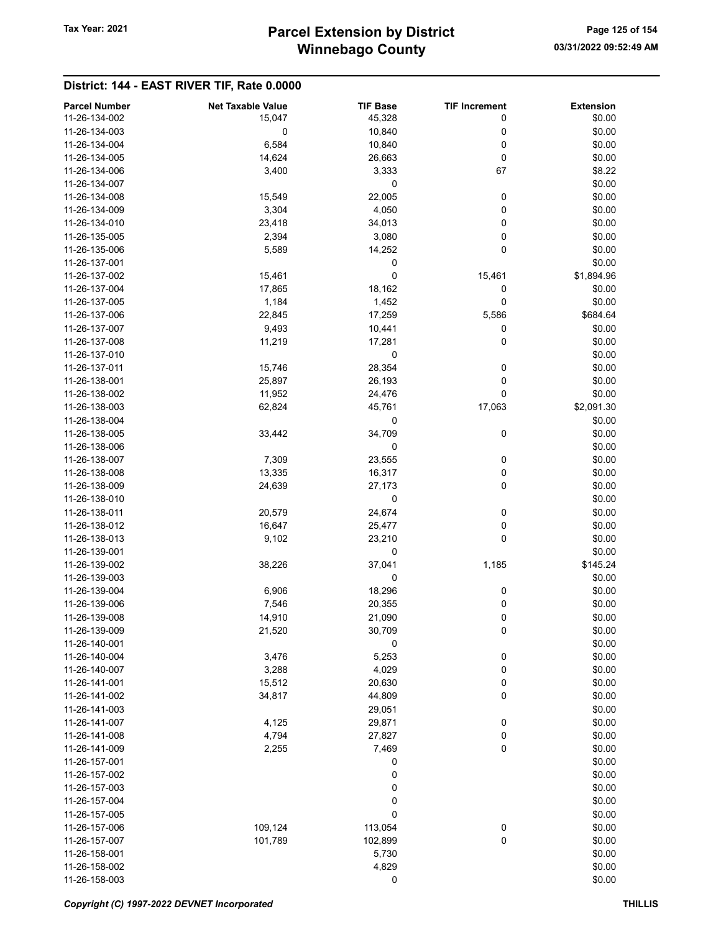## Winnebago County Tax Year: 2021 **Parcel Extension by District** Page 125 of 154

| <b>Parcel Number</b> | <b>Net Taxable Value</b> | <b>TIF Base</b> | <b>TIF Increment</b> | <b>Extension</b> |
|----------------------|--------------------------|-----------------|----------------------|------------------|
| 11-26-134-002        | 15,047                   | 45,328          | 0                    | \$0.00           |
| 11-26-134-003        | 0                        | 10,840          | 0                    | \$0.00           |
| 11-26-134-004        | 6,584                    | 10,840          | 0                    | \$0.00           |
| 11-26-134-005        | 14,624                   | 26,663          | 0                    | \$0.00           |
| 11-26-134-006        | 3,400                    | 3,333           | 67                   | \$8.22           |
|                      |                          |                 |                      |                  |
| 11-26-134-007        |                          | 0               |                      | \$0.00           |
| 11-26-134-008        | 15,549                   | 22,005          | 0                    | \$0.00           |
| 11-26-134-009        | 3,304                    | 4,050           | 0                    | \$0.00           |
| 11-26-134-010        | 23,418                   | 34,013          | 0                    | \$0.00           |
| 11-26-135-005        | 2,394                    | 3,080           | 0                    | \$0.00           |
| 11-26-135-006        | 5,589                    | 14,252          | 0                    | \$0.00           |
| 11-26-137-001        |                          | 0               |                      | \$0.00           |
| 11-26-137-002        | 15,461                   | 0               | 15,461               | \$1,894.96       |
| 11-26-137-004        | 17,865                   | 18,162          | 0                    | \$0.00           |
| 11-26-137-005        | 1,184                    | 1,452           | 0                    | \$0.00           |
| 11-26-137-006        | 22,845                   | 17,259          | 5,586                | \$684.64         |
| 11-26-137-007        | 9,493                    | 10,441          | 0                    | \$0.00           |
| 11-26-137-008        | 11,219                   | 17,281          | 0                    | \$0.00           |
| 11-26-137-010        |                          | 0               |                      | \$0.00           |
| 11-26-137-011        | 15,746                   | 28,354          | 0                    | \$0.00           |
| 11-26-138-001        | 25,897                   | 26,193          | 0                    | \$0.00           |
| 11-26-138-002        | 11,952                   | 24,476          | 0                    | \$0.00           |
| 11-26-138-003        | 62,824                   | 45,761          | 17,063               | \$2,091.30       |
| 11-26-138-004        |                          | 0               |                      | \$0.00           |
| 11-26-138-005        | 33,442                   | 34,709          | 0                    | \$0.00           |
| 11-26-138-006        |                          | 0               |                      | \$0.00           |
| 11-26-138-007        | 7,309                    | 23,555          | 0                    | \$0.00           |
| 11-26-138-008        | 13,335                   | 16,317          | 0                    | \$0.00           |
| 11-26-138-009        | 24,639                   | 27,173          | 0                    | \$0.00           |
| 11-26-138-010        |                          | 0               |                      | \$0.00           |
| 11-26-138-011        | 20,579                   | 24,674          | 0                    | \$0.00           |
| 11-26-138-012        | 16,647                   | 25,477          | 0                    | \$0.00           |
| 11-26-138-013        | 9,102                    | 23,210          | 0                    | \$0.00           |
| 11-26-139-001        |                          | 0               |                      | \$0.00           |
| 11-26-139-002        | 38,226                   | 37,041          | 1,185                | \$145.24         |
| 11-26-139-003        |                          | 0               |                      | \$0.00           |
| 11-26-139-004        |                          |                 |                      |                  |
| 11-26-139-006        | 6,906                    | 18,296          | 0                    | \$0.00           |
| 11-26-139-008        | 7,546                    | 20,355          | 0                    | \$0.00           |
|                      | 14,910                   | 21,090          | 0                    | \$0.00<br>\$0.00 |
| 11-26-139-009        | 21,520                   | 30,709          | 0                    |                  |
| 11-26-140-001        |                          | 0               |                      | \$0.00           |
| 11-26-140-004        | 3,476                    | 5,253           | 0                    | \$0.00           |
| 11-26-140-007        | 3,288                    | 4,029           | 0                    | \$0.00           |
| 11-26-141-001        | 15,512                   | 20,630          | 0                    | \$0.00           |
| 11-26-141-002        | 34,817                   | 44,809          | 0                    | \$0.00           |
| 11-26-141-003        |                          | 29,051          |                      | \$0.00           |
| 11-26-141-007        | 4,125                    | 29,871          | 0                    | \$0.00           |
| 11-26-141-008        | 4,794                    | 27,827          | 0                    | \$0.00           |
| 11-26-141-009        | 2,255                    | 7,469           | 0                    | \$0.00           |
| 11-26-157-001        |                          | 0               |                      | \$0.00           |
| 11-26-157-002        |                          | 0               |                      | \$0.00           |
| 11-26-157-003        |                          | 0               |                      | \$0.00           |
| 11-26-157-004        |                          | 0               |                      | \$0.00           |
| 11-26-157-005        |                          | 0               |                      | \$0.00           |
| 11-26-157-006        | 109,124                  | 113,054         | $\boldsymbol{0}$     | \$0.00           |
| 11-26-157-007        | 101,789                  | 102,899         | $\pmb{0}$            | \$0.00           |
| 11-26-158-001        |                          | 5,730           |                      | \$0.00           |
| 11-26-158-002        |                          | 4,829           |                      | \$0.00           |
| 11-26-158-003        |                          | 0               |                      | \$0.00           |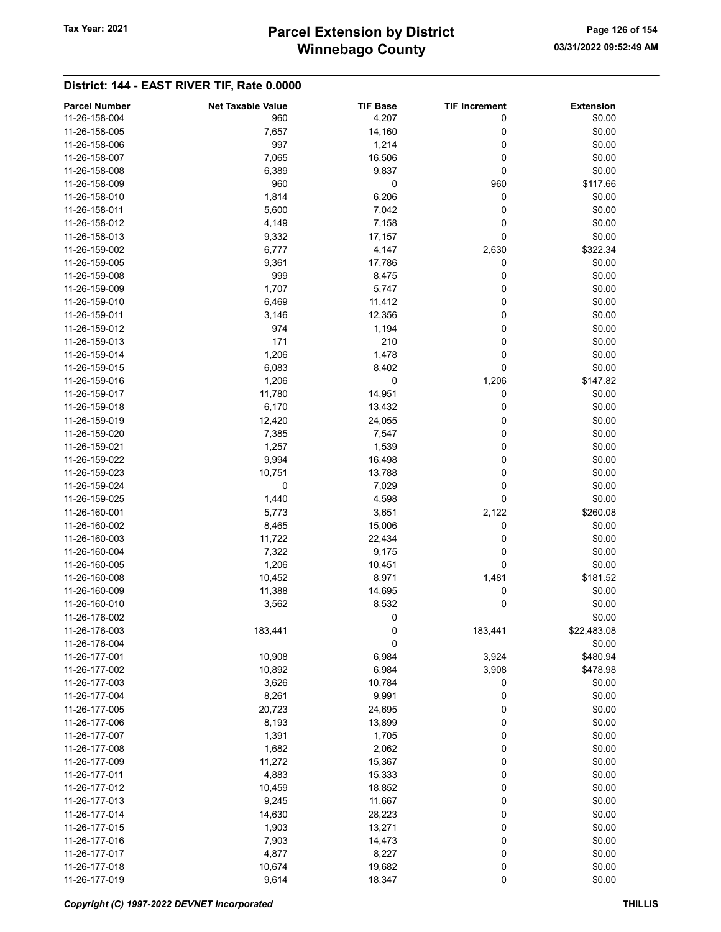## Winnebago County Tax Year: 2021 **Parcel Extension by District** Page 126 of 154

| <b>Parcel Number</b> | <b>Net Taxable Value</b> | <b>TIF Base</b> | <b>TIF Increment</b> | <b>Extension</b> |
|----------------------|--------------------------|-----------------|----------------------|------------------|
| 11-26-158-004        | 960                      | 4,207           | 0                    | \$0.00           |
| 11-26-158-005        | 7,657                    | 14,160          | 0                    | \$0.00           |
| 11-26-158-006        | 997                      | 1,214           | 0                    | \$0.00           |
| 11-26-158-007        | 7,065                    | 16,506          | 0                    | \$0.00           |
| 11-26-158-008        | 6,389                    | 9,837           | 0                    | \$0.00           |
| 11-26-158-009        | 960                      | 0               | 960                  | \$117.66         |
| 11-26-158-010        | 1,814                    | 6,206           | 0                    | \$0.00           |
| 11-26-158-011        | 5,600                    | 7,042           | 0                    | \$0.00           |
| 11-26-158-012        | 4,149                    | 7,158           | 0                    | \$0.00           |
| 11-26-158-013        |                          |                 | 0                    | \$0.00           |
| 11-26-159-002        | 9,332                    | 17,157          |                      |                  |
|                      | 6,777                    | 4,147           | 2,630                | \$322.34         |
| 11-26-159-005        | 9,361                    | 17,786          | 0                    | \$0.00           |
| 11-26-159-008        | 999                      | 8,475           | 0                    | \$0.00           |
| 11-26-159-009        | 1,707                    | 5,747           | 0                    | \$0.00           |
| 11-26-159-010        | 6,469                    | 11,412          | 0                    | \$0.00           |
| 11-26-159-011        | 3,146                    | 12,356          | 0                    | \$0.00           |
| 11-26-159-012        | 974                      | 1,194           | 0                    | \$0.00           |
| 11-26-159-013        | 171                      | 210             | 0                    | \$0.00           |
| 11-26-159-014        | 1,206                    | 1,478           | 0                    | \$0.00           |
| 11-26-159-015        | 6,083                    | 8,402           | 0                    | \$0.00           |
| 11-26-159-016        | 1,206                    | 0               | 1,206                | \$147.82         |
| 11-26-159-017        | 11,780                   | 14,951          | 0                    | \$0.00           |
| 11-26-159-018        | 6,170                    | 13,432          | 0                    | \$0.00           |
| 11-26-159-019        | 12,420                   | 24,055          | 0                    | \$0.00           |
| 11-26-159-020        | 7,385                    | 7,547           | 0                    | \$0.00           |
| 11-26-159-021        | 1,257                    | 1,539           | 0                    | \$0.00           |
| 11-26-159-022        | 9,994                    | 16,498          | 0                    | \$0.00           |
| 11-26-159-023        | 10,751                   | 13,788          | 0                    | \$0.00           |
| 11-26-159-024        | 0                        | 7,029           | 0                    | \$0.00           |
|                      |                          |                 | 0                    |                  |
| 11-26-159-025        | 1,440                    | 4,598           |                      | \$0.00           |
| 11-26-160-001        | 5,773                    | 3,651           | 2,122                | \$260.08         |
| 11-26-160-002        | 8,465                    | 15,006          | 0                    | \$0.00           |
| 11-26-160-003        | 11,722                   | 22,434          | 0                    | \$0.00           |
| 11-26-160-004        | 7,322                    | 9,175           | 0                    | \$0.00           |
| 11-26-160-005        | 1,206                    | 10,451          | 0                    | \$0.00           |
| 11-26-160-008        | 10,452                   | 8,971           | 1,481                | \$181.52         |
| 11-26-160-009        | 11,388                   | 14,695          | 0                    | \$0.00           |
| 11-26-160-010        | 3,562                    | 8,532           | 0                    | \$0.00           |
| 11-26-176-002        |                          | 0               |                      | \$0.00           |
| 11-26-176-003        | 183,441                  | 0               | 183,441              | \$22,483.08      |
| 11-26-176-004        |                          | 0               |                      | \$0.00           |
| 11-26-177-001        | 10,908                   | 6,984           | 3,924                | \$480.94         |
| 11-26-177-002        | 10,892                   | 6,984           | 3,908                | \$478.98         |
| 11-26-177-003        | 3,626                    | 10,784          | 0                    | \$0.00           |
| 11-26-177-004        | 8,261                    | 9,991           | 0                    | \$0.00           |
| 11-26-177-005        | 20,723                   | 24,695          | 0                    | \$0.00           |
| 11-26-177-006        | 8,193                    | 13,899          | 0                    | \$0.00           |
| 11-26-177-007        | 1,391                    | 1,705           | 0                    | \$0.00           |
| 11-26-177-008        | 1,682                    | 2,062           | 0                    | \$0.00           |
| 11-26-177-009        | 11,272                   | 15,367          | 0                    | \$0.00           |
| 11-26-177-011        |                          |                 |                      | \$0.00           |
|                      | 4,883                    | 15,333          | 0                    |                  |
| 11-26-177-012        | 10,459                   | 18,852          | 0                    | \$0.00           |
| 11-26-177-013        | 9,245                    | 11,667          | 0                    | \$0.00           |
| 11-26-177-014        | 14,630                   | 28,223          | 0                    | \$0.00           |
| 11-26-177-015        | 1,903                    | 13,271          | 0                    | \$0.00           |
| 11-26-177-016        | 7,903                    | 14,473          | 0                    | \$0.00           |
| 11-26-177-017        | 4,877                    | 8,227           | 0                    | \$0.00           |
| 11-26-177-018        | 10,674                   | 19,682          | 0                    | \$0.00           |
| 11-26-177-019        | 9,614                    | 18,347          | $\pmb{0}$            | \$0.00           |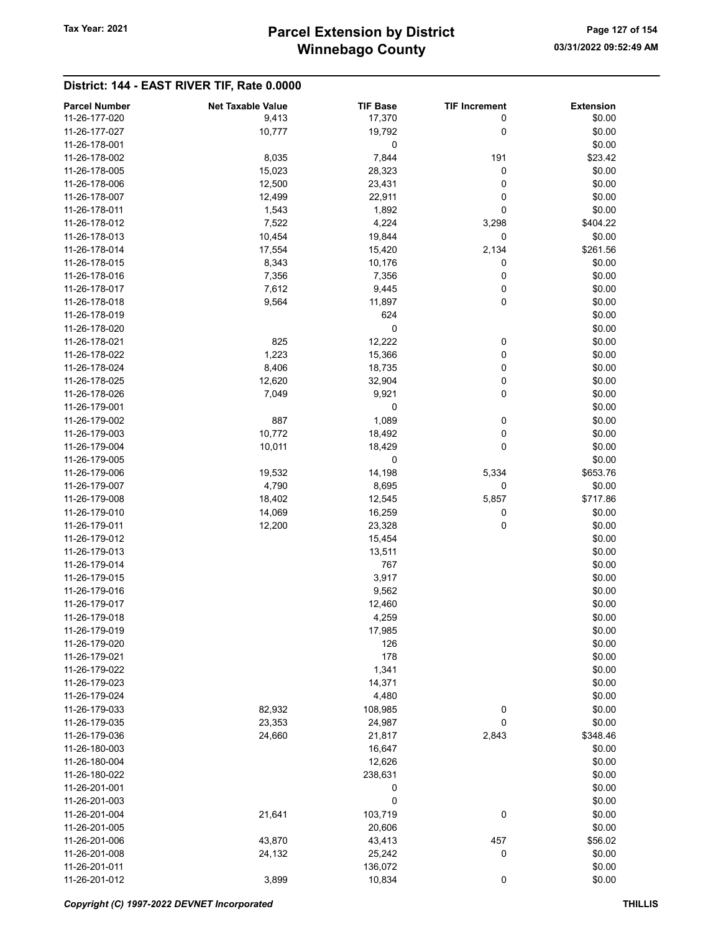## Winnebago County Tax Year: 2021 **Parcel Extension by District** Page 127 of 154

| <b>Parcel Number</b> | <b>Net Taxable Value</b> | <b>TIF Base</b> | <b>TIF Increment</b> | <b>Extension</b> |
|----------------------|--------------------------|-----------------|----------------------|------------------|
| 11-26-177-020        | 9,413                    | 17,370          | 0                    | \$0.00           |
| 11-26-177-027        | 10,777                   |                 |                      |                  |
|                      |                          | 19,792          | 0                    | \$0.00           |
| 11-26-178-001        |                          | 0               |                      | \$0.00           |
| 11-26-178-002        | 8,035                    | 7,844           | 191                  | \$23.42          |
| 11-26-178-005        | 15,023                   | 28,323          | 0                    | \$0.00           |
| 11-26-178-006        | 12,500                   | 23,431          | 0                    | \$0.00           |
| 11-26-178-007        | 12,499                   | 22,911          | 0                    | \$0.00           |
| 11-26-178-011        | 1,543                    | 1,892           | 0                    | \$0.00           |
| 11-26-178-012        | 7,522                    | 4,224           | 3,298                | \$404.22         |
| 11-26-178-013        | 10,454                   | 19,844          | $\mathbf 0$          | \$0.00           |
| 11-26-178-014        | 17,554                   | 15,420          | 2,134                | \$261.56         |
| 11-26-178-015        | 8,343                    | 10,176          | 0                    | \$0.00           |
| 11-26-178-016        | 7,356                    | 7,356           | 0                    | \$0.00           |
| 11-26-178-017        | 7,612                    | 9,445           | 0                    | \$0.00           |
| 11-26-178-018        | 9,564                    | 11,897          | 0                    | \$0.00           |
| 11-26-178-019        |                          | 624             |                      | \$0.00           |
| 11-26-178-020        |                          | 0               |                      | \$0.00           |
| 11-26-178-021        | 825                      | 12,222          | 0                    | \$0.00           |
| 11-26-178-022        | 1,223                    | 15,366          | 0                    | \$0.00           |
| 11-26-178-024        | 8,406                    | 18,735          | 0                    | \$0.00           |
| 11-26-178-025        | 12,620                   | 32,904          | 0                    | \$0.00           |
| 11-26-178-026        | 7,049                    | 9,921           | 0                    | \$0.00           |
| 11-26-179-001        |                          | 0               |                      | \$0.00           |
| 11-26-179-002        | 887                      | 1,089           | 0                    | \$0.00           |
| 11-26-179-003        | 10,772                   | 18,492          | 0                    | \$0.00           |
| 11-26-179-004        | 10,011                   | 18,429          | 0                    | \$0.00           |
| 11-26-179-005        |                          | 0               |                      | \$0.00           |
| 11-26-179-006        | 19,532                   | 14,198          | 5,334                | \$653.76         |
| 11-26-179-007        | 4,790                    | 8,695           | 0                    | \$0.00           |
|                      |                          |                 |                      |                  |
| 11-26-179-008        | 18,402                   | 12,545          | 5,857                | \$717.86         |
| 11-26-179-010        | 14,069                   | 16,259          | 0                    | \$0.00           |
| 11-26-179-011        | 12,200                   | 23,328          | 0                    | \$0.00           |
| 11-26-179-012        |                          | 15,454          |                      | \$0.00           |
| 11-26-179-013        |                          | 13,511          |                      | \$0.00           |
| 11-26-179-014        |                          | 767             |                      | \$0.00           |
| 11-26-179-015        |                          | 3,917           |                      | \$0.00           |
| 11-26-179-016        |                          | 9,562           |                      | \$0.00           |
| 11-26-179-017        |                          | 12,460          |                      | \$0.00           |
| 11-26-179-018        |                          | 4,259           |                      | \$0.00           |
| 11-26-179-019        |                          | 17,985          |                      | \$0.00           |
| 11-26-179-020        |                          | 126             |                      | \$0.00           |
| 11-26-179-021        |                          | 178             |                      | \$0.00           |
| 11-26-179-022        |                          | 1,341           |                      | \$0.00           |
| 11-26-179-023        |                          | 14,371          |                      | \$0.00           |
| 11-26-179-024        |                          | 4,480           |                      | \$0.00           |
| 11-26-179-033        | 82,932                   | 108,985         | 0                    | \$0.00           |
| 11-26-179-035        | 23,353                   | 24,987          | 0                    | \$0.00           |
| 11-26-179-036        | 24,660                   | 21,817          | 2,843                | \$348.46         |
| 11-26-180-003        |                          | 16,647          |                      | \$0.00           |
| 11-26-180-004        |                          | 12,626          |                      | \$0.00           |
| 11-26-180-022        |                          | 238,631         |                      | \$0.00           |
| 11-26-201-001        |                          | 0               |                      | \$0.00           |
| 11-26-201-003        |                          | 0               |                      | \$0.00           |
| 11-26-201-004        | 21,641                   | 103,719         | 0                    | \$0.00           |
| 11-26-201-005        |                          | 20,606          |                      | \$0.00           |
| 11-26-201-006        | 43,870                   | 43,413          | 457                  | \$56.02          |
| 11-26-201-008        | 24,132                   | 25,242          | 0                    | \$0.00           |
| 11-26-201-011        |                          | 136,072         |                      | \$0.00           |
| 11-26-201-012        | 3,899                    | 10,834          | 0                    | \$0.00           |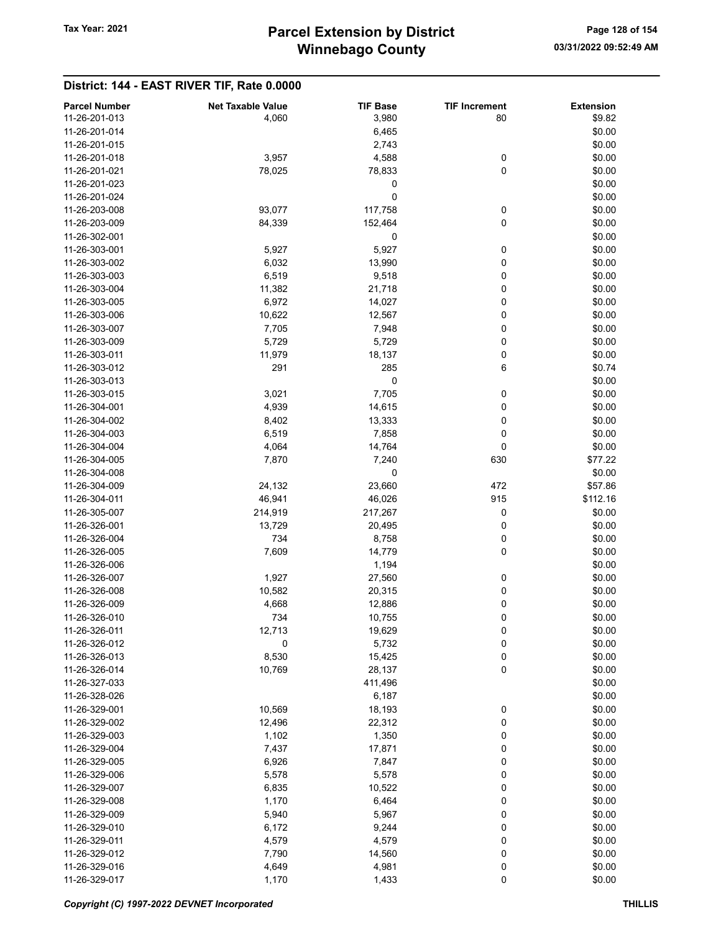## Winnebago County Tax Year: 2021 **Parcel Extension by District** Page 128 of 154

| <b>Parcel Number</b> | <b>Net Taxable Value</b> | <b>TIF Base</b> | <b>TIF Increment</b> | <b>Extension</b> |
|----------------------|--------------------------|-----------------|----------------------|------------------|
| 11-26-201-013        | 4,060                    | 3,980           | 80                   | \$9.82           |
| 11-26-201-014        |                          | 6,465           |                      | \$0.00           |
| 11-26-201-015        |                          | 2,743           |                      | \$0.00           |
|                      |                          |                 |                      |                  |
| 11-26-201-018        | 3,957                    | 4,588           | 0                    | \$0.00           |
| 11-26-201-021        | 78,025                   | 78,833          | 0                    | \$0.00           |
| 11-26-201-023        |                          | 0               |                      | \$0.00           |
| 11-26-201-024        |                          | 0               |                      | \$0.00           |
| 11-26-203-008        | 93,077                   | 117,758         | 0                    | \$0.00           |
| 11-26-203-009        | 84,339                   | 152,464         | 0                    | \$0.00           |
| 11-26-302-001        |                          | 0               |                      | \$0.00           |
| 11-26-303-001        | 5,927                    | 5,927           | 0                    | \$0.00           |
| 11-26-303-002        | 6,032                    | 13,990          | 0                    | \$0.00           |
| 11-26-303-003        | 6,519                    | 9,518           | 0                    | \$0.00           |
| 11-26-303-004        | 11,382                   | 21,718          | 0                    | \$0.00           |
| 11-26-303-005        | 6,972                    | 14,027          | 0                    | \$0.00           |
| 11-26-303-006        | 10,622                   | 12,567          | 0                    | \$0.00           |
| 11-26-303-007        | 7,705                    | 7,948           | 0                    | \$0.00           |
| 11-26-303-009        | 5,729                    | 5,729           | 0                    | \$0.00           |
| 11-26-303-011        | 11,979                   | 18,137          | 0                    | \$0.00           |
| 11-26-303-012        | 291                      | 285             | 6                    | \$0.74           |
| 11-26-303-013        |                          | 0               |                      | \$0.00           |
| 11-26-303-015        | 3,021                    | 7,705           | 0                    | \$0.00           |
| 11-26-304-001        | 4,939                    | 14,615          | 0                    | \$0.00           |
| 11-26-304-002        | 8,402                    | 13,333          | 0                    | \$0.00           |
| 11-26-304-003        | 6,519                    | 7,858           | 0                    | \$0.00           |
| 11-26-304-004        | 4,064                    | 14,764          | 0                    | \$0.00           |
| 11-26-304-005        | 7,870                    | 7,240           | 630                  | \$77.22          |
| 11-26-304-008        |                          | 0               |                      | \$0.00           |
| 11-26-304-009        | 24,132                   | 23,660          | 472                  | \$57.86          |
| 11-26-304-011        | 46,941                   | 46,026          | 915                  | \$112.16         |
| 11-26-305-007        | 214,919                  | 217,267         | 0                    | \$0.00           |
| 11-26-326-001        | 13,729                   | 20,495          | 0                    | \$0.00           |
| 11-26-326-004        | 734                      | 8,758           | 0                    | \$0.00           |
| 11-26-326-005        | 7,609                    | 14,779          | 0                    | \$0.00           |
| 11-26-326-006        |                          | 1,194           |                      | \$0.00           |
| 11-26-326-007        | 1,927                    | 27,560          | 0                    | \$0.00           |
| 11-26-326-008        | 10,582                   | 20,315          | 0                    | \$0.00           |
| 11-26-326-009        | 4,668                    | 12,886          | 0                    | \$0.00           |
| 11-26-326-010        | 734                      | 10,755          | 0                    | \$0.00           |
| 11-26-326-011        | 12,713                   | 19,629          | 0                    | \$0.00           |
| 11-26-326-012        | 0                        | 5,732           | 0                    | \$0.00           |
| 11-26-326-013        | 8,530                    | 15,425          | 0                    | \$0.00           |
| 11-26-326-014        | 10,769                   | 28,137          | 0                    | \$0.00           |
| 11-26-327-033        |                          |                 |                      |                  |
| 11-26-328-026        |                          | 411,496         |                      | \$0.00<br>\$0.00 |
|                      |                          | 6,187           |                      |                  |
| 11-26-329-001        | 10,569                   | 18,193          | 0                    | \$0.00           |
| 11-26-329-002        | 12,496                   | 22,312          | 0                    | \$0.00           |
| 11-26-329-003        | 1,102                    | 1,350           | 0                    | \$0.00           |
| 11-26-329-004        | 7,437                    | 17,871          | 0                    | \$0.00           |
| 11-26-329-005        | 6,926                    | 7,847           | 0                    | \$0.00           |
| 11-26-329-006        | 5,578                    | 5,578           | 0                    | \$0.00           |
| 11-26-329-007        | 6,835                    | 10,522          | 0                    | \$0.00           |
| 11-26-329-008        | 1,170                    | 6,464           | 0                    | \$0.00           |
| 11-26-329-009        | 5,940                    | 5,967           | 0                    | \$0.00           |
| 11-26-329-010        | 6,172                    | 9,244           | 0                    | \$0.00           |
| 11-26-329-011        | 4,579                    | 4,579           | 0                    | \$0.00           |
| 11-26-329-012        | 7,790                    | 14,560          | 0                    | \$0.00           |
| 11-26-329-016        | 4,649                    | 4,981           | 0                    | \$0.00           |
| 11-26-329-017        | 1,170                    | 1,433           | $\pmb{0}$            | \$0.00           |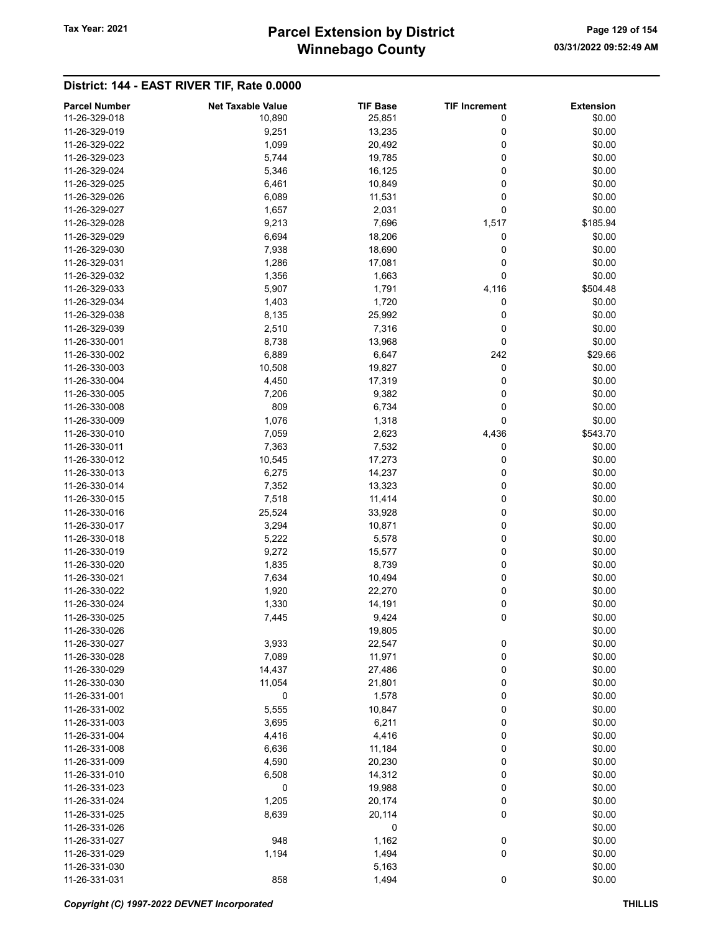## Winnebago County Tax Year: 2021 **Parcel Extension by District** Page 129 of 154

| <b>Parcel Number</b> | <b>Net Taxable Value</b> | <b>TIF Base</b> | <b>TIF Increment</b> | <b>Extension</b> |
|----------------------|--------------------------|-----------------|----------------------|------------------|
| 11-26-329-018        | 10,890                   | 25,851          | 0                    | \$0.00           |
| 11-26-329-019        | 9,251                    | 13,235          | 0                    | \$0.00           |
| 11-26-329-022        | 1,099                    | 20,492          | 0                    | \$0.00           |
| 11-26-329-023        | 5,744                    | 19,785          | 0                    | \$0.00           |
| 11-26-329-024        | 5,346                    | 16,125          | 0                    | \$0.00           |
| 11-26-329-025        | 6,461                    | 10,849          | 0                    | \$0.00           |
| 11-26-329-026        | 6,089                    | 11,531          | 0                    | \$0.00           |
| 11-26-329-027        | 1,657                    | 2,031           | 0                    | \$0.00           |
| 11-26-329-028        | 9,213                    | 7,696           | 1,517                | \$185.94         |
| 11-26-329-029        | 6,694                    |                 |                      | \$0.00           |
| 11-26-329-030        |                          | 18,206          | 0                    |                  |
|                      | 7,938                    | 18,690          | 0                    | \$0.00           |
| 11-26-329-031        | 1,286                    | 17,081          | 0                    | \$0.00           |
| 11-26-329-032        | 1,356                    | 1,663           | 0                    | \$0.00           |
| 11-26-329-033        | 5,907                    | 1,791           | 4,116                | \$504.48         |
| 11-26-329-034        | 1,403                    | 1,720           | 0                    | \$0.00           |
| 11-26-329-038        | 8,135                    | 25,992          | 0                    | \$0.00           |
| 11-26-329-039        | 2,510                    | 7,316           | 0                    | \$0.00           |
| 11-26-330-001        | 8,738                    | 13,968          | 0                    | \$0.00           |
| 11-26-330-002        | 6,889                    | 6,647           | 242                  | \$29.66          |
| 11-26-330-003        | 10,508                   | 19,827          | 0                    | \$0.00           |
| 11-26-330-004        | 4,450                    | 17,319          | 0                    | \$0.00           |
| 11-26-330-005        | 7,206                    | 9,382           | 0                    | \$0.00           |
| 11-26-330-008        | 809                      | 6,734           | 0                    | \$0.00           |
| 11-26-330-009        | 1,076                    | 1,318           | 0                    | \$0.00           |
| 11-26-330-010        | 7,059                    | 2,623           | 4,436                | \$543.70         |
| 11-26-330-011        | 7,363                    | 7,532           | 0                    | \$0.00           |
| 11-26-330-012        | 10,545                   | 17,273          | 0                    | \$0.00           |
| 11-26-330-013        | 6,275                    | 14,237          | 0                    | \$0.00           |
| 11-26-330-014        |                          |                 |                      | \$0.00           |
|                      | 7,352                    | 13,323          | 0                    |                  |
| 11-26-330-015        | 7,518                    | 11,414          | 0                    | \$0.00           |
| 11-26-330-016        | 25,524                   | 33,928          | 0                    | \$0.00           |
| 11-26-330-017        | 3,294                    | 10,871          | 0                    | \$0.00           |
| 11-26-330-018        | 5,222                    | 5,578           | 0                    | \$0.00           |
| 11-26-330-019        | 9,272                    | 15,577          | 0                    | \$0.00           |
| 11-26-330-020        | 1,835                    | 8,739           | 0                    | \$0.00           |
| 11-26-330-021        | 7,634                    | 10,494          | 0                    | \$0.00           |
| 11-26-330-022        | 1,920                    | 22,270          | 0                    | \$0.00           |
| 11-26-330-024        | 1,330                    | 14,191          | 0                    | \$0.00           |
| 11-26-330-025        | 7,445                    | 9,424           | 0                    | \$0.00           |
| 11-26-330-026        |                          | 19,805          |                      | \$0.00           |
| 11-26-330-027        | 3,933                    | 22,547          | 0                    | \$0.00           |
| 11-26-330-028        | 7,089                    | 11,971          | $\mathbf 0$          | \$0.00           |
| 11-26-330-029        | 14,437                   | 27,486          | 0                    | \$0.00           |
| 11-26-330-030        | 11,054                   | 21,801          | 0                    | \$0.00           |
| 11-26-331-001        | 0                        | 1,578           | 0                    | \$0.00           |
| 11-26-331-002        | 5,555                    | 10,847          | 0                    | \$0.00           |
| 11-26-331-003        | 3,695                    | 6,211           | 0                    | \$0.00           |
| 11-26-331-004        | 4,416                    | 4,416           | 0                    | \$0.00           |
| 11-26-331-008        | 6,636                    | 11,184          | $\mathbf 0$          | \$0.00           |
| 11-26-331-009        |                          | 20,230          |                      | \$0.00           |
|                      | 4,590                    |                 | 0                    |                  |
| 11-26-331-010        | 6,508                    | 14,312          | 0                    | \$0.00           |
| 11-26-331-023        | 0                        | 19,988          | 0                    | \$0.00           |
| 11-26-331-024        | 1,205                    | 20,174          | 0                    | \$0.00           |
| 11-26-331-025        | 8,639                    | 20,114          | 0                    | \$0.00           |
| 11-26-331-026        |                          | 0               |                      | \$0.00           |
| 11-26-331-027        | 948                      | 1,162           | 0                    | \$0.00           |
| 11-26-331-029        | 1,194                    | 1,494           | 0                    | \$0.00           |
| 11-26-331-030        |                          | 5,163           |                      | \$0.00           |
| 11-26-331-031        | 858                      | 1,494           | $\pmb{0}$            | \$0.00           |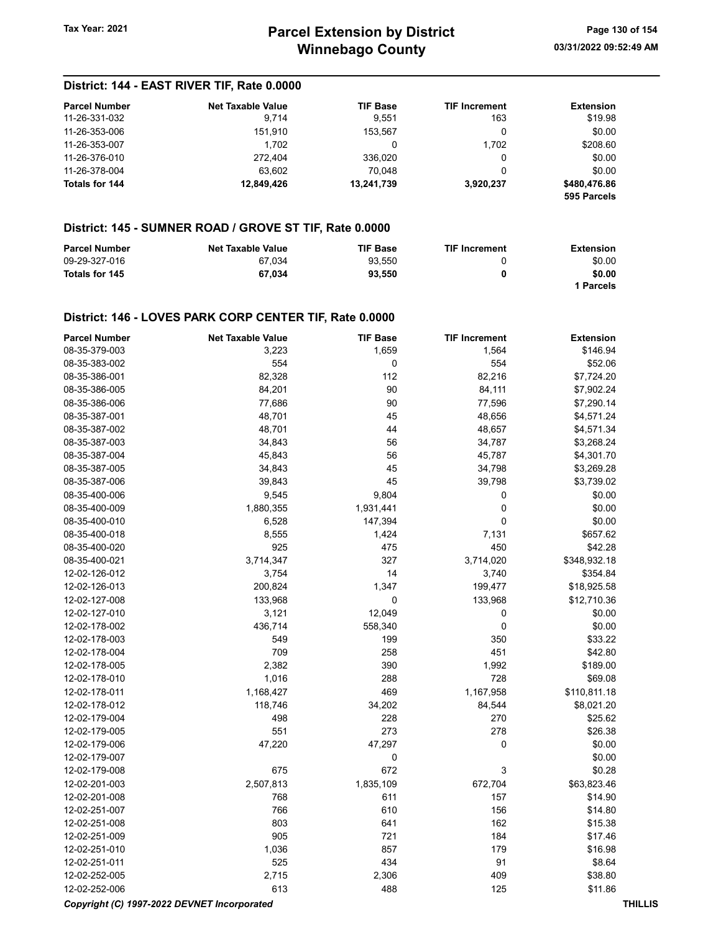### District: 144 - EAST RIVER TIF, Rate 0.0000

| <b>Parcel Number</b>  | <b>Net Taxable Value</b> | <b>TIF Base</b> | <b>TIF Increment</b> | <b>Extension</b>            |
|-----------------------|--------------------------|-----------------|----------------------|-----------------------------|
| 11-26-331-032         | 9.714                    | 9.551           | 163                  | \$19.98                     |
| 11-26-353-006         | 151.910                  | 153.567         |                      | \$0.00                      |
| 11-26-353-007         | 1.702                    | 0               | 1.702                | \$208.60                    |
| 11-26-376-010         | 272.404                  | 336.020         | 0                    | \$0.00                      |
| 11-26-378-004         | 63.602                   | 70.048          | 0                    | \$0.00                      |
| <b>Totals for 144</b> | 12.849.426               | 13,241,739      | 3.920.237            | \$480,476.86<br>595 Parcels |

### District: 145 - SUMNER ROAD / GROVE ST TIF, Rate 0.0000

| <b>Parcel Number</b> | <b>Net Taxable Value</b> | <b>TIF Base</b> | <b>TIF Increment</b> | Extension |
|----------------------|--------------------------|-----------------|----------------------|-----------|
| 09-29-327-016        | 67.034                   | 93.550          |                      | \$0.00    |
| Totals for 145       | 67.034                   | 93.550          | 0                    | \$0.00    |
|                      |                          |                 |                      | 1 Parcels |

#### District: 146 - LOVES PARK CORP CENTER TIF, Rate 0.0000

| <b>Parcel Number</b> | <b>Net Taxable Value</b> | <b>TIF Base</b> | <b>TIF Increment</b> | <b>Extension</b> |
|----------------------|--------------------------|-----------------|----------------------|------------------|
| 08-35-379-003        | 3,223                    | 1,659           | 1,564                | \$146.94         |
| 08-35-383-002        | 554                      | 0               | 554                  | \$52.06          |
| 08-35-386-001        | 82,328                   | 112             | 82,216               | \$7,724.20       |
| 08-35-386-005        | 84,201                   | 90              | 84,111               | \$7,902.24       |
| 08-35-386-006        | 77,686                   | 90              | 77,596               | \$7,290.14       |
| 08-35-387-001        | 48,701                   | 45              | 48,656               | \$4,571.24       |
| 08-35-387-002        | 48,701                   | 44              | 48,657               | \$4,571.34       |
| 08-35-387-003        | 34,843                   | 56              | 34,787               | \$3,268.24       |
| 08-35-387-004        | 45,843                   | 56              | 45,787               | \$4,301.70       |
| 08-35-387-005        | 34,843                   | 45              | 34,798               | \$3,269.28       |
| 08-35-387-006        | 39,843                   | 45              | 39,798               | \$3,739.02       |
| 08-35-400-006        | 9,545                    | 9,804           | 0                    | \$0.00           |
| 08-35-400-009        | 1,880,355                | 1,931,441       | 0                    | \$0.00           |
| 08-35-400-010        | 6,528                    | 147,394         | 0                    | \$0.00           |
| 08-35-400-018        | 8,555                    | 1,424           | 7,131                | \$657.62         |
| 08-35-400-020        | 925                      | 475             | 450                  | \$42.28          |
| 08-35-400-021        | 3,714,347                | 327             | 3,714,020            | \$348,932.18     |
| 12-02-126-012        | 3,754                    | 14              | 3,740                | \$354.84         |
| 12-02-126-013        | 200,824                  | 1,347           | 199,477              | \$18,925.58      |
| 12-02-127-008        | 133,968                  | 0               | 133,968              | \$12,710.36      |
| 12-02-127-010        | 3,121                    | 12,049          | 0                    | \$0.00           |
| 12-02-178-002        | 436,714                  | 558,340         | 0                    | \$0.00           |
| 12-02-178-003        | 549                      | 199             | 350                  | \$33.22          |
| 12-02-178-004        | 709                      | 258             | 451                  | \$42.80          |
| 12-02-178-005        | 2,382                    | 390             | 1,992                | \$189.00         |
| 12-02-178-010        | 1,016                    | 288             | 728                  | \$69.08          |
| 12-02-178-011        | 1,168,427                | 469             | 1,167,958            | \$110,811.18     |
| 12-02-178-012        | 118,746                  | 34,202          | 84,544               | \$8,021.20       |
| 12-02-179-004        | 498                      | 228             | 270                  | \$25.62          |
| 12-02-179-005        | 551                      | 273             | 278                  | \$26.38          |
| 12-02-179-006        | 47,220                   | 47,297          | 0                    | \$0.00           |
| 12-02-179-007        |                          | 0               |                      | \$0.00           |
| 12-02-179-008        | 675                      | 672             | 3                    | \$0.28           |
| 12-02-201-003        | 2,507,813                | 1,835,109       | 672,704              | \$63,823.46      |
| 12-02-201-008        | 768                      | 611             | 157                  | \$14.90          |
| 12-02-251-007        | 766                      | 610             | 156                  | \$14.80          |
| 12-02-251-008        | 803                      | 641             | 162                  | \$15.38          |
| 12-02-251-009        | 905                      | 721             | 184                  | \$17.46          |
| 12-02-251-010        | 1,036                    | 857             | 179                  | \$16.98          |
| 12-02-251-011        | 525                      | 434             | 91                   | \$8.64           |
| 12-02-252-005        | 2,715                    | 2,306           | 409                  | \$38.80          |
| 12-02-252-006        | 613                      | 488             | 125                  | \$11.86          |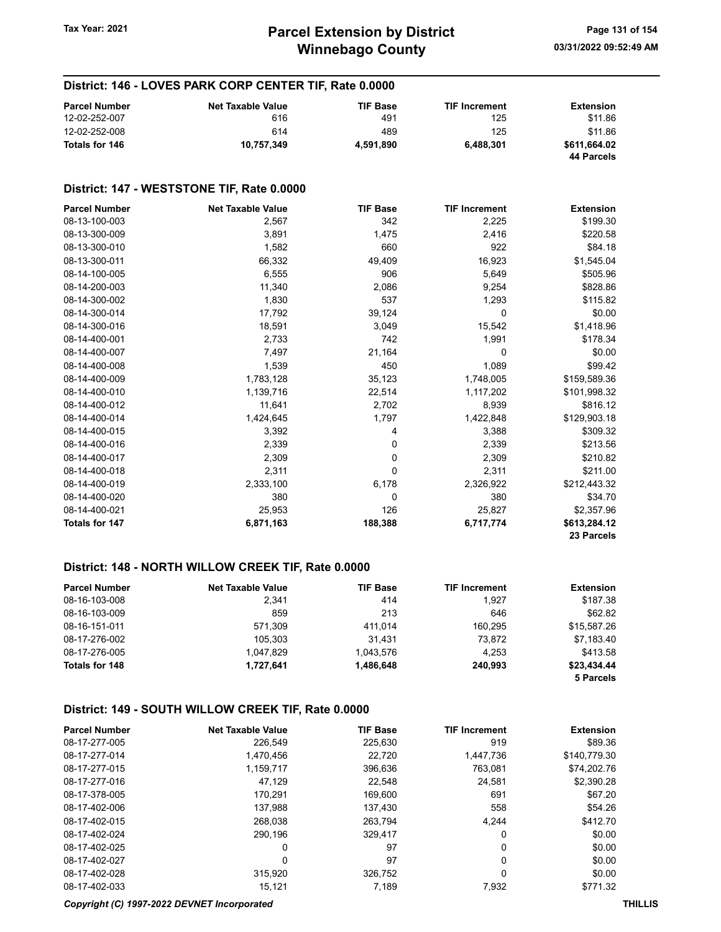### District: 146 - LOVES PARK CORP CENTER TIF, Rate 0.0000

| <b>Parcel Number</b> | <b>Net Taxable Value</b> | <b>TIF Base</b> | <b>TIF Increment</b> | <b>Extension</b> |
|----------------------|--------------------------|-----------------|----------------------|------------------|
| 12-02-252-007        | 616                      | 491             | 125                  | \$11.86          |
| 12-02-252-008        | 614                      | 489             | 125                  | \$11.86          |
| Totals for 146       | 10.757.349               | 4.591.890       | 6.488.301            | \$611.664.02     |
|                      |                          |                 |                      | 44 Parcels       |

#### District: 147 - WESTSTONE TIF, Rate 0.0000

| <b>Parcel Number</b> | <b>Net Taxable Value</b> | <b>TIF Base</b> | <b>TIF Increment</b> | <b>Extension</b> |
|----------------------|--------------------------|-----------------|----------------------|------------------|
| 08-13-100-003        | 2,567                    | 342             | 2,225                | \$199.30         |
| 08-13-300-009        | 3,891                    | 1,475           | 2,416                | \$220.58         |
| 08-13-300-010        | 1,582                    | 660             | 922                  | \$84.18          |
| 08-13-300-011        | 66,332                   | 49,409          | 16,923               | \$1,545.04       |
| 08-14-100-005        | 6,555                    | 906             | 5,649                | \$505.96         |
| 08-14-200-003        | 11,340                   | 2,086           | 9,254                | \$828.86         |
| 08-14-300-002        | 1,830                    | 537             | 1,293                | \$115.82         |
| 08-14-300-014        | 17,792                   | 39,124          | 0                    | \$0.00           |
| 08-14-300-016        | 18,591                   | 3,049           | 15,542               | \$1,418.96       |
| 08-14-400-001        | 2,733                    | 742             | 1,991                | \$178.34         |
| 08-14-400-007        | 7,497                    | 21,164          | 0                    | \$0.00           |
| 08-14-400-008        | 1,539                    | 450             | 1,089                | \$99.42          |
| 08-14-400-009        | 1,783,128                | 35,123          | 1,748,005            | \$159,589.36     |
| 08-14-400-010        | 1,139,716                | 22,514          | 1,117,202            | \$101,998.32     |
| 08-14-400-012        | 11,641                   | 2,702           | 8,939                | \$816.12         |
| 08-14-400-014        | 1,424,645                | 1,797           | 1,422,848            | \$129,903.18     |
| 08-14-400-015        | 3,392                    | 4               | 3,388                | \$309.32         |
| 08-14-400-016        | 2,339                    | 0               | 2,339                | \$213.56         |
| 08-14-400-017        | 2,309                    | 0               | 2,309                | \$210.82         |
| 08-14-400-018        | 2,311                    | 0               | 2,311                | \$211.00         |
| 08-14-400-019        | 2,333,100                | 6,178           | 2,326,922            | \$212,443.32     |
| 08-14-400-020        | 380                      | 0               | 380                  | \$34.70          |
| 08-14-400-021        | 25,953                   | 126             | 25,827               | \$2,357.96       |
| Totals for 147       | 6,871,163                | 188,388         | 6,717,774            | \$613,284.12     |
|                      |                          |                 |                      | 23 Parcels       |

#### District: 148 - NORTH WILLOW CREEK TIF, Rate 0.0000

| <b>Parcel Number</b> | <b>Net Taxable Value</b> | <b>TIF Base</b> | <b>TIF Increment</b> | <b>Extension</b> |
|----------------------|--------------------------|-----------------|----------------------|------------------|
| 08-16-103-008        | 2.341                    | 414             | 1.927                | \$187.38         |
| 08-16-103-009        | 859                      | 213             | 646                  | \$62.82          |
| 08-16-151-011        | 571.309                  | 411.014         | 160.295              | \$15,587.26      |
| 08-17-276-002        | 105.303                  | 31.431          | 73.872               | \$7,183.40       |
| 08-17-276-005        | 1.047.829                | 1.043.576       | 4.253                | \$413.58         |
| Totals for 148       | 1.727.641                | 1,486,648       | 240.993              | \$23,434.44      |
|                      |                          |                 |                      | 5 Parcels        |

#### District: 149 - SOUTH WILLOW CREEK TIF, Rate 0.0000

| <b>Parcel Number</b> | <b>Net Taxable Value</b> | <b>TIF Base</b> | <b>TIF Increment</b> | <b>Extension</b> |
|----------------------|--------------------------|-----------------|----------------------|------------------|
| 08-17-277-005        | 226.549                  | 225,630         | 919                  | \$89.36          |
| 08-17-277-014        | 1,470,456                | 22.720          | 1.447.736            | \$140,779.30     |
| 08-17-277-015        | 1,159,717                | 396,636         | 763.081              | \$74,202.76      |
| 08-17-277-016        | 47,129                   | 22.548          | 24.581               | \$2,390.28       |
| 08-17-378-005        | 170.291                  | 169.600         | 691                  | \$67.20          |
| 08-17-402-006        | 137,988                  | 137.430         | 558                  | \$54.26          |
| 08-17-402-015        | 268.038                  | 263.794         | 4.244                | \$412.70         |
| 08-17-402-024        | 290.196                  | 329.417         | 0                    | \$0.00           |
| 08-17-402-025        | 0                        | 97              | 0                    | \$0.00           |
| 08-17-402-027        | 0                        | 97              | 0                    | \$0.00           |
| 08-17-402-028        | 315,920                  | 326,752         | 0                    | \$0.00           |
| 08-17-402-033        | 15.121                   | 7.189           | 7,932                | \$771.32         |

#### Copyright (C) 1997-2022 DEVNET Incorporated THILLIS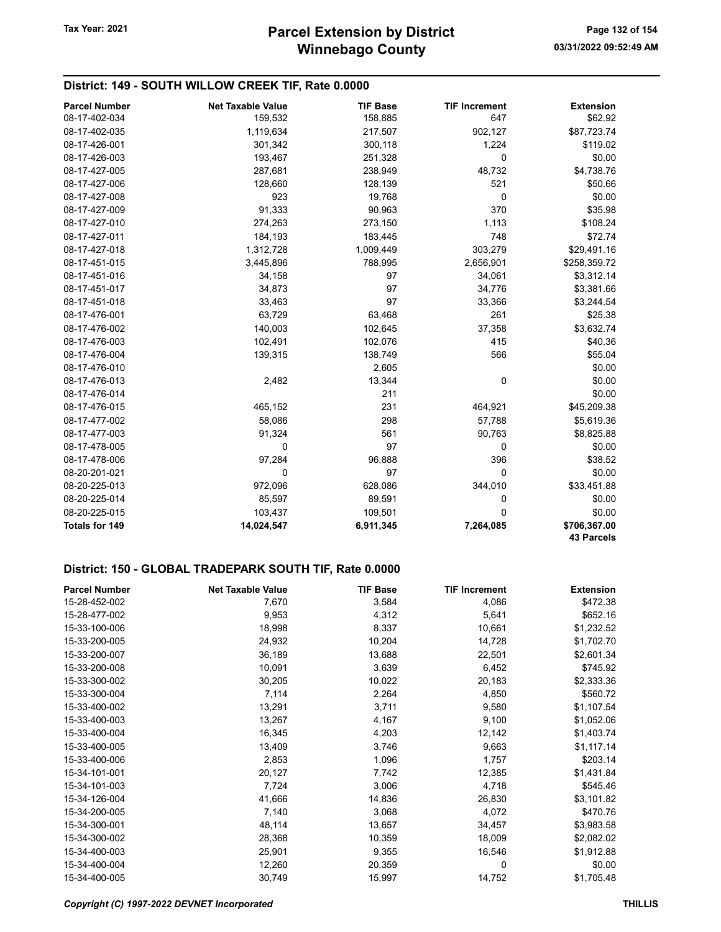### District: 149 - SOUTH WILLOW CREEK TIF, Rate 0.0000

| <b>Parcel Number</b> | <b>Net Taxable Value</b> | <b>TIF Base</b> | <b>TIF Increment</b> | <b>Extension</b>                  |
|----------------------|--------------------------|-----------------|----------------------|-----------------------------------|
| 08-17-402-034        | 159,532                  | 158,885         | 647                  | \$62.92                           |
| 08-17-402-035        | 1,119,634                | 217,507         | 902,127              | \$87,723.74                       |
| 08-17-426-001        | 301,342                  | 300,118         | 1,224                | \$119.02                          |
| 08-17-426-003        | 193,467                  | 251,328         | 0                    | \$0.00                            |
| 08-17-427-005        | 287,681                  | 238,949         | 48,732               | \$4,738.76                        |
| 08-17-427-006        | 128,660                  | 128,139         | 521                  | \$50.66                           |
| 08-17-427-008        | 923                      | 19,768          | 0                    | \$0.00                            |
| 08-17-427-009        | 91,333                   | 90,963          | 370                  | \$35.98                           |
| 08-17-427-010        | 274,263                  | 273,150         | 1,113                | \$108.24                          |
| 08-17-427-011        | 184,193                  | 183,445         | 748                  | \$72.74                           |
| 08-17-427-018        | 1,312,728                | 1,009,449       | 303,279              | \$29,491.16                       |
| 08-17-451-015        | 3,445,896                | 788,995         | 2,656,901            | \$258,359.72                      |
| 08-17-451-016        | 34,158                   | 97              | 34,061               | \$3,312.14                        |
| 08-17-451-017        | 34,873                   | 97              | 34,776               | \$3,381.66                        |
| 08-17-451-018        | 33,463                   | 97              | 33,366               | \$3,244.54                        |
| 08-17-476-001        | 63,729                   | 63,468          | 261                  | \$25.38                           |
| 08-17-476-002        | 140,003                  | 102,645         | 37,358               | \$3,632.74                        |
| 08-17-476-003        | 102,491                  | 102,076         | 415                  | \$40.36                           |
| 08-17-476-004        | 139,315                  | 138,749         | 566                  | \$55.04                           |
| 08-17-476-010        |                          | 2,605           |                      | \$0.00                            |
| 08-17-476-013        | 2,482                    | 13,344          | 0                    | \$0.00                            |
| 08-17-476-014        |                          | 211             |                      | \$0.00                            |
| 08-17-476-015        | 465,152                  | 231             | 464,921              | \$45,209.38                       |
| 08-17-477-002        | 58,086                   | 298             | 57,788               | \$5,619.36                        |
| 08-17-477-003        | 91,324                   | 561             | 90,763               | \$8,825.88                        |
| 08-17-478-005        | $\mathbf 0$              | 97              | 0                    | \$0.00                            |
| 08-17-478-006        | 97,284                   | 96,888          | 396                  | \$38.52                           |
| 08-20-201-021        | 0                        | 97              | 0                    | \$0.00                            |
| 08-20-225-013        | 972,096                  | 628,086         | 344,010              | \$33,451.88                       |
| 08-20-225-014        | 85,597                   | 89,591          | 0                    | \$0.00                            |
| 08-20-225-015        | 103,437                  | 109,501         | 0                    | \$0.00                            |
| Totals for 149       | 14,024,547               | 6,911,345       | 7,264,085            | \$706,367.00<br><b>43 Parcels</b> |

#### District: 150 - GLOBAL TRADEPARK SOUTH TIF, Rate 0.0000

| <b>Parcel Number</b> | <b>Net Taxable Value</b> | <b>TIF Base</b> | <b>TIF Increment</b> | <b>Extension</b> |
|----------------------|--------------------------|-----------------|----------------------|------------------|
| 15-28-452-002        | 7,670                    | 3,584           | 4,086                | \$472.38         |
| 15-28-477-002        | 9,953                    | 4,312           | 5,641                | \$652.16         |
| 15-33-100-006        | 18,998                   | 8,337           | 10,661               | \$1,232.52       |
| 15-33-200-005        | 24,932                   | 10,204          | 14,728               | \$1,702.70       |
| 15-33-200-007        | 36,189                   | 13,688          | 22,501               | \$2,601.34       |
| 15-33-200-008        | 10,091                   | 3,639           | 6,452                | \$745.92         |
| 15-33-300-002        | 30,205                   | 10,022          | 20,183               | \$2,333.36       |
| 15-33-300-004        | 7,114                    | 2,264           | 4,850                | \$560.72         |
| 15-33-400-002        | 13,291                   | 3,711           | 9,580                | \$1,107.54       |
| 15-33-400-003        | 13,267                   | 4,167           | 9,100                | \$1,052.06       |
| 15-33-400-004        | 16,345                   | 4,203           | 12,142               | \$1,403.74       |
| 15-33-400-005        | 13,409                   | 3,746           | 9,663                | \$1,117.14       |
| 15-33-400-006        | 2,853                    | 1,096           | 1,757                | \$203.14         |
| 15-34-101-001        | 20,127                   | 7,742           | 12,385               | \$1,431.84       |
| 15-34-101-003        | 7,724                    | 3,006           | 4,718                | \$545.46         |
| 15-34-126-004        | 41,666                   | 14,836          | 26,830               | \$3,101.82       |
| 15-34-200-005        | 7,140                    | 3,068           | 4,072                | \$470.76         |
| 15-34-300-001        | 48,114                   | 13,657          | 34,457               | \$3,983.58       |
| 15-34-300-002        | 28,368                   | 10,359          | 18,009               | \$2,082.02       |
| 15-34-400-003        | 25,901                   | 9,355           | 16,546               | \$1,912.88       |
| 15-34-400-004        | 12,260                   | 20,359          | 0                    | \$0.00           |
| 15-34-400-005        | 30,749                   | 15,997          | 14,752               | \$1,705.48       |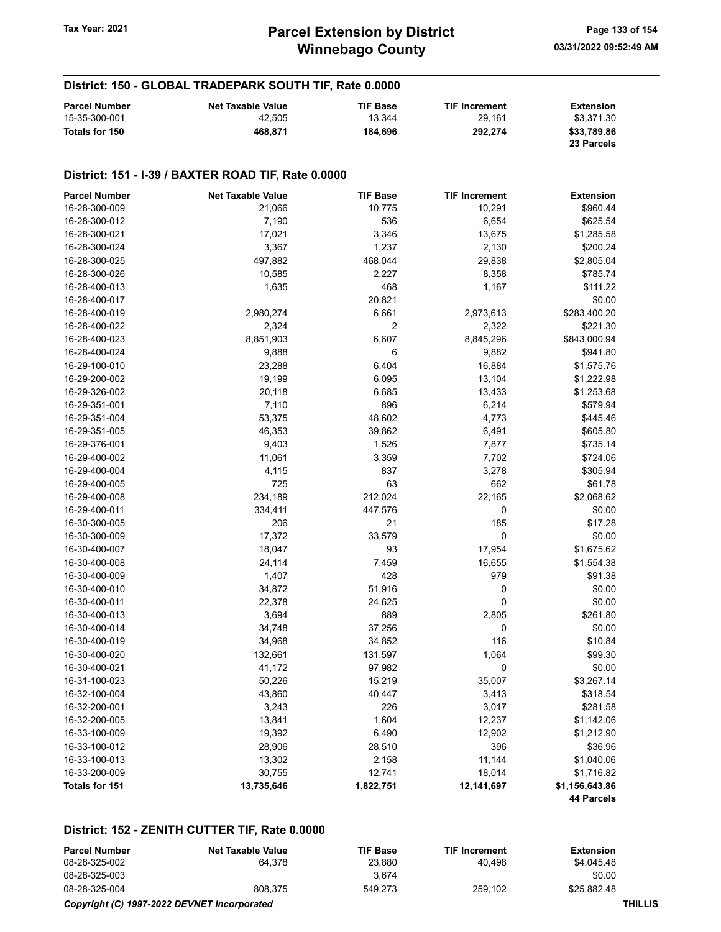#### District: 150 - GLOBAL TRADEPARK SOUTH TIF, Rate 0.0000

| <b>Parcel Number</b> | <b>Net Taxable Value</b> | <b>TIF Base</b> | <b>TIF Increment</b> | <b>Extension</b> |
|----------------------|--------------------------|-----------------|----------------------|------------------|
| 15-35-300-001        | 42.505                   | 13.344          | 29.161               | \$3,371.30       |
| Totals for 150       | 468.871                  | 184.696         | 292.274              | \$33,789.86      |
|                      |                          |                 |                      | 23 Parcels       |

#### District: 151 - I-39 / BAXTER ROAD TIF, Rate 0.0000

| <b>Parcel Number</b>  | <b>Net Taxable Value</b> | <b>TIF Base</b>  | <b>TIF Increment</b> | <b>Extension</b> |
|-----------------------|--------------------------|------------------|----------------------|------------------|
| 16-28-300-009         | 21,066                   | 10,775           | 10,291               | \$960.44         |
| 16-28-300-012         | 7,190                    | 536              | 6,654                | \$625.54         |
| 16-28-300-021         | 17,021                   | 3,346            | 13,675               | \$1,285.58       |
| 16-28-300-024         | 3,367                    | 1,237            | 2,130                | \$200.24         |
| 16-28-300-025         | 497,882                  | 468,044          | 29,838               | \$2,805.04       |
| 16-28-300-026         | 10,585                   | 2,227            | 8,358                | \$785.74         |
| 16-28-400-013         | 1,635                    | 468              | 1,167                | \$111.22         |
| 16-28-400-017         |                          | 20,821           |                      | \$0.00           |
| 16-28-400-019         | 2,980,274                | 6,661            | 2,973,613            | \$283,400.20     |
| 16-28-400-022         | 2,324                    | $\boldsymbol{2}$ | 2,322                | \$221.30         |
| 16-28-400-023         | 8,851,903                | 6,607            | 8,845,296            | \$843,000.94     |
| 16-28-400-024         | 9,888                    | 6                | 9,882                | \$941.80         |
| 16-29-100-010         | 23,288                   | 6,404            | 16,884               | \$1,575.76       |
| 16-29-200-002         | 19,199                   | 6,095            | 13,104               | \$1,222.98       |
| 16-29-326-002         | 20,118                   | 6,685            | 13,433               | \$1,253.68       |
| 16-29-351-001         | 7,110                    | 896              | 6,214                | \$579.94         |
| 16-29-351-004         | 53,375                   | 48,602           | 4,773                | \$445.46         |
| 16-29-351-005         | 46,353                   | 39,862           | 6,491                | \$605.80         |
| 16-29-376-001         | 9,403                    | 1,526            | 7,877                | \$735.14         |
| 16-29-400-002         | 11,061                   | 3,359            | 7,702                | \$724.06         |
| 16-29-400-004         | 4,115                    | 837              | 3,278                | \$305.94         |
| 16-29-400-005         | 725                      | 63               | 662                  | \$61.78          |
| 16-29-400-008         | 234,189                  | 212,024          | 22,165               | \$2,068.62       |
| 16-29-400-011         | 334,411                  | 447,576          | 0                    | \$0.00           |
| 16-30-300-005         | 206                      | 21               | 185                  | \$17.28          |
| 16-30-300-009         | 17,372                   | 33,579           | 0                    | \$0.00           |
| 16-30-400-007         | 18,047                   | 93               | 17,954               | \$1,675.62       |
| 16-30-400-008         | 24,114                   | 7,459            | 16,655               | \$1,554.38       |
| 16-30-400-009         | 1,407                    | 428              | 979                  | \$91.38          |
| 16-30-400-010         | 34,872                   | 51,916           | 0                    | \$0.00           |
| 16-30-400-011         | 22,378                   | 24,625           | 0                    | \$0.00           |
| 16-30-400-013         | 3,694                    | 889              | 2,805                | \$261.80         |
| 16-30-400-014         | 34,748                   | 37,256           | $\pmb{0}$            | \$0.00           |
| 16-30-400-019         | 34,968                   | 34,852           | 116                  | \$10.84          |
| 16-30-400-020         | 132,661                  | 131,597          | 1,064                | \$99.30          |
| 16-30-400-021         | 41,172                   | 97,982           | 0                    | \$0.00           |
| 16-31-100-023         | 50,226                   | 15,219           | 35,007               | \$3,267.14       |
| 16-32-100-004         | 43,860                   | 40,447           | 3,413                | \$318.54         |
| 16-32-200-001         | 3,243                    | 226              | 3,017                | \$281.58         |
| 16-32-200-005         | 13,841                   | 1,604            | 12,237               | \$1,142.06       |
| 16-33-100-009         | 19,392                   | 6,490            | 12,902               | \$1,212.90       |
| 16-33-100-012         | 28,906                   | 28,510           | 396                  | \$36.96          |
| 16-33-100-013         | 13,302                   | 2,158            | 11,144               | \$1,040.06       |
| 16-33-200-009         | 30,755                   | 12,741           | 18,014               | \$1,716.82       |
| <b>Totals for 151</b> | 13,735,646               | 1,822,751        | 12,141,697           | \$1,156,643.86   |
|                       |                          |                  |                      | 44 Parcels       |

#### District: 152 - ZENITH CUTTER TIF, Rate 0.0000

| <b>Parcel Number</b> | Net Taxable Value | <b>TIF Base</b> | <b>TIF Increment</b> | <b>Extension</b> |
|----------------------|-------------------|-----------------|----------------------|------------------|
| 08-28-325-002        | 64.378            | 23.880          | 40.498               | \$4.045.48       |
| 08-28-325-003        |                   | 3.674           |                      | \$0.00           |
| 08-28-325-004        | 808.375           | 549.273         | 259.102              | \$25.882.48      |

#### Copyright (C) 1997-2022 DEVNET Incorporated THILLIS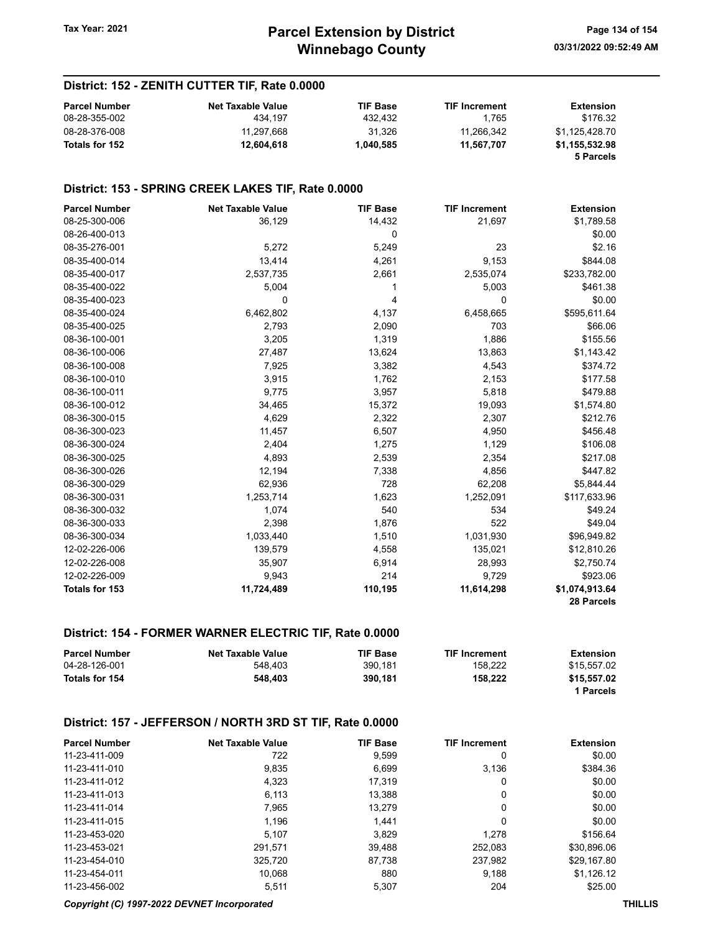### District: 152 - ZENITH CUTTER TIF, Rate 0.0000

| <b>Parcel Number</b> | <b>Net Taxable Value</b> | <b>TIF Base</b> | <b>TIF Increment</b> | <b>Extension</b>            |
|----------------------|--------------------------|-----------------|----------------------|-----------------------------|
| 08-28-355-002        | 434.197                  | 432.432         | 1.765                | \$176.32                    |
| 08-28-376-008        | 11.297.668               | 31.326          | 11.266.342           | \$1.125.428.70              |
| Totals for 152       | 12,604,618               | 1.040.585       | 11.567.707           | \$1,155,532.98<br>5 Parcels |

#### District: 153 - SPRING CREEK LAKES TIF, Rate 0.0000

| <b>Parcel Number</b> | <b>Net Taxable Value</b> | <b>TIF Base</b> | <b>TIF Increment</b> | <b>Extension</b> |
|----------------------|--------------------------|-----------------|----------------------|------------------|
| 08-25-300-006        | 36,129                   | 14,432          | 21,697               | \$1,789.58       |
| 08-26-400-013        |                          | 0               |                      | \$0.00           |
| 08-35-276-001        | 5,272                    | 5,249           | 23                   | \$2.16           |
| 08-35-400-014        | 13,414                   | 4,261           | 9,153                | \$844.08         |
| 08-35-400-017        | 2,537,735                | 2,661           | 2,535,074            | \$233,782.00     |
| 08-35-400-022        | 5,004                    |                 | 5,003                | \$461.38         |
| 08-35-400-023        | 0                        | 4               | 0                    | \$0.00           |
| 08-35-400-024        | 6,462,802                | 4,137           | 6,458,665            | \$595,611.64     |
| 08-35-400-025        | 2,793                    | 2,090           | 703                  | \$66.06          |
| 08-36-100-001        | 3,205                    | 1,319           | 1,886                | \$155.56         |
| 08-36-100-006        | 27,487                   | 13,624          | 13,863               | \$1,143.42       |
| 08-36-100-008        | 7,925                    | 3,382           | 4,543                | \$374.72         |
| 08-36-100-010        | 3,915                    | 1,762           | 2,153                | \$177.58         |
| 08-36-100-011        | 9,775                    | 3,957           | 5,818                | \$479.88         |
| 08-36-100-012        | 34,465                   | 15,372          | 19,093               | \$1,574.80       |
| 08-36-300-015        | 4,629                    | 2,322           | 2,307                | \$212.76         |
| 08-36-300-023        | 11,457                   | 6,507           | 4,950                | \$456.48         |
| 08-36-300-024        | 2,404                    | 1,275           | 1,129                | \$106.08         |
| 08-36-300-025        | 4,893                    | 2,539           | 2,354                | \$217.08         |
| 08-36-300-026        | 12,194                   | 7,338           | 4,856                | \$447.82         |
| 08-36-300-029        | 62,936                   | 728             | 62,208               | \$5,844.44       |
| 08-36-300-031        | 1,253,714                | 1,623           | 1,252,091            | \$117,633.96     |
| 08-36-300-032        | 1,074                    | 540             | 534                  | \$49.24          |
| 08-36-300-033        | 2,398                    | 1,876           | 522                  | \$49.04          |
| 08-36-300-034        | 1,033,440                | 1,510           | 1,031,930            | \$96,949.82      |
| 12-02-226-006        | 139,579                  | 4,558           | 135,021              | \$12,810.26      |
| 12-02-226-008        | 35,907                   | 6,914           | 28,993               | \$2,750.74       |
| 12-02-226-009        | 9,943                    | 214             | 9,729                | \$923.06         |
| Totals for 153       | 11,724,489               | 110,195         | 11,614,298           | \$1,074,913.64   |
|                      |                          |                 |                      | 28 Parcels       |

#### District: 154 - FORMER WARNER ELECTRIC TIF, Rate 0.0000

| <b>Parcel Number</b> | <b>Net Taxable Value</b> | <b>TIF Base</b> | <b>TIF Increment</b> | Extension   |
|----------------------|--------------------------|-----------------|----------------------|-------------|
| 04-28-126-001        | 548.403                  | 390.181         | 158.222              | \$15.557.02 |
| Totals for 154       | 548,403                  | 390.181         | 158.222              | \$15,557.02 |
|                      |                          |                 |                      | 1 Parcels   |

#### District: 157 - JEFFERSON / NORTH 3RD ST TIF, Rate 0.0000

| <b>Parcel Number</b> | <b>Net Taxable Value</b> | <b>TIF Base</b> | <b>TIF Increment</b> | <b>Extension</b> |
|----------------------|--------------------------|-----------------|----------------------|------------------|
| 11-23-411-009        | 722                      | 9,599           | 0                    | \$0.00           |
| 11-23-411-010        | 9,835                    | 6,699           | 3,136                | \$384.36         |
| 11-23-411-012        | 4.323                    | 17,319          | 0                    | \$0.00           |
| 11-23-411-013        | 6,113                    | 13,388          | 0                    | \$0.00           |
| 11-23-411-014        | 7.965                    | 13.279          | 0                    | \$0.00           |
| 11-23-411-015        | 1.196                    | 1.441           | 0                    | \$0.00           |
| 11-23-453-020        | 5.107                    | 3,829           | 1,278                | \$156.64         |
| 11-23-453-021        | 291.571                  | 39,488          | 252,083              | \$30,896.06      |
| 11-23-454-010        | 325,720                  | 87,738          | 237,982              | \$29,167.80      |
| 11-23-454-011        | 10,068                   | 880             | 9,188                | \$1,126.12       |
| 11-23-456-002        | 5,511                    | 5,307           | 204                  | \$25.00          |

#### Copyright (C) 1997-2022 DEVNET Incorporated THILLIS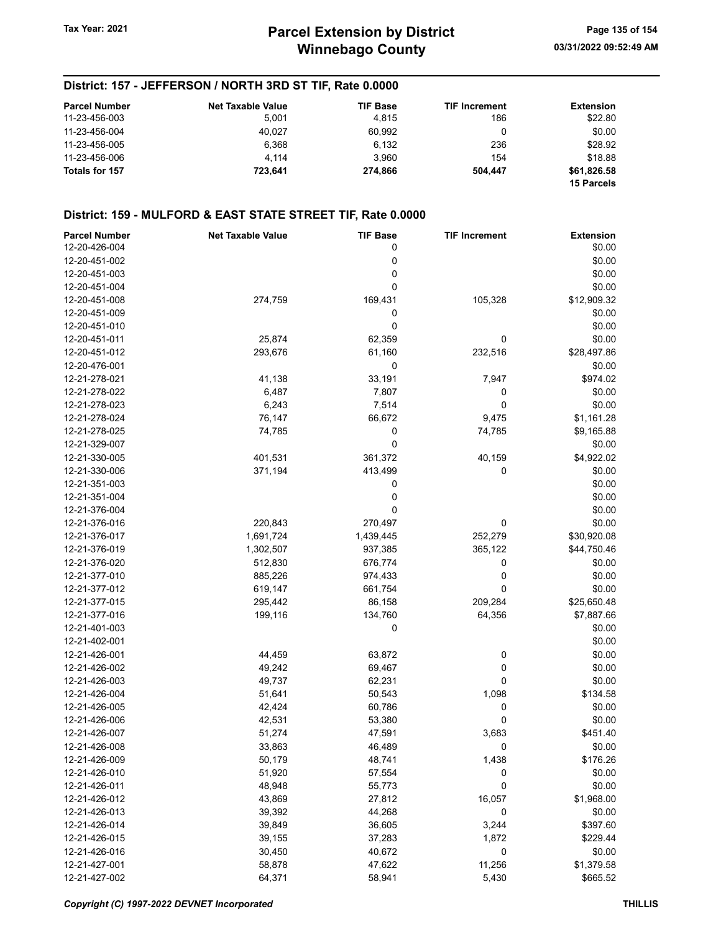### District: 157 - JEFFERSON / NORTH 3RD ST TIF, Rate 0.0000

| <b>Parcel Number</b> | <b>Net Taxable Value</b> | <b>TIF Base</b> | <b>TIF Increment</b> | <b>Extension</b>  |
|----------------------|--------------------------|-----------------|----------------------|-------------------|
| 11-23-456-003        | 5.001                    | 4.815           | 186                  | \$22.80           |
| 11-23-456-004        | 40.027                   | 60.992          | 0                    | \$0.00            |
| 11-23-456-005        | 6.368                    | 6,132           | 236                  | \$28.92           |
| 11-23-456-006        | 4.114                    | 3.960           | 154                  | \$18.88           |
| Totals for 157       | 723.641                  | 274.866         | 504.447              | \$61,826.58       |
|                      |                          |                 |                      | <b>15 Parcels</b> |

| <b>Parcel Number</b> | <b>Net Taxable Value</b> | <b>TIF Base</b> | <b>TIF Increment</b> | <b>Extension</b> |
|----------------------|--------------------------|-----------------|----------------------|------------------|
| 12-20-426-004        |                          | 0               |                      | \$0.00           |
| 12-20-451-002        |                          | 0               |                      | \$0.00           |
| 12-20-451-003        |                          | 0               |                      | \$0.00           |
| 12-20-451-004        |                          | 0               |                      | \$0.00           |
| 12-20-451-008        | 274,759                  | 169,431         | 105,328              | \$12,909.32      |
| 12-20-451-009        |                          | 0               |                      | \$0.00           |
| 12-20-451-010        |                          | 0               |                      | \$0.00           |
| 12-20-451-011        | 25,874                   | 62,359          | 0                    | \$0.00           |
| 12-20-451-012        | 293,676                  | 61,160          | 232,516              | \$28,497.86      |
| 12-20-476-001        |                          | 0               |                      | \$0.00           |
| 12-21-278-021        | 41,138                   | 33,191          | 7,947                | \$974.02         |
| 12-21-278-022        | 6,487                    | 7,807           | 0                    | \$0.00           |
| 12-21-278-023        | 6,243                    | 7,514           | 0                    | \$0.00           |
| 12-21-278-024        | 76,147                   | 66,672          | 9,475                | \$1,161.28       |
| 12-21-278-025        | 74,785                   | 0               | 74,785               | \$9,165.88       |
| 12-21-329-007        |                          | 0               |                      | \$0.00           |
| 12-21-330-005        | 401,531                  | 361,372         | 40,159               | \$4,922.02       |
| 12-21-330-006        | 371,194                  | 413,499         | 0                    | \$0.00           |
| 12-21-351-003        |                          | 0               |                      | \$0.00           |
| 12-21-351-004        |                          | 0               |                      | \$0.00           |
| 12-21-376-004        |                          | 0               |                      | \$0.00           |
| 12-21-376-016        | 220,843                  | 270,497         |                      | \$0.00           |
|                      | 1,691,724                |                 | 0<br>252,279         | \$30,920.08      |
| 12-21-376-017        |                          | 1,439,445       |                      |                  |
| 12-21-376-019        | 1,302,507                | 937,385         | 365,122              | \$44,750.46      |
| 12-21-376-020        | 512,830                  | 676,774         | 0                    | \$0.00           |
| 12-21-377-010        | 885,226                  | 974,433         | 0                    | \$0.00           |
| 12-21-377-012        | 619,147                  | 661,754         | 0                    | \$0.00           |
| 12-21-377-015        | 295,442                  | 86,158          | 209,284              | \$25,650.48      |
| 12-21-377-016        | 199,116                  | 134,760         | 64,356               | \$7,887.66       |
| 12-21-401-003        |                          | 0               |                      | \$0.00           |
| 12-21-402-001        |                          |                 |                      | \$0.00           |
| 12-21-426-001        | 44,459                   | 63,872          | 0                    | \$0.00           |
| 12-21-426-002        | 49,242                   | 69,467          | 0                    | \$0.00           |
| 12-21-426-003        | 49,737                   | 62,231          | 0                    | \$0.00           |
| 12-21-426-004        | 51,641                   | 50,543          | 1,098                | \$134.58         |
| 12-21-426-005        | 42,424                   | 60,786          | 0                    | \$0.00           |
| 12-21-426-006        | 42,531                   | 53,380          | $\mathbf 0$          | \$0.00           |
| 12-21-426-007        | 51,274                   | 47,591          | 3,683                | \$451.40         |
| 12-21-426-008        | 33,863                   | 46,489          | 0                    | \$0.00           |
| 12-21-426-009        | 50,179                   | 48,741          | 1,438                | \$176.26         |
| 12-21-426-010        | 51,920                   | 57,554          | 0                    | \$0.00           |
| 12-21-426-011        | 48,948                   | 55,773          | 0                    | \$0.00           |
| 12-21-426-012        | 43,869                   | 27,812          | 16,057               | \$1,968.00       |
| 12-21-426-013        | 39,392                   | 44,268          | 0                    | \$0.00           |
| 12-21-426-014        | 39,849                   | 36,605          | 3,244                | \$397.60         |
| 12-21-426-015        | 39,155                   | 37,283          | 1,872                | \$229.44         |
| 12-21-426-016        | 30,450                   | 40,672          | 0                    | \$0.00           |
| 12-21-427-001        | 58,878                   | 47,622          | 11,256               | \$1,379.58       |
| 12-21-427-002        | 64,371                   | 58,941          | 5,430                | \$665.52         |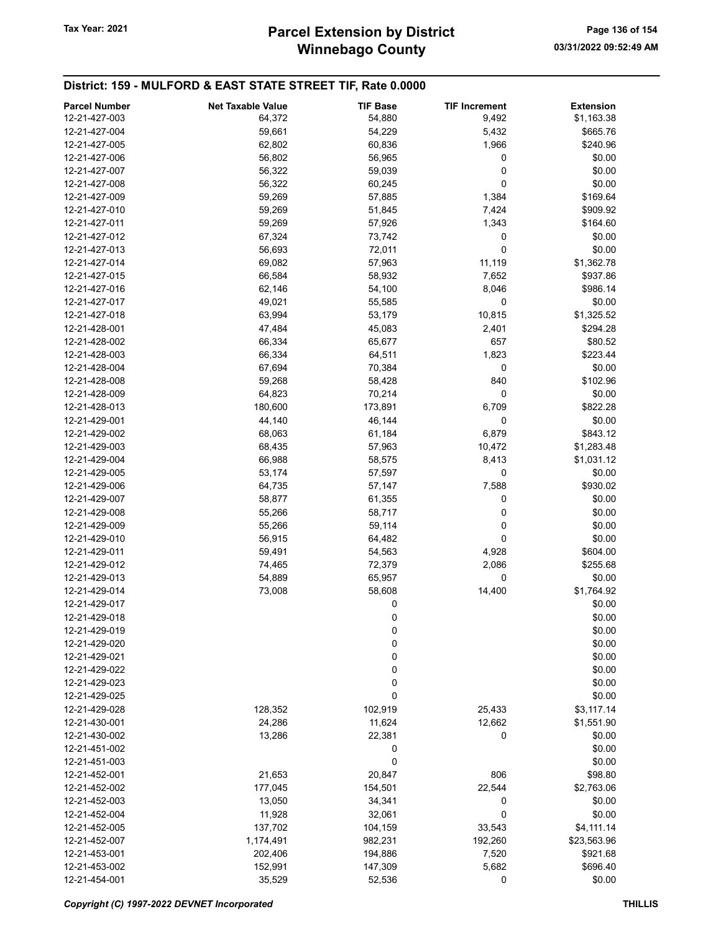| <b>Parcel Number</b> | <b>Net Taxable Value</b> | <b>TIF Base</b> | <b>TIF Increment</b> | <b>Extension</b> |
|----------------------|--------------------------|-----------------|----------------------|------------------|
| 12-21-427-003        | 64,372                   | 54,880          | 9,492                | \$1,163.38       |
| 12-21-427-004        | 59,661                   | 54,229          | 5,432                | \$665.76         |
| 12-21-427-005        | 62,802                   | 60,836          | 1,966                | \$240.96         |
| 12-21-427-006        | 56,802                   | 56,965          | 0                    | \$0.00           |
| 12-21-427-007        | 56,322                   | 59,039          | 0                    | \$0.00           |
| 12-21-427-008        | 56,322                   | 60,245          | 0                    | \$0.00           |
| 12-21-427-009        | 59,269                   | 57,885          | 1,384                | \$169.64         |
| 12-21-427-010        | 59,269                   | 51,845          | 7,424                | \$909.92         |
| 12-21-427-011        | 59,269                   | 57,926          | 1,343                | \$164.60         |
| 12-21-427-012        | 67,324                   | 73,742          | 0                    | \$0.00           |
| 12-21-427-013        | 56,693                   | 72,011          | 0                    | \$0.00           |
| 12-21-427-014        | 69,082                   | 57,963          | 11,119               | \$1,362.78       |
| 12-21-427-015        | 66,584                   | 58,932          | 7,652                | \$937.86         |
| 12-21-427-016        | 62,146                   | 54,100          | 8,046                | \$986.14         |
| 12-21-427-017        | 49,021                   | 55,585          | 0                    | \$0.00           |
| 12-21-427-018        | 63,994                   | 53,179          | 10,815               | \$1,325.52       |
| 12-21-428-001        | 47,484                   | 45,083          | 2,401                | \$294.28         |
| 12-21-428-002        | 66,334                   | 65,677          | 657                  | \$80.52          |
| 12-21-428-003        | 66,334                   | 64,511          | 1,823                | \$223.44         |
| 12-21-428-004        | 67,694                   | 70,384          | 0                    | \$0.00           |
| 12-21-428-008        | 59,268                   | 58,428          | 840                  | \$102.96         |
| 12-21-428-009        | 64,823                   | 70,214          | 0                    | \$0.00           |
| 12-21-428-013        | 180,600                  | 173,891         | 6,709                | \$822.28         |
| 12-21-429-001        | 44,140                   | 46,144          | 0                    | \$0.00           |
| 12-21-429-002        | 68,063                   | 61,184          | 6,879                | \$843.12         |
| 12-21-429-003        | 68,435                   | 57,963          | 10,472               | \$1,283.48       |
| 12-21-429-004        | 66,988                   | 58,575          | 8,413                | \$1,031.12       |
| 12-21-429-005        | 53,174                   | 57,597          | 0                    | \$0.00           |
| 12-21-429-006        | 64,735                   | 57,147          | 7,588                | \$930.02         |
| 12-21-429-007        | 58,877                   | 61,355          | 0                    | \$0.00           |
| 12-21-429-008        | 55,266                   | 58,717          | 0                    | \$0.00           |
| 12-21-429-009        | 55,266                   | 59,114          | 0                    | \$0.00           |
| 12-21-429-010        | 56,915                   | 64,482          | 0                    | \$0.00           |
| 12-21-429-011        | 59,491                   | 54,563          | 4,928                | \$604.00         |
| 12-21-429-012        | 74,465                   | 72,379          | 2,086                | \$255.68         |
| 12-21-429-013        | 54,889                   | 65,957          | 0                    | \$0.00           |
| 12-21-429-014        | 73,008                   | 58,608          | 14,400               | \$1,764.92       |
| 12-21-429-017        |                          | 0               |                      | \$0.00           |
| 12-21-429-018        |                          | 0               |                      | \$0.00           |
| 12-21-429-019        |                          | 0               |                      | \$0.00           |
| 12-21-429-020        |                          | 0               |                      | \$0.00           |
| 12-21-429-021        |                          | 0               |                      | \$0.00           |
| 12-21-429-022        |                          | 0               |                      | \$0.00           |
| 12-21-429-023        |                          | 0               |                      | \$0.00           |
| 12-21-429-025        |                          | 0               |                      | \$0.00           |
| 12-21-429-028        | 128,352                  | 102,919         | 25,433               | \$3,117.14       |
| 12-21-430-001        | 24,286                   | 11,624          | 12,662               | \$1,551.90       |
| 12-21-430-002        | 13,286                   | 22,381          | 0                    | \$0.00           |
| 12-21-451-002        |                          | 0               |                      | \$0.00           |
| 12-21-451-003        |                          | 0               |                      | \$0.00           |
| 12-21-452-001        | 21,653                   | 20,847          | 806                  | \$98.80          |
| 12-21-452-002        | 177,045                  | 154,501         | 22,544               | \$2,763.06       |
| 12-21-452-003        | 13,050                   | 34,341          | 0                    | \$0.00           |
| 12-21-452-004        | 11,928                   | 32,061          | $\mathbf 0$          | \$0.00           |
| 12-21-452-005        | 137,702                  | 104,159         | 33,543               | \$4,111.14       |
| 12-21-452-007        | 1,174,491                | 982,231         | 192,260              | \$23,563.96      |
| 12-21-453-001        | 202,406                  | 194,886         | 7,520                | \$921.68         |
| 12-21-453-002        | 152,991                  | 147,309         | 5,682                | \$696.40         |
| 12-21-454-001        | 35,529                   | 52,536          | 0                    | \$0.00           |
|                      |                          |                 |                      |                  |

Copyright (C) 1997-2022 DEVNET Incorporated THILLIS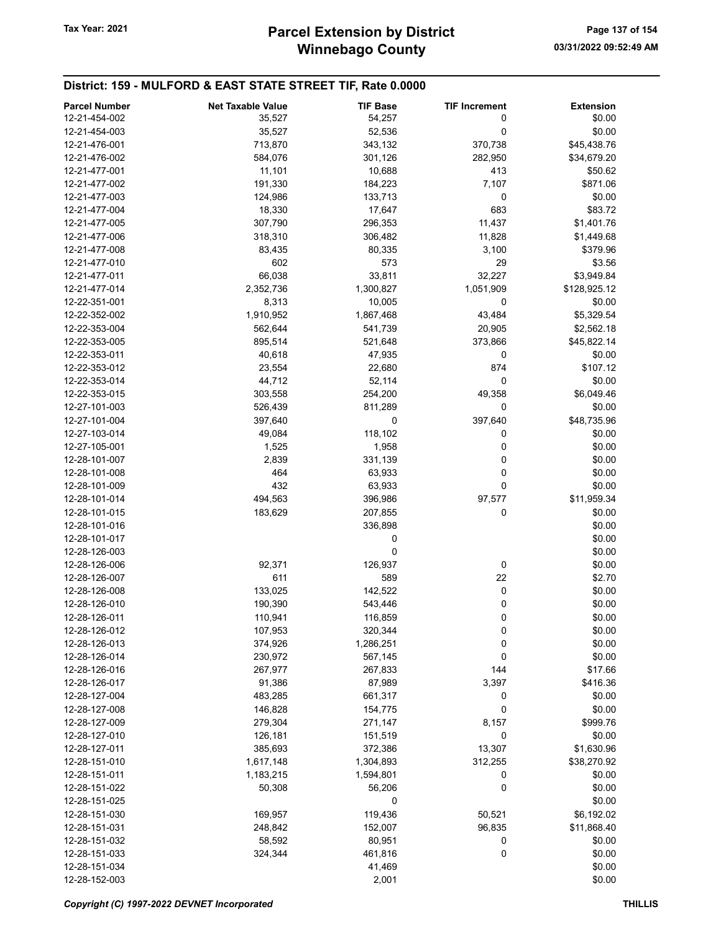| <b>Parcel Number</b> | <b>Net Taxable Value</b> | <b>TIF Base</b> | <b>TIF Increment</b> | <b>Extension</b> |
|----------------------|--------------------------|-----------------|----------------------|------------------|
| 12-21-454-002        | 35,527                   | 54,257          | 0                    | \$0.00           |
| 12-21-454-003        | 35,527                   | 52,536          | 0                    | \$0.00           |
| 12-21-476-001        | 713,870                  | 343,132         | 370,738              | \$45,438.76      |
| 12-21-476-002        | 584,076                  | 301,126         | 282,950              | \$34,679.20      |
| 12-21-477-001        | 11,101                   | 10,688          | 413                  | \$50.62          |
| 12-21-477-002        | 191,330                  | 184,223         | 7,107                | \$871.06         |
| 12-21-477-003        | 124,986                  | 133,713         | 0                    | \$0.00           |
| 12-21-477-004        | 18,330                   | 17,647          | 683                  | \$83.72          |
| 12-21-477-005        | 307,790                  | 296,353         | 11,437               | \$1,401.76       |
| 12-21-477-006        | 318,310                  | 306,482         | 11,828               | \$1,449.68       |
| 12-21-477-008        | 83,435                   | 80,335          | 3,100                | \$379.96         |
| 12-21-477-010        | 602                      | 573             | 29                   | \$3.56           |
| 12-21-477-011        | 66,038                   | 33,811          | 32,227               | \$3,949.84       |
| 12-21-477-014        | 2,352,736                | 1,300,827       | 1,051,909            | \$128,925.12     |
| 12-22-351-001        | 8,313                    | 10,005          | 0                    | \$0.00           |
| 12-22-352-002        | 1,910,952                | 1,867,468       | 43,484               | \$5,329.54       |
| 12-22-353-004        | 562,644                  | 541,739         | 20,905               | \$2,562.18       |
| 12-22-353-005        | 895,514                  | 521,648         | 373,866              | \$45,822.14      |
| 12-22-353-011        | 40,618                   | 47,935          | 0                    | \$0.00           |
| 12-22-353-012        | 23,554                   | 22,680          | 874                  | \$107.12         |
| 12-22-353-014        | 44,712                   | 52,114          | 0                    | \$0.00           |
| 12-22-353-015        | 303,558                  | 254,200         | 49,358               | \$6,049.46       |
| 12-27-101-003        | 526,439                  | 811,289         | 0                    | \$0.00           |
| 12-27-101-004        | 397,640                  | 0               | 397,640              | \$48,735.96      |
| 12-27-103-014        | 49,084                   | 118,102         | 0                    | \$0.00           |
| 12-27-105-001        | 1,525                    | 1,958           | 0                    | \$0.00           |
| 12-28-101-007        | 2,839                    | 331,139         | 0                    | \$0.00           |
| 12-28-101-008        | 464                      | 63,933          | 0                    | \$0.00           |
| 12-28-101-009        | 432                      | 63,933          | $\mathbf 0$          | \$0.00           |
| 12-28-101-014        | 494,563                  | 396,986         | 97,577               | \$11,959.34      |
| 12-28-101-015        | 183,629                  | 207,855         | 0                    | \$0.00           |
| 12-28-101-016        |                          | 336,898         |                      | \$0.00           |
| 12-28-101-017        |                          | 0               |                      | \$0.00           |
| 12-28-126-003        |                          | 0               |                      | \$0.00           |
| 12-28-126-006        | 92,371                   | 126,937         | 0                    | \$0.00           |
| 12-28-126-007        | 611                      | 589             | 22                   | \$2.70           |
| 12-28-126-008        | 133,025                  | 142,522         | 0                    | \$0.00           |
| 12-28-126-010        | 190,390                  | 543,446         | 0                    | \$0.00           |
| 12-28-126-011        | 110,941                  | 116,859         | 0                    | \$0.00           |
| 12-28-126-012        | 107,953                  | 320,344         | 0                    | \$0.00           |
| 12-28-126-013        | 374,926                  | 1,286,251       | 0                    | \$0.00           |
| 12-28-126-014        | 230,972                  | 567,145         | 0                    | \$0.00           |
| 12-28-126-016        | 267,977                  | 267,833         | 144                  | \$17.66          |
| 12-28-126-017        | 91,386                   | 87,989          | 3,397                | \$416.36         |
| 12-28-127-004        | 483,285                  | 661,317         | 0                    | \$0.00           |
| 12-28-127-008        | 146,828                  | 154,775         | 0                    | \$0.00           |
| 12-28-127-009        | 279,304                  | 271,147         | 8,157                | \$999.76         |
| 12-28-127-010        | 126,181                  | 151,519         | 0                    | \$0.00           |
| 12-28-127-011        | 385,693                  | 372,386         | 13,307               | \$1,630.96       |
| 12-28-151-010        | 1,617,148                | 1,304,893       | 312,255              | \$38,270.92      |
| 12-28-151-011        | 1,183,215                | 1,594,801       | 0                    | \$0.00           |
| 12-28-151-022        | 50,308                   | 56,206          | 0                    | \$0.00           |
| 12-28-151-025        |                          | 0               |                      | \$0.00           |
| 12-28-151-030        | 169,957                  | 119,436         | 50,521               | \$6,192.02       |
| 12-28-151-031        | 248,842                  | 152,007         | 96,835               | \$11,868.40      |
| 12-28-151-032        | 58,592                   | 80,951          | 0                    | \$0.00           |
| 12-28-151-033        | 324,344                  | 461,816         | 0                    | \$0.00           |
| 12-28-151-034        |                          | 41,469          |                      | \$0.00           |
| 12-28-152-003        |                          | 2,001           |                      | \$0.00           |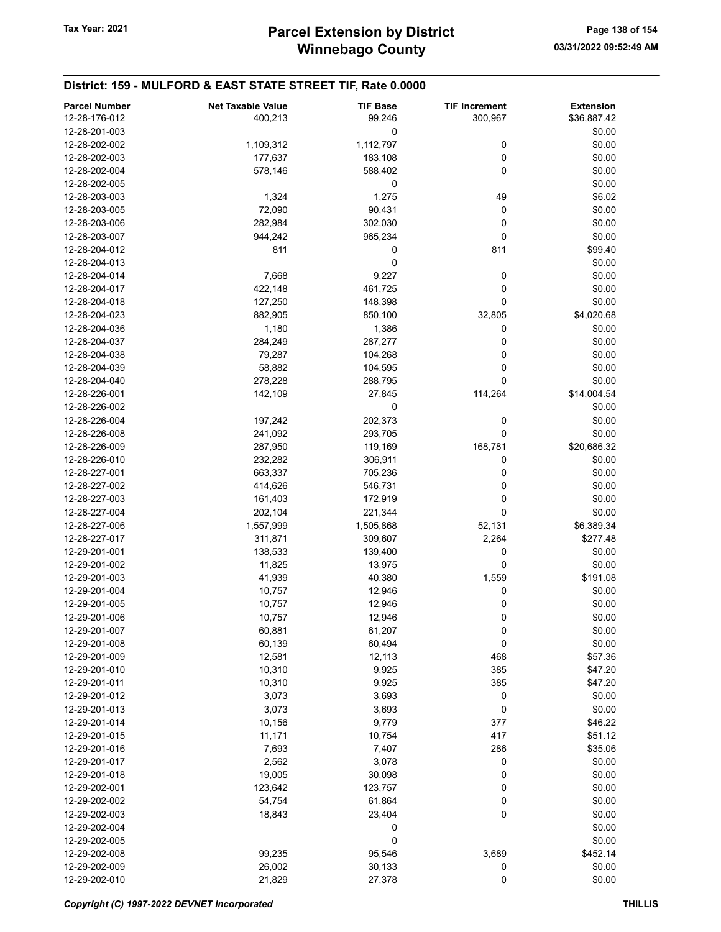| <b>Parcel Number</b> | <b>Net Taxable Value</b> | <b>TIF Base</b> | <b>TIF Increment</b> | <b>Extension</b> |
|----------------------|--------------------------|-----------------|----------------------|------------------|
| 12-28-176-012        | 400,213                  | 99,246          | 300,967              | \$36,887.42      |
| 12-28-201-003        |                          | 0               |                      | \$0.00           |
| 12-28-202-002        | 1,109,312                | 1,112,797       | 0                    | \$0.00           |
| 12-28-202-003        | 177,637                  | 183,108         | 0                    | \$0.00           |
| 12-28-202-004        | 578,146                  | 588,402         | $\mathbf 0$          | \$0.00           |
| 12-28-202-005        |                          | 0               |                      | \$0.00           |
| 12-28-203-003        | 1,324                    | 1,275           | 49                   | \$6.02           |
| 12-28-203-005        | 72,090                   | 90,431          | 0                    | \$0.00           |
| 12-28-203-006        | 282,984                  | 302,030         | 0                    | \$0.00           |
| 12-28-203-007        | 944,242                  | 965,234         | 0                    | \$0.00           |
| 12-28-204-012        | 811                      | 0               | 811                  | \$99.40          |
| 12-28-204-013        |                          | 0               |                      | \$0.00           |
| 12-28-204-014        | 7,668                    | 9,227           | 0                    | \$0.00           |
| 12-28-204-017        | 422,148                  | 461,725         | 0                    | \$0.00           |
| 12-28-204-018        | 127,250                  | 148,398         | 0                    | \$0.00           |
| 12-28-204-023        | 882,905                  | 850,100         | 32,805               | \$4,020.68       |
| 12-28-204-036        | 1,180                    | 1,386           | 0                    | \$0.00           |
| 12-28-204-037        | 284,249                  | 287,277         | 0                    | \$0.00           |
| 12-28-204-038        | 79,287                   | 104,268         | 0                    | \$0.00           |
| 12-28-204-039        | 58,882                   | 104,595         | 0                    | \$0.00           |
| 12-28-204-040        | 278,228                  | 288,795         | $\mathbf 0$          | \$0.00           |
| 12-28-226-001        | 142,109                  | 27,845          | 114,264              | \$14,004.54      |
| 12-28-226-002        |                          | 0               |                      | \$0.00           |
| 12-28-226-004        | 197,242                  | 202,373         | 0                    | \$0.00           |
| 12-28-226-008        | 241,092                  | 293,705         | 0                    | \$0.00           |
| 12-28-226-009        | 287,950                  | 119,169         | 168,781              | \$20,686.32      |
| 12-28-226-010        | 232,282                  | 306,911         | 0                    | \$0.00           |
| 12-28-227-001        | 663,337                  | 705,236         | 0                    | \$0.00           |
| 12-28-227-002        | 414,626                  | 546,731         | 0                    | \$0.00           |
| 12-28-227-003        | 161,403                  | 172,919         | 0                    | \$0.00           |
| 12-28-227-004        | 202,104                  |                 | 0                    | \$0.00           |
| 12-28-227-006        |                          | 221,344         |                      |                  |
|                      | 1,557,999                | 1,505,868       | 52,131               | \$6,389.34       |
| 12-28-227-017        | 311,871                  | 309,607         | 2,264                | \$277.48         |
| 12-29-201-001        | 138,533                  | 139,400         | 0                    | \$0.00           |
| 12-29-201-002        | 11,825                   | 13,975          | 0                    | \$0.00           |
| 12-29-201-003        | 41,939                   | 40,380          | 1,559                | \$191.08         |
| 12-29-201-004        | 10,757                   | 12,946          | 0                    | \$0.00           |
| 12-29-201-005        | 10,757                   | 12,946          | 0                    | \$0.00           |
| 12-29-201-006        | 10,757                   | 12,946          | 0                    | \$0.00           |
| 12-29-201-007        | 60,881                   | 61,207          | 0                    | \$0.00           |
| 12-29-201-008        | 60,139                   | 60,494          | 0                    | \$0.00           |
| 12-29-201-009        | 12,581                   | 12,113          | 468                  | \$57.36          |
| 12-29-201-010        | 10,310                   | 9,925           | 385                  | \$47.20          |
| 12-29-201-011        | 10,310                   | 9,925           | 385                  | \$47.20          |
| 12-29-201-012        | 3,073                    | 3,693           | 0                    | \$0.00           |
| 12-29-201-013        | 3,073                    | 3,693           | 0                    | \$0.00           |
| 12-29-201-014        | 10,156                   | 9,779           | 377                  | \$46.22          |
| 12-29-201-015        | 11,171                   | 10,754          | 417                  | \$51.12          |
| 12-29-201-016        | 7,693                    | 7,407           | 286                  | \$35.06          |
| 12-29-201-017        | 2,562                    | 3,078           | 0                    | \$0.00           |
| 12-29-201-018        | 19,005                   | 30,098          | 0                    | \$0.00           |
| 12-29-202-001        | 123,642                  | 123,757         | 0                    | \$0.00           |
| 12-29-202-002        | 54,754                   | 61,864          | 0                    | \$0.00           |
| 12-29-202-003        | 18,843                   | 23,404          | $\mathbf 0$          | \$0.00           |
| 12-29-202-004        |                          | 0               |                      | \$0.00           |
| 12-29-202-005        |                          | 0               |                      | \$0.00           |
| 12-29-202-008        | 99,235                   | 95,546          | 3,689                | \$452.14         |
| 12-29-202-009        | 26,002                   | 30,133          | 0                    | \$0.00           |
| 12-29-202-010        | 21,829                   | 27,378          | 0                    | \$0.00           |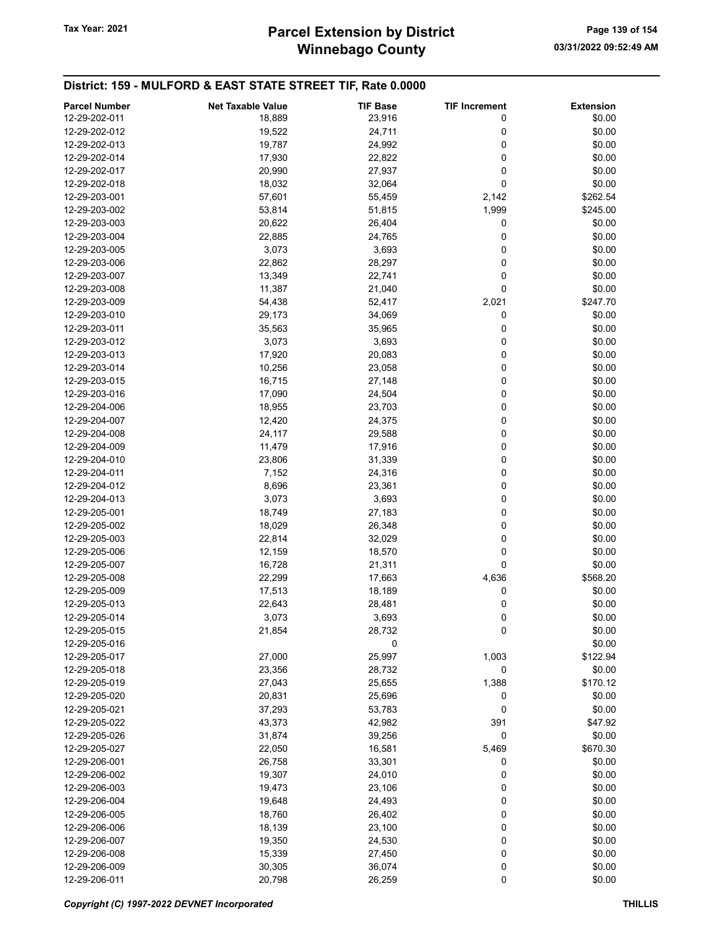## Winnebago County Tax Year: 2021 **Parcel Extension by District** Page 139 of 154

| <b>Parcel Number</b> | <b>Net Taxable Value</b> | <b>TIF Base</b> | <b>TIF Increment</b> | <b>Extension</b> |
|----------------------|--------------------------|-----------------|----------------------|------------------|
| 12-29-202-011        | 18,889                   | 23,916          | 0                    | \$0.00           |
| 12-29-202-012        |                          |                 |                      |                  |
|                      | 19,522                   | 24,711          | 0                    | \$0.00           |
| 12-29-202-013        | 19,787                   | 24,992          | 0                    | \$0.00           |
| 12-29-202-014        | 17,930                   | 22,822          | 0                    | \$0.00           |
| 12-29-202-017        | 20,990                   | 27,937          | 0                    | \$0.00           |
| 12-29-202-018        | 18,032                   | 32,064          | 0                    | \$0.00           |
| 12-29-203-001        | 57,601                   | 55,459          | 2,142                | \$262.54         |
| 12-29-203-002        | 53,814                   | 51,815          | 1,999                | \$245.00         |
| 12-29-203-003        | 20,622                   | 26,404          | 0                    | \$0.00           |
| 12-29-203-004        | 22,885                   | 24,765          | 0                    | \$0.00           |
| 12-29-203-005        | 3,073                    | 3,693           | 0                    | \$0.00           |
| 12-29-203-006        | 22,862                   | 28,297          | 0                    | \$0.00           |
| 12-29-203-007        | 13,349                   | 22,741          | 0                    | \$0.00           |
| 12-29-203-008        | 11,387                   | 21,040          | 0                    | \$0.00           |
| 12-29-203-009        | 54,438                   | 52,417          | 2,021                | \$247.70         |
| 12-29-203-010        | 29,173                   | 34,069          | 0                    | \$0.00           |
| 12-29-203-011        | 35,563                   | 35,965          | 0                    | \$0.00           |
| 12-29-203-012        | 3,073                    | 3,693           | 0                    | \$0.00           |
| 12-29-203-013        | 17,920                   | 20,083          | 0                    | \$0.00           |
| 12-29-203-014        | 10,256                   | 23,058          | 0                    | \$0.00           |
| 12-29-203-015        | 16,715                   | 27,148          | 0                    | \$0.00           |
|                      | 17,090                   |                 |                      |                  |
| 12-29-203-016        |                          | 24,504          | 0                    | \$0.00           |
| 12-29-204-006        | 18,955                   | 23,703          | 0                    | \$0.00           |
| 12-29-204-007        | 12,420                   | 24,375          | 0                    | \$0.00           |
| 12-29-204-008        | 24,117                   | 29,588          | 0                    | \$0.00           |
| 12-29-204-009        | 11,479                   | 17,916          | 0                    | \$0.00           |
| 12-29-204-010        | 23,806                   | 31,339          | 0                    | \$0.00           |
| 12-29-204-011        | 7,152                    | 24,316          | 0                    | \$0.00           |
| 12-29-204-012        | 8,696                    | 23,361          | 0                    | \$0.00           |
| 12-29-204-013        | 3,073                    | 3,693           | 0                    | \$0.00           |
| 12-29-205-001        | 18,749                   | 27,183          | 0                    | \$0.00           |
| 12-29-205-002        | 18,029                   | 26,348          | 0                    | \$0.00           |
| 12-29-205-003        | 22,814                   | 32,029          | 0                    | \$0.00           |
| 12-29-205-006        | 12,159                   | 18,570          | 0                    | \$0.00           |
| 12-29-205-007        | 16,728                   | 21,311          | 0                    | \$0.00           |
| 12-29-205-008        | 22,299                   | 17,663          | 4,636                | \$568.20         |
| 12-29-205-009        | 17,513                   | 18,189          | 0                    | \$0.00           |
| 12-29-205-013        | 22,643                   | 28,481          | 0                    | \$0.00           |
| 12-29-205-014        | 3,073                    | 3,693           | 0                    | \$0.00           |
| 12-29-205-015        | 21,854                   | 28,732          | 0                    | \$0.00           |
| 12-29-205-016        |                          | 0               |                      | \$0.00           |
| 12-29-205-017        |                          |                 | 1,003                | \$122.94         |
|                      | 27,000                   | 25,997          |                      |                  |
| 12-29-205-018        | 23,356                   | 28,732          | 0                    | \$0.00           |
| 12-29-205-019        | 27,043                   | 25,655          | 1,388                | \$170.12         |
| 12-29-205-020        | 20,831                   | 25,696          | 0                    | \$0.00           |
| 12-29-205-021        | 37,293                   | 53,783          | 0                    | \$0.00           |
| 12-29-205-022        | 43,373                   | 42,982          | 391                  | \$47.92          |
| 12-29-205-026        | 31,874                   | 39,256          | 0                    | \$0.00           |
| 12-29-205-027        | 22,050                   | 16,581          | 5,469                | \$670.30         |
| 12-29-206-001        | 26,758                   | 33,301          | 0                    | \$0.00           |
| 12-29-206-002        | 19,307                   | 24,010          | 0                    | \$0.00           |
| 12-29-206-003        | 19,473                   | 23,106          | 0                    | \$0.00           |
| 12-29-206-004        | 19,648                   | 24,493          | 0                    | \$0.00           |
| 12-29-206-005        | 18,760                   | 26,402          | 0                    | \$0.00           |
| 12-29-206-006        | 18,139                   | 23,100          | 0                    | \$0.00           |
| 12-29-206-007        | 19,350                   | 24,530          | 0                    | \$0.00           |
| 12-29-206-008        | 15,339                   | 27,450          | 0                    | \$0.00           |
| 12-29-206-009        | 30,305                   | 36,074          | 0                    | \$0.00           |
| 12-29-206-011        | 20,798                   | 26,259          | 0                    | \$0.00           |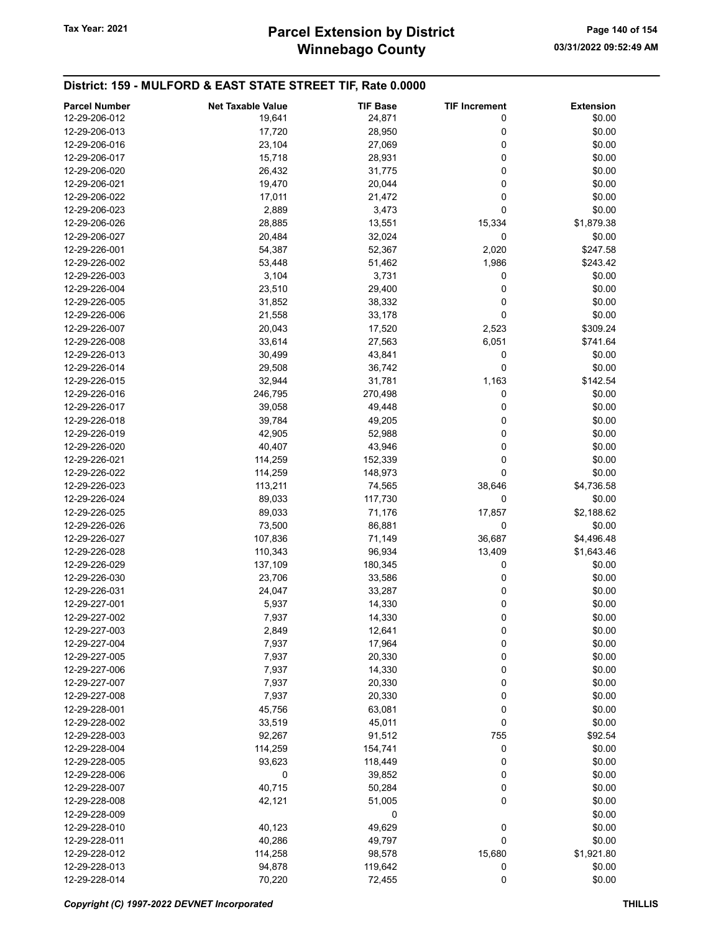## Winnebago County Tax Year: 2021 **Parcel Extension by District** Page 140 of 154

| <b>Parcel Number</b> | <b>Net Taxable Value</b> | <b>TIF Base</b> | <b>TIF Increment</b> | <b>Extension</b> |
|----------------------|--------------------------|-----------------|----------------------|------------------|
| 12-29-206-012        | 19,641                   | 24,871          | 0                    | \$0.00           |
| 12-29-206-013        | 17,720                   | 28,950          | 0                    | \$0.00           |
| 12-29-206-016        | 23,104                   | 27,069          | 0                    | \$0.00           |
| 12-29-206-017        |                          |                 | 0                    | \$0.00           |
|                      | 15,718                   | 28,931          |                      |                  |
| 12-29-206-020        | 26,432                   | 31,775          | 0                    | \$0.00           |
| 12-29-206-021        | 19,470                   | 20,044          | 0                    | \$0.00           |
| 12-29-206-022        | 17,011                   | 21,472          | 0                    | \$0.00           |
| 12-29-206-023        | 2,889                    | 3,473           | 0                    | \$0.00           |
| 12-29-206-026        | 28,885                   | 13,551          | 15,334               | \$1,879.38       |
| 12-29-206-027        | 20,484                   | 32,024          | 0                    | \$0.00           |
| 12-29-226-001        | 54,387                   | 52,367          | 2,020                | \$247.58         |
| 12-29-226-002        | 53,448                   | 51,462          | 1,986                | \$243.42         |
| 12-29-226-003        | 3,104                    | 3,731           | 0                    | \$0.00           |
| 12-29-226-004        | 23,510                   | 29,400          | 0                    | \$0.00           |
| 12-29-226-005        | 31,852                   | 38,332          | 0                    | \$0.00           |
| 12-29-226-006        | 21,558                   | 33,178          | $\mathbf 0$          | \$0.00           |
| 12-29-226-007        | 20,043                   | 17,520          | 2,523                | \$309.24         |
| 12-29-226-008        | 33,614                   | 27,563          | 6,051                | \$741.64         |
| 12-29-226-013        | 30,499                   | 43,841          | 0                    | \$0.00           |
| 12-29-226-014        | 29,508                   | 36,742          | 0                    | \$0.00           |
| 12-29-226-015        | 32,944                   | 31,781          | 1,163                | \$142.54         |
| 12-29-226-016        | 246,795                  | 270,498         | 0                    | \$0.00           |
| 12-29-226-017        | 39,058                   | 49,448          | 0                    | \$0.00           |
| 12-29-226-018        | 39,784                   | 49,205          | 0                    | \$0.00           |
| 12-29-226-019        | 42,905                   | 52,988          | 0                    | \$0.00           |
| 12-29-226-020        | 40,407                   | 43,946          | 0                    | \$0.00           |
|                      |                          |                 | 0                    |                  |
| 12-29-226-021        | 114,259                  | 152,339         |                      | \$0.00           |
| 12-29-226-022        | 114,259                  | 148,973         | 0                    | \$0.00           |
| 12-29-226-023        | 113,211                  | 74,565          | 38,646               | \$4,736.58       |
| 12-29-226-024        | 89,033                   | 117,730         | 0                    | \$0.00           |
| 12-29-226-025        | 89,033                   | 71,176          | 17,857               | \$2,188.62       |
| 12-29-226-026        | 73,500                   | 86,881          | 0                    | \$0.00           |
| 12-29-226-027        | 107,836                  | 71,149          | 36,687               | \$4,496.48       |
| 12-29-226-028        | 110,343                  | 96,934          | 13,409               | \$1,643.46       |
| 12-29-226-029        | 137,109                  | 180,345         | 0                    | \$0.00           |
| 12-29-226-030        | 23,706                   | 33,586          | 0                    | \$0.00           |
| 12-29-226-031        | 24,047                   | 33,287          | 0                    | \$0.00           |
| 12-29-227-001        | 5,937                    | 14,330          | 0                    | \$0.00           |
| 12-29-227-002        | 7,937                    | 14,330          | 0                    | \$0.00           |
| 12-29-227-003        | 2,849                    | 12,641          | 0                    | \$0.00           |
| 12-29-227-004        | 7,937                    | 17,964          | 0                    | \$0.00           |
| 12-29-227-005        | 7,937                    | 20,330          | 0                    | \$0.00           |
| 12-29-227-006        | 7,937                    | 14,330          | 0                    | \$0.00           |
| 12-29-227-007        | 7,937                    | 20,330          | 0                    | \$0.00           |
| 12-29-227-008        | 7,937                    | 20,330          | 0                    | \$0.00           |
| 12-29-228-001        | 45,756                   | 63,081          | 0                    | \$0.00           |
| 12-29-228-002        | 33,519                   | 45,011          | 0                    | \$0.00           |
| 12-29-228-003        | 92,267                   | 91,512          | 755                  | \$92.54          |
| 12-29-228-004        | 114,259                  | 154,741         | 0                    | \$0.00           |
| 12-29-228-005        | 93,623                   | 118,449         | 0                    | \$0.00           |
| 12-29-228-006        | 0                        | 39,852          | 0                    | \$0.00           |
| 12-29-228-007        | 40,715                   | 50,284          | 0                    | \$0.00           |
| 12-29-228-008        | 42,121                   | 51,005          | 0                    | \$0.00           |
| 12-29-228-009        |                          | 0               |                      |                  |
|                      |                          |                 |                      | \$0.00           |
| 12-29-228-010        | 40,123                   | 49,629          | 0                    | \$0.00           |
| 12-29-228-011        | 40,286                   | 49,797          | 0                    | \$0.00           |
| 12-29-228-012        | 114,258                  | 98,578          | 15,680               | \$1,921.80       |
| 12-29-228-013        | 94,878                   | 119,642         | 0                    | \$0.00           |
| 12-29-228-014        | 70,220                   | 72,455          | 0                    | \$0.00           |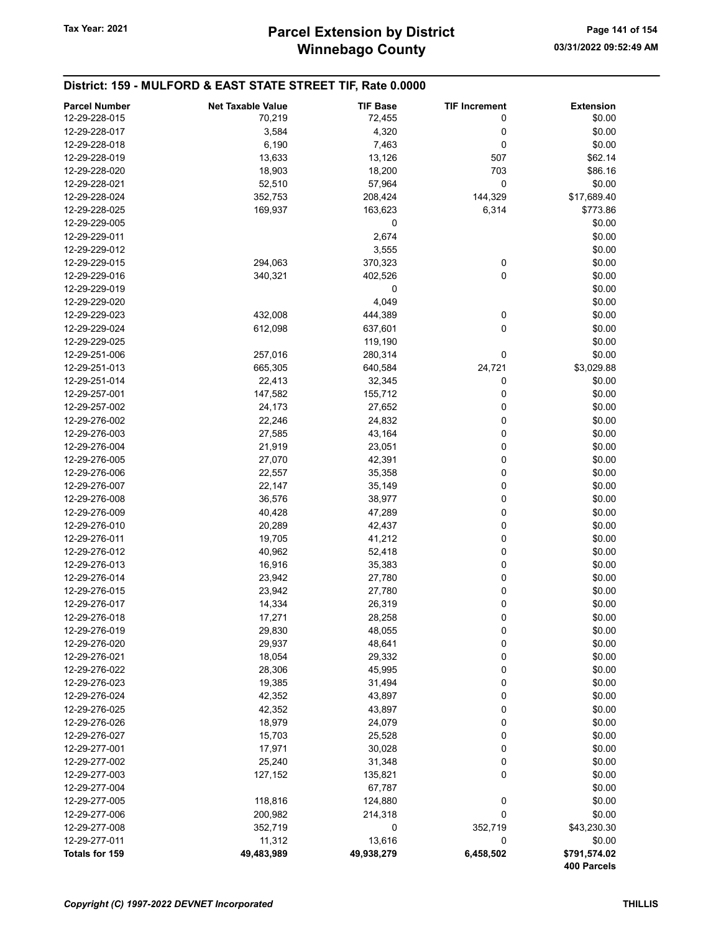| <b>Parcel Number</b> | <b>Net Taxable Value</b> | <b>TIF Base</b> | <b>TIF Increment</b> | <b>Extension</b> |
|----------------------|--------------------------|-----------------|----------------------|------------------|
| 12-29-228-015        | 70,219                   | 72,455          | 0                    | \$0.00           |
| 12-29-228-017        | 3,584                    | 4,320           | 0                    | \$0.00           |
| 12-29-228-018        | 6,190                    | 7,463           | 0                    | \$0.00           |
| 12-29-228-019        | 13,633                   | 13,126          | 507                  | \$62.14          |
| 12-29-228-020        | 18,903                   | 18,200          | 703                  | \$86.16          |
| 12-29-228-021        | 52,510                   | 57,964          | 0                    | \$0.00           |
| 12-29-228-024        | 352,753                  | 208,424         | 144,329              | \$17,689.40      |
| 12-29-228-025        | 169,937                  | 163,623         | 6,314                | \$773.86         |
| 12-29-229-005        |                          | 0               |                      | \$0.00           |
| 12-29-229-011        |                          | 2,674           |                      | \$0.00           |
| 12-29-229-012        |                          | 3,555           |                      | \$0.00           |
| 12-29-229-015        | 294,063                  | 370,323         | 0                    | \$0.00           |
| 12-29-229-016        | 340,321                  | 402,526         | 0                    | \$0.00           |
| 12-29-229-019        |                          | 0               |                      | \$0.00           |
| 12-29-229-020        |                          | 4,049           |                      | \$0.00           |
| 12-29-229-023        | 432,008                  | 444,389         | 0                    | \$0.00           |
| 12-29-229-024        | 612,098                  | 637,601         | 0                    | \$0.00           |
| 12-29-229-025        |                          | 119,190         |                      | \$0.00           |
| 12-29-251-006        | 257,016                  | 280,314         | 0                    | \$0.00           |
| 12-29-251-013        | 665,305                  | 640,584         | 24,721               | \$3,029.88       |
| 12-29-251-014        | 22,413                   | 32,345          | 0                    | \$0.00           |
| 12-29-257-001        | 147,582                  | 155,712         | 0                    | \$0.00           |
| 12-29-257-002        | 24,173                   | 27,652          | 0                    | \$0.00           |
| 12-29-276-002        | 22,246                   | 24,832          | 0                    | \$0.00           |
| 12-29-276-003        | 27,585                   | 43,164          | 0                    | \$0.00           |
| 12-29-276-004        | 21,919                   | 23,051          | 0                    | \$0.00           |
| 12-29-276-005        | 27,070                   | 42,391          | 0                    | \$0.00           |
| 12-29-276-006        | 22,557                   | 35,358          | 0                    | \$0.00           |
| 12-29-276-007        | 22,147                   | 35,149          | 0                    | \$0.00           |
| 12-29-276-008        | 36,576                   | 38,977          | 0                    | \$0.00           |
| 12-29-276-009        | 40,428                   | 47,289          | 0                    | \$0.00           |
| 12-29-276-010        | 20,289                   | 42,437          | 0                    | \$0.00           |
| 12-29-276-011        | 19,705                   | 41,212          | 0                    | \$0.00           |
| 12-29-276-012        | 40,962                   | 52,418          | 0                    | \$0.00           |
| 12-29-276-013        | 16,916                   | 35,383          | 0                    | \$0.00           |
| 12-29-276-014        | 23,942                   | 27,780          | 0                    | \$0.00           |
| 12-29-276-015        | 23,942                   | 27,780          | 0                    | \$0.00           |
| 12-29-276-017        | 14,334                   | 26,319          | 0                    | \$0.00           |
| 12-29-276-018        | 17,271                   | 28,258          | 0                    | \$0.00           |
| 12-29-276-019        | 29,830                   | 48,055          | 0                    | \$0.00           |
| 12-29-276-020        | 29,937                   | 48,641          | 0                    | \$0.00           |
| 12-29-276-021        | 18,054                   | 29,332          | 0                    | \$0.00           |
| 12-29-276-022        | 28,306                   | 45,995          | 0                    | \$0.00           |
| 12-29-276-023        | 19,385                   | 31,494          | 0                    | \$0.00           |
| 12-29-276-024        | 42,352                   | 43,897          | 0                    | \$0.00           |
| 12-29-276-025        | 42,352                   | 43,897          | 0                    | \$0.00           |
| 12-29-276-026        | 18,979                   | 24,079          | 0                    | \$0.00           |
| 12-29-276-027        | 15,703                   | 25,528          | 0                    | \$0.00           |
| 12-29-277-001        | 17,971                   | 30,028          | 0                    | \$0.00           |
| 12-29-277-002        | 25,240                   | 31,348          | 0                    | \$0.00           |
| 12-29-277-003        | 127,152                  | 135,821         | 0                    | \$0.00           |
| 12-29-277-004        |                          | 67,787          |                      | \$0.00           |
| 12-29-277-005        | 118,816                  | 124,880         | 0                    | \$0.00           |
| 12-29-277-006        | 200,982                  | 214,318         | 0                    | \$0.00           |
| 12-29-277-008        | 352,719                  | 0               | 352,719              | \$43,230.30      |
| 12-29-277-011        | 11,312                   | 13,616          | 0                    | \$0.00           |
| Totals for 159       | 49,483,989               | 49,938,279      | 6,458,502            | \$791,574.02     |
|                      |                          |                 |                      | 400 Parcels      |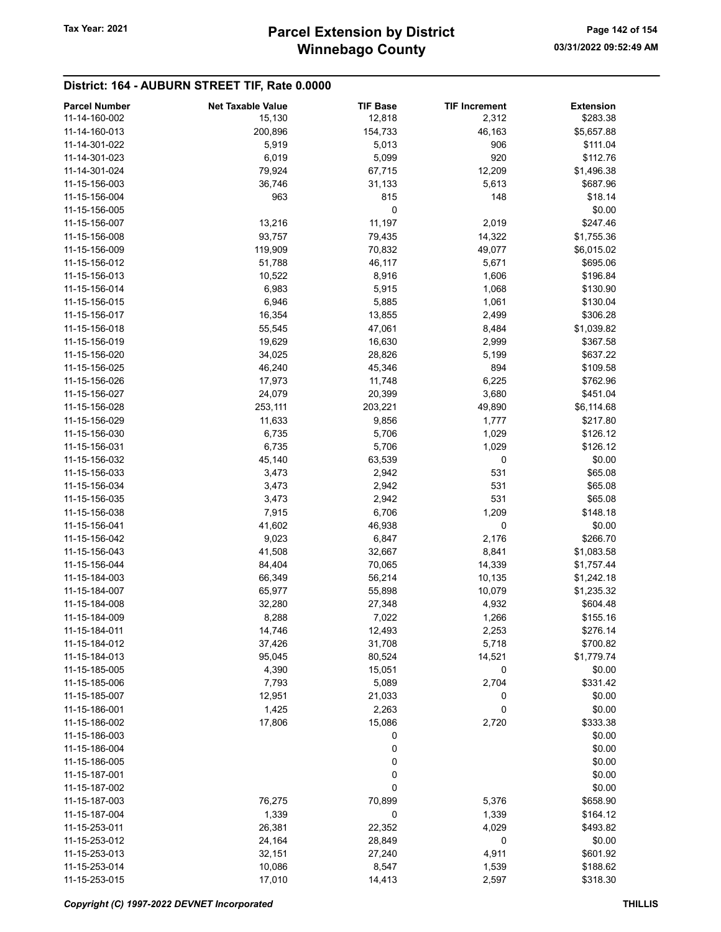### District: 164 - AUBURN STREET TIF, Rate 0.0000

| <b>Parcel Number</b> | <b>Net Taxable Value</b> | <b>TIF Base</b> | <b>TIF Increment</b> | <b>Extension</b> |
|----------------------|--------------------------|-----------------|----------------------|------------------|
| 11-14-160-002        | 15,130                   | 12,818          | 2,312                | \$283.38         |
| 11-14-160-013        | 200,896                  | 154,733         | 46,163               | \$5,657.88       |
| 11-14-301-022        | 5,919                    | 5,013           | 906                  | \$111.04         |
| 11-14-301-023        | 6,019                    | 5,099           | 920                  | \$112.76         |
|                      |                          |                 |                      |                  |
| 11-14-301-024        | 79,924                   | 67,715          | 12,209               | \$1,496.38       |
| 11-15-156-003        | 36,746                   | 31,133          | 5,613                | \$687.96         |
| 11-15-156-004        | 963                      | 815             | 148                  | \$18.14          |
| 11-15-156-005        |                          | 0               |                      | \$0.00           |
| 11-15-156-007        | 13,216                   | 11,197          | 2,019                | \$247.46         |
| 11-15-156-008        | 93,757                   | 79,435          | 14,322               | \$1,755.36       |
| 11-15-156-009        | 119,909                  | 70,832          | 49,077               | \$6,015.02       |
| 11-15-156-012        | 51,788                   | 46,117          | 5,671                | \$695.06         |
| 11-15-156-013        | 10,522                   | 8,916           | 1,606                | \$196.84         |
| 11-15-156-014        | 6,983                    | 5,915           | 1,068                | \$130.90         |
| 11-15-156-015        | 6,946                    | 5,885           | 1,061                | \$130.04         |
| 11-15-156-017        | 16,354                   | 13,855          | 2,499                | \$306.28         |
| 11-15-156-018        | 55,545                   | 47,061          | 8,484                | \$1,039.82       |
| 11-15-156-019        | 19,629                   | 16,630          | 2,999                | \$367.58         |
| 11-15-156-020        | 34,025                   | 28,826          |                      | \$637.22         |
|                      |                          |                 | 5,199                |                  |
| 11-15-156-025        | 46,240                   | 45,346          | 894                  | \$109.58         |
| 11-15-156-026        | 17,973                   | 11,748          | 6,225                | \$762.96         |
| 11-15-156-027        | 24,079                   | 20,399          | 3,680                | \$451.04         |
| 11-15-156-028        | 253,111                  | 203,221         | 49,890               | \$6,114.68       |
| 11-15-156-029        | 11,633                   | 9,856           | 1,777                | \$217.80         |
| 11-15-156-030        | 6,735                    | 5,706           | 1,029                | \$126.12         |
| 11-15-156-031        | 6,735                    | 5,706           | 1,029                | \$126.12         |
| 11-15-156-032        | 45,140                   | 63,539          | 0                    | \$0.00           |
| 11-15-156-033        | 3,473                    | 2,942           | 531                  | \$65.08          |
| 11-15-156-034        | 3,473                    | 2,942           | 531                  | \$65.08          |
| 11-15-156-035        | 3,473                    | 2,942           | 531                  | \$65.08          |
| 11-15-156-038        | 7,915                    | 6,706           | 1,209                | \$148.18         |
| 11-15-156-041        | 41,602                   | 46,938          | 0                    | \$0.00           |
| 11-15-156-042        | 9,023                    | 6,847           | 2,176                | \$266.70         |
| 11-15-156-043        | 41,508                   | 32,667          | 8,841                | \$1,083.58       |
| 11-15-156-044        |                          |                 |                      |                  |
|                      | 84,404                   | 70,065          | 14,339               | \$1,757.44       |
| 11-15-184-003        | 66,349                   | 56,214          | 10,135               | \$1,242.18       |
| 11-15-184-007        | 65,977                   | 55,898          | 10,079               | \$1,235.32       |
| 11-15-184-008        | 32,280                   | 27,348          | 4,932                | \$604.48         |
| 11-15-184-009        | 8,288                    | 7,022           | 1,266                | \$155.16         |
| 11-15-184-011        | 14,746                   | 12,493          | 2,253                | \$276.14         |
| 11-15-184-012        | 37,426                   | 31,708          | 5,718                | \$700.82         |
| 11-15-184-013        | 95,045                   | 80,524          | 14,521               | \$1,779.74       |
| 11-15-185-005        | 4,390                    | 15,051          | 0                    | \$0.00           |
| 11-15-185-006        | 7,793                    | 5,089           | 2,704                | \$331.42         |
| 11-15-185-007        | 12,951                   | 21,033          | 0                    | \$0.00           |
| 11-15-186-001        | 1,425                    | 2,263           | 0                    | \$0.00           |
| 11-15-186-002        | 17,806                   | 15,086          | 2,720                | \$333.38         |
| 11-15-186-003        |                          | 0               |                      | \$0.00           |
| 11-15-186-004        |                          | 0               |                      | \$0.00           |
| 11-15-186-005        |                          | 0               |                      | \$0.00           |
| 11-15-187-001        |                          | 0               |                      | \$0.00           |
| 11-15-187-002        |                          | 0               |                      | \$0.00           |
|                      |                          | 70,899          |                      |                  |
| 11-15-187-003        | 76,275                   |                 | 5,376                | \$658.90         |
| 11-15-187-004        | 1,339                    | 0               | 1,339                | \$164.12         |
| 11-15-253-011        | 26,381                   | 22,352          | 4,029                | \$493.82         |
| 11-15-253-012        | 24,164                   | 28,849          | 0                    | \$0.00           |
| 11-15-253-013        | 32,151                   | 27,240          | 4,911                | \$601.92         |
| 11-15-253-014        | 10,086                   | 8,547           | 1,539                | \$188.62         |
| 11-15-253-015        | 17,010                   | 14,413          | 2,597                | \$318.30         |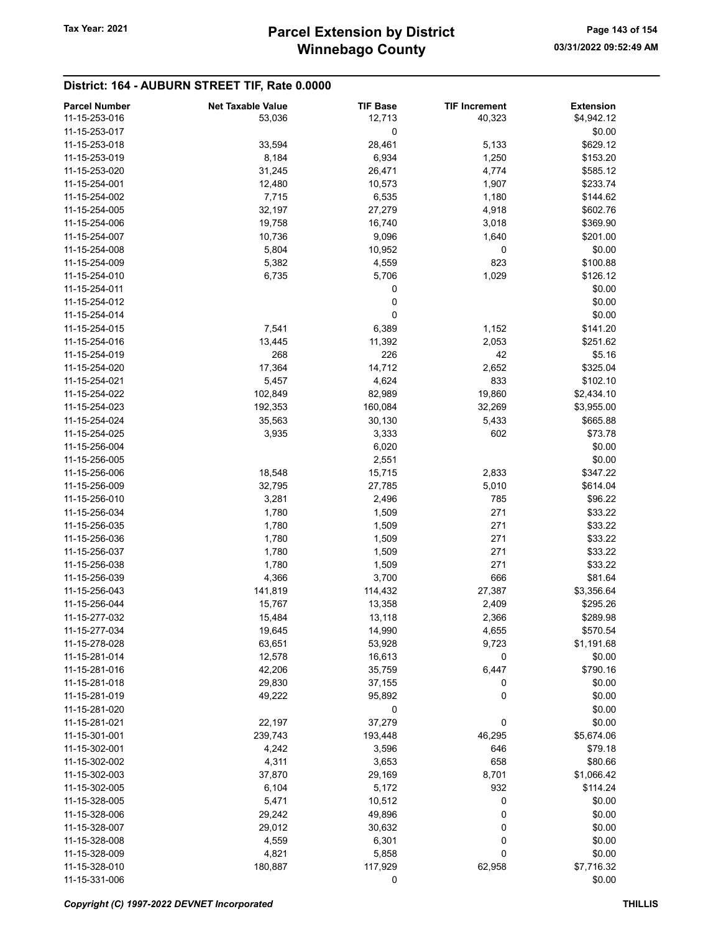# District: 164 - AUBURN STREET TIF, Rate 0.0000

| <b>Parcel Number</b> | <b>Net Taxable Value</b> | <b>TIF Base</b> | <b>TIF Increment</b> | <b>Extension</b> |
|----------------------|--------------------------|-----------------|----------------------|------------------|
| 11-15-253-016        | 53,036                   | 12,713          | 40,323               | \$4,942.12       |
| 11-15-253-017        |                          | 0               |                      | \$0.00           |
| 11-15-253-018        | 33,594                   | 28,461          | 5,133                | \$629.12         |
| 11-15-253-019        | 8,184                    | 6,934           | 1,250                | \$153.20         |
| 11-15-253-020        |                          |                 | 4,774                | \$585.12         |
|                      | 31,245                   | 26,471          |                      |                  |
| 11-15-254-001        | 12,480                   | 10,573          | 1,907                | \$233.74         |
| 11-15-254-002        | 7,715                    | 6,535           | 1,180                | \$144.62         |
| 11-15-254-005        | 32,197                   | 27,279          | 4,918                | \$602.76         |
| 11-15-254-006        | 19,758                   | 16,740          | 3,018                | \$369.90         |
| 11-15-254-007        | 10,736                   | 9,096           | 1,640                | \$201.00         |
| 11-15-254-008        | 5,804                    | 10,952          | 0                    | \$0.00           |
| 11-15-254-009        | 5,382                    | 4,559           | 823                  | \$100.88         |
| 11-15-254-010        | 6,735                    | 5,706           | 1,029                | \$126.12         |
| 11-15-254-011        |                          | 0               |                      | \$0.00           |
| 11-15-254-012        |                          | 0               |                      | \$0.00           |
| 11-15-254-014        |                          | 0               |                      | \$0.00           |
| 11-15-254-015        | 7,541                    | 6,389           | 1,152                | \$141.20         |
| 11-15-254-016        | 13,445                   | 11,392          | 2,053                | \$251.62         |
| 11-15-254-019        | 268                      | 226             | 42                   | \$5.16           |
|                      |                          |                 |                      |                  |
| 11-15-254-020        | 17,364                   | 14,712          | 2,652                | \$325.04         |
| 11-15-254-021        | 5,457                    | 4,624           | 833                  | \$102.10         |
| 11-15-254-022        | 102,849                  | 82,989          | 19,860               | \$2,434.10       |
| 11-15-254-023        | 192,353                  | 160,084         | 32,269               | \$3,955.00       |
| 11-15-254-024        | 35,563                   | 30,130          | 5,433                | \$665.88         |
| 11-15-254-025        | 3,935                    | 3,333           | 602                  | \$73.78          |
| 11-15-256-004        |                          | 6,020           |                      | \$0.00           |
| 11-15-256-005        |                          | 2,551           |                      | \$0.00           |
| 11-15-256-006        | 18,548                   | 15,715          | 2,833                | \$347.22         |
| 11-15-256-009        | 32,795                   | 27,785          | 5,010                | \$614.04         |
| 11-15-256-010        | 3,281                    | 2,496           | 785                  | \$96.22          |
| 11-15-256-034        | 1,780                    | 1,509           | 271                  | \$33.22          |
| 11-15-256-035        | 1,780                    | 1,509           | 271                  | \$33.22          |
| 11-15-256-036        | 1,780                    | 1,509           | 271                  | \$33.22          |
| 11-15-256-037        | 1,780                    | 1,509           | 271                  | \$33.22          |
| 11-15-256-038        |                          | 1,509           | 271                  |                  |
|                      | 1,780                    |                 |                      | \$33.22          |
| 11-15-256-039        | 4,366                    | 3,700           | 666                  | \$81.64          |
| 11-15-256-043        | 141,819                  | 114,432         | 27,387               | \$3,356.64       |
| 11-15-256-044        | 15,767                   | 13,358          | 2,409                | \$295.26         |
| 11-15-277-032        | 15,484                   | 13,118          | 2,366                | \$289.98         |
| 11-15-277-034        | 19,645                   | 14,990          | 4,655                | \$570.54         |
| 11-15-278-028        | 63,651                   | 53,928          | 9,723                | \$1,191.68       |
| 11-15-281-014        | 12,578                   | 16,613          | 0                    | \$0.00           |
| 11-15-281-016        | 42,206                   | 35,759          | 6,447                | \$790.16         |
| 11-15-281-018        | 29,830                   | 37,155          | 0                    | \$0.00           |
| 11-15-281-019        | 49,222                   | 95,892          | 0                    | \$0.00           |
| 11-15-281-020        |                          | 0               |                      | \$0.00           |
| 11-15-281-021        | 22,197                   | 37,279          | 0                    | \$0.00           |
| 11-15-301-001        | 239,743                  | 193,448         | 46,295               | \$5,674.06       |
| 11-15-302-001        | 4,242                    | 3,596           | 646                  | \$79.18          |
| 11-15-302-002        | 4,311                    | 3,653           | 658                  | \$80.66          |
| 11-15-302-003        |                          |                 |                      |                  |
|                      | 37,870                   | 29,169          | 8,701                | \$1,066.42       |
| 11-15-302-005        | 6,104                    | 5,172           | 932                  | \$114.24         |
| 11-15-328-005        | 5,471                    | 10,512          | 0                    | \$0.00           |
| 11-15-328-006        | 29,242                   | 49,896          | 0                    | \$0.00           |
| 11-15-328-007        | 29,012                   | 30,632          | 0                    | \$0.00           |
| 11-15-328-008        | 4,559                    | 6,301           | 0                    | \$0.00           |
| 11-15-328-009        | 4,821                    | 5,858           | 0                    | \$0.00           |
| 11-15-328-010        | 180,887                  | 117,929         | 62,958               | \$7,716.32       |
| 11-15-331-006        |                          | 0               |                      | \$0.00           |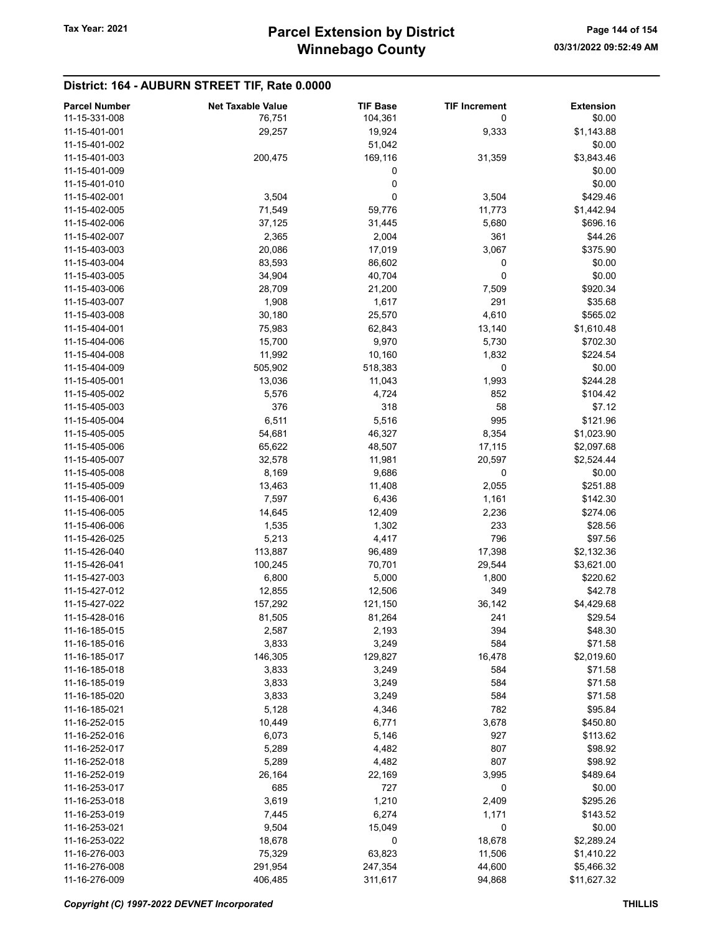### District: 164 - AUBURN STREET TIF, Rate 0.0000

| <b>Parcel Number</b> | <b>Net Taxable Value</b> | <b>TIF Base</b> | <b>TIF Increment</b> | <b>Extension</b> |
|----------------------|--------------------------|-----------------|----------------------|------------------|
| 11-15-331-008        | 76,751                   | 104,361         | 0                    | \$0.00           |
| 11-15-401-001        | 29,257                   | 19,924          | 9,333                | \$1,143.88       |
|                      |                          |                 |                      |                  |
| 11-15-401-002        |                          | 51,042          |                      | \$0.00           |
| 11-15-401-003        | 200,475                  | 169,116         | 31,359               | \$3,843.46       |
| 11-15-401-009        |                          | 0               |                      | \$0.00           |
| 11-15-401-010        |                          | 0               |                      | \$0.00           |
| 11-15-402-001        | 3,504                    | 0               | 3,504                | \$429.46         |
| 11-15-402-005        | 71,549                   | 59,776          | 11,773               | \$1,442.94       |
| 11-15-402-006        | 37,125                   | 31,445          | 5,680                | \$696.16         |
| 11-15-402-007        | 2,365                    | 2,004           | 361                  | \$44.26          |
| 11-15-403-003        | 20,086                   | 17,019          | 3,067                | \$375.90         |
|                      |                          |                 |                      |                  |
| 11-15-403-004        | 83,593                   | 86,602          | 0                    | \$0.00           |
| 11-15-403-005        | 34,904                   | 40,704          | 0                    | \$0.00           |
| 11-15-403-006        | 28,709                   | 21,200          | 7,509                | \$920.34         |
| 11-15-403-007        | 1,908                    | 1,617           | 291                  | \$35.68          |
| 11-15-403-008        | 30,180                   | 25,570          | 4,610                | \$565.02         |
| 11-15-404-001        | 75,983                   | 62,843          | 13,140               | \$1,610.48       |
| 11-15-404-006        | 15,700                   | 9,970           | 5,730                | \$702.30         |
| 11-15-404-008        | 11,992                   | 10,160          | 1,832                | \$224.54         |
| 11-15-404-009        | 505,902                  | 518,383         | 0                    | \$0.00           |
|                      |                          |                 |                      |                  |
| 11-15-405-001        | 13,036                   | 11,043          | 1,993                | \$244.28         |
| 11-15-405-002        | 5,576                    | 4,724           | 852                  | \$104.42         |
| 11-15-405-003        | 376                      | 318             | 58                   | \$7.12           |
| 11-15-405-004        | 6,511                    | 5,516           | 995                  | \$121.96         |
| 11-15-405-005        | 54,681                   | 46,327          | 8,354                | \$1,023.90       |
| 11-15-405-006        | 65,622                   | 48,507          | 17,115               | \$2,097.68       |
| 11-15-405-007        | 32,578                   | 11,981          | 20,597               | \$2,524.44       |
| 11-15-405-008        | 8,169                    | 9,686           | 0                    | \$0.00           |
| 11-15-405-009        | 13,463                   | 11,408          | 2,055                | \$251.88         |
| 11-15-406-001        | 7,597                    | 6,436           | 1,161                | \$142.30         |
|                      |                          |                 |                      |                  |
| 11-15-406-005        | 14,645                   | 12,409          | 2,236                | \$274.06         |
| 11-15-406-006        | 1,535                    | 1,302           | 233                  | \$28.56          |
| 11-15-426-025        | 5,213                    | 4,417           | 796                  | \$97.56          |
| 11-15-426-040        | 113,887                  | 96,489          | 17,398               | \$2,132.36       |
| 11-15-426-041        | 100,245                  | 70,701          | 29,544               | \$3,621.00       |
| 11-15-427-003        | 6,800                    | 5,000           | 1,800                | \$220.62         |
| 11-15-427-012        | 12,855                   | 12,506          | 349                  | \$42.78          |
| 11-15-427-022        | 157,292                  | 121,150         | 36,142               | \$4,429.68       |
| 11-15-428-016        | 81,505                   | 81,264          | 241                  | \$29.54          |
| 11-16-185-015        |                          | 2,193           | 394                  | \$48.30          |
|                      | 2,587                    |                 |                      |                  |
| 11-16-185-016        | 3,833                    | 3,249           | 584                  | \$71.58          |
| 11-16-185-017        | 146,305                  | 129,827         | 16,478               | \$2,019.60       |
| 11-16-185-018        | 3,833                    | 3,249           | 584                  | \$71.58          |
| 11-16-185-019        | 3,833                    | 3,249           | 584                  | \$71.58          |
| 11-16-185-020        | 3,833                    | 3,249           | 584                  | \$71.58          |
| 11-16-185-021        | 5,128                    | 4,346           | 782                  | \$95.84          |
| 11-16-252-015        | 10,449                   | 6,771           | 3,678                | \$450.80         |
| 11-16-252-016        | 6,073                    | 5,146           | 927                  | \$113.62         |
| 11-16-252-017        | 5,289                    | 4,482           | 807                  | \$98.92          |
| 11-16-252-018        | 5,289                    | 4,482           | 807                  | \$98.92          |
|                      |                          |                 |                      |                  |
| 11-16-252-019        | 26,164                   | 22,169          | 3,995                | \$489.64         |
| 11-16-253-017        | 685                      | 727             | 0                    | \$0.00           |
| 11-16-253-018        | 3,619                    | 1,210           | 2,409                | \$295.26         |
| 11-16-253-019        | 7,445                    | 6,274           | 1,171                | \$143.52         |
| 11-16-253-021        | 9,504                    | 15,049          | 0                    | \$0.00           |
| 11-16-253-022        | 18,678                   | 0               | 18,678               | \$2,289.24       |
| 11-16-276-003        | 75,329                   | 63,823          | 11,506               | \$1,410.22       |
| 11-16-276-008        | 291,954                  | 247,354         | 44,600               | \$5,466.32       |
| 11-16-276-009        | 406,485                  | 311,617         | 94,868               | \$11,627.32      |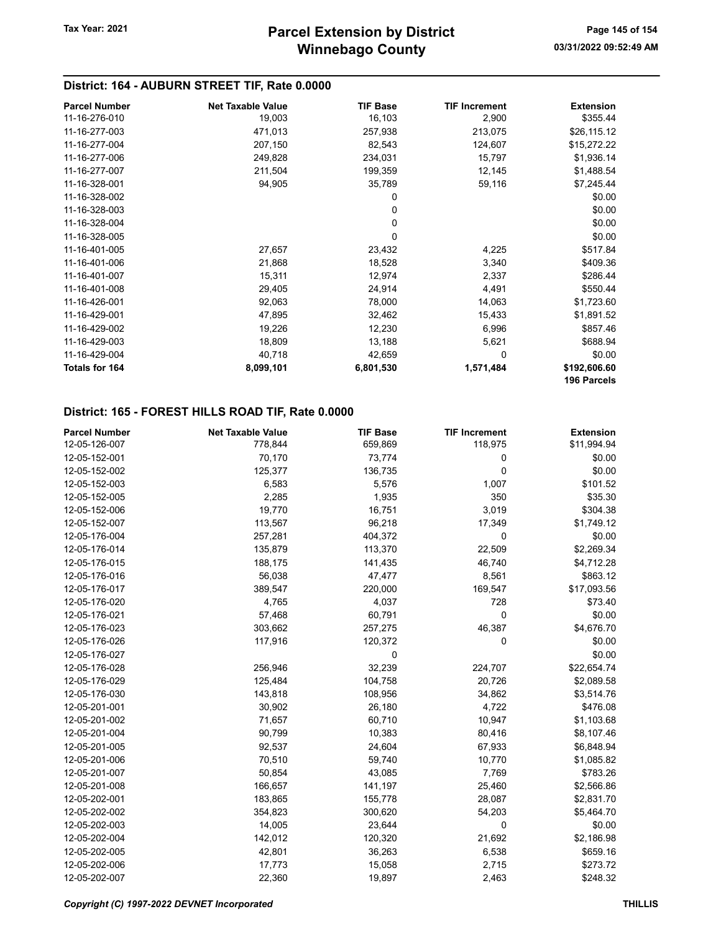# District: 164 - AUBURN STREET TIF, Rate 0.0000

| <b>Parcel Number</b> | <b>Net Taxable Value</b> | <b>TIF Base</b> | <b>TIF Increment</b> | <b>Extension</b> |
|----------------------|--------------------------|-----------------|----------------------|------------------|
| 11-16-276-010        | 19,003                   | 16,103          | 2,900                | \$355.44         |
| 11-16-277-003        | 471,013                  | 257,938         | 213,075              | \$26,115.12      |
| 11-16-277-004        | 207,150                  | 82,543          | 124,607              | \$15,272.22      |
| 11-16-277-006        | 249,828                  | 234,031         | 15,797               | \$1,936.14       |
| 11-16-277-007        | 211,504                  | 199,359         | 12,145               | \$1,488.54       |
| 11-16-328-001        | 94,905                   | 35,789          | 59,116               | \$7,245.44       |
| 11-16-328-002        |                          | 0               |                      | \$0.00           |
| 11-16-328-003        |                          | 0               |                      | \$0.00           |
| 11-16-328-004        |                          | 0               |                      | \$0.00           |
| 11-16-328-005        |                          | $\Omega$        |                      | \$0.00           |
| 11-16-401-005        | 27,657                   | 23,432          | 4,225                | \$517.84         |
| 11-16-401-006        | 21,868                   | 18,528          | 3,340                | \$409.36         |
| 11-16-401-007        | 15,311                   | 12,974          | 2,337                | \$286.44         |
| 11-16-401-008        | 29,405                   | 24,914          | 4,491                | \$550.44         |
| 11-16-426-001        | 92,063                   | 78,000          | 14,063               | \$1,723.60       |
| 11-16-429-001        | 47,895                   | 32,462          | 15,433               | \$1,891.52       |
| 11-16-429-002        | 19,226                   | 12,230          | 6,996                | \$857.46         |
| 11-16-429-003        | 18,809                   | 13,188          | 5,621                | \$688.94         |
| 11-16-429-004        | 40,718                   | 42,659          | 0                    | \$0.00           |
| Totals for 164       | 8,099,101                | 6,801,530       | 1,571,484            | \$192,606.60     |
|                      |                          |                 |                      | 196 Parcels      |

#### District: 165 - FOREST HILLS ROAD TIF, Rate 0.0000

| <b>Parcel Number</b> | <b>Net Taxable Value</b> | <b>TIF Base</b> | <b>TIF Increment</b> | <b>Extension</b> |
|----------------------|--------------------------|-----------------|----------------------|------------------|
| 12-05-126-007        | 778,844                  | 659,869         | 118,975              | \$11,994.94      |
| 12-05-152-001        | 70,170                   | 73,774          | 0                    | \$0.00           |
| 12-05-152-002        | 125,377                  | 136,735         | $\mathbf 0$          | \$0.00           |
| 12-05-152-003        | 6,583                    | 5,576           | 1,007                | \$101.52         |
| 12-05-152-005        | 2,285                    | 1,935           | 350                  | \$35.30          |
| 12-05-152-006        | 19,770                   | 16,751          | 3,019                | \$304.38         |
| 12-05-152-007        | 113,567                  | 96,218          | 17,349               | \$1,749.12       |
| 12-05-176-004        | 257,281                  | 404,372         | 0                    | \$0.00           |
| 12-05-176-014        | 135,879                  | 113,370         | 22,509               | \$2,269.34       |
| 12-05-176-015        | 188,175                  | 141,435         | 46,740               | \$4,712.28       |
| 12-05-176-016        | 56,038                   | 47,477          | 8,561                | \$863.12         |
| 12-05-176-017        | 389,547                  | 220,000         | 169,547              | \$17,093.56      |
| 12-05-176-020        | 4,765                    | 4,037           | 728                  | \$73.40          |
| 12-05-176-021        | 57,468                   | 60,791          | 0                    | \$0.00           |
| 12-05-176-023        | 303,662                  | 257,275         | 46,387               | \$4,676.70       |
| 12-05-176-026        | 117,916                  | 120,372         | 0                    | \$0.00           |
| 12-05-176-027        |                          | 0               |                      | \$0.00           |
| 12-05-176-028        | 256,946                  | 32,239          | 224,707              | \$22,654.74      |
| 12-05-176-029        | 125,484                  | 104,758         | 20,726               | \$2,089.58       |
| 12-05-176-030        | 143,818                  | 108,956         | 34,862               | \$3,514.76       |
| 12-05-201-001        | 30,902                   | 26,180          | 4,722                | \$476.08         |
| 12-05-201-002        | 71,657                   | 60,710          | 10,947               | \$1,103.68       |
| 12-05-201-004        | 90,799                   | 10,383          | 80,416               | \$8,107.46       |
| 12-05-201-005        | 92,537                   | 24,604          | 67,933               | \$6,848.94       |
| 12-05-201-006        | 70,510                   | 59,740          | 10,770               | \$1,085.82       |
| 12-05-201-007        | 50,854                   | 43,085          | 7,769                | \$783.26         |
| 12-05-201-008        | 166,657                  | 141,197         | 25,460               | \$2,566.86       |
| 12-05-202-001        | 183,865                  | 155,778         | 28,087               | \$2,831.70       |
| 12-05-202-002        | 354,823                  | 300,620         | 54,203               | \$5,464.70       |
| 12-05-202-003        | 14,005                   | 23,644          | 0                    | \$0.00           |
| 12-05-202-004        | 142,012                  | 120,320         | 21,692               | \$2,186.98       |
| 12-05-202-005        | 42,801                   | 36,263          | 6,538                | \$659.16         |
| 12-05-202-006        | 17,773                   | 15,058          | 2,715                | \$273.72         |
| 12-05-202-007        | 22,360                   | 19,897          | 2,463                | \$248.32         |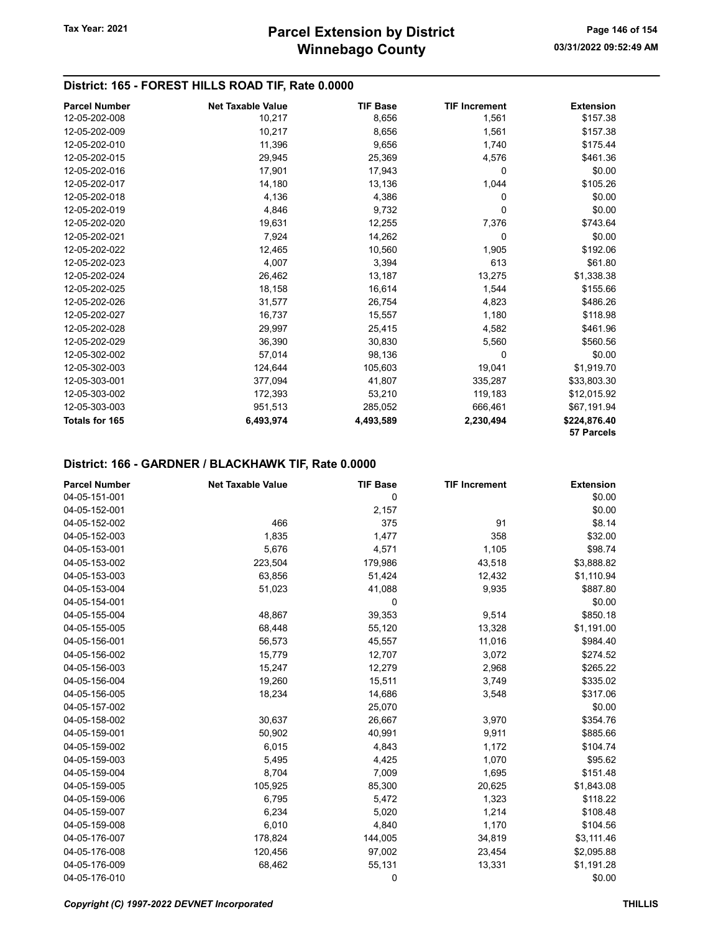# District: 165 - FOREST HILLS ROAD TIF, Rate 0.0000

| <b>Parcel Number</b>  | <b>Net Taxable Value</b> | <b>TIF Base</b> | <b>TIF Increment</b> | <b>Extension</b> |
|-----------------------|--------------------------|-----------------|----------------------|------------------|
| 12-05-202-008         | 10,217                   | 8,656           | 1,561                | \$157.38         |
| 12-05-202-009         | 10,217                   | 8,656           | 1,561                | \$157.38         |
| 12-05-202-010         | 11,396                   | 9,656           | 1,740                | \$175.44         |
| 12-05-202-015         | 29,945                   | 25,369          | 4,576                | \$461.36         |
| 12-05-202-016         | 17,901                   | 17,943          | $\Omega$             | \$0.00           |
| 12-05-202-017         | 14,180                   | 13,136          | 1,044                | \$105.26         |
| 12-05-202-018         | 4,136                    | 4,386           | 0                    | \$0.00           |
| 12-05-202-019         | 4,846                    | 9,732           | $\Omega$             | \$0.00           |
| 12-05-202-020         | 19,631                   | 12,255          | 7,376                | \$743.64         |
| 12-05-202-021         | 7,924                    | 14,262          | $\Omega$             | \$0.00           |
| 12-05-202-022         | 12,465                   | 10,560          | 1,905                | \$192.06         |
| 12-05-202-023         | 4,007                    | 3,394           | 613                  | \$61.80          |
| 12-05-202-024         | 26,462                   | 13,187          | 13,275               | \$1,338.38       |
| 12-05-202-025         | 18,158                   | 16,614          | 1,544                | \$155.66         |
| 12-05-202-026         | 31,577                   | 26,754          | 4,823                | \$486.26         |
| 12-05-202-027         | 16,737                   | 15,557          | 1,180                | \$118.98         |
| 12-05-202-028         | 29,997                   | 25,415          | 4,582                | \$461.96         |
| 12-05-202-029         | 36,390                   | 30,830          | 5,560                | \$560.56         |
| 12-05-302-002         | 57,014                   | 98,136          | 0                    | \$0.00           |
| 12-05-302-003         | 124,644                  | 105,603         | 19,041               | \$1,919.70       |
| 12-05-303-001         | 377,094                  | 41,807          | 335,287              | \$33,803.30      |
| 12-05-303-002         | 172,393                  | 53,210          | 119,183              | \$12,015.92      |
| 12-05-303-003         | 951,513                  | 285,052         | 666,461              | \$67,191.94      |
| <b>Totals for 165</b> | 6,493,974                | 4,493,589       | 2,230,494            | \$224,876.40     |
|                       |                          |                 |                      | 57 Parcels       |

| <b>Parcel Number</b> | <b>Net Taxable Value</b> | <b>TIF Base</b> | <b>TIF Increment</b> | <b>Extension</b> |
|----------------------|--------------------------|-----------------|----------------------|------------------|
| 04-05-151-001        |                          | 0               |                      | \$0.00           |
| 04-05-152-001        |                          | 2,157           |                      | \$0.00           |
| 04-05-152-002        | 466                      | 375             | 91                   | \$8.14           |
| 04-05-152-003        | 1,835                    | 1,477           | 358                  | \$32.00          |
| 04-05-153-001        | 5,676                    | 4,571           | 1,105                | \$98.74          |
| 04-05-153-002        | 223,504                  | 179,986         | 43,518               | \$3,888.82       |
| 04-05-153-003        | 63,856                   | 51,424          | 12,432               | \$1,110.94       |
| 04-05-153-004        | 51,023                   | 41,088          | 9,935                | \$887.80         |
| 04-05-154-001        |                          | 0               |                      | \$0.00           |
| 04-05-155-004        | 48,867                   | 39,353          | 9,514                | \$850.18         |
| 04-05-155-005        | 68,448                   | 55,120          | 13,328               | \$1,191.00       |
| 04-05-156-001        | 56,573                   | 45,557          | 11,016               | \$984.40         |
| 04-05-156-002        | 15,779                   | 12,707          | 3,072                | \$274.52         |
| 04-05-156-003        | 15,247                   | 12,279          | 2,968                | \$265.22         |
| 04-05-156-004        | 19,260                   | 15,511          | 3,749                | \$335.02         |
| 04-05-156-005        | 18,234                   | 14,686          | 3,548                | \$317.06         |
| 04-05-157-002        |                          | 25,070          |                      | \$0.00           |
| 04-05-158-002        | 30,637                   | 26,667          | 3,970                | \$354.76         |
| 04-05-159-001        | 50,902                   | 40,991          | 9,911                | \$885.66         |
| 04-05-159-002        | 6,015                    | 4,843           | 1,172                | \$104.74         |
| 04-05-159-003        | 5,495                    | 4,425           | 1,070                | \$95.62          |
| 04-05-159-004        | 8,704                    | 7,009           | 1,695                | \$151.48         |
| 04-05-159-005        | 105,925                  | 85,300          | 20,625               | \$1,843.08       |
| 04-05-159-006        | 6,795                    | 5,472           | 1,323                | \$118.22         |
| 04-05-159-007        | 6,234                    | 5,020           | 1,214                | \$108.48         |
| 04-05-159-008        | 6,010                    | 4,840           | 1,170                | \$104.56         |
| 04-05-176-007        | 178,824                  | 144,005         | 34,819               | \$3,111.46       |
| 04-05-176-008        | 120,456                  | 97,002          | 23,454               | \$2,095.88       |
| 04-05-176-009        | 68,462                   | 55,131          | 13,331               | \$1,191.28       |
| 04-05-176-010        |                          | 0               |                      | \$0.00           |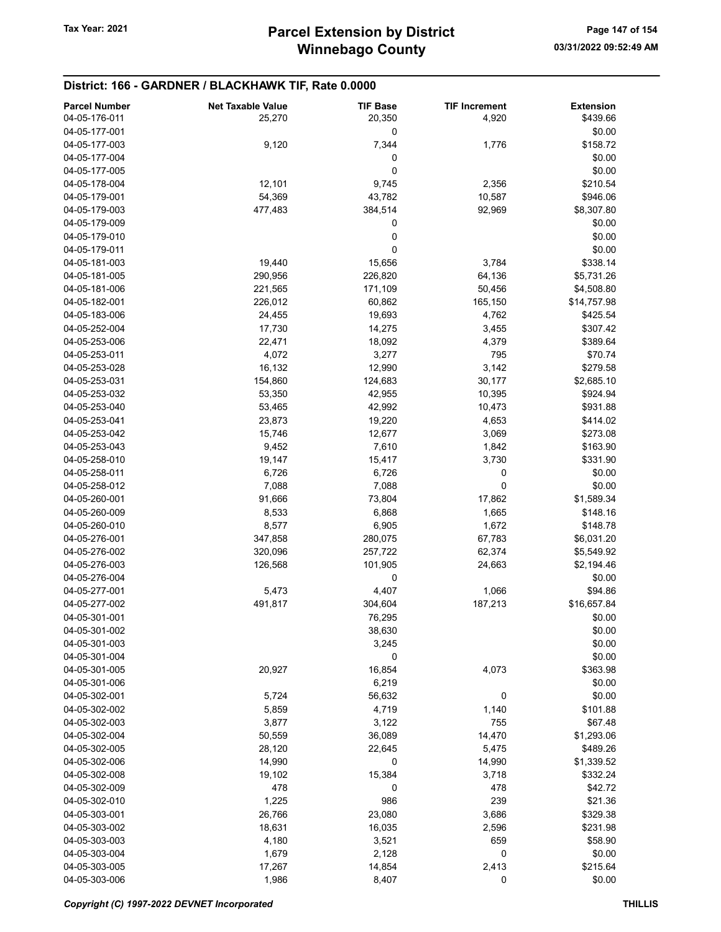| <b>Parcel Number</b>           | <b>Net Taxable Value</b> | <b>TIF Base</b> | <b>TIF Increment</b> | <b>Extension</b>   |
|--------------------------------|--------------------------|-----------------|----------------------|--------------------|
| 04-05-176-011                  | 25,270                   | 20,350          | 4,920                | \$439.66           |
| 04-05-177-001                  |                          | 0               |                      | \$0.00             |
| 04-05-177-003                  | 9,120                    | 7,344           | 1,776                | \$158.72           |
| 04-05-177-004                  |                          | 0               |                      | \$0.00             |
| 04-05-177-005                  |                          | 0               |                      | \$0.00             |
| 04-05-178-004                  | 12,101                   | 9,745           | 2,356                | \$210.54           |
| 04-05-179-001                  | 54,369                   | 43,782          | 10,587               | \$946.06           |
| 04-05-179-003                  | 477,483                  | 384,514         | 92,969               | \$8,307.80         |
| 04-05-179-009                  |                          | 0               |                      | \$0.00             |
| 04-05-179-010                  |                          | 0               |                      | \$0.00             |
| 04-05-179-011                  |                          | 0               |                      | \$0.00             |
| 04-05-181-003                  | 19,440                   | 15,656          | 3,784                | \$338.14           |
| 04-05-181-005                  | 290,956                  | 226,820         | 64,136               | \$5,731.26         |
| 04-05-181-006                  | 221,565                  | 171,109         | 50,456               | \$4,508.80         |
| 04-05-182-001                  | 226,012                  | 60,862          | 165,150              | \$14,757.98        |
| 04-05-183-006                  | 24,455                   | 19,693          | 4,762                | \$425.54           |
| 04-05-252-004                  | 17,730                   | 14,275          | 3,455                | \$307.42           |
| 04-05-253-006                  | 22,471                   | 18,092          | 4,379                | \$389.64           |
| 04-05-253-011                  | 4,072                    | 3,277           | 795                  | \$70.74            |
| 04-05-253-028                  | 16,132                   | 12,990          | 3,142                | \$279.58           |
| 04-05-253-031                  | 154,860                  | 124,683         | 30,177               | \$2,685.10         |
| 04-05-253-032                  | 53,350                   | 42,955          | 10,395               | \$924.94           |
| 04-05-253-040                  | 53,465                   | 42,992          | 10,473               | \$931.88           |
| 04-05-253-041                  | 23,873                   | 19,220          | 4,653                | \$414.02           |
| 04-05-253-042                  | 15,746                   | 12,677          | 3,069                | \$273.08           |
| 04-05-253-043                  | 9,452                    | 7,610           | 1,842                | \$163.90           |
| 04-05-258-010                  | 19,147                   | 15,417          | 3,730<br>0           | \$331.90<br>\$0.00 |
| 04-05-258-011<br>04-05-258-012 | 6,726<br>7,088           | 6,726<br>7,088  | 0                    | \$0.00             |
| 04-05-260-001                  | 91,666                   | 73,804          | 17,862               | \$1,589.34         |
| 04-05-260-009                  | 8,533                    | 6,868           | 1,665                | \$148.16           |
| 04-05-260-010                  | 8,577                    | 6,905           | 1,672                | \$148.78           |
| 04-05-276-001                  | 347,858                  | 280,075         | 67,783               | \$6,031.20         |
| 04-05-276-002                  | 320,096                  | 257,722         | 62,374               | \$5,549.92         |
| 04-05-276-003                  | 126,568                  | 101,905         | 24,663               | \$2,194.46         |
| 04-05-276-004                  |                          | 0               |                      | \$0.00             |
| 04-05-277-001                  | 5,473                    | 4,407           | 1,066                | \$94.86            |
| 04-05-277-002                  | 491,817                  | 304,604         | 187,213              | \$16,657.84        |
| 04-05-301-001                  |                          | 76,295          |                      | \$0.00             |
| 04-05-301-002                  |                          | 38,630          |                      | \$0.00             |
| 04-05-301-003                  |                          | 3,245           |                      | \$0.00             |
| 04-05-301-004                  |                          | 0               |                      | \$0.00             |
| 04-05-301-005                  | 20,927                   | 16,854          | 4,073                | \$363.98           |
| 04-05-301-006                  |                          | 6,219           |                      | \$0.00             |
| 04-05-302-001                  | 5,724                    | 56,632          | 0                    | \$0.00             |
| 04-05-302-002                  | 5,859                    | 4,719           | 1,140                | \$101.88           |
| 04-05-302-003                  | 3,877                    | 3,122           | 755                  | \$67.48            |
| 04-05-302-004                  | 50,559                   | 36,089          | 14,470               | \$1,293.06         |
| 04-05-302-005                  | 28,120                   | 22,645          | 5,475                | \$489.26           |
| 04-05-302-006                  | 14,990                   | 0               | 14,990               | \$1,339.52         |
| 04-05-302-008                  | 19,102                   | 15,384          | 3,718                | \$332.24           |
| 04-05-302-009                  | 478                      | 0               | 478                  | \$42.72            |
| 04-05-302-010                  | 1,225                    | 986             | 239                  | \$21.36            |
| 04-05-303-001                  | 26,766                   | 23,080          | 3,686                | \$329.38           |
| 04-05-303-002                  | 18,631                   | 16,035          | 2,596                | \$231.98           |
| 04-05-303-003                  | 4,180                    | 3,521           | 659                  | \$58.90            |
| 04-05-303-004                  | 1,679                    | 2,128           | 0                    | \$0.00             |
| 04-05-303-005                  | 17,267                   | 14,854          | 2,413                | \$215.64           |
| 04-05-303-006                  | 1,986                    | 8,407           | 0                    | \$0.00             |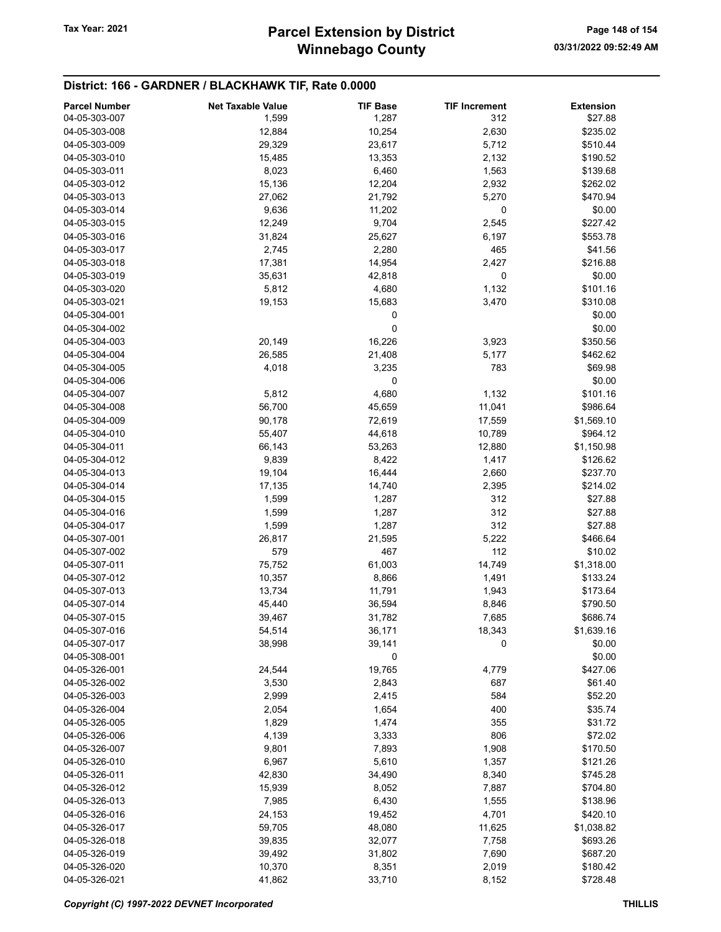# Winnebago County Tax Year: 2021 **Parcel Extension by District** Page 148 of 154

| <b>Parcel Number</b> | <b>Net Taxable Value</b> | <b>TIF Base</b> | <b>TIF Increment</b> | <b>Extension</b> |
|----------------------|--------------------------|-----------------|----------------------|------------------|
| 04-05-303-007        | 1,599                    | 1,287           | 312                  | \$27.88          |
| 04-05-303-008        |                          |                 |                      | \$235.02         |
|                      | 12,884                   | 10,254          | 2,630                |                  |
| 04-05-303-009        | 29,329                   | 23,617          | 5,712                | \$510.44         |
| 04-05-303-010        | 15,485                   | 13,353          | 2,132                | \$190.52         |
| 04-05-303-011        | 8,023                    | 6,460           | 1,563                | \$139.68         |
| 04-05-303-012        | 15,136                   | 12,204          | 2,932                | \$262.02         |
| 04-05-303-013        | 27,062                   | 21,792          | 5,270                | \$470.94         |
| 04-05-303-014        | 9,636                    | 11,202          | 0                    | \$0.00           |
| 04-05-303-015        | 12,249                   | 9,704           | 2,545                | \$227.42         |
| 04-05-303-016        | 31,824                   | 25,627          | 6,197                | \$553.78         |
| 04-05-303-017        | 2,745                    | 2,280           | 465                  | \$41.56          |
| 04-05-303-018        | 17,381                   | 14,954          | 2,427                | \$216.88         |
| 04-05-303-019        | 35,631                   | 42,818          | 0                    | \$0.00           |
|                      |                          |                 |                      |                  |
| 04-05-303-020        | 5,812                    | 4,680           | 1,132                | \$101.16         |
| 04-05-303-021        | 19,153                   | 15,683          | 3,470                | \$310.08         |
| 04-05-304-001        |                          | 0               |                      | \$0.00           |
| 04-05-304-002        |                          | 0               |                      | \$0.00           |
| 04-05-304-003        | 20,149                   | 16,226          | 3,923                | \$350.56         |
| 04-05-304-004        | 26,585                   | 21,408          | 5,177                | \$462.62         |
| 04-05-304-005        | 4,018                    | 3,235           | 783                  | \$69.98          |
| 04-05-304-006        |                          | 0               |                      | \$0.00           |
| 04-05-304-007        | 5,812                    | 4,680           | 1,132                | \$101.16         |
| 04-05-304-008        | 56,700                   | 45,659          | 11,041               | \$986.64         |
| 04-05-304-009        | 90,178                   | 72,619          | 17,559               | \$1,569.10       |
|                      |                          |                 |                      |                  |
| 04-05-304-010        | 55,407                   | 44,618          | 10,789               | \$964.12         |
| 04-05-304-011        | 66,143                   | 53,263          | 12,880               | \$1,150.98       |
| 04-05-304-012        | 9,839                    | 8,422           | 1,417                | \$126.62         |
| 04-05-304-013        | 19,104                   | 16,444          | 2,660                | \$237.70         |
| 04-05-304-014        | 17,135                   | 14,740          | 2,395                | \$214.02         |
| 04-05-304-015        | 1,599                    | 1,287           | 312                  | \$27.88          |
| 04-05-304-016        | 1,599                    | 1,287           | 312                  | \$27.88          |
| 04-05-304-017        | 1,599                    | 1,287           | 312                  | \$27.88          |
| 04-05-307-001        | 26,817                   | 21,595          | 5,222                | \$466.64         |
| 04-05-307-002        | 579                      | 467             | 112                  | \$10.02          |
| 04-05-307-011        | 75,752                   | 61,003          | 14,749               | \$1,318.00       |
| 04-05-307-012        | 10,357                   | 8,866           | 1,491                | \$133.24         |
| 04-05-307-013        |                          |                 |                      |                  |
|                      | 13,734                   | 11,791          | 1,943                | \$173.64         |
| 04-05-307-014        | 45,440                   | 36,594          | 8,846                | \$790.50         |
| 04-05-307-015        | 39,467                   | 31,782          | 7,685                | \$686.74         |
| 04-05-307-016        | 54,514                   | 36,171          | 18,343               | \$1,639.16       |
| 04-05-307-017        | 38,998                   | 39,141          | 0                    | \$0.00           |
| 04-05-308-001        |                          | 0               |                      | \$0.00           |
| 04-05-326-001        | 24,544                   | 19,765          | 4,779                | \$427.06         |
| 04-05-326-002        | 3,530                    | 2,843           | 687                  | \$61.40          |
| 04-05-326-003        | 2,999                    | 2,415           | 584                  | \$52.20          |
| 04-05-326-004        | 2,054                    | 1,654           | 400                  | \$35.74          |
| 04-05-326-005        | 1,829                    | 1,474           | 355                  | \$31.72          |
| 04-05-326-006        | 4,139                    | 3,333           | 806                  | \$72.02          |
| 04-05-326-007        |                          |                 |                      |                  |
|                      | 9,801                    | 7,893           | 1,908                | \$170.50         |
| 04-05-326-010        | 6,967                    | 5,610           | 1,357                | \$121.26         |
| 04-05-326-011        | 42,830                   | 34,490          | 8,340                | \$745.28         |
| 04-05-326-012        | 15,939                   | 8,052           | 7,887                | \$704.80         |
| 04-05-326-013        | 7,985                    | 6,430           | 1,555                | \$138.96         |
| 04-05-326-016        | 24,153                   | 19,452          | 4,701                | \$420.10         |
| 04-05-326-017        | 59,705                   | 48,080          | 11,625               | \$1,038.82       |
| 04-05-326-018        | 39,835                   | 32,077          | 7,758                | \$693.26         |
| 04-05-326-019        | 39,492                   | 31,802          | 7,690                | \$687.20         |
| 04-05-326-020        | 10,370                   | 8,351           | 2,019                | \$180.42         |
| 04-05-326-021        | 41,862                   | 33,710          | 8,152                | \$728.48         |
|                      |                          |                 |                      |                  |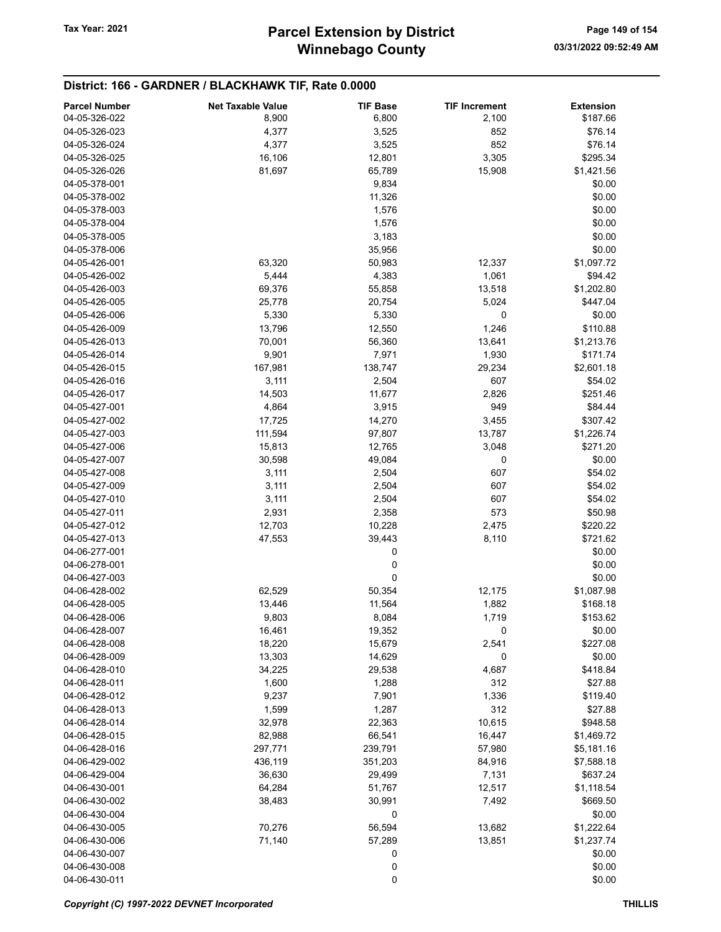| <b>Parcel Number</b><br>04-05-326-022 | <b>Net Taxable Value</b><br>8,900 | <b>TIF Base</b><br>6,800 | <b>TIF Increment</b><br>2,100 | <b>Extension</b><br>\$187.66 |
|---------------------------------------|-----------------------------------|--------------------------|-------------------------------|------------------------------|
| 04-05-326-023                         | 4,377                             | 3,525                    | 852                           | \$76.14                      |
| 04-05-326-024                         | 4,377                             | 3,525                    | 852                           | \$76.14                      |
| 04-05-326-025                         | 16,106                            | 12,801                   | 3,305                         | \$295.34                     |
| 04-05-326-026                         | 81,697                            | 65,789                   | 15,908                        | \$1,421.56                   |
| 04-05-378-001                         |                                   | 9,834                    |                               | \$0.00                       |
| 04-05-378-002                         |                                   | 11,326                   |                               | \$0.00                       |
| 04-05-378-003                         |                                   | 1,576                    |                               | \$0.00                       |
| 04-05-378-004                         |                                   | 1,576                    |                               | \$0.00                       |
| 04-05-378-005                         |                                   | 3,183                    |                               | \$0.00                       |
| 04-05-378-006                         |                                   | 35,956                   |                               | \$0.00                       |
| 04-05-426-001                         | 63,320                            | 50,983                   | 12,337                        | \$1,097.72                   |
| 04-05-426-002                         | 5,444                             | 4,383                    | 1,061                         | \$94.42                      |
| 04-05-426-003                         | 69,376                            | 55,858                   | 13,518                        | \$1,202.80                   |
| 04-05-426-005                         | 25,778                            | 20,754                   | 5,024                         | \$447.04                     |
| 04-05-426-006                         | 5,330                             | 5,330                    | 0                             | \$0.00                       |
| 04-05-426-009                         | 13,796                            | 12,550                   | 1,246                         | \$110.88                     |
| 04-05-426-013                         | 70,001                            |                          |                               | \$1,213.76                   |
| 04-05-426-014                         | 9,901                             | 56,360<br>7,971          | 13,641<br>1,930               | \$171.74                     |
| 04-05-426-015                         | 167,981                           | 138,747                  | 29,234                        | \$2,601.18                   |
| 04-05-426-016                         | 3,111                             | 2,504                    | 607                           |                              |
| 04-05-426-017                         |                                   |                          | 2,826                         | \$54.02<br>\$251.46          |
|                                       | 14,503                            | 11,677                   |                               |                              |
| 04-05-427-001                         | 4,864                             | 3,915                    | 949                           | \$84.44                      |
| 04-05-427-002                         | 17,725                            | 14,270                   | 3,455                         | \$307.42                     |
| 04-05-427-003                         | 111,594                           | 97,807                   | 13,787                        | \$1,226.74                   |
| 04-05-427-006                         | 15,813                            | 12,765                   | 3,048                         | \$271.20                     |
| 04-05-427-007                         | 30,598                            | 49,084                   | 0                             | \$0.00                       |
| 04-05-427-008                         | 3,111                             | 2,504                    | 607                           | \$54.02                      |
| 04-05-427-009                         | 3,111                             | 2,504                    | 607                           | \$54.02                      |
| 04-05-427-010                         | 3,111                             | 2,504                    | 607                           | \$54.02                      |
| 04-05-427-011                         | 2,931                             | 2,358                    | 573                           | \$50.98                      |
| 04-05-427-012                         | 12,703                            | 10,228                   | 2,475                         | \$220.22                     |
| 04-05-427-013                         | 47,553                            | 39,443                   | 8,110                         | \$721.62                     |
| 04-06-277-001                         |                                   | 0                        |                               | \$0.00                       |
| 04-06-278-001                         |                                   | 0                        |                               | \$0.00                       |
| 04-06-427-003                         |                                   | 0                        |                               | \$0.00                       |
| 04-06-428-002                         | 62,529                            | 50,354                   | 12,175                        | \$1,087.98                   |
| 04-06-428-005                         | 13,446                            | 11,564                   | 1,882                         | \$168.18                     |
| 04-06-428-006                         | 9,803                             | 8,084                    | 1,719                         | \$153.62                     |
| 04-06-428-007                         | 16,461                            | 19,352                   | 0                             | \$0.00                       |
| 04-06-428-008                         | 18,220                            | 15,679                   | 2,541                         | \$227.08                     |
| 04-06-428-009                         | 13,303                            | 14,629                   | 0                             | \$0.00                       |
| 04-06-428-010                         | 34,225                            | 29,538                   | 4,687                         | \$418.84                     |
| 04-06-428-011                         | 1,600                             | 1,288                    | 312                           | \$27.88                      |
| 04-06-428-012                         | 9,237                             | 7,901                    | 1,336                         | \$119.40                     |
| 04-06-428-013                         | 1,599                             | 1,287                    | 312                           | \$27.88                      |
| 04-06-428-014                         | 32,978                            | 22,363                   | 10,615                        | \$948.58                     |
| 04-06-428-015                         | 82,988                            | 66,541                   | 16,447                        | \$1,469.72                   |
| 04-06-428-016                         | 297,771                           | 239,791                  | 57,980                        | \$5,181.16                   |
| 04-06-429-002                         | 436,119                           | 351,203                  | 84,916                        | \$7,588.18                   |
| 04-06-429-004                         | 36,630                            | 29,499                   | 7,131                         | \$637.24                     |
| 04-06-430-001                         | 64,284                            | 51,767                   | 12,517                        | \$1,118.54                   |
| 04-06-430-002                         | 38,483                            | 30,991                   | 7,492                         | \$669.50                     |
| 04-06-430-004                         |                                   | 0                        |                               | \$0.00                       |
| 04-06-430-005                         | 70,276                            | 56,594                   | 13,682                        | \$1,222.64                   |
| 04-06-430-006                         | 71,140                            | 57,289                   | 13,851                        | \$1,237.74                   |
| 04-06-430-007                         |                                   | 0                        |                               | \$0.00                       |
| 04-06-430-008                         |                                   | 0                        |                               | \$0.00                       |
| 04-06-430-011                         |                                   | 0                        |                               | \$0.00                       |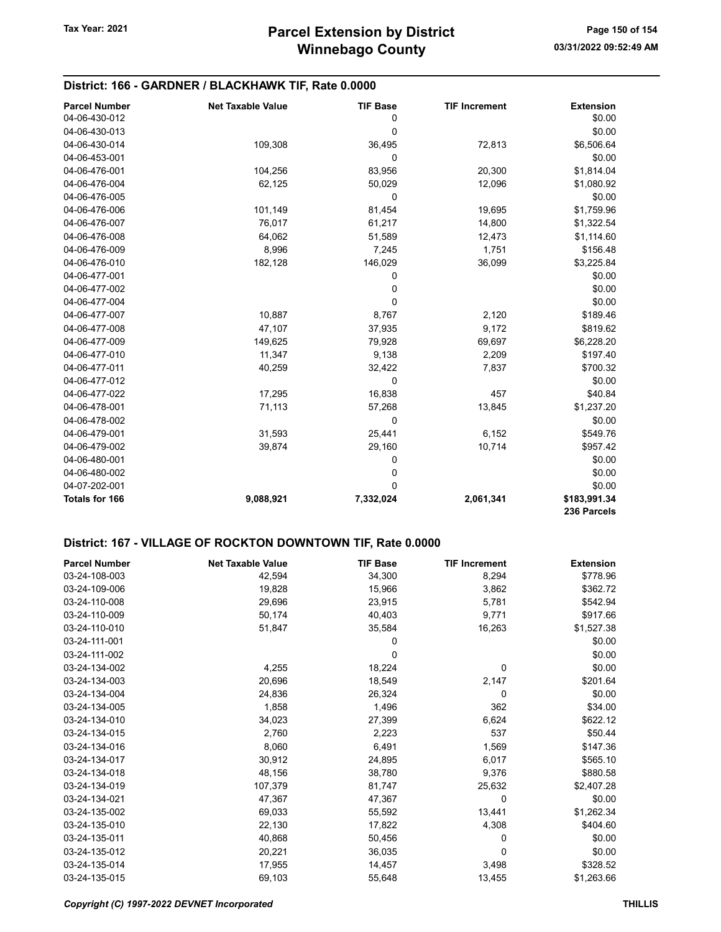## District: 166 - GARDNER / BLACKHAWK TIF, Rate 0.0000

| <b>Parcel Number</b> | <b>Net Taxable Value</b> | <b>TIF Base</b> | <b>TIF Increment</b> | <b>Extension</b> |
|----------------------|--------------------------|-----------------|----------------------|------------------|
| 04-06-430-012        |                          | 0               |                      | \$0.00           |
| 04-06-430-013        |                          | 0               |                      | \$0.00           |
| 04-06-430-014        | 109,308                  | 36,495          | 72,813               | \$6,506.64       |
| 04-06-453-001        |                          | 0               |                      | \$0.00           |
| 04-06-476-001        | 104,256                  | 83,956          | 20,300               | \$1,814.04       |
| 04-06-476-004        | 62,125                   | 50,029          | 12,096               | \$1,080.92       |
| 04-06-476-005        |                          | 0               |                      | \$0.00           |
| 04-06-476-006        | 101,149                  | 81,454          | 19,695               | \$1,759.96       |
| 04-06-476-007        | 76,017                   | 61,217          | 14,800               | \$1,322.54       |
| 04-06-476-008        | 64,062                   | 51,589          | 12,473               | \$1,114.60       |
| 04-06-476-009        | 8,996                    | 7,245           | 1,751                | \$156.48         |
| 04-06-476-010        | 182,128                  | 146,029         | 36,099               | \$3,225.84       |
| 04-06-477-001        |                          | 0               |                      | \$0.00           |
| 04-06-477-002        |                          | 0               |                      | \$0.00           |
| 04-06-477-004        |                          | 0               |                      | \$0.00           |
| 04-06-477-007        | 10,887                   | 8,767           | 2,120                | \$189.46         |
| 04-06-477-008        | 47,107                   | 37,935          | 9,172                | \$819.62         |
| 04-06-477-009        | 149,625                  | 79,928          | 69,697               | \$6,228.20       |
| 04-06-477-010        | 11,347                   | 9,138           | 2,209                | \$197.40         |
| 04-06-477-011        | 40,259                   | 32,422          | 7,837                | \$700.32         |
| 04-06-477-012        |                          | 0               |                      | \$0.00           |
| 04-06-477-022        | 17,295                   | 16,838          | 457                  | \$40.84          |
| 04-06-478-001        | 71,113                   | 57,268          | 13,845               | \$1,237.20       |
| 04-06-478-002        |                          | 0               |                      | \$0.00           |
| 04-06-479-001        | 31,593                   | 25,441          | 6,152                | \$549.76         |
| 04-06-479-002        | 39,874                   | 29,160          | 10,714               | \$957.42         |
| 04-06-480-001        |                          | 0               |                      | \$0.00           |
| 04-06-480-002        |                          | 0               |                      | \$0.00           |
| 04-07-202-001        |                          | 0               |                      | \$0.00           |
| Totals for 166       | 9,088,921                | 7,332,024       | 2,061,341            | \$183,991.34     |
|                      |                          |                 |                      | 236 Parcels      |

## District: 167 - VILLAGE OF ROCKTON DOWNTOWN TIF, Rate 0.0000

| <b>Parcel Number</b> | <b>Net Taxable Value</b> | <b>TIF Base</b> | <b>TIF Increment</b> | <b>Extension</b> |
|----------------------|--------------------------|-----------------|----------------------|------------------|
| 03-24-108-003        | 42,594                   | 34,300          | 8,294                | \$778.96         |
| 03-24-109-006        | 19,828                   | 15,966          | 3,862                | \$362.72         |
| 03-24-110-008        | 29,696                   | 23,915          | 5,781                | \$542.94         |
| 03-24-110-009        | 50,174                   | 40,403          | 9,771                | \$917.66         |
| 03-24-110-010        | 51,847                   | 35,584          | 16,263               | \$1,527.38       |
| 03-24-111-001        |                          | 0               |                      | \$0.00           |
| 03-24-111-002        |                          | 0               |                      | \$0.00           |
| 03-24-134-002        | 4,255                    | 18,224          | $\mathbf 0$          | \$0.00           |
| 03-24-134-003        | 20,696                   | 18,549          | 2,147                | \$201.64         |
| 03-24-134-004        | 24,836                   | 26,324          | 0                    | \$0.00           |
| 03-24-134-005        | 1,858                    | 1,496           | 362                  | \$34.00          |
| 03-24-134-010        | 34,023                   | 27,399          | 6,624                | \$622.12         |
| 03-24-134-015        | 2,760                    | 2,223           | 537                  | \$50.44          |
| 03-24-134-016        | 8,060                    | 6,491           | 1,569                | \$147.36         |
| 03-24-134-017        | 30,912                   | 24,895          | 6,017                | \$565.10         |
| 03-24-134-018        | 48,156                   | 38,780          | 9,376                | \$880.58         |
| 03-24-134-019        | 107,379                  | 81,747          | 25,632               | \$2,407.28       |
| 03-24-134-021        | 47,367                   | 47,367          | 0                    | \$0.00           |
| 03-24-135-002        | 69,033                   | 55,592          | 13,441               | \$1,262.34       |
| 03-24-135-010        | 22,130                   | 17,822          | 4,308                | \$404.60         |
| 03-24-135-011        | 40,868                   | 50,456          | 0                    | \$0.00           |
| 03-24-135-012        | 20,221                   | 36,035          | $\Omega$             | \$0.00           |
| 03-24-135-014        | 17,955                   | 14,457          | 3,498                | \$328.52         |
| 03-24-135-015        | 69,103                   | 55,648          | 13,455               | \$1,263.66       |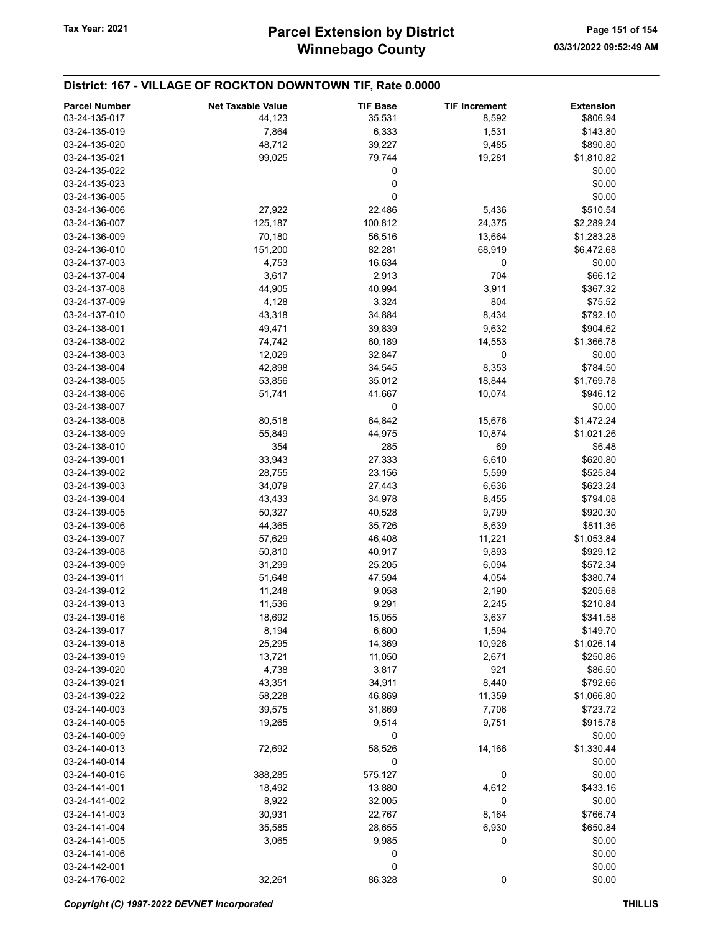#### District: 167 - VILLAGE OF ROCKTON DOWNTOWN TIF, Rate 0.0000 Parcel Number **Net Taxable Value** TIF Base TIF Increment Extension 03-24-135-017 **5806.94** 44,123 **55,531 8,592** \$806.94 03-24-135-019 7,864 6,333 1,531 \$143.80 03-24-135-020 48,712 39,227 9,485 \$890.80 03-24-135-021 99,025 79,744 19,281 \$1,810.82  $03 - 24 - 135 - 022$  \$0.00  $03 - 24 - 135 - 023$  \$0.00  $03-24-136-005$  \$0.00 03-24-136-006 27,922 22,486 5,436 \$510.54 03-24-136-007 125,187 100,812 24,375 \$2,289.24 03-24-136-009 70,180 56,516 13,664 \$1,283.28 03-24-136-010 151,200 82,281 68,919 \$6,472.68 03-24-137-003 4,753 16,634 0 \$0.00 03-24-137-004 **3,617** 3,617 2,913 704 \$66.12 03-24-137-008 **44,905** 44,905 40,994 3,911 \$367.32 03-24-137-009 4,128 3,324 804 \$75.52 03-24-137-010 43,318 34,884 8,434 \$792.10 03-24-138-001 **49,471** 39,839 9,632 \$904.62 03-24-138-002 **74,742** 60,189 14,553 \$1,366.78 03-24-138-003 12,029 32,847 0 \$0.00 03-24-138-004 42,898 34,545 8,353 \$784.50 03-24-138-005 53,856 35,012 18,844 \$1,769.78 03-24-138-006 51,741 51,741 41,667 10,074 \$946.12  $03-24-138-007$  \$0.00 03-24-138-008 80,518 64,842 15,676 \$1,472.24 03-24-138-009 65,849 65,849 44,975 10,874 \$1,021.26 03-24-138-010 354 285 69 \$6.48 03-24-139-001 33,943 27,333 6,610 \$620.80 03-24-139-002 28,755 23,156 5,599 \$525.84 03-24-139-003 34,079 34,079 27,443 6,636 \$623.24 03-24-139-004 **43,433** 43,433 43,978 8,455 **\$794.08** 03-24-139-005 50,327 40,528 9,799 \$920.30 03-24-139-006 44,365 35,726 8,639 \$811.36 03-24-139-007 57,629 46,408 11,221 \$1,053.84 03-24-139-008 50,810 40,917 9,893 \$929.12 03-24-139-009 31,299 31,299 25,205 6,094 \$572.34 03-24-139-011 51,648 47,594 4,054 \$380.74 03-24-139-012 11,248 9,058 2,190 \$205.68 03-24-139-013 **11,536** 9,291 2,245 \$210.84 03-24-139-016 **5341.58** \$341.58 03-24-139-017 8,194 6,600 1,594 \$149.70 03-24-139-018 25,295 14,369 10,926 \$1,026.14 03-24-139-019 13,721 11,050 2,671 \$250.86 03-24-139-020 **4,738** 3,817 921 \$86.50 03-24-139-021 43,351 34,911 8,440 \$792.66 03-24-139-022 58,228 46,869 11,359 \$1,066.80 03-24-140-003 39,575 31,869 7,706 \$723.72 03-24-140-005 19,265 9,514 9,751 \$915.78  $03-24-140-009$  \$0.00 03-24-140-013 72,692 58,526 14,166 \$1,330.44  $03 - 24 - 140 - 014$  \$0.00 03-24-140-016 388,285 575,127 0 \$0.00 03-24-141-001 18,492 13,880 4,612 \$433.16 03-24-141-002 8,922 32,005 0 \$0.00 03-24-141-003 30,931 30,931 22,767 8,164 \$766.74 03-24-141-004 **35,585** 28,655 6,930 \$650.84 03-24-141-005 3,065 9,985 0 \$0.00  $03-24-141-006$  \$0.00  $03-24-142-001$  \$0.00 03-24-176-002 32,261 86,328 0 \$0.00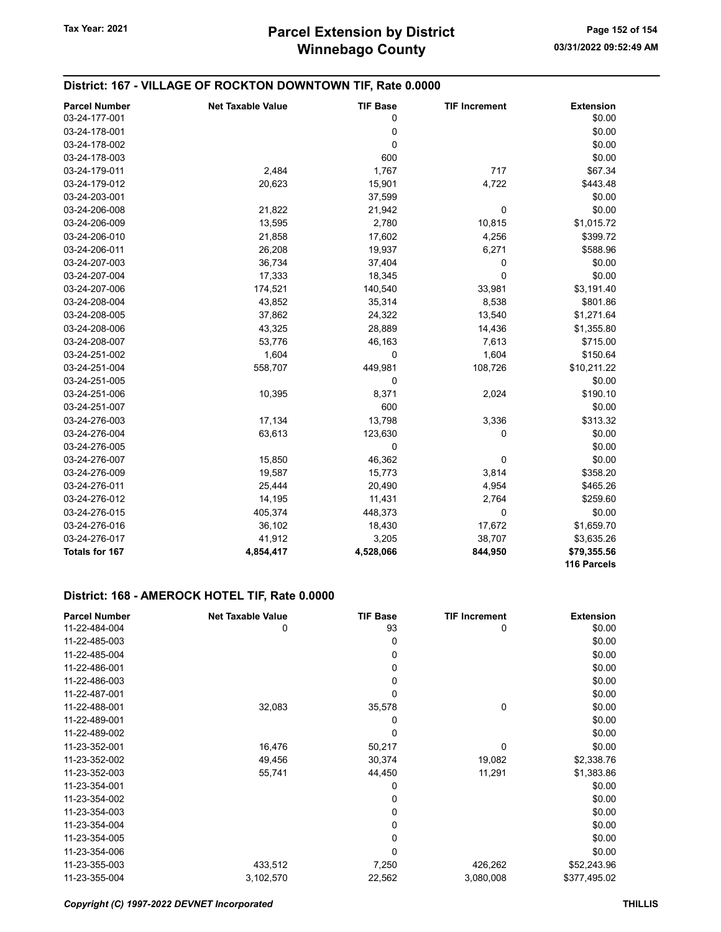| District: 167 - VILLAGE OF ROCKTON DOWNTOWN TIF, Rate 0.0000 |                          |                 |                      |                            |
|--------------------------------------------------------------|--------------------------|-----------------|----------------------|----------------------------|
| <b>Parcel Number</b>                                         | <b>Net Taxable Value</b> | <b>TIF Base</b> | <b>TIF Increment</b> | <b>Extension</b>           |
| 03-24-177-001                                                |                          | 0               |                      | \$0.00                     |
| 03-24-178-001                                                |                          | 0               |                      | \$0.00                     |
| 03-24-178-002                                                |                          | 0               |                      | \$0.00                     |
| 03-24-178-003                                                |                          | 600             |                      | \$0.00                     |
| 03-24-179-011                                                | 2,484                    | 1,767           | 717                  | \$67.34                    |
| 03-24-179-012                                                | 20,623                   | 15,901          | 4,722                | \$443.48                   |
| 03-24-203-001                                                |                          | 37,599          |                      | \$0.00                     |
| 03-24-206-008                                                | 21,822                   | 21,942          | 0                    | \$0.00                     |
| 03-24-206-009                                                | 13,595                   | 2,780           | 10,815               | \$1,015.72                 |
| 03-24-206-010                                                | 21,858                   | 17,602          | 4,256                | \$399.72                   |
| 03-24-206-011                                                | 26,208                   | 19,937          | 6,271                | \$588.96                   |
| 03-24-207-003                                                | 36,734                   | 37,404          | 0                    | \$0.00                     |
| 03-24-207-004                                                | 17,333                   | 18,345          | $\Omega$             | \$0.00                     |
| 03-24-207-006                                                | 174,521                  | 140,540         | 33,981               | \$3,191.40                 |
| 03-24-208-004                                                | 43,852                   | 35,314          | 8,538                | \$801.86                   |
| 03-24-208-005                                                | 37,862                   | 24,322          | 13,540               | \$1,271.64                 |
| 03-24-208-006                                                | 43,325                   | 28,889          | 14,436               | \$1,355.80                 |
| 03-24-208-007                                                | 53,776                   | 46,163          | 7,613                | \$715.00                   |
| 03-24-251-002                                                | 1,604                    | 0               | 1,604                | \$150.64                   |
| 03-24-251-004                                                | 558,707                  | 449,981         | 108,726              | \$10,211.22                |
| 03-24-251-005                                                |                          | 0               |                      | \$0.00                     |
| 03-24-251-006                                                | 10,395                   | 8,371           | 2,024                | \$190.10                   |
| 03-24-251-007                                                |                          | 600             |                      | \$0.00                     |
| 03-24-276-003                                                | 17,134                   | 13,798          | 3,336                | \$313.32                   |
| 03-24-276-004                                                | 63,613                   | 123,630         | 0                    | \$0.00                     |
| 03-24-276-005                                                |                          | 0               |                      | \$0.00                     |
| 03-24-276-007                                                | 15,850                   | 46,362          | 0                    | \$0.00                     |
| 03-24-276-009                                                | 19,587                   | 15,773          | 3,814                | \$358.20                   |
| 03-24-276-011                                                | 25,444                   | 20,490          | 4,954                | \$465.26                   |
| 03-24-276-012                                                | 14,195                   | 11,431          | 2,764                | \$259.60                   |
| 03-24-276-015                                                | 405,374                  | 448,373         | 0                    | \$0.00                     |
| 03-24-276-016                                                | 36,102                   | 18,430          | 17,672               | \$1,659.70                 |
| 03-24-276-017                                                | 41,912                   | 3,205           | 38,707               | \$3,635.26                 |
| Totals for 167                                               | 4,854,417                | 4,528,066       | 844,950              | \$79,355.56<br>116 Parcels |

## District: 168 - AMEROCK HOTEL TIF, Rate 0.0000

| <b>Parcel Number</b> | <b>Net Taxable Value</b> | <b>TIF Base</b> | <b>TIF Increment</b> | <b>Extension</b> |
|----------------------|--------------------------|-----------------|----------------------|------------------|
| 11-22-484-004        | 0                        | 93              | 0                    | \$0.00           |
| 11-22-485-003        |                          | 0               |                      | \$0.00           |
| 11-22-485-004        |                          | 0               |                      | \$0.00           |
| 11-22-486-001        |                          | 0               |                      | \$0.00           |
| 11-22-486-003        |                          | 0               |                      | \$0.00           |
| 11-22-487-001        |                          | 0               |                      | \$0.00           |
| 11-22-488-001        | 32,083                   | 35,578          | 0                    | \$0.00           |
| 11-22-489-001        |                          | 0               |                      | \$0.00           |
| 11-22-489-002        |                          | 0               |                      | \$0.00           |
| 11-23-352-001        | 16,476                   | 50,217          | 0                    | \$0.00           |
| 11-23-352-002        | 49,456                   | 30,374          | 19,082               | \$2,338.76       |
| 11-23-352-003        | 55,741                   | 44,450          | 11,291               | \$1,383.86       |
| 11-23-354-001        |                          | 0               |                      | \$0.00           |
| 11-23-354-002        |                          | 0               |                      | \$0.00           |
| 11-23-354-003        |                          | 0               |                      | \$0.00           |
| 11-23-354-004        |                          | 0               |                      | \$0.00           |
| 11-23-354-005        |                          | 0               |                      | \$0.00           |
| 11-23-354-006        |                          | 0               |                      | \$0.00           |
| 11-23-355-003        | 433,512                  | 7,250           | 426,262              | \$52,243.96      |
| 11-23-355-004        | 3,102,570                | 22,562          | 3,080,008            | \$377,495.02     |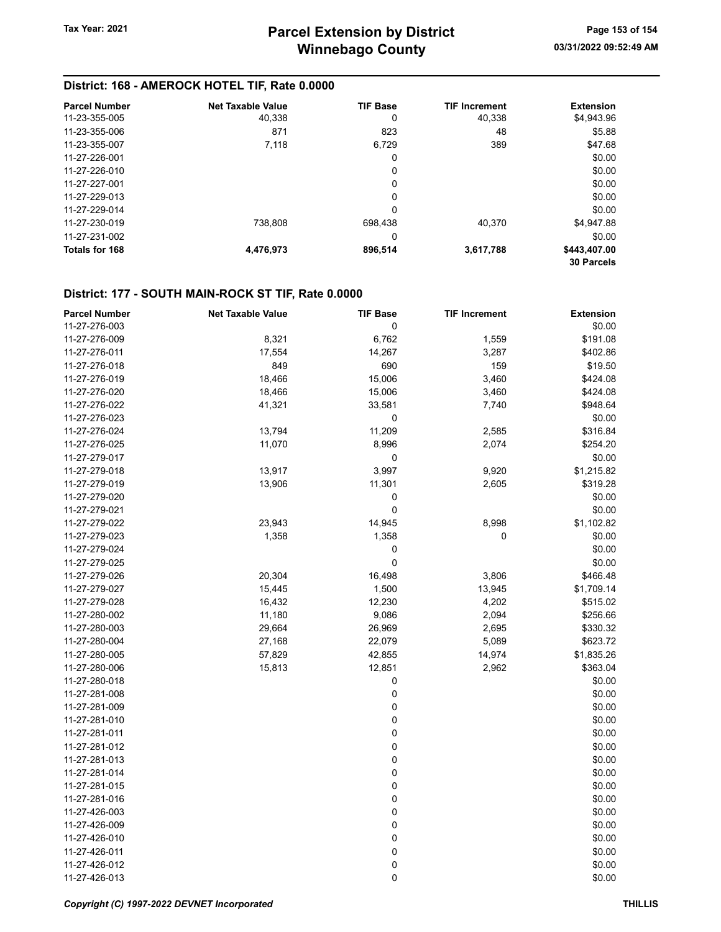# District: 168 - AMEROCK HOTEL TIF, Rate 0.0000

| <b>Parcel Number</b> | <b>Net Taxable Value</b> | <b>TIF Base</b> | <b>TIF Increment</b> | <b>Extension</b>  |
|----------------------|--------------------------|-----------------|----------------------|-------------------|
| 11-23-355-005        | 40.338                   | 0               | 40.338               | \$4,943.96        |
| 11-23-355-006        | 871                      | 823             | 48                   | \$5.88            |
| 11-23-355-007        | 7,118                    | 6.729           | 389                  | \$47.68           |
| 11-27-226-001        |                          | 0               |                      | \$0.00            |
| 11-27-226-010        |                          | 0               |                      | \$0.00            |
| 11-27-227-001        |                          | 0               |                      | \$0.00            |
| 11-27-229-013        |                          | 0               |                      | \$0.00            |
| 11-27-229-014        |                          | 0               |                      | \$0.00            |
| 11-27-230-019        | 738.808                  | 698.438         | 40.370               | \$4.947.88        |
| 11-27-231-002        |                          | 0               |                      | \$0.00            |
| Totals for 168       | 4,476,973                | 896,514         | 3,617,788            | \$443,407.00      |
|                      |                          |                 |                      | <b>30 Parcels</b> |

# District: 177 - SOUTH MAIN-ROCK ST TIF, Rate 0.0000

| <b>Parcel Number</b> | <b>Net Taxable Value</b> | <b>TIF Base</b> | <b>TIF Increment</b> | <b>Extension</b> |
|----------------------|--------------------------|-----------------|----------------------|------------------|
| 11-27-276-003        |                          | 0               |                      | \$0.00           |
| 11-27-276-009        | 8,321                    | 6,762           | 1,559                | \$191.08         |
| 11-27-276-011        | 17,554                   | 14,267          | 3,287                | \$402.86         |
| 11-27-276-018        | 849                      | 690             | 159                  | \$19.50          |
| 11-27-276-019        | 18,466                   | 15,006          | 3,460                | \$424.08         |
| 11-27-276-020        | 18,466                   | 15,006          | 3,460                | \$424.08         |
| 11-27-276-022        | 41,321                   | 33,581          | 7,740                | \$948.64         |
| 11-27-276-023        |                          | 0               |                      | \$0.00           |
| 11-27-276-024        | 13,794                   | 11,209          | 2,585                | \$316.84         |
| 11-27-276-025        | 11,070                   | 8,996           | 2,074                | \$254.20         |
| 11-27-279-017        |                          | 0               |                      | \$0.00           |
| 11-27-279-018        | 13,917                   | 3,997           | 9,920                | \$1,215.82       |
| 11-27-279-019        | 13,906                   | 11,301          | 2,605                | \$319.28         |
| 11-27-279-020        |                          | 0               |                      | \$0.00           |
| 11-27-279-021        |                          | 0               |                      | \$0.00           |
| 11-27-279-022        | 23,943                   | 14,945          | 8,998                | \$1,102.82       |
| 11-27-279-023        | 1,358                    | 1,358           | 0                    | \$0.00           |
| 11-27-279-024        |                          | 0               |                      | \$0.00           |
| 11-27-279-025        |                          | 0               |                      | \$0.00           |
| 11-27-279-026        | 20,304                   | 16,498          | 3,806                | \$466.48         |
| 11-27-279-027        | 15,445                   | 1,500           | 13,945               | \$1,709.14       |
| 11-27-279-028        | 16,432                   | 12,230          | 4,202                | \$515.02         |
| 11-27-280-002        | 11,180                   | 9,086           | 2,094                | \$256.66         |
| 11-27-280-003        | 29,664                   | 26,969          | 2,695                | \$330.32         |
| 11-27-280-004        | 27,168                   | 22,079          | 5,089                | \$623.72         |
| 11-27-280-005        | 57,829                   | 42,855          | 14,974               | \$1,835.26       |
| 11-27-280-006        | 15,813                   | 12,851          | 2,962                | \$363.04         |
| 11-27-280-018        |                          | 0               |                      | \$0.00           |
| 11-27-281-008        |                          | 0               |                      | \$0.00           |
| 11-27-281-009        |                          | 0               |                      | \$0.00           |
| 11-27-281-010        |                          | 0               |                      | \$0.00           |
| 11-27-281-011        |                          | 0               |                      | \$0.00           |
| 11-27-281-012        |                          | 0               |                      | \$0.00           |
| 11-27-281-013        |                          | 0               |                      | \$0.00           |
| 11-27-281-014        |                          | 0               |                      | \$0.00           |
| 11-27-281-015        |                          | 0               |                      | \$0.00           |
| 11-27-281-016        |                          | 0               |                      | \$0.00           |
| 11-27-426-003        |                          | 0               |                      | \$0.00           |
| 11-27-426-009        |                          | 0               |                      | \$0.00           |
| 11-27-426-010        |                          | 0               |                      | \$0.00           |
| 11-27-426-011        |                          | 0               |                      | \$0.00           |
| 11-27-426-012        |                          | 0               |                      | \$0.00           |
| 11-27-426-013        |                          | 0               |                      | \$0.00           |